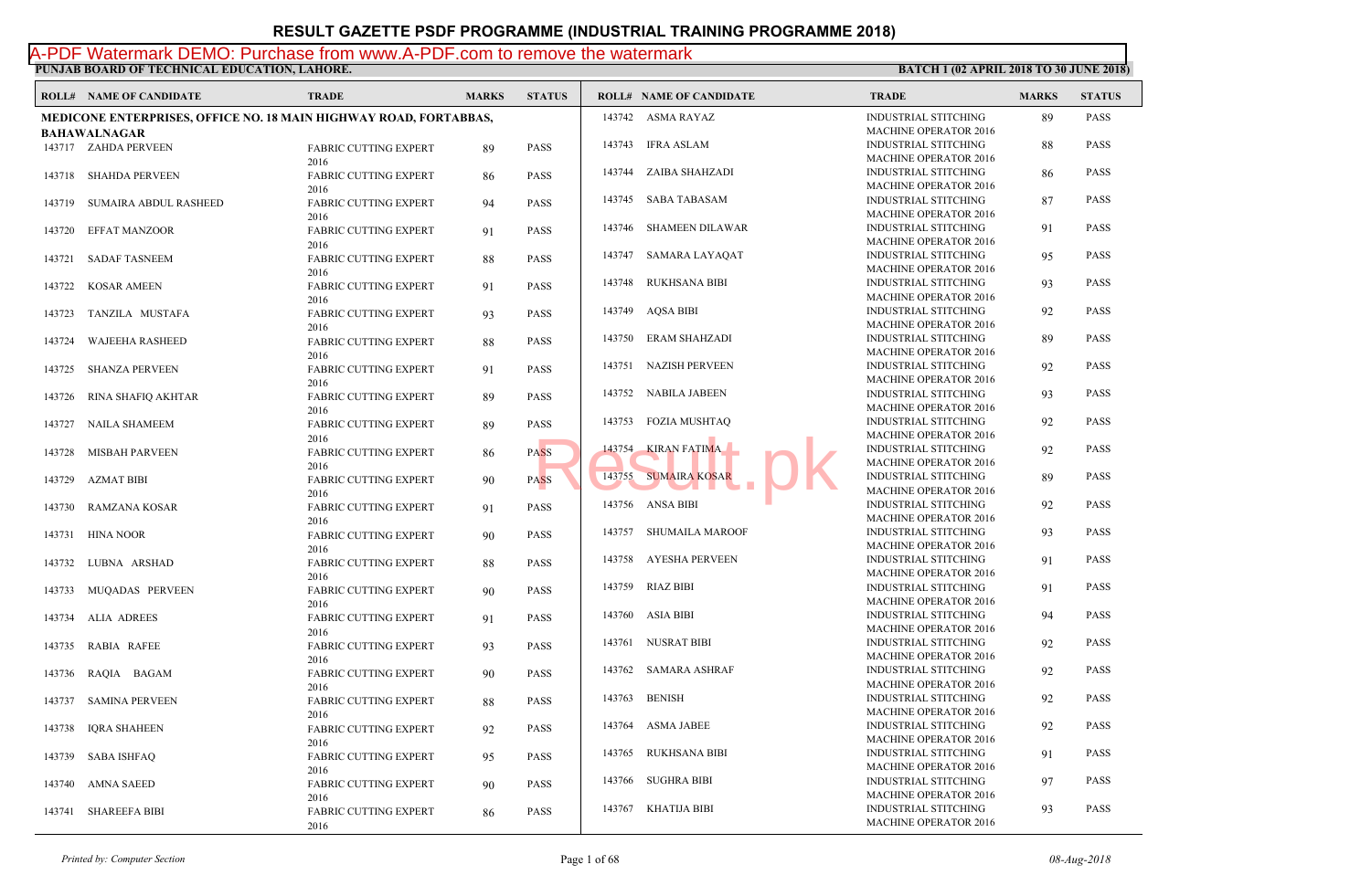**PUNJAB BOARD OF TECHNICAL EDUCATION, LAHORE.** A-PDF Watermark DEMO: Purchase from www.A-PDF.com to remove the watermark

**ROLL# NAME OF CANDIDATE TRADE MARKS STATUS ROLL# NAME OF CANDIDATE TRADE MARKS STATUS MEDICONE ENTERPRISES, OFFICE NO. 18 MAIN HIGHWAY ROAD, FORTABBAS, BAHAWALNAGAR** FABRIC CUTTING EXPERT 89 PASS 2016 143717 ZAHDA PERVEEN FABRIC CUTTING EXPERT 86 PASS 2016 143718 SHAHDA PERVEEN FABRIC CUTTING EXPERT 94 PASS 2016 143719 SUMAIRA ABDUL RASHEED FABRIC CUTTING EXPERT 91 PASS 2016 143720 EFFAT MANZOOR FABRIC CUTTING EXPERT 88 PASS 2016 143721 SADAF TASNEEM FABRIC CUTTING EXPERT 91 PASS 2016 143722 KOSAR AMEEN FABRIC CUTTING EXPERT 93 PASS 2016 143723 TANZILA MUSTAFA FABRIC CUTTING EXPERT 88 PASS 2016 143724 WAJEEHA RASHEED FABRIC CUTTING EXPERT 91 PASS 2016 143725 SHANZA PERVEEN FABRIC CUTTING EXPERT 89 PASS 2016 143726 RINA SHAFIQ AKHTAR FABRIC CUTTING EXPERT 89 PASS 2016 143727 NAILA SHAMEEM FABRIC CUTTING EXPERT 86 PASS 2016 143728 MISBAH PARVEEN FABRIC CUTTING EXPERT 90 PASS 2016 143729 AZMAT BIBI FABRIC CUTTING EXPERT 91 PASS 2016 143730 RAMZANA KOSAR FABRIC CUTTING EXPERT 90 PASS 2016 143731 HINA NOOR FABRIC CUTTING EXPERT 88 PASS 2016 143732 LUBNA ARSHAD FABRIC CUTTING EXPERT 90 PASS 2016 143733 MUQADAS PERVEEN FABRIC CUTTING EXPERT 91 PASS 2016 143734 ALIA ADREES FABRIC CUTTING EXPERT 93 PASS 2016 143735 RABIA RAFEE FABRIC CUTTING EXPERT 90 PASS 2016 143736 RAQIA BAGAM FABRIC CUTTING EXPERT 88 PASS 2016 143737 SAMINA PERVEEN FABRIC CUTTING EXPERT 92 PASS 2016 143738 IQRA SHAHEEN FABRIC CUTTING EXPERT 95 PASS 2016 143739 SABA ISHFAQ FABRIC CUTTING EXPERT 90 PASS 2016 143740 AMNA SAEED FABRIC CUTTING EXPERT 86 PASS 2016 143741 SHAREEFA BIBI INDUS **MACH**  143742 ASMA RAYAZ INDUS MAC<sub>H</sub> 143743 IFRA ASLAM INDUS MAC<sub>H</sub>  [143744 ZAIBA SHAHZADI](http://www.result.pk/) INDUS MACH<sub>1</sub> 143745 SABA TABASAM INDUS **MACH**  143746 SHAMEEN DILAWAR INDUS MACH<sub>1</sub> 143747 SAMARA LAYAQAT INDUS MACH<sub>1</sub> 143748 RUKHSANA BIBI INDUS MAC<sub>H</sub> 143749 AQSA BIBI INDUS MACH<sub>1</sub> 143750 ERAM SHAHZADI INDUS  $MACH$  143751 NAZISH PERVEEN INDUS MACH<sub>1</sub> 143752 NABILA JABEEN INDUS MAC<sub>H</sub> 143753 FOZIA MUSHTAQ INDUS MAC<sub>H</sub> 143754 KIRAN FATIMA **INDUS** MACH<sub>1</sub> 143755 SUMAIRA KOSAR INDUS MAC<sub>H</sub> 143756 ANSA BIBI INDUS MACH<sub>1</sub> 143757 SHUMAILA MAROOF INDUS MACH<sub>1</sub> 143758 AYESHA PERVEEN INDUS MACH<sub>1</sub> 143759 RIAZ BIBI INDUS MAC<sub>H</sub> 143760 ASIA BIBI INDUS MACH<sub>1</sub> 143761 NUSRAT BIBI INDUS **MACH**  143762 SAMARA ASHRAF INDUS MACH<sub>1</sub> 143763 BENISH INDUS MAC<sub>H</sub> 143764 ASMA JABEE INDUS MACH<sub>1</sub> 143765 RUKHSANA BIBI INDUS MACH<sub>1</sub> 143766 SUGHRA BIBI INDUS MACH<sub>1</sub> 143767 KHATIJA BIBI ASS MARIA KIRAN FATIMA<br>ASS MARIA KOSAR MARIA KOSAR MARIA KOSAR MARIA KOSAR MARIA KOSAR MARIA KOSAR MARIA KOSAR MARIA KOSAR MARIA KOSA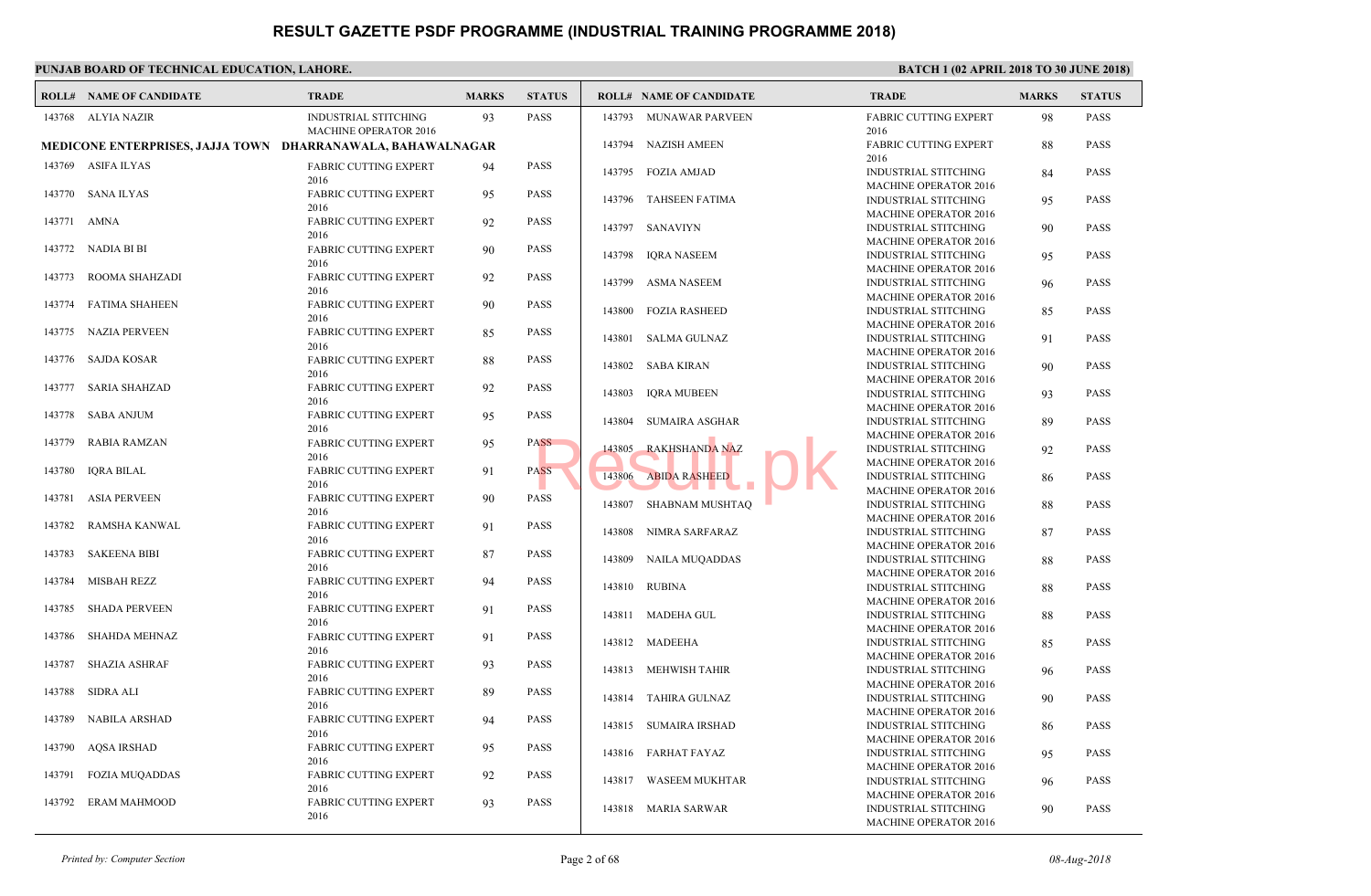|        | <b>ROLL# NAME OF CANDIDATE</b>                              | <b>TRADE</b>                                         | <b>MARKS</b> | <b>STATUS</b> |        | <b>ROLL# NAME OF CANDIDATE</b> | <b>TRAL</b>                                |
|--------|-------------------------------------------------------------|------------------------------------------------------|--------------|---------------|--------|--------------------------------|--------------------------------------------|
|        | 143768 ALYIA NAZIR                                          | INDUSTRIAL STITCHING<br><b>MACHINE OPERATOR 2016</b> | 93           | <b>PASS</b>   | 143793 | MUNAWAR PARVEEN                | <b>FABRI</b><br>2016                       |
|        | MEDICONE ENTERPRISES, JAJJA TOWN DHARRANAWALA, BAHAWALNAGAR |                                                      |              |               |        | 143794 NAZISH AMEEN            | <b>FABRI</b>                               |
|        | 143769 ASIFA ILYAS                                          | <b>FABRIC CUTTING EXPERT</b>                         | 94           | <b>PASS</b>   |        | 143795 FOZIA AMJAD             | 2016<br><b>INDUS</b>                       |
| 143770 | SANA ILYAS                                                  | 2016<br><b>FABRIC CUTTING EXPERT</b>                 | 95           | <b>PASS</b>   |        | 143796 TAHSEEN FATIMA          | <b>MACH</b><br><b>INDUS</b>                |
| 143771 | AMNA                                                        | 2016<br>FABRIC CUTTING EXPERT<br>2016                | 92           | <b>PASS</b>   |        | 143797 SANAVIYN                | <b>MACH</b><br><b>INDUS</b>                |
| 143772 | NADIA BI BI                                                 | FABRIC CUTTING EXPERT<br>2016                        | 90           | <b>PASS</b>   |        | 143798 IORA NASEEM             | <b>MACH</b><br><b>INDUS</b>                |
| 143773 | ROOMA SHAHZADI                                              | FABRIC CUTTING EXPERT<br>2016                        | 92           | <b>PASS</b>   | 143799 | ASMA NASEEM                    | <b>MACH</b><br><b>INDUS</b>                |
| 143774 | <b>FATIMA SHAHEEN</b>                                       | FABRIC CUTTING EXPERT<br>2016                        | 90           | <b>PASS</b>   | 143800 | <b>FOZIA RASHEED</b>           | <b>MACH</b><br><b>INDUS</b>                |
| 143775 | NAZIA PERVEEN                                               | <b>FABRIC CUTTING EXPERT</b><br>2016                 | 85           | <b>PASS</b>   | 143801 | SALMA GULNAZ                   | <b>MACH</b><br><b>INDUS</b>                |
| 143776 | SAJDA KOSAR                                                 | <b>FABRIC CUTTING EXPERT</b><br>2016                 | 88           | <b>PASS</b>   |        | 143802 SABA KIRAN              | <b>MACH</b><br><b>INDUS</b>                |
| 143777 | <b>SARIA SHAHZAD</b>                                        | <b>FABRIC CUTTING EXPERT</b><br>2016                 | 92           | <b>PASS</b>   | 143803 | <b>IQRA MUBEEN</b>             | <b>MACH</b><br><b>INDUS</b>                |
| 143778 | <b>SABA ANJUM</b>                                           | <b>FABRIC CUTTING EXPERT</b><br>2016                 | 95           | <b>PASS</b>   | 143804 | <b>SUMAIRA ASGHAR</b>          | <b>MACH</b><br><b>INDUS</b>                |
| 143779 | <b>RABIA RAMZAN</b>                                         | <b>FABRIC CUTTING EXPERT</b><br>2016                 | 95           | <b>PASS</b>   | 143805 | <b>RAKHSHANDA NAZ</b>          | <b>MACH</b><br><b>INDUS</b>                |
| 143780 | <b>IORA BILAL</b>                                           | <b>FABRIC CUTTING EXPERT</b><br>2016                 | 91           | <b>PASS</b>   | 143806 | <b>ABIDA RASHEED</b>           | <b>MACH</b><br><b>INDUS</b>                |
| 143781 | <b>ASIA PERVEEN</b>                                         | <b>FABRIC CUTTING EXPERT</b><br>2016                 | 90           | <b>PASS</b>   | 143807 | SHABNAM MUSHTAQ                | <b>MACH</b><br><b>INDUS</b>                |
| 143782 | RAMSHA KANWAL                                               | <b>FABRIC CUTTING EXPERT</b><br>2016                 | 91           | <b>PASS</b>   | 143808 | NIMRA SARFARAZ                 | <b>MACH</b><br><b>INDUS</b>                |
| 143783 | <b>SAKEENA BIBI</b>                                         | <b>FABRIC CUTTING EXPERT</b><br>2016                 | 87           | <b>PASS</b>   | 143809 | <b>NAILA MUQADDAS</b>          | <b>MACH</b><br><b>INDUS</b>                |
| 143784 | <b>MISBAH REZZ</b>                                          | <b>FABRIC CUTTING EXPERT</b><br>2016                 | 94           | <b>PASS</b>   |        | 143810 RUBINA                  | <b>MACH</b><br><b>INDUS</b>                |
| 143785 | <b>SHADA PERVEEN</b>                                        | <b>FABRIC CUTTING EXPERT</b><br>2016                 | 91           | <b>PASS</b>   |        | 143811 MADEHA GUL              | <b>MACH</b><br><b>INDUS</b>                |
| 143786 | <b>SHAHDA MEHNAZ</b>                                        | <b>FABRIC CUTTING EXPERT</b><br>2016                 | 91           | <b>PASS</b>   |        | 143812 MADEEHA                 | <b>MACH</b><br><b>INDUS</b>                |
| 143787 | <b>SHAZIA ASHRAF</b>                                        | FABRIC CUTTING EXPERT<br>2016                        | 93           | <b>PASS</b>   |        | 143813 MEHWISH TAHIR           | <b>MACH</b><br><b>INDUS</b>                |
| 143788 | SIDRA ALI                                                   | <b>FABRIC CUTTING EXPERT</b><br>2016                 | 89           | <b>PASS</b>   |        | 143814 TAHIRA GULNAZ           | <b>MACH</b><br><b>INDUS</b>                |
| 143789 | NABILA ARSHAD                                               | FABRIC CUTTING EXPERT<br>2016                        | 94           | <b>PASS</b>   |        | 143815 SUMAIRA IRSHAD          | <b>MACH</b><br><b>INDUS</b>                |
| 143790 | <b>AQSA IRSHAD</b>                                          | <b>FABRIC CUTTING EXPERT</b><br>2016                 | 95           | <b>PASS</b>   |        | 143816 FARHAT FAYAZ            | <b>MACH</b><br><b>INDUS</b>                |
| 143791 | <b>FOZIA MUQADDAS</b>                                       | FABRIC CUTTING EXPERT<br>2016                        | 92           | <b>PASS</b>   | 143817 | WASEEM MUKHTAR                 | <b>MACH</b><br><b>INDUS</b>                |
| 143792 | <b>ERAM MAHMOOD</b>                                         | FABRIC CUTTING EXPERT<br>2016                        | 93           | <b>PASS</b>   |        | 143818 MARIA SARWAR            | <b>MACH</b><br><b>INDUS</b><br><b>MACH</b> |
|        |                                                             |                                                      |              |               |        |                                |                                            |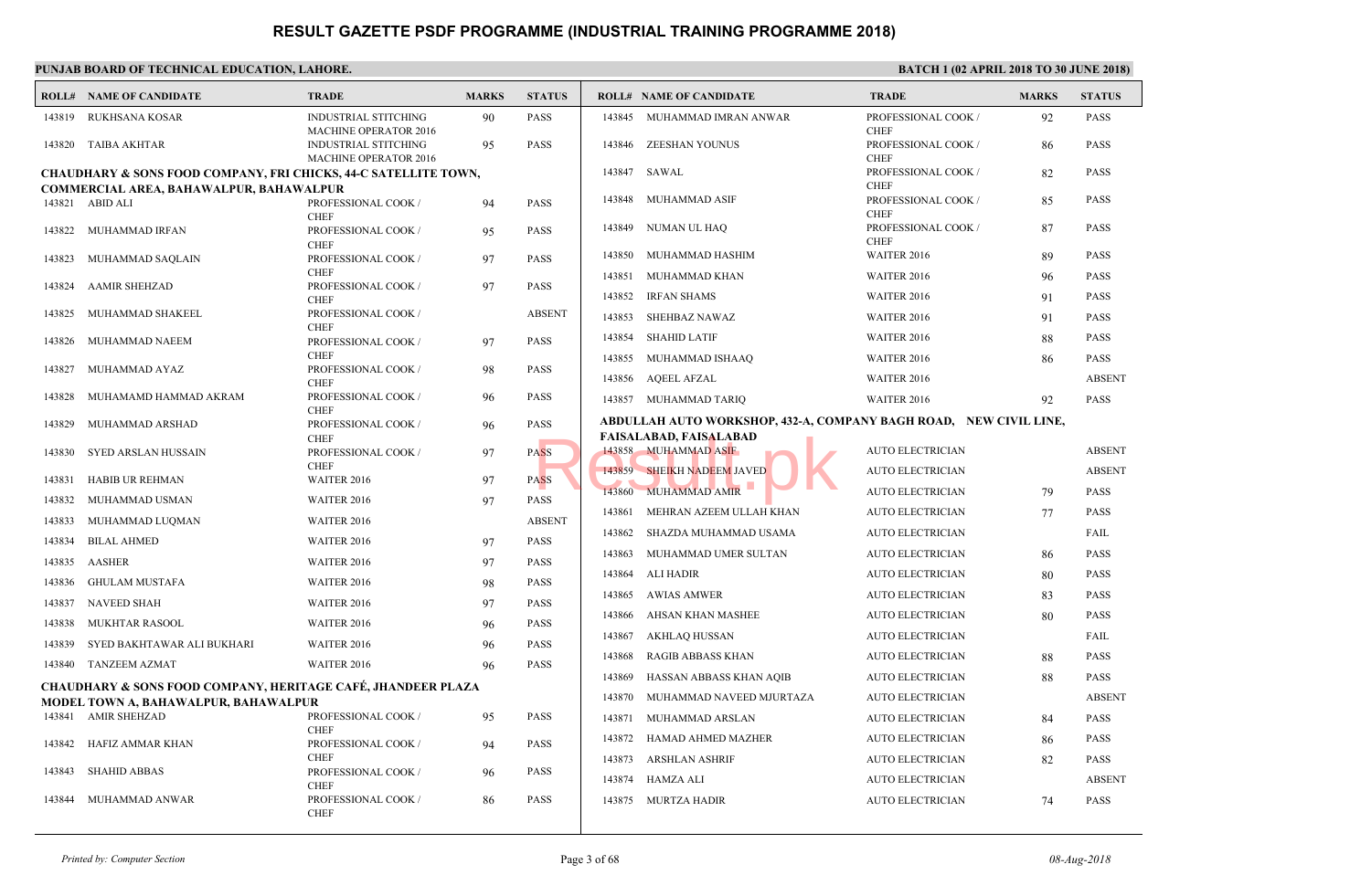|        | <b>ROLL# NAME OF CANDIDATE</b>                                                                                  | <b>TRADE</b>                                                | <b>MARKS</b> | <b>STATUS</b> |                  | <b>ROLL# NAME OF CANDIDATE</b>                                               | <b>TRAL</b>                 |
|--------|-----------------------------------------------------------------------------------------------------------------|-------------------------------------------------------------|--------------|---------------|------------------|------------------------------------------------------------------------------|-----------------------------|
| 143819 | RUKHSANA KOSAR                                                                                                  | <b>INDUSTRIAL STITCHING</b><br><b>MACHINE OPERATOR 2016</b> | 90           | <b>PASS</b>   | 143845           | MUHAMMAD IMRAN ANWAR                                                         | <b>PROFI</b><br><b>CHEF</b> |
|        | 143820 TAIBA AKHTAR                                                                                             | <b>INDUSTRIAL STITCHING</b><br>MACHINE OPERATOR 2016        | 95           | <b>PASS</b>   | 143846           | ZEESHAN YOUNUS                                                               | <b>PROFE</b><br><b>CHEF</b> |
|        | CHAUDHARY & SONS FOOD COMPANY, FRI CHICKS, 44-C SATELLITE TOWN,                                                 |                                                             |              |               | 143847           | SAWAL                                                                        | <b>PROFE</b>                |
|        | COMMERCIAL AREA, BAHAWALPUR, BAHAWALPUR                                                                         |                                                             |              |               |                  |                                                                              | <b>CHEF</b>                 |
|        | 143821 ABID ALI                                                                                                 | PROFESSIONAL COOK /<br><b>CHEF</b>                          | 94           | <b>PASS</b>   | 143848           | MUHAMMAD ASIF                                                                | <b>PROFE</b><br><b>CHEF</b> |
|        | 143822 MUHAMMAD IRFAN                                                                                           | PROFESSIONAL COOK /<br><b>CHEF</b>                          | 95           | <b>PASS</b>   | 143849           | NUMAN UL HAQ                                                                 | <b>PROFE</b><br><b>CHEF</b> |
| 143823 | MUHAMMAD SAQLAIN                                                                                                | PROFESSIONAL COOK /                                         | 97           | <b>PASS</b>   | 143850           | MUHAMMAD HASHIM                                                              | <b>WAITI</b>                |
| 143824 | <b>AAMIR SHEHZAD</b>                                                                                            | <b>CHEF</b><br>PROFESSIONAL COOK /                          | 97           | <b>PASS</b>   | 143851           | MUHAMMAD KHAN                                                                | <b>WAITI</b>                |
|        |                                                                                                                 | <b>CHEF</b>                                                 |              |               | 143852           | <b>IRFAN SHAMS</b>                                                           | <b>WAITI</b>                |
| 143825 | MUHAMMAD SHAKEEL                                                                                                | PROFESSIONAL COOK /<br><b>CHEF</b>                          |              | <b>ABSENT</b> | 143853           | SHEHBAZ NAWAZ                                                                | <b>WAITI</b>                |
| 143826 | MUHAMMAD NAEEM                                                                                                  | PROFESSIONAL COOK /                                         | 97           | <b>PASS</b>   | 143854           | <b>SHAHID LATIF</b>                                                          | <b>WAITI</b>                |
| 143827 | MUHAMMAD AYAZ                                                                                                   | <b>CHEF</b><br>PROFESSIONAL COOK /                          | 98           | <b>PASS</b>   | 143855           | MUHAMMAD ISHAAQ                                                              | <b>WAITI</b>                |
|        |                                                                                                                 | <b>CHEF</b>                                                 |              |               | 143856           | AQEEL AFZAL                                                                  | <b>WAITI</b>                |
| 143828 | MUHAMAMD HAMMAD AKRAM                                                                                           | PROFESSIONAL COOK /<br><b>CHEF</b>                          | 96           | <b>PASS</b>   |                  | 143857 MUHAMMAD TARIO                                                        | <b>WAITI</b>                |
| 143829 | MUHAMMAD ARSHAD                                                                                                 | PROFESSIONAL COOK /<br><b>CHEF</b>                          | 96           | <b>PASS</b>   |                  | ABDULLAH AUTO WORKSHOP, 432-A, COMPANY BA<br>FAISALABAD, FAIS <b>A</b> LABAD |                             |
| 143830 | SYED ARSLAN HUSSAIN                                                                                             | PROFESSIONAL COOK /<br><b>CHEF</b>                          | 97           | <b>PASS</b>   |                  | 143858 MUHAMMAD ASIF                                                         | <b>AUTO</b>                 |
| 143831 | <b>HABIB UR REHMAN</b>                                                                                          | WAITER 2016                                                 | 97           | <b>PASS</b>   |                  | 143859 SHEIKH NADEEM JAVED                                                   | <b>AUTO</b>                 |
| 143832 | MUHAMMAD USMAN                                                                                                  | WAITER 2016                                                 | 97           | <b>PASS</b>   | 143860           | <b>MUHAMMAD AMIR</b>                                                         | <b>AUTO</b>                 |
| 143833 | MUHAMMAD LUQMAN                                                                                                 | WAITER 2016                                                 |              | <b>ABSENT</b> | 143861           | MEHRAN AZEEM ULLAH KHAN                                                      | <b>AUTO</b>                 |
| 143834 | <b>BILAL AHMED</b>                                                                                              | WAITER 2016                                                 | 97           | <b>PASS</b>   | 143862           | SHAZDA MUHAMMAD USAMA                                                        | <b>AUTO</b>                 |
| 143835 | <b>AASHER</b>                                                                                                   | WAITER 2016                                                 | 97           | <b>PASS</b>   | 143863           | MUHAMMAD UMER SULTAN                                                         | <b>AUTO</b>                 |
| 143836 | <b>GHULAM MUSTAFA</b>                                                                                           | WAITER 2016                                                 | 98           | <b>PASS</b>   | 143864           | <b>ALI HADIR</b>                                                             | <b>AUTO</b>                 |
| 143837 | NAVEED SHAH                                                                                                     | WAITER 2016                                                 | 97           | <b>PASS</b>   | 143865           | <b>AWIAS AMWER</b>                                                           | <b>AUTO</b>                 |
| 143838 | <b>MUKHTAR RASOOL</b>                                                                                           | WAITER 2016                                                 | 96           | <b>PASS</b>   | 143866           | AHSAN KHAN MASHEE                                                            | <b>AUTO</b>                 |
| 143839 | SYED BAKHTAWAR ALI BUKHARI                                                                                      | WAITER 2016                                                 | 96           | <b>PASS</b>   | 143867           | AKHLAQ HUSSAN                                                                | <b>AUTO</b>                 |
|        | 143840 TANZEEM AZMAT                                                                                            | WAITER 2016                                                 | 96           | <b>PASS</b>   | 143868           | <b>RAGIB ABBASS KHAN</b>                                                     | <b>AUTO</b>                 |
|        | <b>CHAUDHARY &amp; SONS FOOD COMPANY, HERITAGE CAFÉ, JHANDEER PLAZA</b><br>MODEL TOWN A, BAHAWALPUR, BAHAWALPUR |                                                             |              |               | 143869<br>143870 | HASSAN ABBASS KHAN AQIB<br>MUHAMMAD NAVEED MJURTAZA                          | <b>AUTO</b><br><b>AUTO</b>  |
|        | 143841 AMIR SHEHZAD                                                                                             | PROFESSIONAL COOK /                                         | 95           | <b>PASS</b>   | 143871           | MUHAMMAD ARSLAN                                                              | <b>AUTO</b>                 |
| 143842 | HAFIZ AMMAR KHAN                                                                                                | <b>CHEF</b><br>PROFESSIONAL COOK /                          | 94           | <b>PASS</b>   | 143872           | HAMAD AHMED MAZHER                                                           | <b>AUTO</b>                 |
|        |                                                                                                                 | <b>CHEF</b>                                                 |              |               | 143873           | ARSHLAN ASHRIF                                                               | <b>AUTO</b>                 |
| 143843 | <b>SHAHID ABBAS</b>                                                                                             | PROFESSIONAL COOK /<br><b>CHEF</b>                          | 96           | <b>PASS</b>   |                  | 143874 HAMZA ALI                                                             | <b>AUTO</b>                 |
| 143844 | MUHAMMAD ANWAR                                                                                                  | PROFESSIONAL COOK /<br><b>CHEF</b>                          | 86           | PASS          | 143875           | MURTZA HADIR                                                                 | <b>AUTO</b>                 |
|        |                                                                                                                 |                                                             |              |               |                  |                                                                              |                             |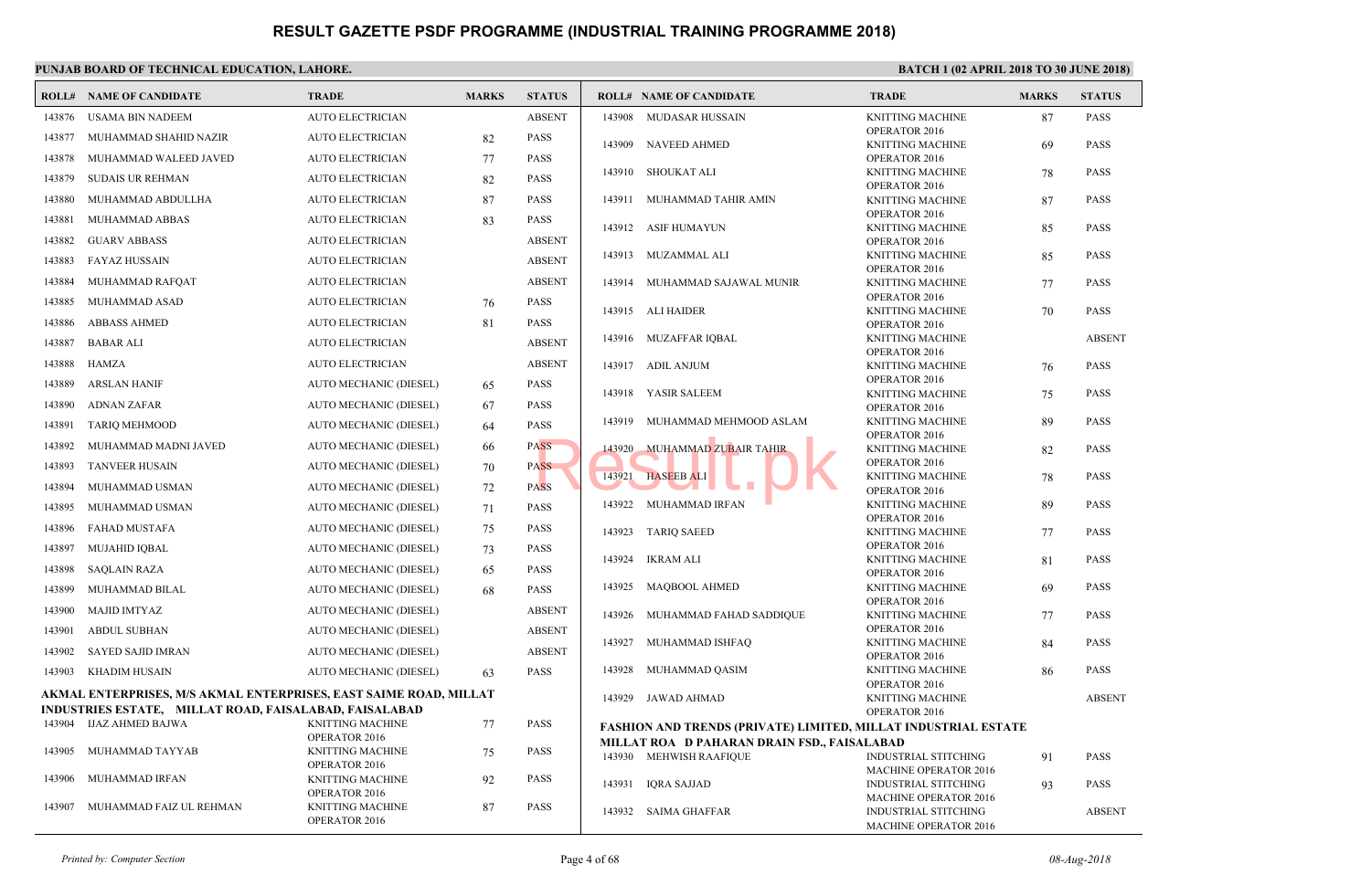|        | <b>ROLL# NAME OF CANDIDATE</b>                                             | <b>TRADE</b>                             | <b>MARKS</b> | <b>STATUS</b> |        | <b>ROLL# NAME OF CANDIDATE</b>                                                                    | <b>TRAL</b>                  |
|--------|----------------------------------------------------------------------------|------------------------------------------|--------------|---------------|--------|---------------------------------------------------------------------------------------------------|------------------------------|
| 143876 | USAMA BIN NADEEM                                                           | <b>AUTO ELECTRICIAN</b>                  |              | <b>ABSENT</b> |        | 143908 MUDASAR HUSSAIN                                                                            | <b>KNITT</b>                 |
| 143877 | MUHAMMAD SHAHID NAZIR                                                      | <b>AUTO ELECTRICIAN</b>                  | 82           | <b>PASS</b>   | 143909 | NAVEED AHMED                                                                                      | OPER/<br><b>KNITT</b>        |
| 143878 | MUHAMMAD WALEED JAVED                                                      | <b>AUTO ELECTRICIAN</b>                  | 77           | PASS          |        |                                                                                                   | OPER/                        |
| 143879 | SUDAIS UR REHMAN                                                           | AUTO ELECTRICIAN                         | 82           | <b>PASS</b>   |        | 143910 SHOUKAT ALI                                                                                | <b>KNITT</b><br>OPERA        |
| 143880 | MUHAMMAD ABDULLHA                                                          | <b>AUTO ELECTRICIAN</b>                  | 87           | <b>PASS</b>   | 143911 | MUHAMMAD TAHIR AMIN                                                                               | <b>KNITT</b>                 |
| 143881 | MUHAMMAD ABBAS                                                             | AUTO ELECTRICIAN                         | 83           | <b>PASS</b>   | 143912 | ASIF HUMAYUN                                                                                      | OPER/<br><b>KNITT</b>        |
| 143882 | <b>GUARV ABBASS</b>                                                        | <b>AUTO ELECTRICIAN</b>                  |              | <b>ABSENT</b> |        |                                                                                                   | OPER/                        |
| 143883 | <b>FAYAZ HUSSAIN</b>                                                       | <b>AUTO ELECTRICIAN</b>                  |              | <b>ABSENT</b> |        | 143913 MUZAMMAL ALI                                                                               | <b>KNITT</b><br>OPER/        |
| 143884 | MUHAMMAD RAFQAT                                                            | <b>AUTO ELECTRICIAN</b>                  |              | <b>ABSENT</b> | 143914 | MUHAMMAD SAJAWAL MUNIR                                                                            | <b>KNITT</b>                 |
| 143885 | MUHAMMAD ASAD                                                              | AUTO ELECTRICIAN                         | 76           | <b>PASS</b>   |        | 143915 ALI HAIDER                                                                                 | OPERA<br><b>KNITT</b>        |
| 143886 | <b>ABBASS AHMED</b>                                                        | <b>AUTO ELECTRICIAN</b>                  | 81           | <b>PASS</b>   |        |                                                                                                   | OPER/                        |
| 143887 | <b>BABAR ALI</b>                                                           | <b>AUTO ELECTRICIAN</b>                  |              | <b>ABSENT</b> |        | 143916 MUZAFFAR IQBAL                                                                             | <b>KNITT</b>                 |
| 143888 | <b>HAMZA</b>                                                               | <b>AUTO ELECTRICIAN</b>                  |              | <b>ABSENT</b> |        | 143917 ADIL ANJUM                                                                                 | OPER/<br><b>KNITT</b>        |
| 143889 | <b>ARSLAN HANIF</b>                                                        | AUTO MECHANIC (DIESEL)                   | 65           | <b>PASS</b>   |        |                                                                                                   | OPERA                        |
| 143890 | <b>ADNAN ZAFAR</b>                                                         | AUTO MECHANIC (DIESEL)                   | 67           | <b>PASS</b>   |        | 143918 YASIR SALEEM                                                                               | <b>KNITT</b><br>OPERA        |
| 143891 | <b>TARIQ MEHMOOD</b>                                                       | AUTO MECHANIC (DIESEL)                   | 64           | <b>PASS</b>   | 143919 | MUHAMMAD MEHMOOD ASLAM                                                                            | <b>KNITT</b>                 |
| 143892 | MUHAMMAD MADNI JAVED                                                       | AUTO MECHANIC (DIESEL)                   | 66           | <b>PASS</b>   | 143920 | MUHAMMAD ZUBAIR TAHIR                                                                             | OPERA<br><b>KNITT</b>        |
| 143893 | <b>TANVEER HUSAIN</b>                                                      | AUTO MECHANIC (DIESEL)                   | 70           | <b>PASS</b>   |        |                                                                                                   | OPERA                        |
| 143894 | MUHAMMAD USMAN                                                             | AUTO MECHANIC (DIESEL)                   | 72           | <b>PASS</b>   | 143921 | <b>HASEEB ALI</b>                                                                                 | <b>KNITT</b><br>OPER/        |
| 143895 | MUHAMMAD USMAN                                                             | AUTO MECHANIC (DIESEL)                   | 71           | <b>PASS</b>   | 143922 | MUHAMMAD IRFAN                                                                                    | <b>KNITT</b>                 |
| 143896 | FAHAD MUSTAFA                                                              | AUTO MECHANIC (DIESEL)                   | 75           | <b>PASS</b>   | 143923 | <b>TARIQ SAEED</b>                                                                                | OPER/<br><b>KNITT</b>        |
| 143897 | <b>MUJAHID IQBAL</b>                                                       | AUTO MECHANIC (DIESEL)                   | 73           | <b>PASS</b>   |        |                                                                                                   | OPER/                        |
| 143898 | <b>SAQLAIN RAZA</b>                                                        | AUTO MECHANIC (DIESEL)                   | 65           | <b>PASS</b>   | 143924 | IKRAM ALI                                                                                         | <b>KNITT</b><br>OPERA        |
| 143899 | MUHAMMAD BILAL                                                             | AUTO MECHANIC (DIESEL)                   | 68           | <b>PASS</b>   | 143925 | <b>MAOBOOL AHMED</b>                                                                              | <b>KNITT</b>                 |
| 143900 | <b>MAJID IMTYAZ</b>                                                        | AUTO MECHANIC (DIESEL)                   |              | <b>ABSENT</b> | 143926 | MUHAMMAD FAHAD SADDIQUE                                                                           | OPER/<br><b>KNITT</b>        |
| 143901 | <b>ABDUL SUBHAN</b>                                                        | AUTO MECHANIC (DIESEL)                   |              | <b>ABSENT</b> |        |                                                                                                   | OPERA                        |
| 143902 | <b>SAYED SAJID IMRAN</b>                                                   | AUTO MECHANIC (DIESEL)                   |              | <b>ABSENT</b> | 143927 | MUHAMMAD ISHFAQ                                                                                   | <b>KNITT</b><br>OPERA        |
| 143903 | <b>KHADIM HUSAIN</b>                                                       | AUTO MECHANIC (DIESEL)                   | 63           | <b>PASS</b>   | 143928 | MUHAMMAD QASIM                                                                                    | <b>KNITT</b>                 |
|        | AKMAL ENTERPRISES, M/S AKMAL ENTERPRISES, EAST SAIME ROAD, MILLAT          |                                          |              |               |        | 143929 JAWAD AHMAD                                                                                | <b>OPERA</b><br><b>KNITT</b> |
| 143904 | INDUSTRIES ESTATE, MILLAT ROAD, FAISALABAD, FAISALABAD<br>IJAZ AHMED BAJWA | <b>KNITTING MACHINE</b>                  | 77           | <b>PASS</b>   |        |                                                                                                   | OPER/                        |
|        |                                                                            | OPERATOR 2016                            |              |               |        | <b>FASHION AND TRENDS (PRIVATE) LIMITED, MILLAT</b><br>MILLAT ROA D PAHARAN DRAIN FSD., FAISALABA |                              |
| 143905 | MUHAMMAD TAYYAB                                                            | <b>KNITTING MACHINE</b><br>OPERATOR 2016 | 75           | <b>PASS</b>   |        | 143930 MEHWISH RAAFIQUE                                                                           | <b>INDUS</b>                 |
| 143906 | MUHAMMAD IRFAN                                                             | <b>KNITTING MACHINE</b>                  | 92           | <b>PASS</b>   | 143931 | <b>IQRA SAJJAD</b>                                                                                | <b>MACF</b><br><b>INDUS</b>  |
| 143907 | MUHAMMAD FAIZ UL REHMAN                                                    | OPERATOR 2016                            |              | PASS          |        |                                                                                                   | MACF                         |
|        |                                                                            | <b>KNITTING MACHINE</b><br>OPERATOR 2016 | 87           |               | 143932 | SAIMA GHAFFAR                                                                                     | <b>INDU</b><br><b>MACH</b>   |
|        |                                                                            |                                          |              |               |        |                                                                                                   |                              |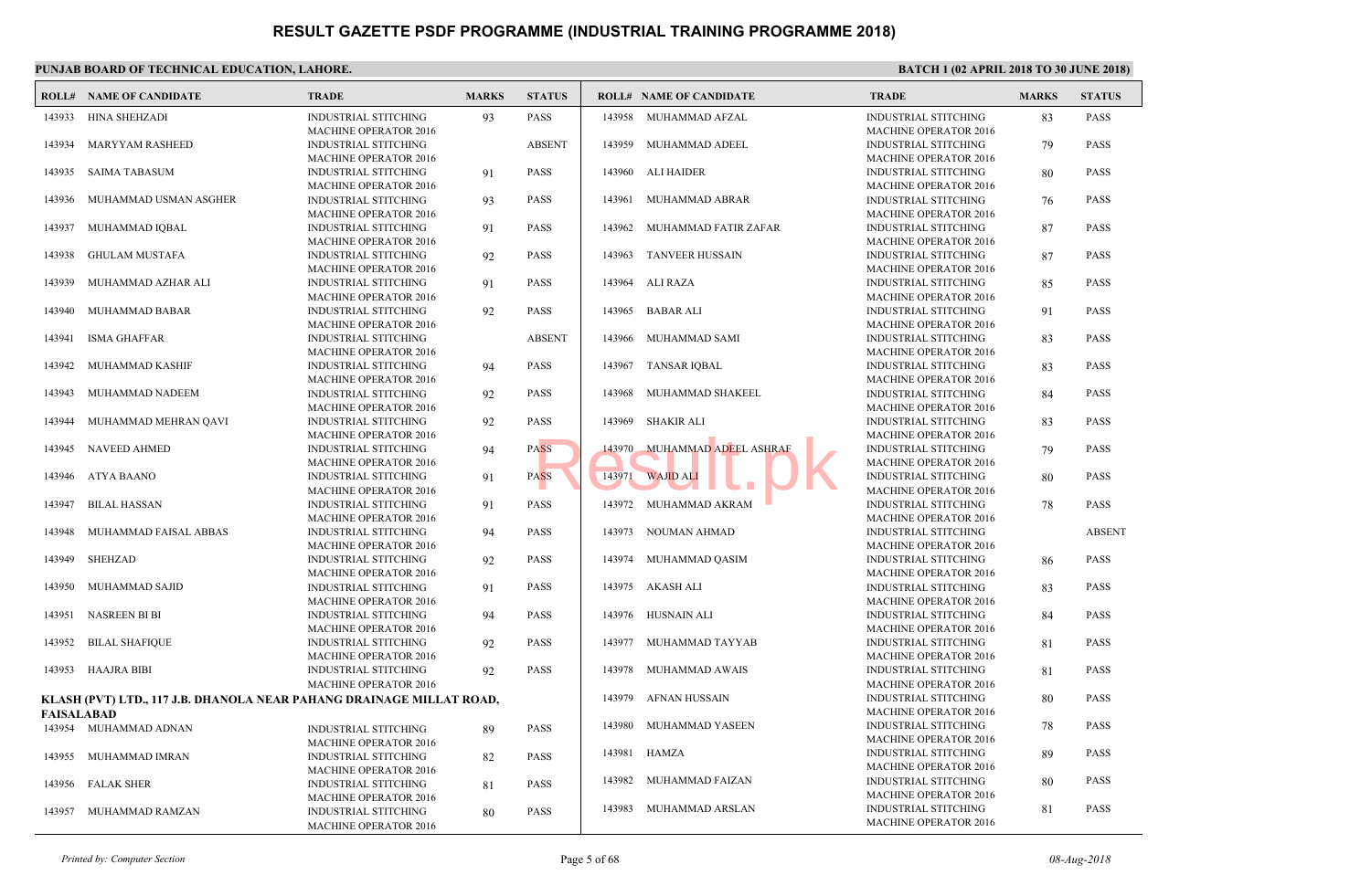|            | PUNJAB BOARD OF TECHNICAL EDUCATION, LAHORE.                         |                                                                                             |              |               |        |                                |                                            |
|------------|----------------------------------------------------------------------|---------------------------------------------------------------------------------------------|--------------|---------------|--------|--------------------------------|--------------------------------------------|
|            | <b>ROLL# NAME OF CANDIDATE</b>                                       | <b>TRADE</b>                                                                                | <b>MARKS</b> | <b>STATUS</b> |        | <b>ROLL# NAME OF CANDIDATE</b> | <b>TRAL</b>                                |
| 143933     | HINA SHEHZADI                                                        | <b>INDUSTRIAL STITCHING</b><br><b>MACHINE OPERATOR 2016</b>                                 | 93           | PASS          |        | 143958 MUHAMMAD AFZAL          | <b>INDUS</b><br><b>MACH</b>                |
| 143934     | <b>MARYYAM RASHEED</b>                                               | <b>INDUSTRIAL STITCHING</b>                                                                 |              | <b>ABSENT</b> | 143959 | MUHAMMAD ADEEL                 | <b>INDUS</b>                               |
| 143935     | SAIMA TABASUM                                                        | <b>MACHINE OPERATOR 2016</b><br>INDUSTRIAL STITCHING                                        | 91           | <b>PASS</b>   | 143960 | ALI HAIDER                     | <b>MACH</b><br><b>INDUS</b>                |
| 143936     | MUHAMMAD USMAN ASGHER                                                | <b>MACHINE OPERATOR 2016</b><br><b>INDUSTRIAL STITCHING</b>                                 | 93           | <b>PASS</b>   | 143961 | MUHAMMAD ABRAR                 | <b>MACH</b><br><b>INDUS</b>                |
| 143937     | MUHAMMAD IQBAL                                                       | <b>MACHINE OPERATOR 2016</b><br><b>INDUSTRIAL STITCHING</b>                                 | 91           | <b>PASS</b>   |        | 143962 MUHAMMAD FATIR ZAFAR    | <b>MACH</b><br><b>INDUS</b>                |
| 143938     | <b>GHULAM MUSTAFA</b>                                                | <b>MACHINE OPERATOR 2016</b><br><b>INDUSTRIAL STITCHING</b>                                 | 92           | PASS          | 143963 | <b>TANVEER HUSSAIN</b>         | <b>MACH</b><br><b>INDUS</b>                |
| 143939     | MUHAMMAD AZHAR ALI                                                   | <b>MACHINE OPERATOR 2016</b><br><b>INDUSTRIAL STITCHING</b>                                 | 91           | <b>PASS</b>   |        | 143964 ALI RAZA                | <b>MACH</b><br><b>INDUS</b>                |
| 143940     | MUHAMMAD BABAR                                                       | <b>MACHINE OPERATOR 2016</b><br><b>INDUSTRIAL STITCHING</b><br><b>MACHINE OPERATOR 2016</b> | 92           | PASS          | 143965 | <b>BABAR ALI</b>               | <b>MACH</b><br><b>INDUS</b><br><b>MACH</b> |
| 143941     | ISMA GHAFFAR                                                         | <b>INDUSTRIAL STITCHING</b><br><b>MACHINE OPERATOR 2016</b>                                 |              | <b>ABSENT</b> | 143966 | MUHAMMAD SAMI                  | <b>INDUS</b><br><b>MACH</b>                |
| 143942     | MUHAMMAD KASHIF                                                      | INDUSTRIAL STITCHING                                                                        | 94           | <b>PASS</b>   | 143967 | TANSAR IQBAL                   | <b>INDUS</b>                               |
| 143943     | MUHAMMAD NADEEM                                                      | <b>MACHINE OPERATOR 2016</b><br><b>INDUSTRIAL STITCHING</b><br><b>MACHINE OPERATOR 2016</b> | 92           | PASS          |        | 143968 MUHAMMAD SHAKEEL        | <b>MACH</b><br><b>INDUS</b><br><b>MACH</b> |
| 143944     | MUHAMMAD MEHRAN QAVI                                                 | <b>INDUSTRIAL STITCHING</b><br><b>MACHINE OPERATOR 2016</b>                                 | 92           | PASS          |        | 143969 SHAKIR ALI              | <b>INDUS</b><br><b>MACH</b>                |
| 143945     | NAVEED AHMED                                                         | <b>INDUSTRIAL STITCHING</b><br><b>MACHINE OPERATOR 2016</b>                                 | 94           | <b>PASS</b>   | 143970 | MUHAMMAD ADEEL ASHRAF          | <b>INDUS</b><br><b>MACH</b>                |
| 143946     | ATYA BAANO                                                           | <b>INDUSTRIAL STITCHING</b><br><b>MACHINE OPERATOR 2016</b>                                 | 91           | <b>PASS</b>   | 143971 | <b>WAJID ALI</b>               | <b>INDUS</b><br><b>MACH</b>                |
| 143947     | <b>BILAL HASSAN</b>                                                  | <b>INDUSTRIAL STITCHING</b><br><b>MACHINE OPERATOR 2016</b>                                 | 91           | <b>PASS</b>   |        | 143972 MUHAMMAD AKRAM          | <b>INDUS</b><br><b>MACH</b>                |
| 143948     | MUHAMMAD FAISAL ABBAS                                                | <b>INDUSTRIAL STITCHING</b><br><b>MACHINE OPERATOR 2016</b>                                 | 94           | PASS          | 143973 | NOUMAN AHMAD                   | <b>INDUS</b><br><b>MACH</b>                |
| 143949     | SHEHZAD                                                              | <b>INDUSTRIAL STITCHING</b><br><b>MACHINE OPERATOR 2016</b>                                 | 92           | <b>PASS</b>   |        | 143974 MUHAMMAD QASIM          | <b>INDUS</b><br><b>MACH</b>                |
| 143950     | MUHAMMAD SAJID                                                       | <b>INDUSTRIAL STITCHING</b><br><b>MACHINE OPERATOR 2016</b>                                 | 91           | <b>PASS</b>   |        | 143975 AKASH ALI               | <b>INDUS</b><br><b>MACH</b>                |
| 143951     | NASREEN BI BI                                                        | <b>INDUSTRIAL STITCHING</b><br><b>MACHINE OPERATOR 2016</b>                                 | 94           | PASS          |        | 143976 HUSNAIN ALI             | <b>INDUS</b><br><b>MACH</b>                |
| 143952     | <b>BILAL SHAFIQUE</b>                                                | <b>INDUSTRIAL STITCHING</b><br><b>MACHINE OPERATOR 2016</b>                                 | 92           | PASS          | 143977 | MUHAMMAD TAYYAB                | <b>INDUS</b><br><b>MACH</b>                |
|            | 143953 HAAJRA BIBI                                                   | <b>INDUSTRIAL STITCHING</b><br><b>MACHINE OPERATOR 2016</b>                                 | 92           | PASS          | 143978 | MUHAMMAD AWAIS                 | <b>INDUS</b><br><b>MACH</b>                |
|            | KLASH (PVT) LTD., 117 J.B. DHANOLA NEAR PAHANG DRAINAGE MILLAT ROAD, |                                                                                             |              |               | 143979 | AFNAN HUSSAIN                  | <b>INDUS</b>                               |
| FAISALABAD |                                                                      |                                                                                             |              |               |        |                                | <b>MACH</b>                                |
|            | 143954 MUHAMMAD ADNAN                                                | <b>INDUSTRIAL STITCHING</b><br><b>MACHINE OPERATOR 2016</b>                                 | 89           | PASS          | 143980 | MUHAMMAD YASEEN                | <b>INDUS</b><br><b>MACH</b>                |
|            | 143955 MUHAMMAD IMRAN                                                | <b>INDUSTRIAL STITCHING</b><br>MACHINE OPERATOR 2016                                        | 82           | <b>PASS</b>   |        | 143981 HAMZA                   | <b>INDUS</b><br><b>MACH</b>                |
|            | 143956 FALAK SHER                                                    | INDUSTRIAL STITCHING<br><b>MACHINE OPERATOR 2016</b>                                        | 81           | PASS          | 143982 | MUHAMMAD FAIZAN                | <b>INDUS</b><br><b>MACH</b>                |
|            | 143957 MUHAMMAD RAMZAN                                               | <b>INDUSTRIAL STITCHING</b><br>MACHINE OPERATOR 2016                                        | 80           | PASS          | 143983 | MUHAMMAD ARSLAN                | <b>INDUS</b><br><b>MACH</b>                |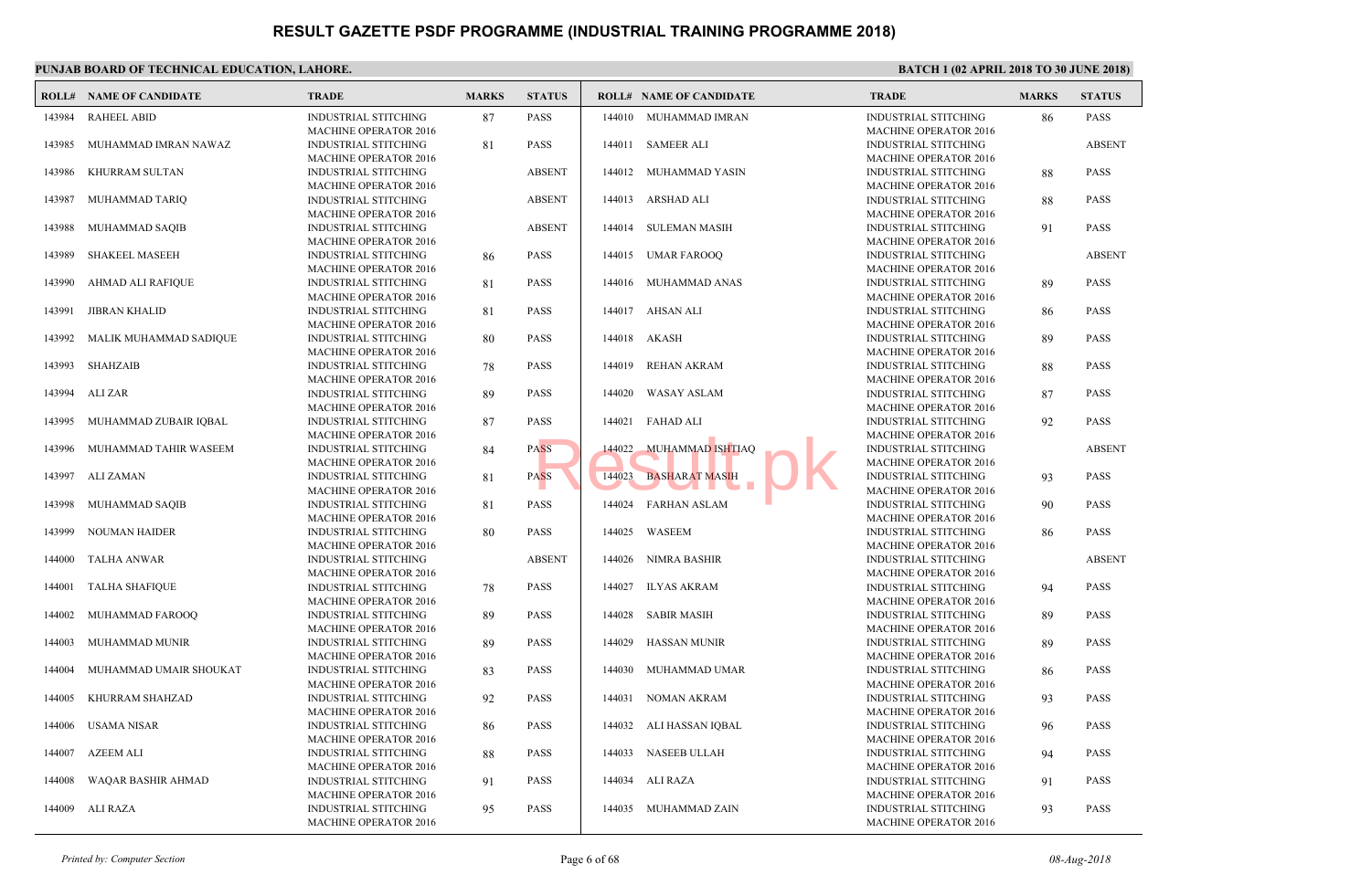|        | PUNJAB BOARD OF TECHNICAL EDUCATION, LAHORE. |                                                                                             |              |               |        |                                |                                            |  |  |  |  |
|--------|----------------------------------------------|---------------------------------------------------------------------------------------------|--------------|---------------|--------|--------------------------------|--------------------------------------------|--|--|--|--|
|        | <b>ROLL# NAME OF CANDIDATE</b>               | <b>TRADE</b>                                                                                | <b>MARKS</b> | <b>STATUS</b> |        | <b>ROLL# NAME OF CANDIDATE</b> | <b>TRAL</b>                                |  |  |  |  |
| 143984 | <b>RAHEEL ABID</b>                           | <b>INDUSTRIAL STITCHING</b><br><b>MACHINE OPERATOR 2016</b>                                 | 87           | <b>PASS</b>   |        | 144010 MUHAMMAD IMRAN          | <b>INDUS</b><br><b>MACH</b>                |  |  |  |  |
| 143985 | MUHAMMAD IMRAN NAWAZ                         | <b>INDUSTRIAL STITCHING</b><br><b>MACHINE OPERATOR 2016</b>                                 | 81           | PASS          |        | 144011 SAMEER ALI              | <b>INDUS</b><br><b>MACH</b>                |  |  |  |  |
| 143986 | KHURRAM SULTAN                               | <b>INDUSTRIAL STITCHING</b><br><b>MACHINE OPERATOR 2016</b>                                 |              | <b>ABSENT</b> | 144012 | MUHAMMAD YASIN                 | <b>INDUS</b><br><b>MACH</b>                |  |  |  |  |
| 143987 | MUHAMMAD TARIQ                               | <b>INDUSTRIAL STITCHING</b><br><b>MACHINE OPERATOR 2016</b>                                 |              | <b>ABSENT</b> |        | 144013 ARSHAD ALI              | <b>INDUS</b><br><b>MACH</b>                |  |  |  |  |
| 143988 | MUHAMMAD SAQIB                               | <b>INDUSTRIAL STITCHING</b><br><b>MACHINE OPERATOR 2016</b>                                 |              | <b>ABSENT</b> |        | 144014 SULEMAN MASIH           | <b>INDUS</b><br><b>MACH</b>                |  |  |  |  |
| 143989 | <b>SHAKEEL MASEEH</b>                        | <b>INDUSTRIAL STITCHING</b>                                                                 | 86           | PASS          |        | 144015 UMAR FAROOQ             | <b>INDUS</b><br><b>MACH</b>                |  |  |  |  |
| 143990 | AHMAD ALI RAFIQUE                            | <b>MACHINE OPERATOR 2016</b><br><b>INDUSTRIAL STITCHING</b><br><b>MACHINE OPERATOR 2016</b> | 81           | PASS          |        | 144016 MUHAMMAD ANAS           | <b>INDUS</b><br><b>MACH</b>                |  |  |  |  |
| 143991 | <b>JIBRAN KHALID</b>                         | <b>INDUSTRIAL STITCHING</b><br><b>MACHINE OPERATOR 2016</b>                                 | 81           | PASS          |        | 144017 AHSAN ALI               | <b>INDUS</b><br><b>MACH</b>                |  |  |  |  |
| 143992 | MALIK MUHAMMAD SADIQUE                       | <b>INDUSTRIAL STITCHING</b><br><b>MACHINE OPERATOR 2016</b>                                 | 80           | PASS          | 144018 | AKASH                          | <b>INDUS</b><br><b>MACH</b>                |  |  |  |  |
| 143993 | SHAHZAIB                                     | <b>INDUSTRIAL STITCHING</b>                                                                 | 78           | PASS          | 144019 | <b>REHAN AKRAM</b>             | <b>INDUS</b>                               |  |  |  |  |
| 143994 | ALI ZAR                                      | <b>MACHINE OPERATOR 2016</b><br>INDUSTRIAL STITCHING                                        | 89           | <b>PASS</b>   | 144020 | <b>WASAY ASLAM</b>             | <b>MACH</b><br><b>INDUS</b><br><b>MACH</b> |  |  |  |  |
| 143995 | MUHAMMAD ZUBAIR IQBAL                        | <b>MACHINE OPERATOR 2016</b><br><b>INDUSTRIAL STITCHING</b>                                 | 87           | PASS          |        | 144021 FAHAD ALI               | <b>INDUS</b>                               |  |  |  |  |
| 143996 | MUHAMMAD TAHIR WASEEM                        | <b>MACHINE OPERATOR 2016</b><br><b>INDUSTRIAL STITCHING</b>                                 | 84           | <b>PASS</b>   | 144022 | <b>MUHAMMAD ISHTIAQ</b>        | <b>MACH</b><br><b>INDUS</b>                |  |  |  |  |
| 143997 | ALI ZAMAN                                    | <b>MACHINE OPERATOR 2016</b><br>INDUSTRIAL STITCHING<br><b>MACHINE OPERATOR 2016</b>        | 81           | <b>PASS</b>   | 144023 | <b>BASHARAT MASIH</b>          | <b>MACH</b><br><b>INDUS</b><br><b>MACH</b> |  |  |  |  |
| 143998 | MUHAMMAD SAQIB                               | <b>INDUSTRIAL STITCHING</b><br><b>MACHINE OPERATOR 2016</b>                                 | 81           | PASS          | 144024 | <b>FARHAN ASLAM</b>            | <b>INDUS</b><br><b>MACH</b>                |  |  |  |  |
| 143999 | <b>NOUMAN HAIDER</b>                         | <b>INDUSTRIAL STITCHING</b><br><b>MACHINE OPERATOR 2016</b>                                 | 80           | PASS          | 144025 | WASEEM                         | <b>INDUS</b><br><b>MACH</b>                |  |  |  |  |
| 144000 | <b>TALHA ANWAR</b>                           | <b>INDUSTRIAL STITCHING</b><br><b>MACHINE OPERATOR 2016</b>                                 |              | <b>ABSENT</b> | 144026 | NIMRA BASHIR                   | <b>INDUS</b><br><b>MACH</b>                |  |  |  |  |
| 144001 | <b>TALHA SHAFIQUE</b>                        | <b>INDUSTRIAL STITCHING</b><br><b>MACHINE OPERATOR 2016</b>                                 | 78           | PASS          | 144027 | <b>ILYAS AKRAM</b>             | <b>INDUS</b><br><b>MACH</b>                |  |  |  |  |
| 144002 | MUHAMMAD FAROOQ                              | <b>INDUSTRIAL STITCHING</b><br><b>MACHINE OPERATOR 2016</b>                                 | 89           | <b>PASS</b>   |        | 144028 SABIR MASIH             | <b>INDUS</b><br><b>MACH</b>                |  |  |  |  |
| 144003 | MUHAMMAD MUNIR                               | <b>INDUSTRIAL STITCHING</b><br><b>MACHINE OPERATOR 2016</b>                                 | 89           | PASS          | 144029 | <b>HASSAN MUNIR</b>            | <b>INDUS</b><br><b>MACH</b>                |  |  |  |  |
| 144004 | MUHAMMAD UMAIR SHOUKAT                       | INDUSTRIAL STITCHING<br><b>MACHINE OPERATOR 2016</b>                                        | 83           | <b>PASS</b>   | 144030 | MUHAMMAD UMAR                  | <b>INDUS</b><br><b>MACH</b>                |  |  |  |  |
| 144005 | KHURRAM SHAHZAD                              | <b>INDUSTRIAL STITCHING</b>                                                                 | 92           | PASS          | 144031 | NOMAN AKRAM                    | <b>INDUS</b>                               |  |  |  |  |
|        | 144006 USAMA NISAR                           | <b>MACHINE OPERATOR 2016</b><br><b>INDUSTRIAL STITCHING</b>                                 | 86           | PASS          |        | 144032 ALI HASSAN IQBAL        | MACH<br><b>INDUS</b>                       |  |  |  |  |
| 144007 | AZEEM ALI                                    | <b>MACHINE OPERATOR 2016</b><br><b>INDUSTRIAL STITCHING</b>                                 | 88           | PASS          | 144033 | <b>NASEEB ULLAH</b>            | <b>MACH</b><br><b>INDUS</b>                |  |  |  |  |
| 144008 | WAQAR BASHIR AHMAD                           | <b>MACHINE OPERATOR 2016</b><br><b>INDUSTRIAL STITCHING</b>                                 | 91           | PASS          |        | 144034 ALI RAZA                | <b>MACH</b><br><b>INDUS</b>                |  |  |  |  |
|        | 144009 ALI RAZA                              | <b>MACHINE OPERATOR 2016</b><br><b>INDUSTRIAL STITCHING</b><br>MACHINE OPERATOR 2016        | 95           | PASS          |        | 144035 MUHAMMAD ZAIN           | <b>MACH</b><br><b>INDUS</b><br><b>MACH</b> |  |  |  |  |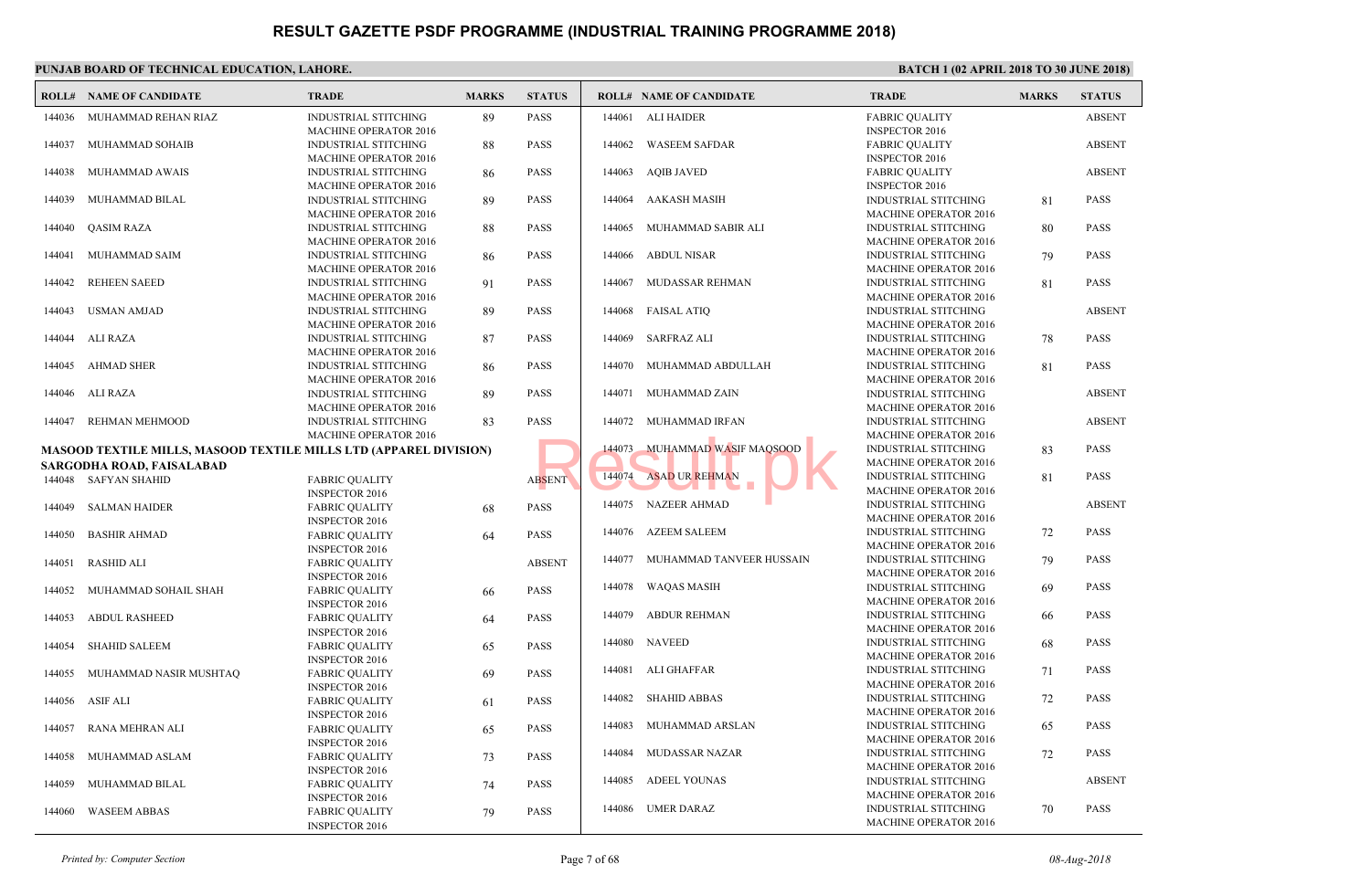|        | PUNJAB BOARD OF TECHNICAL EDUCATION, LAHORE.                             |                                                                         |              |               |        |                                |                             |
|--------|--------------------------------------------------------------------------|-------------------------------------------------------------------------|--------------|---------------|--------|--------------------------------|-----------------------------|
|        | <b>ROLL# NAME OF CANDIDATE</b>                                           | <b>TRADE</b>                                                            | <b>MARKS</b> | <b>STATUS</b> |        | <b>ROLL# NAME OF CANDIDATE</b> | <b>TRAL</b>                 |
| 144036 | MUHAMMAD REHAN RIAZ                                                      | <b>INDUSTRIAL STITCHING</b><br><b>MACHINE OPERATOR 2016</b>             | 89           | PASS          |        | 144061 ALI HAIDER              | FABRI<br><b>INSPE</b>       |
| 144037 | MUHAMMAD SOHAIB                                                          | <b>INDUSTRIAL STITCHING</b><br><b>MACHINE OPERATOR 2016</b>             | 88           | <b>PASS</b>   | 144062 | <b>WASEEM SAFDAR</b>           | FABRI<br><b>INSPE</b>       |
| 144038 | MUHAMMAD AWAIS                                                           | INDUSTRIAL STITCHING<br><b>MACHINE OPERATOR 2016</b>                    | 86           | <b>PASS</b>   | 144063 | <b>AQIB JAVED</b>              | FABRI<br><b>INSPE</b>       |
| 144039 | MUHAMMAD BILAL                                                           | <b>INDUSTRIAL STITCHING</b><br><b>MACHINE OPERATOR 2016</b>             | 89           | <b>PASS</b>   | 144064 | AAKASH MASIH                   | <b>INDUS</b><br><b>MACH</b> |
|        | 144040 QASIM RAZA                                                        | <b>INDUSTRIAL STITCHING</b><br><b>MACHINE OPERATOR 2016</b>             | 88           | <b>PASS</b>   | 144065 | MUHAMMAD SABIR ALI             | <b>INDUS</b><br><b>MACH</b> |
| 144041 | MUHAMMAD SAIM                                                            | <b>INDUSTRIAL STITCHING</b><br><b>MACHINE OPERATOR 2016</b>             | 86           | PASS          |        | 144066 ABDUL NISAR             | <b>INDUS</b><br><b>MACH</b> |
| 144042 | <b>REHEEN SAEED</b>                                                      | <b>INDUSTRIAL STITCHING</b><br><b>MACHINE OPERATOR 2016</b>             | 91           | <b>PASS</b>   | 144067 | MUDASSAR REHMAN                | <b>INDUS</b><br><b>MACH</b> |
| 144043 | <b>USMAN AMJAD</b>                                                       | <b>INDUSTRIAL STITCHING</b><br><b>MACHINE OPERATOR 2016</b>             | 89           | PASS          | 144068 | <b>FAISAL ATIQ</b>             | <b>INDUS</b><br><b>MACH</b> |
| 144044 | ALI RAZA                                                                 | <b>INDUSTRIAL STITCHING</b><br><b>MACHINE OPERATOR 2016</b>             | 87           | PASS          | 144069 | <b>SARFRAZ ALI</b>             | <b>INDUS</b><br><b>MACH</b> |
| 144045 | AHMAD SHER                                                               | INDUSTRIAL STITCHING<br><b>MACHINE OPERATOR 2016</b>                    | 86           | <b>PASS</b>   | 144070 | MUHAMMAD ABDULLAH              | <b>INDUS</b><br><b>MACH</b> |
|        | 144046 ALI RAZA                                                          | <b>INDUSTRIAL STITCHING</b><br><b>MACHINE OPERATOR 2016</b>             | 89           | PASS          |        | 144071 MUHAMMAD ZAIN           | <b>INDUS</b><br><b>MACH</b> |
| 144047 | REHMAN MEHMOOD                                                           | <b>INDUSTRIAL STITCHING</b><br><b>MACHINE OPERATOR 2016</b>             | 83           | PASS          | 144072 | MUHAMMAD IRFAN                 | <b>INDUS</b><br><b>MACH</b> |
|        | <b>MASOOD TEXTILE MILLS, MASOOD TEXTILE MILLS LTD (APPAREL DIVISION)</b> |                                                                         |              |               | 144073 | MUHAMMAD WASIF MAOSOOD         | <b>INDUS</b>                |
|        | SARGODHA ROAD, FAISALABAD                                                |                                                                         |              |               |        |                                | <b>MACH</b>                 |
|        | 144048 SAFYAN SHAHID                                                     | <b>FABRIC QUALITY</b>                                                   |              | <b>ABSENT</b> | 144074 | <b>ASAD UR REHMAN</b>          | <b>INDUS</b>                |
|        |                                                                          | <b>INSPECTOR 2016</b>                                                   |              |               |        |                                | <b>MACH</b>                 |
| 144049 | SALMAN HAIDER                                                            | <b>FABRIC QUALITY</b>                                                   | 68           | PASS          |        | 144075 NAZEER AHMAD            | <b>INDUS</b>                |
|        |                                                                          | <b>INSPECTOR 2016</b>                                                   |              |               | 144076 | <b>AZEEM SALEEM</b>            | <b>MACH</b><br><b>INDUS</b> |
| 144050 | <b>BASHIR AHMAD</b>                                                      | <b>FABRIC QUALITY</b>                                                   | 64           | PASS          |        |                                | <b>MACH</b>                 |
| 144051 | <b>RASHID ALI</b>                                                        | <b>INSPECTOR 2016</b><br><b>FABRIC QUALITY</b><br><b>INSPECTOR 2016</b> |              | <b>ABSENT</b> | 144077 | MUHAMMAD TANVEER HUSSAIN       | <b>INDUS</b><br><b>MACH</b> |
| 144052 | MUHAMMAD SOHAIL SHAH                                                     | <b>FABRIC QUALITY</b><br><b>INSPECTOR 2016</b>                          | 66           | <b>PASS</b>   | 144078 | WAQAS MASIH                    | <b>INDUS</b><br><b>MACH</b> |
| 144053 | <b>ABDUL RASHEED</b>                                                     | <b>FABRIC QUALITY</b><br><b>INSPECTOR 2016</b>                          | 64           | <b>PASS</b>   | 144079 | ABDUR REHMAN                   | <b>INDUS</b><br><b>MACH</b> |
| 144054 | <b>SHAHID SALEEM</b>                                                     | <b>FABRIC QUALITY</b><br><b>INSPECTOR 2016</b>                          | 65           | PASS          |        | 144080 NAVEED                  | <b>INDUS</b><br><b>MACH</b> |
| 144055 | MUHAMMAD NASIR MUSHTAQ                                                   | <b>FABRIC QUALITY</b><br><b>INSPECTOR 2016</b>                          | 69           | <b>PASS</b>   | 144081 | ALI GHAFFAR                    | <b>INDUS</b><br><b>MACH</b> |
|        | 144056 ASIF ALI                                                          | <b>FABRIC QUALITY</b><br><b>INSPECTOR 2016</b>                          | 61           | PASS          | 144082 | <b>SHAHID ABBAS</b>            | <b>INDUS</b><br><b>MACH</b> |
|        | 144057 RANA MEHRAN ALI                                                   | <b>FABRIC QUALITY</b><br><b>INSPECTOR 2016</b>                          | 65           | PASS          | 144083 | MUHAMMAD ARSLAN                | <b>INDUS</b><br><b>MACH</b> |
| 144058 | MUHAMMAD ASLAM                                                           | <b>FABRIC QUALITY</b><br><b>INSPECTOR 2016</b>                          | 73           | PASS          | 144084 | <b>MUDASSAR NAZAR</b>          | <b>INDUS</b><br><b>MACH</b> |
| 144059 | MUHAMMAD BILAL                                                           | <b>FABRIC QUALITY</b><br><b>INSPECTOR 2016</b>                          | 74           | PASS          | 144085 | ADEEL YOUNAS                   | <b>INDUS</b><br><b>MACH</b> |
| 144060 | <b>WASEEM ABBAS</b>                                                      | <b>FABRIC QUALITY</b><br><b>INSPECTOR 2016</b>                          | 79           | PASS          | 144086 | UMER DARAZ                     | <b>INDUS</b><br><b>MACH</b> |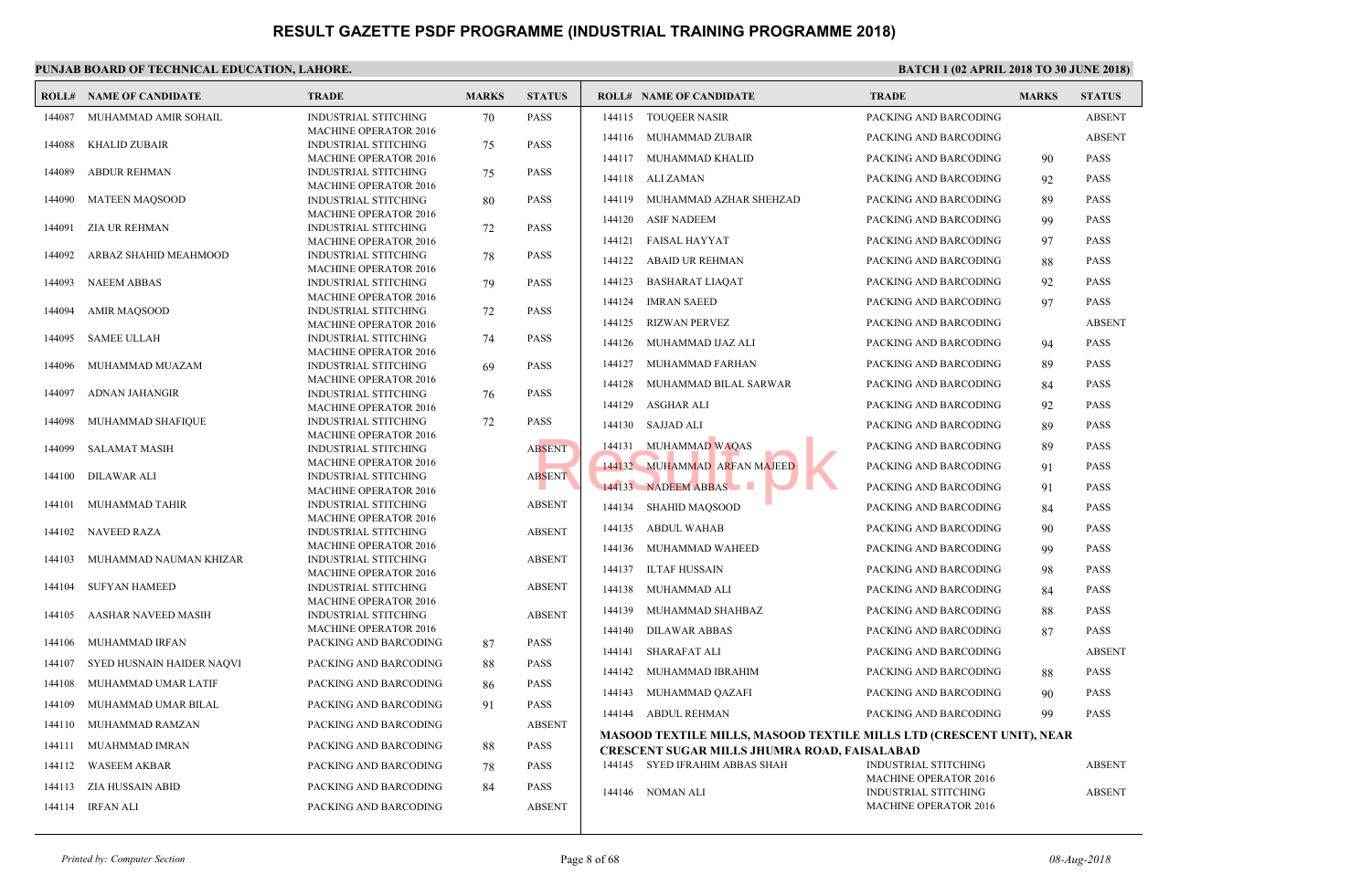|        | <b>ROLL# NAME OF CANDIDATE</b> | <b>TRADE</b>                                         | <b>MARKS</b> | <b>STATUS</b> |        | <b>ROLL# NAME OF CANDIDATE</b>                    | <b>TRAD</b>                 |
|--------|--------------------------------|------------------------------------------------------|--------------|---------------|--------|---------------------------------------------------|-----------------------------|
| 144087 | MUHAMMAD AMIR SOHAIL           | <b>INDUSTRIAL STITCHING</b>                          | 70           | <b>PASS</b>   | 144115 | <b>TOUQEER NASIR</b>                              | <b>PACK</b>                 |
|        |                                | <b>MACHINE OPERATOR 2016</b>                         |              |               | 144116 | MUHAMMAD ZUBAIR                                   | <b>PACKI</b>                |
| 144088 | <b>KHALID ZUBAIR</b>           | INDUSTRIAL STITCHING                                 | 75           | <b>PASS</b>   | 144117 | MUHAMMAD KHALID                                   | <b>PACK</b>                 |
| 144089 | <b>ABDUR REHMAN</b>            | <b>MACHINE OPERATOR 2016</b><br>INDUSTRIAL STITCHING |              | <b>PASS</b>   |        |                                                   |                             |
|        |                                | <b>MACHINE OPERATOR 2016</b>                         | 75           |               | 144118 | ALI ZAMAN                                         | PACK!                       |
| 144090 | <b>MATEEN MAQSOOD</b>          | INDUSTRIAL STITCHING                                 | 80           | <b>PASS</b>   | 144119 | MUHAMMAD AZHAR SHEHZAD                            | <b>PACK</b>                 |
|        |                                | <b>MACHINE OPERATOR 2016</b>                         |              |               |        |                                                   |                             |
| 144091 | <b>ZIA UR REHMAN</b>           | INDUSTRIAL STITCHING                                 | 72           | <b>PASS</b>   | 144120 | <b>ASIF NADEEM</b>                                | <b>PACK</b>                 |
|        |                                | <b>MACHINE OPERATOR 2016</b>                         |              |               | 144121 | FAISAL HAYYAT                                     | <b>PACK</b>                 |
| 144092 | ARBAZ SHAHID MEAHMOOD          | INDUSTRIAL STITCHING                                 | 78           | <b>PASS</b>   | 144122 | <b>ABAID UR REHMAN</b>                            | <b>PACK</b>                 |
|        |                                | <b>MACHINE OPERATOR 2016</b>                         |              |               |        |                                                   |                             |
| 144093 | <b>NAEEM ABBAS</b>             | INDUSTRIAL STITCHING                                 | 79           | <b>PASS</b>   | 144123 | <b>BASHARAT LIAQAT</b>                            | PACK!                       |
|        |                                | <b>MACHINE OPERATOR 2016</b>                         |              |               | 144124 | <b>IMRAN SAEED</b>                                | <b>PACK</b>                 |
| 144094 | <b>AMIR MAOSOOD</b>            | <b>INDUSTRIAL STITCHING</b>                          | 72           | <b>PASS</b>   | 144125 | <b>RIZWAN PERVEZ</b>                              | <b>PACK</b>                 |
| 144095 | <b>SAMEE ULLAH</b>             | MACHINE OPERATOR 2016<br><b>INDUSTRIAL STITCHING</b> | 74           | <b>PASS</b>   |        |                                                   |                             |
|        |                                | <b>MACHINE OPERATOR 2016</b>                         |              |               | 144126 | MUHAMMAD IJAZ ALI                                 | <b>PACKI</b>                |
| 144096 | MUHAMMAD MUAZAM                | INDUSTRIAL STITCHING                                 | 69           | <b>PASS</b>   | 144127 | MUHAMMAD FARHAN                                   | <b>PACKI</b>                |
|        |                                | MACHINE OPERATOR 2016                                |              |               | 144128 | MUHAMMAD BILAL SARWAR                             | <b>PACKI</b>                |
| 144097 | <b>ADNAN JAHANGIR</b>          | <b>INDUSTRIAL STITCHING</b>                          | 76           | <b>PASS</b>   |        |                                                   |                             |
|        |                                | <b>MACHINE OPERATOR 2016</b>                         |              |               | 144129 | ASGHAR ALI                                        | <b>PACK</b>                 |
| 144098 | MUHAMMAD SHAFIQUE              | INDUSTRIAL STITCHING                                 | 72           | <b>PASS</b>   | 144130 | SAJJAD ALI                                        | <b>PACKI</b>                |
|        |                                | <b>MACHINE OPERATOR 2016</b>                         |              |               | 144131 | <b>MUHAMMAD WAQAS</b>                             | <b>PACKI</b>                |
| 144099 | <b>SALAMAT MASIH</b>           | INDUSTRIAL STITCHING                                 |              | <b>ABSENT</b> |        |                                                   |                             |
| 144100 | <b>DILAWAR ALI</b>             | <b>MACHINE OPERATOR 2016</b><br>INDUSTRIAL STITCHING |              | <b>ABSENT</b> |        | 144132 MUHAMMAD ARFAN MAJEED                      | <b>PACKI</b>                |
|        |                                | <b>MACHINE OPERATOR 2016</b>                         |              |               |        | 144133 NADEEM ABBAS                               | <b>PACK</b>                 |
| 144101 | MUHAMMAD TAHIR                 | INDUSTRIAL STITCHING                                 |              | <b>ABSENT</b> |        |                                                   |                             |
|        |                                | <b>MACHINE OPERATOR 2016</b>                         |              |               | 144134 | <b>SHAHID MAQSOOD</b>                             | <b>PACK</b>                 |
| 144102 | <b>NAVEED RAZA</b>             | INDUSTRIAL STITCHING                                 |              | <b>ABSENT</b> | 144135 | <b>ABDUL WAHAB</b>                                | <b>PACKI</b>                |
|        |                                | <b>MACHINE OPERATOR 2016</b>                         |              |               | 144136 | MUHAMMAD WAHEED                                   | <b>PACK</b>                 |
| 144103 | MUHAMMAD NAUMAN KHIZAR         | INDUSTRIAL STITCHING                                 |              | <b>ABSENT</b> |        |                                                   |                             |
|        |                                | <b>MACHINE OPERATOR 2016</b>                         |              |               | 144137 | ILTAF HUSSAIN                                     | <b>PACK</b>                 |
| 144104 | <b>SUFYAN HAMEED</b>           | INDUSTRIAL STITCHING                                 |              | <b>ABSENT</b> | 144138 | MUHAMMAD ALI                                      | <b>PACK</b>                 |
|        |                                | <b>MACHINE OPERATOR 2016</b>                         |              | <b>ABSENT</b> | 144139 | MUHAMMAD SHAHBAZ                                  | <b>PACK</b>                 |
| 144105 | AASHAR NAVEED MASIH            | INDUSTRIAL STITCHING<br><b>MACHINE OPERATOR 2016</b> |              |               |        |                                                   |                             |
| 144106 | MUHAMMAD IRFAN                 | PACKING AND BARCODING                                | 87           | <b>PASS</b>   | 144140 | <b>DILAWAR ABBAS</b>                              | <b>PACK</b>                 |
|        |                                |                                                      |              |               | 144141 | SHARAFAT ALI                                      | <b>PACKI</b>                |
| 144107 | SYED HUSNAIN HAIDER NAQVI      | PACKING AND BARCODING                                | 88           | <b>PASS</b>   | 144142 | MUHAMMAD IBRAHIM                                  | <b>PACKI</b>                |
| 144108 | MUHAMMAD UMAR LATIF            | PACKING AND BARCODING                                | 86           | <b>PASS</b>   | 144143 | MUHAMMAD QAZAFI                                   | <b>PACKI</b>                |
| 144109 | MUHAMMAD UMAR BILAL            | PACKING AND BARCODING                                | 91           | <b>PASS</b>   |        |                                                   |                             |
| 144110 | MUHAMMAD RAMZAN                | PACKING AND BARCODING                                |              | <b>ABSENT</b> |        | 144144 ABDUL REHMAN                               | <b>PACK</b>                 |
|        |                                |                                                      |              |               |        | <b>MASOOD TEXTILE MILLS, MASOOD TEXTILE MILLS</b> |                             |
| 144111 | MUAHMMAD IMRAN                 | PACKING AND BARCODING                                | 88           | <b>PASS</b>   |        | CRESCENT SUGAR MILLS JHUMRA ROAD, FAISALA         |                             |
| 144112 | <b>WASEEM AKBAR</b>            | PACKING AND BARCODING                                | 78           | <b>PASS</b>   |        | 144145 SYED IFRAHIM ABBAS SHAH                    | <b>INDUS</b><br><b>MACH</b> |
| 144113 | ZIA HUSSAIN ABID               | PACKING AND BARCODING                                | 84           | <b>PASS</b>   |        | 144146 NOMAN ALI                                  | <b>INDU</b>                 |
|        | 144114 IRFAN ALI               | PACKING AND BARCODING                                |              | <b>ABSENT</b> |        |                                                   | <b>MACH</b>                 |
|        |                                |                                                      |              |               |        |                                                   |                             |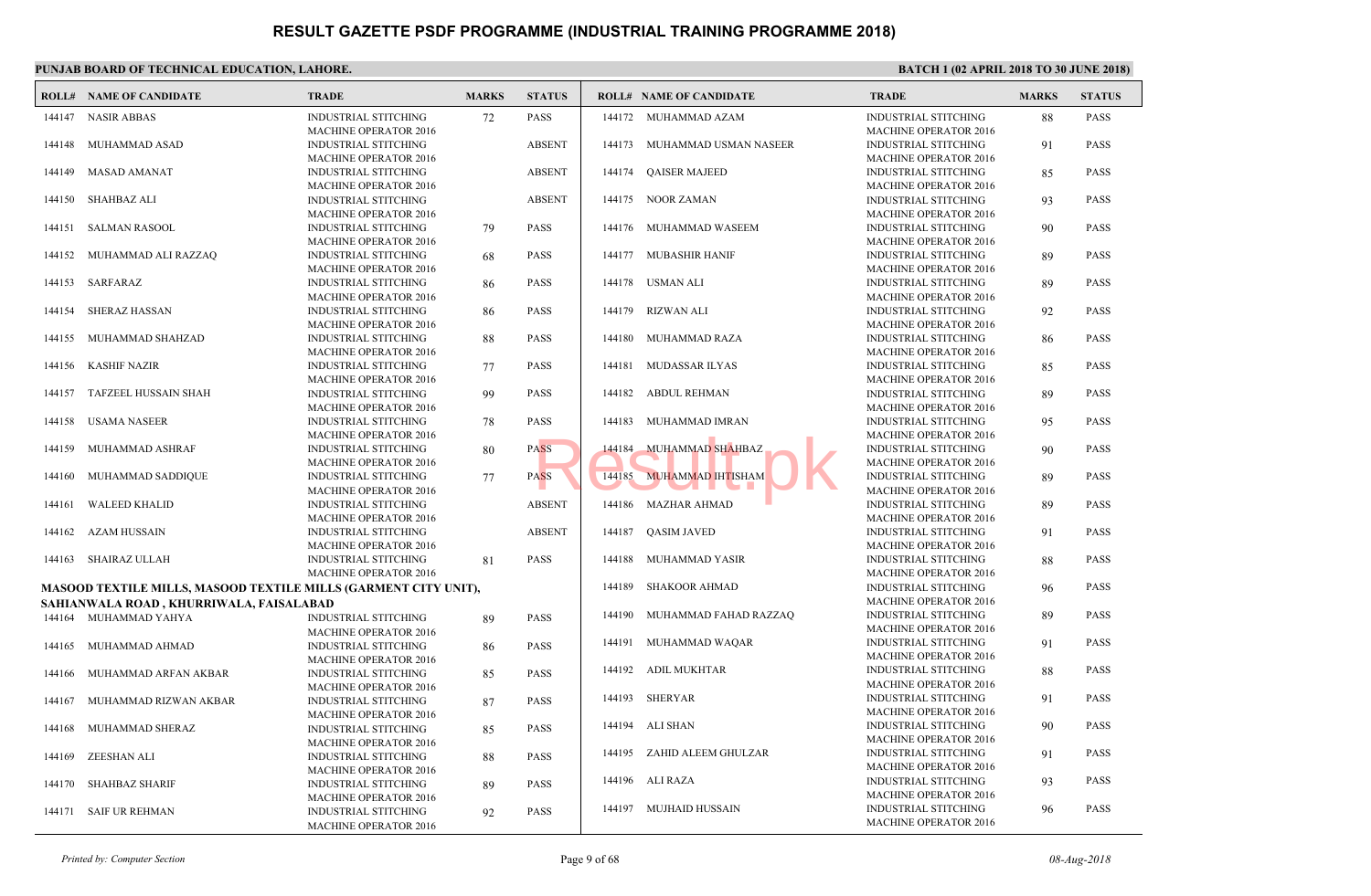|        | <b>ROLL# NAME OF CANDIDATE</b>                                         | <b>TRADE</b>                                                                                | <b>MARKS</b> | <b>STATUS</b> |        | <b>ROLL# NAME OF CANDIDATE</b> | <b>TRAL</b>                                |
|--------|------------------------------------------------------------------------|---------------------------------------------------------------------------------------------|--------------|---------------|--------|--------------------------------|--------------------------------------------|
| 144147 | <b>NASIR ABBAS</b>                                                     | INDUSTRIAL STITCHING<br><b>MACHINE OPERATOR 2016</b>                                        | 72           | <b>PASS</b>   |        | 144172 MUHAMMAD AZAM           | <b>INDUS</b><br><b>MACH</b>                |
| 144148 | MUHAMMAD ASAD                                                          | <b>INDUSTRIAL STITCHING</b><br><b>MACHINE OPERATOR 2016</b>                                 |              | <b>ABSENT</b> | 144173 | MUHAMMAD USMAN NASEER          | <b>INDUS</b><br><b>MACH</b>                |
| 144149 | MASAD AMANAT                                                           | <b>INDUSTRIAL STITCHING</b><br><b>MACHINE OPERATOR 2016</b>                                 |              | <b>ABSENT</b> | 144174 | <b>QAISER MAJEED</b>           | <b>INDUS</b><br><b>MACH</b>                |
| 144150 | <b>SHAHBAZ ALI</b>                                                     | <b>INDUSTRIAL STITCHING</b><br><b>MACHINE OPERATOR 2016</b>                                 |              | <b>ABSENT</b> |        | 144175 NOOR ZAMAN              | <b>INDUS</b><br><b>MACH</b>                |
| 144151 | SALMAN RASOOL                                                          | <b>INDUSTRIAL STITCHING</b>                                                                 | 79           | <b>PASS</b>   | 144176 | MUHAMMAD WASEEM                | <b>INDUS</b>                               |
|        | 144152 MUHAMMAD ALI RAZZAQ                                             | <b>MACHINE OPERATOR 2016</b><br><b>INDUSTRIAL STITCHING</b><br><b>MACHINE OPERATOR 2016</b> | 68           | <b>PASS</b>   | 144177 | MUBASHIR HANIF                 | <b>MACH</b><br><b>INDUS</b><br><b>MACH</b> |
|        | 144153 SARFARAZ                                                        | <b>INDUSTRIAL STITCHING</b>                                                                 | 86           | <b>PASS</b>   |        | 144178 USMAN ALI               | <b>INDUS</b>                               |
| 144154 | <b>SHERAZ HASSAN</b>                                                   | <b>MACHINE OPERATOR 2016</b><br><b>INDUSTRIAL STITCHING</b>                                 | 86           | <b>PASS</b>   |        | 144179 RIZWAN ALI              | <b>MACH</b><br><b>INDUS</b>                |
| 144155 | MUHAMMAD SHAHZAD                                                       | MACHINE OPERATOR 2016<br><b>INDUSTRIAL STITCHING</b>                                        | 88           | <b>PASS</b>   | 144180 | MUHAMMAD RAZA                  | <b>MACH</b><br><b>INDUS</b>                |
| 144156 | <b>KASHIF NAZIR</b>                                                    | MACHINE OPERATOR 2016<br><b>INDUSTRIAL STITCHING</b>                                        | 77           | <b>PASS</b>   | 144181 | MUDASSAR ILYAS                 | <b>MACH</b><br><b>INDUS</b>                |
| 144157 | TAFZEEL HUSSAIN SHAH                                                   | <b>MACHINE OPERATOR 2016</b><br><b>INDUSTRIAL STITCHING</b>                                 | 99           | <b>PASS</b>   | 144182 | <b>ABDUL REHMAN</b>            | <b>MACH</b><br><b>INDUS</b>                |
| 144158 | USAMA NASEER                                                           | <b>MACHINE OPERATOR 2016</b><br><b>INDUSTRIAL STITCHING</b>                                 | 78           | <b>PASS</b>   | 144183 | MUHAMMAD IMRAN                 | <b>MACH</b><br><b>INDUS</b>                |
| 144159 | MUHAMMAD ASHRAF                                                        | <b>MACHINE OPERATOR 2016</b><br><b>INDUSTRIAL STITCHING</b>                                 | 80           | <b>PASS</b>   | 144184 | <b>MUHAMMAD SHAHBAZ</b>        | <b>MACH</b><br><b>INDUS</b>                |
| 144160 | MUHAMMAD SADDIQUE                                                      | <b>MACHINE OPERATOR 2016</b><br><b>INDUSTRIAL STITCHING</b>                                 | 77           | <b>PASS</b>   | 144185 | <b>MUHAMMAD IHTISHAM</b>       | <b>MACH</b><br><b>INDUS</b>                |
| 144161 | <b>WALEED KHALID</b>                                                   | <b>MACHINE OPERATOR 2016</b><br><b>INDUSTRIAL STITCHING</b>                                 |              | <b>ABSENT</b> |        | 144186 MAZHAR AHMAD            | <b>MACH</b><br><b>INDUS</b>                |
| 144162 | AZAM HUSSAIN                                                           | <b>MACHINE OPERATOR 2016</b><br><b>INDUSTRIAL STITCHING</b><br><b>MACHINE OPERATOR 2016</b> |              | <b>ABSENT</b> | 144187 | <b>OASIM JAVED</b>             | <b>MACH</b><br><b>INDUS</b><br><b>MACH</b> |
| 144163 | <b>SHAIRAZ ULLAH</b>                                                   | <b>INDUSTRIAL STITCHING</b>                                                                 | 81           | <b>PASS</b>   | 144188 | MUHAMMAD YASIR                 | <b>INDUS</b>                               |
|        | <b>MASOOD TEXTILE MILLS, MASOOD TEXTILE MILLS (GARMENT CITY UNIT),</b> | <b>MACHINE OPERATOR 2016</b>                                                                |              |               | 144189 | <b>SHAKOOR AHMAD</b>           | <b>MACH</b><br><b>INDUS</b>                |
|        | SAHIANWALA ROAD, KHURRIWALA, FAISALABAD                                |                                                                                             |              |               |        |                                | <b>MACH</b>                                |
|        | 144164 MUHAMMAD YAHYA                                                  | <b>INDUSTRIAL STITCHING</b><br><b>MACHINE OPERATOR 2016</b>                                 | 89           | <b>PASS</b>   |        | 144190 MUHAMMAD FAHAD RAZZAQ   | <b>INDUS</b><br><b>MACH</b>                |
| 144165 | MUHAMMAD AHMAD                                                         | INDUSTRIAL STITCHING<br><b>MACHINE OPERATOR 2016</b>                                        | 86           | <b>PASS</b>   | 144191 | MUHAMMAD WAQAR                 | <b>INDUS</b><br><b>MACH</b>                |
| 144166 | MUHAMMAD ARFAN AKBAR                                                   | INDUSTRIAL STITCHING<br><b>MACHINE OPERATOR 2016</b>                                        | 85           | <b>PASS</b>   | 144192 | ADIL MUKHTAR                   | <b>INDUS</b><br><b>MACH</b>                |
| 144167 | MUHAMMAD RIZWAN AKBAR                                                  | INDUSTRIAL STITCHING<br>MACHINE OPERATOR 2016                                               | 87           | <b>PASS</b>   |        | 144193 SHERYAR                 | <b>INDUS</b><br><b>MACH</b>                |
| 144168 | MUHAMMAD SHERAZ                                                        | INDUSTRIAL STITCHING<br><b>MACHINE OPERATOR 2016</b>                                        | 85           | <b>PASS</b>   |        | 144194 ALI SHAN                | <b>INDUS</b><br><b>MACH</b>                |
| 144169 | <b>ZEESHAN ALI</b>                                                     | INDUSTRIAL STITCHING<br><b>MACHINE OPERATOR 2016</b>                                        | 88           | <b>PASS</b>   |        | 144195 ZAHID ALEEM GHULZAR     | <b>INDUS</b><br><b>MACH</b>                |
| 144170 | <b>SHAHBAZ SHARIF</b>                                                  | <b>INDUSTRIAL STITCHING</b><br><b>MACHINE OPERATOR 2016</b>                                 | 89           | <b>PASS</b>   |        | 144196 ALI RAZA                | <b>INDUS</b><br><b>MACH</b>                |
|        | 144171 SAIF UR REHMAN                                                  | INDUSTRIAL STITCHING<br><b>MACHINE OPERATOR 2016</b>                                        | 92           | <b>PASS</b>   |        | 144197 MUJHAID HUSSAIN         | <b>INDUS</b><br><b>MACH</b>                |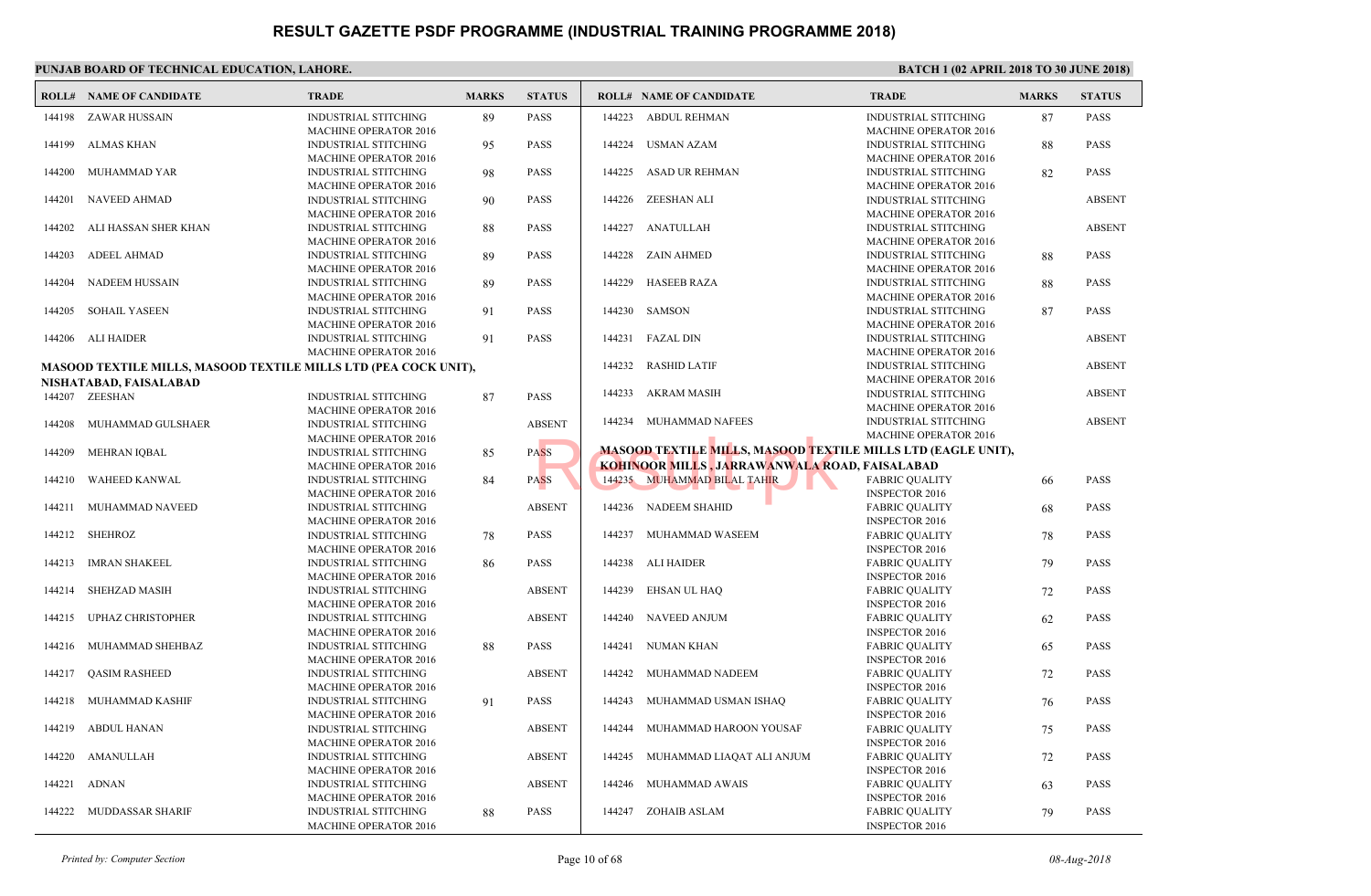|        | PUNJAB BOARD OF TECHNICAL EDUCATION, LAHORE.                           |                                                                                             |              |               |        |                                                  |                              |  |  |  |  |  |
|--------|------------------------------------------------------------------------|---------------------------------------------------------------------------------------------|--------------|---------------|--------|--------------------------------------------------|------------------------------|--|--|--|--|--|
|        | <b>ROLL# NAME OF CANDIDATE</b>                                         | <b>TRADE</b>                                                                                | <b>MARKS</b> | <b>STATUS</b> |        | <b>ROLL# NAME OF CANDIDATE</b>                   | <b>TRAL</b>                  |  |  |  |  |  |
|        | 144198 ZAWAR HUSSAIN                                                   | <b>INDUSTRIAL STITCHING</b><br><b>MACHINE OPERATOR 2016</b>                                 | 89           | PASS          | 144223 | ABDUL REHMAN                                     | <b>INDUS</b><br><b>MACH</b>  |  |  |  |  |  |
| 144199 | ALMAS KHAN                                                             | <b>INDUSTRIAL STITCHING</b><br><b>MACHINE OPERATOR 2016</b>                                 | 95           | PASS          | 144224 | <b>USMAN AZAM</b>                                | <b>INDUS</b><br><b>MACH</b>  |  |  |  |  |  |
| 144200 | MUHAMMAD YAR                                                           | <b>INDUSTRIAL STITCHING</b><br><b>MACHINE OPERATOR 2016</b>                                 | 98           | <b>PASS</b>   | 144225 | ASAD UR REHMAN                                   | <b>INDUS</b><br><b>MACH</b>  |  |  |  |  |  |
| 144201 | NAVEED AHMAD                                                           | <b>INDUSTRIAL STITCHING</b><br><b>MACHINE OPERATOR 2016</b>                                 | 90           | <b>PASS</b>   |        | 144226 ZEESHAN ALI                               | <b>INDUS</b><br><b>MACH</b>  |  |  |  |  |  |
| 144202 | ALI HASSAN SHER KHAN                                                   | <b>INDUSTRIAL STITCHING</b><br><b>MACHINE OPERATOR 2016</b>                                 | 88           | <b>PASS</b>   |        | 144227 ANATULLAH                                 | <b>INDUS</b><br><b>MACH</b>  |  |  |  |  |  |
| 144203 | <b>ADEEL AHMAD</b>                                                     | <b>INDUSTRIAL STITCHING</b><br><b>MACHINE OPERATOR 2016</b>                                 | 89           | PASS          |        | 144228 ZAIN AHMED                                | <b>INDUS</b><br><b>MACH</b>  |  |  |  |  |  |
| 144204 | <b>NADEEM HUSSAIN</b>                                                  | <b>INDUSTRIAL STITCHING</b><br><b>MACHINE OPERATOR 2016</b>                                 | 89           | <b>PASS</b>   | 144229 | <b>HASEEB RAZA</b>                               | <b>INDUS</b><br><b>MACH</b>  |  |  |  |  |  |
| 144205 | <b>SOHAIL YASEEN</b>                                                   | <b>INDUSTRIAL STITCHING</b><br><b>MACHINE OPERATOR 2016</b>                                 | 91           | <b>PASS</b>   |        | 144230 SAMSON                                    | <b>INDUS</b><br><b>MACH</b>  |  |  |  |  |  |
|        | 144206 ALI HAIDER                                                      | <b>INDUSTRIAL STITCHING</b><br><b>MACHINE OPERATOR 2016</b>                                 | 91           | PASS          | 144231 | FAZAL DIN                                        | <b>INDUS</b><br><b>MACH</b>  |  |  |  |  |  |
|        | <b>MASOOD TEXTILE MILLS, MASOOD TEXTILE MILLS LTD (PEA COCK UNIT),</b> |                                                                                             |              |               | 144232 | <b>RASHID LATIF</b>                              | <b>INDUS</b><br><b>MACH</b>  |  |  |  |  |  |
|        | NISHATABAD, FAISALABAD                                                 |                                                                                             |              |               | 144233 | AKRAM MASIH                                      | <b>INDUS</b>                 |  |  |  |  |  |
|        | 144207 ZEESHAN                                                         | <b>INDUSTRIAL STITCHING</b>                                                                 | 87           | <b>PASS</b>   |        |                                                  | <b>MACH</b>                  |  |  |  |  |  |
| 144208 | MUHAMMAD GULSHAER                                                      | <b>MACHINE OPERATOR 2016</b><br><b>INDUSTRIAL STITCHING</b><br><b>MACHINE OPERATOR 2016</b> |              | <b>ABSENT</b> |        | 144234 MUHAMMAD NAFEES                           | <b>INDUS</b><br><b>MACH</b>  |  |  |  |  |  |
| 144209 | MEHRAN IQBAL                                                           | <b>INDUSTRIAL STITCHING</b>                                                                 | 85           | <b>PASS</b>   |        | <b>MASOOD TEXTILE MILLS, MASOOD TEXTILE MILL</b> |                              |  |  |  |  |  |
|        |                                                                        | <b>MACHINE OPERATOR 2016</b>                                                                |              |               |        | KOHINOOR MILLS , JARRAWANWALA ROAD, FAISA        |                              |  |  |  |  |  |
| 144210 | WAHEED KANWAL                                                          | <b>INDUSTRIAL STITCHING</b><br><b>MACHINE OPERATOR 2016</b>                                 | 84           | <b>PASS</b>   |        | 144235 MUHAMMAD BILAL TAHIR                      | FABRI<br><b>INSPE</b>        |  |  |  |  |  |
| 144211 | MUHAMMAD NAVEED                                                        | <b>INDUSTRIAL STITCHING</b><br><b>MACHINE OPERATOR 2016</b>                                 |              | <b>ABSENT</b> |        | 144236 NADEEM SHAHID                             | <b>FABRI</b><br><b>INSPE</b> |  |  |  |  |  |
|        | 144212 SHEHROZ                                                         | <b>INDUSTRIAL STITCHING</b><br><b>MACHINE OPERATOR 2016</b>                                 | 78           | <b>PASS</b>   | 144237 | MUHAMMAD WASEEM                                  | <b>FABRI</b><br><b>INSPE</b> |  |  |  |  |  |
| 144213 | IMRAN SHAKEEL                                                          | <b>INDUSTRIAL STITCHING</b><br><b>MACHINE OPERATOR 2016</b>                                 | 86           | PASS          |        | 144238 ALI HAIDER                                | FABRI<br><b>INSPE</b>        |  |  |  |  |  |
| 144214 | SHEHZAD MASIH                                                          | <b>INDUSTRIAL STITCHING</b><br><b>MACHINE OPERATOR 2016</b>                                 |              | <b>ABSENT</b> | 144239 | EHSAN UL HAQ                                     | FABRI<br><b>INSPE</b>        |  |  |  |  |  |
| 144215 | <b>UPHAZ CHRISTOPHER</b>                                               | <b>INDUSTRIAL STITCHING</b><br><b>MACHINE OPERATOR 2016</b>                                 |              | <b>ABSENT</b> | 144240 | NAVEED ANJUM                                     | FABRI<br><b>INSPE</b>        |  |  |  |  |  |
| 144216 | MUHAMMAD SHEHBAZ                                                       | <b>INDUSTRIAL STITCHING</b><br><b>MACHINE OPERATOR 2016</b>                                 | 88           | PASS          | 144241 | NUMAN KHAN                                       | FABRI<br><b>INSPE</b>        |  |  |  |  |  |
| 144217 | <b>QASIM RASHEED</b>                                                   | <b>INDUSTRIAL STITCHING</b><br><b>MACHINE OPERATOR 2016</b>                                 |              | <b>ABSENT</b> | 144242 | MUHAMMAD NADEEM                                  | FABRI<br><b>INSPE</b>        |  |  |  |  |  |
|        | 144218 MUHAMMAD KASHIF                                                 | <b>INDUSTRIAL STITCHING</b><br><b>MACHINE OPERATOR 2016</b>                                 | 91           | PASS          |        | 144243 MUHAMMAD USMAN ISHAQ                      | FABRI<br><b>INSPE</b>        |  |  |  |  |  |
|        | 144219 ABDUL HANAN                                                     | <b>INDUSTRIAL STITCHING</b><br><b>MACHINE OPERATOR 2016</b>                                 |              | <b>ABSENT</b> |        | 144244 MUHAMMAD HAROON YOUSAF                    | FABRI<br><b>INSPE</b>        |  |  |  |  |  |
| 144220 | AMANULLAH                                                              | <b>INDUSTRIAL STITCHING</b><br><b>MACHINE OPERATOR 2016</b>                                 |              | <b>ABSENT</b> | 144245 | MUHAMMAD LIAQAT ALI ANJUM                        | FABRI<br><b>INSPE</b>        |  |  |  |  |  |
| 144221 | ADNAN                                                                  | <b>INDUSTRIAL STITCHING</b>                                                                 |              | <b>ABSENT</b> |        | 144246 MUHAMMAD AWAIS                            | FABRI<br><b>INSPE</b>        |  |  |  |  |  |
| 144222 | MUDDASSAR SHARIF                                                       | <b>MACHINE OPERATOR 2016</b><br><b>INDUSTRIAL STITCHING</b><br><b>MACHINE OPERATOR 2016</b> | 88           | PASS          | 144247 | ZOHAIB ASLAM                                     | FABRI<br><b>INSPE</b>        |  |  |  |  |  |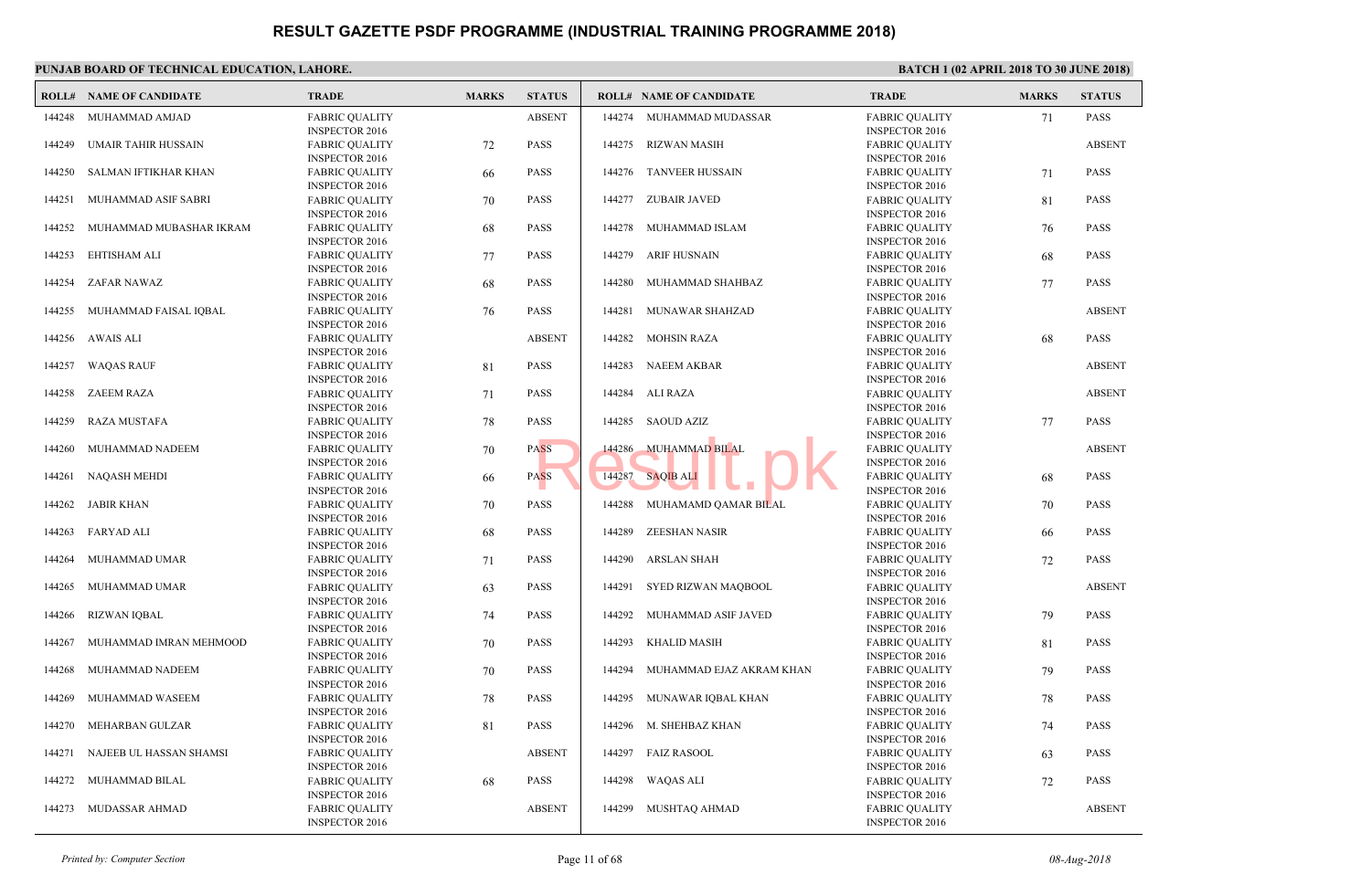|        | PUNJAB BOARD OF TECHNICAL EDUCATION, LAHORE. |                                                                         |              |               |        |                                |                                       |
|--------|----------------------------------------------|-------------------------------------------------------------------------|--------------|---------------|--------|--------------------------------|---------------------------------------|
|        | <b>ROLL# NAME OF CANDIDATE</b>               | <b>TRADE</b>                                                            | <b>MARKS</b> | <b>STATUS</b> |        | <b>ROLL# NAME OF CANDIDATE</b> | <b>TRAL</b>                           |
| 144248 | MUHAMMAD AMJAD                               | <b>FABRIC OUALITY</b><br><b>INSPECTOR 2016</b>                          |              | <b>ABSENT</b> | 144274 | MUHAMMAD MUDASSAR              | FABRI<br><b>INSPE</b>                 |
| 144249 | <b>UMAIR TAHIR HUSSAIN</b>                   | <b>FABRIC QUALITY</b><br><b>INSPECTOR 2016</b>                          | 72           | <b>PASS</b>   | 144275 | <b>RIZWAN MASIH</b>            | FABRI<br><b>INSPE</b>                 |
| 144250 | SALMAN IFTIKHAR KHAN                         | <b>FABRIC QUALITY</b><br><b>INSPECTOR 2016</b>                          | -66          | <b>PASS</b>   | 144276 | <b>TANVEER HUSSAIN</b>         | FABRI<br><b>INSPE</b>                 |
| 144251 | MUHAMMAD ASIF SABRI                          | <b>FABRIC QUALITY</b><br><b>INSPECTOR 2016</b>                          | 70           | <b>PASS</b>   | 144277 | <b>ZUBAIR JAVED</b>            | FABRI<br><b>INSPE</b>                 |
| 144252 | MUHAMMAD MUBASHAR IKRAM                      | <b>FABRIC OUALITY</b><br><b>INSPECTOR 2016</b>                          | 68           | <b>PASS</b>   | 144278 | MUHAMMAD ISLAM                 | FABRI<br><b>INSPE</b>                 |
| 144253 | EHTISHAM ALI                                 | <b>FABRIC QUALITY</b><br><b>INSPECTOR 2016</b>                          | 77           | <b>PASS</b>   | 144279 | <b>ARIF HUSNAIN</b>            | FABRI<br><b>INSPE</b>                 |
| 144254 | ZAFAR NAWAZ                                  | <b>FABRIC QUALITY</b><br><b>INSPECTOR 2016</b>                          | 68           | <b>PASS</b>   | 144280 | MUHAMMAD SHAHBAZ               | <b>FABRI</b><br><b>INSPE</b>          |
| 144255 | MUHAMMAD FAISAL IQBAL                        | <b>FABRIC QUALITY</b><br><b>INSPECTOR 2016</b>                          | 76           | <b>PASS</b>   | 144281 | MUNAWAR SHAHZAD                | FABRI<br><b>INSPE</b>                 |
| 144256 | <b>AWAIS ALI</b>                             | <b>FABRIC QUALITY</b><br><b>INSPECTOR 2016</b>                          |              | <b>ABSENT</b> | 144282 | <b>MOHSIN RAZA</b>             | <b>FABRI</b><br><b>INSPE</b>          |
| 144257 | <b>WAQAS RAUF</b>                            | <b>FABRIC QUALITY</b><br><b>INSPECTOR 2016</b>                          | 81           | <b>PASS</b>   | 144283 | <b>NAEEM AKBAR</b>             | <b>FABRI</b><br><b>INSPE</b>          |
| 144258 | <b>ZAEEM RAZA</b>                            | <b>FABRIC QUALITY</b><br><b>INSPECTOR 2016</b>                          | 71           | <b>PASS</b>   | 144284 | ALI RAZA                       | FABRI<br><b>INSPE</b>                 |
| 144259 | <b>RAZA MUSTAFA</b>                          | <b>FABRIC QUALITY</b><br><b>INSPECTOR 2016</b>                          | 78           | <b>PASS</b>   | 144285 | SAOUD AZIZ                     | FABRI<br><b>INSPE</b>                 |
| 144260 | MUHAMMAD NADEEM                              | <b>FABRIC QUALITY</b><br><b>INSPECTOR 2016</b>                          | 70           | <b>PASS</b>   | 144286 | <b>MUHAMMAD BILAL</b>          | FABRI<br><b>INSPE</b>                 |
| 144261 | <b>NAQASH MEHDI</b>                          | <b>FABRIC QUALITY</b><br><b>INSPECTOR 2016</b>                          | -66          | <b>PASS</b>   | 144287 | <b>SAQIB ALI</b>               | <b>FABRI</b><br><b>INSPE</b>          |
| 144262 | <b>JABIR KHAN</b>                            | <b>FABRIC QUALITY</b><br><b>INSPECTOR 2016</b>                          | 70           | <b>PASS</b>   | 144288 | MUHAMAMD QAMAR BILAL           | FABRI<br><b>INSPE</b>                 |
| 144263 | <b>FARYAD ALI</b>                            | <b>FABRIC QUALITY</b><br><b>INSPECTOR 2016</b>                          | 68           | <b>PASS</b>   | 144289 | <b>ZEESHAN NASIR</b>           | FABRI<br><b>INSPE</b>                 |
| 144264 | MUHAMMAD UMAR                                | <b>FABRIC QUALITY</b><br><b>INSPECTOR 2016</b>                          | 71           | <b>PASS</b>   | 144290 | <b>ARSLAN SHAH</b>             | FABRI<br><b>INSPE</b>                 |
| 144265 | MUHAMMAD UMAR                                | <b>FABRIC QUALITY</b><br><b>INSPECTOR 2016</b>                          | 63           | <b>PASS</b>   |        | 144291 SYED RIZWAN MAQBOOL     | FABRI<br><b>INSPE</b>                 |
| 144266 | <b>RIZWAN IQBAL</b>                          | <b>FABRIC QUALITY</b><br><b>INSPECTOR 2016</b>                          | 74           | <b>PASS</b>   | 144292 | MUHAMMAD ASIF JAVED            | FABRI<br><b>INSPE</b>                 |
| 144267 | MUHAMMAD IMRAN MEHMOOD                       | <b>FABRIC OUALITY</b><br><b>INSPECTOR 2016</b>                          | 70           | <b>PASS</b>   | 144293 | <b>KHALID MASIH</b>            | FABRI<br><b>INSPE</b>                 |
| 144268 | MUHAMMAD NADEEM                              | <b>FABRIC QUALITY</b><br><b>INSPECTOR 2016</b>                          | 70           | <b>PASS</b>   | 144294 | MUHAMMAD EJAZ AKRAM KHAN       | FABRI<br><b>INSPE</b>                 |
| 144269 | MUHAMMAD WASEEM                              | <b>FABRIC QUALITY</b><br><b>INSPECTOR 2016</b>                          | 78           | <b>PASS</b>   | 144295 | MUNAWAR IQBAL KHAN             | FABRI<br><b>INSPE</b>                 |
| 144270 | MEHARBAN GULZAR                              | <b>FABRIC QUALITY</b>                                                   | 81           | <b>PASS</b>   | 144296 | M. SHEHBAZ KHAN                | FABRI<br><b>INSPE</b>                 |
| 144271 | NAJEEB UL HASSAN SHAMSI                      | <b>INSPECTOR 2016</b><br><b>FABRIC QUALITY</b><br><b>INSPECTOR 2016</b> |              | <b>ABSENT</b> | 144297 | <b>FAIZ RASOOL</b>             | FABRI<br><b>INSPE</b>                 |
| 144272 | MUHAMMAD BILAL                               | <b>FABRIC QUALITY</b>                                                   | 68           | <b>PASS</b>   | 144298 | <b>WAQAS ALI</b>               | FABRI                                 |
| 144273 | MUDASSAR AHMAD                               | <b>INSPECTOR 2016</b><br><b>FABRIC OUALITY</b><br><b>INSPECTOR 2016</b> |              | <b>ABSENT</b> | 144299 | MUSHTAQ AHMAD                  | <b>INSPE</b><br>FABRI<br><b>INSPE</b> |
|        |                                              |                                                                         |              |               |        |                                |                                       |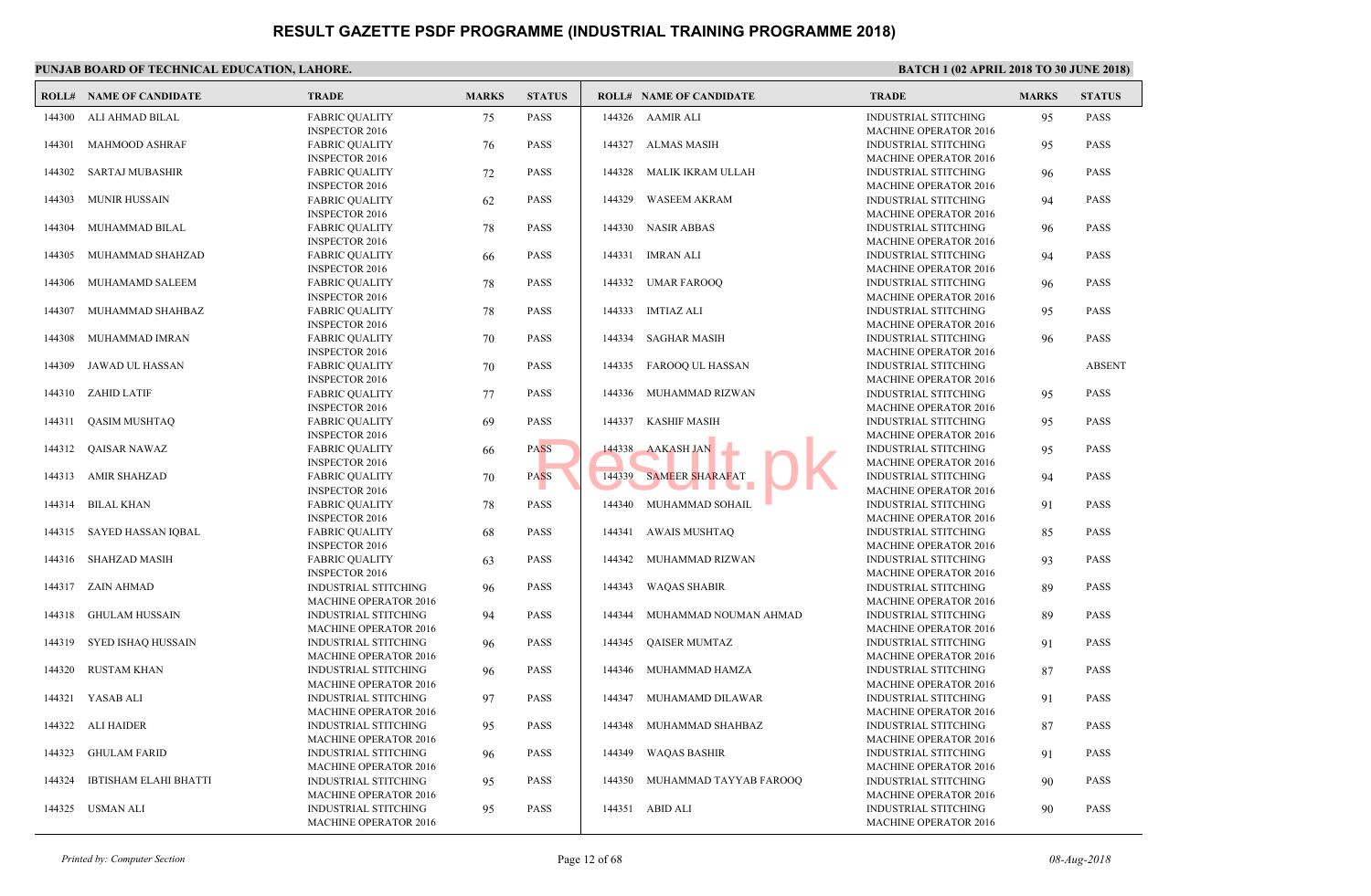| <b>FABRIC OUALITY</b><br>AAMIR ALI<br><b>INDUS</b><br>144300<br>ALI AHMAD BILAL<br>75<br><b>PASS</b><br>144326<br><b>INSPECTOR 2016</b><br><b>MACH</b><br><b>MAHMOOD ASHRAF</b><br>ALMAS MASIH<br><b>INDUS</b><br>144301<br><b>FABRIC QUALITY</b><br><b>PASS</b><br>144327<br>76<br><b>MACH</b><br><b>INSPECTOR 2016</b><br>144302<br>SARTAJ MUBASHIR<br><b>FABRIC QUALITY</b><br>72<br><b>PASS</b><br>144328<br>MALIK IKRAM ULLAH<br><b>INDUS</b><br><b>MACH</b><br><b>INSPECTOR 2016</b><br>144303<br><b>MUNIR HUSSAIN</b><br><b>FABRIC QUALITY</b><br>62<br><b>PASS</b><br>144329<br><b>WASEEM AKRAM</b><br><b>INDUS</b><br><b>MACH</b><br><b>INSPECTOR 2016</b><br>144304<br>MUHAMMAD BILAL<br><b>PASS</b><br>144330<br><b>NASIR ABBAS</b><br><b>INDUS</b><br><b>FABRIC QUALITY</b><br>78<br><b>MACH</b><br><b>INSPECTOR 2016</b><br>MUHAMMAD SHAHZAD<br><b>FABRIC QUALITY</b><br><b>PASS</b><br>144331 IMRAN ALI<br><b>INDUS</b><br>144305<br>66<br><b>MACH</b><br><b>INSPECTOR 2016</b><br>MUHAMAMD SALEEM<br><b>FABRIC QUALITY</b><br><b>PASS</b><br>144332<br>UMAR FAROOQ<br><b>INDUS</b><br>144306<br>78<br><b>MACH</b><br><b>INSPECTOR 2016</b><br><b>PASS</b><br>144333<br><b>IMTIAZ ALI</b><br><b>INDUS</b><br>144307<br>MUHAMMAD SHAHBAZ<br><b>FABRIC QUALITY</b><br>78<br><b>MACH</b><br><b>INSPECTOR 2016</b><br>MUHAMMAD IMRAN<br><b>PASS</b><br>144334<br><b>SAGHAR MASIH</b><br><b>INDUS</b><br>144308<br><b>FABRIC QUALITY</b><br>70<br><b>MACH</b><br><b>INSPECTOR 2016</b><br>JAWAD UL HASSAN<br><b>PASS</b><br>144335<br>FAROOQ UL HASSAN<br>144309<br><b>FABRIC QUALITY</b><br>70<br><b>INDUS</b><br><b>INSPECTOR 2016</b><br><b>MACF</b><br>MUHAMMAD RIZWAN<br><b>INDUS</b><br>144310<br>ZAHID LATIF<br><b>FABRIC QUALITY</b><br>77<br><b>PASS</b><br>144336<br><b>MACH</b><br><b>INSPECTOR 2016</b><br><b>QASIM MUSHTAQ</b><br>144337<br><b>KASHIF MASIH</b><br><b>INDUS</b><br>144311<br><b>FABRIC QUALITY</b><br><b>PASS</b><br>69<br><b>MACF</b><br><b>INSPECTOR 2016</b><br><b>AAKASH JAN</b><br><b>INDUS</b><br>144312<br>QAISAR NAWAZ<br><b>FABRIC QUALITY</b><br><b>PASS</b><br>144338<br>66<br><b>MACH</b><br><b>INSPECTOR 2016</b><br><b>SAMEER SHARAFAT</b><br><b>INDUS</b><br>144313<br>AMIR SHAHZAD<br><b>FABRIC QUALITY</b><br><b>PASS</b><br>144339<br>70<br><b>MACH</b><br><b>INSPECTOR 2016</b><br>MUHAMMAD SOHAIL<br>144314<br><b>BILAL KHAN</b><br><b>PASS</b><br>144340<br><b>INDUS</b><br><b>FABRIC QUALITY</b><br>78<br><b>MACH</b><br><b>INSPECTOR 2016</b><br>SAYED HASSAN IQBAL<br><b>FABRIC QUALITY</b><br><b>PASS</b><br>144341<br><b>AWAIS MUSHTAQ</b><br><b>INDUS</b><br>144315<br>68<br><b>MACF</b><br><b>INSPECTOR 2016</b><br>SHAHZAD MASIH<br><b>PASS</b><br>144342<br>MUHAMMAD RIZWAN<br><b>INDUS</b><br>144316<br><b>FABRIC QUALITY</b><br>63<br><b>INSPECTOR 2016</b><br><b>MACF</b><br>144317 ZAIN AHMAD<br><b>PASS</b><br>144343<br><b>WAQAS SHABIR</b><br><b>INDUS</b><br><b>INDUSTRIAL STITCHING</b><br>96<br><b>MACHINE OPERATOR 2016</b><br><b>MACF</b><br><b>GHULAM HUSSAIN</b><br><b>PASS</b><br><b>INDUS</b><br>144318<br><b>INDUSTRIAL STITCHING</b><br>94<br>144344<br>MUHAMMAD NOUMAN AHMAD<br><b>MACH</b><br><b>MACHINE OPERATOR 2016</b><br>SYED ISHAQ HUSSAIN<br><b>PASS</b><br><b>QAISER MUMTAZ</b><br><b>INDUS</b><br>144319<br><b>INDUSTRIAL STITCHING</b><br>144345<br>96<br><b>MACHINE OPERATOR 2016</b><br><b>MACF</b><br>INDUSTRIAL STITCHING<br><b>INDUS</b><br>144320<br><b>RUSTAM KHAN</b><br><b>PASS</b><br>144346<br>MUHAMMAD HAMZA<br>96<br><b>MACHINE OPERATOR 2016</b><br><b>MACH</b><br><b>INDUS</b><br>144321<br>YASAB ALI<br><b>INDUSTRIAL STITCHING</b><br><b>PASS</b><br>144347<br>MUHAMAMD DILAWAR<br>97<br><b>MACHINE OPERATOR 2016</b><br><b>MACH</b><br>144322<br><b>INDUSTRIAL STITCHING</b><br><b>PASS</b><br>144348<br>MUHAMMAD SHAHBAZ<br><b>INDUS</b><br>ALI HAIDER<br>95<br><b>MACHINE OPERATOR 2016</b><br><b>MACF</b><br><b>INDUS</b><br><b>GHULAM FARID</b><br><b>INDUSTRIAL STITCHING</b><br><b>PASS</b><br>144349<br><b>WAQAS BASHIR</b><br>144323<br>96<br><b>MACHINE OPERATOR 2016</b><br><b>MACF</b><br>144324<br><b>IBTISHAM ELAHI BHATTI</b><br><b>PASS</b><br>144350<br>MUHAMMAD TAYYAB FAROOQ<br><b>INDUS</b><br><b>INDUSTRIAL STITCHING</b><br>95<br><b>MACH</b><br><b>MACHINE OPERATOR 2016</b><br>144325<br><b>USMAN ALI</b><br>95<br>144351<br>ABID ALI<br><b>INDUS</b><br><b>INDUSTRIAL STITCHING</b><br><b>PASS</b><br>MACHINE OPERATOR 2016<br><b>MACH</b> | <b>ROLL# NAME OF CANDIDATE</b> | <b>TRADE</b> | <b>MARKS</b> | <b>STATUS</b> | <b>ROLL# NAME OF CANDIDATE</b> | TRAD |
|----------------------------------------------------------------------------------------------------------------------------------------------------------------------------------------------------------------------------------------------------------------------------------------------------------------------------------------------------------------------------------------------------------------------------------------------------------------------------------------------------------------------------------------------------------------------------------------------------------------------------------------------------------------------------------------------------------------------------------------------------------------------------------------------------------------------------------------------------------------------------------------------------------------------------------------------------------------------------------------------------------------------------------------------------------------------------------------------------------------------------------------------------------------------------------------------------------------------------------------------------------------------------------------------------------------------------------------------------------------------------------------------------------------------------------------------------------------------------------------------------------------------------------------------------------------------------------------------------------------------------------------------------------------------------------------------------------------------------------------------------------------------------------------------------------------------------------------------------------------------------------------------------------------------------------------------------------------------------------------------------------------------------------------------------------------------------------------------------------------------------------------------------------------------------------------------------------------------------------------------------------------------------------------------------------------------------------------------------------------------------------------------------------------------------------------------------------------------------------------------------------------------------------------------------------------------------------------------------------------------------------------------------------------------------------------------------------------------------------------------------------------------------------------------------------------------------------------------------------------------------------------------------------------------------------------------------------------------------------------------------------------------------------------------------------------------------------------------------------------------------------------------------------------------------------------------------------------------------------------------------------------------------------------------------------------------------------------------------------------------------------------------------------------------------------------------------------------------------------------------------------------------------------------------------------------------------------------------------------------------------------------------------------------------------------------------------------------------------------------------------------------------------------------------------------------------------------------------------------------------------------------------------------------------------------------------------------------------------------------------------------------------------------------------------------------------------------------------------------------------------------------------------------------------------------------------------------------------------------------------------------------------------------------------------------------------------------------------------------------------------------------------------------------------------------------------------------------------------------------|--------------------------------|--------------|--------------|---------------|--------------------------------|------|
|                                                                                                                                                                                                                                                                                                                                                                                                                                                                                                                                                                                                                                                                                                                                                                                                                                                                                                                                                                                                                                                                                                                                                                                                                                                                                                                                                                                                                                                                                                                                                                                                                                                                                                                                                                                                                                                                                                                                                                                                                                                                                                                                                                                                                                                                                                                                                                                                                                                                                                                                                                                                                                                                                                                                                                                                                                                                                                                                                                                                                                                                                                                                                                                                                                                                                                                                                                                                                                                                                                                                                                                                                                                                                                                                                                                                                                                                                                                                                                                                                                                                                                                                                                                                                                                                                                                                                                                                                                                                                        |                                |              |              |               |                                |      |
|                                                                                                                                                                                                                                                                                                                                                                                                                                                                                                                                                                                                                                                                                                                                                                                                                                                                                                                                                                                                                                                                                                                                                                                                                                                                                                                                                                                                                                                                                                                                                                                                                                                                                                                                                                                                                                                                                                                                                                                                                                                                                                                                                                                                                                                                                                                                                                                                                                                                                                                                                                                                                                                                                                                                                                                                                                                                                                                                                                                                                                                                                                                                                                                                                                                                                                                                                                                                                                                                                                                                                                                                                                                                                                                                                                                                                                                                                                                                                                                                                                                                                                                                                                                                                                                                                                                                                                                                                                                                                        |                                |              |              |               |                                |      |
|                                                                                                                                                                                                                                                                                                                                                                                                                                                                                                                                                                                                                                                                                                                                                                                                                                                                                                                                                                                                                                                                                                                                                                                                                                                                                                                                                                                                                                                                                                                                                                                                                                                                                                                                                                                                                                                                                                                                                                                                                                                                                                                                                                                                                                                                                                                                                                                                                                                                                                                                                                                                                                                                                                                                                                                                                                                                                                                                                                                                                                                                                                                                                                                                                                                                                                                                                                                                                                                                                                                                                                                                                                                                                                                                                                                                                                                                                                                                                                                                                                                                                                                                                                                                                                                                                                                                                                                                                                                                                        |                                |              |              |               |                                |      |
|                                                                                                                                                                                                                                                                                                                                                                                                                                                                                                                                                                                                                                                                                                                                                                                                                                                                                                                                                                                                                                                                                                                                                                                                                                                                                                                                                                                                                                                                                                                                                                                                                                                                                                                                                                                                                                                                                                                                                                                                                                                                                                                                                                                                                                                                                                                                                                                                                                                                                                                                                                                                                                                                                                                                                                                                                                                                                                                                                                                                                                                                                                                                                                                                                                                                                                                                                                                                                                                                                                                                                                                                                                                                                                                                                                                                                                                                                                                                                                                                                                                                                                                                                                                                                                                                                                                                                                                                                                                                                        |                                |              |              |               |                                |      |
|                                                                                                                                                                                                                                                                                                                                                                                                                                                                                                                                                                                                                                                                                                                                                                                                                                                                                                                                                                                                                                                                                                                                                                                                                                                                                                                                                                                                                                                                                                                                                                                                                                                                                                                                                                                                                                                                                                                                                                                                                                                                                                                                                                                                                                                                                                                                                                                                                                                                                                                                                                                                                                                                                                                                                                                                                                                                                                                                                                                                                                                                                                                                                                                                                                                                                                                                                                                                                                                                                                                                                                                                                                                                                                                                                                                                                                                                                                                                                                                                                                                                                                                                                                                                                                                                                                                                                                                                                                                                                        |                                |              |              |               |                                |      |
|                                                                                                                                                                                                                                                                                                                                                                                                                                                                                                                                                                                                                                                                                                                                                                                                                                                                                                                                                                                                                                                                                                                                                                                                                                                                                                                                                                                                                                                                                                                                                                                                                                                                                                                                                                                                                                                                                                                                                                                                                                                                                                                                                                                                                                                                                                                                                                                                                                                                                                                                                                                                                                                                                                                                                                                                                                                                                                                                                                                                                                                                                                                                                                                                                                                                                                                                                                                                                                                                                                                                                                                                                                                                                                                                                                                                                                                                                                                                                                                                                                                                                                                                                                                                                                                                                                                                                                                                                                                                                        |                                |              |              |               |                                |      |
|                                                                                                                                                                                                                                                                                                                                                                                                                                                                                                                                                                                                                                                                                                                                                                                                                                                                                                                                                                                                                                                                                                                                                                                                                                                                                                                                                                                                                                                                                                                                                                                                                                                                                                                                                                                                                                                                                                                                                                                                                                                                                                                                                                                                                                                                                                                                                                                                                                                                                                                                                                                                                                                                                                                                                                                                                                                                                                                                                                                                                                                                                                                                                                                                                                                                                                                                                                                                                                                                                                                                                                                                                                                                                                                                                                                                                                                                                                                                                                                                                                                                                                                                                                                                                                                                                                                                                                                                                                                                                        |                                |              |              |               |                                |      |
|                                                                                                                                                                                                                                                                                                                                                                                                                                                                                                                                                                                                                                                                                                                                                                                                                                                                                                                                                                                                                                                                                                                                                                                                                                                                                                                                                                                                                                                                                                                                                                                                                                                                                                                                                                                                                                                                                                                                                                                                                                                                                                                                                                                                                                                                                                                                                                                                                                                                                                                                                                                                                                                                                                                                                                                                                                                                                                                                                                                                                                                                                                                                                                                                                                                                                                                                                                                                                                                                                                                                                                                                                                                                                                                                                                                                                                                                                                                                                                                                                                                                                                                                                                                                                                                                                                                                                                                                                                                                                        |                                |              |              |               |                                |      |
|                                                                                                                                                                                                                                                                                                                                                                                                                                                                                                                                                                                                                                                                                                                                                                                                                                                                                                                                                                                                                                                                                                                                                                                                                                                                                                                                                                                                                                                                                                                                                                                                                                                                                                                                                                                                                                                                                                                                                                                                                                                                                                                                                                                                                                                                                                                                                                                                                                                                                                                                                                                                                                                                                                                                                                                                                                                                                                                                                                                                                                                                                                                                                                                                                                                                                                                                                                                                                                                                                                                                                                                                                                                                                                                                                                                                                                                                                                                                                                                                                                                                                                                                                                                                                                                                                                                                                                                                                                                                                        |                                |              |              |               |                                |      |
|                                                                                                                                                                                                                                                                                                                                                                                                                                                                                                                                                                                                                                                                                                                                                                                                                                                                                                                                                                                                                                                                                                                                                                                                                                                                                                                                                                                                                                                                                                                                                                                                                                                                                                                                                                                                                                                                                                                                                                                                                                                                                                                                                                                                                                                                                                                                                                                                                                                                                                                                                                                                                                                                                                                                                                                                                                                                                                                                                                                                                                                                                                                                                                                                                                                                                                                                                                                                                                                                                                                                                                                                                                                                                                                                                                                                                                                                                                                                                                                                                                                                                                                                                                                                                                                                                                                                                                                                                                                                                        |                                |              |              |               |                                |      |
|                                                                                                                                                                                                                                                                                                                                                                                                                                                                                                                                                                                                                                                                                                                                                                                                                                                                                                                                                                                                                                                                                                                                                                                                                                                                                                                                                                                                                                                                                                                                                                                                                                                                                                                                                                                                                                                                                                                                                                                                                                                                                                                                                                                                                                                                                                                                                                                                                                                                                                                                                                                                                                                                                                                                                                                                                                                                                                                                                                                                                                                                                                                                                                                                                                                                                                                                                                                                                                                                                                                                                                                                                                                                                                                                                                                                                                                                                                                                                                                                                                                                                                                                                                                                                                                                                                                                                                                                                                                                                        |                                |              |              |               |                                |      |
|                                                                                                                                                                                                                                                                                                                                                                                                                                                                                                                                                                                                                                                                                                                                                                                                                                                                                                                                                                                                                                                                                                                                                                                                                                                                                                                                                                                                                                                                                                                                                                                                                                                                                                                                                                                                                                                                                                                                                                                                                                                                                                                                                                                                                                                                                                                                                                                                                                                                                                                                                                                                                                                                                                                                                                                                                                                                                                                                                                                                                                                                                                                                                                                                                                                                                                                                                                                                                                                                                                                                                                                                                                                                                                                                                                                                                                                                                                                                                                                                                                                                                                                                                                                                                                                                                                                                                                                                                                                                                        |                                |              |              |               |                                |      |
|                                                                                                                                                                                                                                                                                                                                                                                                                                                                                                                                                                                                                                                                                                                                                                                                                                                                                                                                                                                                                                                                                                                                                                                                                                                                                                                                                                                                                                                                                                                                                                                                                                                                                                                                                                                                                                                                                                                                                                                                                                                                                                                                                                                                                                                                                                                                                                                                                                                                                                                                                                                                                                                                                                                                                                                                                                                                                                                                                                                                                                                                                                                                                                                                                                                                                                                                                                                                                                                                                                                                                                                                                                                                                                                                                                                                                                                                                                                                                                                                                                                                                                                                                                                                                                                                                                                                                                                                                                                                                        |                                |              |              |               |                                |      |
|                                                                                                                                                                                                                                                                                                                                                                                                                                                                                                                                                                                                                                                                                                                                                                                                                                                                                                                                                                                                                                                                                                                                                                                                                                                                                                                                                                                                                                                                                                                                                                                                                                                                                                                                                                                                                                                                                                                                                                                                                                                                                                                                                                                                                                                                                                                                                                                                                                                                                                                                                                                                                                                                                                                                                                                                                                                                                                                                                                                                                                                                                                                                                                                                                                                                                                                                                                                                                                                                                                                                                                                                                                                                                                                                                                                                                                                                                                                                                                                                                                                                                                                                                                                                                                                                                                                                                                                                                                                                                        |                                |              |              |               |                                |      |
|                                                                                                                                                                                                                                                                                                                                                                                                                                                                                                                                                                                                                                                                                                                                                                                                                                                                                                                                                                                                                                                                                                                                                                                                                                                                                                                                                                                                                                                                                                                                                                                                                                                                                                                                                                                                                                                                                                                                                                                                                                                                                                                                                                                                                                                                                                                                                                                                                                                                                                                                                                                                                                                                                                                                                                                                                                                                                                                                                                                                                                                                                                                                                                                                                                                                                                                                                                                                                                                                                                                                                                                                                                                                                                                                                                                                                                                                                                                                                                                                                                                                                                                                                                                                                                                                                                                                                                                                                                                                                        |                                |              |              |               |                                |      |
|                                                                                                                                                                                                                                                                                                                                                                                                                                                                                                                                                                                                                                                                                                                                                                                                                                                                                                                                                                                                                                                                                                                                                                                                                                                                                                                                                                                                                                                                                                                                                                                                                                                                                                                                                                                                                                                                                                                                                                                                                                                                                                                                                                                                                                                                                                                                                                                                                                                                                                                                                                                                                                                                                                                                                                                                                                                                                                                                                                                                                                                                                                                                                                                                                                                                                                                                                                                                                                                                                                                                                                                                                                                                                                                                                                                                                                                                                                                                                                                                                                                                                                                                                                                                                                                                                                                                                                                                                                                                                        |                                |              |              |               |                                |      |
|                                                                                                                                                                                                                                                                                                                                                                                                                                                                                                                                                                                                                                                                                                                                                                                                                                                                                                                                                                                                                                                                                                                                                                                                                                                                                                                                                                                                                                                                                                                                                                                                                                                                                                                                                                                                                                                                                                                                                                                                                                                                                                                                                                                                                                                                                                                                                                                                                                                                                                                                                                                                                                                                                                                                                                                                                                                                                                                                                                                                                                                                                                                                                                                                                                                                                                                                                                                                                                                                                                                                                                                                                                                                                                                                                                                                                                                                                                                                                                                                                                                                                                                                                                                                                                                                                                                                                                                                                                                                                        |                                |              |              |               |                                |      |
|                                                                                                                                                                                                                                                                                                                                                                                                                                                                                                                                                                                                                                                                                                                                                                                                                                                                                                                                                                                                                                                                                                                                                                                                                                                                                                                                                                                                                                                                                                                                                                                                                                                                                                                                                                                                                                                                                                                                                                                                                                                                                                                                                                                                                                                                                                                                                                                                                                                                                                                                                                                                                                                                                                                                                                                                                                                                                                                                                                                                                                                                                                                                                                                                                                                                                                                                                                                                                                                                                                                                                                                                                                                                                                                                                                                                                                                                                                                                                                                                                                                                                                                                                                                                                                                                                                                                                                                                                                                                                        |                                |              |              |               |                                |      |
|                                                                                                                                                                                                                                                                                                                                                                                                                                                                                                                                                                                                                                                                                                                                                                                                                                                                                                                                                                                                                                                                                                                                                                                                                                                                                                                                                                                                                                                                                                                                                                                                                                                                                                                                                                                                                                                                                                                                                                                                                                                                                                                                                                                                                                                                                                                                                                                                                                                                                                                                                                                                                                                                                                                                                                                                                                                                                                                                                                                                                                                                                                                                                                                                                                                                                                                                                                                                                                                                                                                                                                                                                                                                                                                                                                                                                                                                                                                                                                                                                                                                                                                                                                                                                                                                                                                                                                                                                                                                                        |                                |              |              |               |                                |      |
|                                                                                                                                                                                                                                                                                                                                                                                                                                                                                                                                                                                                                                                                                                                                                                                                                                                                                                                                                                                                                                                                                                                                                                                                                                                                                                                                                                                                                                                                                                                                                                                                                                                                                                                                                                                                                                                                                                                                                                                                                                                                                                                                                                                                                                                                                                                                                                                                                                                                                                                                                                                                                                                                                                                                                                                                                                                                                                                                                                                                                                                                                                                                                                                                                                                                                                                                                                                                                                                                                                                                                                                                                                                                                                                                                                                                                                                                                                                                                                                                                                                                                                                                                                                                                                                                                                                                                                                                                                                                                        |                                |              |              |               |                                |      |
|                                                                                                                                                                                                                                                                                                                                                                                                                                                                                                                                                                                                                                                                                                                                                                                                                                                                                                                                                                                                                                                                                                                                                                                                                                                                                                                                                                                                                                                                                                                                                                                                                                                                                                                                                                                                                                                                                                                                                                                                                                                                                                                                                                                                                                                                                                                                                                                                                                                                                                                                                                                                                                                                                                                                                                                                                                                                                                                                                                                                                                                                                                                                                                                                                                                                                                                                                                                                                                                                                                                                                                                                                                                                                                                                                                                                                                                                                                                                                                                                                                                                                                                                                                                                                                                                                                                                                                                                                                                                                        |                                |              |              |               |                                |      |
|                                                                                                                                                                                                                                                                                                                                                                                                                                                                                                                                                                                                                                                                                                                                                                                                                                                                                                                                                                                                                                                                                                                                                                                                                                                                                                                                                                                                                                                                                                                                                                                                                                                                                                                                                                                                                                                                                                                                                                                                                                                                                                                                                                                                                                                                                                                                                                                                                                                                                                                                                                                                                                                                                                                                                                                                                                                                                                                                                                                                                                                                                                                                                                                                                                                                                                                                                                                                                                                                                                                                                                                                                                                                                                                                                                                                                                                                                                                                                                                                                                                                                                                                                                                                                                                                                                                                                                                                                                                                                        |                                |              |              |               |                                |      |
|                                                                                                                                                                                                                                                                                                                                                                                                                                                                                                                                                                                                                                                                                                                                                                                                                                                                                                                                                                                                                                                                                                                                                                                                                                                                                                                                                                                                                                                                                                                                                                                                                                                                                                                                                                                                                                                                                                                                                                                                                                                                                                                                                                                                                                                                                                                                                                                                                                                                                                                                                                                                                                                                                                                                                                                                                                                                                                                                                                                                                                                                                                                                                                                                                                                                                                                                                                                                                                                                                                                                                                                                                                                                                                                                                                                                                                                                                                                                                                                                                                                                                                                                                                                                                                                                                                                                                                                                                                                                                        |                                |              |              |               |                                |      |
|                                                                                                                                                                                                                                                                                                                                                                                                                                                                                                                                                                                                                                                                                                                                                                                                                                                                                                                                                                                                                                                                                                                                                                                                                                                                                                                                                                                                                                                                                                                                                                                                                                                                                                                                                                                                                                                                                                                                                                                                                                                                                                                                                                                                                                                                                                                                                                                                                                                                                                                                                                                                                                                                                                                                                                                                                                                                                                                                                                                                                                                                                                                                                                                                                                                                                                                                                                                                                                                                                                                                                                                                                                                                                                                                                                                                                                                                                                                                                                                                                                                                                                                                                                                                                                                                                                                                                                                                                                                                                        |                                |              |              |               |                                |      |
|                                                                                                                                                                                                                                                                                                                                                                                                                                                                                                                                                                                                                                                                                                                                                                                                                                                                                                                                                                                                                                                                                                                                                                                                                                                                                                                                                                                                                                                                                                                                                                                                                                                                                                                                                                                                                                                                                                                                                                                                                                                                                                                                                                                                                                                                                                                                                                                                                                                                                                                                                                                                                                                                                                                                                                                                                                                                                                                                                                                                                                                                                                                                                                                                                                                                                                                                                                                                                                                                                                                                                                                                                                                                                                                                                                                                                                                                                                                                                                                                                                                                                                                                                                                                                                                                                                                                                                                                                                                                                        |                                |              |              |               |                                |      |
|                                                                                                                                                                                                                                                                                                                                                                                                                                                                                                                                                                                                                                                                                                                                                                                                                                                                                                                                                                                                                                                                                                                                                                                                                                                                                                                                                                                                                                                                                                                                                                                                                                                                                                                                                                                                                                                                                                                                                                                                                                                                                                                                                                                                                                                                                                                                                                                                                                                                                                                                                                                                                                                                                                                                                                                                                                                                                                                                                                                                                                                                                                                                                                                                                                                                                                                                                                                                                                                                                                                                                                                                                                                                                                                                                                                                                                                                                                                                                                                                                                                                                                                                                                                                                                                                                                                                                                                                                                                                                        |                                |              |              |               |                                |      |
|                                                                                                                                                                                                                                                                                                                                                                                                                                                                                                                                                                                                                                                                                                                                                                                                                                                                                                                                                                                                                                                                                                                                                                                                                                                                                                                                                                                                                                                                                                                                                                                                                                                                                                                                                                                                                                                                                                                                                                                                                                                                                                                                                                                                                                                                                                                                                                                                                                                                                                                                                                                                                                                                                                                                                                                                                                                                                                                                                                                                                                                                                                                                                                                                                                                                                                                                                                                                                                                                                                                                                                                                                                                                                                                                                                                                                                                                                                                                                                                                                                                                                                                                                                                                                                                                                                                                                                                                                                                                                        |                                |              |              |               |                                |      |
|                                                                                                                                                                                                                                                                                                                                                                                                                                                                                                                                                                                                                                                                                                                                                                                                                                                                                                                                                                                                                                                                                                                                                                                                                                                                                                                                                                                                                                                                                                                                                                                                                                                                                                                                                                                                                                                                                                                                                                                                                                                                                                                                                                                                                                                                                                                                                                                                                                                                                                                                                                                                                                                                                                                                                                                                                                                                                                                                                                                                                                                                                                                                                                                                                                                                                                                                                                                                                                                                                                                                                                                                                                                                                                                                                                                                                                                                                                                                                                                                                                                                                                                                                                                                                                                                                                                                                                                                                                                                                        |                                |              |              |               |                                |      |
|                                                                                                                                                                                                                                                                                                                                                                                                                                                                                                                                                                                                                                                                                                                                                                                                                                                                                                                                                                                                                                                                                                                                                                                                                                                                                                                                                                                                                                                                                                                                                                                                                                                                                                                                                                                                                                                                                                                                                                                                                                                                                                                                                                                                                                                                                                                                                                                                                                                                                                                                                                                                                                                                                                                                                                                                                                                                                                                                                                                                                                                                                                                                                                                                                                                                                                                                                                                                                                                                                                                                                                                                                                                                                                                                                                                                                                                                                                                                                                                                                                                                                                                                                                                                                                                                                                                                                                                                                                                                                        |                                |              |              |               |                                |      |
|                                                                                                                                                                                                                                                                                                                                                                                                                                                                                                                                                                                                                                                                                                                                                                                                                                                                                                                                                                                                                                                                                                                                                                                                                                                                                                                                                                                                                                                                                                                                                                                                                                                                                                                                                                                                                                                                                                                                                                                                                                                                                                                                                                                                                                                                                                                                                                                                                                                                                                                                                                                                                                                                                                                                                                                                                                                                                                                                                                                                                                                                                                                                                                                                                                                                                                                                                                                                                                                                                                                                                                                                                                                                                                                                                                                                                                                                                                                                                                                                                                                                                                                                                                                                                                                                                                                                                                                                                                                                                        |                                |              |              |               |                                |      |
|                                                                                                                                                                                                                                                                                                                                                                                                                                                                                                                                                                                                                                                                                                                                                                                                                                                                                                                                                                                                                                                                                                                                                                                                                                                                                                                                                                                                                                                                                                                                                                                                                                                                                                                                                                                                                                                                                                                                                                                                                                                                                                                                                                                                                                                                                                                                                                                                                                                                                                                                                                                                                                                                                                                                                                                                                                                                                                                                                                                                                                                                                                                                                                                                                                                                                                                                                                                                                                                                                                                                                                                                                                                                                                                                                                                                                                                                                                                                                                                                                                                                                                                                                                                                                                                                                                                                                                                                                                                                                        |                                |              |              |               |                                |      |
|                                                                                                                                                                                                                                                                                                                                                                                                                                                                                                                                                                                                                                                                                                                                                                                                                                                                                                                                                                                                                                                                                                                                                                                                                                                                                                                                                                                                                                                                                                                                                                                                                                                                                                                                                                                                                                                                                                                                                                                                                                                                                                                                                                                                                                                                                                                                                                                                                                                                                                                                                                                                                                                                                                                                                                                                                                                                                                                                                                                                                                                                                                                                                                                                                                                                                                                                                                                                                                                                                                                                                                                                                                                                                                                                                                                                                                                                                                                                                                                                                                                                                                                                                                                                                                                                                                                                                                                                                                                                                        |                                |              |              |               |                                |      |
|                                                                                                                                                                                                                                                                                                                                                                                                                                                                                                                                                                                                                                                                                                                                                                                                                                                                                                                                                                                                                                                                                                                                                                                                                                                                                                                                                                                                                                                                                                                                                                                                                                                                                                                                                                                                                                                                                                                                                                                                                                                                                                                                                                                                                                                                                                                                                                                                                                                                                                                                                                                                                                                                                                                                                                                                                                                                                                                                                                                                                                                                                                                                                                                                                                                                                                                                                                                                                                                                                                                                                                                                                                                                                                                                                                                                                                                                                                                                                                                                                                                                                                                                                                                                                                                                                                                                                                                                                                                                                        |                                |              |              |               |                                |      |
|                                                                                                                                                                                                                                                                                                                                                                                                                                                                                                                                                                                                                                                                                                                                                                                                                                                                                                                                                                                                                                                                                                                                                                                                                                                                                                                                                                                                                                                                                                                                                                                                                                                                                                                                                                                                                                                                                                                                                                                                                                                                                                                                                                                                                                                                                                                                                                                                                                                                                                                                                                                                                                                                                                                                                                                                                                                                                                                                                                                                                                                                                                                                                                                                                                                                                                                                                                                                                                                                                                                                                                                                                                                                                                                                                                                                                                                                                                                                                                                                                                                                                                                                                                                                                                                                                                                                                                                                                                                                                        |                                |              |              |               |                                |      |
|                                                                                                                                                                                                                                                                                                                                                                                                                                                                                                                                                                                                                                                                                                                                                                                                                                                                                                                                                                                                                                                                                                                                                                                                                                                                                                                                                                                                                                                                                                                                                                                                                                                                                                                                                                                                                                                                                                                                                                                                                                                                                                                                                                                                                                                                                                                                                                                                                                                                                                                                                                                                                                                                                                                                                                                                                                                                                                                                                                                                                                                                                                                                                                                                                                                                                                                                                                                                                                                                                                                                                                                                                                                                                                                                                                                                                                                                                                                                                                                                                                                                                                                                                                                                                                                                                                                                                                                                                                                                                        |                                |              |              |               |                                |      |
|                                                                                                                                                                                                                                                                                                                                                                                                                                                                                                                                                                                                                                                                                                                                                                                                                                                                                                                                                                                                                                                                                                                                                                                                                                                                                                                                                                                                                                                                                                                                                                                                                                                                                                                                                                                                                                                                                                                                                                                                                                                                                                                                                                                                                                                                                                                                                                                                                                                                                                                                                                                                                                                                                                                                                                                                                                                                                                                                                                                                                                                                                                                                                                                                                                                                                                                                                                                                                                                                                                                                                                                                                                                                                                                                                                                                                                                                                                                                                                                                                                                                                                                                                                                                                                                                                                                                                                                                                                                                                        |                                |              |              |               |                                |      |
|                                                                                                                                                                                                                                                                                                                                                                                                                                                                                                                                                                                                                                                                                                                                                                                                                                                                                                                                                                                                                                                                                                                                                                                                                                                                                                                                                                                                                                                                                                                                                                                                                                                                                                                                                                                                                                                                                                                                                                                                                                                                                                                                                                                                                                                                                                                                                                                                                                                                                                                                                                                                                                                                                                                                                                                                                                                                                                                                                                                                                                                                                                                                                                                                                                                                                                                                                                                                                                                                                                                                                                                                                                                                                                                                                                                                                                                                                                                                                                                                                                                                                                                                                                                                                                                                                                                                                                                                                                                                                        |                                |              |              |               |                                |      |
|                                                                                                                                                                                                                                                                                                                                                                                                                                                                                                                                                                                                                                                                                                                                                                                                                                                                                                                                                                                                                                                                                                                                                                                                                                                                                                                                                                                                                                                                                                                                                                                                                                                                                                                                                                                                                                                                                                                                                                                                                                                                                                                                                                                                                                                                                                                                                                                                                                                                                                                                                                                                                                                                                                                                                                                                                                                                                                                                                                                                                                                                                                                                                                                                                                                                                                                                                                                                                                                                                                                                                                                                                                                                                                                                                                                                                                                                                                                                                                                                                                                                                                                                                                                                                                                                                                                                                                                                                                                                                        |                                |              |              |               |                                |      |
|                                                                                                                                                                                                                                                                                                                                                                                                                                                                                                                                                                                                                                                                                                                                                                                                                                                                                                                                                                                                                                                                                                                                                                                                                                                                                                                                                                                                                                                                                                                                                                                                                                                                                                                                                                                                                                                                                                                                                                                                                                                                                                                                                                                                                                                                                                                                                                                                                                                                                                                                                                                                                                                                                                                                                                                                                                                                                                                                                                                                                                                                                                                                                                                                                                                                                                                                                                                                                                                                                                                                                                                                                                                                                                                                                                                                                                                                                                                                                                                                                                                                                                                                                                                                                                                                                                                                                                                                                                                                                        |                                |              |              |               |                                |      |
|                                                                                                                                                                                                                                                                                                                                                                                                                                                                                                                                                                                                                                                                                                                                                                                                                                                                                                                                                                                                                                                                                                                                                                                                                                                                                                                                                                                                                                                                                                                                                                                                                                                                                                                                                                                                                                                                                                                                                                                                                                                                                                                                                                                                                                                                                                                                                                                                                                                                                                                                                                                                                                                                                                                                                                                                                                                                                                                                                                                                                                                                                                                                                                                                                                                                                                                                                                                                                                                                                                                                                                                                                                                                                                                                                                                                                                                                                                                                                                                                                                                                                                                                                                                                                                                                                                                                                                                                                                                                                        |                                |              |              |               |                                |      |
|                                                                                                                                                                                                                                                                                                                                                                                                                                                                                                                                                                                                                                                                                                                                                                                                                                                                                                                                                                                                                                                                                                                                                                                                                                                                                                                                                                                                                                                                                                                                                                                                                                                                                                                                                                                                                                                                                                                                                                                                                                                                                                                                                                                                                                                                                                                                                                                                                                                                                                                                                                                                                                                                                                                                                                                                                                                                                                                                                                                                                                                                                                                                                                                                                                                                                                                                                                                                                                                                                                                                                                                                                                                                                                                                                                                                                                                                                                                                                                                                                                                                                                                                                                                                                                                                                                                                                                                                                                                                                        |                                |              |              |               |                                |      |
|                                                                                                                                                                                                                                                                                                                                                                                                                                                                                                                                                                                                                                                                                                                                                                                                                                                                                                                                                                                                                                                                                                                                                                                                                                                                                                                                                                                                                                                                                                                                                                                                                                                                                                                                                                                                                                                                                                                                                                                                                                                                                                                                                                                                                                                                                                                                                                                                                                                                                                                                                                                                                                                                                                                                                                                                                                                                                                                                                                                                                                                                                                                                                                                                                                                                                                                                                                                                                                                                                                                                                                                                                                                                                                                                                                                                                                                                                                                                                                                                                                                                                                                                                                                                                                                                                                                                                                                                                                                                                        |                                |              |              |               |                                |      |
|                                                                                                                                                                                                                                                                                                                                                                                                                                                                                                                                                                                                                                                                                                                                                                                                                                                                                                                                                                                                                                                                                                                                                                                                                                                                                                                                                                                                                                                                                                                                                                                                                                                                                                                                                                                                                                                                                                                                                                                                                                                                                                                                                                                                                                                                                                                                                                                                                                                                                                                                                                                                                                                                                                                                                                                                                                                                                                                                                                                                                                                                                                                                                                                                                                                                                                                                                                                                                                                                                                                                                                                                                                                                                                                                                                                                                                                                                                                                                                                                                                                                                                                                                                                                                                                                                                                                                                                                                                                                                        |                                |              |              |               |                                |      |
|                                                                                                                                                                                                                                                                                                                                                                                                                                                                                                                                                                                                                                                                                                                                                                                                                                                                                                                                                                                                                                                                                                                                                                                                                                                                                                                                                                                                                                                                                                                                                                                                                                                                                                                                                                                                                                                                                                                                                                                                                                                                                                                                                                                                                                                                                                                                                                                                                                                                                                                                                                                                                                                                                                                                                                                                                                                                                                                                                                                                                                                                                                                                                                                                                                                                                                                                                                                                                                                                                                                                                                                                                                                                                                                                                                                                                                                                                                                                                                                                                                                                                                                                                                                                                                                                                                                                                                                                                                                                                        |                                |              |              |               |                                |      |
|                                                                                                                                                                                                                                                                                                                                                                                                                                                                                                                                                                                                                                                                                                                                                                                                                                                                                                                                                                                                                                                                                                                                                                                                                                                                                                                                                                                                                                                                                                                                                                                                                                                                                                                                                                                                                                                                                                                                                                                                                                                                                                                                                                                                                                                                                                                                                                                                                                                                                                                                                                                                                                                                                                                                                                                                                                                                                                                                                                                                                                                                                                                                                                                                                                                                                                                                                                                                                                                                                                                                                                                                                                                                                                                                                                                                                                                                                                                                                                                                                                                                                                                                                                                                                                                                                                                                                                                                                                                                                        |                                |              |              |               |                                |      |
|                                                                                                                                                                                                                                                                                                                                                                                                                                                                                                                                                                                                                                                                                                                                                                                                                                                                                                                                                                                                                                                                                                                                                                                                                                                                                                                                                                                                                                                                                                                                                                                                                                                                                                                                                                                                                                                                                                                                                                                                                                                                                                                                                                                                                                                                                                                                                                                                                                                                                                                                                                                                                                                                                                                                                                                                                                                                                                                                                                                                                                                                                                                                                                                                                                                                                                                                                                                                                                                                                                                                                                                                                                                                                                                                                                                                                                                                                                                                                                                                                                                                                                                                                                                                                                                                                                                                                                                                                                                                                        |                                |              |              |               |                                |      |
|                                                                                                                                                                                                                                                                                                                                                                                                                                                                                                                                                                                                                                                                                                                                                                                                                                                                                                                                                                                                                                                                                                                                                                                                                                                                                                                                                                                                                                                                                                                                                                                                                                                                                                                                                                                                                                                                                                                                                                                                                                                                                                                                                                                                                                                                                                                                                                                                                                                                                                                                                                                                                                                                                                                                                                                                                                                                                                                                                                                                                                                                                                                                                                                                                                                                                                                                                                                                                                                                                                                                                                                                                                                                                                                                                                                                                                                                                                                                                                                                                                                                                                                                                                                                                                                                                                                                                                                                                                                                                        |                                |              |              |               |                                |      |
|                                                                                                                                                                                                                                                                                                                                                                                                                                                                                                                                                                                                                                                                                                                                                                                                                                                                                                                                                                                                                                                                                                                                                                                                                                                                                                                                                                                                                                                                                                                                                                                                                                                                                                                                                                                                                                                                                                                                                                                                                                                                                                                                                                                                                                                                                                                                                                                                                                                                                                                                                                                                                                                                                                                                                                                                                                                                                                                                                                                                                                                                                                                                                                                                                                                                                                                                                                                                                                                                                                                                                                                                                                                                                                                                                                                                                                                                                                                                                                                                                                                                                                                                                                                                                                                                                                                                                                                                                                                                                        |                                |              |              |               |                                |      |
|                                                                                                                                                                                                                                                                                                                                                                                                                                                                                                                                                                                                                                                                                                                                                                                                                                                                                                                                                                                                                                                                                                                                                                                                                                                                                                                                                                                                                                                                                                                                                                                                                                                                                                                                                                                                                                                                                                                                                                                                                                                                                                                                                                                                                                                                                                                                                                                                                                                                                                                                                                                                                                                                                                                                                                                                                                                                                                                                                                                                                                                                                                                                                                                                                                                                                                                                                                                                                                                                                                                                                                                                                                                                                                                                                                                                                                                                                                                                                                                                                                                                                                                                                                                                                                                                                                                                                                                                                                                                                        |                                |              |              |               |                                |      |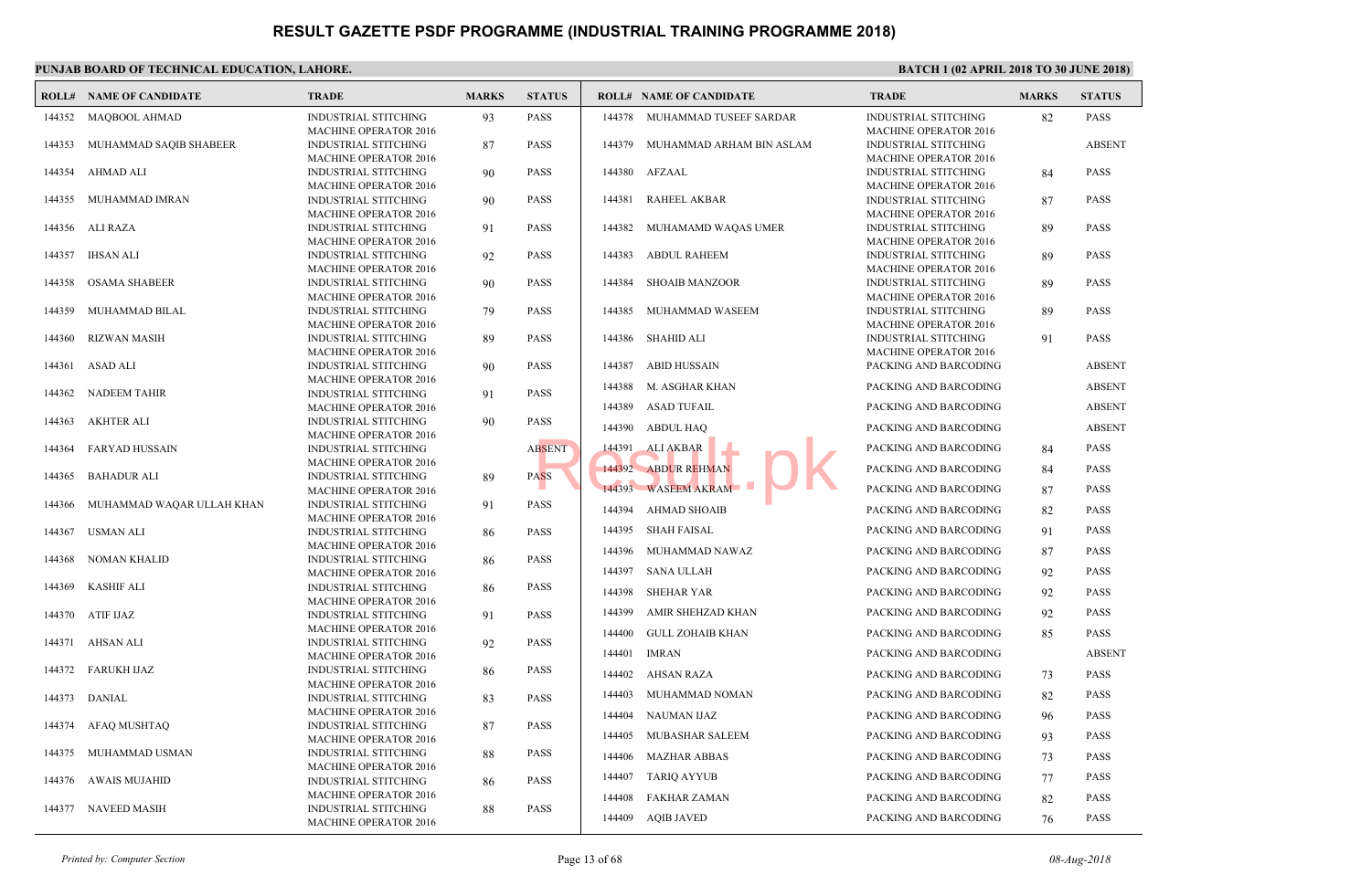#### **PUNJAB BOARD OF TECHNICAL EDUCATION, LAHORE. ROLL# NAME OF CANDIDATE TRADE MARKS STATUS ROLL# NAME OF CANDIDATE TRADE MARKS STATUS** INDUSTRIAL STITCHING 93 PASS MACHINE OPERATOR 2016 144352 MAQBOOL AHMAD INDUSTRIAL STITCHING 87 PASS MACHINE OPERATOR 2016 144353 MUHAMMAD SAQIB SHABEER INDUSTRIAL STITCHING 90 PASS MACHINE OPERATOR 2016 144354 AHMAD ALI INDUSTRIAL STITCHING 90 PASS MACHINE OPERATOR 2016 144355 MUHAMMAD IMRAN INDUSTRIAL STITCHING 91 PASS MACHINE OPERATOR 2016 144356 ALI RAZA INDUSTRIAL STITCHING 92 PASS MACHINE OPERATOR 2016 144357 IHSAN ALI INDUSTRIAL STITCHING 90 PASS MACHINE OPERATOR 2016 144358 OSAMA SHABEER INDUSTRIAL STITCHING 79 PASS MACHINE OPERATOR 2016 144359 MUHAMMAD BILAL INDUSTRIAL STITCHING 89 PASS MACHINE OPERATOR 2016 144360 RIZWAN MASIH INDUSTRIAL STITCHING 90 PASS MACHINE OPERATOR 2016 144361 ASAD ALI INDUSTRIAL STITCHING 91 PASS MACHINE OPERATOR 2016 144362 NADEEM TAHIR INDUSTRIAL STITCHING 90 PASS MACHINE OPERATOR 2016 144363 AKHTER ALI INDUSTRIAL STITCHING ABSENT MACHINE OPERATOR 2016 144364 FARYAD HUSSAIN INDUSTRIAL STITCHING 89 PASS MACHINE OPERATOR 2016 144365 BAHADUR ALI INDUSTRIAL STITCHING 91 PASS MACHINE OPERATOR 2016 144366 MUHAMMAD WAQAR ULLAH KHAN INDUSTRIAL STITCHING 86 PASS MACHINE OPERATOR 2016 144367 USMAN ALI INDUSTRIAL STITCHING 86 PASS MACHINE OPERATOR 2016 144368 NOMAN KHALID INDUSTRIAL STITCHING 86 PASS MACHINE OPERATOR 2016 144369 KASHIF ALI INDUSTRIAL STITCHING 91 PASS MACHINE OPERATOR 2016 144370 ATIF IJAZ INDUSTRIAL STITCHING 92 PASS MACHINE OPERATOR 2016 144371 AHSAN ALI INDUSTRIAL STITCHING 86 PASS MACHINE OPERATOR 2016 144372 FARUKH IJAZ INDUSTRIAL STITCHING 83 PASS MACHINE OPERATOR 2016 144373 DANIAL INDUSTRIAL STITCHING 87 PASS MACHINE OPERATOR 2016 144374 AFAQ MUSHTAQ INDUSTRIAL STITCHING 88 PASS MACHINE OPERATOR 2016 144375 MUHAMMAD USMAN INDUSTRIAL STITCHING 86 PASS MACHINE OPERATOR 2016 144376 AWAIS MUJAHID INDUSTRIAL STITCHING 88 PASS MACHINE OPERATOR 2016 144377 NAVEED MASIH INDUS **MACH**  144378 MUHAMMAD TUSEEF SARDAR INDUS **MACH**  [144379 MUHAMMAD ARHAM BIN ASLAM](http://www.result.pk/) **INDUS** MAC<sub>H</sub> 144380 AFZAAL INDUS **MACH**  144381 RAHEEL AKBAR INDUS **MACH**  144382 MUHAMAMD WAQAS UMER INDUS MACH<sub>1</sub> 144383 ABDUL RAHEEM INDUS MACH<sub>1</sub> 144384 SHOAIB MANZOOR INDUS MAC<sub>H</sub> 144385 MUHAMMAD WASEEM INDUS MACH<sub>1</sub> 144386 SHAHID ALI 144387 ABID HUSSAIN PACKI 144388 M. ASGHAR KHAN PACKI 144389 ASAD TUFAIL PACKI 144390 ABDUL HAQ PACKI 144391 ALIAKBAR **PACKING AND BARK** 144392 ABDUR REHMAN PACKI 144393 WASEEM AKRAM PACKING BACKI 144394 AHMAD SHOAIB PACKI 144395 SHAH FAISAL PACKI 144396 MUHAMMAD NAWAZ PACKI 144397 SANA ULLAH PACKI 144398 SHEHAR YAR PACKI 144399 AMIR SHEHZAD KHAN PACKI 144400 GULL ZOHAIB KHAN PACKI 144401 IMRAN PACKI 144402 AHSAN RAZA PACKI 144403 MUHAMMAD NOMAN PACKI 144404 NAUMAN IJAZ PACKI 144405 MUBASHAR SALEEM PACKI 144406 MAZHAR ABBAS PACKI 144407 TARIQ AYYUB PACKI 144408 FAKHAR ZAMAN PACKI 144409 AQIB JAVED PACKI RESENT 144391 ALI AKBAR<br>ASS 144392 ABDUR REHMAN<br>144393 WASEEM AKRAM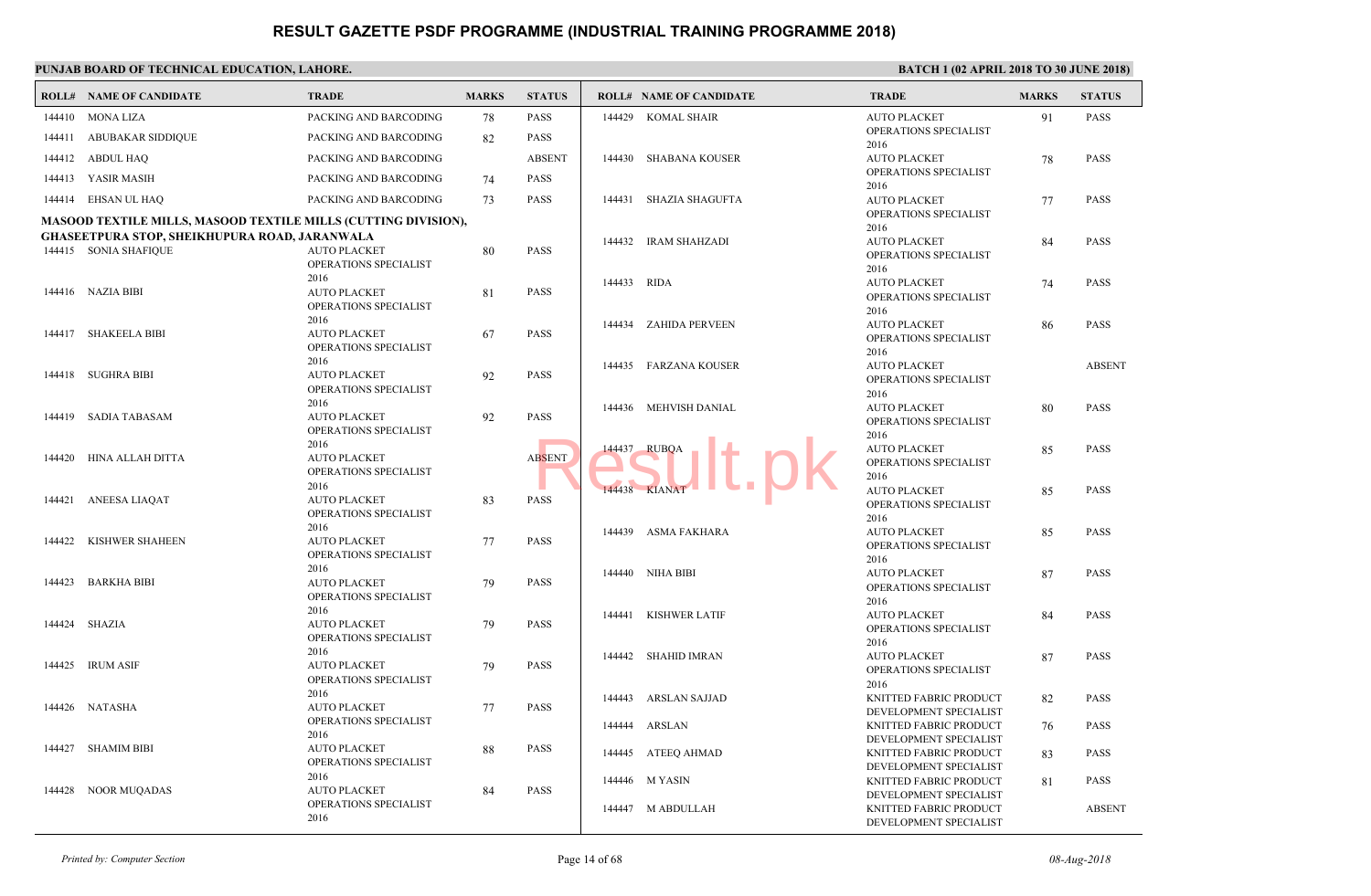#### **PUNJAB BOARD OF TECHNICAL EDUCATION, LAHORE. ROLL# NAME OF CANDIDATE TRADE MARKS STATUS ROLL# NAME OF CANDIDATE TRADE MARKS STATUS** 144410 MONA LIZA PACKING AND BARCODING 78 PASS 144411 ABUBAKAR SIDDIQUE PACKING AND BARCODING 82 PASS 144412 ABDUL HAQ PACKING AND BARCODING ABSENT 144413 YASIR MASIH PACKING AND BARCODING 74 PASS 144414 EHSAN UL HAQ PACKING AND BARCODING 73 PASS **MASOOD TEXTILE MILLS, MASOOD TEXTILE MILLS (CUTTING DIVISION), GHASEETPURA STOP, SHEIKHUPURA ROAD, JARANWALA** AUTO PLACKET 80 PASS OPERATIONS SPECIALIST 2016 144415 SONIA SHAFIQUE AUTO PLACKET 81 PASS OPERATIONS SPECIALIST 2016 144416 NAZIA BIBI AUTO PLACKET 67 PASS OPERATIONS SPECIALIST 2016 144417 SHAKEELA BIBI AUTO PLACKET 92 PASS OPERATIONS SPECIALIST 2016 144418 SUGHRA BIBI AUTO PLACKET 92 PASS OPERATIONS SPECIALIST 2016 144419 SADIA TABASAM AUTO PLACKET ABSENT OPERATIONS SPECIALIST 2016 144420 HINA ALLAH DITTA AUTO PLACKET 83 PASS OPERATIONS SPECIALIST 2016 144421 ANEESA LIAQAT AUTO PLACKET 77 PASS OPERATIONS SPECIALIST 2016 144422 KISHWER SHAHEEN AUTO PLACKET 79 PASS OPERATIONS SPECIALIST 2016 144423 BARKHA BIBI AUTO PLACKET 79 PASS OPERATIONS SPECIALIST 2016 144424 SHAZIA AUTO PLACKET 79 PASS OPERATIONS SPECIALIST 2016 144425 IRUM ASIF AUTO PLACKET 77 PASS OPERATIONS SPECIALIST 2016 144426 NATASHA AUTO PLACKET 88 PASS OPERATIONS SPECIALIST 2016 144427 SHAMIM BIBI AUTO PLACKET 84 PASS OPERATIONS SPECIALIST 2016 144428 NOOR MUQADAS AUTO OPER<sub>4</sub> 2016 144429 KOMAL SHAIR AUTO OPER<sub>A</sub> 2016 144430 SHABANA KOUSER AUTO OPER<sub>4</sub> 2016  [144431 SHAZIA SHAGUFTA](http://www.result.pk/) AUTO OPER<sub>4</sub> 2016 144432 IRAM SHAHZADI AUTO OPER<sub>4</sub> 2016 144433 RIDA AUTO OPER<sub>4</sub> 2016 144434 ZAHIDA PERVEEN AUTO OPER<sub>A</sub> 2016 144435 FARZANA KOUSER AUTO OPER<sub>4</sub> 2016 144436 MEHVISH DANIAL AUTO OPER<sub>4</sub> 2016 144437 RUBQA AUTO OPER<sub>4</sub> 2016 144438 KIANAT AUTO OPER<sub>A</sub> 2016 144439 ASMA FAKHARA AUTO OPER<sub>4</sub> 2016 144440 NIHA BIBI AUTO OPER<sub>4</sub> 2016 144441 KISHWER LATIF AUTO OPER<sub>4</sub> 2016 144442 SHAHID IMRAN KNITT DEVE<sub>l</sub> 144443 ARSLAN SAJJAD KNITT DEVE<sub>l</sub> 144444 ARSLAN KNITT DEVE<sub>l</sub> 144445 ATEEQ AHMAD KNITT DEVE<sub>l</sub> 144446 M YASIN **KNITT** DEVEL 144447 M ABDULLAH RSENT 144437 RUBQA 1 1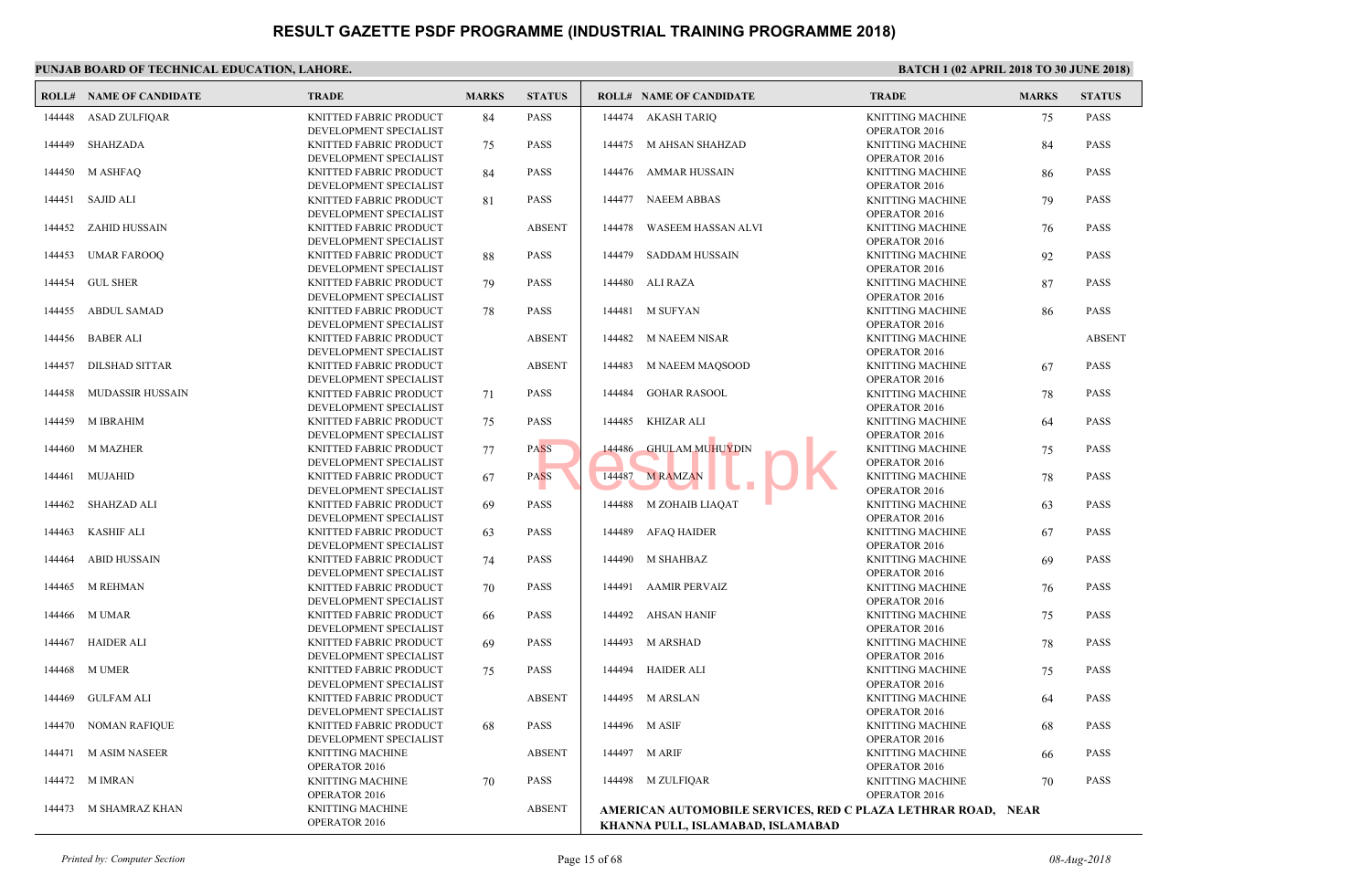|        | <b>ROLL# NAME OF CANDIDATE</b> | <b>TRADE</b>                                                               | <b>MARKS</b> | <b>STATUS</b> |        | <b>ROLL# NAME OF CANDIDATE</b>                                                 | <b>TRAL</b>                    |
|--------|--------------------------------|----------------------------------------------------------------------------|--------------|---------------|--------|--------------------------------------------------------------------------------|--------------------------------|
| 144448 | <b>ASAD ZULFIQAR</b>           | KNITTED FABRIC PRODUCT<br>DEVELOPMENT SPECIALIST                           | 84           | <b>PASS</b>   |        | 144474 AKASH TARIO                                                             | <b>KNITT</b><br>OPER/          |
| 144449 | SHAHZADA                       | KNITTED FABRIC PRODUCT                                                     | 75           | <b>PASS</b>   |        | 144475 M AHSAN SHAHZAD                                                         | <b>KNITT</b>                   |
| 144450 | M ASHFAQ                       | DEVELOPMENT SPECIALIST<br>KNITTED FABRIC PRODUCT                           | 84           | <b>PASS</b>   |        | 144476 AMMAR HUSSAIN                                                           | OPER/<br><b>KNITT</b>          |
| 144451 | SAJID ALI                      | DEVELOPMENT SPECIALIST<br>KNITTED FABRIC PRODUCT                           | 81           | <b>PASS</b>   | 144477 | <b>NAEEM ABBAS</b>                                                             | OPER/<br><b>KNITT</b>          |
| 144452 | ZAHID HUSSAIN                  | DEVELOPMENT SPECIALIST<br>KNITTED FABRIC PRODUCT                           |              | <b>ABSENT</b> | 144478 | WASEEM HASSAN ALVI                                                             | OPER/<br><b>KNITT</b>          |
| 144453 | <b>UMAR FAROOQ</b>             | DEVELOPMENT SPECIALIST<br>KNITTED FABRIC PRODUCT                           | 88           | <b>PASS</b>   | 144479 | SADDAM HUSSAIN                                                                 | OPER/<br><b>KNITT</b>          |
| 144454 | <b>GUL SHER</b>                | DEVELOPMENT SPECIALIST<br>KNITTED FABRIC PRODUCT                           | 79           | <b>PASS</b>   | 144480 | ALI RAZA                                                                       | OPER/<br><b>KNITT</b>          |
| 144455 | <b>ABDUL SAMAD</b>             | DEVELOPMENT SPECIALIST<br>KNITTED FABRIC PRODUCT                           | 78           | <b>PASS</b>   | 144481 | <b>M SUFYAN</b>                                                                | OPER/<br><b>KNITT</b><br>OPER/ |
| 144456 | <b>BABER ALI</b>               | DEVELOPMENT SPECIALIST<br>KNITTED FABRIC PRODUCT<br>DEVELOPMENT SPECIALIST |              | <b>ABSENT</b> | 144482 | M NAEEM NISAR                                                                  | <b>KNITT</b><br>OPER/          |
| 144457 | <b>DILSHAD SITTAR</b>          | KNITTED FABRIC PRODUCT                                                     |              | <b>ABSENT</b> | 144483 | M NAEEM MAQSOOD                                                                | <b>KNITT</b><br>OPER/          |
| 144458 | <b>MUDASSIR HUSSAIN</b>        | DEVELOPMENT SPECIALIST<br>KNITTED FABRIC PRODUCT<br>DEVELOPMENT SPECIALIST | 71           | <b>PASS</b>   | 144484 | <b>GOHAR RASOOL</b>                                                            | <b>KNITT</b><br>OPER/          |
| 144459 | <b>M IBRAHIM</b>               | KNITTED FABRIC PRODUCT<br>DEVELOPMENT SPECIALIST                           | 75           | <b>PASS</b>   | 144485 | KHIZAR ALI                                                                     | <b>KNITT</b><br>OPER/          |
| 144460 | <b>M MAZHER</b>                | KNITTED FABRIC PRODUCT<br>DEVELOPMENT SPECIALIST                           | 77           | <b>PASS</b>   | 144486 | <b>GHULAM MUHUYDIN</b>                                                         | <b>KNITT</b><br>OPER/          |
| 144461 | MUJAHID                        | KNITTED FABRIC PRODUCT<br>DEVELOPMENT SPECIALIST                           | 67           | <b>PASS</b>   | 144487 | <b>M RAMZAN</b>                                                                | <b>KNITT</b><br>OPER/          |
| 144462 | SHAHZAD ALI                    | KNITTED FABRIC PRODUCT<br>DEVELOPMENT SPECIALIST                           | 69           | <b>PASS</b>   | 144488 | M ZOHAIB LIAQAT                                                                | <b>KNITT</b><br>OPER/          |
| 144463 | <b>KASHIF ALI</b>              | KNITTED FABRIC PRODUCT<br>DEVELOPMENT SPECIALIST                           | 63           | <b>PASS</b>   | 144489 | AFAQ HAIDER                                                                    | <b>KNITT</b><br>OPER/          |
| 144464 | <b>ABID HUSSAIN</b>            | KNITTED FABRIC PRODUCT<br>DEVELOPMENT SPECIALIST                           | 74           | <b>PASS</b>   | 144490 | M SHAHBAZ                                                                      | <b>KNITT</b><br>OPER/          |
| 144465 | <b>M REHMAN</b>                | KNITTED FABRIC PRODUCT<br>DEVELOPMENT SPECIALIST                           | 70           | <b>PASS</b>   | 144491 | <b>AAMIR PERVAIZ</b>                                                           | <b>KNITT</b><br>OPER/          |
| 144466 | M UMAR                         | KNITTED FABRIC PRODUCT<br>DEVELOPMENT SPECIALIST                           | 66           | <b>PASS</b>   | 144492 | AHSAN HANIF                                                                    | <b>KNITT</b><br>OPER/          |
| 144467 | <b>HAIDER ALI</b>              | KNITTED FABRIC PRODUCT                                                     | 69           | <b>PASS</b>   | 144493 | M ARSHAD                                                                       | <b>KNITT</b><br>OPER/          |
| 144468 | M UMER                         | DEVELOPMENT SPECIALIST<br>KNITTED FABRIC PRODUCT<br>DEVELOPMENT SPECIALIST | 75           | <b>PASS</b>   | 144494 | HAIDER ALI                                                                     | <b>KNITT</b><br>OPER/          |
| 144469 | <b>GULFAM ALI</b>              | KNITTED FABRIC PRODUCT<br>DEVELOPMENT SPECIALIST                           |              | <b>ABSENT</b> |        | 144495 M ARSLAN                                                                | <b>KNITT</b><br>OPER/          |
| 144470 | <b>NOMAN RAFIQUE</b>           | KNITTED FABRIC PRODUCT                                                     | 68           | <b>PASS</b>   |        | 144496 M ASIF                                                                  | <b>KNITT</b><br>OPER/          |
| 144471 | <b>M ASIM NASEER</b>           | DEVELOPMENT SPECIALIST<br>KNITTING MACHINE                                 |              | <b>ABSENT</b> |        | 144497 M ARIF                                                                  | <b>KNITT</b><br><b>OPER</b>    |
| 144472 | M IMRAN                        | OPERATOR 2016<br>KNITTING MACHINE                                          | 70           | <b>PASS</b>   |        | 144498 M ZULFIQAR                                                              | <b>KNITT</b>                   |
| 144473 | M SHAMRAZ KHAN                 | OPERATOR 2016<br><b>KNITTING MACHINE</b><br>OPERATOR 2016                  |              | <b>ABSENT</b> |        | AMERICAN AUTOMOBILE SERVICES, RED C PLAZA<br>KHANNA PULL, ISLAMABAD, ISLAMABAD | OPER/                          |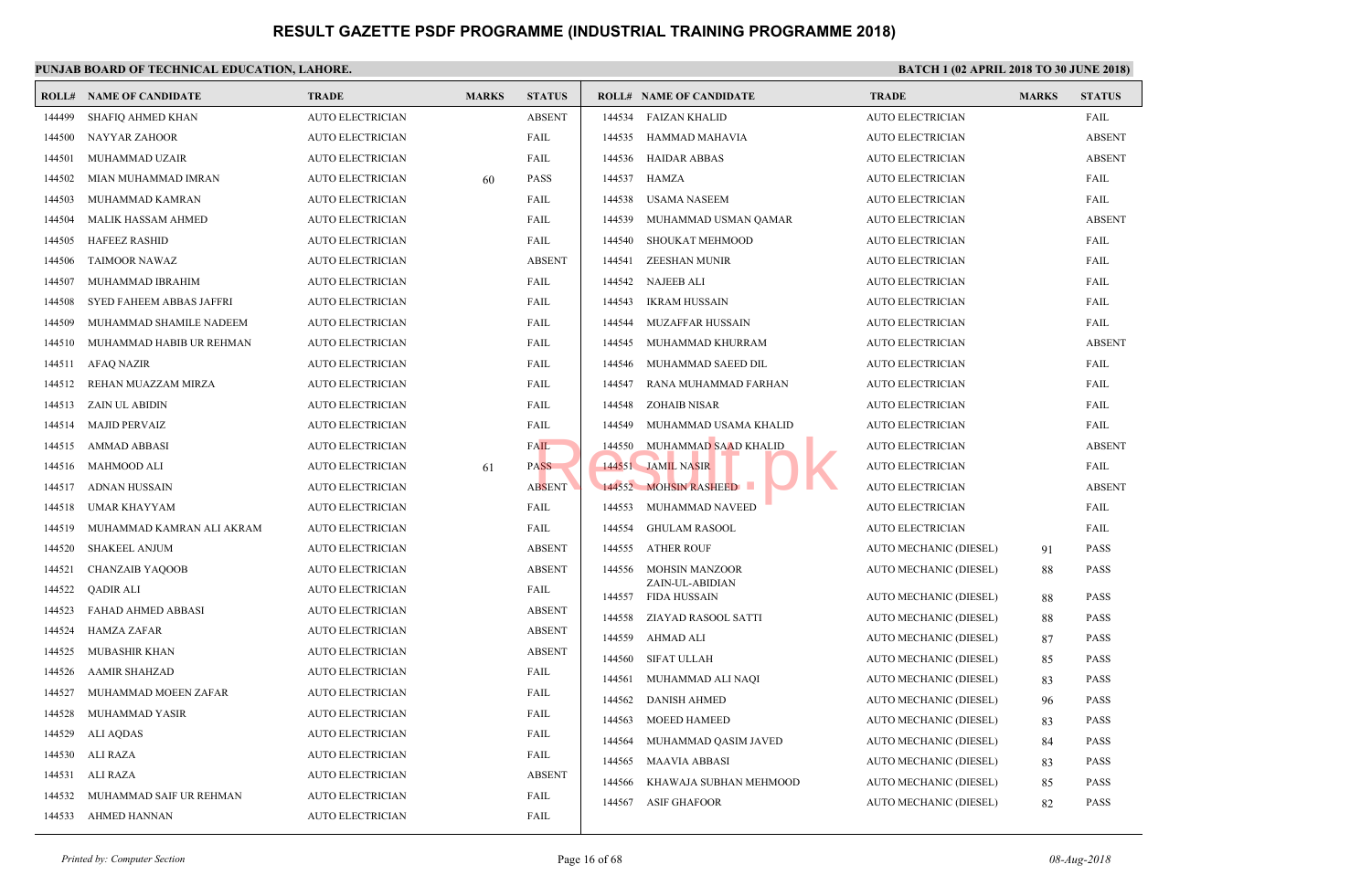|        | <b>ROLL# NAME OF CANDIDATE</b>  | <b>TRADE</b>            | <b>MARKS</b> | <b>STATUS</b> |        | <b>ROLL# NAME OF CANDIDATE</b>  | TRAD        |
|--------|---------------------------------|-------------------------|--------------|---------------|--------|---------------------------------|-------------|
| 144499 | SHAFIQ AHMED KHAN               | <b>AUTO ELECTRICIAN</b> |              | <b>ABSENT</b> | 144534 | <b>FAIZAN KHALID</b>            | <b>AUTO</b> |
| 144500 | <b>NAYYAR ZAHOOR</b>            | <b>AUTO ELECTRICIAN</b> |              | FAIL          | 144535 | HAMMAD MAHAVIA                  | <b>AUTO</b> |
| 144501 | MUHAMMAD UZAIR                  | AUTO ELECTRICIAN        |              | FAIL          | 144536 | <b>HAIDAR ABBAS</b>             | <b>AUTO</b> |
| 144502 | MIAN MUHAMMAD IMRAN             | AUTO ELECTRICIAN        | 60           | <b>PASS</b>   | 144537 | HAMZA                           | <b>AUTO</b> |
| 144503 | MUHAMMAD KAMRAN                 | <b>AUTO ELECTRICIAN</b> |              | FAIL          | 144538 | <b>USAMA NASEEM</b>             | <b>AUTO</b> |
| 144504 | <b>MALIK HASSAM AHMED</b>       | <b>AUTO ELECTRICIAN</b> |              | FAIL          | 144539 | MUHAMMAD USMAN QAMAR            | <b>AUTO</b> |
| 144505 | <b>HAFEEZ RASHID</b>            | <b>AUTO ELECTRICIAN</b> |              | FAIL          | 144540 | SHOUKAT MEHMOOD                 | <b>AUTO</b> |
| 144506 | <b>TAIMOOR NAWAZ</b>            | AUTO ELECTRICIAN        |              | <b>ABSENT</b> | 144541 | <b>ZEESHAN MUNIR</b>            | <b>AUTO</b> |
| 144507 | MUHAMMAD IBRAHIM                | <b>AUTO ELECTRICIAN</b> |              | FAIL          | 144542 | <b>NAJEEB ALI</b>               | <b>AUTO</b> |
| 144508 | <b>SYED FAHEEM ABBAS JAFFRI</b> | <b>AUTO ELECTRICIAN</b> |              | FAIL          | 144543 | <b>IKRAM HUSSAIN</b>            | <b>AUTO</b> |
| 144509 | MUHAMMAD SHAMILE NADEEM         | <b>AUTO ELECTRICIAN</b> |              | FAIL          | 144544 | MUZAFFAR HUSSAIN                | <b>AUTO</b> |
| 144510 | MUHAMMAD HABIB UR REHMAN        | <b>AUTO ELECTRICIAN</b> |              | FAIL          | 144545 | MUHAMMAD KHURRAM                | <b>AUTO</b> |
| 144511 | <b>AFAQ NAZIR</b>               | <b>AUTO ELECTRICIAN</b> |              | FAIL          | 144546 | MUHAMMAD SAEED DIL              | <b>AUTO</b> |
| 144512 | REHAN MUAZZAM MIRZA             | <b>AUTO ELECTRICIAN</b> |              | FAIL          | 144547 | RANA MUHAMMAD FARHAN            | <b>AUTO</b> |
| 144513 | ZAIN UL ABIDIN                  | AUTO ELECTRICIAN        |              | FAIL          | 144548 | <b>ZOHAIB NISAR</b>             | <b>AUTO</b> |
| 144514 | <b>MAJID PERVAIZ</b>            | <b>AUTO ELECTRICIAN</b> |              | FAIL          | 144549 | MUHAMMAD USAMA KHALID           | <b>AUTO</b> |
| 144515 | <b>AMMAD ABBASI</b>             | <b>AUTO ELECTRICIAN</b> |              | <b>FAIL</b>   | 144550 | MUHAMMAD SAAD KHALID            | <b>AUTO</b> |
| 144516 | MAHMOOD ALI                     | <b>AUTO ELECTRICIAN</b> | 61           | <b>PASS</b>   |        | 144551 JAMIL NASIR              | <b>AUTO</b> |
| 144517 | <b>ADNAN HUSSAIN</b>            | <b>AUTO ELECTRICIAN</b> |              | <b>ABSENT</b> |        | 144552 MOHSIN RASHEED           | <b>AUTO</b> |
| 144518 | UMAR KHAYYAM                    | AUTO ELECTRICIAN        |              | FAIL          | 144553 | MUHAMMAD NAVEED                 | <b>AUTO</b> |
| 144519 | MUHAMMAD KAMRAN ALI AKRAM       | <b>AUTO ELECTRICIAN</b> |              | FAIL          | 144554 | <b>GHULAM RASOOL</b>            | <b>AUTO</b> |
| 144520 | <b>SHAKEEL ANJUM</b>            | <b>AUTO ELECTRICIAN</b> |              | <b>ABSENT</b> | 144555 | <b>ATHER ROUF</b>               | <b>AUTO</b> |
| 144521 | <b>CHANZAIB YAQOOB</b>          | AUTO ELECTRICIAN        |              | <b>ABSENT</b> | 144556 | <b>MOHSIN MANZOOR</b>           | <b>AUTO</b> |
| 144522 | <b>QADIR ALI</b>                | <b>AUTO ELECTRICIAN</b> |              | FAIL          | 144557 | ZAIN-UL-ABIDIAN<br>FIDA HUSSAIN | <b>AUTO</b> |
| 144523 | <b>FAHAD AHMED ABBASI</b>       | <b>AUTO ELECTRICIAN</b> |              | <b>ABSENT</b> | 144558 | ZIAYAD RASOOL SATTI             | <b>AUTO</b> |
| 144524 | HAMZA ZAFAR                     | AUTO ELECTRICIAN        |              | <b>ABSENT</b> | 144559 | AHMAD ALI                       | <b>AUTO</b> |
| 144525 | MUBASHIR KHAN                   | AUTO ELECTRICIAN        |              | <b>ABSENT</b> | 144560 | <b>SIFAT ULLAH</b>              | <b>AUTO</b> |
| 144526 | <b>AAMIR SHAHZAD</b>            | AUTO ELECTRICIAN        |              | FAIL          | 144561 | MUHAMMAD ALI NAQI               | <b>AUTO</b> |
| 144527 | MUHAMMAD MOEEN ZAFAR            | <b>AUTO ELECTRICIAN</b> |              | FAIL          | 144562 | <b>DANISH AHMED</b>             | <b>AUTO</b> |
| 144528 | MUHAMMAD YASIR                  | <b>AUTO ELECTRICIAN</b> |              | FAIL          | 144563 | MOEED HAMEED                    | <b>AUTO</b> |
| 144529 | ALI AQDAS                       | <b>AUTO ELECTRICIAN</b> |              | FAIL          | 144564 | MUHAMMAD QASIM JAVED            | <b>AUTO</b> |
| 144530 | ALI RAZA                        | AUTO ELECTRICIAN        |              | FAIL          | 144565 | <b>MAAVIA ABBASI</b>            | <b>AUTO</b> |
| 144531 | ALI RAZA                        | <b>AUTO ELECTRICIAN</b> |              | <b>ABSENT</b> | 144566 | KHAWAJA SUBHAN MEHMOOD          | <b>AUTO</b> |
| 144532 | MUHAMMAD SAIF UR REHMAN         | <b>AUTO ELECTRICIAN</b> |              | FAIL          | 144567 | <b>ASIF GHAFOOR</b>             | <b>AUTO</b> |
| 144533 | AHMED HANNAN                    | <b>AUTO ELECTRICIAN</b> |              | FAIL          |        |                                 |             |
|        |                                 |                         |              |               |        |                                 |             |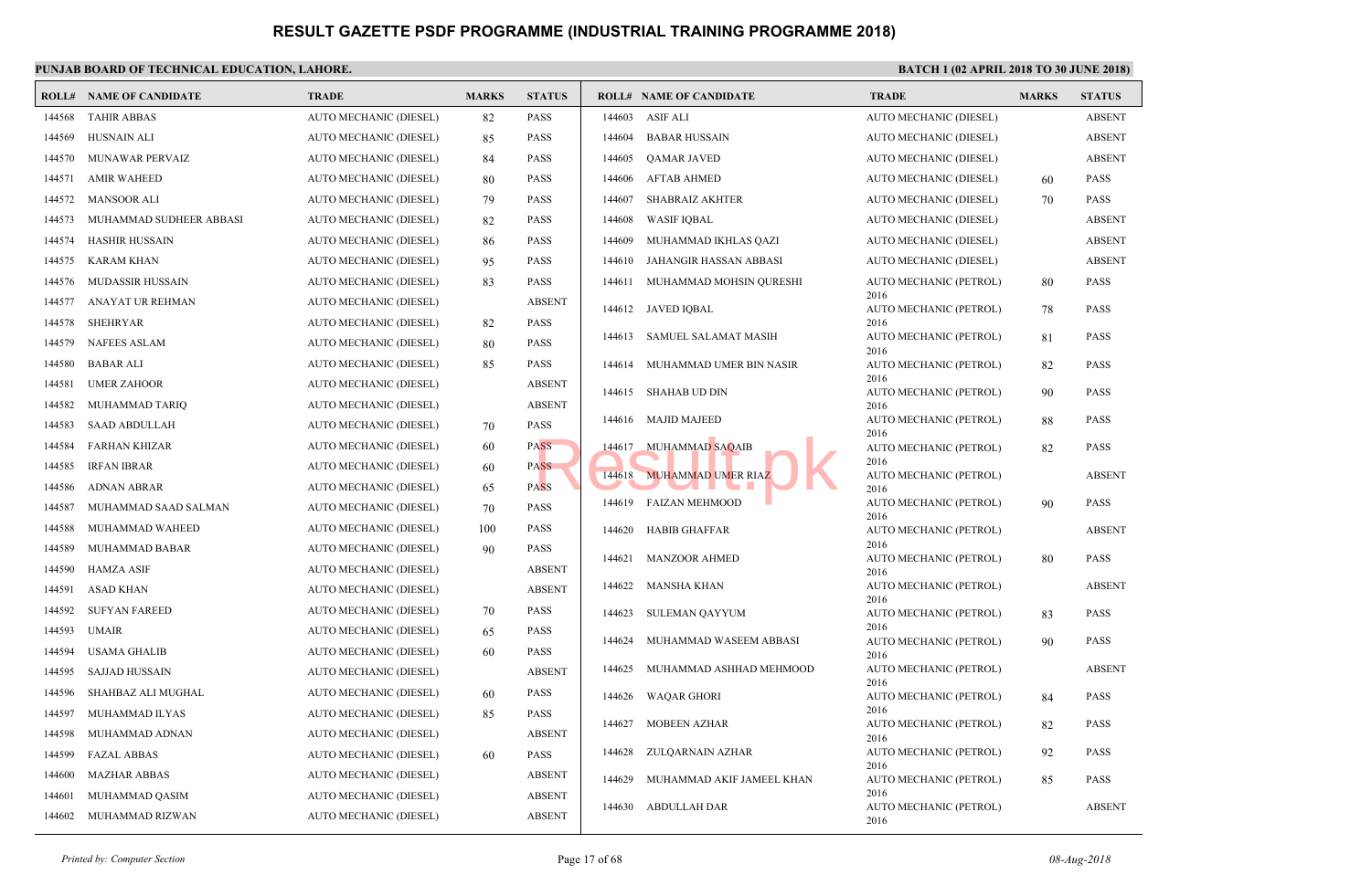| ROLL#  | NAME OF CANDIDATE       | <b>TRADE</b>           | <b>MARKS</b> | <b>STATUS</b> |        | <b>ROLL# NAME OF CANDIDATE</b> | <b>TRAL</b>         |
|--------|-------------------------|------------------------|--------------|---------------|--------|--------------------------------|---------------------|
| 144568 | <b>TAHIR ABBAS</b>      | AUTO MECHANIC (DIESEL) | 82           | <b>PASS</b>   | 144603 | <b>ASIF ALI</b>                | <b>AUTO</b>         |
| 144569 | <b>HUSNAIN ALI</b>      | AUTO MECHANIC (DIESEL) | 85           | <b>PASS</b>   | 144604 | <b>BABAR HUSSAIN</b>           | <b>AUTO</b>         |
| 144570 | MUNAWAR PERVAIZ         | AUTO MECHANIC (DIESEL) | 84           | <b>PASS</b>   | 144605 | <b>QAMAR JAVED</b>             | <b>AUTO</b>         |
| 144571 | <b>AMIR WAHEED</b>      | AUTO MECHANIC (DIESEL) | 80           | <b>PASS</b>   | 144606 | <b>AFTAB AHMED</b>             | <b>AUTO</b>         |
| 144572 | <b>MANSOOR ALI</b>      | AUTO MECHANIC (DIESEL) | 79           | <b>PASS</b>   | 144607 | <b>SHABRAIZ AKHTER</b>         | <b>AUTO</b>         |
| 144573 | MUHAMMAD SUDHEER ABBASI | AUTO MECHANIC (DIESEL) | 82           | <b>PASS</b>   | 144608 | <b>WASIF IQBAL</b>             | <b>AUTO</b>         |
| 144574 | <b>HASHIR HUSSAIN</b>   | AUTO MECHANIC (DIESEL) | 86           | <b>PASS</b>   | 144609 | MUHAMMAD IKHLAS QAZI           | <b>AUTO</b>         |
| 144575 | <b>KARAM KHAN</b>       | AUTO MECHANIC (DIESEL) | 95           | <b>PASS</b>   | 144610 | JAHANGIR HASSAN ABBASI         | <b>AUTO</b>         |
| 144576 | MUDASSIR HUSSAIN        | AUTO MECHANIC (DIESEL) | 83           | <b>PASS</b>   | 144611 | MUHAMMAD MOHSIN QURESHI        | <b>AUTO</b>         |
| 144577 | ANAYAT UR REHMAN        | AUTO MECHANIC (DIESEL) |              | <b>ABSENT</b> | 144612 | <b>JAVED IQBAL</b>             | 2016<br><b>AUTO</b> |
| 144578 | <b>SHEHRYAR</b>         | AUTO MECHANIC (DIESEL) | 82           | <b>PASS</b>   |        |                                | 2016                |
| 144579 | <b>NAFEES ASLAM</b>     | AUTO MECHANIC (DIESEL) | 80           | <b>PASS</b>   | 144613 | SAMUEL SALAMAT MASIH           | <b>AUTO</b><br>2016 |
| 144580 | <b>BABAR ALI</b>        | AUTO MECHANIC (DIESEL) | 85           | <b>PASS</b>   | 144614 | MUHAMMAD UMER BIN NASIR        | <b>AUTO</b>         |
| 144581 | <b>UMER ZAHOOR</b>      | AUTO MECHANIC (DIESEL) |              | <b>ABSENT</b> | 144615 | SHAHAB UD DIN                  | 2016<br><b>AUTO</b> |
| 144582 | MUHAMMAD TARIQ          | AUTO MECHANIC (DIESEL) |              | <b>ABSENT</b> |        |                                | 2016                |
| 144583 | <b>SAAD ABDULLAH</b>    | AUTO MECHANIC (DIESEL) | 70           | <b>PASS</b>   | 144616 | <b>MAJID MAJEED</b>            | <b>AUTO</b><br>2016 |
| 144584 | <b>FARHAN KHIZAR</b>    | AUTO MECHANIC (DIESEL) | 60           | <b>PASS</b>   | 144617 | MUHAMMAD SAQAIB                | <b>AUTO</b>         |
| 144585 | <b>IRFAN IBRAR</b>      | AUTO MECHANIC (DIESEL) | 60           | <b>PASS</b>   | 144618 | MUHAMMAD UMER RIAZ             | 2016<br><b>AUTO</b> |
| 144586 | <b>ADNAN ABRAR</b>      | AUTO MECHANIC (DIESEL) | 65           | <b>PASS</b>   |        | a se                           | 2016                |
| 144587 | MUHAMMAD SAAD SALMAN    | AUTO MECHANIC (DIESEL) | 70           | <b>PASS</b>   | 144619 | <b>FAIZAN MEHMOOD</b>          | <b>AUTO</b><br>2016 |
| 144588 | MUHAMMAD WAHEED         | AUTO MECHANIC (DIESEL) | 100          | <b>PASS</b>   | 144620 | <b>HABIB GHAFFAR</b>           | <b>AUTO</b>         |
| 144589 | MUHAMMAD BABAR          | AUTO MECHANIC (DIESEL) | 90           | <b>PASS</b>   | 144621 | <b>MANZOOR AHMED</b>           | 2016<br><b>AUTO</b> |
| 144590 | <b>HAMZA ASIF</b>       | AUTO MECHANIC (DIESEL) |              | <b>ABSENT</b> |        |                                | 2016                |
| 144591 | <b>ASAD KHAN</b>        | AUTO MECHANIC (DIESEL) |              | <b>ABSENT</b> | 144622 | <b>MANSHA KHAN</b>             | <b>AUTO</b><br>2016 |
| 144592 | <b>SUFYAN FAREED</b>    | AUTO MECHANIC (DIESEL) | 70           | <b>PASS</b>   | 144623 | <b>SULEMAN QAYYUM</b>          | <b>AUTO</b>         |
| 144593 | <b>UMAIR</b>            | AUTO MECHANIC (DIESEL) | 65           | <b>PASS</b>   | 144624 | MUHAMMAD WASEEM ABBASI         | 2016<br><b>AUTO</b> |
| 144594 | <b>USAMA GHALIB</b>     | AUTO MECHANIC (DIESEL) | 60           | <b>PASS</b>   |        |                                | 2016                |
| 144595 | SAJJAD HUSSAIN          | AUTO MECHANIC (DIESEL) |              | <b>ABSENT</b> | 144625 | MUHAMMAD ASHHAD MEHMOOD        | <b>AUTO</b><br>2016 |
| 144596 | SHAHBAZ ALI MUGHAL      | AUTO MECHANIC (DIESEL) | 60           | <b>PASS</b>   | 144626 | <b>WAQAR GHORI</b>             | <b>AUTO</b>         |
| 144597 | MUHAMMAD ILYAS          | AUTO MECHANIC (DIESEL) | 85           | <b>PASS</b>   | 144627 |                                | 2016                |
| 144598 | MUHAMMAD ADNAN          | AUTO MECHANIC (DIESEL) |              | <b>ABSENT</b> |        | <b>MOBEEN AZHAR</b>            | <b>AUTO</b><br>2016 |
| 144599 | <b>FAZAL ABBAS</b>      | AUTO MECHANIC (DIESEL) | 60           | <b>PASS</b>   | 144628 | ZULQARNAIN AZHAR               | <b>AUTO</b>         |
| 144600 | <b>MAZHAR ABBAS</b>     | AUTO MECHANIC (DIESEL) |              | <b>ABSENT</b> | 144629 | MUHAMMAD AKIF JAMEEL KHAN      | 2016<br><b>AUTO</b> |
| 144601 | MUHAMMAD QASIM          | AUTO MECHANIC (DIESEL) |              | <b>ABSENT</b> |        |                                | 2016                |
| 144602 | MUHAMMAD RIZWAN         | AUTO MECHANIC (DIESEL) |              | <b>ABSENT</b> | 144630 | <b>ABDULLAH DAR</b>            | <b>AUTO</b><br>2016 |
|        |                         |                        |              |               |        |                                |                     |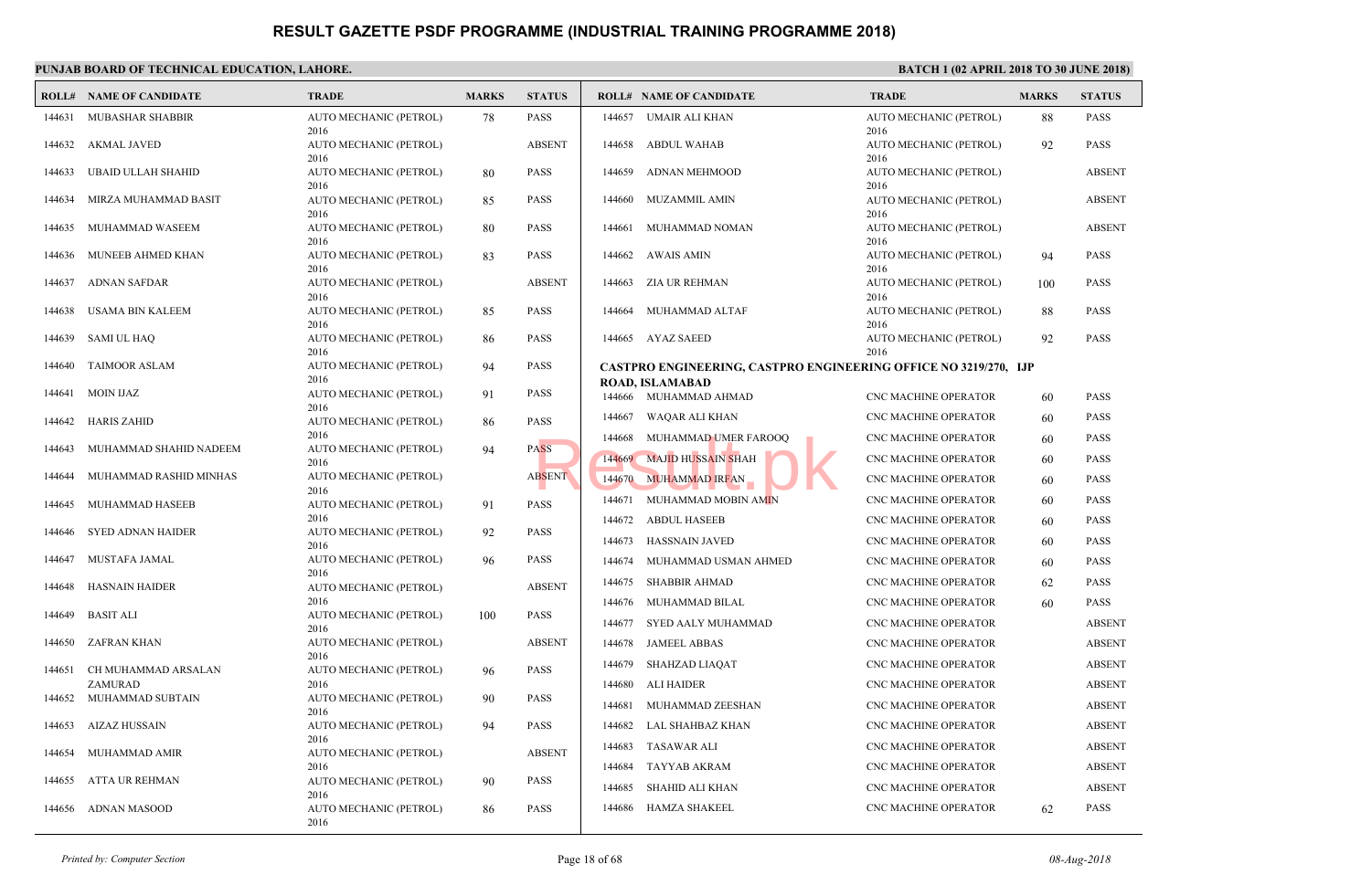|        | <b>ROLL# NAME OF CANDIDATE</b> | <b>TRADE</b>                           | <b>MARKS</b> | <b>STATUS</b> |                  | <b>ROLL# NAME OF CANDIDATE</b>                    | <b>TRAL</b>                          |
|--------|--------------------------------|----------------------------------------|--------------|---------------|------------------|---------------------------------------------------|--------------------------------------|
| 144631 | <b>MUBASHAR SHABBIR</b>        | AUTO MECHANIC (PETROL)<br>2016         | 78           | <b>PASS</b>   | 144657           | UMAIR ALI KHAN                                    | <b>AUTO</b><br>2016                  |
| 144632 | AKMAL JAVED                    | AUTO MECHANIC (PETROL)                 |              | <b>ABSENT</b> | 144658           | <b>ABDUL WAHAB</b>                                | <b>AUTO</b>                          |
| 144633 | UBAID ULLAH SHAHID             | 2016<br>AUTO MECHANIC (PETROL)         | 80           | <b>PASS</b>   | 144659           | ADNAN MEHMOOD                                     | 2016<br><b>AUTO</b>                  |
| 144634 | MIRZA MUHAMMAD BASIT           | 2016<br>AUTO MECHANIC (PETROL)         | 85           | <b>PASS</b>   | 144660           | <b>MUZAMMIL AMIN</b>                              | 2016<br><b>AUTO</b>                  |
| 144635 | MUHAMMAD WASEEM                | 2016<br>AUTO MECHANIC (PETROL)         | 80           | <b>PASS</b>   | 144661           | MUHAMMAD NOMAN                                    | 2016<br><b>AUTO</b>                  |
| 144636 | MUNEEB AHMED KHAN              | 2016<br>AUTO MECHANIC (PETROL)         | 83           | <b>PASS</b>   | 144662           | AWAIS AMIN                                        | 2016<br><b>AUTO</b>                  |
| 144637 | <b>ADNAN SAFDAR</b>            | 2016<br>AUTO MECHANIC (PETROL)<br>2016 |              | <b>ABSENT</b> | 144663           | ZIA UR REHMAN                                     | 2016<br><b>AUTO</b><br>2016          |
| 144638 | USAMA BIN KALEEM               | AUTO MECHANIC (PETROL)                 | 85           | <b>PASS</b>   | 144664           | MUHAMMAD ALTAF                                    | <b>AUTO</b>                          |
| 144639 | <b>SAMI UL HAQ</b>             | 2016<br>AUTO MECHANIC (PETROL)         | 86           | <b>PASS</b>   |                  | 144665 AYAZ SAEED                                 | 2016<br><b>AUTO</b>                  |
| 144640 | <b>TAIMOOR ASLAM</b>           | 2016<br>AUTO MECHANIC (PETROL)         | 94           | <b>PASS</b>   |                  | <b>CASTPRO ENGINEERING, CASTPRO ENGINEERING</b>   | 2016                                 |
| 144641 | MOIN IJAZ                      | 2016<br>AUTO MECHANIC (PETROL)         | 91           | <b>PASS</b>   |                  | <b>ROAD, ISLAMABAD</b><br>144666 MUHAMMAD AHMAD   | CNC <sub>N</sub>                     |
| 144642 | <b>HARIS ZAHID</b>             | 2016<br>AUTO MECHANIC (PETROL)         | 86           | <b>PASS</b>   | 144667           | WAQAR ALI KHAN                                    | CNC <sub>N</sub>                     |
| 144643 | MUHAMMAD SHAHID NADEEM         | 2016<br>AUTO MECHANIC (PETROL)         | 94           | <b>PASS</b>   | 144668           | MUHAMMAD UMER FAROOQ<br>144669 MAJID HUSSAIN SHAH | CNC <sub>N</sub><br>CNC <sub>N</sub> |
| 144644 | MUHAMMAD RASHID MINHAS         | 2016<br>AUTO MECHANIC (PETROL)         |              | <b>ABSENT</b> | 144670           | <b>MUHAMMAD IRFAN</b>                             | CNC <sub>N</sub>                     |
| 144645 | MUHAMMAD HASEEB                | 2016<br>AUTO MECHANIC (PETROL)         | 91           | <b>PASS</b>   | 144671           | MUHAMMAD MOBIN AMIN                               | CNC <sub>N</sub>                     |
| 144646 | <b>SYED ADNAN HAIDER</b>       | 2016<br>AUTO MECHANIC (PETROL)         | 92           | <b>PASS</b>   | 144672<br>144673 | ABDUL HASEEB<br>HASSNAIN JAVED                    | CNC <sub>N</sub><br>CNC <sub>N</sub> |
| 144647 | MUSTAFA JAMAL                  | 2016<br>AUTO MECHANIC (PETROL)         | 96           | <b>PASS</b>   | 144674           | MUHAMMAD USMAN AHMED                              | CNC <sub>N</sub>                     |
| 144648 | HASNAIN HAIDER                 | 2016<br>AUTO MECHANIC (PETROL)         |              | <b>ABSENT</b> | 144675           | <b>SHABBIR AHMAD</b>                              | CNC <sub>N</sub>                     |
| 144649 | <b>BASIT ALI</b>               | 2016<br>AUTO MECHANIC (PETROL)         | 100          | <b>PASS</b>   | 144676<br>144677 | MUHAMMAD BILAL<br>SYED AALY MUHAMMAD              | CNC <sub>N</sub><br>CNC <sub>N</sub> |
| 144650 | ZAFRAN KHAN                    | 2016<br>AUTO MECHANIC (PETROL)         |              | <b>ABSENT</b> | 144678           | <b>JAMEEL ABBAS</b>                               | CNC <sub>N</sub>                     |
| 144651 | CH MUHAMMAD ARSALAN            | 2016<br>AUTO MECHANIC (PETROL)         | 96           | <b>PASS</b>   | 144679           | SHAHZAD LIAQAT                                    | CNC <sub>N</sub>                     |
| 144652 | ZAMURAD<br>MUHAMMAD SUBTAIN    | 2016<br>AUTO MECHANIC (PETROL)         | 90           | PASS          | 144680<br>144681 | <b>ALI HAIDER</b><br>MUHAMMAD ZEESHAN             | CNC <sub>N</sub><br>CNC <sub>N</sub> |
| 144653 | AIZAZ HUSSAIN                  | 2016<br>AUTO MECHANIC (PETROL)         | 94           | <b>PASS</b>   | 144682           | LAL SHAHBAZ KHAN                                  | CNC <sub>N</sub>                     |
| 144654 | MUHAMMAD AMIR                  | 2016<br>AUTO MECHANIC (PETROL)         |              | <b>ABSENT</b> | 144683           | <b>TASAWAR ALI</b>                                | CNC <sub>N</sub>                     |
| 144655 | ATTA UR REHMAN                 | 2016<br>AUTO MECHANIC (PETROL)         | 90           | <b>PASS</b>   | 144684<br>144685 | TAYYAB AKRAM<br>SHAHID ALI KHAN                   | CNC <sub>N</sub><br>CNC <sub>N</sub> |
| 144656 | ADNAN MASOOD                   | 2016<br>AUTO MECHANIC (PETROL)         | 86           | <b>PASS</b>   | 144686           | <b>HAMZA SHAKEEL</b>                              | CNC <sub>N</sub>                     |
|        |                                | 2016                                   |              |               |                  |                                                   |                                      |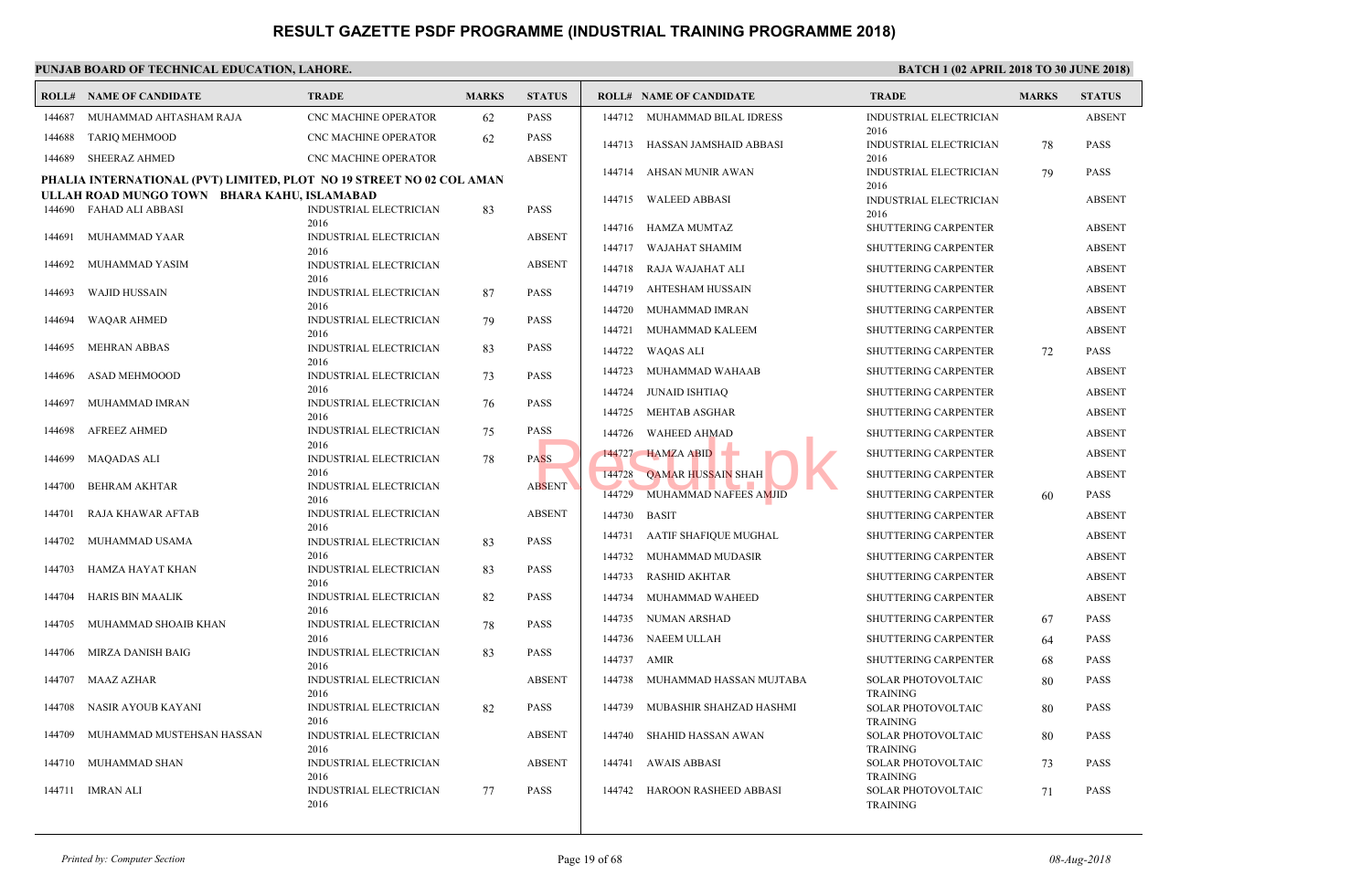|        | <b>ROLL# NAME OF CANDIDATE</b>                                       | TRADE                                 | <b>MARKS</b> | <b>STATUS</b> |        | <b>ROLL# NAME OF CANDIDATE</b> | <b>TRAL</b>                  |
|--------|----------------------------------------------------------------------|---------------------------------------|--------------|---------------|--------|--------------------------------|------------------------------|
| 144687 | MUHAMMAD AHTASHAM RAJA                                               | CNC MACHINE OPERATOR                  | 62           | <b>PASS</b>   |        | 144712 MUHAMMAD BILAL IDRESS   | <b>INDUS</b>                 |
| 144688 | <b>TARIQ MEHMOOD</b>                                                 | CNC MACHINE OPERATOR                  | 62           | <b>PASS</b>   |        | 144713 HASSAN JAMSHAID ABBASI  | 2016<br><b>INDUS</b>         |
| 144689 | <b>SHEERAZ AHMED</b>                                                 | CNC MACHINE OPERATOR                  |              | <b>ABSENT</b> |        |                                | 2016                         |
|        | PHALIA INTERNATIONAL (PVT) LIMITED, PLOT NO 19 STREET NO 02 COL AMAN |                                       |              |               |        | 144714 AHSAN MUNIR AWAN        | <b>INDUS</b>                 |
|        | ULLAH ROAD MUNGO TOWN BHARA KAHU, ISLAMABAD                          |                                       |              |               | 144715 | WALEED ABBASI                  | 2016<br><b>INDUS</b>         |
| 144690 | <b>FAHAD ALI ABBASI</b>                                              | INDUSTRIAL ELECTRICIAN                | 83           | <b>PASS</b>   |        |                                | 2016                         |
| 144691 | MUHAMMAD YAAR                                                        | 2016<br>INDUSTRIAL ELECTRICIAN        |              | <b>ABSENT</b> | 144716 | HAMZA MUMTAZ                   | <b>SHUTT</b>                 |
|        |                                                                      | 2016                                  |              |               | 144717 | WAJAHAT SHAMIM                 | <b>SHUTT</b>                 |
| 144692 | MUHAMMAD YASIM                                                       | INDUSTRIAL ELECTRICIAN<br>2016        |              | <b>ABSENT</b> | 144718 | RAJA WAJAHAT ALI               | <b>SHUT</b>                  |
| 144693 | <b>WAJID HUSSAIN</b>                                                 | INDUSTRIAL ELECTRICIAN                | 87           | <b>PASS</b>   | 144719 | AHTESHAM HUSSAIN               | <b>SHUTT</b>                 |
|        |                                                                      | 2016                                  |              |               | 144720 | MUHAMMAD IMRAN                 | <b>SHUT</b>                  |
| 144694 | <b>WAQAR AHMED</b>                                                   | <b>INDUSTRIAL ELECTRICIAN</b><br>2016 | 79           | <b>PASS</b>   | 144721 | MUHAMMAD KALEEM                | <b>SHUT</b>                  |
| 144695 | <b>MEHRAN ABBAS</b>                                                  | <b>INDUSTRIAL ELECTRICIAN</b>         | 83           | <b>PASS</b>   | 144722 | WAQAS ALI                      | <b>SHUT</b>                  |
|        |                                                                      | 2016                                  |              |               | 144723 | MUHAMMAD WAHAAB                | <b>SHUT</b>                  |
| 144696 | ASAD MEHMOOOD                                                        | INDUSTRIAL ELECTRICIAN<br>2016        | 73           | <b>PASS</b>   | 144724 | JUNAID ISHTIAQ                 | <b>SHUT</b>                  |
| 144697 | MUHAMMAD IMRAN                                                       | <b>INDUSTRIAL ELECTRICIAN</b>         | 76           | <b>PASS</b>   |        |                                | <b>SHUT</b>                  |
| 144698 | <b>AFREEZ AHMED</b>                                                  | 2016<br>INDUSTRIAL ELECTRICIAN        |              | <b>PASS</b>   | 144725 | MEHTAB ASGHAR                  |                              |
|        |                                                                      | 2016                                  | 75           |               | 144726 | <b>WAHEED AHMAD</b>            | <b>SHUT</b>                  |
| 144699 | <b>MAQADAS ALI</b>                                                   | <b>INDUSTRIAL ELECTRICIAN</b>         | 78           | <b>PASS</b>   | 144727 | HAMZA ABID                     | <b>SHUT</b>                  |
| 144700 | <b>BEHRAM AKHTAR</b>                                                 | 2016<br><b>INDUSTRIAL ELECTRICIAN</b> |              | <b>ABSENT</b> | 144728 | <b>QAMAR HUSSAIN SHAH</b>      | <b>SHUTT</b>                 |
|        |                                                                      | 2016                                  |              |               | 144729 | MUHAMMAD NAFEES AMJID          | <b>SHUTT</b>                 |
| 144701 | RAJA KHAWAR AFTAB                                                    | INDUSTRIAL ELECTRICIAN                |              | <b>ABSENT</b> | 144730 | <b>BASIT</b>                   | <b>SHUT</b>                  |
| 144702 | MUHAMMAD USAMA                                                       | 2016<br><b>INDUSTRIAL ELECTRICIAN</b> | 83           | <b>PASS</b>   | 144731 | AATIF SHAFIQUE MUGHAL          | <b>SHUT</b>                  |
|        |                                                                      | 2016                                  |              |               | 144732 | MUHAMMAD MUDASIR               | <b>SHUT</b>                  |
| 144703 | HAMZA HAYAT KHAN                                                     | INDUSTRIAL ELECTRICIAN<br>2016        | 83           | <b>PASS</b>   | 144733 | RASHID AKHTAR                  | <b>SHUT</b>                  |
| 144704 | HARIS BIN MAALIK                                                     | INDUSTRIAL ELECTRICIAN                | 82           | <b>PASS</b>   | 144734 | MUHAMMAD WAHEED                | <b>SHUT</b>                  |
|        |                                                                      | 2016                                  |              |               | 144735 | NUMAN ARSHAD                   | <b>SHUT</b>                  |
| 144705 | MUHAMMAD SHOAIB KHAN                                                 | INDUSTRIAL ELECTRICIAN<br>2016        | 78           | <b>PASS</b>   | 144736 | NAEEM ULLAH                    | <b>SHUT</b>                  |
| 144706 | MIRZA DANISH BAIG                                                    | INDUSTRIAL ELECTRICIAN                | 83           | <b>PASS</b>   | 144737 | AMIR                           | <b>SHUT</b>                  |
|        |                                                                      | 2016                                  |              |               |        |                                |                              |
| 144707 | MAAZ AZHAR                                                           | INDUSTRIAL ELECTRICIAN<br>2016        |              | <b>ABSENT</b> | 144738 | MUHAMMAD HASSAN MUJTABA        | <b>SOLAI</b><br><b>TRAIN</b> |
| 144708 | NASIR AYOUB KAYANI                                                   | INDUSTRIAL ELECTRICIAN                | 82           | <b>PASS</b>   | 144739 | MUBASHIR SHAHZAD HASHMI        | <b>SOLAI</b>                 |
| 144709 | MUHAMMAD MUSTEHSAN HASSAN                                            | 2016<br><b>INDUSTRIAL ELECTRICIAN</b> |              | <b>ABSENT</b> | 144740 | SHAHID HASSAN AWAN             | <b>TRAIN</b><br><b>SOLAI</b> |
|        |                                                                      | 2016                                  |              |               |        |                                | <b>TRAIN</b>                 |
| 144710 | MUHAMMAD SHAN                                                        | <b>INDUSTRIAL ELECTRICIAN</b>         |              | <b>ABSENT</b> | 144741 | <b>AWAIS ABBASI</b>            | <b>SOLAI</b>                 |
| 144711 | <b>IMRAN ALI</b>                                                     | 2016<br>INDUSTRIAL ELECTRICIAN        | 77           | <b>PASS</b>   | 144742 | HAROON RASHEED ABBASI          | <b>TRAIN</b><br><b>SOLA</b>  |
|        |                                                                      | 2016                                  |              |               |        |                                | <b>TRAIN</b>                 |
|        |                                                                      |                                       |              |               |        |                                |                              |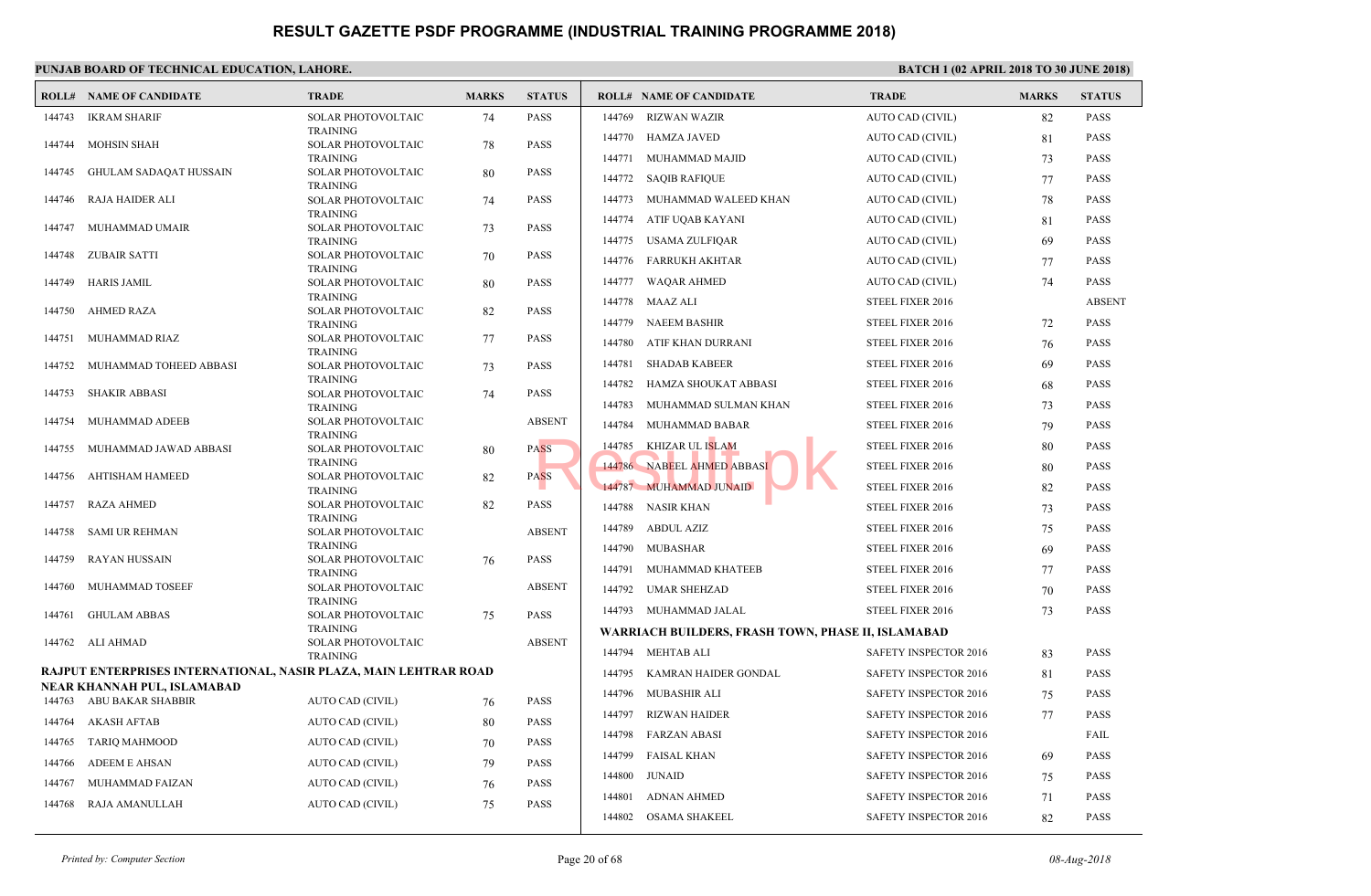|        | <b>ROLL# NAME OF CANDIDATE</b>                                   | <b>TRADE</b>                                 | <b>MARKS</b> | <b>STATUS</b> |        | <b>ROLL# NAME OF CANDIDATE</b>               | <b>TRAL</b>  |
|--------|------------------------------------------------------------------|----------------------------------------------|--------------|---------------|--------|----------------------------------------------|--------------|
| 144743 | IKRAM SHARIF                                                     | SOLAR PHOTOVOLTAIC                           | 74           | <b>PASS</b>   | 144769 | RIZWAN WAZIR                                 | <b>AUTO</b>  |
| 144744 | <b>MOHSIN SHAH</b>                                               | <b>TRAINING</b><br>SOLAR PHOTOVOLTAIC        | 78           | <b>PASS</b>   | 144770 | HAMZA JAVED                                  | <b>AUTO</b>  |
|        |                                                                  | <b>TRAINING</b>                              |              |               | 144771 | MUHAMMAD MAJID                               | <b>AUTO</b>  |
| 144745 | GHULAM SADAQAT HUSSAIN                                           | <b>SOLAR PHOTOVOLTAIC</b><br><b>TRAINING</b> | 80           | <b>PASS</b>   | 144772 | <b>SAQIB RAFIQUE</b>                         | <b>AUTO</b>  |
| 144746 | RAJA HAIDER ALI                                                  | SOLAR PHOTOVOLTAIC                           | 74           | <b>PASS</b>   | 144773 | MUHAMMAD WALEED KHAN                         | <b>AUTO</b>  |
| 144747 | MUHAMMAD UMAIR                                                   | <b>TRAINING</b>                              |              | <b>PASS</b>   | 144774 | ATIF UQAB KAYANI                             | <b>AUTO</b>  |
|        |                                                                  | SOLAR PHOTOVOLTAIC<br><b>TRAINING</b>        | 73           |               | 144775 | USAMA ZULFIQAR                               | <b>AUTO</b>  |
| 144748 | ZUBAIR SATTI                                                     | SOLAR PHOTOVOLTAIC<br><b>TRAINING</b>        | 70           | <b>PASS</b>   | 144776 | FARRUKH AKHTAR                               | <b>AUTO</b>  |
| 144749 | <b>HARIS JAMIL</b>                                               | SOLAR PHOTOVOLTAIC                           | 80           | <b>PASS</b>   | 144777 | WAQAR AHMED                                  | <b>AUTO</b>  |
| 144750 |                                                                  | <b>TRAINING</b>                              |              | <b>PASS</b>   |        | 144778 MAAZ ALI                              | <b>STEEL</b> |
|        | AHMED RAZA                                                       | SOLAR PHOTOVOLTAIC<br><b>TRAINING</b>        | 82           |               | 144779 | <b>NAEEM BASHIR</b>                          | <b>STEEL</b> |
| 144751 | MUHAMMAD RIAZ                                                    | SOLAR PHOTOVOLTAIC<br><b>TRAINING</b>        | 77           | <b>PASS</b>   | 144780 | ATIF KHAN DURRANI                            | <b>STEEL</b> |
| 144752 | MUHAMMAD TOHEED ABBASI                                           | SOLAR PHOTOVOLTAIC                           | 73           | <b>PASS</b>   | 144781 | <b>SHADAB KABEER</b>                         | <b>STEEL</b> |
|        |                                                                  | <b>TRAINING</b>                              |              |               | 144782 | HAMZA SHOUKAT ABBASI                         | <b>STEEL</b> |
| 144753 | SHAKIR ABBASI                                                    | SOLAR PHOTOVOLTAIC<br><b>TRAINING</b>        | 74           | <b>PASS</b>   | 144783 | MUHAMMAD SULMAN KHAN                         | <b>STEEL</b> |
| 144754 | MUHAMMAD ADEEB                                                   | SOLAR PHOTOVOLTAIC                           |              | <b>ABSENT</b> | 144784 | MUHAMMAD BABAR                               | <b>STEEL</b> |
| 144755 | MUHAMMAD JAWAD ABBASI                                            | <b>TRAINING</b><br><b>SOLAR PHOTOVOLTAIC</b> | 80           | <b>PASS</b>   | 144785 | KHIZAR UL ISLAM                              | <b>STEEL</b> |
|        |                                                                  | <b>TRAINING</b>                              |              |               |        | 144786 NABEEL AHMED ABBASI                   | <b>STEEL</b> |
| 144756 | AHTISHAM HAMEED                                                  | SOLAR PHOTOVOLTAIC<br><b>TRAINING</b>        | 82           | <b>PASS</b>   |        | 144787 MUHAMMAD JUNAID                       | <b>STEEL</b> |
| 144757 | <b>RAZA AHMED</b>                                                | SOLAR PHOTOVOLTAIC                           | 82           | <b>PASS</b>   |        | 144788 NASIR KHAN                            | <b>STEEL</b> |
| 144758 | SAMI UR REHMAN                                                   | <b>TRAINING</b><br><b>SOLAR PHOTOVOLTAIC</b> |              | <b>ABSENT</b> | 144789 | ABDUL AZIZ                                   | <b>STEEL</b> |
|        |                                                                  | <b>TRAINING</b>                              |              |               | 144790 | MUBASHAR                                     | <b>STEEL</b> |
| 144759 | <b>RAYAN HUSSAIN</b>                                             | SOLAR PHOTOVOLTAIC<br><b>TRAINING</b>        | 76           | <b>PASS</b>   | 144791 | MUHAMMAD KHATEEB                             | <b>STEEL</b> |
| 144760 | MUHAMMAD TOSEEF                                                  | SOLAR PHOTOVOLTAIC                           |              | <b>ABSENT</b> | 144792 | UMAR SHEHZAD                                 | <b>STEEL</b> |
| 144761 | <b>GHULAM ABBAS</b>                                              | <b>TRAINING</b><br><b>SOLAR PHOTOVOLTAIC</b> | 75           | <b>PASS</b>   |        | 144793 MUHAMMAD JALAL                        | <b>STEEL</b> |
|        |                                                                  | <b>TRAINING</b>                              |              |               |        | WARRIACH BUILDERS, FRASH TOWN, PHASE II, ISL |              |
|        | 144762 ALI AHMAD                                                 | SOLAR PHOTOVOLTAIC<br><b>TRAINING</b>        |              | <b>ABSENT</b> | 144794 | MEHTAB ALI                                   | <b>SAFET</b> |
|        | RAJPUT ENTERPRISES INTERNATIONAL, NASIR PLAZA, MAIN LEHTRAR ROAD |                                              |              |               | 144795 | KAMRAN HAIDER GONDAL                         | <b>SAFET</b> |
|        | NEAR KHANNAH PUL, ISLAMABAD                                      |                                              |              |               | 144796 | MUBASHIR ALI                                 | <b>SAFET</b> |
|        | 144763 ABU BAKAR SHABBIR                                         | AUTO CAD (CIVIL)                             | 76           | <b>PASS</b>   | 144797 | <b>RIZWAN HAIDER</b>                         | <b>SAFET</b> |
| 144764 | <b>AKASH AFTAB</b>                                               | AUTO CAD (CIVIL)                             | 80           | <b>PASS</b>   | 144798 | <b>FARZAN ABASI</b>                          | <b>SAFET</b> |
| 144765 | TARIQ MAHMOOD                                                    | AUTO CAD (CIVIL)                             | 70           | <b>PASS</b>   | 144799 | <b>FAISAL KHAN</b>                           | <b>SAFET</b> |
| 144766 | <b>ADEEM E AHSAN</b>                                             | AUTO CAD (CIVIL)                             | 79           | <b>PASS</b>   | 144800 | JUNAID                                       | <b>SAFET</b> |
| 144767 | MUHAMMAD FAIZAN                                                  | AUTO CAD (CIVIL)                             | 76           | <b>PASS</b>   | 144801 | <b>ADNAN AHMED</b>                           | <b>SAFET</b> |
| 144768 | RAJA AMANULLAH                                                   | AUTO CAD (CIVIL)                             | 75           | <b>PASS</b>   | 144802 | OSAMA SHAKEEL                                | <b>SAFET</b> |
|        |                                                                  |                                              |              |               |        |                                              |              |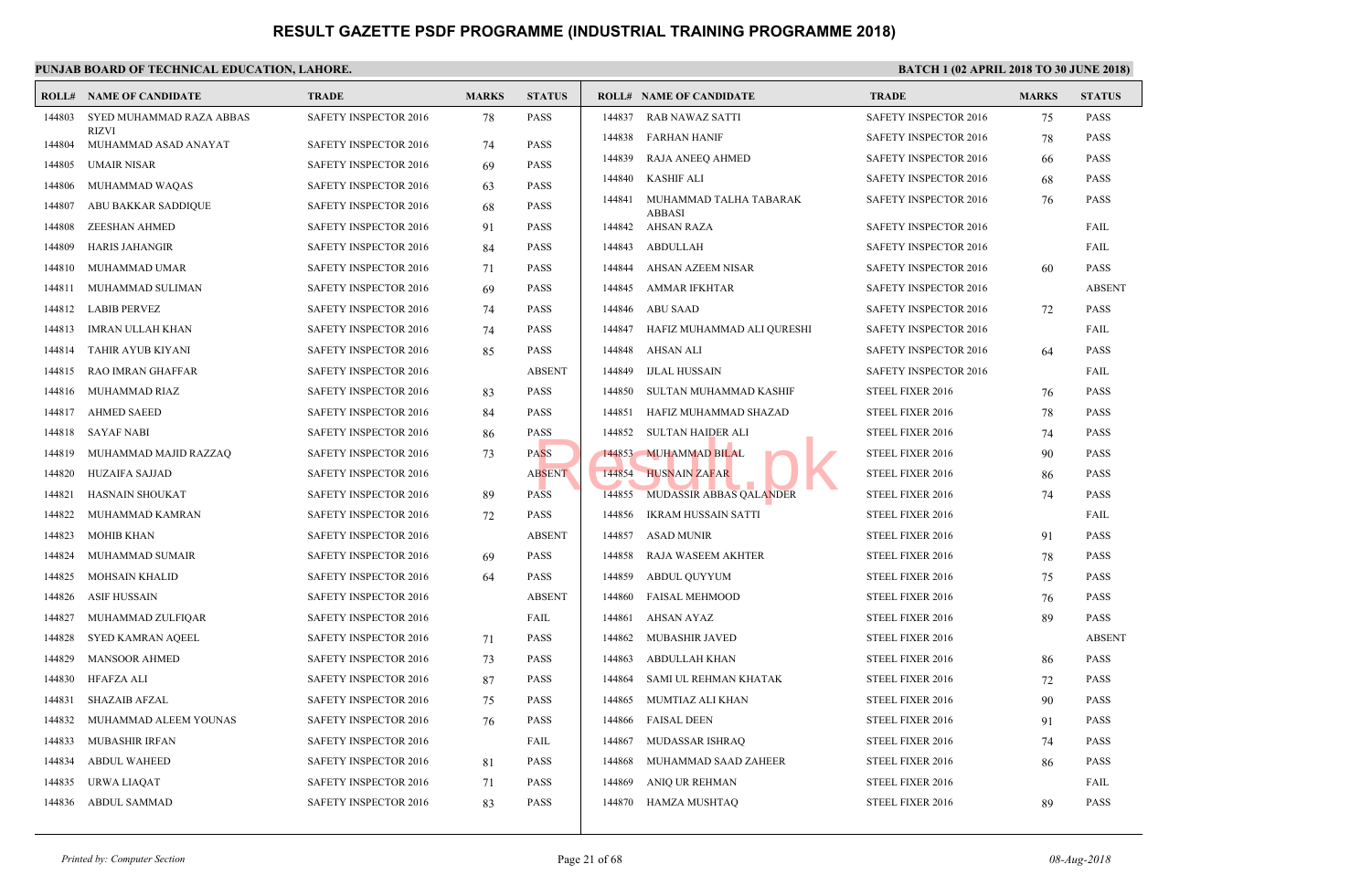|        | <b>ROLL# NAME OF CANDIDATE</b>       | <b>TRADE</b>                 | <b>MARKS</b> | <b>STATUS</b> |        | <b>ROLL# NAME OF CANDIDATE</b> | <b>TRAL</b>  |
|--------|--------------------------------------|------------------------------|--------------|---------------|--------|--------------------------------|--------------|
| 144803 | SYED MUHAMMAD RAZA ABBAS             | SAFETY INSPECTOR 2016        | 78           | <b>PASS</b>   | 144837 | RAB NAWAZ SATTI                | <b>SAFET</b> |
| 144804 | <b>RIZVI</b><br>MUHAMMAD ASAD ANAYAT | <b>SAFETY INSPECTOR 2016</b> | 74           | <b>PASS</b>   | 144838 | <b>FARHAN HANIF</b>            | <b>SAFET</b> |
| 144805 | <b>UMAIR NISAR</b>                   | <b>SAFETY INSPECTOR 2016</b> | 69           | <b>PASS</b>   | 144839 | RAJA ANEEQ AHMED               | <b>SAFET</b> |
| 144806 | MUHAMMAD WAQAS                       | <b>SAFETY INSPECTOR 2016</b> | 63           | <b>PASS</b>   | 144840 | <b>KASHIF ALI</b>              | <b>SAFET</b> |
| 144807 | ABU BAKKAR SADDIQUE                  | <b>SAFETY INSPECTOR 2016</b> | 68           | <b>PASS</b>   | 144841 | MUHAMMAD TALHA TABARAK         | <b>SAFET</b> |
| 144808 | <b>ZEESHAN AHMED</b>                 | <b>SAFETY INSPECTOR 2016</b> | 91           | <b>PASS</b>   | 144842 | <b>ABBASI</b><br>AHSAN RAZA    | <b>SAFET</b> |
| 144809 | <b>HARIS JAHANGIR</b>                | <b>SAFETY INSPECTOR 2016</b> | 84           | <b>PASS</b>   | 144843 | <b>ABDULLAH</b>                | <b>SAFET</b> |
| 144810 | MUHAMMAD UMAR                        | <b>SAFETY INSPECTOR 2016</b> | 71           | <b>PASS</b>   | 144844 | AHSAN AZEEM NISAR              | <b>SAFET</b> |
| 144811 | MUHAMMAD SULIMAN                     | <b>SAFETY INSPECTOR 2016</b> | 69           | <b>PASS</b>   | 144845 | <b>AMMAR IFKHTAR</b>           | <b>SAFET</b> |
| 144812 | <b>LABIB PERVEZ</b>                  | <b>SAFETY INSPECTOR 2016</b> | 74           | <b>PASS</b>   | 144846 | <b>ABU SAAD</b>                | <b>SAFET</b> |
| 144813 | <b>IMRAN ULLAH KHAN</b>              | SAFETY INSPECTOR 2016        | 74           | <b>PASS</b>   | 144847 | HAFIZ MUHAMMAD ALI QURESHI     | <b>SAFET</b> |
| 144814 | TAHIR AYUB KIYANI                    | <b>SAFETY INSPECTOR 2016</b> | 85           | <b>PASS</b>   | 144848 | AHSAN ALI                      | <b>SAFET</b> |
| 144815 | RAO IMRAN GHAFFAR                    | <b>SAFETY INSPECTOR 2016</b> |              | <b>ABSENT</b> | 144849 | <b>IJLAL HUSSAIN</b>           | <b>SAFET</b> |
| 144816 | MUHAMMAD RIAZ                        | <b>SAFETY INSPECTOR 2016</b> | 83           | <b>PASS</b>   | 144850 | SULTAN MUHAMMAD KASHIF         | <b>STEEL</b> |
| 144817 | <b>AHMED SAEED</b>                   | <b>SAFETY INSPECTOR 2016</b> | 84           | <b>PASS</b>   | 144851 | HAFIZ MUHAMMAD SHAZAD          | <b>STEEL</b> |
| 144818 | SAYAF NABI                           | <b>SAFETY INSPECTOR 2016</b> | 86           | <b>PASS</b>   | 144852 | <b>SULTAN HAIDER ALI</b>       | <b>STEEL</b> |
| 144819 | MUHAMMAD MAJID RAZZAQ                | <b>SAFETY INSPECTOR 2016</b> | 73           | <b>PASS</b>   | 144853 | <b>MUHAMMAD BILAL</b>          | <b>STEEL</b> |
| 144820 | <b>HUZAIFA SAJJAD</b>                | <b>SAFETY INSPECTOR 2016</b> |              | <b>ABSENT</b> | 144854 | <b>HUSNAIN ZAFAR</b>           | <b>STEEL</b> |
| 144821 | HASNAIN SHOUKAT                      | <b>SAFETY INSPECTOR 2016</b> | 89           | <b>PASS</b>   | 144855 | MUDASSIR ABBAS QALANDER        | <b>STEEL</b> |
| 144822 | MUHAMMAD KAMRAN                      | <b>SAFETY INSPECTOR 2016</b> | 72           | <b>PASS</b>   | 144856 | <b>IKRAM HUSSAIN SATTI</b>     | <b>STEEL</b> |
| 144823 | MOHIB KHAN                           | <b>SAFETY INSPECTOR 2016</b> |              | <b>ABSENT</b> | 144857 | <b>ASAD MUNIR</b>              | <b>STEEL</b> |
| 144824 | MUHAMMAD SUMAIR                      | <b>SAFETY INSPECTOR 2016</b> | 69           | <b>PASS</b>   | 144858 | <b>RAJA WASEEM AKHTER</b>      | <b>STEEL</b> |
| 144825 | <b>MOHSAIN KHALID</b>                | SAFETY INSPECTOR 2016        | 64           | <b>PASS</b>   | 144859 | ABDUL QUYYUM                   | <b>STEEL</b> |
| 144826 | <b>ASIF HUSSAIN</b>                  | SAFETY INSPECTOR 2016        |              | <b>ABSENT</b> | 144860 | <b>FAISAL MEHMOOD</b>          | <b>STEEL</b> |
| 144827 | MUHAMMAD ZULFIQAR                    | <b>SAFETY INSPECTOR 2016</b> |              | FAIL          | 144861 | <b>AHSAN AYAZ</b>              | <b>STEEL</b> |
| 144828 | SYED KAMRAN AQEEL                    | <b>SAFETY INSPECTOR 2016</b> | 71           | <b>PASS</b>   | 144862 | MUBASHIR JAVED                 | <b>STEEL</b> |
| 144829 | <b>MANSOOR AHMED</b>                 | SAFETY INSPECTOR 2016        | 73           | <b>PASS</b>   | 144863 | <b>ABDULLAH KHAN</b>           | <b>STEEL</b> |
| 144830 | <b>HFAFZA ALI</b>                    | <b>SAFETY INSPECTOR 2016</b> | 87           | <b>PASS</b>   | 144864 | SAMI UL REHMAN KHATAK          | <b>STEEL</b> |
| 144831 | <b>SHAZAIB AFZAL</b>                 | SAFETY INSPECTOR 2016        | 75           | <b>PASS</b>   | 144865 | MUMTIAZ ALI KHAN               | <b>STEEL</b> |
| 144832 | MUHAMMAD ALEEM YOUNAS                | <b>SAFETY INSPECTOR 2016</b> | 76           | <b>PASS</b>   | 144866 | <b>FAISAL DEEN</b>             | <b>STEEL</b> |
| 144833 | <b>MUBASHIR IRFAN</b>                | <b>SAFETY INSPECTOR 2016</b> |              | FAIL          | 144867 | MUDASSAR ISHRAQ                | <b>STEEL</b> |
| 144834 | <b>ABDUL WAHEED</b>                  | <b>SAFETY INSPECTOR 2016</b> | 81           | <b>PASS</b>   | 144868 | MUHAMMAD SAAD ZAHEER           | <b>STEEL</b> |
| 144835 | URWA LIAQAT                          | SAFETY INSPECTOR 2016        | 71           | <b>PASS</b>   | 144869 | ANIQ UR REHMAN                 | <b>STEEL</b> |
| 144836 | ABDUL SAMMAD                         | SAFETY INSPECTOR 2016        | 83           | <b>PASS</b>   | 144870 | HAMZA MUSHTAQ                  | <b>STEEL</b> |
|        |                                      |                              |              |               |        |                                |              |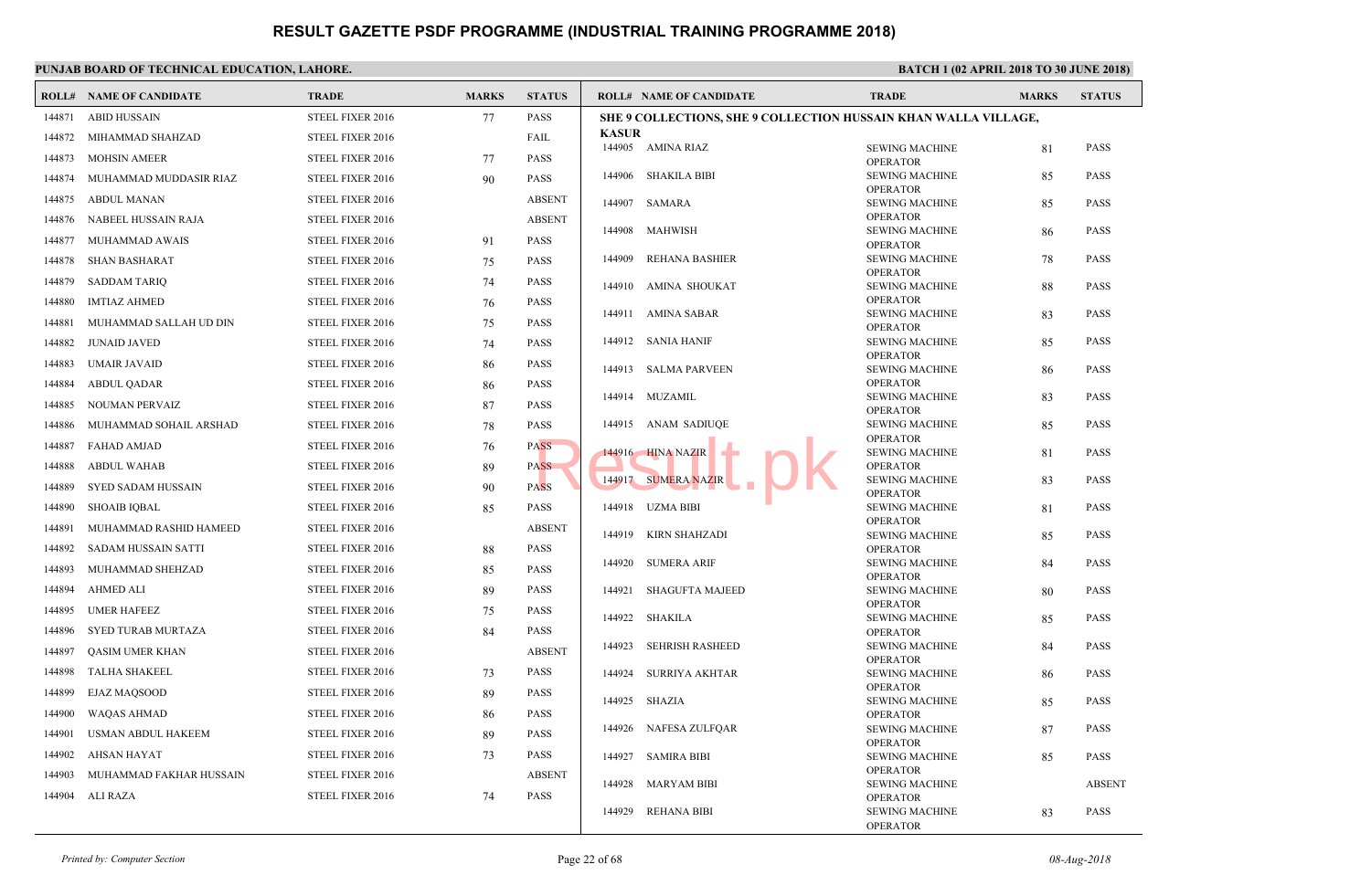|        | <b>ROLL# NAME OF CANDIDATE</b> | <b>TRADE</b>     | <b>MARKS</b> | <b>STATUS</b> |              | <b>ROLL# NAME OF CANDIDATE</b>                     | <b>TRAL</b>                  |
|--------|--------------------------------|------------------|--------------|---------------|--------------|----------------------------------------------------|------------------------------|
| 144871 | <b>ABID HUSSAIN</b>            | STEEL FIXER 2016 | 77           | <b>PASS</b>   |              | <b>SHE 9 COLLECTIONS, SHE 9 COLLECTION HUSSAIN</b> |                              |
| 144872 | MIHAMMAD SHAHZAD               | STEEL FIXER 2016 |              | FAIL          | <b>KASUR</b> |                                                    | <b>SEWIN</b>                 |
| 144873 | <b>MOHSIN AMEER</b>            | STEEL FIXER 2016 | 77           | <b>PASS</b>   |              | 144905 AMINA RIAZ                                  | <b>OPERA</b>                 |
| 144874 | MUHAMMAD MUDDASIR RIAZ         | STEEL FIXER 2016 | 90           | <b>PASS</b>   | 144906       | SHAKILA BIBI                                       | <b>SEWIN</b>                 |
| 144875 | <b>ABDUL MANAN</b>             | STEEL FIXER 2016 |              | <b>ABSENT</b> | 144907       | SAMARA                                             | OPER/<br><b>SEWIN</b>        |
| 144876 | NABEEL HUSSAIN RAJA            | STEEL FIXER 2016 |              | <b>ABSENT</b> |              |                                                    | <b>OPERA</b>                 |
| 144877 | MUHAMMAD AWAIS                 | STEEL FIXER 2016 | 91           | <b>PASS</b>   | 144908       | MAHWISH                                            | <b>SEWIN</b><br>OPER/        |
| 144878 | <b>SHAN BASHARAT</b>           | STEEL FIXER 2016 | 75           | <b>PASS</b>   | 144909       | REHANA BASHIER                                     | <b>SEWIN</b>                 |
| 144879 | <b>SADDAM TARIQ</b>            | STEEL FIXER 2016 | 74           | <b>PASS</b>   | 144910       | AMINA SHOUKAT                                      | <b>OPERA</b><br><b>SEWIN</b> |
| 144880 | <b>IMTIAZ AHMED</b>            | STEEL FIXER 2016 | 76           | <b>PASS</b>   |              |                                                    | <b>OPERA</b>                 |
| 144881 | MUHAMMAD SALLAH UD DIN         | STEEL FIXER 2016 | 75           | <b>PASS</b>   |              | 144911 AMINA SABAR                                 | <b>SEWIN</b><br>OPER/        |
| 144882 | <b>JUNAID JAVED</b>            | STEEL FIXER 2016 | 74           | <b>PASS</b>   | 144912       | SANIA HANIF                                        | <b>SEWIN</b>                 |
| 144883 | <b>UMAIR JAVAID</b>            | STEEL FIXER 2016 | 86           | <b>PASS</b>   | 144913       | SALMA PARVEEN                                      | <b>OPERA</b><br><b>SEWIN</b> |
| 144884 | <b>ABDUL QADAR</b>             | STEEL FIXER 2016 | 86           | <b>PASS</b>   |              |                                                    | OPER/                        |
| 144885 | NOUMAN PERVAIZ                 | STEEL FIXER 2016 | 87           | PASS          |              | 144914 MUZAMIL                                     | <b>SEWIN</b><br>OPER/        |
| 144886 | MUHAMMAD SOHAIL ARSHAD         | STEEL FIXER 2016 | 78           | <b>PASS</b>   | 144915       | ANAM SADIUOE                                       | <b>SEWIN</b>                 |
| 144887 | <b>FAHAD AMJAD</b>             | STEEL FIXER 2016 | 76           | <b>PASS</b>   |              | 144916 HINA NAZIR                                  | <b>OPERA</b><br><b>SEWIN</b> |
| 144888 | <b>ABDUL WAHAB</b>             | STEEL FIXER 2016 | 89           | <b>PASS</b>   |              |                                                    | <b>OPERA</b>                 |
| 144889 | SYED SADAM HUSSAIN             | STEEL FIXER 2016 | 90           | <b>PASS</b>   |              | 144917 SUMERA NAZIR                                | <b>SEWIN</b><br><b>OPER</b>  |
| 144890 | <b>SHOAIB IOBAL</b>            | STEEL FIXER 2016 | 85           | <b>PASS</b>   | 144918       | UZMA BIBI                                          | <b>SEWIN</b>                 |
| 144891 | MUHAMMAD RASHID HAMEED         | STEEL FIXER 2016 |              | <b>ABSENT</b> | 144919       | KIRN SHAHZADI                                      | OPER/<br><b>SEWIN</b>        |
| 144892 | SADAM HUSSAIN SATTI            | STEEL FIXER 2016 | 88           | <b>PASS</b>   |              |                                                    | <b>OPERA</b>                 |
| 144893 | MUHAMMAD SHEHZAD               | STEEL FIXER 2016 | 85           | <b>PASS</b>   | 144920       | <b>SUMERA ARIF</b>                                 | <b>SEWIN</b><br><b>OPERA</b> |
| 144894 | AHMED ALI                      | STEEL FIXER 2016 | 89           | <b>PASS</b>   | 144921       | SHAGUFTA MAJEED                                    | <b>SEWIN</b>                 |
| 144895 | <b>UMER HAFEEZ</b>             | STEEL FIXER 2016 | 75           | <b>PASS</b>   | 144922       | SHAKILA                                            | <b>OPERA</b><br><b>SEWIN</b> |
| 144896 | SYED TURAB MURTAZA             | STEEL FIXER 2016 | 84           | <b>PASS</b>   |              |                                                    | <b>OPERA</b>                 |
| 144897 | QASIM UMER KHAN                | STEEL FIXER 2016 |              | <b>ABSENT</b> | 144923       | <b>SEHRISH RASHEED</b>                             | <b>SEWIN</b>                 |
| 144898 | TALHA SHAKEEL                  | STEEL FIXER 2016 | 73           | <b>PASS</b>   | 144924       | SURRIYA AKHTAR                                     | OPER/<br><b>SEWIN</b>        |
| 144899 | <b>EJAZ MAQSOOD</b>            | STEEL FIXER 2016 | 89           | <b>PASS</b>   | 144925       |                                                    | <b>OPERA</b><br><b>SEWIN</b> |
| 144900 | WAQAS AHMAD                    | STEEL FIXER 2016 | 86           | <b>PASS</b>   |              | SHAZIA                                             | <b>OPERA</b>                 |
| 144901 | USMAN ABDUL HAKEEM             | STEEL FIXER 2016 | 89           | <b>PASS</b>   | 144926       | NAFESA ZULFQAR                                     | <b>SEWIN</b>                 |
| 144902 | AHSAN HAYAT                    | STEEL FIXER 2016 | 73           | PASS          | 144927       | SAMIRA BIBI                                        | <b>OPERA</b><br><b>SEWIN</b> |
| 144903 | MUHAMMAD FAKHAR HUSSAIN        | STEEL FIXER 2016 |              | <b>ABSENT</b> |              |                                                    | OPER/                        |
| 144904 | ALI RAZA                       | STEEL FIXER 2016 | 74           | <b>PASS</b>   | 144928       | MARYAM BIBI                                        | SEWIN<br><b>OPER</b>         |
|        |                                |                  |              |               | 144929       | <b>REHANA BIBI</b>                                 | <b>SEWIN</b>                 |
|        |                                |                  |              |               |              |                                                    | OPER/                        |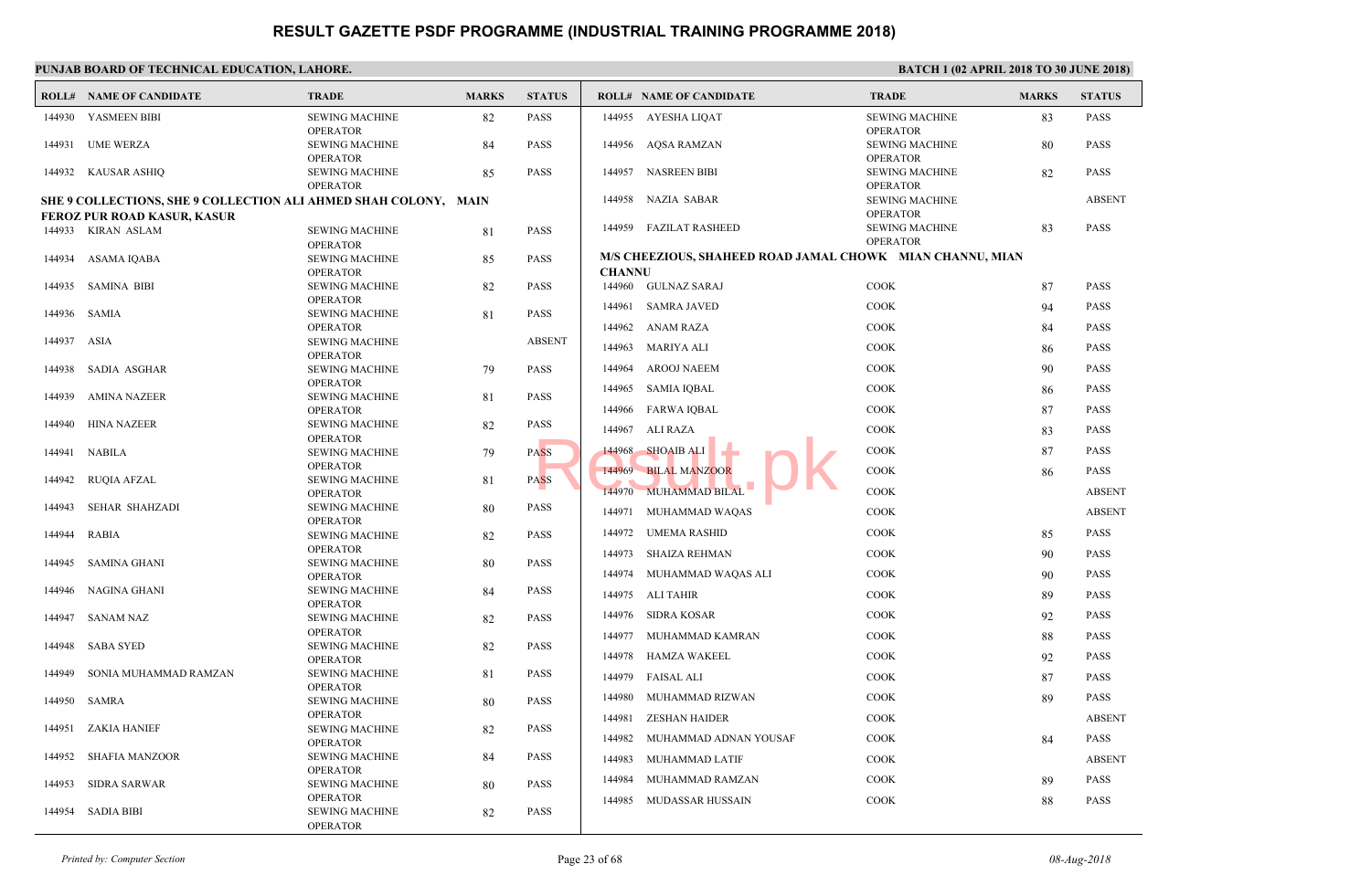| <b>SEWIN</b><br>144930 YASMEEN BIBI<br><b>SEWING MACHINE</b><br>82<br><b>PASS</b><br>144955 AYESHA LIQAT<br>OPERA<br><b>OPERATOR</b><br><b>SEWIN</b><br>144931<br>UME WERZA<br><b>SEWING MACHINE</b><br>84<br><b>PASS</b><br>144956 AQSA RAMZAN<br>OPER/<br><b>OPERATOR</b><br><b>SEWIN</b><br><b>SEWING MACHINE</b><br>85<br><b>PASS</b><br>144957 NASREEN BIBI<br>144932 KAUSAR ASHIQ<br>OPERA<br><b>OPERATOR</b><br><b>SEWIN</b><br>144958<br>NAZIA SABAR<br>SHE 9 COLLECTIONS, SHE 9 COLLECTION ALI AHMED SHAH COLONY, MAIN<br>OPER/<br><b>FEROZ PUR ROAD KASUR, KASUR</b><br>144959 FAZILAT RASHEED<br><b>SEWIN</b><br>144933 KIRAN ASLAM<br><b>PASS</b><br><b>SEWING MACHINE</b><br>81<br>OPERA<br><b>OPERATOR</b><br>M/S CHEEZIOUS, SHAHEED ROAD JAMAL CHOWK<br>ASAMA IQABA<br><b>SEWING MACHINE</b><br>85<br><b>PASS</b><br>144934<br><b>CHANNU</b><br><b>OPERATOR</b><br>144960 GULNAZ SARAJ<br>COOK<br>144935<br>SAMINA BIBI<br><b>SEWING MACHINE</b><br><b>PASS</b><br>82<br><b>OPERATOR</b><br>COOK<br>144961<br><b>SAMRA JAVED</b><br><b>PASS</b><br>144936<br>SAMIA<br><b>SEWING MACHINE</b><br>81<br>COOK<br>144962<br>ANAM RAZA<br><b>OPERATOR</b><br>144937<br>ASIA<br><b>SEWING MACHINE</b><br><b>ABSENT</b><br>COOK<br><b>MARIYA ALI</b><br>144963<br><b>OPERATOR</b><br>144964<br><b>AROOJ NAEEM</b><br>COOK<br>SADIA ASGHAR<br><b>PASS</b><br>144938<br><b>SEWING MACHINE</b><br>79<br><b>OPERATOR</b><br>COOK<br>144965<br>SAMIA IQBAL<br>144939<br><b>AMINA NAZEER</b><br><b>SEWING MACHINE</b><br>81<br><b>PASS</b><br>COOK<br>144966<br>FARWA IQBAL<br><b>OPERATOR</b><br><b>PASS</b><br>144940<br><b>HINA NAZEER</b><br><b>SEWING MACHINE</b><br>82<br>COOK<br>144967<br>ALI RAZA<br><b>OPERATOR</b><br>COOK<br>144968<br><b>SHOAIB ALI</b><br>NABILA<br><b>PASS</b><br>144941<br><b>SEWING MACHINE</b><br>79<br><b>OPERATOR</b><br>COOK<br><b>BILAL MANZOOR</b><br>144969<br><b>PASS</b><br>144942<br><b>RUQIA AFZAL</b><br><b>SEWING MACHINE</b><br>81<br>144970<br>MUHAMMAD BILAL<br>COOK<br><b>OPERATOR</b><br>144943<br>SEHAR SHAHZADI<br><b>PASS</b><br><b>SEWING MACHINE</b><br>80<br>COOK<br>144971<br>MUHAMMAD WAQAS<br><b>OPERATOR</b><br>COOK<br>144972<br>UMEMA RASHID<br>82<br><b>PASS</b><br><b>RABIA</b><br><b>SEWING MACHINE</b><br>144944<br><b>OPERATOR</b><br>COOK<br>144973<br><b>SHAIZA REHMAN</b><br><b>SEWING MACHINE</b><br><b>PASS</b><br>SAMINA GHANI<br>80<br>144945<br>COOK<br>144974<br>MUHAMMAD WAQAS ALI<br><b>OPERATOR</b><br>144946<br>NAGINA GHANI<br><b>PASS</b><br><b>SEWING MACHINE</b><br>84<br>COOK<br>144975<br>ALI TAHIR<br><b>OPERATOR</b><br>144976 SIDRA KOSAR<br><b>COOK</b><br>82<br><b>PASS</b><br>144947<br>SANAM NAZ<br><b>SEWING MACHINE</b><br><b>OPERATOR</b><br>144977<br>MUHAMMAD KAMRAN<br>COOK<br>144948<br><b>SABA SYED</b><br><b>SEWING MACHINE</b><br>82<br><b>PASS</b><br>144978<br>HAMZA WAKEEL<br>COOK<br><b>OPERATOR</b><br>SONIA MUHAMMAD RAMZAN<br><b>SEWING MACHINE</b><br><b>PASS</b><br>144949<br>81<br>144979<br>COOK<br>FAISAL ALI<br><b>OPERATOR</b><br>COOK<br>144980<br>MUHAMMAD RIZWAN<br>144950<br>SAMRA<br><b>SEWING MACHINE</b><br><b>PASS</b><br>80<br><b>OPERATOR</b><br>144981<br><b>ZESHAN HAIDER</b><br><b>COOK</b><br>144951<br>ZAKIA HANIEF<br><b>SEWING MACHINE</b><br>82<br><b>PASS</b><br>COOK<br>144982<br>MUHAMMAD ADNAN YOUSAF<br><b>OPERATOR</b><br>SHAFIA MANZOOR<br><b>SEWING MACHINE</b><br>84<br><b>PASS</b><br>144952<br>144983<br>COOK<br>MUHAMMAD LATIF<br><b>OPERATOR</b><br>144984<br>COOK<br>MUHAMMAD RAMZAN<br>144953<br>SIDRA SARWAR<br><b>SEWING MACHINE</b><br><b>PASS</b><br>80<br><b>OPERATOR</b><br>COOK<br>144985<br>MUDASSAR HUSSAIN<br>144954<br><b>SADIA BIBI</b><br><b>SEWING MACHINE</b><br>82<br><b>PASS</b> | <b>ROLL# NAME OF CANDIDATE</b> | <b>TRADE</b>    | <b>MARKS</b> | <b>STATUS</b> | <b>ROLL# NAME OF CANDIDATE</b> | <b>TRAL</b> |
|-----------------------------------------------------------------------------------------------------------------------------------------------------------------------------------------------------------------------------------------------------------------------------------------------------------------------------------------------------------------------------------------------------------------------------------------------------------------------------------------------------------------------------------------------------------------------------------------------------------------------------------------------------------------------------------------------------------------------------------------------------------------------------------------------------------------------------------------------------------------------------------------------------------------------------------------------------------------------------------------------------------------------------------------------------------------------------------------------------------------------------------------------------------------------------------------------------------------------------------------------------------------------------------------------------------------------------------------------------------------------------------------------------------------------------------------------------------------------------------------------------------------------------------------------------------------------------------------------------------------------------------------------------------------------------------------------------------------------------------------------------------------------------------------------------------------------------------------------------------------------------------------------------------------------------------------------------------------------------------------------------------------------------------------------------------------------------------------------------------------------------------------------------------------------------------------------------------------------------------------------------------------------------------------------------------------------------------------------------------------------------------------------------------------------------------------------------------------------------------------------------------------------------------------------------------------------------------------------------------------------------------------------------------------------------------------------------------------------------------------------------------------------------------------------------------------------------------------------------------------------------------------------------------------------------------------------------------------------------------------------------------------------------------------------------------------------------------------------------------------------------------------------------------------------------------------------------------------------------------------------------------------------------------------------------------------------------------------------------------------------------------------------------------------------------------------------------------------------------------------------------------------------------------------------------------------------------------------------------------------------------------------------------------------------------------------------------------------------------------------------------------|--------------------------------|-----------------|--------------|---------------|--------------------------------|-------------|
|                                                                                                                                                                                                                                                                                                                                                                                                                                                                                                                                                                                                                                                                                                                                                                                                                                                                                                                                                                                                                                                                                                                                                                                                                                                                                                                                                                                                                                                                                                                                                                                                                                                                                                                                                                                                                                                                                                                                                                                                                                                                                                                                                                                                                                                                                                                                                                                                                                                                                                                                                                                                                                                                                                                                                                                                                                                                                                                                                                                                                                                                                                                                                                                                                                                                                                                                                                                                                                                                                                                                                                                                                                                                                                                                                           |                                |                 |              |               |                                |             |
|                                                                                                                                                                                                                                                                                                                                                                                                                                                                                                                                                                                                                                                                                                                                                                                                                                                                                                                                                                                                                                                                                                                                                                                                                                                                                                                                                                                                                                                                                                                                                                                                                                                                                                                                                                                                                                                                                                                                                                                                                                                                                                                                                                                                                                                                                                                                                                                                                                                                                                                                                                                                                                                                                                                                                                                                                                                                                                                                                                                                                                                                                                                                                                                                                                                                                                                                                                                                                                                                                                                                                                                                                                                                                                                                                           |                                |                 |              |               |                                |             |
|                                                                                                                                                                                                                                                                                                                                                                                                                                                                                                                                                                                                                                                                                                                                                                                                                                                                                                                                                                                                                                                                                                                                                                                                                                                                                                                                                                                                                                                                                                                                                                                                                                                                                                                                                                                                                                                                                                                                                                                                                                                                                                                                                                                                                                                                                                                                                                                                                                                                                                                                                                                                                                                                                                                                                                                                                                                                                                                                                                                                                                                                                                                                                                                                                                                                                                                                                                                                                                                                                                                                                                                                                                                                                                                                                           |                                |                 |              |               |                                |             |
|                                                                                                                                                                                                                                                                                                                                                                                                                                                                                                                                                                                                                                                                                                                                                                                                                                                                                                                                                                                                                                                                                                                                                                                                                                                                                                                                                                                                                                                                                                                                                                                                                                                                                                                                                                                                                                                                                                                                                                                                                                                                                                                                                                                                                                                                                                                                                                                                                                                                                                                                                                                                                                                                                                                                                                                                                                                                                                                                                                                                                                                                                                                                                                                                                                                                                                                                                                                                                                                                                                                                                                                                                                                                                                                                                           |                                |                 |              |               |                                |             |
|                                                                                                                                                                                                                                                                                                                                                                                                                                                                                                                                                                                                                                                                                                                                                                                                                                                                                                                                                                                                                                                                                                                                                                                                                                                                                                                                                                                                                                                                                                                                                                                                                                                                                                                                                                                                                                                                                                                                                                                                                                                                                                                                                                                                                                                                                                                                                                                                                                                                                                                                                                                                                                                                                                                                                                                                                                                                                                                                                                                                                                                                                                                                                                                                                                                                                                                                                                                                                                                                                                                                                                                                                                                                                                                                                           |                                |                 |              |               |                                |             |
|                                                                                                                                                                                                                                                                                                                                                                                                                                                                                                                                                                                                                                                                                                                                                                                                                                                                                                                                                                                                                                                                                                                                                                                                                                                                                                                                                                                                                                                                                                                                                                                                                                                                                                                                                                                                                                                                                                                                                                                                                                                                                                                                                                                                                                                                                                                                                                                                                                                                                                                                                                                                                                                                                                                                                                                                                                                                                                                                                                                                                                                                                                                                                                                                                                                                                                                                                                                                                                                                                                                                                                                                                                                                                                                                                           |                                |                 |              |               |                                |             |
|                                                                                                                                                                                                                                                                                                                                                                                                                                                                                                                                                                                                                                                                                                                                                                                                                                                                                                                                                                                                                                                                                                                                                                                                                                                                                                                                                                                                                                                                                                                                                                                                                                                                                                                                                                                                                                                                                                                                                                                                                                                                                                                                                                                                                                                                                                                                                                                                                                                                                                                                                                                                                                                                                                                                                                                                                                                                                                                                                                                                                                                                                                                                                                                                                                                                                                                                                                                                                                                                                                                                                                                                                                                                                                                                                           |                                |                 |              |               |                                |             |
|                                                                                                                                                                                                                                                                                                                                                                                                                                                                                                                                                                                                                                                                                                                                                                                                                                                                                                                                                                                                                                                                                                                                                                                                                                                                                                                                                                                                                                                                                                                                                                                                                                                                                                                                                                                                                                                                                                                                                                                                                                                                                                                                                                                                                                                                                                                                                                                                                                                                                                                                                                                                                                                                                                                                                                                                                                                                                                                                                                                                                                                                                                                                                                                                                                                                                                                                                                                                                                                                                                                                                                                                                                                                                                                                                           |                                |                 |              |               |                                |             |
|                                                                                                                                                                                                                                                                                                                                                                                                                                                                                                                                                                                                                                                                                                                                                                                                                                                                                                                                                                                                                                                                                                                                                                                                                                                                                                                                                                                                                                                                                                                                                                                                                                                                                                                                                                                                                                                                                                                                                                                                                                                                                                                                                                                                                                                                                                                                                                                                                                                                                                                                                                                                                                                                                                                                                                                                                                                                                                                                                                                                                                                                                                                                                                                                                                                                                                                                                                                                                                                                                                                                                                                                                                                                                                                                                           |                                |                 |              |               |                                |             |
|                                                                                                                                                                                                                                                                                                                                                                                                                                                                                                                                                                                                                                                                                                                                                                                                                                                                                                                                                                                                                                                                                                                                                                                                                                                                                                                                                                                                                                                                                                                                                                                                                                                                                                                                                                                                                                                                                                                                                                                                                                                                                                                                                                                                                                                                                                                                                                                                                                                                                                                                                                                                                                                                                                                                                                                                                                                                                                                                                                                                                                                                                                                                                                                                                                                                                                                                                                                                                                                                                                                                                                                                                                                                                                                                                           |                                |                 |              |               |                                |             |
|                                                                                                                                                                                                                                                                                                                                                                                                                                                                                                                                                                                                                                                                                                                                                                                                                                                                                                                                                                                                                                                                                                                                                                                                                                                                                                                                                                                                                                                                                                                                                                                                                                                                                                                                                                                                                                                                                                                                                                                                                                                                                                                                                                                                                                                                                                                                                                                                                                                                                                                                                                                                                                                                                                                                                                                                                                                                                                                                                                                                                                                                                                                                                                                                                                                                                                                                                                                                                                                                                                                                                                                                                                                                                                                                                           |                                |                 |              |               |                                |             |
|                                                                                                                                                                                                                                                                                                                                                                                                                                                                                                                                                                                                                                                                                                                                                                                                                                                                                                                                                                                                                                                                                                                                                                                                                                                                                                                                                                                                                                                                                                                                                                                                                                                                                                                                                                                                                                                                                                                                                                                                                                                                                                                                                                                                                                                                                                                                                                                                                                                                                                                                                                                                                                                                                                                                                                                                                                                                                                                                                                                                                                                                                                                                                                                                                                                                                                                                                                                                                                                                                                                                                                                                                                                                                                                                                           |                                |                 |              |               |                                |             |
|                                                                                                                                                                                                                                                                                                                                                                                                                                                                                                                                                                                                                                                                                                                                                                                                                                                                                                                                                                                                                                                                                                                                                                                                                                                                                                                                                                                                                                                                                                                                                                                                                                                                                                                                                                                                                                                                                                                                                                                                                                                                                                                                                                                                                                                                                                                                                                                                                                                                                                                                                                                                                                                                                                                                                                                                                                                                                                                                                                                                                                                                                                                                                                                                                                                                                                                                                                                                                                                                                                                                                                                                                                                                                                                                                           |                                |                 |              |               |                                |             |
|                                                                                                                                                                                                                                                                                                                                                                                                                                                                                                                                                                                                                                                                                                                                                                                                                                                                                                                                                                                                                                                                                                                                                                                                                                                                                                                                                                                                                                                                                                                                                                                                                                                                                                                                                                                                                                                                                                                                                                                                                                                                                                                                                                                                                                                                                                                                                                                                                                                                                                                                                                                                                                                                                                                                                                                                                                                                                                                                                                                                                                                                                                                                                                                                                                                                                                                                                                                                                                                                                                                                                                                                                                                                                                                                                           |                                |                 |              |               |                                |             |
|                                                                                                                                                                                                                                                                                                                                                                                                                                                                                                                                                                                                                                                                                                                                                                                                                                                                                                                                                                                                                                                                                                                                                                                                                                                                                                                                                                                                                                                                                                                                                                                                                                                                                                                                                                                                                                                                                                                                                                                                                                                                                                                                                                                                                                                                                                                                                                                                                                                                                                                                                                                                                                                                                                                                                                                                                                                                                                                                                                                                                                                                                                                                                                                                                                                                                                                                                                                                                                                                                                                                                                                                                                                                                                                                                           |                                |                 |              |               |                                |             |
|                                                                                                                                                                                                                                                                                                                                                                                                                                                                                                                                                                                                                                                                                                                                                                                                                                                                                                                                                                                                                                                                                                                                                                                                                                                                                                                                                                                                                                                                                                                                                                                                                                                                                                                                                                                                                                                                                                                                                                                                                                                                                                                                                                                                                                                                                                                                                                                                                                                                                                                                                                                                                                                                                                                                                                                                                                                                                                                                                                                                                                                                                                                                                                                                                                                                                                                                                                                                                                                                                                                                                                                                                                                                                                                                                           |                                |                 |              |               |                                |             |
|                                                                                                                                                                                                                                                                                                                                                                                                                                                                                                                                                                                                                                                                                                                                                                                                                                                                                                                                                                                                                                                                                                                                                                                                                                                                                                                                                                                                                                                                                                                                                                                                                                                                                                                                                                                                                                                                                                                                                                                                                                                                                                                                                                                                                                                                                                                                                                                                                                                                                                                                                                                                                                                                                                                                                                                                                                                                                                                                                                                                                                                                                                                                                                                                                                                                                                                                                                                                                                                                                                                                                                                                                                                                                                                                                           |                                |                 |              |               |                                |             |
|                                                                                                                                                                                                                                                                                                                                                                                                                                                                                                                                                                                                                                                                                                                                                                                                                                                                                                                                                                                                                                                                                                                                                                                                                                                                                                                                                                                                                                                                                                                                                                                                                                                                                                                                                                                                                                                                                                                                                                                                                                                                                                                                                                                                                                                                                                                                                                                                                                                                                                                                                                                                                                                                                                                                                                                                                                                                                                                                                                                                                                                                                                                                                                                                                                                                                                                                                                                                                                                                                                                                                                                                                                                                                                                                                           |                                |                 |              |               |                                |             |
|                                                                                                                                                                                                                                                                                                                                                                                                                                                                                                                                                                                                                                                                                                                                                                                                                                                                                                                                                                                                                                                                                                                                                                                                                                                                                                                                                                                                                                                                                                                                                                                                                                                                                                                                                                                                                                                                                                                                                                                                                                                                                                                                                                                                                                                                                                                                                                                                                                                                                                                                                                                                                                                                                                                                                                                                                                                                                                                                                                                                                                                                                                                                                                                                                                                                                                                                                                                                                                                                                                                                                                                                                                                                                                                                                           |                                |                 |              |               |                                |             |
|                                                                                                                                                                                                                                                                                                                                                                                                                                                                                                                                                                                                                                                                                                                                                                                                                                                                                                                                                                                                                                                                                                                                                                                                                                                                                                                                                                                                                                                                                                                                                                                                                                                                                                                                                                                                                                                                                                                                                                                                                                                                                                                                                                                                                                                                                                                                                                                                                                                                                                                                                                                                                                                                                                                                                                                                                                                                                                                                                                                                                                                                                                                                                                                                                                                                                                                                                                                                                                                                                                                                                                                                                                                                                                                                                           |                                |                 |              |               |                                |             |
|                                                                                                                                                                                                                                                                                                                                                                                                                                                                                                                                                                                                                                                                                                                                                                                                                                                                                                                                                                                                                                                                                                                                                                                                                                                                                                                                                                                                                                                                                                                                                                                                                                                                                                                                                                                                                                                                                                                                                                                                                                                                                                                                                                                                                                                                                                                                                                                                                                                                                                                                                                                                                                                                                                                                                                                                                                                                                                                                                                                                                                                                                                                                                                                                                                                                                                                                                                                                                                                                                                                                                                                                                                                                                                                                                           |                                |                 |              |               |                                |             |
|                                                                                                                                                                                                                                                                                                                                                                                                                                                                                                                                                                                                                                                                                                                                                                                                                                                                                                                                                                                                                                                                                                                                                                                                                                                                                                                                                                                                                                                                                                                                                                                                                                                                                                                                                                                                                                                                                                                                                                                                                                                                                                                                                                                                                                                                                                                                                                                                                                                                                                                                                                                                                                                                                                                                                                                                                                                                                                                                                                                                                                                                                                                                                                                                                                                                                                                                                                                                                                                                                                                                                                                                                                                                                                                                                           |                                |                 |              |               |                                |             |
|                                                                                                                                                                                                                                                                                                                                                                                                                                                                                                                                                                                                                                                                                                                                                                                                                                                                                                                                                                                                                                                                                                                                                                                                                                                                                                                                                                                                                                                                                                                                                                                                                                                                                                                                                                                                                                                                                                                                                                                                                                                                                                                                                                                                                                                                                                                                                                                                                                                                                                                                                                                                                                                                                                                                                                                                                                                                                                                                                                                                                                                                                                                                                                                                                                                                                                                                                                                                                                                                                                                                                                                                                                                                                                                                                           |                                |                 |              |               |                                |             |
|                                                                                                                                                                                                                                                                                                                                                                                                                                                                                                                                                                                                                                                                                                                                                                                                                                                                                                                                                                                                                                                                                                                                                                                                                                                                                                                                                                                                                                                                                                                                                                                                                                                                                                                                                                                                                                                                                                                                                                                                                                                                                                                                                                                                                                                                                                                                                                                                                                                                                                                                                                                                                                                                                                                                                                                                                                                                                                                                                                                                                                                                                                                                                                                                                                                                                                                                                                                                                                                                                                                                                                                                                                                                                                                                                           |                                |                 |              |               |                                |             |
|                                                                                                                                                                                                                                                                                                                                                                                                                                                                                                                                                                                                                                                                                                                                                                                                                                                                                                                                                                                                                                                                                                                                                                                                                                                                                                                                                                                                                                                                                                                                                                                                                                                                                                                                                                                                                                                                                                                                                                                                                                                                                                                                                                                                                                                                                                                                                                                                                                                                                                                                                                                                                                                                                                                                                                                                                                                                                                                                                                                                                                                                                                                                                                                                                                                                                                                                                                                                                                                                                                                                                                                                                                                                                                                                                           |                                |                 |              |               |                                |             |
|                                                                                                                                                                                                                                                                                                                                                                                                                                                                                                                                                                                                                                                                                                                                                                                                                                                                                                                                                                                                                                                                                                                                                                                                                                                                                                                                                                                                                                                                                                                                                                                                                                                                                                                                                                                                                                                                                                                                                                                                                                                                                                                                                                                                                                                                                                                                                                                                                                                                                                                                                                                                                                                                                                                                                                                                                                                                                                                                                                                                                                                                                                                                                                                                                                                                                                                                                                                                                                                                                                                                                                                                                                                                                                                                                           |                                |                 |              |               |                                |             |
|                                                                                                                                                                                                                                                                                                                                                                                                                                                                                                                                                                                                                                                                                                                                                                                                                                                                                                                                                                                                                                                                                                                                                                                                                                                                                                                                                                                                                                                                                                                                                                                                                                                                                                                                                                                                                                                                                                                                                                                                                                                                                                                                                                                                                                                                                                                                                                                                                                                                                                                                                                                                                                                                                                                                                                                                                                                                                                                                                                                                                                                                                                                                                                                                                                                                                                                                                                                                                                                                                                                                                                                                                                                                                                                                                           |                                |                 |              |               |                                |             |
|                                                                                                                                                                                                                                                                                                                                                                                                                                                                                                                                                                                                                                                                                                                                                                                                                                                                                                                                                                                                                                                                                                                                                                                                                                                                                                                                                                                                                                                                                                                                                                                                                                                                                                                                                                                                                                                                                                                                                                                                                                                                                                                                                                                                                                                                                                                                                                                                                                                                                                                                                                                                                                                                                                                                                                                                                                                                                                                                                                                                                                                                                                                                                                                                                                                                                                                                                                                                                                                                                                                                                                                                                                                                                                                                                           |                                |                 |              |               |                                |             |
|                                                                                                                                                                                                                                                                                                                                                                                                                                                                                                                                                                                                                                                                                                                                                                                                                                                                                                                                                                                                                                                                                                                                                                                                                                                                                                                                                                                                                                                                                                                                                                                                                                                                                                                                                                                                                                                                                                                                                                                                                                                                                                                                                                                                                                                                                                                                                                                                                                                                                                                                                                                                                                                                                                                                                                                                                                                                                                                                                                                                                                                                                                                                                                                                                                                                                                                                                                                                                                                                                                                                                                                                                                                                                                                                                           |                                |                 |              |               |                                |             |
|                                                                                                                                                                                                                                                                                                                                                                                                                                                                                                                                                                                                                                                                                                                                                                                                                                                                                                                                                                                                                                                                                                                                                                                                                                                                                                                                                                                                                                                                                                                                                                                                                                                                                                                                                                                                                                                                                                                                                                                                                                                                                                                                                                                                                                                                                                                                                                                                                                                                                                                                                                                                                                                                                                                                                                                                                                                                                                                                                                                                                                                                                                                                                                                                                                                                                                                                                                                                                                                                                                                                                                                                                                                                                                                                                           |                                |                 |              |               |                                |             |
|                                                                                                                                                                                                                                                                                                                                                                                                                                                                                                                                                                                                                                                                                                                                                                                                                                                                                                                                                                                                                                                                                                                                                                                                                                                                                                                                                                                                                                                                                                                                                                                                                                                                                                                                                                                                                                                                                                                                                                                                                                                                                                                                                                                                                                                                                                                                                                                                                                                                                                                                                                                                                                                                                                                                                                                                                                                                                                                                                                                                                                                                                                                                                                                                                                                                                                                                                                                                                                                                                                                                                                                                                                                                                                                                                           |                                |                 |              |               |                                |             |
|                                                                                                                                                                                                                                                                                                                                                                                                                                                                                                                                                                                                                                                                                                                                                                                                                                                                                                                                                                                                                                                                                                                                                                                                                                                                                                                                                                                                                                                                                                                                                                                                                                                                                                                                                                                                                                                                                                                                                                                                                                                                                                                                                                                                                                                                                                                                                                                                                                                                                                                                                                                                                                                                                                                                                                                                                                                                                                                                                                                                                                                                                                                                                                                                                                                                                                                                                                                                                                                                                                                                                                                                                                                                                                                                                           |                                | <b>OPERATOR</b> |              |               |                                |             |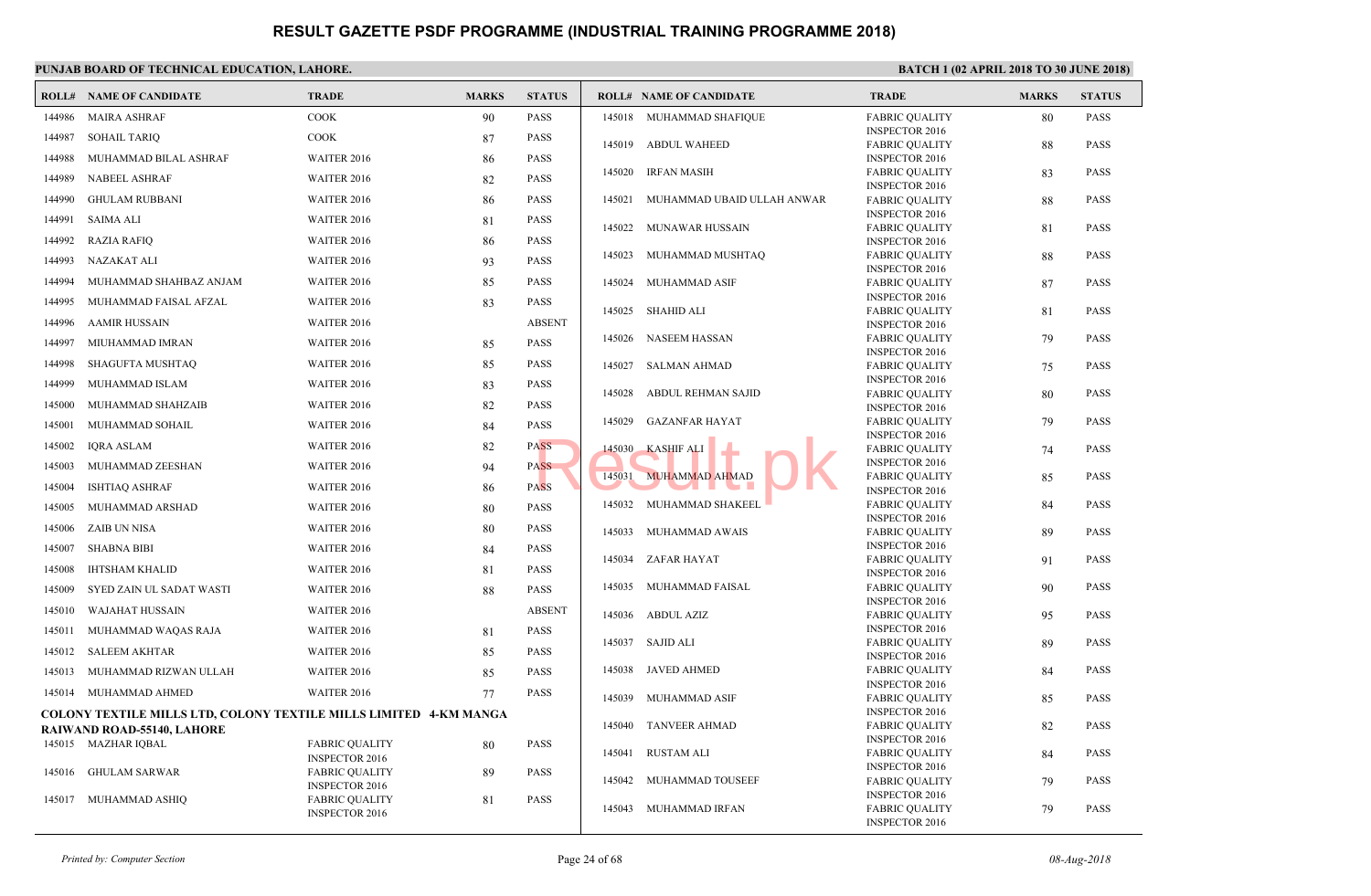|        | <b>ROLL# NAME OF CANDIDATE</b>                                           | <b>TRADE</b>                                   | <b>MARKS</b> | <b>STATUS</b> |        | <b>ROLL# NAME OF CANDIDATE</b> | <b>TRAL</b>                  |
|--------|--------------------------------------------------------------------------|------------------------------------------------|--------------|---------------|--------|--------------------------------|------------------------------|
| 144986 | <b>MAIRA ASHRAF</b>                                                      | <b>COOK</b>                                    | 90           | <b>PASS</b>   |        | 145018 MUHAMMAD SHAFIQUE       | <b>FABRI</b>                 |
| 144987 | SOHAIL TARIQ                                                             | <b>COOK</b>                                    | 87           | <b>PASS</b>   | 145019 | <b>ABDUL WAHEED</b>            | <b>INSPE</b><br><b>FABRI</b> |
| 144988 | MUHAMMAD BILAL ASHRAF                                                    | WAITER 2016                                    | 86           | <b>PASS</b>   |        |                                | <b>INSPE</b>                 |
| 144989 | <b>NABEEL ASHRAF</b>                                                     | WAITER 2016                                    | 82           | PASS          | 145020 | <b>IRFAN MASIH</b>             | FABRI                        |
| 144990 | <b>GHULAM RUBBANI</b>                                                    | WAITER 2016                                    | 86           | <b>PASS</b>   |        |                                | <b>INSPE</b>                 |
|        |                                                                          |                                                |              |               | 145021 | MUHAMMAD UBAID ULLAH ANWAR     | FABRI<br><b>INSPE</b>        |
| 144991 | SAIMA ALI                                                                | WAITER 2016                                    | 81           | <b>PASS</b>   | 145022 | MUNAWAR HUSSAIN                | <b>FABRI</b>                 |
| 144992 | <b>RAZIA RAFIQ</b>                                                       | WAITER 2016                                    | 86           | <b>PASS</b>   |        |                                | <b>INSPE</b>                 |
| 144993 | NAZAKAT ALI                                                              | WAITER 2016                                    | 93           | <b>PASS</b>   | 145023 | MUHAMMAD MUSHTAQ               | <b>FABRI</b><br><b>INSPE</b> |
| 144994 | MUHAMMAD SHAHBAZ ANJAM                                                   | WAITER 2016                                    | 85           | PASS          | 145024 | MUHAMMAD ASIF                  | FABRI                        |
| 144995 | MUHAMMAD FAISAL AFZAL                                                    | WAITER 2016                                    | 83           | <b>PASS</b>   |        |                                | <b>INSPE</b>                 |
| 144996 | AAMIR HUSSAIN                                                            | WAITER 2016                                    |              | <b>ABSENT</b> |        | 145025 SHAHID ALI              | FABRI<br><b>INSPE</b>        |
| 144997 | MIUHAMMAD IMRAN                                                          | WAITER 2016                                    | 85           | <b>PASS</b>   | 145026 | NASEEM HASSAN                  | FABRI                        |
| 144998 | SHAGUFTA MUSHTAQ                                                         | WAITER 2016                                    | 85           | <b>PASS</b>   |        |                                | <b>INSPE</b>                 |
|        |                                                                          |                                                |              |               | 145027 | <b>SALMAN AHMAD</b>            | FABRI<br><b>INSPE</b>        |
| 144999 | MUHAMMAD ISLAM                                                           | WAITER 2016                                    | 83           | <b>PASS</b>   | 145028 | ABDUL REHMAN SAJID             | FABRI                        |
| 145000 | MUHAMMAD SHAHZAIB                                                        | WAITER 2016                                    | 82           | <b>PASS</b>   |        |                                | <b>INSPE</b>                 |
| 145001 | MUHAMMAD SOHAIL                                                          | WAITER 2016                                    | 84           | <b>PASS</b>   | 145029 | <b>GAZANFAR HAYAT</b>          | FABRI<br><b>INSPE</b>        |
| 145002 | <b>IQRA ASLAM</b>                                                        | WAITER 2016                                    | 82           | <b>PASS</b>   | 145030 | <b>KASHIF ALI</b>              | FABRI                        |
| 145003 | MUHAMMAD ZEESHAN                                                         | WAITER 2016                                    | 94           | <b>PASS</b>   |        |                                | <b>INSPE</b>                 |
| 145004 | <b>ISHTIAQ ASHRAF</b>                                                    | WAITER 2016                                    | 86           | <b>PASS</b>   | 145031 | <b>MUHAMMAD AHMAD</b>          | <b>FABRI</b><br><b>INSPE</b> |
| 145005 | MUHAMMAD ARSHAD                                                          | WAITER 2016                                    | 80           | <b>PASS</b>   | 145032 | MUHAMMAD SHAKEEL               | FABRI                        |
| 145006 | ZAIB UN NISA                                                             | WAITER 2016                                    | 80           | <b>PASS</b>   |        | 145033 MUHAMMAD AWAIS          | <b>INSPE</b><br><b>FABRI</b> |
| 145007 | SHABNA BIBI                                                              | WAITER 2016                                    | 84           | <b>PASS</b>   |        |                                | <b>INSPE</b>                 |
| 145008 | IHTSHAM KHALID                                                           | WAITER 2016                                    | 81           | <b>PASS</b>   | 145034 | ZAFAR HAYAT                    | FABRI                        |
| 145009 | SYED ZAIN UL SADAT WASTI                                                 | WAITER 2016                                    | 88           | <b>PASS</b>   | 145035 | MUHAMMAD FAISAL                | <b>INSPE</b><br><b>FABRI</b> |
|        |                                                                          |                                                |              |               |        |                                | <b>INSPE</b>                 |
| 145010 | WAJAHAT HUSSAIN                                                          | WAITER 2016                                    |              | <b>ABSENT</b> |        | 145036 ABDUL AZIZ              | <b>FABRI</b><br><b>INSPE</b> |
| 145011 | MUHAMMAD WAQAS RAJA                                                      | WAITER 2016                                    | 81           | PASS          |        | 145037 SAJID ALI               | <b>FABRI</b>                 |
| 145012 | <b>SALEEM AKHTAR</b>                                                     | WAITER 2016                                    | 85           | <b>PASS</b>   |        |                                | <b>INSPE</b>                 |
| 145013 | MUHAMMAD RIZWAN ULLAH                                                    | WAITER 2016                                    | 85           | <b>PASS</b>   |        | 145038 JAVED AHMED             | <b>FABRI</b><br><b>INSPE</b> |
|        | 145014 MUHAMMAD AHMED                                                    | WAITER 2016                                    | 77           | <b>PASS</b>   | 145039 | MUHAMMAD ASIF                  | <b>FABRI</b>                 |
|        | <b>COLONY TEXTILE MILLS LTD, COLONY TEXTILE MILLS LIMITED 4-KM MANGA</b> |                                                |              |               |        |                                | <b>INSPE</b>                 |
|        | <b>RAIWAND ROAD-55140, LAHORE</b>                                        |                                                |              |               | 145040 | <b>TANVEER AHMAD</b>           | <b>FABRI</b><br><b>INSPE</b> |
|        | 145015 MAZHAR IOBAL                                                      | <b>FABRIC OUALITY</b><br><b>INSPECTOR 2016</b> | 80           | PASS          | 145041 | <b>RUSTAM ALI</b>              | FABRI                        |
| 145016 | GHULAM SARWAR                                                            | <b>FABRIC QUALITY</b>                          | 89           | <b>PASS</b>   |        |                                | <b>INSPE</b>                 |
|        |                                                                          | <b>INSPECTOR 2016</b>                          |              |               | 145042 | MUHAMMAD TOUSEEF               | <b>FABRI</b><br><b>INSPE</b> |
| 145017 | MUHAMMAD ASHIQ                                                           | <b>FABRIC QUALITY</b><br><b>INSPECTOR 2016</b> | 81           | <b>PASS</b>   |        | 145043 MUHAMMAD IRFAN          | <b>FABRI</b>                 |
|        |                                                                          |                                                |              |               |        |                                | <b>INSPE</b>                 |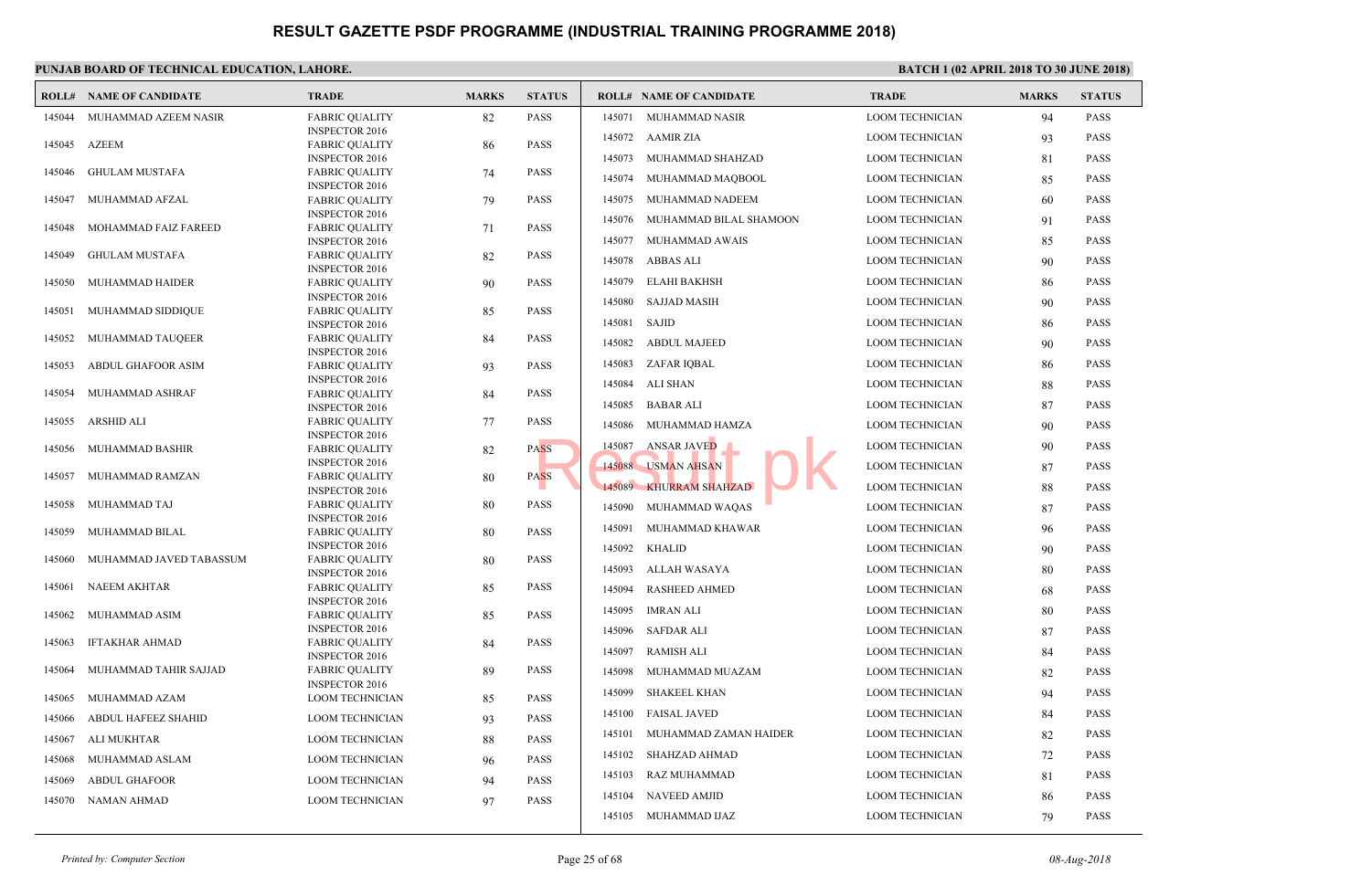|        | <b>ROLL# NAME OF CANDIDATE</b> | <b>TRADE</b>                                   | <b>MARKS</b> | <b>STATUS</b> |        | <b>ROLL# NAME OF CANDIDATE</b> | <b>TRAL</b> |
|--------|--------------------------------|------------------------------------------------|--------------|---------------|--------|--------------------------------|-------------|
| 145044 | MUHAMMAD AZEEM NASIR           | <b>FABRIC OUALITY</b>                          | 82           | <b>PASS</b>   | 145071 | MUHAMMAD NASIR                 | <b>LOOM</b> |
|        |                                | <b>INSPECTOR 2016</b>                          |              |               |        | 145072 AAMIR ZIA               | <b>LOOM</b> |
| 145045 | <b>AZEEM</b>                   | <b>FABRIC QUALITY</b><br><b>INSPECTOR 2016</b> | 86           | <b>PASS</b>   |        | 145073 MUHAMMAD SHAHZAD        | <b>LOOM</b> |
| 145046 | <b>GHULAM MUSTAFA</b>          | <b>FABRIC QUALITY</b>                          | 74           | <b>PASS</b>   |        |                                |             |
|        |                                | <b>INSPECTOR 2016</b>                          |              |               |        | 145074 MUHAMMAD MAQBOOL        | <b>LOOM</b> |
| 145047 | MUHAMMAD AFZAL                 | <b>FABRIC QUALITY</b>                          | 79           | <b>PASS</b>   | 145075 | MUHAMMAD NADEEM                | <b>LOOM</b> |
|        |                                | <b>INSPECTOR 2016</b>                          |              |               | 145076 | MUHAMMAD BILAL SHAMOON         | <b>LOOM</b> |
| 145048 | MOHAMMAD FAIZ FAREED           | <b>FABRIC QUALITY</b><br><b>INSPECTOR 2016</b> | 71           | <b>PASS</b>   | 145077 | MUHAMMAD AWAIS                 | <b>LOOM</b> |
| 145049 | <b>GHULAM MUSTAFA</b>          | <b>FABRIC QUALITY</b>                          | 82           | <b>PASS</b>   |        |                                |             |
|        |                                | <b>INSPECTOR 2016</b>                          |              |               | 145078 | ABBAS ALI                      | <b>LOOM</b> |
| 145050 | MUHAMMAD HAIDER                | <b>FABRIC QUALITY</b>                          | 90           | <b>PASS</b>   | 145079 | <b>ELAHI BAKHSH</b>            | <b>LOOM</b> |
|        |                                | <b>INSPECTOR 2016</b>                          |              |               | 145080 | <b>SAJJAD MASIH</b>            | <b>LOOM</b> |
| 145051 | MUHAMMAD SIDDIQUE              | <b>FABRIC QUALITY</b>                          | 85           | <b>PASS</b>   | 145081 | SAJID                          | <b>LOOM</b> |
| 145052 | MUHAMMAD TAUQEER               | <b>INSPECTOR 2016</b><br><b>FABRIC QUALITY</b> | 84           | PASS          |        |                                |             |
|        |                                | <b>INSPECTOR 2016</b>                          |              |               | 145082 | <b>ABDUL MAJEED</b>            | <b>LOOM</b> |
| 145053 | <b>ABDUL GHAFOOR ASIM</b>      | <b>FABRIC QUALITY</b>                          | 93           | <b>PASS</b>   | 145083 | ZAFAR IQBAL                    | <b>LOOM</b> |
|        |                                | <b>INSPECTOR 2016</b>                          |              |               | 145084 | ALI SHAN                       | <b>LOOM</b> |
| 145054 | MUHAMMAD ASHRAF                | <b>FABRIC QUALITY</b><br><b>INSPECTOR 2016</b> | 84           | <b>PASS</b>   | 145085 | <b>BABAR ALI</b>               | <b>LOOM</b> |
| 145055 | ARSHID ALI                     | <b>FABRIC QUALITY</b>                          | 77           | <b>PASS</b>   |        |                                |             |
|        |                                | <b>INSPECTOR 2016</b>                          |              |               | 145086 | MUHAMMAD HAMZA                 | <b>LOOM</b> |
| 145056 | MUHAMMAD BASHIR                | <b>FABRIC QUALITY</b>                          | 82           | <b>PASS</b>   | 145087 | ANSAR JAVED                    | <b>LOOM</b> |
|        |                                | <b>INSPECTOR 2016</b>                          |              |               | 145088 | <b>USMAN AHSAN</b>             | <b>LOOM</b> |
| 145057 | MUHAMMAD RAMZAN                | <b>FABRIC QUALITY</b>                          | 80           | <b>PASS</b>   |        | 145089 KHURRAM SHAHZAD         | <b>LOOM</b> |
| 145058 | MUHAMMAD TAJ                   | <b>INSPECTOR 2016</b><br><b>FABRIC QUALITY</b> | 80           | <b>PASS</b>   |        |                                |             |
|        |                                | <b>INSPECTOR 2016</b>                          |              |               | 145090 | MUHAMMAD WAQAS                 | <b>LOOM</b> |
| 145059 | MUHAMMAD BILAL                 | <b>FABRIC OUALITY</b>                          | 80           | <b>PASS</b>   | 145091 | MUHAMMAD KHAWAR                | <b>LOOM</b> |
|        |                                | <b>INSPECTOR 2016</b>                          |              |               | 145092 | <b>KHALID</b>                  | <b>LOOM</b> |
| 145060 | MUHAMMAD JAVED TABASSUM        | <b>FABRIC QUALITY</b>                          | 80           | <b>PASS</b>   | 145093 | ALLAH WASAYA                   | <b>LOOM</b> |
|        |                                | <b>INSPECTOR 2016</b>                          |              |               |        |                                |             |
| 145061 | NAEEM AKHTAR                   | <b>FABRIC QUALITY</b><br><b>INSPECTOR 2016</b> | 85           | <b>PASS</b>   | 145094 | <b>RASHEED AHMED</b>           | <b>LOOM</b> |
| 145062 | MUHAMMAD ASIM                  | <b>FABRIC QUALITY</b>                          | 85           | <b>PASS</b>   | 145095 | <b>IMRAN ALI</b>               | <b>LOOM</b> |
|        |                                | <b>INSPECTOR 2016</b>                          |              |               | 145096 | <b>SAFDAR ALI</b>              | <b>LOOM</b> |
| 145063 | <b>IFTAKHAR AHMAD</b>          | <b>FABRIC QUALITY</b>                          | 84           | <b>PASS</b>   | 145097 | RAMISH ALI                     | <b>LOOM</b> |
|        |                                | <b>INSPECTOR 2016</b>                          |              |               |        |                                |             |
| 145064 | MUHAMMAD TAHIR SAJJAD          | <b>FABRIC QUALITY</b><br><b>INSPECTOR 2016</b> | 89           | <b>PASS</b>   | 145098 | MUHAMMAD MUAZAM                | <b>LOOM</b> |
| 145065 | MUHAMMAD AZAM                  | <b>LOOM TECHNICIAN</b>                         | 85           | <b>PASS</b>   | 145099 | <b>SHAKEEL KHAN</b>            | <b>LOOM</b> |
| 145066 | ABDUL HAFEEZ SHAHID            | <b>LOOM TECHNICIAN</b>                         | 93           | <b>PASS</b>   | 145100 | <b>FAISAL JAVED</b>            | <b>LOOM</b> |
| 145067 | ALI MUKHTAR                    | <b>LOOM TECHNICIAN</b>                         | 88           | <b>PASS</b>   | 145101 | MUHAMMAD ZAMAN HAIDER          | <b>LOOM</b> |
|        |                                |                                                |              |               | 145102 | SHAHZAD AHMAD                  | <b>LOOM</b> |
| 145068 | MUHAMMAD ASLAM                 | <b>LOOM TECHNICIAN</b>                         | 96           | <b>PASS</b>   | 145103 | RAZ MUHAMMAD                   | <b>LOOM</b> |
| 145069 | <b>ABDUL GHAFOOR</b>           | <b>LOOM TECHNICIAN</b>                         | 94           | <b>PASS</b>   |        |                                |             |
| 145070 | NAMAN AHMAD                    | <b>LOOM TECHNICIAN</b>                         | 97           | <b>PASS</b>   | 145104 | NAVEED AMJID                   | <b>LOOM</b> |
|        |                                |                                                |              |               |        | 145105 MUHAMMAD IJAZ           | <b>LOOM</b> |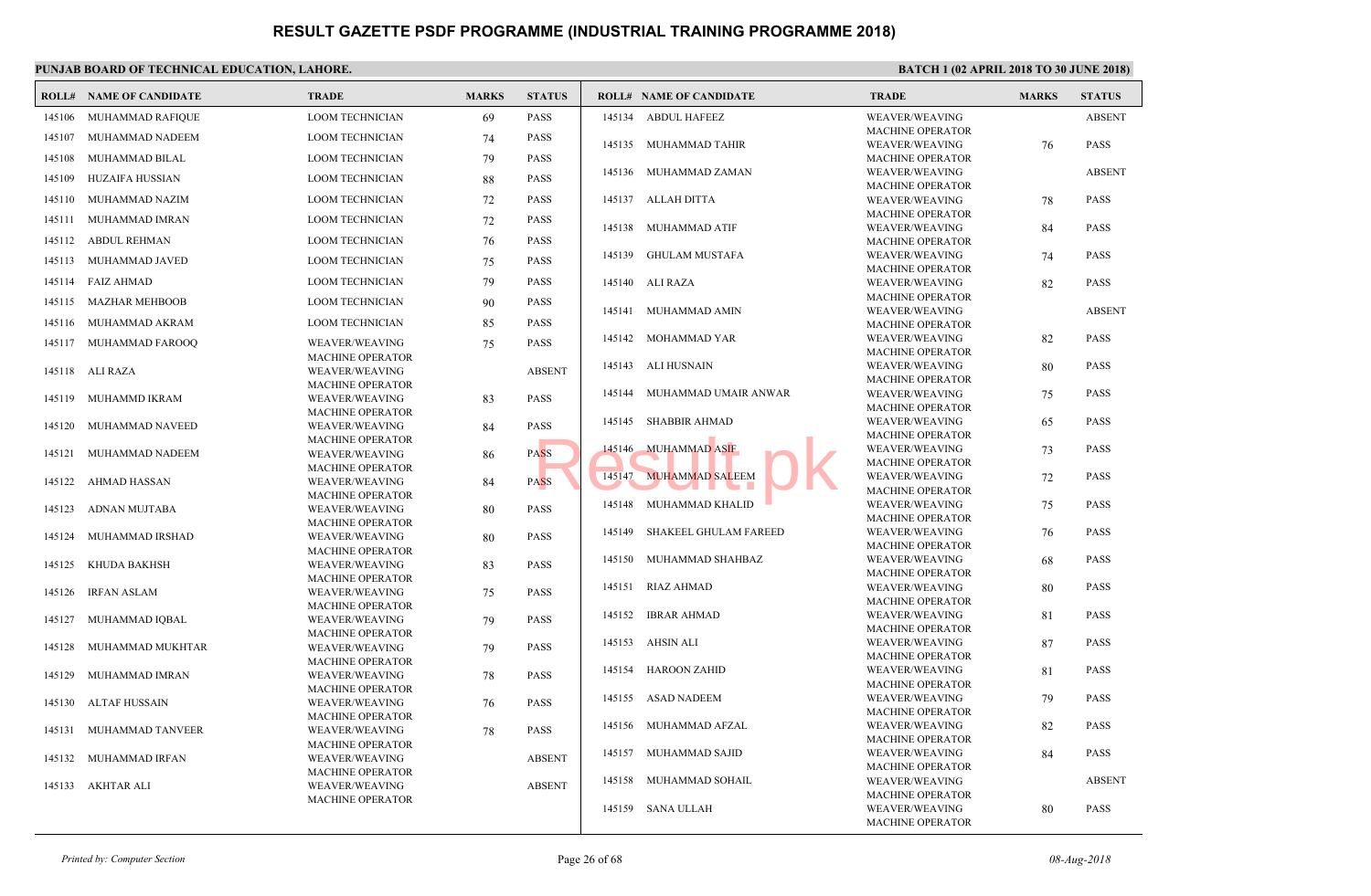|        | <b>ROLL# NAME OF CANDIDATE</b> | <b>TRADE</b>                                     | <b>MARKS</b> | <b>STATUS</b> |        | <b>ROLL# NAME OF CANDIDATE</b> | <b>TRAL</b>                |
|--------|--------------------------------|--------------------------------------------------|--------------|---------------|--------|--------------------------------|----------------------------|
| 145106 | MUHAMMAD RAFIQUE               | <b>LOOM TECHNICIAN</b>                           | 69           | <b>PASS</b>   | 145134 | <b>ABDUL HAFEEZ</b>            | WEAV                       |
| 145107 | MUHAMMAD NADEEM                | <b>LOOM TECHNICIAN</b>                           | 74           | <b>PASS</b>   | 145135 | MUHAMMAD TAHIR                 | <b>MACH</b><br>WEAV        |
| 145108 | MUHAMMAD BILAL                 | <b>LOOM TECHNICIAN</b>                           | 79           | <b>PASS</b>   |        |                                | <b>MACF</b>                |
| 145109 | HUZAIFA HUSSIAN                | <b>LOOM TECHNICIAN</b>                           | 88           | <b>PASS</b>   | 145136 | MUHAMMAD ZAMAN                 | <b>WEAV</b>                |
| 145110 | MUHAMMAD NAZIM                 | <b>LOOM TECHNICIAN</b>                           | 72           | <b>PASS</b>   | 145137 | ALLAH DITTA                    | <b>MACH</b><br>WEAV        |
| 145111 | MUHAMMAD IMRAN                 | <b>LOOM TECHNICIAN</b>                           | 72           | <b>PASS</b>   |        |                                | <b>MACH</b>                |
|        | 145112 ABDUL REHMAN            | <b>LOOM TECHNICIAN</b>                           | 76           | <b>PASS</b>   | 145138 | MUHAMMAD ATIF                  | WEAV<br><b>MACH</b>        |
|        | 145113 MUHAMMAD JAVED          | <b>LOOM TECHNICIAN</b>                           | 75           | <b>PASS</b>   | 145139 | <b>GHULAM MUSTAFA</b>          | WEAV                       |
|        | 145114 FAIZ AHMAD              | <b>LOOM TECHNICIAN</b>                           |              | <b>PASS</b>   |        |                                | <b>MACH</b>                |
|        |                                |                                                  | 79           |               |        | 145140 ALI RAZA                | WEAV<br><b>MACH</b>        |
| 145115 | <b>MAZHAR MEHBOOB</b>          | <b>LOOM TECHNICIAN</b>                           | 90           | <b>PASS</b>   |        | 145141 MUHAMMAD AMIN           | WEAV                       |
| 145116 | MUHAMMAD AKRAM                 | <b>LOOM TECHNICIAN</b>                           | 85           | <b>PASS</b>   | 145142 | MOHAMMAD YAR                   | <b>MACH</b><br>WEAV        |
|        | 145117 MUHAMMAD FAROOQ         | <b>WEAVER/WEAVING</b><br><b>MACHINE OPERATOR</b> | 75           | <b>PASS</b>   |        |                                | <b>MACH</b>                |
|        | 145118 ALI RAZA                | <b>WEAVER/WEAVING</b>                            |              | <b>ABSENT</b> | 145143 | ALI HUSNAIN                    | WEAV                       |
|        |                                | <b>MACHINE OPERATOR</b>                          |              |               | 145144 | MUHAMMAD UMAIR ANWAR           | <b>MACH</b><br>WEAV        |
| 145119 | MUHAMMD IKRAM                  | <b>WEAVER/WEAVING</b><br><b>MACHINE OPERATOR</b> | 83           | <b>PASS</b>   |        |                                | <b>MACH</b>                |
| 145120 | MUHAMMAD NAVEED                | <b>WEAVER/WEAVING</b>                            | 84           | <b>PASS</b>   | 145145 | <b>SHABBIR AHMAD</b>           | WEAV                       |
| 145121 | MUHAMMAD NADEEM                | <b>MACHINE OPERATOR</b>                          |              | <b>PASS</b>   | 145146 | <b>MUHAMMAD ASIF</b>           | <b>MACH</b><br>WEAV        |
|        |                                | WEAVER/WEAVING<br><b>MACHINE OPERATOR</b>        | 86           |               |        |                                | <b>MACH</b>                |
| 145122 | AHMAD HASSAN                   | WEAVER/WEAVING                                   | 84           | <b>PASS</b>   | 145147 | <b>MUHAMMAD SALEEM</b>         | WEAV<br><b>MACH</b>        |
| 145123 | ADNAN MUJTABA                  | <b>MACHINE OPERATOR</b><br><b>WEAVER/WEAVING</b> | 80           | <b>PASS</b>   | 145148 | MUHAMMAD KHALID                | WEAV                       |
|        |                                | <b>MACHINE OPERATOR</b>                          |              |               |        |                                | <b>MACH</b>                |
| 145124 | MUHAMMAD IRSHAD                | <b>WEAVER/WEAVING</b>                            | 80           | <b>PASS</b>   | 145149 | <b>SHAKEEL GHULAM FAREED</b>   | WEAV<br><b>MACH</b>        |
| 145125 | KHUDA BAKHSH                   | <b>MACHINE OPERATOR</b><br>WEAVER/WEAVING        | 83           | <b>PASS</b>   | 145150 | MUHAMMAD SHAHBAZ               | WEAV                       |
|        |                                | <b>MACHINE OPERATOR</b>                          |              |               | 145151 | <b>RIAZ AHMAD</b>              | <b>MACF</b><br>WEAV        |
| 145126 | IRFAN ASLAM                    | WEAVER/WEAVING<br><b>MACHINE OPERATOR</b>        | 75           | <b>PASS</b>   |        |                                | <b>MACH</b>                |
| 145127 | MUHAMMAD IQBAL                 | WEAVER/WEAVING                                   | 79           | <b>PASS</b>   | 145152 | IBRAR AHMAD                    | WEAV                       |
|        |                                | <b>MACHINE OPERATOR</b>                          |              |               |        | 145153 AHSIN ALI               | <b>MACH</b><br><b>WEAV</b> |
| 145128 | MUHAMMAD MUKHTAR               | <b>WEAVER/WEAVING</b><br><b>MACHINE OPERATOR</b> | 79           | <b>PASS</b>   |        |                                | <b>MACH</b>                |
| 145129 | MUHAMMAD IMRAN                 | <b>WEAVER/WEAVING</b>                            | 78           | <b>PASS</b>   | 145154 | HAROON ZAHID                   | WEAV<br><b>MACH</b>        |
| 145130 |                                | <b>MACHINE OPERATOR</b><br>WEAVER/WEAVING        |              | <b>PASS</b>   | 145155 | <b>ASAD NADEEM</b>             | WEAV                       |
|        | ALTAF HUSSAIN                  | <b>MACHINE OPERATOR</b>                          | 76           |               |        |                                | <b>MACH</b>                |
| 145131 | MUHAMMAD TANVEER               | WEAVER/WEAVING                                   | 78           | PASS          | 145156 | MUHAMMAD AFZAL                 | WEAV<br><b>MACF</b>        |
| 145132 | MUHAMMAD IRFAN                 | <b>MACHINE OPERATOR</b><br>WEAVER/WEAVING        |              | <b>ABSENT</b> | 145157 | MUHAMMAD SAJID                 | <b>WEAV</b>                |
|        |                                | <b>MACHINE OPERATOR</b>                          |              |               |        |                                | <b>MACH</b>                |
| 145133 | AKHTAR ALI                     | <b>WEAVER/WEAVING</b>                            |              | <b>ABSENT</b> | 145158 | MUHAMMAD SOHAIL                | WEAV<br><b>MACH</b>        |
|        |                                | <b>MACHINE OPERATOR</b>                          |              |               | 145159 | SANA ULLAH                     | WEAV                       |
|        |                                |                                                  |              |               |        |                                | <b>MACH</b>                |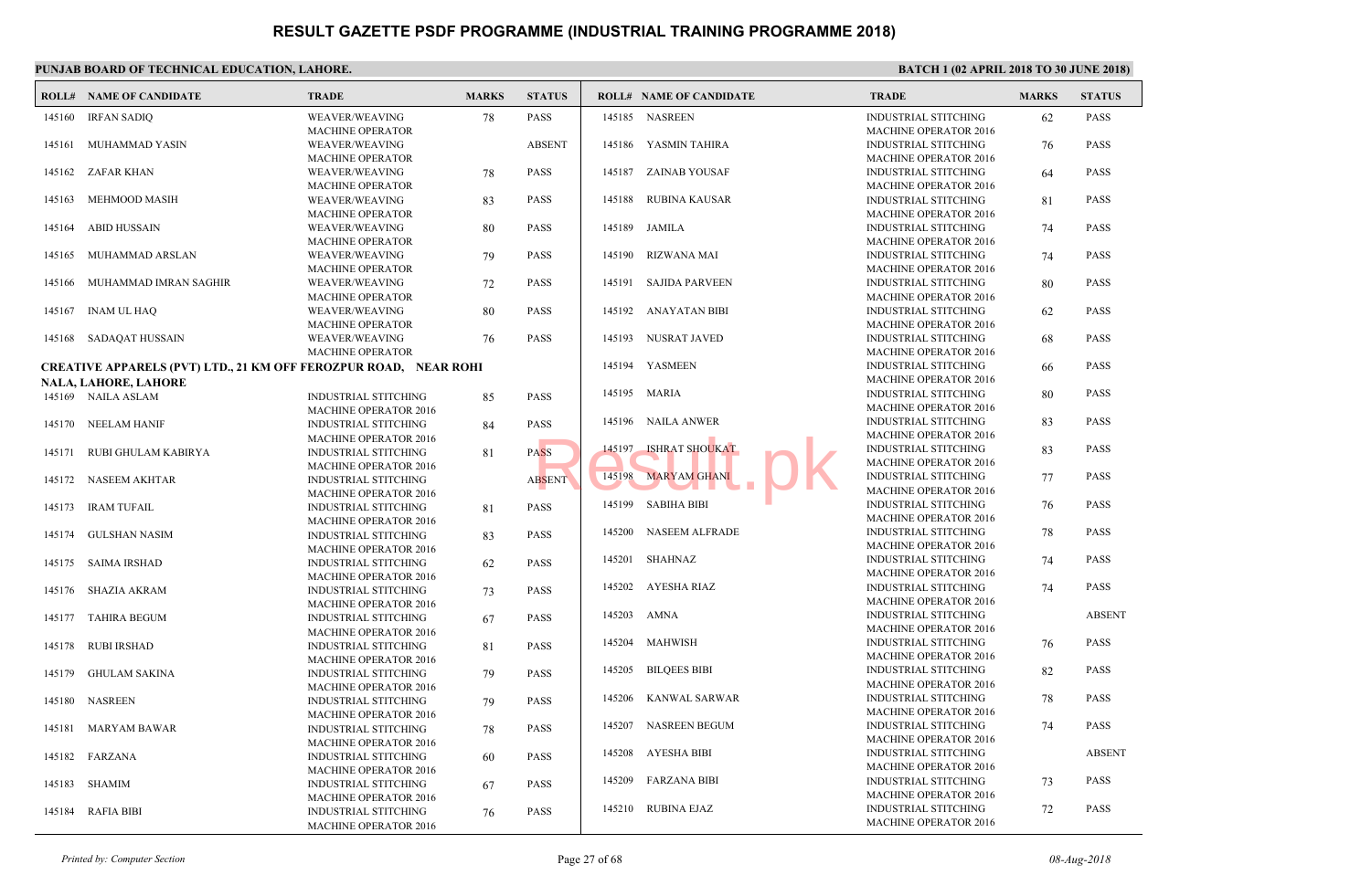|        | PUNJAB BOARD OF TECHNICAL EDUCATION, LAHORE.                            |                                                                                             |              |               |             |                                |                             |  |  |  |  |  |
|--------|-------------------------------------------------------------------------|---------------------------------------------------------------------------------------------|--------------|---------------|-------------|--------------------------------|-----------------------------|--|--|--|--|--|
|        | <b>ROLL# NAME OF CANDIDATE</b>                                          | <b>TRADE</b>                                                                                | <b>MARKS</b> | <b>STATUS</b> |             | <b>ROLL# NAME OF CANDIDATE</b> | TRAD                        |  |  |  |  |  |
|        | 145160 IRFAN SADIQ                                                      | WEAVER/WEAVING<br><b>MACHINE OPERATOR</b>                                                   | 78           | PASS          |             | 145185 NASREEN                 | <b>INDUS</b><br><b>MACH</b> |  |  |  |  |  |
| 145161 | MUHAMMAD YASIN                                                          | <b>WEAVER/WEAVING</b><br><b>MACHINE OPERATOR</b>                                            |              | <b>ABSENT</b> |             | 145186 YASMIN TAHIRA           | <b>INDUS</b><br><b>MACH</b> |  |  |  |  |  |
|        | 145162 ZAFAR KHAN                                                       | WEAVER/WEAVING<br><b>MACHINE OPERATOR</b>                                                   | 78           | <b>PASS</b>   | 145187      | ZAINAB YOUSAF                  | <b>INDUS</b><br><b>MACH</b> |  |  |  |  |  |
| 145163 | MEHMOOD MASIH                                                           | WEAVER/WEAVING<br><b>MACHINE OPERATOR</b>                                                   | 83           | <b>PASS</b>   | 145188      | RUBINA KAUSAR                  | <b>INDUS</b><br><b>MACH</b> |  |  |  |  |  |
| 145164 | ABID HUSSAIN                                                            | WEAVER/WEAVING<br><b>MACHINE OPERATOR</b>                                                   | 80           | <b>PASS</b>   |             | 145189 JAMILA                  | <b>INDUS</b><br><b>MACH</b> |  |  |  |  |  |
| 145165 | MUHAMMAD ARSLAN                                                         | WEAVER/WEAVING<br>MACHINE OPERATOR                                                          | 79           | PASS          |             | 145190 RIZWANA MAI             | <b>INDUS</b><br><b>MACH</b> |  |  |  |  |  |
| 145166 | MUHAMMAD IMRAN SAGHIR                                                   | WEAVER/WEAVING<br><b>MACHINE OPERATOR</b>                                                   | 72           | <b>PASS</b>   |             | 145191 SAJIDA PARVEEN          | <b>INDUS</b><br><b>MACH</b> |  |  |  |  |  |
| 145167 | <b>INAM UL HAQ</b>                                                      | WEAVER/WEAVING<br>MACHINE OPERATOR                                                          | 80           | PASS          |             | 145192 ANAYATAN BIBI           | <b>INDUS</b><br><b>MACH</b> |  |  |  |  |  |
|        | 145168 SADAQAT HUSSAIN                                                  | WEAVER/WEAVING<br><b>MACHINE OPERATOR</b>                                                   | 76           | PASS          | 145193      | NUSRAT JAVED                   | <b>INDUS</b><br><b>MACH</b> |  |  |  |  |  |
|        | <b>CREATIVE APPARELS (PVT) LTD., 21 KM OFF FEROZPUR ROAD, NEAR ROHI</b> |                                                                                             |              |               |             | 145194 YASMEEN                 | <b>INDUS</b>                |  |  |  |  |  |
|        | <b>NALA, LAHORE, LAHORE</b>                                             |                                                                                             |              |               |             |                                | <b>MACH</b>                 |  |  |  |  |  |
|        | 145169 NAILA ASLAM                                                      | <b>INDUSTRIAL STITCHING</b><br><b>MACHINE OPERATOR 2016</b>                                 | 85           | PASS          |             | 145195 MARIA                   | <b>INDUS</b><br><b>MACH</b> |  |  |  |  |  |
| 145170 | NEELAM HANIF                                                            | <b>INDUSTRIAL STITCHING</b><br><b>MACHINE OPERATOR 2016</b>                                 | 84           | PASS          |             | 145196 NAILA ANWER             | <b>INDUS</b><br><b>MACH</b> |  |  |  |  |  |
| 145171 | RUBI GHULAM KABIRYA                                                     | <b>INDUSTRIAL STITCHING</b><br><b>MACHINE OPERATOR 2016</b>                                 | 81           | <b>PASS</b>   | 145197      | <b>ISHRAT SHOUKAT</b>          | <b>INDUS</b><br><b>MACH</b> |  |  |  |  |  |
| 145172 | NASEEM AKHTAR                                                           | INDUSTRIAL STITCHING<br><b>MACHINE OPERATOR 2016</b>                                        |              | <b>ABSENT</b> |             | 145198 MARYAM GHANI            | <b>INDUS</b><br><b>MACH</b> |  |  |  |  |  |
|        | 145173 IRAM TUFAIL                                                      | <b>INDUSTRIAL STITCHING</b><br><b>MACHINE OPERATOR 2016</b>                                 | 81           | <b>PASS</b>   | 145199      | SABIHA BIBI                    | <b>INDUS</b><br><b>MACH</b> |  |  |  |  |  |
|        | 145174 GULSHAN NASIM                                                    | <b>INDUSTRIAL STITCHING</b><br><b>MACHINE OPERATOR 2016</b>                                 | 83           | PASS          | 145200      | NASEEM ALFRADE                 | <b>INDUS</b><br><b>MACH</b> |  |  |  |  |  |
|        | 145175 SAIMA IRSHAD                                                     | <b>INDUSTRIAL STITCHING</b><br><b>MACHINE OPERATOR 2016</b>                                 | 62           | PASS          |             | 145201 SHAHNAZ                 | <b>INDUS</b><br><b>MACH</b> |  |  |  |  |  |
| 145176 | SHAZIA AKRAM                                                            | <b>INDUSTRIAL STITCHING</b><br><b>MACHINE OPERATOR 2016</b>                                 | 73           | PASS          |             | 145202 AYESHA RIAZ             | <b>INDUS</b><br><b>MACH</b> |  |  |  |  |  |
| 145177 | <b>TAHIRA BEGUM</b>                                                     | <b>INDUSTRIAL STITCHING</b><br><b>MACHINE OPERATOR 2016</b>                                 | 67           | PASS          | 145203 AMNA |                                | <b>INDUS</b><br><b>MACH</b> |  |  |  |  |  |
| 145178 | <b>RUBI IRSHAD</b>                                                      | <b>INDUSTRIAL STITCHING</b><br><b>MACHINE OPERATOR 2016</b>                                 | 81           | PASS          | 145204      | <b>MAHWISH</b>                 | <b>INDUS</b><br><b>MACH</b> |  |  |  |  |  |
| 145179 | <b>GHULAM SAKINA</b>                                                    | <b>INDUSTRIAL STITCHING</b><br><b>MACHINE OPERATOR 2016</b>                                 | 79           | <b>PASS</b>   | 145205      | <b>BILQEES BIBI</b>            | <b>INDUS</b><br><b>MACH</b> |  |  |  |  |  |
|        | 145180 NASREEN                                                          | <b>INDUSTRIAL STITCHING</b><br><b>MACHINE OPERATOR 2016</b>                                 | 79           | PASS          |             | 145206 KANWAL SARWAR           | <b>INDUS</b><br><b>MACH</b> |  |  |  |  |  |
|        | 145181 MARYAM BAWAR                                                     | <b>INDUSTRIAL STITCHING</b><br><b>MACHINE OPERATOR 2016</b>                                 | 78           | PASS          |             | 145207 NASREEN BEGUM           | <b>INDUS</b><br><b>MACH</b> |  |  |  |  |  |
|        | 145182 FARZANA                                                          | <b>INDUSTRIAL STITCHING</b><br>MACHINE OPERATOR 2016                                        | 60           | PASS          |             | 145208 AYESHA BIBI             | <b>INDUS</b><br><b>MACH</b> |  |  |  |  |  |
|        | 145183 SHAMIM                                                           | <b>INDUSTRIAL STITCHING</b>                                                                 | 67           | <b>PASS</b>   |             | 145209 FARZANA BIBI            | <b>INDUS</b><br><b>MACH</b> |  |  |  |  |  |
|        | 145184 RAFIA BIBI                                                       | <b>MACHINE OPERATOR 2016</b><br><b>INDUSTRIAL STITCHING</b><br><b>MACHINE OPERATOR 2016</b> | 76           | PASS          |             | 145210 RUBINA EJAZ             | <b>INDUS</b><br><b>MACH</b> |  |  |  |  |  |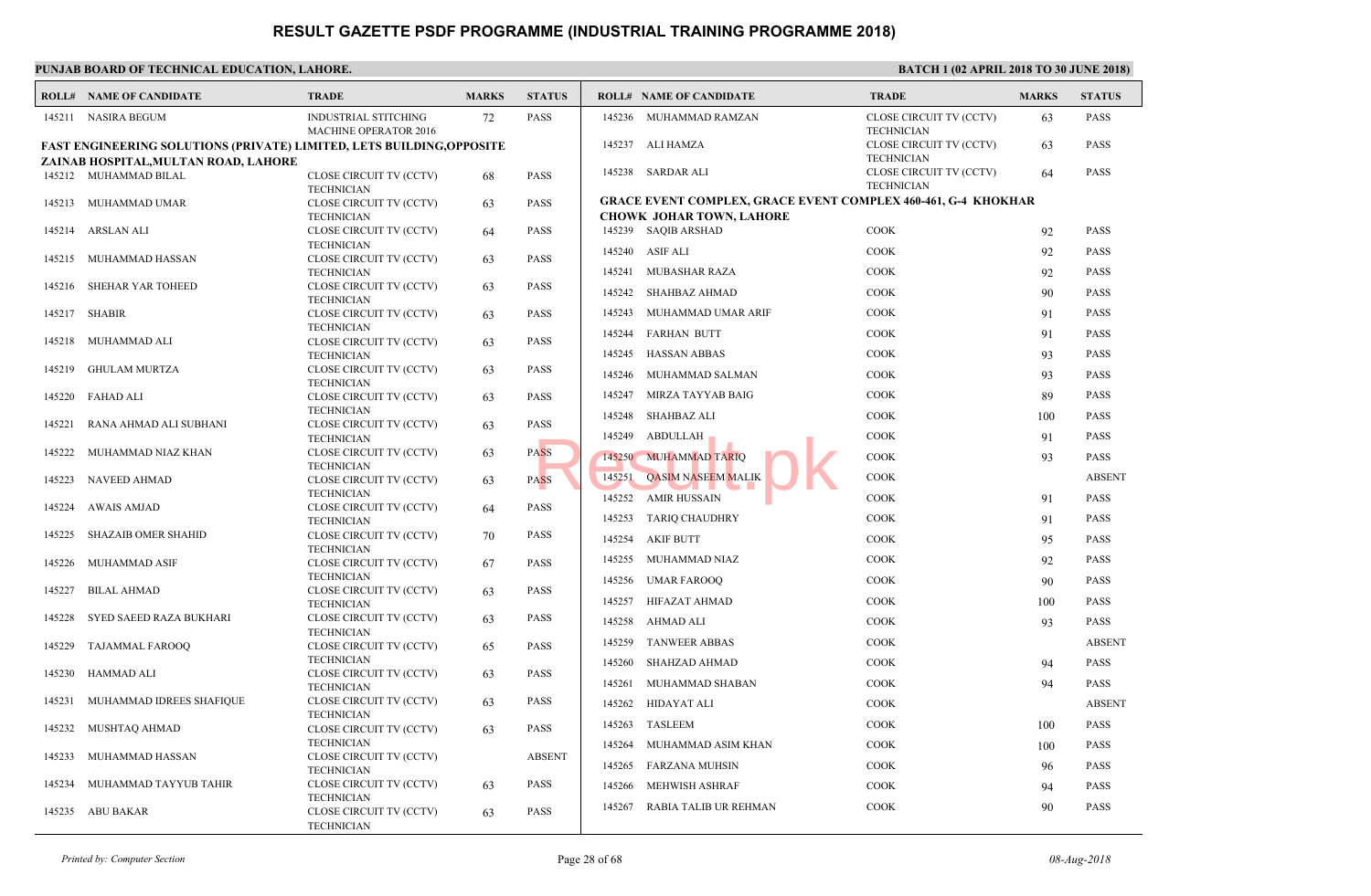|        | <b>ROLL# NAME OF CANDIDATE</b>                                                                                       | <b>TRADE</b>                                                      | <b>MARKS</b> | <b>STATUS</b> |                  | <b>ROLL# NAME OF CANDIDATE</b>                                                     | <b>TRAL</b>                  |
|--------|----------------------------------------------------------------------------------------------------------------------|-------------------------------------------------------------------|--------------|---------------|------------------|------------------------------------------------------------------------------------|------------------------------|
|        | 145211 NASIRA BEGUM                                                                                                  | <b>INDUSTRIAL STITCHING</b><br>MACHINE OPERATOR 2016              | 72           | <b>PASS</b>   | 145236           | MUHAMMAD RAMZAN                                                                    | <b>CLOSE</b><br><b>TECHN</b> |
|        | <b>FAST ENGINEERING SOLUTIONS (PRIVATE) LIMITED, LETS BUILDING, OPPOSITE</b><br>ZAINAB HOSPITAL, MULTAN ROAD, LAHORE |                                                                   |              |               |                  | 145237 ALI HAMZA                                                                   | <b>CLOSE</b><br><b>TECHI</b> |
|        | 145212 MUHAMMAD BILAL                                                                                                | CLOSE CIRCUIT TV (CCTV)<br><b>TECHNICIAN</b>                      | 68           | <b>PASS</b>   |                  | 145238 SARDAR ALI                                                                  | <b>CLOSE</b><br><b>TECHN</b> |
|        | 145213 MUHAMMAD UMAR                                                                                                 | CLOSE CIRCUIT TV (CCTV)<br><b>TECHNICIAN</b>                      | 63           | <b>PASS</b>   |                  | <b>GRACE EVENT COMPLEX, GRACE EVENT COMPLEY</b><br><b>CHOWK JOHAR TOWN, LAHORE</b> |                              |
| 145214 | ARSLAN ALI                                                                                                           | CLOSE CIRCUIT TV (CCTV)<br><b>TECHNICIAN</b>                      | 64           | <b>PASS</b>   |                  | 145239 SAQIB ARSHAD                                                                | COOK                         |
| 145215 | MUHAMMAD HASSAN                                                                                                      | CLOSE CIRCUIT TV (CCTV)<br><b>TECHNICIAN</b>                      | 63           | <b>PASS</b>   | 145240<br>145241 | ASIF ALI<br><b>MUBASHAR RAZA</b>                                                   | COOK<br>COOK                 |
| 145216 | SHEHAR YAR TOHEED                                                                                                    | CLOSE CIRCUIT TV (CCTV)<br><b>TECHNICIAN</b>                      | 63           | <b>PASS</b>   | 145242           | <b>SHAHBAZ AHMAD</b>                                                               | COOK                         |
|        | 145217 SHABIR                                                                                                        | CLOSE CIRCUIT TV (CCTV)<br><b>TECHNICIAN</b>                      | 63           | <b>PASS</b>   | 145243           | MUHAMMAD UMAR ARIF                                                                 | COOK                         |
| 145218 | MUHAMMAD ALI                                                                                                         | CLOSE CIRCUIT TV (CCTV)<br><b>TECHNICIAN</b>                      | 63           | <b>PASS</b>   | 145244<br>145245 | <b>FARHAN BUTT</b><br><b>HASSAN ABBAS</b>                                          | COOK<br><b>COOK</b>          |
| 145219 | <b>GHULAM MURTZA</b>                                                                                                 | CLOSE CIRCUIT TV (CCTV)<br><b>TECHNICIAN</b>                      | 63           | <b>PASS</b>   | 145246           | MUHAMMAD SALMAN                                                                    | COOK                         |
| 145220 | FAHAD ALI                                                                                                            | CLOSE CIRCUIT TV (CCTV)<br><b>TECHNICIAN</b>                      | 63           | <b>PASS</b>   | 145247           | MIRZA TAYYAB BAIG                                                                  | COOK                         |
| 145221 | RANA AHMAD ALI SUBHANI                                                                                               | CLOSE CIRCUIT TV (CCTV)<br><b>TECHNICIAN</b>                      | 63           | <b>PASS</b>   | 145248<br>145249 | <b>SHAHBAZ ALI</b><br>ABDULLAH                                                     | COOK<br>COOK                 |
| 145222 | MUHAMMAD NIAZ KHAN                                                                                                   | CLOSE CIRCUIT TV (CCTV)<br><b>TECHNICIAN</b>                      | 63           | <b>PASS</b>   |                  | 145250 MUHAMMAD TARIQ                                                              | COOK                         |
| 145223 | NAVEED AHMAD                                                                                                         | CLOSE CIRCUIT TV (CCTV)<br><b>TECHNICIAN</b>                      | 63           | <b>PASS</b>   | 145251           | <b>OASIM NASEEM MALIK</b>                                                          | COOK                         |
| 145224 | <b>AWAIS AMJAD</b>                                                                                                   | CLOSE CIRCUIT TV (CCTV)<br><b>TECHNICIAN</b>                      | 64           | <b>PASS</b>   | 145252<br>145253 | <b>AMIR HUSSAIN</b><br><b>TARIQ CHAUDHRY</b>                                       | COOK<br>COOK                 |
| 145225 | <b>SHAZAIB OMER SHAHID</b>                                                                                           | CLOSE CIRCUIT TV (CCTV)<br><b>TECHNICIAN</b>                      | 70           | <b>PASS</b>   | 145254           | <b>AKIF BUTT</b>                                                                   | COOK                         |
| 145226 | MUHAMMAD ASIF                                                                                                        | CLOSE CIRCUIT TV (CCTV)<br><b>TECHNICIAN</b>                      | 67           | <b>PASS</b>   | 145255           | MUHAMMAD NIAZ                                                                      | COOK                         |
| 145227 | <b>BILAL AHMAD</b>                                                                                                   | CLOSE CIRCUIT TV (CCTV)<br><b>TECHNICIAN</b>                      | 63           | <b>PASS</b>   | 145256<br>145257 | <b>UMAR FAROOO</b><br>HIFAZAT AHMAD                                                | COOK<br>COOK                 |
| 145228 | SYED SAEED RAZA BUKHARI                                                                                              | CLOSE CIRCUIT TV (CCTV)<br><b>TECHNICIAN</b>                      | 63           | <b>PASS</b>   | 145258           | AHMAD ALI                                                                          | COOK                         |
| 145229 | TAJAMMAL FAROOQ                                                                                                      | CLOSE CIRCUIT TV (CCTV)<br><b>TECHNICIAN</b>                      | 65           | <b>PASS</b>   | 145259           | <b>TANWEER ABBAS</b>                                                               | COOK                         |
| 145230 | HAMMAD ALI                                                                                                           | CLOSE CIRCUIT TV (CCTV)<br><b>TECHNICIAN</b>                      | 63           | <b>PASS</b>   | 145260<br>145261 | SHAHZAD AHMAD<br>MUHAMMAD SHABAN                                                   | COOK<br>COOK                 |
| 145231 | MUHAMMAD IDREES SHAFIQUE                                                                                             | CLOSE CIRCUIT TV (CCTV)<br><b>TECHNICIAN</b>                      | 63           | <b>PASS</b>   | 145262           | <b>HIDAYAT ALI</b>                                                                 | COOK                         |
| 145232 | MUSHTAQ AHMAD                                                                                                        | CLOSE CIRCUIT TV (CCTV)<br><b>TECHNICIAN</b>                      | 63           | <b>PASS</b>   | 145263           | <b>TASLEEM</b>                                                                     | COOK                         |
| 145233 | MUHAMMAD HASSAN                                                                                                      | CLOSE CIRCUIT TV (CCTV)<br><b>TECHNICIAN</b>                      |              | <b>ABSENT</b> | 145264<br>145265 | MUHAMMAD ASIM KHAN<br><b>FARZANA MUHSIN</b>                                        | COOK<br>COOK                 |
| 145234 | MUHAMMAD TAYYUB TAHIR                                                                                                | CLOSE CIRCUIT TV (CCTV)                                           | 63           | <b>PASS</b>   | 145266           | MEHWISH ASHRAF                                                                     | COOK                         |
|        | 145235 ABU BAKAR                                                                                                     | <b>TECHNICIAN</b><br>CLOSE CIRCUIT TV (CCTV)<br><b>TECHNICIAN</b> | 63           | <b>PASS</b>   | 145267           | RABIA TALIB UR REHMAN                                                              | COOK                         |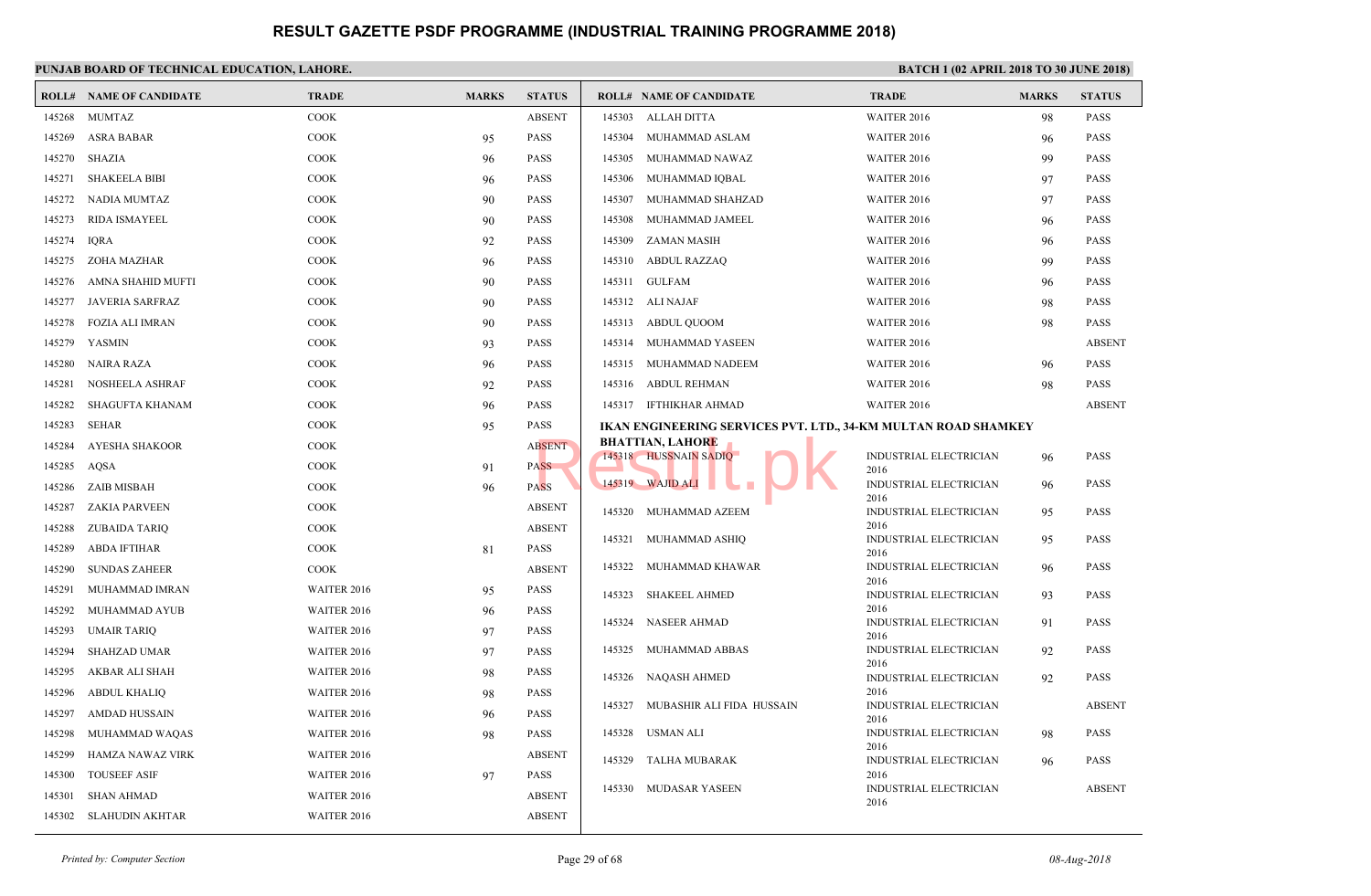|        | <b>ROLL# NAME OF CANDIDATE</b> | <b>TRADE</b> | <b>MARKS</b> | <b>STATUS</b> |        | <b>ROLL# NAME OF CANDIDATE</b>                       | <b>TRAI</b>          |
|--------|--------------------------------|--------------|--------------|---------------|--------|------------------------------------------------------|----------------------|
| 145268 | <b>MUMTAZ</b>                  | COOK         |              | <b>ABSENT</b> | 145303 | ALLAH DITTA                                          | <b>WAITE</b>         |
| 145269 | <b>ASRA BABAR</b>              | <b>COOK</b>  | 95           | <b>PASS</b>   | 145304 | MUHAMMAD ASLAM                                       | <b>WAITI</b>         |
| 145270 | <b>SHAZIA</b>                  | <b>COOK</b>  | 96           | <b>PASS</b>   | 145305 | MUHAMMAD NAWAZ                                       | <b>WAITE</b>         |
| 145271 | <b>SHAKEELA BIBI</b>           | <b>COOK</b>  | 96           | <b>PASS</b>   | 145306 | MUHAMMAD IQBAL                                       | <b>WAITI</b>         |
| 145272 | NADIA MUMTAZ                   | COOK         | 90           | <b>PASS</b>   | 145307 | MUHAMMAD SHAHZAD                                     | <b>WAITI</b>         |
| 145273 | RIDA ISMAYEEL                  | COOK         | 90           | <b>PASS</b>   | 145308 | MUHAMMAD JAMEEL                                      | <b>WAITI</b>         |
| 145274 | <b>IQRA</b>                    | <b>COOK</b>  | 92           | <b>PASS</b>   | 145309 | <b>ZAMAN MASIH</b>                                   | <b>WAITE</b>         |
| 145275 | ZOHA MAZHAR                    | <b>COOK</b>  | 96           | <b>PASS</b>   | 145310 | <b>ABDUL RAZZAQ</b>                                  | WAITI                |
| 145276 | AMNA SHAHID MUFTI              | COOK         | 90           | <b>PASS</b>   | 145311 | <b>GULFAM</b>                                        | <b>WAITI</b>         |
| 145277 | <b>JAVERIA SARFRAZ</b>         | <b>COOK</b>  | 90           | <b>PASS</b>   |        | 145312 ALI NAJAF                                     | WAITI                |
| 145278 | <b>FOZIA ALI IMRAN</b>         | <b>COOK</b>  | 90           | <b>PASS</b>   | 145313 | ABDUL QUOOM                                          | <b>WAIT</b>          |
| 145279 | YASMIN                         | <b>COOK</b>  | 93           | <b>PASS</b>   | 145314 | MUHAMMAD YASEEN                                      | WAITI                |
| 145280 | NAIRA RAZA                     | <b>COOK</b>  | 96           | <b>PASS</b>   | 145315 | MUHAMMAD NADEEM                                      | WAITI                |
| 145281 | <b>NOSHEELA ASHRAF</b>         | COOK         | 92           | <b>PASS</b>   | 145316 | ABDUL REHMAN                                         | <b>WAITI</b>         |
| 145282 | <b>SHAGUFTA KHANAM</b>         | <b>COOK</b>  | 96           | <b>PASS</b>   |        | 145317 IFTHIKHAR AHMAD                               | <b>WAITI</b>         |
| 145283 | <b>SEHAR</b>                   | <b>COOK</b>  | 95           | PASS          |        | <b>IKAN ENGINEERING SERVICES PVT. LTD., 34-KM MU</b> |                      |
| 145284 | AYESHA SHAKOOR                 | COOK         |              | <b>ABSENT</b> |        | <b>BHATTIAN, LAHORE</b>                              |                      |
| 145285 | AOSA                           | <b>COOK</b>  | 91           | <b>PASS</b>   |        | 145318 HUSSNAIN SADIQ                                | <b>INDUS</b><br>2016 |
| 145286 | <b>ZAIB MISBAH</b>             | <b>COOK</b>  | 96           | <b>PASS</b>   |        | 145319 WAJID ALI                                     | INDU:                |
| 145287 | <b>ZAKIA PARVEEN</b>           | <b>COOK</b>  |              | <b>ABSENT</b> | 145320 | MUHAMMAD AZEEM                                       | 2016<br><b>INDUS</b> |
| 145288 | ZUBAIDA TARIQ                  | <b>COOK</b>  |              | <b>ABSENT</b> |        |                                                      | 2016                 |
| 145289 | <b>ABDA IFTIHAR</b>            | <b>COOK</b>  | 81           | <b>PASS</b>   | 145321 | MUHAMMAD ASHIQ                                       | <b>INDUS</b><br>2016 |
| 145290 | <b>SUNDAS ZAHEER</b>           | <b>COOK</b>  |              | <b>ABSENT</b> | 145322 | MUHAMMAD KHAWAR                                      | <b>INDUS</b>         |
| 145291 | MUHAMMAD IMRAN                 | WAITER 2016  | 95           | PASS          | 145323 | <b>SHAKEEL AHMED</b>                                 | 2016<br><b>INDUS</b> |
| 145292 | MUHAMMAD AYUB                  | WAITER 2016  | 96           | PASS          |        |                                                      | 2016                 |
| 145293 | <b>UMAIR TARIQ</b>             | WAITER 2016  | 97           | <b>PASS</b>   | 145324 | <b>NASEER AHMAD</b>                                  | <b>INDUS</b><br>2016 |
| 145294 | <b>SHAHZAD UMAR</b>            | WAITER 2016  | 97           | <b>PASS</b>   | 145325 | MUHAMMAD ABBAS                                       | <b>INDUS</b>         |
| 145295 | AKBAR ALI SHAH                 | WAITER 2016  | 98           | <b>PASS</b>   | 145326 | NAQASH AHMED                                         | 2016<br><b>INDUS</b> |
| 145296 | ABDUL KHALIQ                   | WAITER 2016  | 98           | PASS          |        |                                                      | 2016                 |
| 145297 | <b>AMDAD HUSSAIN</b>           | WAITER 2016  | 96           | <b>PASS</b>   | 145327 | MUBASHIR ALI FIDA HUSSAIN                            | <b>INDU:</b><br>2016 |
| 145298 | MUHAMMAD WAQAS                 | WAITER 2016  | 98           | <b>PASS</b>   | 145328 | USMAN ALI                                            | <b>INDUS</b>         |
| 145299 | HAMZA NAWAZ VIRK               | WAITER 2016  |              | <b>ABSENT</b> | 145329 | <b>TALHA MUBARAK</b>                                 | 2016<br><b>INDUS</b> |
| 145300 | <b>TOUSEEF ASIF</b>            | WAITER 2016  | 97           | <b>PASS</b>   |        |                                                      | 2016                 |
| 145301 | <b>SHAN AHMAD</b>              | WAITER 2016  |              | <b>ABSENT</b> |        | 145330 MUDASAR YASEEN                                | <b>INDUS</b><br>2016 |
| 145302 | SLAHUDIN AKHTAR                | WAITER 2016  |              | <b>ABSENT</b> |        |                                                      |                      |
|        |                                |              |              |               |        |                                                      |                      |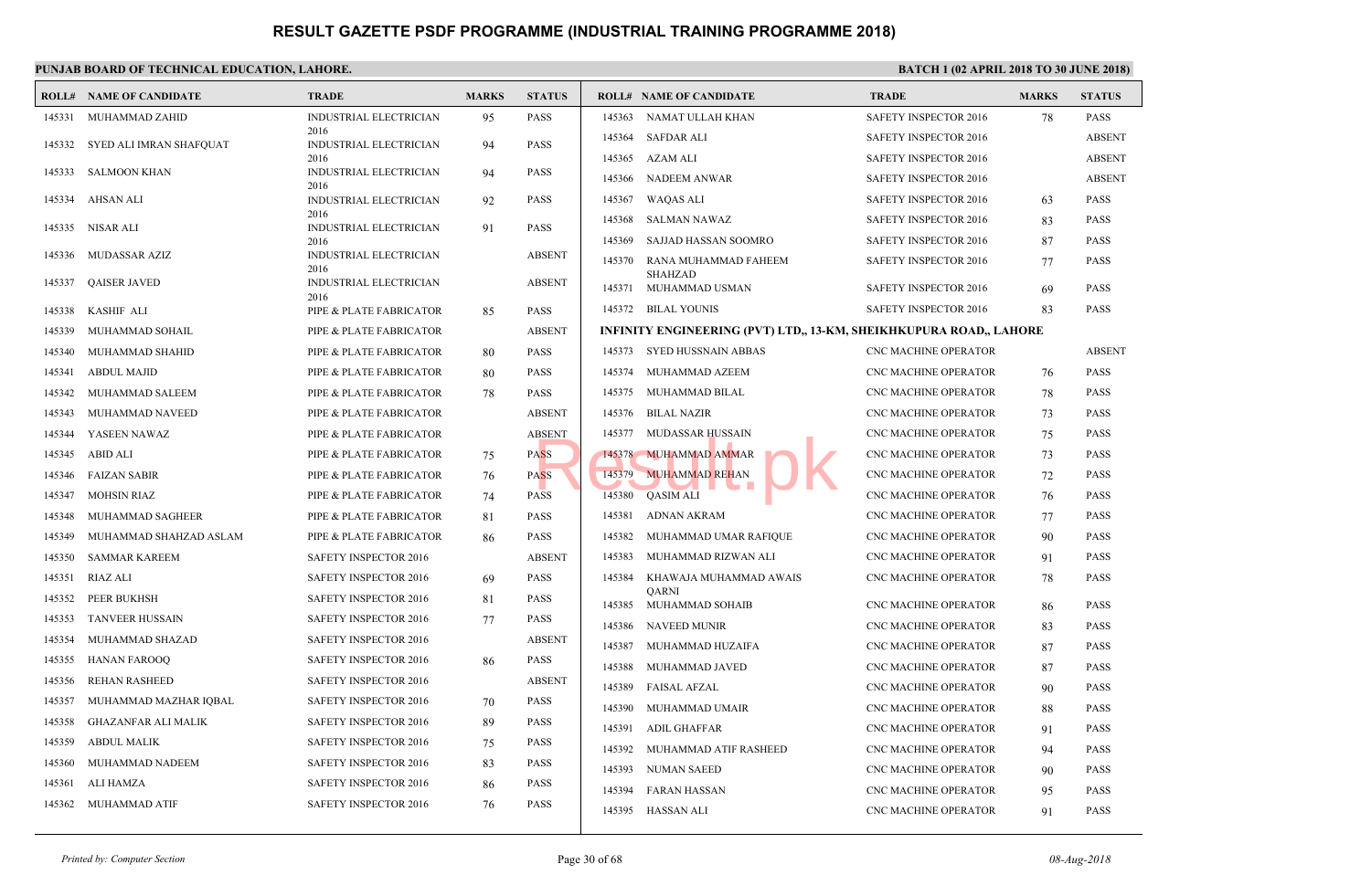|        | <b>ROLL# NAME OF CANDIDATE</b> | <b>TRADE</b>                   | <b>MARKS</b> | <b>STATUS</b> |        | <b>ROLL# NAME OF CANDIDATE</b>                 | <b>TRAL</b>      |
|--------|--------------------------------|--------------------------------|--------------|---------------|--------|------------------------------------------------|------------------|
| 145331 | MUHAMMAD ZAHID                 | INDUSTRIAL ELECTRICIAN         | 95           | <b>PASS</b>   | 145363 | NAMAT ULLAH KHAN                               | <b>SAFET</b>     |
| 145332 | SYED ALI IMRAN SHAFQUAT        | 2016<br>INDUSTRIAL ELECTRICIAN | 94           | <b>PASS</b>   | 145364 | SAFDAR ALI                                     | <b>SAFET</b>     |
|        |                                | 2016                           |              |               | 145365 | AZAM ALI                                       | <b>SAFET</b>     |
| 145333 | SALMOON KHAN                   | INDUSTRIAL ELECTRICIAN<br>2016 | 94           | <b>PASS</b>   | 145366 | NADEEM ANWAR                                   | <b>SAFET</b>     |
| 145334 | AHSAN ALI                      | INDUSTRIAL ELECTRICIAN         | 92           | <b>PASS</b>   | 145367 | WAQAS ALI                                      | <b>SAFET</b>     |
| 145335 | NISAR ALI                      | 2016<br>INDUSTRIAL ELECTRICIAN | 91           | <b>PASS</b>   | 145368 | <b>SALMAN NAWAZ</b>                            | <b>SAFET</b>     |
|        |                                | 2016                           |              |               | 145369 | SAJJAD HASSAN SOOMRO                           | <b>SAFET</b>     |
| 145336 | MUDASSAR AZIZ                  | INDUSTRIAL ELECTRICIAN<br>2016 |              | <b>ABSENT</b> | 145370 | RANA MUHAMMAD FAHEEM                           | <b>SAFE1</b>     |
| 145337 | <b>QAISER JAVED</b>            | INDUSTRIAL ELECTRICIAN<br>2016 |              | <b>ABSENT</b> | 145371 | SHAHZAD<br>MUHAMMAD USMAN                      | <b>SAFET</b>     |
| 145338 | <b>KASHIF ALI</b>              | PIPE & PLATE FABRICATOR        | 85           | <b>PASS</b>   |        | 145372 BILAL YOUNIS                            | <b>SAFET</b>     |
| 145339 | MUHAMMAD SOHAIL                | PIPE & PLATE FABRICATOR        |              | <b>ABSENT</b> |        | INFINITY ENGINEERING (PVT) LTD., 13-KM, SHEIKH |                  |
| 145340 | MUHAMMAD SHAHID                | PIPE & PLATE FABRICATOR        | 80           | <b>PASS</b>   |        | 145373 SYED HUSSNAIN ABBAS                     | CNC <sub>N</sub> |
| 145341 | <b>ABDUL MAJID</b>             | PIPE & PLATE FABRICATOR        | 80           | <b>PASS</b>   | 145374 | MUHAMMAD AZEEM                                 | CNC N            |
| 145342 | MUHAMMAD SALEEM                | PIPE & PLATE FABRICATOR        | 78           | <b>PASS</b>   | 145375 | MUHAMMAD BILAL                                 | CNC <sub>N</sub> |
| 145343 | MUHAMMAD NAVEED                | PIPE & PLATE FABRICATOR        |              | <b>ABSENT</b> | 145376 | BILAL NAZIR                                    | CNC <sub>N</sub> |
| 145344 | YASEEN NAWAZ                   | PIPE & PLATE FABRICATOR        |              | <b>ABSENT</b> | 145377 | MUDASSAR HUSSAIN                               | CNC <sub>N</sub> |
| 145345 | <b>ABID ALI</b>                | PIPE & PLATE FABRICATOR        | 75           | <b>PASS</b>   |        | 145378 MUHAMMAD AMMAR                          | CNC <sub>N</sub> |
| 145346 | <b>FAIZAN SABIR</b>            | PIPE & PLATE FABRICATOR        | 76           | <b>PASS</b>   | 145379 | <b>MUHAMMAD REHAN</b>                          | CNC <sub>N</sub> |
| 145347 | <b>MOHSIN RIAZ</b>             | PIPE & PLATE FABRICATOR        | 74           | <b>PASS</b>   | 145380 | <b>QASIM ALI</b>                               | CNC <sub>N</sub> |
| 145348 | MUHAMMAD SAGHEER               | PIPE & PLATE FABRICATOR        | 81           | <b>PASS</b>   | 145381 | ADNAN AKRAM                                    | CNC <sub>N</sub> |
| 145349 | MUHAMMAD SHAHZAD ASLAM         | PIPE & PLATE FABRICATOR        | 86           | <b>PASS</b>   | 145382 | MUHAMMAD UMAR RAFIQUE                          | CNC <sub>N</sub> |
| 145350 | <b>SAMMAR KAREEM</b>           | SAFETY INSPECTOR 2016          |              | <b>ABSENT</b> | 145383 | MUHAMMAD RIZWAN ALI                            | CNC <sub>N</sub> |
| 145351 | RIAZ ALI                       | <b>SAFETY INSPECTOR 2016</b>   | 69           | <b>PASS</b>   | 145384 | KHAWAJA MUHAMMAD AWAIS                         | CNC <sub>N</sub> |
| 145352 | PEER BUKHSH                    | <b>SAFETY INSPECTOR 2016</b>   | 81           | <b>PASS</b>   | 145385 | QARNI<br>MUHAMMAD SOHAIB                       | CNC <sub>N</sub> |
| 145353 | <b>TANVEER HUSSAIN</b>         | <b>SAFETY INSPECTOR 2016</b>   | 77           | <b>PASS</b>   | 145386 | <b>NAVEED MUNIR</b>                            | CNC <sub>N</sub> |
| 145354 | MUHAMMAD SHAZAD                | SAFETY INSPECTOR 2016          |              | <b>ABSENT</b> | 145387 | MUHAMMAD HUZAIFA                               | CNC <sub>N</sub> |
| 145355 | <b>HANAN FAROOQ</b>            | SAFETY INSPECTOR 2016          | 86           | <b>PASS</b>   | 145388 | MUHAMMAD JAVED                                 | CNC <sub>N</sub> |
| 145356 | <b>REHAN RASHEED</b>           | <b>SAFETY INSPECTOR 2016</b>   |              | <b>ABSENT</b> | 145389 | <b>FAISAL AFZAL</b>                            | CNC <sub>N</sub> |
| 145357 | MUHAMMAD MAZHAR IQBAL          | SAFETY INSPECTOR 2016          | 70           | <b>PASS</b>   | 145390 | MUHAMMAD UMAIR                                 | CNC <sub>N</sub> |
| 145358 | <b>GHAZANFAR ALI MALIK</b>     | <b>SAFETY INSPECTOR 2016</b>   | 89           | <b>PASS</b>   | 145391 | ADIL GHAFFAR                                   | CNC <sub>N</sub> |
| 145359 | <b>ABDUL MALIK</b>             | <b>SAFETY INSPECTOR 2016</b>   | 75           | <b>PASS</b>   | 145392 | MUHAMMAD ATIF RASHEED                          | CNC <sub>N</sub> |
| 145360 | MUHAMMAD NADEEM                | <b>SAFETY INSPECTOR 2016</b>   | 83           | <b>PASS</b>   | 145393 | NUMAN SAEED                                    | CNC <sub>N</sub> |
| 145361 | ALI HAMZA                      | <b>SAFETY INSPECTOR 2016</b>   | 86           | <b>PASS</b>   | 145394 | FARAN HASSAN                                   | CNC <sub>N</sub> |
| 145362 | MUHAMMAD ATIF                  | SAFETY INSPECTOR 2016          | 76           | <b>PASS</b>   |        | 145395 HASSAN ALI                              | CNC <sub>N</sub> |
|        |                                |                                |              |               |        |                                                |                  |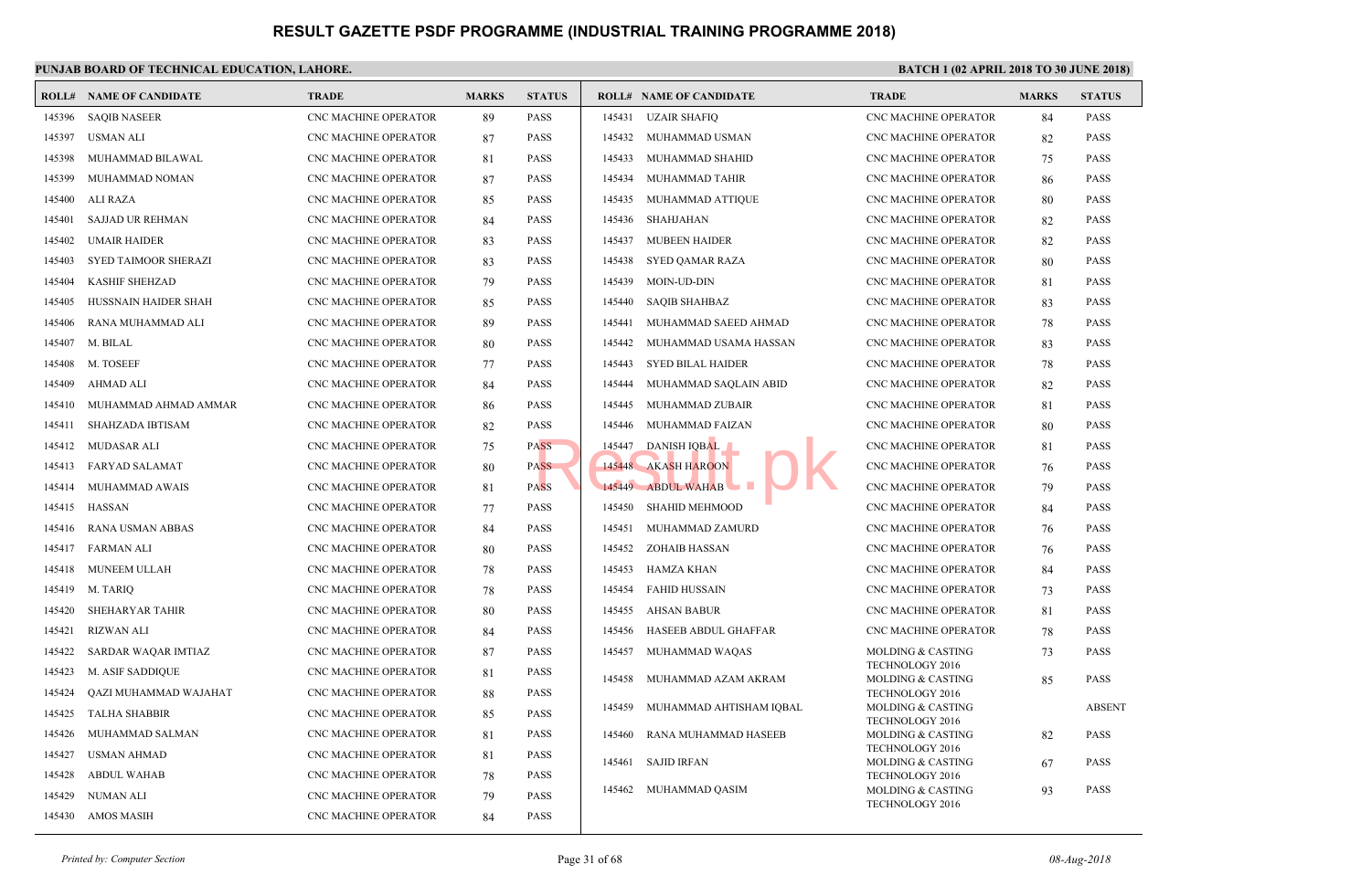|        | <b>ROLL# NAME OF CANDIDATE</b> | <b>TRADE</b>                | <b>MARKS</b> | <b>STATUS</b> |        | <b>ROLL# NAME OF CANDIDATE</b> | <b>TRAL</b>                 |
|--------|--------------------------------|-----------------------------|--------------|---------------|--------|--------------------------------|-----------------------------|
| 145396 | <b>SAQIB NASEER</b>            | CNC MACHINE OPERATOR        | 89           | <b>PASS</b>   | 145431 | <b>UZAIR SHAFIQ</b>            | CNC <sub>N</sub>            |
| 145397 | USMAN ALI                      | <b>CNC MACHINE OPERATOR</b> | 87           | <b>PASS</b>   | 145432 | MUHAMMAD USMAN                 | CNC <sub>N</sub>            |
| 145398 | MUHAMMAD BILAWAL               | <b>CNC MACHINE OPERATOR</b> | 81           | <b>PASS</b>   | 145433 | MUHAMMAD SHAHID                | CNC <sub>N</sub>            |
| 145399 | MUHAMMAD NOMAN                 | CNC MACHINE OPERATOR        | 87           | <b>PASS</b>   | 145434 | MUHAMMAD TAHIR                 | CNC <sub>N</sub>            |
| 145400 | ALI RAZA                       | CNC MACHINE OPERATOR        | 85           | <b>PASS</b>   | 145435 | MUHAMMAD ATTIQUE               | CNC <sub>N</sub>            |
| 145401 | <b>SAJJAD UR REHMAN</b>        | CNC MACHINE OPERATOR        | 84           | <b>PASS</b>   | 145436 | SHAHJAHAN                      | CNC <sub>N</sub>            |
| 145402 | UMAIR HAIDER                   | CNC MACHINE OPERATOR        | 83           | <b>PASS</b>   | 145437 | <b>MUBEEN HAIDER</b>           | CNC <sub>N</sub>            |
| 145403 | SYED TAIMOOR SHERAZI           | CNC MACHINE OPERATOR        | 83           | <b>PASS</b>   | 145438 | <b>SYED QAMAR RAZA</b>         | CNC <sub>N</sub>            |
| 145404 | <b>KASHIF SHEHZAD</b>          | CNC MACHINE OPERATOR        | 79           | <b>PASS</b>   | 145439 | MOIN-UD-DIN                    | CNC <sub>N</sub>            |
| 145405 | HUSSNAIN HAIDER SHAH           | CNC MACHINE OPERATOR        | 85           | <b>PASS</b>   | 145440 | <b>SAQIB SHAHBAZ</b>           | CNC <sub>N</sub>            |
| 145406 | RANA MUHAMMAD ALI              | CNC MACHINE OPERATOR        | 89           | <b>PASS</b>   | 145441 | MUHAMMAD SAEED AHMAD           | CNC N                       |
| 145407 | M. BILAL                       | CNC MACHINE OPERATOR        | 80           | <b>PASS</b>   | 145442 | MUHAMMAD USAMA HASSAN          | CNC <sub>N</sub>            |
| 145408 | M. TOSEEF                      | CNC MACHINE OPERATOR        | 77           | <b>PASS</b>   | 145443 | <b>SYED BILAL HAIDER</b>       | CNC <sub>N</sub>            |
| 145409 | AHMAD ALI                      | CNC MACHINE OPERATOR        | 84           | PASS          | 145444 | MUHAMMAD SAQLAIN ABID          | CNC N                       |
| 145410 | MUHAMMAD AHMAD AMMAR           | CNC MACHINE OPERATOR        | 86           | <b>PASS</b>   | 145445 | MUHAMMAD ZUBAIR                | CNC <sub>N</sub>            |
| 145411 | SHAHZADA IBTISAM               | CNC MACHINE OPERATOR        | 82           | <b>PASS</b>   | 145446 | MUHAMMAD FAIZAN                | CNC <sub>N</sub>            |
| 145412 | MUDASAR ALI                    | <b>CNC MACHINE OPERATOR</b> | 75           | PASS          | 145447 | <b>DANISH IQBAL</b>            | CNC <sub>N</sub>            |
| 145413 | FARYAD SALAMAT                 | CNC MACHINE OPERATOR        | 80           | <b>PASS</b>   |        | 145448 AKASH HAROON            | CNC <sub>N</sub>            |
| 145414 | MUHAMMAD AWAIS                 | <b>CNC MACHINE OPERATOR</b> | 81           | <b>PASS</b>   |        | 145449 ABDUL WAHAB             | CNC <sub>N</sub>            |
| 145415 | HASSAN                         | CNC MACHINE OPERATOR        | 77           | <b>PASS</b>   | 145450 | <b>SHAHID MEHMOOD</b>          | CNC <sub>N</sub>            |
| 145416 | RANA USMAN ABBAS               | <b>CNC MACHINE OPERATOR</b> | 84           | <b>PASS</b>   | 145451 | MUHAMMAD ZAMURD                | CNC <sub>N</sub>            |
| 145417 | FARMAN ALI                     | <b>CNC MACHINE OPERATOR</b> | 80           | <b>PASS</b>   | 145452 | ZOHAIB HASSAN                  | CNC <sub>N</sub>            |
| 145418 | MUNEEM ULLAH                   | CNC MACHINE OPERATOR        | 78           | <b>PASS</b>   | 145453 | HAMZA KHAN                     | CNC <sub>N</sub>            |
| 145419 | M. TARIQ                       | CNC MACHINE OPERATOR        | 78           | <b>PASS</b>   | 145454 | FAHID HUSSAIN                  | CNC <sub>N</sub>            |
| 145420 | SHEHARYAR TAHIR                | CNC MACHINE OPERATOR        | 80           | <b>PASS</b>   | 145455 | AHSAN BABUR                    | CNC <sub>N</sub>            |
| 145421 | RIZWAN ALI                     | CNC MACHINE OPERATOR        | 84           | <b>PASS</b>   | 145456 | HASEEB ABDUL GHAFFAR           | CNC <sub>N</sub>            |
| 145422 | SARDAR WAQAR IMTIAZ            | CNC MACHINE OPERATOR        | 87           | <b>PASS</b>   | 145457 | MUHAMMAD WAQAS                 | <b>MOLD</b>                 |
| 145423 | M. ASIF SADDIQUE               | CNC MACHINE OPERATOR        | 81           | PASS          | 145458 | MUHAMMAD AZAM AKRAM            | <b>TECHN</b><br><b>MOLD</b> |
| 145424 | QAZI MUHAMMAD WAJAHAT          | CNC MACHINE OPERATOR        | 88           | <b>PASS</b>   |        |                                | <b>TECHI</b>                |
| 145425 | TALHA SHABBIR                  | CNC MACHINE OPERATOR        | 85           | PASS          | 145459 | MUHAMMAD AHTISHAM IQBAL        | <b>MOLD</b><br><b>TECHI</b> |
| 145426 | MUHAMMAD SALMAN                | <b>CNC MACHINE OPERATOR</b> | 81           | <b>PASS</b>   | 145460 | RANA MUHAMMAD HASEEB           | <b>MOLD</b>                 |
| 145427 | <b>USMAN AHMAD</b>             | CNC MACHINE OPERATOR        | 81           | PASS          | 145461 | SAJID IRFAN                    | <b>TECHI</b><br><b>MOLD</b> |
| 145428 | <b>ABDUL WAHAB</b>             | CNC MACHINE OPERATOR        | 78           | PASS          |        |                                | <b>TECHI</b>                |
| 145429 | NUMAN ALI                      | CNC MACHINE OPERATOR        | 79           | PASS          | 145462 | MUHAMMAD QASIM                 | <b>MOLD</b>                 |
| 145430 | AMOS MASIH                     | CNC MACHINE OPERATOR        | 84           | <b>PASS</b>   |        |                                | <b>TECHI</b>                |
|        |                                |                             |              |               |        |                                |                             |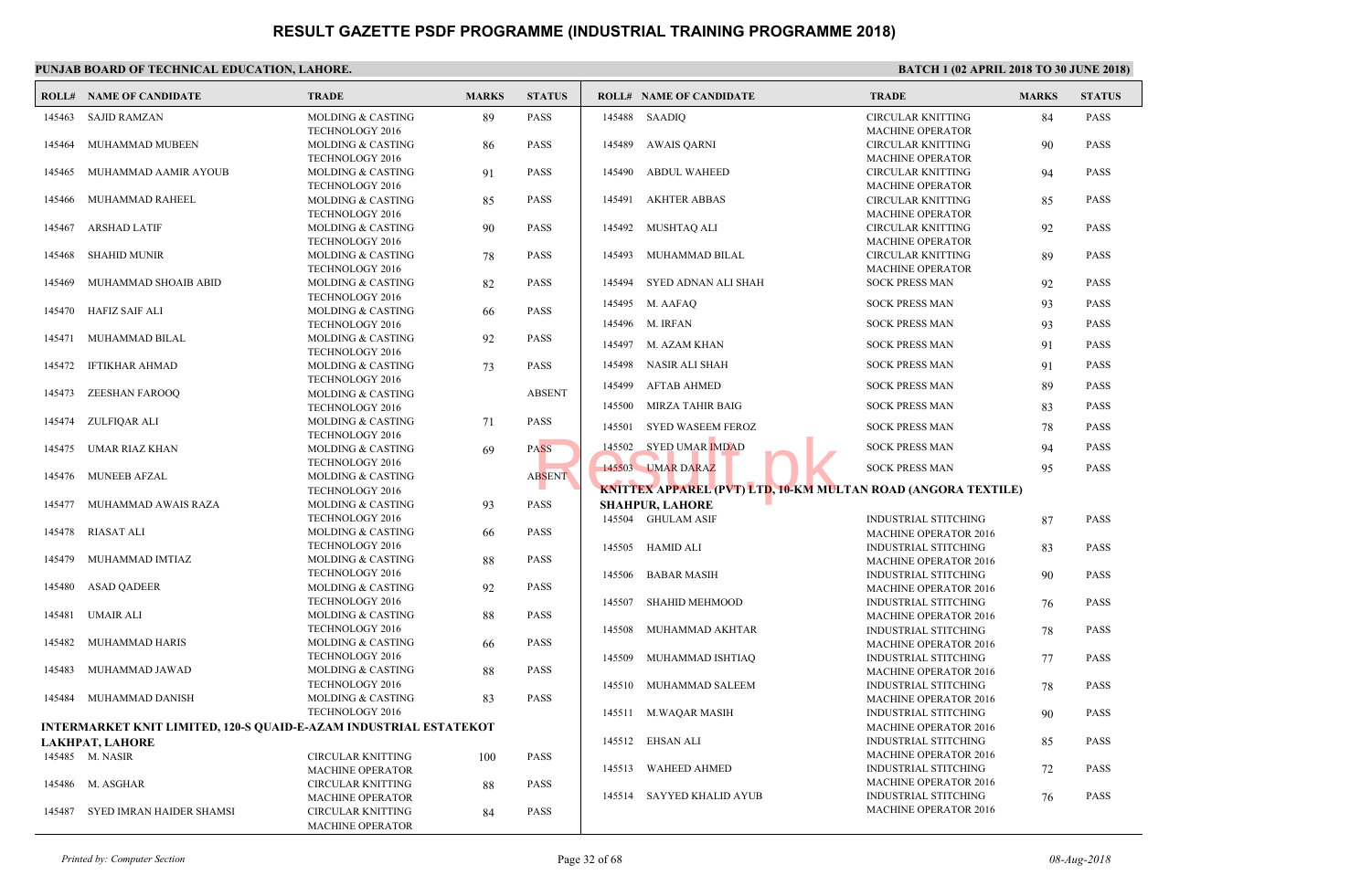#### **PUNJAB BOARD OF TECHNICAL EDUCATION, LAHORE. ROLL# NAME OF CANDIDATE TRADE MARKS STATUS ROLL# NAME OF CANDIDATE TRADE MARKS STATUS** MOLDING & CASTING 89 PASS TECHNOLOGY 2016 145463 SAJID RAMZAN MOLDING & CASTING 86 PASS TECHNOLOGY 2016 145464 MUHAMMAD MUBEEN MOLDING & CASTING 91 PASS TECHNOLOGY 2016 145465 MUHAMMAD AAMIR AYOUB MOLDING & CASTING 85 PASS TECHNOLOGY 2016 145466 MUHAMMAD RAHEEL MOLDING & CASTING 90 PASS TECHNOLOGY 2016 145467 ARSHAD LATIF MOLDING & CASTING 78 PASS TECHNOLOGY 2016 145468 SHAHID MUNIR MOLDING & CASTING 82 PASS TECHNOLOGY 2016 145469 MUHAMMAD SHOAIB ABID MOLDING & CASTING 66 PASS TECHNOLOGY 2016 145470 HAFIZ SAIF ALI MOLDING & CASTING 92 PASS TECHNOLOGY 2016 145471 MUHAMMAD BILAL MOLDING & CASTING 73 PASS TECHNOLOGY 2016 145472 IFTIKHAR AHMAD MOLDING & CASTING ABSENT TECHNOLOGY 2016 145473 ZEESHAN FAROOQ MOLDING & CASTING 71 PASS TECHNOLOGY 2016 145474 ZULFIQAR ALI MOLDING & CASTING 69 PASS TECHNOLOGY 2016 145475 UMAR RIAZ KHAN MOLDING & CASTING ABSENT TECHNOLOGY 2016 145476 MUNEEB AFZAL MOLDING & CASTING 93 PASS TECHNOLOGY 2016 145477 MUHAMMAD AWAIS RAZA MOLDING & CASTING 66 PASS TECHNOLOGY 2016 145478 RIASAT ALI MOLDING & CASTING 88 PASS TECHNOLOGY 2016 145479 MUHAMMAD IMTIAZ MOLDING & CASTING 92 PASS TECHNOLOGY 2016 145480 ASAD QADEER MOLDING & CASTING 88 PASS TECHNOLOGY 2016 145481 UMAIR ALI MOLDING & CASTING 66 PASS TECHNOLOGY 2016 145482 MUHAMMAD HARIS MOLDING & CASTING 88 PASS TECHNOLOGY 2016 145483 MUHAMMAD JAWAD MOLDING & CASTING 83 PASS TECHNOLOGY 2016 145484 MUHAMMAD DANISH **INTERMARKET KNIT LIMITED, 120-S QUAID-E-AZAM INDUSTRIAL ESTATEKOT LAKHPAT, LAHORE** CIRCULAR KNITTING 100 PASS MACHINE OPERATOR 145485 M. NASIR CIRCULAR KNITTING 88 PASS MACHINE OPERATOR 145486 M. ASGHAR CIRCULAR KNITTING 84 PASS 145487 SYED IMRAN HAIDER SHAMSI CIRCU MACH 145488 SAADIQ CIRCU **MACH**  145489 AWAIS QARNI CIRCU MACH  [145490 ABDUL WAHEED](http://www.result.pk/) CIRCU **MACH**  145491 AKHTER ABBAS CIRCU MACH 145492 MUSHTAQ ALI CIRCU **MACH**  145493 MUHAMMAD BILAL 145494 SYED ADNAN ALI SHAH SOCK 145495 M. AAFAQ SOCK 145496 M. IRFAN SOCK 145497 M. AZAM KHAN SOCK 145498 NASIR ALI SHAH SOCK 145499 AFTAB AHMED SOCK 145500 MIRZA TAHIR BAIG SOCK 145501 SYED WASEEM FEROZ SOCK 145502 SYED UMAR IMDAD SOCK 145503 UMAR DARAZ SOCK PRESS MAN 95 PASS MAN 95 PASS MAN 95 PASS AND 145 PASS MAN 95 PASS AND 145 PASS AND 14 **KNITTEX APPAREL (PVT) LTD, 10-KM MULTAN ROA SHAHPUR, LAHORE** INDUS MAC<sub>H</sub> 145504 GHULAM ASIF INDUS MAC<sub>H</sub> 145505 HAMID ALI INDUS MACH<sub>1</sub> 145506 BABAR MASIH INDUS MACH<sub>1</sub> 145507 SHAHID MEHMOOD INDUS MAC<sub>H</sub> 145508 MUHAMMAD AKHTAR INDUS MACH<sub>1</sub> 145509 MUHAMMAD ISHTIAQ INDUS MACH<sub>1</sub> 145510 MUHAMMAD SALEEM INDUS MAC<sub>H</sub> 145511 M.WAQAR MASIH INDUS MACH<sub>1</sub> 145512 EHSAN ALI INDUS MACH<sub>1</sub> 145513 WAHEED AHMED INDUS MACH<sub>1</sub> 145514 SAYYED KHALID AYUB

MACHINE OPERATOR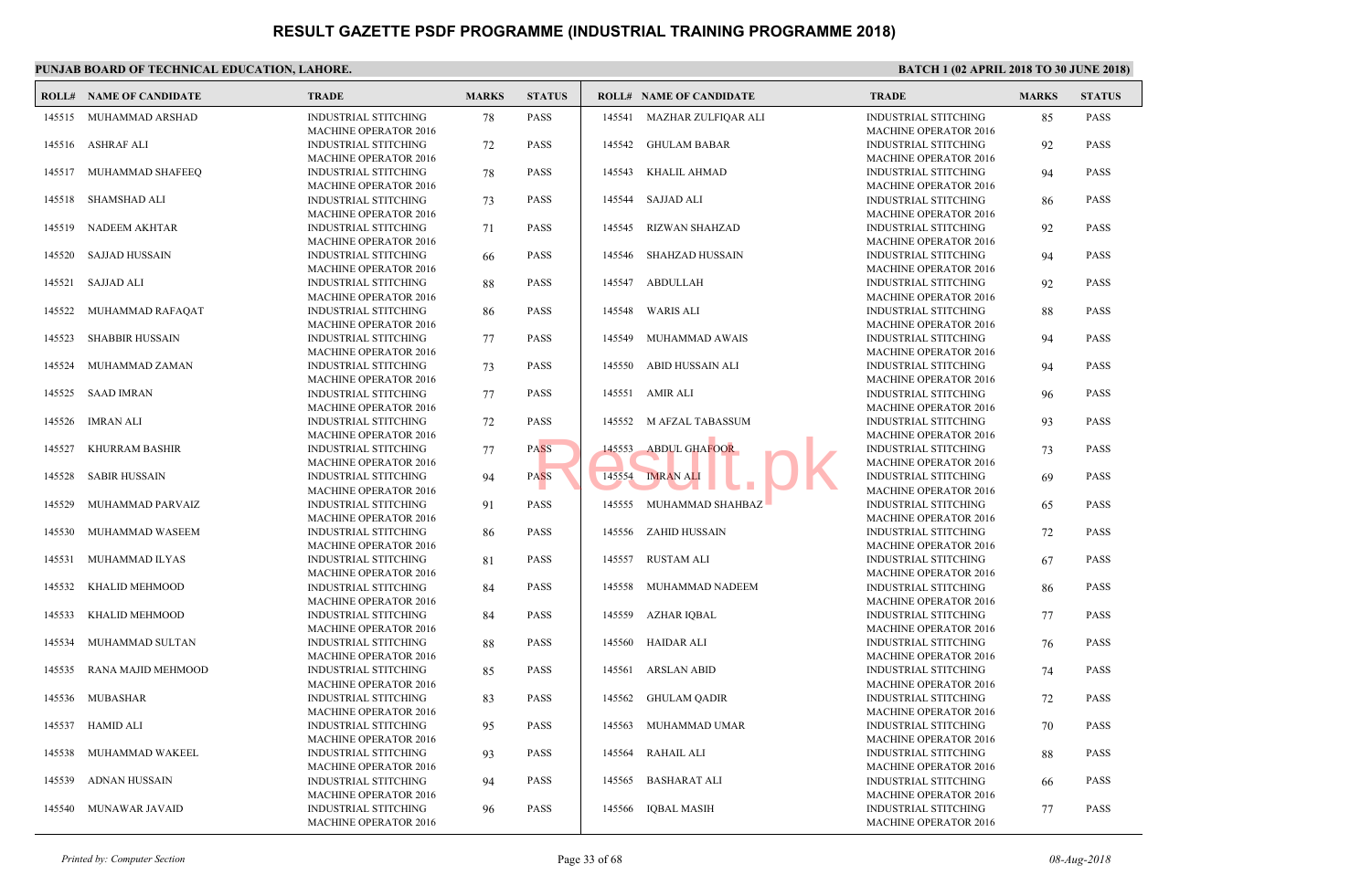|        | <b>ROLL# NAME OF CANDIDATE</b> | <b>TRADE</b>                                                | <b>MARKS</b> | <b>STATUS</b> |        | <b>ROLL# NAME OF CANDIDATE</b> | <b>TRAL</b>                 |
|--------|--------------------------------|-------------------------------------------------------------|--------------|---------------|--------|--------------------------------|-----------------------------|
|        | 145515 MUHAMMAD ARSHAD         | <b>INDUSTRIAL STITCHING</b><br><b>MACHINE OPERATOR 2016</b> | 78           | <b>PASS</b>   | 145541 | MAZHAR ZULFIQAR ALI            | <b>INDUS</b><br><b>MACH</b> |
| 145516 | ASHRAF ALI                     | <b>INDUSTRIAL STITCHING</b>                                 | 72           | <b>PASS</b>   | 145542 | GHULAM BABAR                   | <b>INDUS</b>                |
|        |                                | <b>MACHINE OPERATOR 2016</b>                                |              |               |        |                                | <b>MACH</b>                 |
|        | 145517 MUHAMMAD SHAFEEQ        | INDUSTRIAL STITCHING                                        | 78           | <b>PASS</b>   | 145543 | KHALIL AHMAD                   | <b>INDUS</b>                |
|        |                                | <b>MACHINE OPERATOR 2016</b>                                |              |               |        |                                | <b>MACH</b>                 |
| 145518 | <b>SHAMSHAD ALI</b>            | <b>INDUSTRIAL STITCHING</b>                                 | 73           | <b>PASS</b>   | 145544 | SAJJAD ALI                     | <b>INDUS</b>                |
|        |                                | <b>MACHINE OPERATOR 2016</b>                                |              |               |        |                                | <b>MACH</b>                 |
| 145519 | <b>NADEEM AKHTAR</b>           | <b>INDUSTRIAL STITCHING</b>                                 | 71           | <b>PASS</b>   | 145545 | <b>RIZWAN SHAHZAD</b>          | <b>INDUS</b>                |
|        |                                | <b>MACHINE OPERATOR 2016</b>                                |              |               |        |                                | <b>MACH</b>                 |
| 145520 | <b>SAJJAD HUSSAIN</b>          | <b>INDUSTRIAL STITCHING</b>                                 | 66           | <b>PASS</b>   | 145546 | <b>SHAHZAD HUSSAIN</b>         | <b>INDUS</b>                |
|        |                                | <b>MACHINE OPERATOR 2016</b>                                |              |               |        |                                | <b>MACH</b>                 |
| 145521 | SAJJAD ALI                     | INDUSTRIAL STITCHING                                        | 88           | <b>PASS</b>   |        | 145547 ABDULLAH                | <b>INDUS</b>                |
|        |                                | <b>MACHINE OPERATOR 2016</b>                                |              |               |        |                                | <b>MACH</b>                 |
| 145522 | MUHAMMAD RAFAQAT               | INDUSTRIAL STITCHING                                        | 86           | <b>PASS</b>   | 145548 | WARIS ALI                      | <b>INDUS</b>                |
|        |                                | <b>MACHINE OPERATOR 2016</b>                                |              |               |        |                                | <b>MACH</b>                 |
| 145523 | <b>SHABBIR HUSSAIN</b>         | INDUSTRIAL STITCHING                                        | 77           | <b>PASS</b>   | 145549 | MUHAMMAD AWAIS                 | <b>INDUS</b>                |
|        |                                | <b>MACHINE OPERATOR 2016</b>                                |              |               |        |                                | <b>MACH</b>                 |
| 145524 | MUHAMMAD ZAMAN                 | <b>INDUSTRIAL STITCHING</b>                                 | 73           | <b>PASS</b>   | 145550 | ABID HUSSAIN ALI               | <b>INDUS</b>                |
|        |                                | <b>MACHINE OPERATOR 2016</b>                                |              |               |        |                                | <b>MACH</b>                 |
|        | 145525 SAAD IMRAN              | <b>INDUSTRIAL STITCHING</b>                                 | 77           | <b>PASS</b>   | 145551 | AMIR ALI                       | <b>INDUS</b>                |
|        |                                | <b>MACHINE OPERATOR 2016</b>                                |              |               |        |                                | <b>MACH</b>                 |
| 145526 | <b>IMRAN ALI</b>               | <b>INDUSTRIAL STITCHING</b>                                 | 72           | <b>PASS</b>   | 145552 | M AFZAL TABASSUM               | <b>INDUS</b>                |
|        |                                | <b>MACHINE OPERATOR 2016</b>                                |              |               |        |                                | <b>MACH</b>                 |
| 145527 | KHURRAM BASHIR                 | <b>INDUSTRIAL STITCHING</b>                                 | 77           | <b>PASS</b>   | 145553 | <b>ABDUL GHAFOOR</b>           | <b>INDUS</b>                |
|        |                                | <b>MACHINE OPERATOR 2016</b>                                |              |               |        |                                | <b>MACH</b>                 |
| 145528 | <b>SABIR HUSSAIN</b>           | INDUSTRIAL STITCHING                                        | 94           | <b>PASS</b>   | 145554 | <b>IMRAN ALI</b>               | <b>INDUS</b>                |
|        |                                | <b>MACHINE OPERATOR 2016</b>                                |              |               |        |                                | <b>MACH</b>                 |
| 145529 | MUHAMMAD PARVAIZ               | <b>INDUSTRIAL STITCHING</b>                                 | 91           | <b>PASS</b>   | 145555 | MUHAMMAD SHAHBAZ               | <b>INDUS</b>                |
|        |                                | <b>MACHINE OPERATOR 2016</b>                                |              |               |        |                                | <b>MACH</b>                 |
| 145530 | MUHAMMAD WASEEM                | <b>INDUSTRIAL STITCHING</b>                                 | 86           | <b>PASS</b>   |        | 145556 ZAHID HUSSAIN           | <b>INDUS</b>                |
|        |                                | <b>MACHINE OPERATOR 2016</b>                                |              |               |        |                                | <b>MACH</b>                 |
| 145531 | MUHAMMAD ILYAS                 | <b>INDUSTRIAL STITCHING</b>                                 | 81           | <b>PASS</b>   | 145557 | <b>RUSTAM ALI</b>              | <b>INDUS</b>                |
|        |                                | <b>MACHINE OPERATOR 2016</b>                                |              |               |        |                                | <b>MACH</b>                 |
| 145532 | KHALID MEHMOOD                 | INDUSTRIAL STITCHING                                        | 84           | <b>PASS</b>   | 145558 | MUHAMMAD NADEEM                | <b>INDUS</b>                |
|        |                                | <b>MACHINE OPERATOR 2016</b>                                |              |               |        |                                | <b>MACH</b>                 |
| 145533 | KHALID MEHMOOD                 | <b>INDUSTRIAL STITCHING</b>                                 | 84           | <b>PASS</b>   | 145559 | <b>AZHAR IQBAL</b>             | <b>INDUS</b>                |
|        |                                | <b>MACHINE OPERATOR 2016</b>                                |              |               |        |                                | <b>MACH</b>                 |
| 145534 | MUHAMMAD SULTAN                | <b>INDUSTRIAL STITCHING</b>                                 | 88           | <b>PASS</b>   | 145560 | HAIDAR ALI                     | <b>INDUS</b>                |
|        |                                | <b>MACHINE OPERATOR 2016</b>                                |              |               |        |                                | <b>MACH</b>                 |
| 145535 | RANA MAJID MEHMOOD             | <b>INDUSTRIAL STITCHING</b>                                 | 85           | <b>PASS</b>   | 145561 | ARSLAN ABID                    | <b>INDUS</b>                |
|        |                                | <b>MACHINE OPERATOR 2016</b>                                |              |               |        |                                | <b>MACH</b>                 |
| 145536 | MUBASHAR                       | <b>INDUSTRIAL STITCHING</b>                                 | 83           | <b>PASS</b>   | 145562 | <b>GHULAM QADIR</b>            | <b>INDUS</b>                |
|        |                                | <b>MACHINE OPERATOR 2016</b>                                |              |               |        |                                | <b>MACH</b>                 |
| 145537 | <b>HAMID ALI</b>               | <b>INDUSTRIAL STITCHING</b>                                 | 95           | <b>PASS</b>   | 145563 | MUHAMMAD UMAR                  | <b>INDUS</b>                |
|        |                                | <b>MACHINE OPERATOR 2016</b>                                |              |               |        |                                | <b>MACH</b>                 |
| 145538 | MUHAMMAD WAKEEL                | INDUSTRIAL STITCHING                                        | 93           | <b>PASS</b>   | 145564 | <b>RAHAIL ALI</b>              | <b>INDUS</b>                |
|        |                                | <b>MACHINE OPERATOR 2016</b>                                |              |               |        |                                | <b>MACH</b>                 |
| 145539 | ADNAN HUSSAIN                  | INDUSTRIAL STITCHING                                        | 94           | <b>PASS</b>   | 145565 | <b>BASHARAT ALI</b>            | <b>INDUS</b>                |
|        |                                | <b>MACHINE OPERATOR 2016</b>                                |              |               |        |                                | <b>MACH</b>                 |
| 145540 | MUNAWAR JAVAID                 | INDUSTRIAL STITCHING<br><b>MACHINE OPERATOR 2016</b>        | 96           | <b>PASS</b>   |        | 145566 IQBAL MASIH             | <b>INDUS</b><br><b>MACH</b> |
|        |                                |                                                             |              |               |        |                                |                             |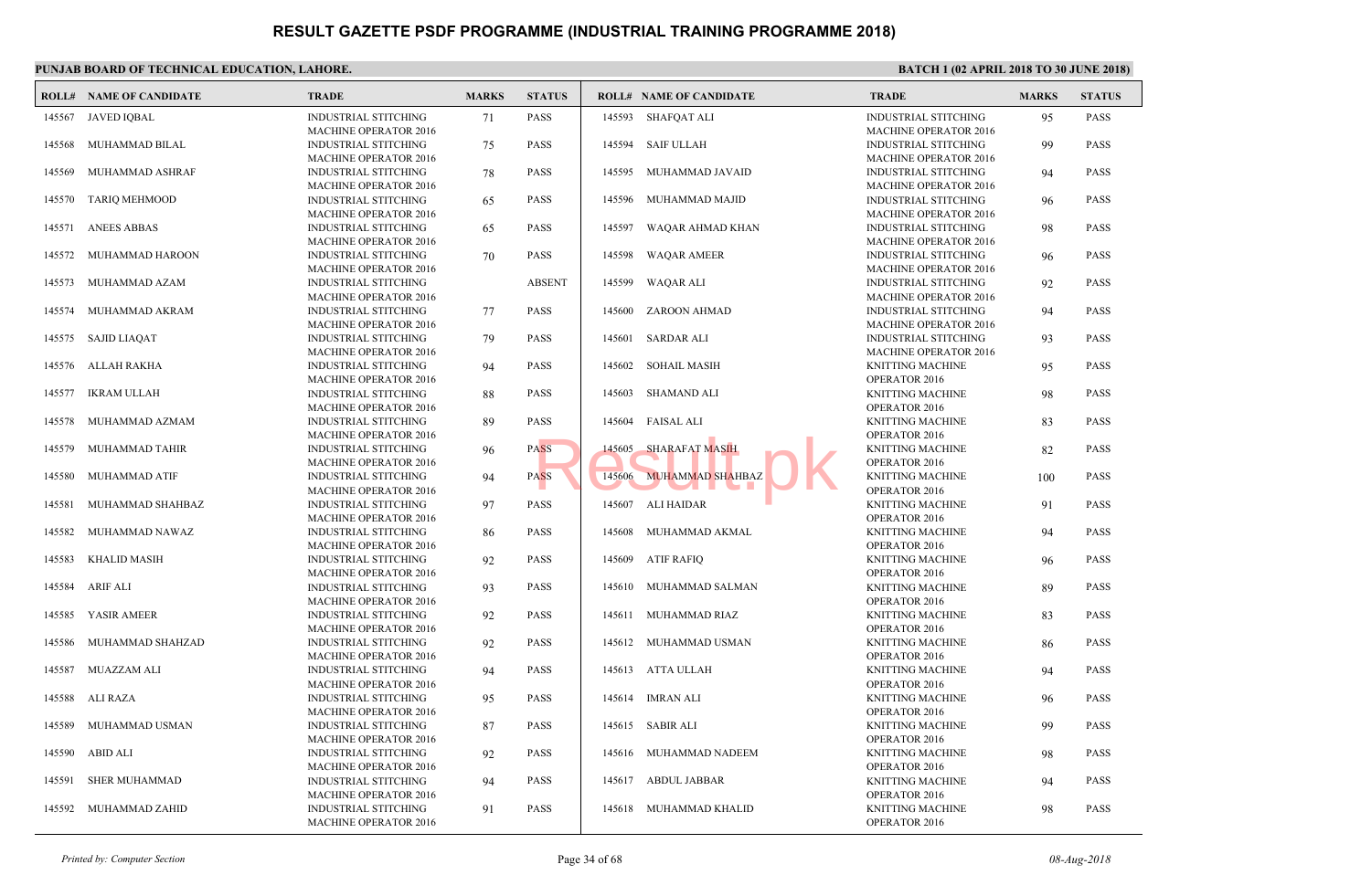| 145567<br><b>JAVED IOBAL</b><br><b>INDUSTRIAL STITCHING</b><br>71<br><b>PASS</b><br>145593 SHAFQAT ALI<br><b>MACHINE OPERATOR 2016</b><br>MUHAMMAD BILAL<br><b>PASS</b><br>145594<br>SAIF ULLAH<br>145568<br><b>INDUSTRIAL STITCHING</b><br>75<br><b>MACHINE OPERATOR 2016</b><br>145569<br>MUHAMMAD ASHRAF<br><b>INDUSTRIAL STITCHING</b><br>78<br><b>PASS</b><br>145595<br>MUHAMMAD JAVAID<br><b>MACHINE OPERATOR 2016</b> | <b>INDUS</b><br><b>MACH</b><br><b>INDUS</b><br><b>MACH</b><br><b>INDUS</b><br><b>MACH</b><br><b>INDUS</b><br><b>MACH</b><br><b>INDUS</b> |
|------------------------------------------------------------------------------------------------------------------------------------------------------------------------------------------------------------------------------------------------------------------------------------------------------------------------------------------------------------------------------------------------------------------------------|------------------------------------------------------------------------------------------------------------------------------------------|
|                                                                                                                                                                                                                                                                                                                                                                                                                              |                                                                                                                                          |
|                                                                                                                                                                                                                                                                                                                                                                                                                              |                                                                                                                                          |
|                                                                                                                                                                                                                                                                                                                                                                                                                              |                                                                                                                                          |
| 145570<br><b>TARIQ MEHMOOD</b><br><b>INDUSTRIAL STITCHING</b><br>65<br><b>PASS</b><br>145596<br>MUHAMMAD MAJID                                                                                                                                                                                                                                                                                                               |                                                                                                                                          |
| <b>MACHINE OPERATOR 2016</b><br>145571<br><b>ANEES ABBAS</b><br><b>INDUSTRIAL STITCHING</b><br><b>PASS</b><br>145597<br>WAQAR AHMAD KHAN<br>65                                                                                                                                                                                                                                                                               |                                                                                                                                          |
| <b>MACHINE OPERATOR 2016</b><br>MUHAMMAD HAROON<br><b>INDUSTRIAL STITCHING</b><br>70<br><b>PASS</b><br>145598<br><b>WAQAR AMEER</b><br>145572                                                                                                                                                                                                                                                                                | <b>MACH</b><br><b>INDUS</b>                                                                                                              |
| <b>MACHINE OPERATOR 2016</b><br>145573<br>MUHAMMAD AZAM<br><b>INDUSTRIAL STITCHING</b><br><b>ABSENT</b><br>145599<br>WAQAR ALI                                                                                                                                                                                                                                                                                               | <b>MACH</b><br><b>INDUS</b>                                                                                                              |
| <b>MACHINE OPERATOR 2016</b><br>ZAROON AHMAD<br>145574<br>MUHAMMAD AKRAM<br><b>INDUSTRIAL STITCHING</b><br>77<br><b>PASS</b><br>145600                                                                                                                                                                                                                                                                                       | <b>MACH</b><br><b>INDUS</b>                                                                                                              |
| <b>MACHINE OPERATOR 2016</b><br><b>SAJID LIAQAT</b><br>SARDAR ALI<br>145575<br><b>INDUSTRIAL STITCHING</b><br>79<br><b>PASS</b><br>145601                                                                                                                                                                                                                                                                                    | <b>MACH</b><br><b>INDUS</b>                                                                                                              |
| <b>MACHINE OPERATOR 2016</b><br><b>ALLAH RAKHA</b><br><b>PASS</b><br>SOHAIL MASIH<br>145576<br><b>INDUSTRIAL STITCHING</b><br>145602<br>94                                                                                                                                                                                                                                                                                   | <b>MACH</b><br><b>KNITT</b>                                                                                                              |
| <b>MACHINE OPERATOR 2016</b><br>145577<br><b>IKRAM ULLAH</b><br><b>INDUSTRIAL STITCHING</b><br>88<br><b>PASS</b><br>145603<br>SHAMAND ALI                                                                                                                                                                                                                                                                                    | OPER/<br><b>KNITT</b>                                                                                                                    |
| <b>MACHINE OPERATOR 2016</b><br>145604 FAISAL ALI<br>145578<br>MUHAMMAD AZMAM<br><b>INDUSTRIAL STITCHING</b><br>89<br><b>PASS</b>                                                                                                                                                                                                                                                                                            | OPER/<br><b>KNITT</b>                                                                                                                    |
| <b>MACHINE OPERATOR 2016</b><br>145605<br><b>SHARAFAT MASIH</b><br>145579<br>MUHAMMAD TAHIR<br><b>INDUSTRIAL STITCHING</b><br>96<br><b>PASS</b>                                                                                                                                                                                                                                                                              | OPER/<br><b>KNITT</b>                                                                                                                    |
| <b>MACHINE OPERATOR 2016</b><br>145606 MUHAMMAD SHAHBAZ<br>MUHAMMAD ATIF<br><b>INDUSTRIAL STITCHING</b><br><b>PASS</b><br>145580<br>94                                                                                                                                                                                                                                                                                       | OPER/<br><b>KNITT</b>                                                                                                                    |
| <b>MACHINE OPERATOR 2016</b><br>145581<br>MUHAMMAD SHAHBAZ<br><b>PASS</b><br>145607<br>ALI HAIDAR<br><b>INDUSTRIAL STITCHING</b><br>97                                                                                                                                                                                                                                                                                       | OPER/<br><b>KNITT</b>                                                                                                                    |
| <b>MACHINE OPERATOR 2016</b><br>MUHAMMAD NAWAZ<br><b>INDUSTRIAL STITCHING</b><br><b>PASS</b><br>145608 MUHAMMAD AKMAL<br>145582<br>86                                                                                                                                                                                                                                                                                        | OPER/<br><b>KNITT</b>                                                                                                                    |
| <b>MACHINE OPERATOR 2016</b><br><b>ATIF RAFIQ</b><br>145583<br><b>KHALID MASIH</b><br><b>INDUSTRIAL STITCHING</b><br><b>PASS</b><br>145609<br>92                                                                                                                                                                                                                                                                             | OPER/<br><b>KNITT</b>                                                                                                                    |
| <b>MACHINE OPERATOR 2016</b><br><b>INDUSTRIAL STITCHING</b><br><b>PASS</b><br>145584<br><b>ARIF ALI</b><br>93<br>145610<br>MUHAMMAD SALMAN                                                                                                                                                                                                                                                                                   | OPER/<br><b>KNITT</b>                                                                                                                    |
| <b>MACHINE OPERATOR 2016</b><br>YASIR AMEER<br><b>PASS</b><br>MUHAMMAD RIAZ<br>145585<br><b>INDUSTRIAL STITCHING</b><br>92<br>145611                                                                                                                                                                                                                                                                                         | OPER/<br><b>KNITT</b>                                                                                                                    |
| <b>MACHINE OPERATOR 2016</b><br>MUHAMMAD SHAHZAD<br><b>PASS</b><br>145612 MUHAMMAD USMAN<br>145586<br><b>INDUSTRIAL STITCHING</b><br>92                                                                                                                                                                                                                                                                                      | OPER/<br><b>KNITT</b>                                                                                                                    |
| <b>MACHINE OPERATOR 2016</b><br><b>MUAZZAM ALI</b><br><b>INDUSTRIAL STITCHING</b><br>94<br><b>PASS</b><br>145613 ATTA ULLAH<br>145587                                                                                                                                                                                                                                                                                        | OPER/<br><b>KNITT</b>                                                                                                                    |
| <b>MACHINE OPERATOR 2016</b><br>145588<br>ALI RAZA<br><b>INDUSTRIAL STITCHING</b><br><b>PASS</b><br>145614 IMRAN ALI<br>95                                                                                                                                                                                                                                                                                                   | OPER/<br><b>KNITT</b>                                                                                                                    |
| <b>MACHINE OPERATOR 2016</b><br>MUHAMMAD USMAN<br>SABIR ALI<br>145589<br><b>INDUSTRIAL STITCHING</b><br>87<br><b>PASS</b><br>145615                                                                                                                                                                                                                                                                                          | OPER/<br><b>KNITT</b>                                                                                                                    |
| <b>MACHINE OPERATOR 2016</b><br>ABID ALI<br>145590<br>INDUSTRIAL STITCHING<br>92<br><b>PASS</b><br>145616<br>MUHAMMAD NADEEM                                                                                                                                                                                                                                                                                                 | OPER/<br><b>KNITT</b>                                                                                                                    |
| <b>MACHINE OPERATOR 2016</b><br><b>SHER MUHAMMAD</b><br><b>PASS</b><br>ABDUL JABBAR<br>145591<br><b>INDUSTRIAL STITCHING</b><br>145617<br>94                                                                                                                                                                                                                                                                                 | OPER/<br><b>KNITT</b>                                                                                                                    |
| <b>MACHINE OPERATOR 2016</b><br>145592<br>MUHAMMAD ZAHID<br><b>INDUSTRIAL STITCHING</b><br>91<br><b>PASS</b><br>145618 MUHAMMAD KHALID<br><b>MACHINE OPERATOR 2016</b>                                                                                                                                                                                                                                                       | OPER/<br><b>KNITT</b><br>OPER/                                                                                                           |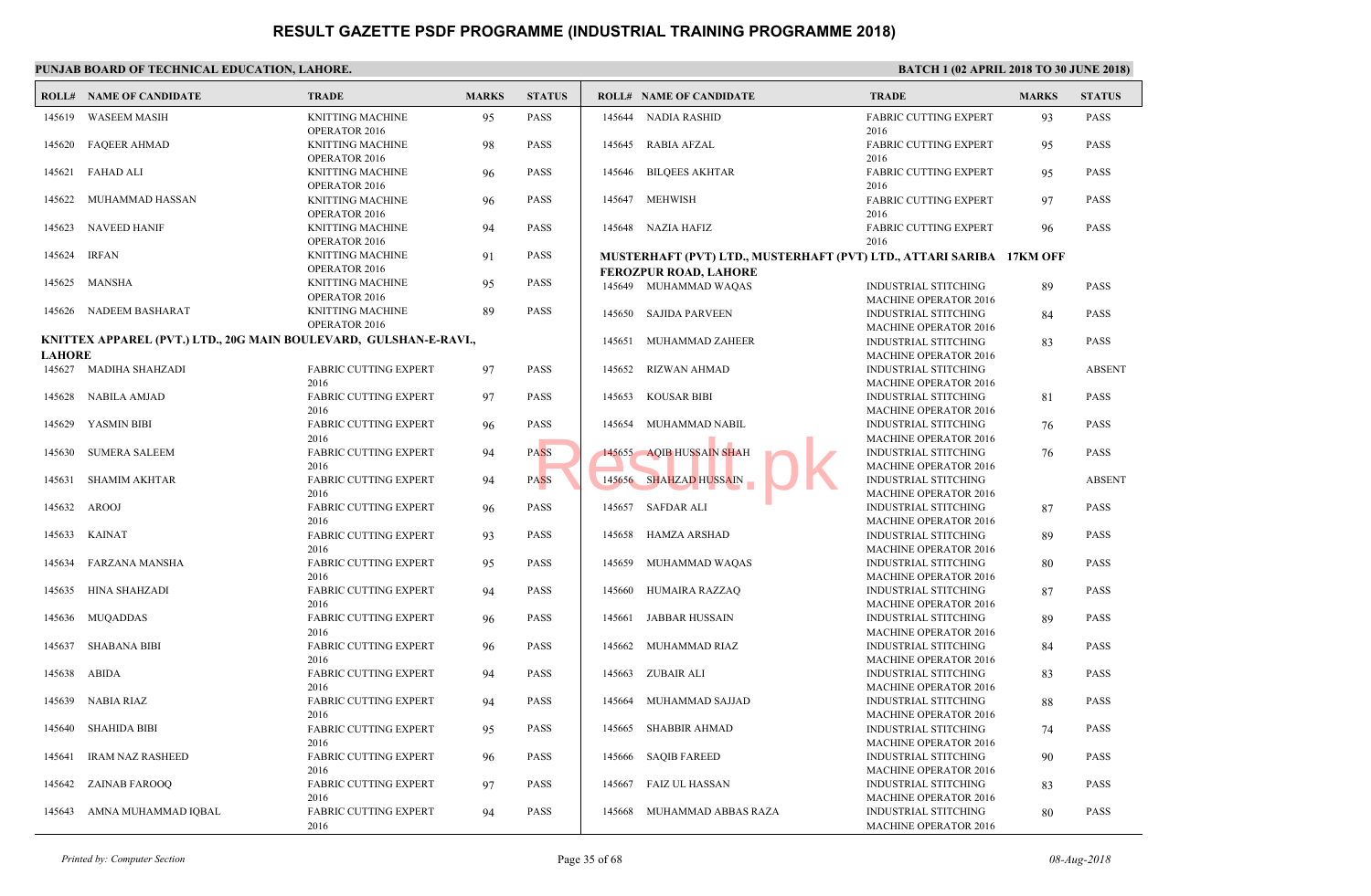|               | PUNJAB BOARD OF TECHNICAL EDUCATION, LAHORE.                      |                                          |              |                 |                             |                                                                              |                             |  |  |  |  |  |  |
|---------------|-------------------------------------------------------------------|------------------------------------------|--------------|-----------------|-----------------------------|------------------------------------------------------------------------------|-----------------------------|--|--|--|--|--|--|
|               | <b>ROLL# NAME OF CANDIDATE</b>                                    | <b>TRADE</b>                             | <b>MARKS</b> | <b>STATUS</b>   |                             | <b>ROLL# NAME OF CANDIDATE</b>                                               | <b>TRAL</b>                 |  |  |  |  |  |  |
| 145619        | <b>WASEEM MASIH</b>                                               | <b>KNITTING MACHINE</b><br>OPERATOR 2016 | 95           | PASS            |                             | 145644 NADIA RASHID                                                          | FABRI<br>2016               |  |  |  |  |  |  |
| 145620        | <b>FAQEER AHMAD</b>                                               | <b>KNITTING MACHINE</b><br>OPERATOR 2016 | 98           | <b>PASS</b>     | 145645                      | <b>RABIA AFZAL</b>                                                           | FABRI<br>2016               |  |  |  |  |  |  |
| 145621        | FAHAD ALI                                                         | <b>KNITTING MACHINE</b><br>OPERATOR 2016 | 96           | <b>PASS</b>     | 145646                      | <b>BILQEES AKHTAR</b>                                                        | FABRI<br>2016               |  |  |  |  |  |  |
| 145622        | MUHAMMAD HASSAN                                                   | <b>KNITTING MACHINE</b><br>OPERATOR 2016 | 96           | <b>PASS</b>     |                             | 145647 MEHWISH                                                               | <b>FABRI</b><br>2016        |  |  |  |  |  |  |
|               | 145623 NAVEED HANIF                                               | <b>KNITTING MACHINE</b><br>OPERATOR 2016 | 94           | <b>PASS</b>     |                             | 145648 NAZIA HAFIZ                                                           | FABRI<br>2016               |  |  |  |  |  |  |
| 145624        | <b>IRFAN</b>                                                      | <b>KNITTING MACHINE</b><br>OPERATOR 2016 | 91           | <b>PASS</b>     |                             | MUSTERHAFT (PVT) LTD., MUSTERHAFT (PVT) LTD.<br><b>FEROZPUR ROAD, LAHORE</b> |                             |  |  |  |  |  |  |
| 145625        | MANSHA                                                            | <b>KNITTING MACHINE</b><br>OPERATOR 2016 | 95           | <b>PASS</b>     |                             | 145649 MUHAMMAD WAQAS                                                        | <b>INDUS</b><br><b>MACH</b> |  |  |  |  |  |  |
|               | 145626 NADEEM BASHARAT                                            | <b>KNITTING MACHINE</b><br>OPERATOR 2016 | 89           | PASS            |                             | 145650 SAJIDA PARVEEN                                                        | <b>INDUS</b><br><b>MACH</b> |  |  |  |  |  |  |
| <b>LAHORE</b> | KNITTEX APPAREL (PVT.) LTD., 20G MAIN BOULEVARD, GULSHAN-E-RAVI., |                                          | 145651       | MUHAMMAD ZAHEER | <b>INDUS</b><br><b>MACH</b> |                                                                              |                             |  |  |  |  |  |  |
|               | 145627 MADIHA SHAHZADI                                            | <b>FABRIC CUTTING EXPERT</b><br>2016     | 97           | PASS            | 145652                      | RIZWAN AHMAD                                                                 | <b>INDUS</b><br><b>MACH</b> |  |  |  |  |  |  |
| 145628        | NABILA AMJAD                                                      | <b>FABRIC CUTTING EXPERT</b><br>2016     | 97           | <b>PASS</b>     | 145653                      | <b>KOUSAR BIBI</b>                                                           | <b>INDUS</b><br><b>MACH</b> |  |  |  |  |  |  |
| 145629        | YASMIN BIBI                                                       | <b>FABRIC CUTTING EXPERT</b><br>2016     | 96           | PASS            | 145654                      | MUHAMMAD NABIL                                                               | <b>INDUS</b><br><b>MACH</b> |  |  |  |  |  |  |
| 145630        | <b>SUMERA SALEEM</b>                                              | <b>FABRIC CUTTING EXPERT</b><br>2016     | 94           | <b>PASS</b>     |                             | 145655 AQIB HUSSAIN SHAH                                                     | <b>INDUS</b><br><b>MACH</b> |  |  |  |  |  |  |
| 145631        | <b>SHAMIM AKHTAR</b>                                              | <b>FABRIC CUTTING EXPERT</b><br>2016     | 94           | <b>PASS</b>     |                             | 145656 SHAHZAD HUSSAIN                                                       | <b>INDUS</b><br><b>MACH</b> |  |  |  |  |  |  |
| 145632        | AROOJ                                                             | FABRIC CUTTING EXPERT<br>2016            | 96           | PASS            |                             | 145657 SAFDAR ALI                                                            | <b>INDUS</b><br><b>MACH</b> |  |  |  |  |  |  |
|               | 145633 KAINAT                                                     | <b>FABRIC CUTTING EXPERT</b><br>2016     | 93           | <b>PASS</b>     |                             | 145658 HAMZA ARSHAD                                                          | <b>INDUS</b><br><b>MACH</b> |  |  |  |  |  |  |
| 145634        | FARZANA MANSHA                                                    | <b>FABRIC CUTTING EXPERT</b><br>2016     | 95           | PASS            | 145659                      | MUHAMMAD WAQAS                                                               | <b>INDUS</b><br><b>MACH</b> |  |  |  |  |  |  |
| 145635        | HINA SHAHZADI                                                     | <b>FABRIC CUTTING EXPERT</b><br>2016     | 94           | <b>PASS</b>     | 145660                      | HUMAIRA RAZZAQ                                                               | <b>INDUS</b><br><b>MACH</b> |  |  |  |  |  |  |
| 145636        | MUQADDAS                                                          | <b>FABRIC CUTTING EXPERT</b><br>2016     | 96           | <b>PASS</b>     | 145661                      | <b>JABBAR HUSSAIN</b>                                                        | <b>INDUS</b><br><b>MACH</b> |  |  |  |  |  |  |
| 145637        | <b>SHABANA BIBI</b>                                               | <b>FABRIC CUTTING EXPERT</b><br>2016     | 96           | PASS            | 145662                      | MUHAMMAD RIAZ                                                                | <b>INDUS</b><br><b>MACH</b> |  |  |  |  |  |  |
|               | 145638 ABIDA                                                      | <b>FABRIC CUTTING EXPERT</b><br>2016     | 94           | <b>PASS</b>     | 145663                      | ZUBAIR ALI                                                                   | <b>INDUS</b><br><b>MACH</b> |  |  |  |  |  |  |
|               | 145639 NABIA RIAZ                                                 | <b>FABRIC CUTTING EXPERT</b><br>2016     | 94           | PASS            |                             | 145664 MUHAMMAD SAJJAD                                                       | <b>INDUS</b><br><b>MACH</b> |  |  |  |  |  |  |
|               | 145640 SHAHIDA BIBI                                               | FABRIC CUTTING EXPERT<br>2016            | 95           | PASS            |                             | 145665 SHABBIR AHMAD                                                         | <b>INDUS</b><br><b>MACH</b> |  |  |  |  |  |  |
| 145641        | <b>IRAM NAZ RASHEED</b>                                           | <b>FABRIC CUTTING EXPERT</b><br>2016     | 96           | <b>PASS</b>     |                             | 145666 SAQIB FAREED                                                          | <b>INDUS</b><br><b>MACH</b> |  |  |  |  |  |  |
|               | 145642 ZAINAB FAROOQ                                              | <b>FABRIC CUTTING EXPERT</b><br>2016     | 97           | PASS            |                             | 145667 FAIZ UL HASSAN                                                        | <b>INDUS</b><br><b>MACH</b> |  |  |  |  |  |  |
|               | 145643 AMNA MUHAMMAD IQBAL                                        | FABRIC CUTTING EXPERT<br>2016            | 94           | PASS            |                             | 145668 MUHAMMAD ABBAS RAZA                                                   | <b>INDUS</b><br><b>MACH</b> |  |  |  |  |  |  |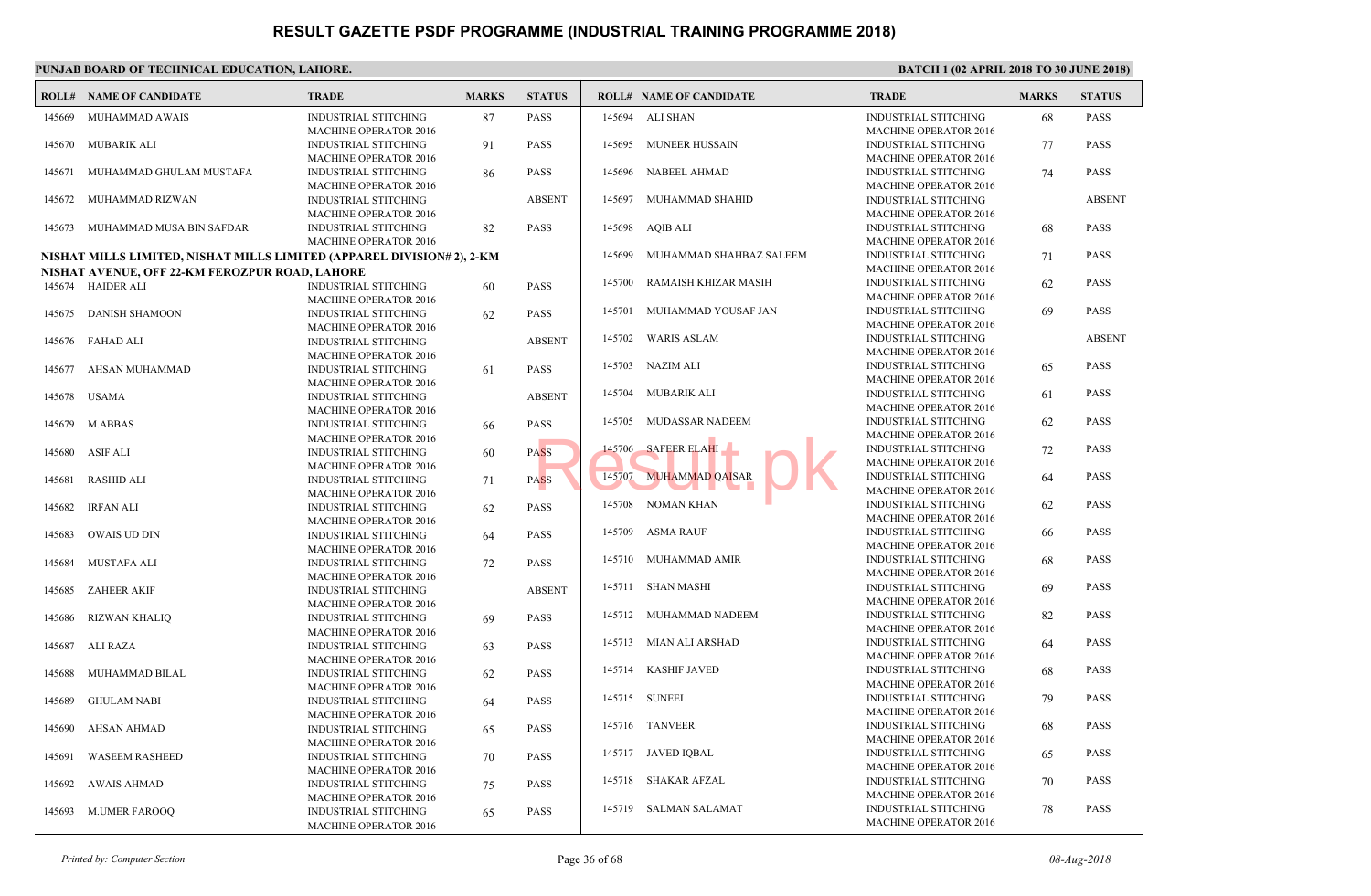|        | PUNJAB BOARD OF TECHNICAL EDUCATION, LAHORE.                           |                                                                                             |              |               |        |                                |                                            |  |  |  |  |  |
|--------|------------------------------------------------------------------------|---------------------------------------------------------------------------------------------|--------------|---------------|--------|--------------------------------|--------------------------------------------|--|--|--|--|--|
|        | <b>ROLL# NAME OF CANDIDATE</b>                                         | <b>TRADE</b>                                                                                | <b>MARKS</b> | <b>STATUS</b> |        | <b>ROLL# NAME OF CANDIDATE</b> | <b>TRAL</b>                                |  |  |  |  |  |
| 145669 | MUHAMMAD AWAIS                                                         | <b>INDUSTRIAL STITCHING</b><br><b>MACHINE OPERATOR 2016</b>                                 | 87           | PASS          |        | 145694 ALI SHAN                | <b>INDUS</b><br><b>MACH</b>                |  |  |  |  |  |
| 145670 | MUBARIK ALI                                                            | <b>INDUSTRIAL STITCHING</b><br><b>MACHINE OPERATOR 2016</b>                                 | 91           | PASS          | 145695 | MUNEER HUSSAIN                 | <b>INDUS</b><br><b>MACH</b>                |  |  |  |  |  |
| 145671 | MUHAMMAD GHULAM MUSTAFA                                                | INDUSTRIAL STITCHING<br><b>MACHINE OPERATOR 2016</b>                                        | 86           | PASS          | 145696 | NABEEL AHMAD                   | <b>INDUS</b><br><b>MACH</b>                |  |  |  |  |  |
| 145672 | MUHAMMAD RIZWAN                                                        | <b>INDUSTRIAL STITCHING</b><br><b>MACHINE OPERATOR 2016</b>                                 |              | <b>ABSENT</b> | 145697 | MUHAMMAD SHAHID                | <b>INDUS</b><br><b>MACH</b>                |  |  |  |  |  |
|        | 145673 MUHAMMAD MUSA BIN SAFDAR                                        | <b>INDUSTRIAL STITCHING</b><br><b>MACHINE OPERATOR 2016</b>                                 | 82           | <b>PASS</b>   |        | 145698 AQIB ALI                | <b>INDUS</b><br><b>MACH</b>                |  |  |  |  |  |
|        | NISHAT MILLS LIMITED, NISHAT MILLS LIMITED (APPAREL DIVISION# 2), 2-KM |                                                                                             |              |               | 145699 | MUHAMMAD SHAHBAZ SALEEM        | <b>INDUS</b>                               |  |  |  |  |  |
|        | NISHAT AVENUE, OFF 22-KM FEROZPUR ROAD, LAHORE                         |                                                                                             |              |               |        |                                | <b>MACH</b>                                |  |  |  |  |  |
|        | 145674 HAIDER ALI                                                      | INDUSTRIAL STITCHING<br><b>MACHINE OPERATOR 2016</b>                                        | 60           | PASS          | 145700 | RAMAISH KHIZAR MASIH           | <b>INDUS</b><br><b>MACH</b>                |  |  |  |  |  |
|        | 145675 DANISH SHAMOON                                                  | <b>INDUSTRIAL STITCHING</b><br><b>MACHINE OPERATOR 2016</b>                                 | 62           | <b>PASS</b>   | 145701 | MUHAMMAD YOUSAF JAN            | <b>INDUS</b><br><b>MACH</b>                |  |  |  |  |  |
|        | 145676 FAHAD ALI                                                       | <b>INDUSTRIAL STITCHING</b><br><b>MACHINE OPERATOR 2016</b>                                 |              | <b>ABSENT</b> | 145702 | <b>WARIS ASLAM</b>             | <b>INDUS</b><br><b>MACH</b>                |  |  |  |  |  |
| 145677 | AHSAN MUHAMMAD                                                         | <b>INDUSTRIAL STITCHING</b><br><b>MACHINE OPERATOR 2016</b>                                 | 61           | PASS          |        | 145703 NAZIM ALI               | <b>INDUS</b><br><b>MACH</b>                |  |  |  |  |  |
| 145678 | <b>USAMA</b>                                                           | <b>INDUSTRIAL STITCHING</b><br><b>MACHINE OPERATOR 2016</b>                                 |              | <b>ABSENT</b> |        | 145704 MUBARIK ALI             | <b>INDUS</b><br><b>MACH</b>                |  |  |  |  |  |
| 145679 | M.ABBAS                                                                | <b>INDUSTRIAL STITCHING</b><br><b>MACHINE OPERATOR 2016</b>                                 | 66           | PASS          |        | 145705 MUDASSAR NADEEM         | <b>INDUS</b><br><b>MACH</b>                |  |  |  |  |  |
| 145680 | ASIF ALI                                                               | <b>INDUSTRIAL STITCHING</b><br><b>MACHINE OPERATOR 2016</b>                                 | 60           | <b>PASS</b>   |        | 145706 SAFEER ELAHI            | <b>INDUS</b><br><b>MACH</b>                |  |  |  |  |  |
| 145681 | <b>RASHID ALI</b>                                                      | INDUSTRIAL STITCHING<br><b>MACHINE OPERATOR 2016</b>                                        | 71           | <b>PASS</b>   | 145707 | <b>MUHAMMAD QAISAR</b>         | <b>INDUS</b><br><b>MACH</b>                |  |  |  |  |  |
| 145682 | IRFAN ALI                                                              | <b>INDUSTRIAL STITCHING</b><br><b>MACHINE OPERATOR 2016</b>                                 | 62           | PASS          | 145708 | NOMAN KHAN                     | <b>INDUS</b><br><b>MACH</b>                |  |  |  |  |  |
| 145683 | OWAIS UD DIN                                                           | <b>INDUSTRIAL STITCHING</b><br><b>MACHINE OPERATOR 2016</b>                                 | 64           | <b>PASS</b>   | 145709 | <b>ASMA RAUF</b>               | <b>INDUS</b><br><b>MACH</b>                |  |  |  |  |  |
| 145684 | MUSTAFA ALI                                                            | <b>INDUSTRIAL STITCHING</b><br><b>MACHINE OPERATOR 2016</b>                                 | 72           | PASS          |        | 145710 MUHAMMAD AMIR           | <b>INDUS</b><br><b>MACH</b>                |  |  |  |  |  |
| 145685 | <b>ZAHEER AKIF</b>                                                     | <b>INDUSTRIAL STITCHING</b>                                                                 |              | <b>ABSENT</b> |        | 145711 SHAN MASHI              | <b>INDUS</b><br><b>MACH</b>                |  |  |  |  |  |
| 145686 | <b>RIZWAN KHALIQ</b>                                                   | <b>MACHINE OPERATOR 2016</b><br><b>INDUSTRIAL STITCHING</b>                                 | 69           | <b>PASS</b>   |        | 145712 MUHAMMAD NADEEM         | <b>INDUS</b><br><b>MACH</b>                |  |  |  |  |  |
| 145687 | ALI RAZA                                                               | <b>MACHINE OPERATOR 2016</b><br><b>INDUSTRIAL STITCHING</b>                                 | 63           | PASS          | 145713 | MIAN ALI ARSHAD                | <b>INDUS</b><br><b>MACH</b>                |  |  |  |  |  |
| 145688 | MUHAMMAD BILAL                                                         | <b>MACHINE OPERATOR 2016</b><br><b>INDUSTRIAL STITCHING</b>                                 | 62           | <b>PASS</b>   | 145714 | <b>KASHIF JAVED</b>            | <b>INDUS</b><br><b>MACH</b>                |  |  |  |  |  |
|        | 145689 GHULAM NABI                                                     | <b>MACHINE OPERATOR 2016</b><br><b>INDUSTRIAL STITCHING</b>                                 | 64           | <b>PASS</b>   |        | 145715 SUNEEL                  | <b>INDUS</b><br><b>MACH</b>                |  |  |  |  |  |
|        | 145690 AHSAN AHMAD                                                     | <b>MACHINE OPERATOR 2016</b><br><b>INDUSTRIAL STITCHING</b>                                 | 65           | PASS          |        | 145716 TANVEER                 | <b>INDUS</b><br><b>MACH</b>                |  |  |  |  |  |
| 145691 | <b>WASEEM RASHEED</b>                                                  | <b>MACHINE OPERATOR 2016</b><br><b>INDUSTRIAL STITCHING</b>                                 | 70           | PASS          |        | 145717 JAVED IQBAL             | <b>INDUS</b><br><b>MACH</b>                |  |  |  |  |  |
| 145692 | AWAIS AHMAD                                                            | <b>MACHINE OPERATOR 2016</b><br>INDUSTRIAL STITCHING                                        | 75           | <b>PASS</b>   |        | 145718 SHAKAR AFZAL            | <b>INDUS</b>                               |  |  |  |  |  |
|        | 145693 M.UMER FAROOO                                                   | <b>MACHINE OPERATOR 2016</b><br><b>INDUSTRIAL STITCHING</b><br><b>MACHINE OPERATOR 2016</b> | 65           | PASS          |        | 145719 SALMAN SALAMAT          | <b>MACH</b><br><b>INDUS</b><br><b>MACH</b> |  |  |  |  |  |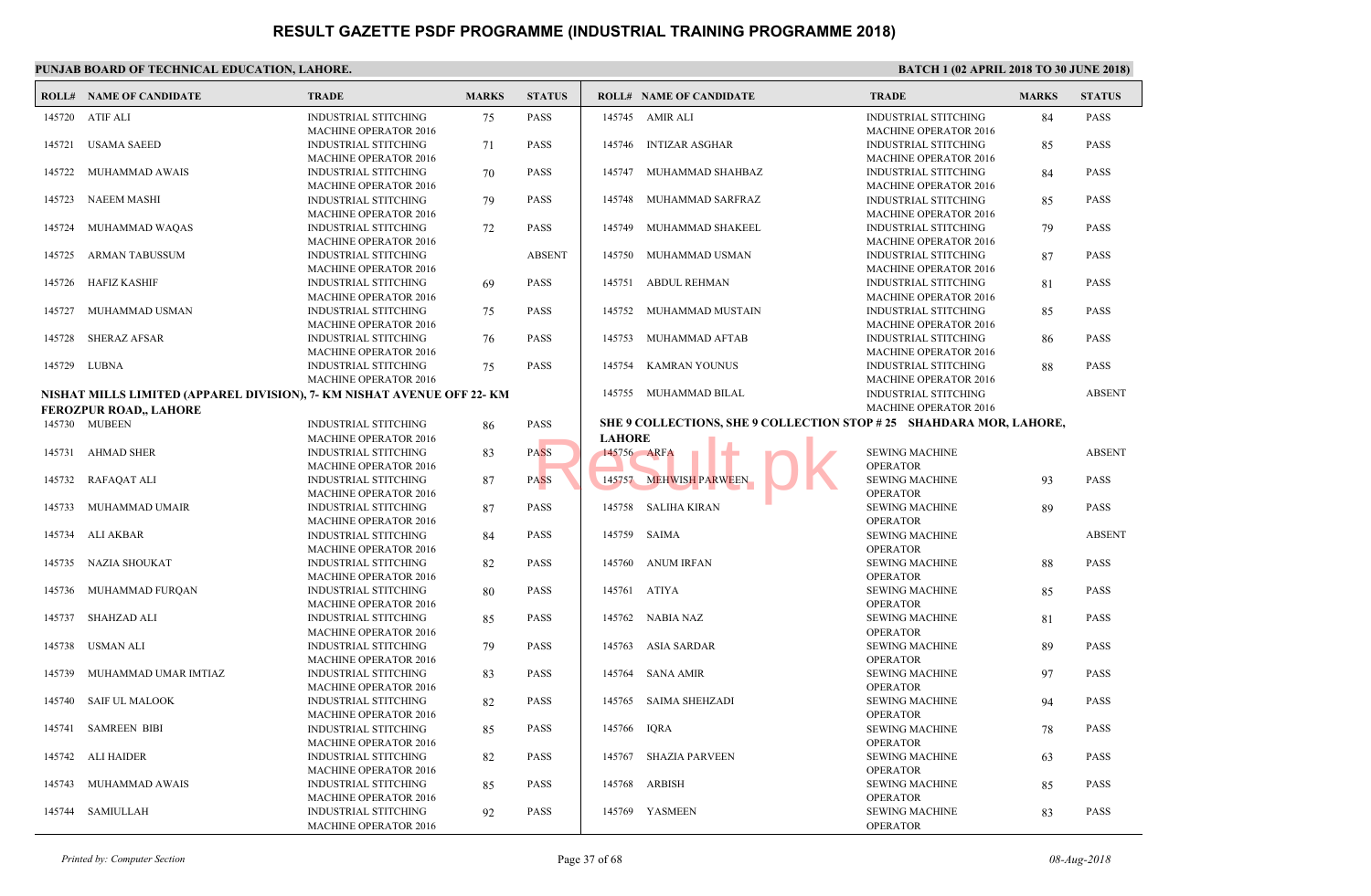|        | <b>ROLL# NAME OF CANDIDATE</b>                                          | <b>TRADE</b>                                                | <b>MARKS</b> | <b>STATUS</b> |               | <b>ROLL# NAME OF CANDIDATE</b>                | <b>TRAL</b>                 |
|--------|-------------------------------------------------------------------------|-------------------------------------------------------------|--------------|---------------|---------------|-----------------------------------------------|-----------------------------|
|        | 145720 ATIF ALI                                                         | <b>INDUSTRIAL STITCHING</b><br><b>MACHINE OPERATOR 2016</b> | 75           | <b>PASS</b>   |               | 145745 AMIR ALI                               | <b>INDUS</b><br><b>MACH</b> |
| 145721 | <b>USAMA SAEED</b>                                                      | <b>INDUSTRIAL STITCHING</b><br><b>MACHINE OPERATOR 2016</b> | 71           | <b>PASS</b>   | 145746        | <b>INTIZAR ASGHAR</b>                         | <b>INDUS</b><br><b>MACH</b> |
| 145722 | MUHAMMAD AWAIS                                                          | <b>INDUSTRIAL STITCHING</b><br><b>MACHINE OPERATOR 2016</b> | 70           | <b>PASS</b>   | 145747        | MUHAMMAD SHAHBAZ                              | <b>INDUS</b><br><b>MACH</b> |
| 145723 | <b>NAEEM MASHI</b>                                                      | <b>INDUSTRIAL STITCHING</b><br><b>MACHINE OPERATOR 2016</b> | 79           | <b>PASS</b>   | 145748        | MUHAMMAD SARFRAZ                              | <b>INDUS</b><br><b>MACH</b> |
| 145724 | MUHAMMAD WAQAS                                                          | <b>INDUSTRIAL STITCHING</b><br><b>MACHINE OPERATOR 2016</b> | 72           | <b>PASS</b>   | 145749        | MUHAMMAD SHAKEEL                              | <b>INDUS</b><br><b>MACH</b> |
| 145725 | <b>ARMAN TABUSSUM</b>                                                   | <b>INDUSTRIAL STITCHING</b><br><b>MACHINE OPERATOR 2016</b> |              | <b>ABSENT</b> | 145750        | MUHAMMAD USMAN                                | <b>INDUS</b><br><b>MACH</b> |
| 145726 | HAFIZ KASHIF                                                            | <b>INDUSTRIAL STITCHING</b><br><b>MACHINE OPERATOR 2016</b> | 69           | <b>PASS</b>   | 145751        | ABDUL REHMAN                                  | <b>INDUS</b><br><b>MACF</b> |
| 145727 | MUHAMMAD USMAN                                                          | <b>INDUSTRIAL STITCHING</b><br><b>MACHINE OPERATOR 2016</b> | 75           | <b>PASS</b>   | 145752        | MUHAMMAD MUSTAIN                              | <b>INDUS</b><br><b>MACH</b> |
| 145728 | <b>SHERAZ AFSAR</b>                                                     | <b>INDUSTRIAL STITCHING</b><br><b>MACHINE OPERATOR 2016</b> | 76           | <b>PASS</b>   | 145753        | MUHAMMAD AFTAB                                | <b>INDUS</b><br><b>MACH</b> |
|        | 145729 LUBNA                                                            | <b>INDUSTRIAL STITCHING</b><br><b>MACHINE OPERATOR 2016</b> | 75           | <b>PASS</b>   | 145754        | <b>KAMRAN YOUNUS</b>                          | <b>INDUS</b><br><b>MACH</b> |
|        | NISHAT MILLS LIMITED (APPAREL DIVISION), 7- KM NISHAT AVENUE OFF 22- KM |                                                             |              |               |               | 145755 MUHAMMAD BILAL                         | <b>INDU:</b><br><b>MACH</b> |
|        | <b>FEROZPUR ROAD,, LAHORE</b>                                           |                                                             |              |               |               |                                               |                             |
|        | 145730 MUBEEN                                                           | <b>INDUSTRIAL STITCHING</b>                                 | 86           | PASS          |               | SHE 9 COLLECTIONS, SHE 9 COLLECTION STOP # 25 |                             |
|        |                                                                         | <b>MACHINE OPERATOR 2016</b>                                |              |               | <b>LAHORE</b> |                                               |                             |
|        | 145731 AHMAD SHER                                                       | <b>INDUSTRIAL STITCHING</b>                                 | 83           | <b>PASS</b>   |               | 145756 ARFA                                   | <b>SEWIN</b>                |
|        |                                                                         | <b>MACHINE OPERATOR 2016</b>                                |              |               |               |                                               | OPER/                       |
| 145732 | RAFAQAT ALI                                                             | <b>INDUSTRIAL STITCHING</b>                                 | 87           | <b>PASS</b>   | 145757        | <b>MEHWISH PARWEEN</b>                        | <b>SEWIN</b>                |
|        |                                                                         | <b>MACHINE OPERATOR 2016</b>                                |              |               |               |                                               | OPER/                       |
| 145733 | MUHAMMAD UMAIR                                                          | <b>INDUSTRIAL STITCHING</b>                                 | 87           | <b>PASS</b>   |               | 145758 SALIHA KIRAN                           | <b>SEWIN</b>                |
|        |                                                                         | <b>MACHINE OPERATOR 2016</b>                                |              |               |               |                                               | OPERA                       |
| 145734 | ALI AKBAR                                                               | <b>INDUSTRIAL STITCHING</b>                                 | 84           | <b>PASS</b>   |               | 145759 SAIMA                                  | <b>SEWIN</b>                |
|        |                                                                         | <b>MACHINE OPERATOR 2016</b>                                |              |               |               |                                               | OPER/<br><b>SEWIN</b>       |
| 145735 | NAZIA SHOUKAT                                                           | <b>INDUSTRIAL STITCHING</b><br><b>MACHINE OPERATOR 2016</b> | 82           | <b>PASS</b>   | 145760        | ANUM IRFAN                                    | OPERA                       |
| 145736 | MUHAMMAD FURQAN                                                         | <b>INDUSTRIAL STITCHING</b>                                 | 80           | <b>PASS</b>   | 145761        | <b>ATIYA</b>                                  | <b>SEWIN</b>                |
|        |                                                                         | <b>MACHINE OPERATOR 2016</b>                                |              |               |               |                                               | OPER/                       |
| 145737 | <b>SHAHZAD ALI</b>                                                      | <b>INDUSTRIAL STITCHING</b>                                 | 85           | <b>PASS</b>   | 145762        | NABIA NAZ                                     | <b>SEWIN</b>                |
|        |                                                                         | MACHINE OPERATOR 2016                                       |              |               |               |                                               | OPER/                       |
| 145738 | USMAN ALI                                                               | <b>INDUSTRIAL STITCHING</b>                                 | 79           | <b>PASS</b>   | 145763        | ASIA SARDAR                                   | <b>SEWIN</b>                |
|        |                                                                         | <b>MACHINE OPERATOR 2016</b>                                |              |               |               |                                               | OPER/                       |
| 145739 | MUHAMMAD UMAR IMTIAZ                                                    | <b>INDUSTRIAL STITCHING</b>                                 | 83           | <b>PASS</b>   | 145764        | SANA AMIR                                     | <b>SEWIN</b>                |
|        |                                                                         | <b>MACHINE OPERATOR 2016</b>                                |              |               |               |                                               | OPER/                       |
| 145740 | <b>SAIF UL MALOOK</b>                                                   | <b>INDUSTRIAL STITCHING</b>                                 | 82           | <b>PASS</b>   | 145765        | <b>SAIMA SHEHZADI</b>                         | <b>SEWIN</b>                |
|        |                                                                         | MACHINE OPERATOR 2016                                       |              |               |               |                                               | OPERA                       |
| 145741 | <b>SAMREEN BIBI</b>                                                     | <b>INDUSTRIAL STITCHING</b>                                 | 85           | <b>PASS</b>   | 145766        | <b>IQRA</b>                                   | <b>SEWIN</b>                |
| 145742 | ALI HAIDER                                                              | <b>MACHINE OPERATOR 2016</b><br><b>INDUSTRIAL STITCHING</b> |              | <b>PASS</b>   | 145767        | SHAZIA PARVEEN                                | OPER/<br><b>SEWIN</b>       |
|        |                                                                         | <b>MACHINE OPERATOR 2016</b>                                | 82           |               |               |                                               | OPER/                       |
| 145743 | MUHAMMAD AWAIS                                                          | <b>INDUSTRIAL STITCHING</b>                                 | 85           | <b>PASS</b>   | 145768        | ARBISH                                        | <b>SEWIN</b>                |
|        |                                                                         | <b>MACHINE OPERATOR 2016</b>                                |              |               |               |                                               | OPER/                       |
| 145744 | SAMIULLAH                                                               | <b>INDUSTRIAL STITCHING</b>                                 | 92           | PASS          |               | 145769 YASMEEN                                | <b>SEWIN</b>                |
|        |                                                                         | <b>MACHINE OPERATOR 2016</b>                                |              |               |               |                                               | OPERA                       |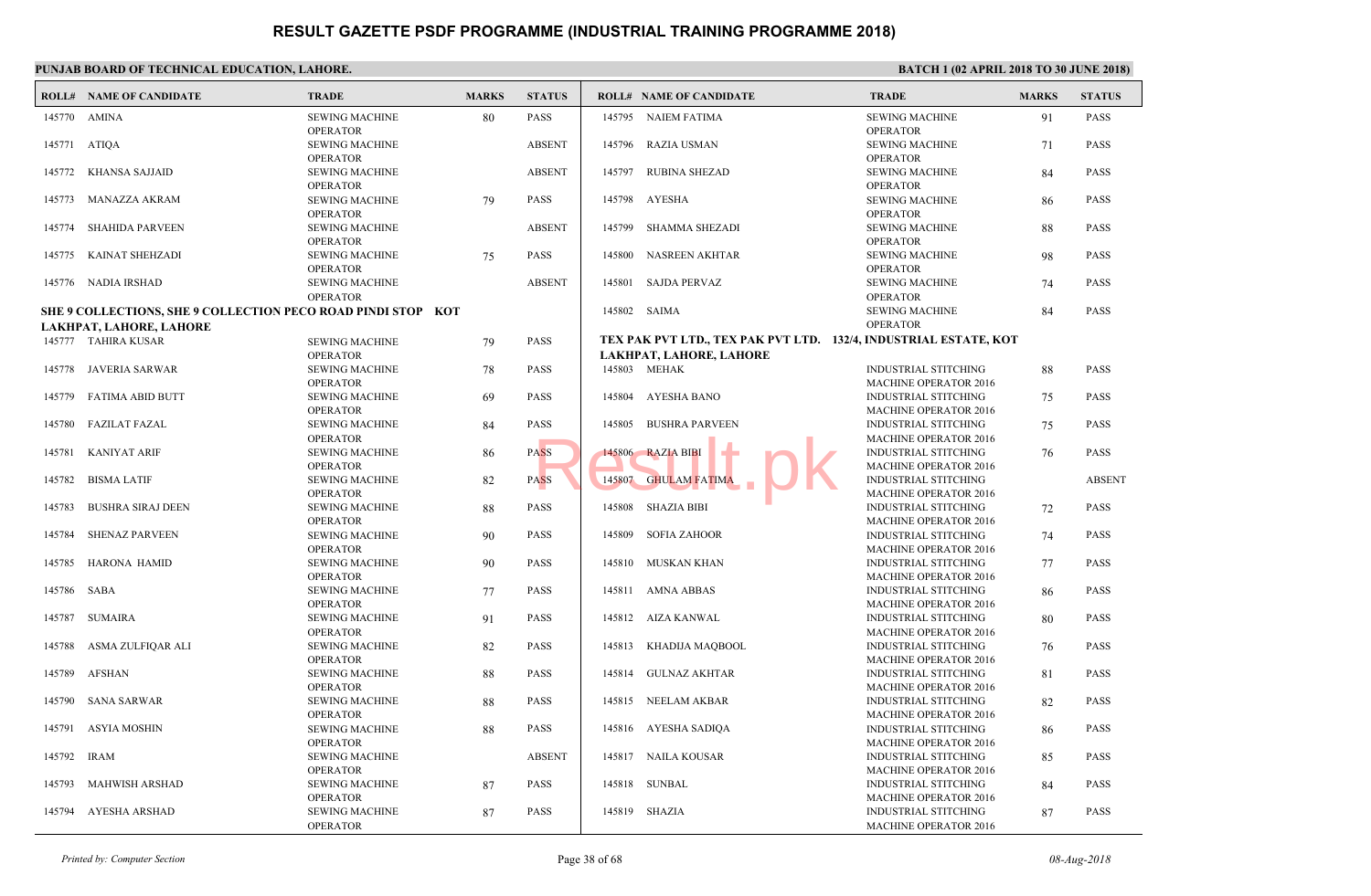|             | PUNJAB BOARD OF TECHNICAL EDUCATION, LAHORE.                                            |                                          |              |               |        |                                                 |                             |  |  |  |  |  |  |
|-------------|-----------------------------------------------------------------------------------------|------------------------------------------|--------------|---------------|--------|-------------------------------------------------|-----------------------------|--|--|--|--|--|--|
|             | <b>ROLL# NAME OF CANDIDATE</b>                                                          | <b>TRADE</b>                             | <b>MARKS</b> | <b>STATUS</b> |        | <b>ROLL# NAME OF CANDIDATE</b>                  | <b>TRAL</b>                 |  |  |  |  |  |  |
|             | 145770 AMINA                                                                            | <b>SEWING MACHINE</b><br><b>OPERATOR</b> | 80           | PASS          |        | 145795 NAIEM FATIMA                             | <b>SEWIN</b><br>OPERA       |  |  |  |  |  |  |
|             | 145771 ATIOA                                                                            | <b>SEWING MACHINE</b><br><b>OPERATOR</b> |              | <b>ABSENT</b> | 145796 | <b>RAZIA USMAN</b>                              | <b>SEWIN</b><br>OPER/       |  |  |  |  |  |  |
| 145772      | KHANSA SAJJAID                                                                          | <b>SEWING MACHINE</b><br><b>OPERATOR</b> |              | <b>ABSENT</b> | 145797 | <b>RUBINA SHEZAD</b>                            | <b>SEWIN</b><br>OPER/       |  |  |  |  |  |  |
| 145773      | MANAZZA AKRAM                                                                           | <b>SEWING MACHINE</b><br><b>OPERATOR</b> | 79           | <b>PASS</b>   |        | 145798 AYESHA                                   | <b>SEWIN</b><br>OPER/       |  |  |  |  |  |  |
| 145774      | <b>SHAHIDA PARVEEN</b>                                                                  | <b>SEWING MACHINE</b><br><b>OPERATOR</b> |              | <b>ABSENT</b> |        | 145799 SHAMMA SHEZADI                           | <b>SEWIN</b><br>OPER/       |  |  |  |  |  |  |
| 145775      | KAINAT SHEHZADI                                                                         | <b>SEWING MACHINE</b><br><b>OPERATOR</b> | 75           | PASS          | 145800 | NASREEN AKHTAR                                  | <b>SEWIN</b><br>OPER/       |  |  |  |  |  |  |
|             | 145776 NADIA IRSHAD                                                                     | <b>SEWING MACHINE</b><br><b>OPERATOR</b> |              | <b>ABSENT</b> | 145801 | SAJDA PERVAZ                                    | <b>SEWIN</b><br>OPER/       |  |  |  |  |  |  |
|             | SHE 9 COLLECTIONS, SHE 9 COLLECTION PECO ROAD PINDI STOP KOT<br>LAKHPAT, LAHORE, LAHORE |                                          |              | 145802 SAIMA  |        | <b>SEWIN</b><br>OPERA                           |                             |  |  |  |  |  |  |
|             | 145777 TAHIRA KUSAR                                                                     | <b>SEWING MACHINE</b>                    | 79           | PASS          |        | TEX PAK PVT LTD., TEX PAK PVT LTD. 132/4, INDUS |                             |  |  |  |  |  |  |
|             |                                                                                         | <b>OPERATOR</b>                          |              |               |        | LAKHPAT, LAHORE, LAHORE                         |                             |  |  |  |  |  |  |
|             | 145778 JAVERIA SARWAR                                                                   | <b>SEWING MACHINE</b><br><b>OPERATOR</b> | 78           | PASS          |        | 145803 MEHAK                                    | <b>INDUS</b><br><b>MACH</b> |  |  |  |  |  |  |
| 145779      | FATIMA ABID BUTT                                                                        | <b>SEWING MACHINE</b><br><b>OPERATOR</b> | 69           | <b>PASS</b>   | 145804 | AYESHA BANO                                     | <b>INDUS</b><br><b>MACH</b> |  |  |  |  |  |  |
| 145780      | FAZILAT FAZAL                                                                           | <b>SEWING MACHINE</b><br><b>OPERATOR</b> | 84           | PASS          | 145805 | <b>BUSHRA PARVEEN</b>                           | <b>INDUS</b><br><b>MACH</b> |  |  |  |  |  |  |
| 145781      | <b>KANIYAT ARIF</b>                                                                     | <b>SEWING MACHINE</b><br><b>OPERATOR</b> | 86           | <b>PASS</b>   |        | 145806 RAZIA BIBI                               | <b>INDUS</b><br><b>MACH</b> |  |  |  |  |  |  |
| 145782      | <b>BISMA LATIF</b>                                                                      | <b>SEWING MACHINE</b><br><b>OPERATOR</b> | 82           | <b>PASS</b>   | 145807 | <b>GHULAM FATIMA</b>                            | <b>INDUS</b><br><b>MACH</b> |  |  |  |  |  |  |
| 145783      | <b>BUSHRA SIRAJ DEEN</b>                                                                | <b>SEWING MACHINE</b><br><b>OPERATOR</b> | 88           | PASS          |        | 145808 SHAZIA BIBI                              | <b>INDUS</b><br><b>MACH</b> |  |  |  |  |  |  |
| 145784      | <b>SHENAZ PARVEEN</b>                                                                   | <b>SEWING MACHINE</b><br><b>OPERATOR</b> | 90           | <b>PASS</b>   | 145809 | SOFIA ZAHOOR                                    | <b>INDUS</b><br><b>MACH</b> |  |  |  |  |  |  |
| 145785      | HARONA HAMID                                                                            | <b>SEWING MACHINE</b><br><b>OPERATOR</b> | 90           | PASS          |        | 145810 MUSKAN KHAN                              | <b>INDUS</b><br><b>MACH</b> |  |  |  |  |  |  |
| 145786 SABA |                                                                                         | <b>SEWING MACHINE</b><br><b>OPERATOR</b> | 77           | <b>PASS</b>   | 145811 | AMNA ABBAS                                      | <b>INDUS</b><br><b>MACH</b> |  |  |  |  |  |  |
| 145787      | <b>SUMAIRA</b>                                                                          | <b>SEWING MACHINE</b><br><b>OPERATOR</b> | 91           | <b>PASS</b>   |        | 145812 AIZA KANWAL                              | <b>INDUS</b><br><b>MACH</b> |  |  |  |  |  |  |
| 145788      | ASMA ZULFIQAR ALI                                                                       | <b>SEWING MACHINE</b><br><b>OPERATOR</b> | 82           | PASS          | 145813 | KHADIJA MAQBOOL                                 | <b>INDUS</b><br><b>MACH</b> |  |  |  |  |  |  |
| 145789      | AFSHAN                                                                                  | <b>SEWING MACHINE</b><br><b>OPERATOR</b> | 88           | <b>PASS</b>   | 145814 | GULNAZ AKHTAR                                   | <b>INDUS</b><br><b>MACH</b> |  |  |  |  |  |  |
|             | 145790 SANA SARWAR                                                                      | <b>SEWING MACHINE</b><br><b>OPERATOR</b> | 88           | <b>PASS</b>   |        | 145815 NEELAM AKBAR                             | <b>INDUS</b><br><b>MACH</b> |  |  |  |  |  |  |
|             | 145791 ASYIA MOSHIN                                                                     | <b>SEWING MACHINE</b><br><b>OPERATOR</b> | 88           | PASS          |        | 145816 AYESHA SADIQA                            | <b>INDUS</b><br><b>MACH</b> |  |  |  |  |  |  |
| 145792 IRAM |                                                                                         | <b>SEWING MACHINE</b><br><b>OPERATOR</b> |              | <b>ABSENT</b> |        | 145817 NAILA KOUSAR                             | <b>INDUS</b><br><b>MACH</b> |  |  |  |  |  |  |
|             | 145793 MAHWISH ARSHAD                                                                   | <b>SEWING MACHINE</b><br><b>OPERATOR</b> | 87           | <b>PASS</b>   |        | 145818 SUNBAL                                   | <b>INDUS</b><br><b>MACH</b> |  |  |  |  |  |  |
|             | 145794 AYESHA ARSHAD                                                                    | <b>SEWING MACHINE</b><br><b>OPERATOR</b> | 87           | PASS          |        | 145819 SHAZIA                                   | <b>INDUS</b><br><b>MACH</b> |  |  |  |  |  |  |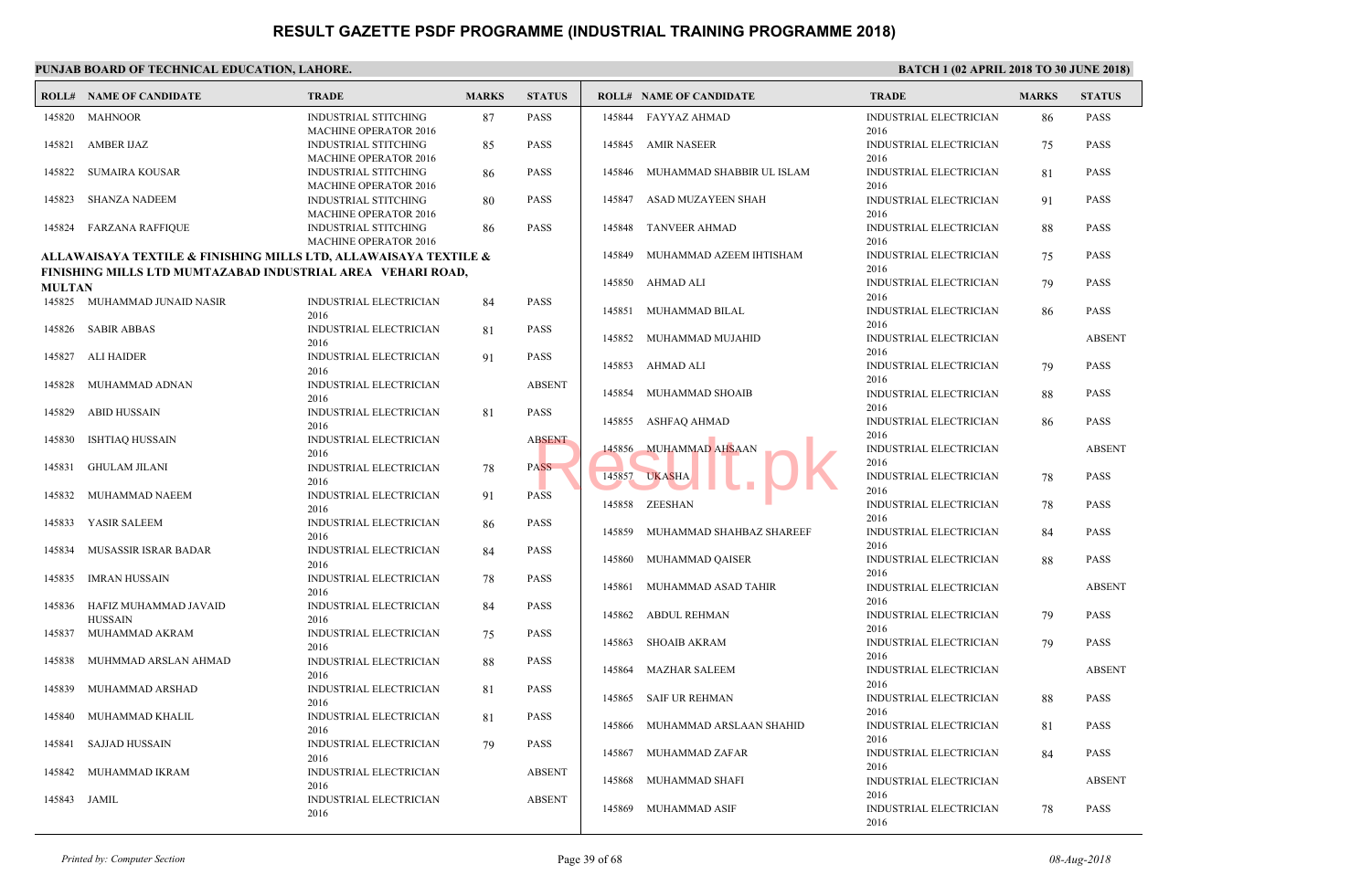|               | PUNJAB BOARD OF TECHNICAL EDUCATION, LAHORE.                     |                                                             |              |               |        |                                |                      |  |  |  |  |  |
|---------------|------------------------------------------------------------------|-------------------------------------------------------------|--------------|---------------|--------|--------------------------------|----------------------|--|--|--|--|--|
|               | <b>ROLL# NAME OF CANDIDATE</b>                                   | <b>TRADE</b>                                                | <b>MARKS</b> | <b>STATUS</b> |        | <b>ROLL# NAME OF CANDIDATE</b> | <b>TRAL</b>          |  |  |  |  |  |
|               | 145820 MAHNOOR                                                   | <b>INDUSTRIAL STITCHING</b><br><b>MACHINE OPERATOR 2016</b> | 87           | PASS          | 145844 | FAYYAZ AHMAD                   | <b>INDUS</b><br>2016 |  |  |  |  |  |
| 145821        | AMBER IJAZ                                                       | <b>INDUSTRIAL STITCHING</b><br><b>MACHINE OPERATOR 2016</b> | 85           | PASS          | 145845 | AMIR NASEER                    | <b>INDUS</b><br>2016 |  |  |  |  |  |
| 145822        | <b>SUMAIRA KOUSAR</b>                                            | <b>INDUSTRIAL STITCHING</b><br><b>MACHINE OPERATOR 2016</b> | 86           | <b>PASS</b>   | 145846 | MUHAMMAD SHABBIR UL ISLAM      | <b>INDUS</b><br>2016 |  |  |  |  |  |
| 145823        | SHANZA NADEEM                                                    | <b>INDUSTRIAL STITCHING</b><br><b>MACHINE OPERATOR 2016</b> | 80           | <b>PASS</b>   | 145847 | ASAD MUZAYEEN SHAH             | <b>INDUS</b><br>2016 |  |  |  |  |  |
|               | 145824 FARZANA RAFFIQUE                                          | <b>INDUSTRIAL STITCHING</b><br><b>MACHINE OPERATOR 2016</b> | 86           | <b>PASS</b>   |        | 145848 TANVEER AHMAD           | <b>INDUS</b><br>2016 |  |  |  |  |  |
|               | ALLAWAISAYA TEXTILE & FINISHING MILLS LTD, ALLAWAISAYA TEXTILE & |                                                             |              |               | 145849 | MUHAMMAD AZEEM IHTISHAM        | <b>INDUS</b>         |  |  |  |  |  |
|               | FINISHING MILLS LTD MUMTAZABAD INDUSTRIAL AREA VEHARI ROAD,      |                                                             |              |               |        | 145850 AHMAD ALI               | 2016<br><b>INDUS</b> |  |  |  |  |  |
| <b>MULTAN</b> | 145825 MUHAMMAD JUNAID NASIR                                     | INDUSTRIAL ELECTRICIAN                                      | 84           | PASS          |        |                                | 2016                 |  |  |  |  |  |
|               |                                                                  | 2016                                                        |              |               | 145851 | MUHAMMAD BILAL                 | <b>INDUS</b><br>2016 |  |  |  |  |  |
|               | 145826 SABIR ABBAS                                               | INDUSTRIAL ELECTRICIAN<br>2016                              | 81           | PASS          | 145852 | MUHAMMAD MUJAHID               | <b>INDUS</b><br>2016 |  |  |  |  |  |
| 145827        | <b>ALI HAIDER</b>                                                | <b>INDUSTRIAL ELECTRICIAN</b><br>2016                       | 91           | <b>PASS</b>   | 145853 | AHMAD ALI                      | <b>INDUS</b>         |  |  |  |  |  |
| 145828        | MUHAMMAD ADNAN                                                   | <b>INDUSTRIAL ELECTRICIAN</b><br>2016                       |              | <b>ABSENT</b> | 145854 | MUHAMMAD SHOAIB                | 2016<br><b>INDUS</b> |  |  |  |  |  |
| 145829        | <b>ABID HUSSAIN</b>                                              | INDUSTRIAL ELECTRICIAN<br>2016                              | 81           | PASS          |        | 145855 ASHFAQ AHMAD            | 2016<br><b>INDUS</b> |  |  |  |  |  |
| 145830        | <b>ISHTIAO HUSSAIN</b>                                           | INDUSTRIAL ELECTRICIAN<br>2016                              |              | <b>ABSENT</b> | 145856 | <b>MUHAMMAD AHSAAN</b>         | 2016<br><b>INDUS</b> |  |  |  |  |  |
| 145831        | <b>GHULAM JILANI</b>                                             | INDUSTRIAL ELECTRICIAN<br>2016                              | 78           | <b>PASS</b>   |        | 145857 UKASHA                  | 2016<br><b>INDUS</b> |  |  |  |  |  |
| 145832        | MUHAMMAD NAEEM                                                   | INDUSTRIAL ELECTRICIAN<br>2016                              | 91           | <b>PASS</b>   |        | 145858 ZEESHAN                 | 2016<br><b>INDUS</b> |  |  |  |  |  |
| 145833        | YASIR SALEEM                                                     | INDUSTRIAL ELECTRICIAN<br>2016                              | 86           | PASS          | 145859 | MUHAMMAD SHAHBAZ SHAREEF       | 2016<br><b>INDUS</b> |  |  |  |  |  |
| 145834        | MUSASSIR ISRAR BADAR                                             | INDUSTRIAL ELECTRICIAN<br>2016                              | 84           | <b>PASS</b>   |        | 145860 MUHAMMAD QAISER         | 2016<br><b>INDUS</b> |  |  |  |  |  |
| 145835        | IMRAN HUSSAIN                                                    | INDUSTRIAL ELECTRICIAN<br>2016                              | 78           | <b>PASS</b>   | 145861 | MUHAMMAD ASAD TAHIR            | 2016<br><b>INDUS</b> |  |  |  |  |  |
| 145836        | HAFIZ MUHAMMAD JAVAID<br><b>HUSSAIN</b>                          | INDUSTRIAL ELECTRICIAN<br>2016                              | 84           | PASS          |        | 145862 ABDUL REHMAN            | 2016<br><b>INDUS</b> |  |  |  |  |  |
| 145837        | MUHAMMAD AKRAM                                                   | INDUSTRIAL ELECTRICIAN<br>2016                              | 75           | <b>PASS</b>   | 145863 | <b>SHOAIB AKRAM</b>            | 2016<br><b>INDUS</b> |  |  |  |  |  |
| 145838        | MUHMMAD ARSLAN AHMAD                                             | INDUSTRIAL ELECTRICIAN<br>2016                              | 88           | PASS          | 145864 | <b>MAZHAR SALEEM</b>           | 2016<br><b>INDUS</b> |  |  |  |  |  |
| 145839        | MUHAMMAD ARSHAD                                                  | INDUSTRIAL ELECTRICIAN                                      | 81           | PASS          |        | 145865 SAIF UR REHMAN          | 2016<br><b>INDUS</b> |  |  |  |  |  |
|               | 145840 MUHAMMAD KHALIL                                           | 2016<br>INDUSTRIAL ELECTRICIAN                              | 81           | PASS          | 145866 | MUHAMMAD ARSLAAN SHAHID        | 2016<br><b>INDUS</b> |  |  |  |  |  |
|               | 145841 SAJJAD HUSSAIN                                            | 2016<br><b>INDUSTRIAL ELECTRICIAN</b>                       | 79           | PASS          | 145867 | MUHAMMAD ZAFAR                 | 2016<br><b>INDUS</b> |  |  |  |  |  |
| 145842        | MUHAMMAD IKRAM                                                   | 2016<br>INDUSTRIAL ELECTRICIAN                              |              | <b>ABSENT</b> |        | 145868 MUHAMMAD SHAFI          | 2016<br><b>INDUS</b> |  |  |  |  |  |
|               | 145843 JAMIL                                                     | 2016<br><b>INDUSTRIAL ELECTRICIAN</b>                       |              | <b>ABSENT</b> |        | 145869 MUHAMMAD ASIF           | 2016<br><b>INDUS</b> |  |  |  |  |  |
|               |                                                                  | 2016                                                        |              |               |        |                                | 2016                 |  |  |  |  |  |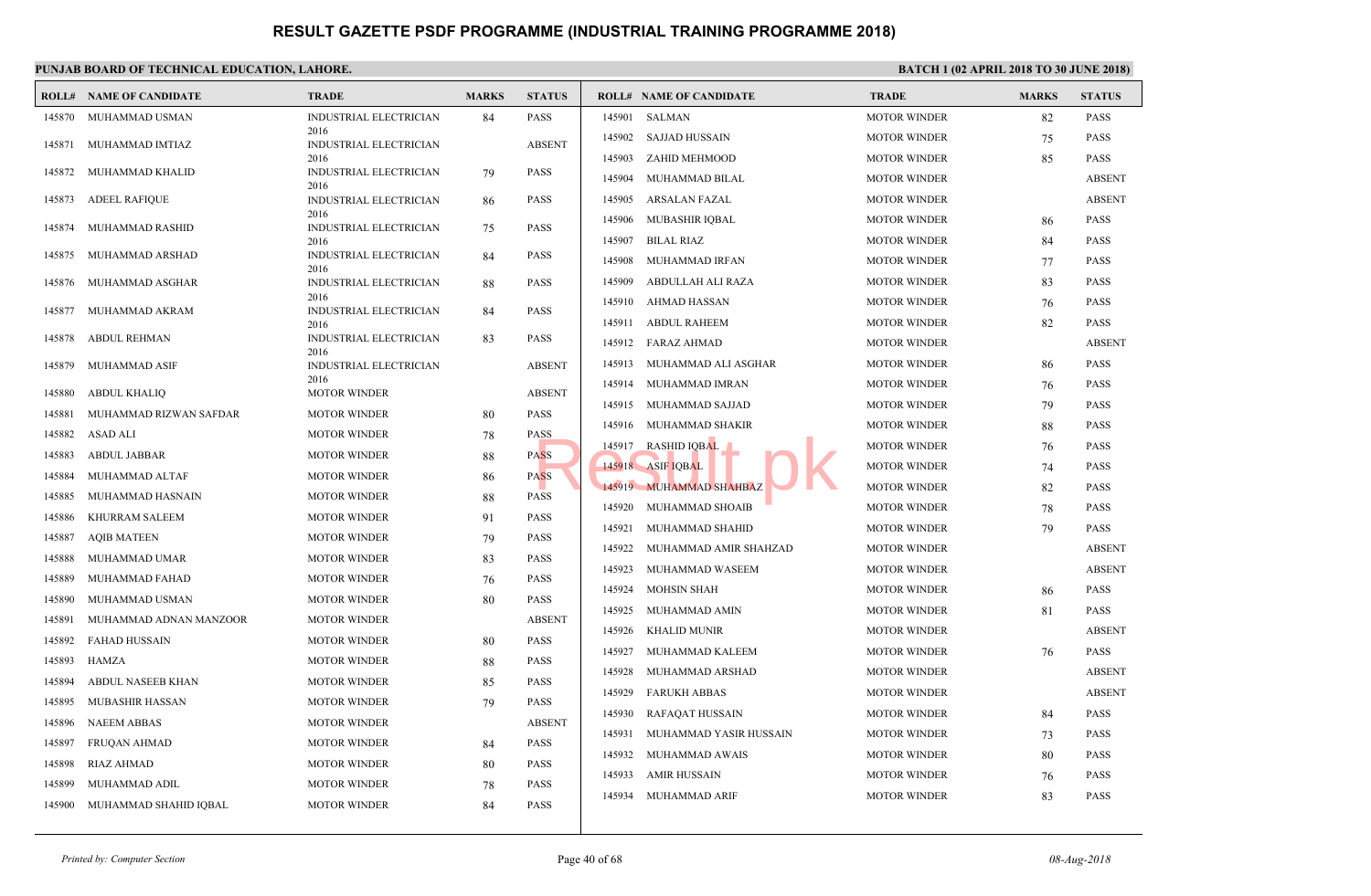|        | <b>ROLL# NAME OF CANDIDATE</b> | <b>TRADE</b>                          | <b>MARKS</b> | <b>STATUS</b> |        | <b>ROLL# NAME OF CANDIDATE</b> | <b>TRAL</b> |
|--------|--------------------------------|---------------------------------------|--------------|---------------|--------|--------------------------------|-------------|
| 145870 | MUHAMMAD USMAN                 | INDUSTRIAL ELECTRICIAN                | 84           | <b>PASS</b>   | 145901 | SALMAN                         | <b>MOTO</b> |
| 145871 | MUHAMMAD IMTIAZ                | 2016<br>INDUSTRIAL ELECTRICIAN        |              | <b>ABSENT</b> | 145902 | SAJJAD HUSSAIN                 | <b>MOTO</b> |
|        |                                | 2016                                  |              |               | 145903 | ZAHID MEHMOOD                  | <b>MOTO</b> |
| 145872 | MUHAMMAD KHALID                | INDUSTRIAL ELECTRICIAN<br>2016        | 79           | <b>PASS</b>   | 145904 | MUHAMMAD BILAL                 | <b>MOTO</b> |
| 145873 | <b>ADEEL RAFIQUE</b>           | INDUSTRIAL ELECTRICIAN                | 86           | <b>PASS</b>   | 145905 | ARSALAN FAZAL                  | <b>MOTO</b> |
| 145874 | MUHAMMAD RASHID                | 2016<br><b>INDUSTRIAL ELECTRICIAN</b> |              | <b>PASS</b>   | 145906 | MUBASHIR IQBAL                 | <b>MOTO</b> |
|        |                                | 2016                                  | 75           |               | 145907 | <b>BILAL RIAZ</b>              | <b>MOTO</b> |
| 145875 | MUHAMMAD ARSHAD                | INDUSTRIAL ELECTRICIAN<br>2016        | 84           | <b>PASS</b>   | 145908 | MUHAMMAD IRFAN                 | <b>MOTO</b> |
| 145876 | MUHAMMAD ASGHAR                | INDUSTRIAL ELECTRICIAN                | 88           | <b>PASS</b>   | 145909 | ABDULLAH ALI RAZA              | <b>MOTO</b> |
|        |                                | 2016                                  |              |               | 145910 | AHMAD HASSAN                   | <b>MOTO</b> |
| 145877 | MUHAMMAD AKRAM                 | <b>INDUSTRIAL ELECTRICIAN</b><br>2016 | 84           | <b>PASS</b>   | 145911 | ABDUL RAHEEM                   | <b>MOTO</b> |
| 145878 | <b>ABDUL REHMAN</b>            | INDUSTRIAL ELECTRICIAN<br>2016        | 83           | PASS          | 145912 | FARAZ AHMAD                    | <b>MOTO</b> |
| 145879 | MUHAMMAD ASIF                  | INDUSTRIAL ELECTRICIAN                |              | <b>ABSENT</b> | 145913 | MUHAMMAD ALI ASGHAR            | <b>MOTO</b> |
|        |                                | 2016                                  |              | <b>ABSENT</b> | 145914 | MUHAMMAD IMRAN                 | <b>MOTO</b> |
| 145880 | <b>ABDUL KHALIQ</b>            | <b>MOTOR WINDER</b>                   |              |               | 145915 | MUHAMMAD SAJJAD                | <b>MOTO</b> |
| 145881 | MUHAMMAD RIZWAN SAFDAR         | <b>MOTOR WINDER</b>                   | 80           | <b>PASS</b>   | 145916 | MUHAMMAD SHAKIR                | <b>MOTO</b> |
| 145882 | ASAD ALI                       | <b>MOTOR WINDER</b>                   | 78           | <b>PASS</b>   | 145917 | <b>RASHID IQBAL</b>            | <b>MOTO</b> |
| 145883 | ABDUL JABBAR                   | <b>MOTOR WINDER</b>                   | 88           | <b>PASS</b>   |        | 145918 ASIF IQBAL              | <b>MOTO</b> |
| 145884 | MUHAMMAD ALTAF                 | <b>MOTOR WINDER</b>                   | 86           | <b>PASS</b>   |        | 145919 MUHAMMAD SHAHBAZ        | <b>MOTO</b> |
| 145885 | MUHAMMAD HASNAIN               | <b>MOTOR WINDER</b>                   | 88           | <b>PASS</b>   | 145920 | MUHAMMAD SHOAIB                | <b>MOTO</b> |
| 145886 | KHURRAM SALEEM                 | <b>MOTOR WINDER</b>                   | 91           | <b>PASS</b>   | 145921 | MUHAMMAD SHAHID                | <b>MOTO</b> |
| 145887 | <b>AQIB MATEEN</b>             | <b>MOTOR WINDER</b>                   | 79           | <b>PASS</b>   | 145922 | MUHAMMAD AMIR SHAHZAD          | <b>MOTO</b> |
| 145888 | MUHAMMAD UMAR                  | <b>MOTOR WINDER</b>                   | 83           | <b>PASS</b>   | 145923 | MUHAMMAD WASEEM                | <b>MOTO</b> |
| 145889 | MUHAMMAD FAHAD                 | <b>MOTOR WINDER</b>                   | 76           | <b>PASS</b>   | 145924 | <b>MOHSIN SHAH</b>             | <b>MOTO</b> |
| 145890 | MUHAMMAD USMAN                 | <b>MOTOR WINDER</b>                   | 80           | <b>PASS</b>   | 145925 | MUHAMMAD AMIN                  | <b>MOTO</b> |
| 145891 | MUHAMMAD ADNAN MANZOOR         | <b>MOTOR WINDER</b>                   |              | <b>ABSENT</b> | 145926 | <b>KHALID MUNIR</b>            | <b>MOTO</b> |
| 145892 | <b>FAHAD HUSSAIN</b>           | <b>MOTOR WINDER</b>                   | 80           | <b>PASS</b>   | 145927 | MUHAMMAD KALEEM                | <b>MOTO</b> |
| 145893 | HAMZA                          | <b>MOTOR WINDER</b>                   | 88           | <b>PASS</b>   | 145928 | MUHAMMAD ARSHAD                | <b>MOTO</b> |
| 145894 | ABDUL NASEEB KHAN              | <b>MOTOR WINDER</b>                   | 85           | <b>PASS</b>   | 145929 | <b>FARUKH ABBAS</b>            | <b>MOTO</b> |
| 145895 | <b>MUBASHIR HASSAN</b>         | <b>MOTOR WINDER</b>                   | 79           | <b>PASS</b>   | 145930 | RAFAQAT HUSSAIN                | <b>MOTO</b> |
| 145896 | <b>NAEEM ABBAS</b>             | <b>MOTOR WINDER</b>                   |              | <b>ABSENT</b> | 145931 | MUHAMMAD YASIR HUSSAIN         | <b>MOTO</b> |
| 145897 | <b>FRUQAN AHMAD</b>            | <b>MOTOR WINDER</b>                   | 84           | <b>PASS</b>   | 145932 | MUHAMMAD AWAIS                 | <b>MOTO</b> |
| 145898 | RIAZ AHMAD                     | <b>MOTOR WINDER</b>                   | 80           | <b>PASS</b>   |        |                                |             |
| 145899 | MUHAMMAD ADIL                  | <b>MOTOR WINDER</b>                   | 78           | <b>PASS</b>   | 145933 | AMIR HUSSAIN                   | <b>MOTO</b> |
| 145900 | MUHAMMAD SHAHID IQBAL          | <b>MOTOR WINDER</b>                   | 84           | <b>PASS</b>   | 145934 | <b>MUHAMMAD ARIF</b>           | <b>MOTO</b> |
|        |                                |                                       |              |               |        |                                |             |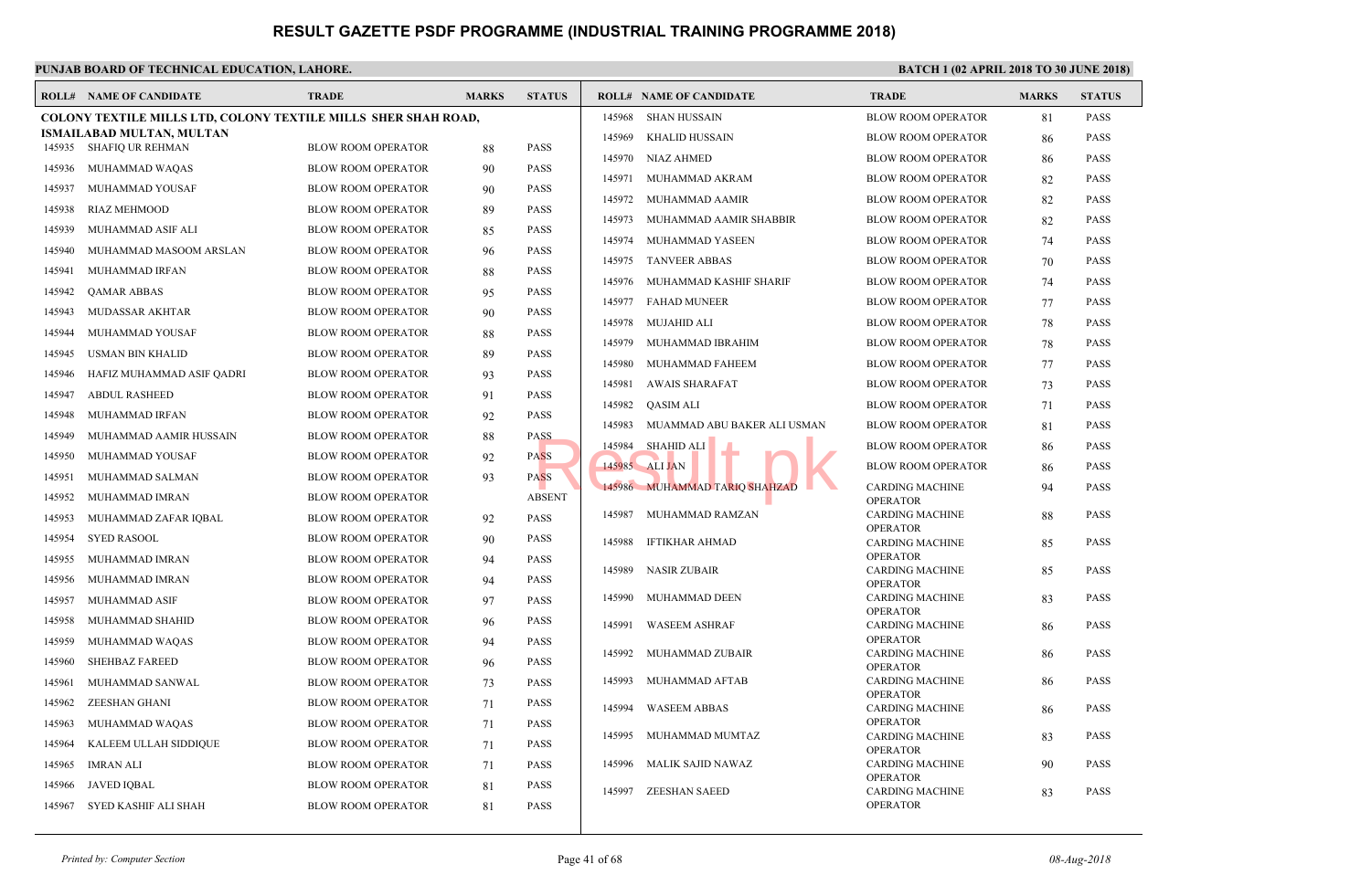|        | <b>ROLL# NAME OF CANDIDATE</b>                                        | <b>TRADE</b>              | <b>MARKS</b> | <b>STATUS</b> |        | <b>ROLL# NAME OF CANDIDATE</b> | <b>TRAL</b>          |
|--------|-----------------------------------------------------------------------|---------------------------|--------------|---------------|--------|--------------------------------|----------------------|
|        | <b>COLONY TEXTILE MILLS LTD, COLONY TEXTILE MILLS SHER SHAH ROAD,</b> |                           |              |               | 145968 | SHAN HUSSAIN                   | <b>BLOW</b>          |
|        | <b>ISMAILABAD MULTAN, MULTAN</b><br>145935 SHAFIQ UR REHMAN           | <b>BLOW ROOM OPERATOR</b> | 88           | <b>PASS</b>   | 145969 | KHALID HUSSAIN                 | <b>BLOW</b>          |
| 145936 | MUHAMMAD WAQAS                                                        | <b>BLOW ROOM OPERATOR</b> |              | <b>PASS</b>   | 145970 | NIAZ AHMED                     | <b>BLOW</b>          |
|        |                                                                       |                           | 90           |               | 145971 | MUHAMMAD AKRAM                 | <b>BLOW</b>          |
| 145937 | MUHAMMAD YOUSAF                                                       | <b>BLOW ROOM OPERATOR</b> | 90           | <b>PASS</b>   | 145972 | MUHAMMAD AAMIR                 | <b>BLOW</b>          |
| 145938 | <b>RIAZ MEHMOOD</b>                                                   | <b>BLOW ROOM OPERATOR</b> | 89           | <b>PASS</b>   | 145973 | MUHAMMAD AAMIR SHABBIR         | <b>BLOW</b>          |
| 145939 | MUHAMMAD ASIF ALI                                                     | <b>BLOW ROOM OPERATOR</b> | 85           | <b>PASS</b>   | 145974 | MUHAMMAD YASEEN                | <b>BLOW</b>          |
| 145940 | MUHAMMAD MASOOM ARSLAN                                                | <b>BLOW ROOM OPERATOR</b> | 96           | <b>PASS</b>   |        | 145975 TANVEER ABBAS           | <b>BLOW</b>          |
| 145941 | MUHAMMAD IRFAN                                                        | <b>BLOW ROOM OPERATOR</b> | 88           | <b>PASS</b>   |        | 145976 MUHAMMAD KASHIF SHARIF  | <b>BLOW</b>          |
| 145942 | <b>QAMAR ABBAS</b>                                                    | <b>BLOW ROOM OPERATOR</b> | 95           | <b>PASS</b>   | 145977 | <b>FAHAD MUNEER</b>            | <b>BLOW</b>          |
| 145943 | MUDASSAR AKHTAR                                                       | <b>BLOW ROOM OPERATOR</b> | 90           | <b>PASS</b>   | 145978 | MUJAHID ALI                    | <b>BLOW</b>          |
| 145944 | MUHAMMAD YOUSAF                                                       | <b>BLOW ROOM OPERATOR</b> | 88           | <b>PASS</b>   | 145979 | MUHAMMAD IBRAHIM               | <b>BLOW</b>          |
| 145945 | USMAN BIN KHALID                                                      | <b>BLOW ROOM OPERATOR</b> | 89           | <b>PASS</b>   | 145980 | MUHAMMAD FAHEEM                | <b>BLOW</b>          |
| 145946 | HAFIZ MUHAMMAD ASIF QADRI                                             | <b>BLOW ROOM OPERATOR</b> | 93           | <b>PASS</b>   | 145981 | AWAIS SHARAFAT                 | <b>BLOW</b>          |
| 145947 | <b>ABDUL RASHEED</b>                                                  | BLOW ROOM OPERATOR        | 91           | <b>PASS</b>   |        |                                |                      |
| 145948 | MUHAMMAD IRFAN                                                        | <b>BLOW ROOM OPERATOR</b> | 92           | <b>PASS</b>   | 145982 | QASIM ALI                      | <b>BLOW</b>          |
| 145949 | MUHAMMAD AAMIR HUSSAIN                                                | <b>BLOW ROOM OPERATOR</b> | 88           | <b>PASS</b>   | 145983 | MUAMMAD ABU BAKER ALI USMAN    | <b>BLOW</b>          |
| 145950 | MUHAMMAD YOUSAF                                                       | <b>BLOW ROOM OPERATOR</b> | 92           | <b>PASS</b>   | 145984 | <b>SHAHID ALI</b>              | <b>BLOW</b>          |
| 145951 | MUHAMMAD SALMAN                                                       | <b>BLOW ROOM OPERATOR</b> | 93           | <b>PASS</b>   |        | 145985 ALI JAN                 | <b>BLOW</b>          |
| 145952 | MUHAMMAD IMRAN                                                        | <b>BLOW ROOM OPERATOR</b> |              | <b>ABSENT</b> |        | 145986 MUHAMMAD TARIQ SHAHZAD  | <b>CARD</b><br>OPER/ |
| 145953 | MUHAMMAD ZAFAR IQBAL                                                  | <b>BLOW ROOM OPERATOR</b> | 92           | <b>PASS</b>   | 145987 | MUHAMMAD RAMZAN                | <b>CARD</b>          |
| 145954 | <b>SYED RASOOL</b>                                                    | <b>BLOW ROOM OPERATOR</b> | 90           | <b>PASS</b>   | 145988 | <b>IFTIKHAR AHMAD</b>          | OPER/<br><b>CARD</b> |
| 145955 | MUHAMMAD IMRAN                                                        | <b>BLOW ROOM OPERATOR</b> | 94           | <b>PASS</b>   |        |                                | OPER/                |
| 145956 | MUHAMMAD IMRAN                                                        | <b>BLOW ROOM OPERATOR</b> | 94           | <b>PASS</b>   | 145989 | NASIR ZUBAIR                   | <b>CARD</b>          |
| 145957 | MUHAMMAD ASIF                                                         | <b>BLOW ROOM OPERATOR</b> | 97           | <b>PASS</b>   | 145990 | MUHAMMAD DEEN                  | OPER/<br><b>CARD</b> |
| 145958 | MUHAMMAD SHAHID                                                       | <b>BLOW ROOM OPERATOR</b> | 96           | <b>PASS</b>   |        |                                | OPER/                |
| 145959 | MUHAMMAD WAQAS                                                        | <b>BLOW ROOM OPERATOR</b> | 94           | <b>PASS</b>   | 145991 | <b>WASEEM ASHRAF</b>           | CARD!<br>OPER/       |
|        |                                                                       |                           |              | <b>PASS</b>   | 145992 | MUHAMMAD ZUBAIR                | CARD!                |
| 145960 | <b>SHEHBAZ FAREED</b>                                                 | <b>BLOW ROOM OPERATOR</b> | 96           |               | 145993 | MUHAMMAD AFTAB                 | OPER/<br><b>CARD</b> |
| 145961 | MUHAMMAD SANWAL                                                       | <b>BLOW ROOM OPERATOR</b> | 73           | <b>PASS</b>   |        |                                | OPER/                |
| 145962 | ZEESHAN GHANI                                                         | <b>BLOW ROOM OPERATOR</b> | 71           | <b>PASS</b>   | 145994 | <b>WASEEM ABBAS</b>            | <b>CARD</b>          |
| 145963 | MUHAMMAD WAQAS                                                        | <b>BLOW ROOM OPERATOR</b> | 71           | <b>PASS</b>   | 145995 | MUHAMMAD MUMTAZ                | OPER/<br><b>CARD</b> |
| 145964 | KALEEM ULLAH SIDDIQUE                                                 | <b>BLOW ROOM OPERATOR</b> | 71           | <b>PASS</b>   |        |                                | OPER/                |
| 145965 | <b>IMRAN ALI</b>                                                      | <b>BLOW ROOM OPERATOR</b> | 71           | <b>PASS</b>   | 145996 | MALIK SAJID NAWAZ              | CARD!<br>OPER/       |
| 145966 | <b>JAVED IQBAL</b>                                                    | <b>BLOW ROOM OPERATOR</b> | 81           | <b>PASS</b>   | 145997 | <b>ZEESHAN SAEED</b>           | <b>CARD</b>          |
| 145967 | SYED KASHIF ALI SHAH                                                  | <b>BLOW ROOM OPERATOR</b> | 81           | <b>PASS</b>   |        |                                | OPER/                |
|        |                                                                       |                           |              |               |        |                                |                      |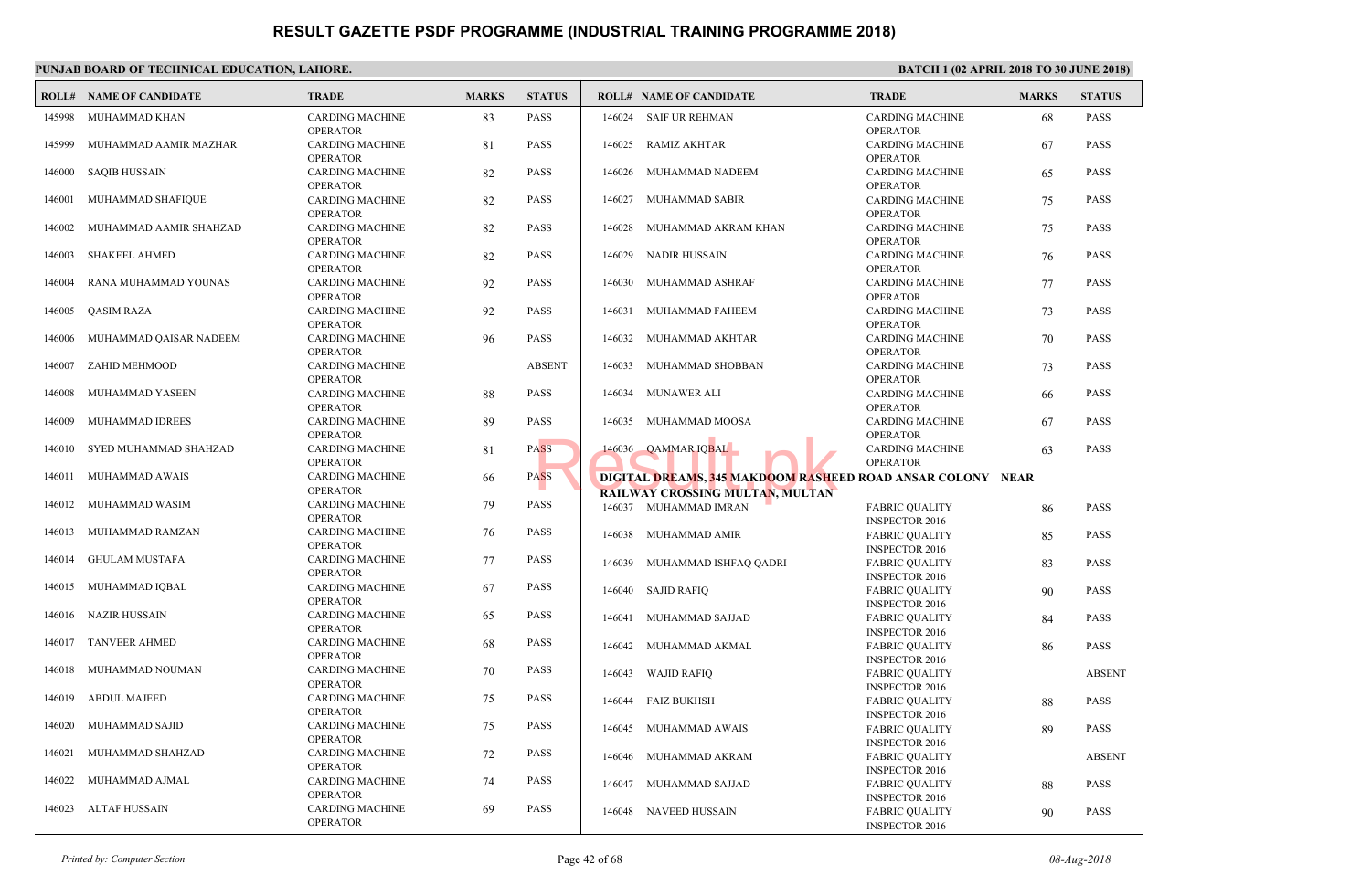#### **PUNJAB BOARD OF TECHNICAL EDUCATION, LAHORE. ROLL# NAME OF CANDIDATE TRADE MARKS STATUS ROLL# NAME OF CANDIDATE TRADE MARKS STATUS** CARDING MACHINE 83 PASS OPERATOR 145998 MUHAMMAD KHAN CARDING MACHINE 81 PASS OPERATOR 145999 MUHAMMAD AAMIR MAZHAR CARDING MACHINE 82 PASS OPERATOR 146000 SAQIB HUSSAIN CARDING MACHINE 82 PASS OPERATOR 146001 MUHAMMAD SHAFIQUE CARDING MACHINE 82 PASS OPERATOR 146002 MUHAMMAD AAMIR SHAHZAD CARDING MACHINE 82 PASS OPERATOR 146003 SHAKEEL AHMED CARDING MACHINE 92 PASS OPERATOR 146004 RANA MUHAMMAD YOUNAS CARDING MACHINE 92 PASS OPERATOR 146005 QASIM RAZA CARDING MACHINE 96 PASS OPERATOR 146006 MUHAMMAD QAISAR NADEEM CARDING MACHINE ABSENT OPERATOR 146007 ZAHID MEHMOOD CARDING MACHINE 88 PASS OPERATOR 146008 MUHAMMAD YASEEN CARDING MACHINE 89 PASS OPERATOR 146009 MUHAMMAD IDREES CARDING MACHINE 81 PASS OPERATOR 146010 SYED MUHAMMAD SHAHZAD CARDING MACHINE 66 PASS OPERATOR 146011 MUHAMMAD AWAIS CARDING MACHINE 79 PASS OPERATOR 146012 MUHAMMAD WASIM CARDING MACHINE 76 PASS OPERATOR 146013 MUHAMMAD RAMZAN CARDING MACHINE 77 PASS OPERATOR 146014 GHULAM MUSTAFA CARDING MACHINE 67 PASS OPERATOR 146015 MUHAMMAD IQBAL CARDING MACHINE 65 PASS OPERATOR 146016 NAZIR HUSSAIN CARDING MACHINE 68 PASS OPERATOR 146017 TANVEER AHMED CARDING MACHINE 70 PASS OPERATOR 146018 MUHAMMAD NOUMAN CARDING MACHINE 75 PASS OPERATOR 146019 ABDUL MAJEED CARDING MACHINE 75 PASS OPERATOR 146020 MUHAMMAD SAJID CARDING MACHINE 72 PASS OPERATOR 146021 MUHAMMAD SHAHZAD CARDING MACHINE 74 PASS OPERATOR 146022 MUHAMMAD AJMAL CARDING MACHINE 69 PASS OPERATOR 146023 ALTAF HUSSAIN CARD. OPER<sub>4</sub> 146024 SAIF UR REHMAN CARD<sub>.</sub> OPER<sub>4</sub> 146025 RAMIZ AKHTAR CARD OPER<sub>A</sub>  [146026 MUHAMMAD NADEEM](http://www.result.pk/) CARD. OPER<sub>4</sub> 146027 MUHAMMAD SABIR CARD. OPER<sub>A</sub> 146028 MUHAMMAD AKRAM KHAN CARD. OPER<sub>4</sub> 146029 NADIR HUSSAIN CARD<sub>.</sub> OPER<sub>A</sub> 146030 MUHAMMAD ASHRAF CARD. OPER<sub>4</sub> 146031 MUHAMMAD FAHEEM CARD. OPER<sub>4</sub> 146032 MUHAMMAD AKHTAR CARD. OPER<sub>A</sub> 146033 MUHAMMAD SHOBBAN CARD. OPER<sub>4</sub> 146034 MUNAWER ALI CARD<sub>.</sub> OPER<sub>4</sub> 146035 MUHAMMAD MOOSA CARD. OPER<sub>4</sub> 146036 QAMMAR IQBAL DIGITAL <mark>DREAMS, 345 MAKDOOM RASH</mark>EED ROAD . **RAILWAY CROSSING MULTAN, MULTAN** FABRI **INSPE**  146037 MUHAMMAD IMRAN FABRI **INSPE**  146038 MUHAMMAD AMIR FABRI **INSPE**  146039 MUHAMMAD ISHFAQ QADRI FABRI **INSPE**  146040 SAJID RAFIQ FABRI **INSPE**  146041 MUHAMMAD SAJJAD FABRI **INSPE**  146042 MUHAMMAD AKMAL FABRI **INSPE**  146043 WAJID RAFIQ FABRI **INSPE**  146044 FAIZ BUKHSH FABRI **INSPE**  146045 MUHAMMAD AWAIS FABRI **INSPE**  146046 MUHAMMAD AKRAM FABRI **INSPE**  146047 MUHAMMAD SAJJAD FABRI **INSPE**  146048 NAVEED HUSSAIN ASS 146036 QAMMAR IQBAL<br>ASS DIGITAL DREAMS, 345 MAKDOOM RASHE<br>RAILWAY CROSSING MULTAN, MULTAN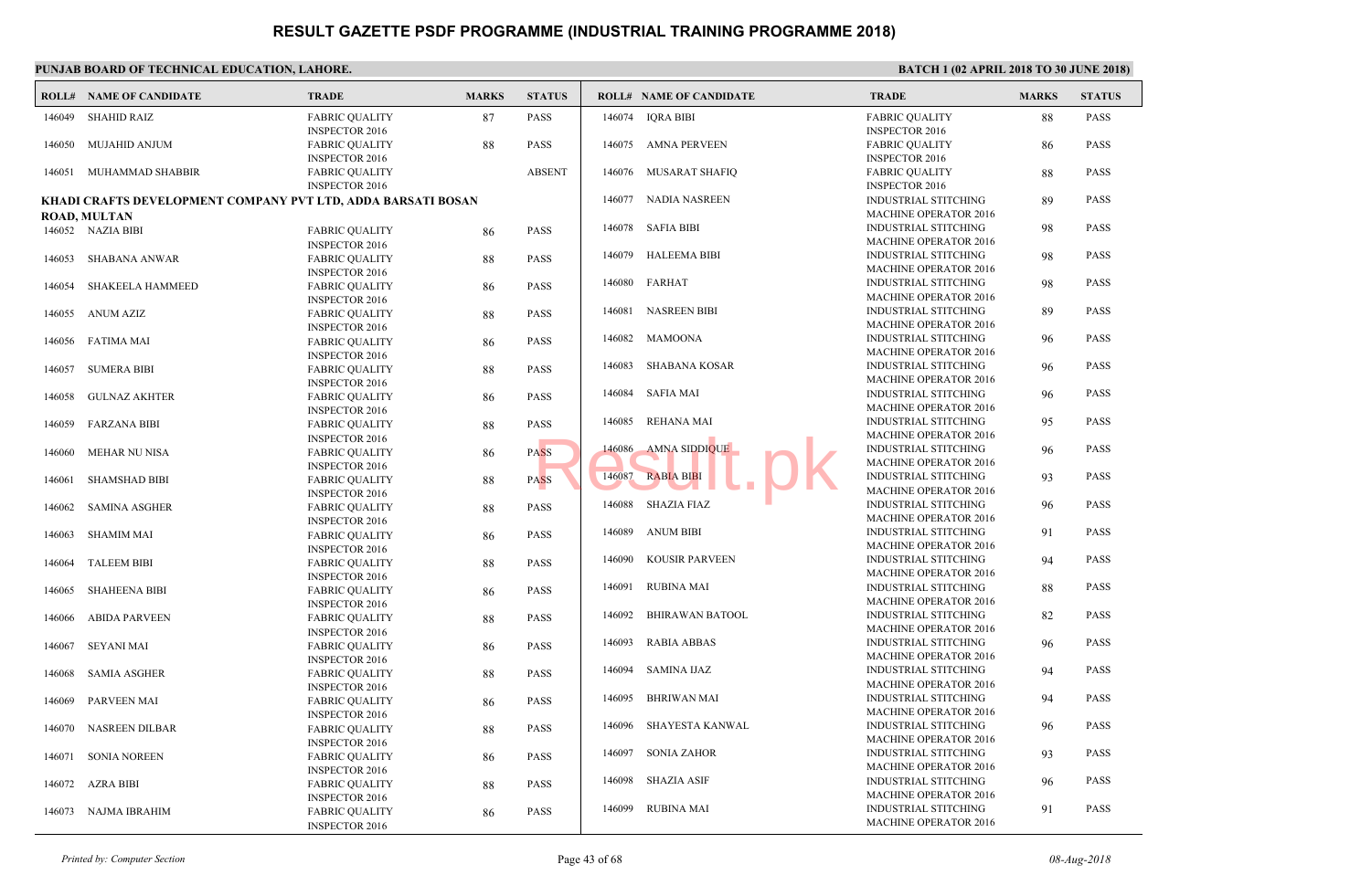|        | <b>ROLL# NAME OF CANDIDATE</b>                               | <b>TRADE</b>                                   | <b>MARKS</b> | <b>STATUS</b> |        | <b>ROLL# NAME OF CANDIDATE</b> | <b>TRAL</b>                 |
|--------|--------------------------------------------------------------|------------------------------------------------|--------------|---------------|--------|--------------------------------|-----------------------------|
| 146049 | <b>SHAHID RAIZ</b>                                           | <b>FABRIC QUALITY</b><br><b>INSPECTOR 2016</b> | 87           | <b>PASS</b>   | 146074 | <b>IQRA BIBI</b>               | FABRI<br><b>INSPE</b>       |
| 146050 | MUJAHID ANJUM                                                | <b>FABRIC QUALITY</b>                          | 88           | <b>PASS</b>   | 146075 | AMNA PERVEEN                   | FABRI                       |
|        |                                                              | <b>INSPECTOR 2016</b>                          |              |               |        |                                | <b>INSPE</b>                |
| 146051 | MUHAMMAD SHABBIR                                             | <b>FABRIC QUALITY</b>                          |              | <b>ABSENT</b> |        | 146076 MUSARAT SHAFIQ          | FABRI                       |
|        |                                                              | <b>INSPECTOR 2016</b>                          |              |               |        |                                | <b>INSPE</b>                |
|        | KHADI CRAFTS DEVELOPMENT COMPANY PVT LTD, ADDA BARSATI BOSAN |                                                |              |               | 146077 | NADIA NASREEN                  | <b>INDUS</b>                |
|        | <b>ROAD, MULTAN</b>                                          |                                                |              |               |        |                                | <b>MACH</b>                 |
|        | 146052 NAZIA BIBI                                            | <b>FABRIC QUALITY</b>                          | 86           | <b>PASS</b>   | 146078 | <b>SAFIA BIBI</b>              | <b>INDUS</b>                |
|        |                                                              | <b>INSPECTOR 2016</b>                          |              |               |        |                                | <b>MACH</b>                 |
| 146053 | SHABANA ANWAR                                                | <b>FABRIC QUALITY</b>                          | 88           | <b>PASS</b>   | 146079 | <b>HALEEMA BIBI</b>            | <b>INDUS</b>                |
|        |                                                              | <b>INSPECTOR 2016</b>                          |              |               |        |                                | <b>MACH</b>                 |
| 146054 | SHAKEELA HAMMEED                                             | <b>FABRIC QUALITY</b>                          | 86           | <b>PASS</b>   | 146080 | FARHAT                         | <b>INDUS</b>                |
|        |                                                              | <b>INSPECTOR 2016</b>                          |              |               |        |                                | <b>MACH</b>                 |
| 146055 | ANUM AZIZ                                                    | <b>FABRIC QUALITY</b>                          | 88           | PASS          | 146081 | <b>NASREEN BIBI</b>            | <b>INDUS</b>                |
|        |                                                              | <b>INSPECTOR 2016</b>                          |              |               |        |                                | <b>MACH</b>                 |
| 146056 | FATIMA MAI                                                   | <b>FABRIC QUALITY</b>                          | 86           | <b>PASS</b>   | 146082 | MAMOONA                        | <b>INDUS</b>                |
|        |                                                              | <b>INSPECTOR 2016</b>                          |              |               |        |                                | <b>MACH</b>                 |
| 146057 | <b>SUMERA BIBI</b>                                           | <b>FABRIC QUALITY</b>                          | 88           | <b>PASS</b>   | 146083 | SHABANA KOSAR                  | <b>INDUS</b>                |
|        |                                                              | <b>INSPECTOR 2016</b>                          |              |               |        |                                | <b>MACH</b>                 |
| 146058 | <b>GULNAZ AKHTER</b>                                         | <b>FABRIC QUALITY</b>                          | 86           | <b>PASS</b>   | 146084 | <b>SAFIA MAI</b>               | <b>INDUS</b>                |
|        |                                                              | <b>INSPECTOR 2016</b>                          |              |               |        |                                | <b>MACH</b>                 |
| 146059 | <b>FARZANA BIBI</b>                                          | <b>FABRIC QUALITY</b>                          | 88           | <b>PASS</b>   | 146085 | <b>REHANA MAI</b>              | <b>INDUS</b>                |
|        |                                                              | <b>INSPECTOR 2016</b>                          |              |               |        |                                | <b>MACH</b>                 |
| 146060 | <b>MEHAR NU NISA</b>                                         | <b>FABRIC QUALITY</b>                          | 86           | <b>PASS</b>   | 146086 | <b>AMNA SIDDIQUE</b>           | <b>INDUS</b>                |
|        |                                                              | <b>INSPECTOR 2016</b>                          |              |               |        |                                | <b>MACH</b>                 |
| 146061 | <b>SHAMSHAD BIBI</b>                                         | <b>FABRIC QUALITY</b>                          | 88           | <b>PASS</b>   | 146087 | <b>RABIA BIBI</b>              | <b>INDUS</b>                |
|        |                                                              | <b>INSPECTOR 2016</b>                          |              |               |        |                                | <b>MACH</b>                 |
| 146062 | <b>SAMINA ASGHER</b>                                         | <b>FABRIC QUALITY</b>                          | 88           | <b>PASS</b>   | 146088 | SHAZIA FIAZ                    | <b>INDUS</b>                |
|        |                                                              | <b>INSPECTOR 2016</b>                          |              |               |        |                                | <b>MACH</b>                 |
| 146063 | <b>SHAMIM MAI</b>                                            | <b>FABRIC QUALITY</b>                          | 86           | PASS          | 146089 | ANUM BIBI                      | <b>INDUS</b>                |
|        |                                                              | <b>INSPECTOR 2016</b>                          |              |               |        |                                | <b>MACH</b>                 |
| 146064 | <b>TALEEM BIBI</b>                                           | <b>FABRIC QUALITY</b>                          | 88           | <b>PASS</b>   | 146090 | <b>KOUSIR PARVEEN</b>          | <b>INDUS</b>                |
|        |                                                              | <b>INSPECTOR 2016</b>                          |              |               |        |                                | <b>MACH</b>                 |
| 146065 | <b>SHAHEENA BIBI</b>                                         | <b>FABRIC QUALITY</b>                          | 86           | <b>PASS</b>   | 146091 | <b>RUBINA MAI</b>              | <b>INDUS</b>                |
|        |                                                              | <b>INSPECTOR 2016</b>                          |              |               |        |                                | <b>MACH</b>                 |
| 146066 | <b>ABIDA PARVEEN</b>                                         | <b>FABRIC QUALITY</b>                          | 88           | <b>PASS</b>   | 146092 | <b>BHIRAWAN BATOOL</b>         | <b>INDUS</b>                |
|        |                                                              | <b>INSPECTOR 2016</b>                          |              |               |        |                                | <b>MACH</b>                 |
| 146067 | <b>SEYANI MAI</b>                                            | <b>FABRIC QUALITY</b>                          | 86           | PASS          | 146093 | <b>RABIA ABBAS</b>             | <b>INDUS</b>                |
|        |                                                              | <b>INSPECTOR 2016</b>                          |              |               | 146094 |                                | <b>MACH</b>                 |
| 146068 | <b>SAMIA ASGHER</b>                                          | <b>FABRIC QUALITY</b>                          | 88           | <b>PASS</b>   |        | <b>SAMINA IJAZ</b>             | <b>INDUS</b><br><b>MACH</b> |
|        |                                                              | <b>INSPECTOR 2016</b>                          |              |               | 146095 | <b>BHRIWAN MAI</b>             | <b>INDUS</b>                |
| 146069 | <b>PARVEEN MAI</b>                                           | <b>FABRIC QUALITY</b>                          | 86           | <b>PASS</b>   |        |                                |                             |
|        |                                                              | <b>INSPECTOR 2016</b>                          |              |               | 146096 | SHAYESTA KANWAL                | <b>MACH</b><br><b>INDUS</b> |
| 146070 | NASREEN DILBAR                                               | <b>FABRIC QUALITY</b>                          | 88           | <b>PASS</b>   |        |                                | <b>MACH</b>                 |
|        |                                                              | <b>INSPECTOR 2016</b>                          |              |               | 146097 | <b>SONIA ZAHOR</b>             | <b>INDUS</b>                |
| 146071 | <b>SONIA NOREEN</b>                                          | <b>FABRIC QUALITY</b>                          | 86           | <b>PASS</b>   |        |                                | <b>MACH</b>                 |
|        |                                                              | <b>INSPECTOR 2016</b>                          |              |               | 146098 | SHAZIA ASIF                    | <b>INDUS</b>                |
| 146072 | <b>AZRA BIBI</b>                                             | <b>FABRIC QUALITY</b>                          | 88           | PASS          |        |                                | <b>MACH</b>                 |
|        |                                                              | <b>INSPECTOR 2016</b>                          |              |               | 146099 | <b>RUBINA MAI</b>              | <b>INDUS</b>                |
| 146073 | NAJMA IBRAHIM                                                | <b>FABRIC QUALITY</b>                          | 86           | <b>PASS</b>   |        |                                | <b>MACH</b>                 |
|        |                                                              | <b>INSPECTOR 2016</b>                          |              |               |        |                                |                             |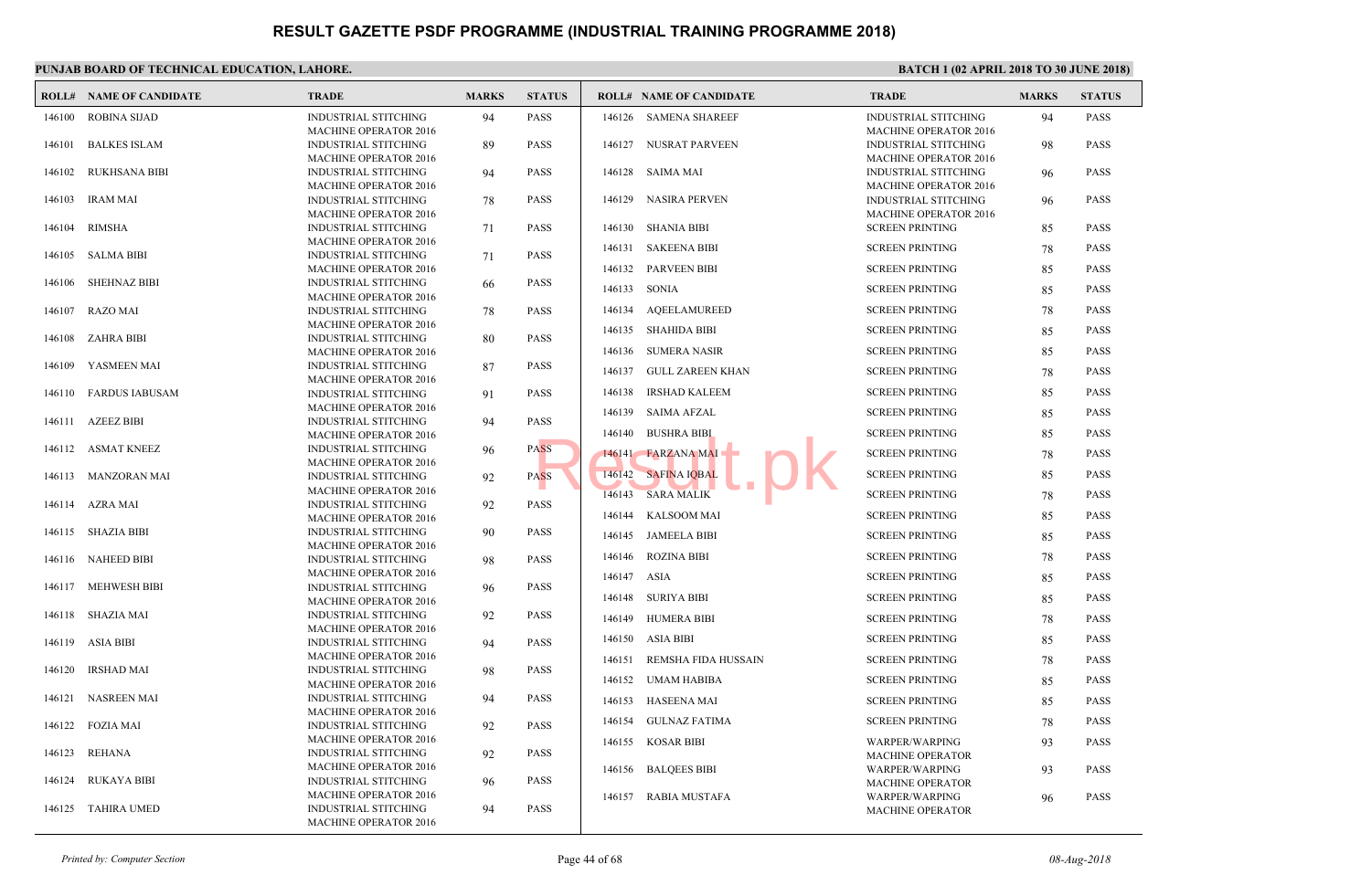|        | <b>ROLL# NAME OF CANDIDATE</b> | <b>TRADE</b>                                                | <b>MARKS</b> | <b>STATUS</b> |             | <b>ROLL# NAME OF CANDIDATE</b> | <b>TRAD</b>                 |
|--------|--------------------------------|-------------------------------------------------------------|--------------|---------------|-------------|--------------------------------|-----------------------------|
| 146100 | <b>ROBINA SIJAD</b>            | <b>INDUSTRIAL STITCHING</b>                                 | 94           | <b>PASS</b>   | 146126      | <b>SAMENA SHAREEF</b>          | <b>INDUS</b>                |
| 146101 | <b>BALKES ISLAM</b>            | MACHINE OPERATOR 2016<br><b>INDUSTRIAL STITCHING</b>        | 89           | <b>PASS</b>   |             | 146127 NUSRAT PARVEEN          | <b>MACH</b><br><b>INDUS</b> |
| 146102 | <b>RUKHSANA BIBI</b>           | <b>MACHINE OPERATOR 2016</b><br><b>INDUSTRIAL STITCHING</b> | 94           | <b>PASS</b>   |             | 146128 SAIMA MAI               | <b>MACH</b><br><b>INDUS</b> |
|        |                                | <b>MACHINE OPERATOR 2016</b>                                |              |               |             |                                | <b>MACH</b>                 |
| 146103 | <b>IRAM MAI</b>                | <b>INDUSTRIAL STITCHING</b>                                 | 78           | <b>PASS</b>   | 146129      | NASIRA PERVEN                  | <b>INDUS</b>                |
|        |                                | <b>MACHINE OPERATOR 2016</b>                                |              |               |             |                                | <b>MACH</b>                 |
| 146104 | <b>RIMSHA</b>                  | <b>INDUSTRIAL STITCHING</b>                                 | 71           | <b>PASS</b>   | 146130      | <b>SHANIA BIBI</b>             | <b>SCREE</b>                |
|        | <b>SALMA BIBI</b>              | <b>MACHINE OPERATOR 2016</b>                                |              | <b>PASS</b>   |             | 146131 SAKEENA BIBI            | <b>SCREE</b>                |
| 146105 |                                | <b>INDUSTRIAL STITCHING</b><br><b>MACHINE OPERATOR 2016</b> | 71           |               |             | 146132 PARVEEN BIBI            | <b>SCREE</b>                |
| 146106 | <b>SHEHNAZ BIBI</b>            | <b>INDUSTRIAL STITCHING</b>                                 | 66           | <b>PASS</b>   |             |                                |                             |
|        |                                | <b>MACHINE OPERATOR 2016</b>                                |              |               | 146133      | SONIA                          | <b>SCREE</b>                |
| 146107 | RAZO MAI                       | <b>INDUSTRIAL STITCHING</b>                                 | 78           | <b>PASS</b>   |             | 146134 AQEELAMUREED            | <b>SCREE</b>                |
|        |                                | MACHINE OPERATOR 2016                                       |              |               |             | 146135 SHAHIDA BIBI            | <b>SCREE</b>                |
| 146108 | ZAHRA BIBI                     | <b>INDUSTRIAL STITCHING</b>                                 | 80           | <b>PASS</b>   |             |                                |                             |
|        |                                | <b>MACHINE OPERATOR 2016</b>                                |              |               |             | 146136 SUMERA NASIR            | <b>SCREE</b>                |
| 146109 | YASMEEN MAI                    | <b>INDUSTRIAL STITCHING</b><br><b>MACHINE OPERATOR 2016</b> | 87           | <b>PASS</b>   | 146137      | GULL ZAREEN KHAN               | <b>SCREE</b>                |
| 146110 | FARDUS IABUSAM                 | <b>INDUSTRIAL STITCHING</b>                                 | 91           | <b>PASS</b>   | 146138      | <b>IRSHAD KALEEM</b>           | <b>SCREE</b>                |
|        |                                | MACHINE OPERATOR 2016                                       |              |               | 146139      | <b>SAIMA AFZAL</b>             | <b>SCREE</b>                |
| 146111 | <b>AZEEZ BIBI</b>              | INDUSTRIAL STITCHING                                        | 94           | <b>PASS</b>   |             |                                |                             |
|        |                                | MACHINE OPERATOR 2016                                       |              |               | 146140      | <b>BUSHRA BIBI</b>             | <b>SCREE</b>                |
|        | 146112 ASMAT KNEEZ             | <b>INDUSTRIAL STITCHING</b>                                 | 96           | <b>PASS</b>   |             | 146141 FARZANA MAI             | <b>SCREE</b>                |
|        | 146113 MANZORAN MAI            | <b>MACHINE OPERATOR 2016</b><br><b>INDUSTRIAL STITCHING</b> | 92           | <b>PASS</b>   | 146142      | <b>SAFINA IQBAL</b>            | <b>SCREE</b>                |
|        |                                | <b>MACHINE OPERATOR 2016</b>                                |              |               |             |                                |                             |
|        | 146114 AZRA MAI                | <b>INDUSTRIAL STITCHING</b>                                 | 92           | <b>PASS</b>   | 146143      | <b>SARA MALIK</b>              | <b>SCREE</b>                |
|        |                                | <b>MACHINE OPERATOR 2016</b>                                |              |               |             | 146144 KALSOOM MAI             | <b>SCREE</b>                |
|        | 146115 SHAZIA BIBI             | <b>INDUSTRIAL STITCHING</b>                                 | 90           | <b>PASS</b>   |             | 146145 JAMEELA BIBI            | <b>SCREE</b>                |
|        |                                | <b>MACHINE OPERATOR 2016</b>                                |              |               | 146146      |                                |                             |
|        | 146116 NAHEED BIBI             | <b>INDUSTRIAL STITCHING</b>                                 | 98           | <b>PASS</b>   |             | ROZINA BIBI                    | <b>SCREE</b>                |
| 146117 | <b>MEHWESH BIBI</b>            | <b>MACHINE OPERATOR 2016</b><br><b>INDUSTRIAL STITCHING</b> |              | <b>PASS</b>   | 146147 ASIA |                                | <b>SCREE</b>                |
|        |                                | <b>MACHINE OPERATOR 2016</b>                                | 96           |               |             | 146148 SURIYA BIBI             | <b>SCREE</b>                |
| 146118 | SHAZIA MAI                     | <b>INDUSTRIAL STITCHING</b>                                 | 92           | <b>PASS</b>   | 146149      | <b>HUMERA BIBI</b>             | <b>SCREE</b>                |
|        |                                | <b>MACHINE OPERATOR 2016</b>                                |              |               |             |                                |                             |
| 146119 | ASIA BIBI                      | <b>INDUSTRIAL STITCHING</b>                                 | 94           | <b>PASS</b>   |             | 146150 ASIA BIBI               | <b>SCREE</b>                |
|        |                                | MACHINE OPERATOR 2016                                       |              |               | 146151      | REMSHA FIDA HUSSAIN            | <b>SCREE</b>                |
| 146120 | <b>IRSHAD MAI</b>              | <b>INDUSTRIAL STITCHING</b>                                 | 98           | <b>PASS</b>   |             | 146152 UMAM HABIBA             | <b>SCREE</b>                |
|        |                                | MACHINE OPERATOR 2016                                       |              |               |             |                                |                             |
| 146121 | NASREEN MAI                    | <b>INDUSTRIAL STITCHING</b><br>MACHINE OPERATOR 2016        | 94           | <b>PASS</b>   | 146153      | HASEENA MAI                    | <b>SCREE</b>                |
| 146122 | <b>FOZIA MAI</b>               | <b>INDUSTRIAL STITCHING</b>                                 | 92           | <b>PASS</b>   | 146154      | <b>GULNAZ FATIMA</b>           | <b>SCREE</b>                |
|        |                                | MACHINE OPERATOR 2016                                       |              |               |             | 146155 KOSAR BIBI              | <b>WARP</b>                 |
| 146123 | REHANA                         | <b>INDUSTRIAL STITCHING</b>                                 | 92           | <b>PASS</b>   |             |                                | <b>MACH</b>                 |
|        |                                | MACHINE OPERATOR 2016                                       |              |               |             | 146156 BALQEES BIBI            | <b>WARP</b>                 |
| 146124 | RUKAYA BIBI                    | <b>INDUSTRIAL STITCHING</b>                                 | 96           | <b>PASS</b>   |             |                                | <b>MACH</b>                 |
|        |                                | <b>MACHINE OPERATOR 2016</b>                                |              |               | 146157      | RABIA MUSTAFA                  | <b>WARP</b>                 |
|        | 146125 TAHIRA UMED             | <b>INDUSTRIAL STITCHING</b><br><b>MACHINE OPERATOR 2016</b> | 94           | <b>PASS</b>   |             |                                | <b>MACH</b>                 |
|        |                                |                                                             |              |               |             |                                |                             |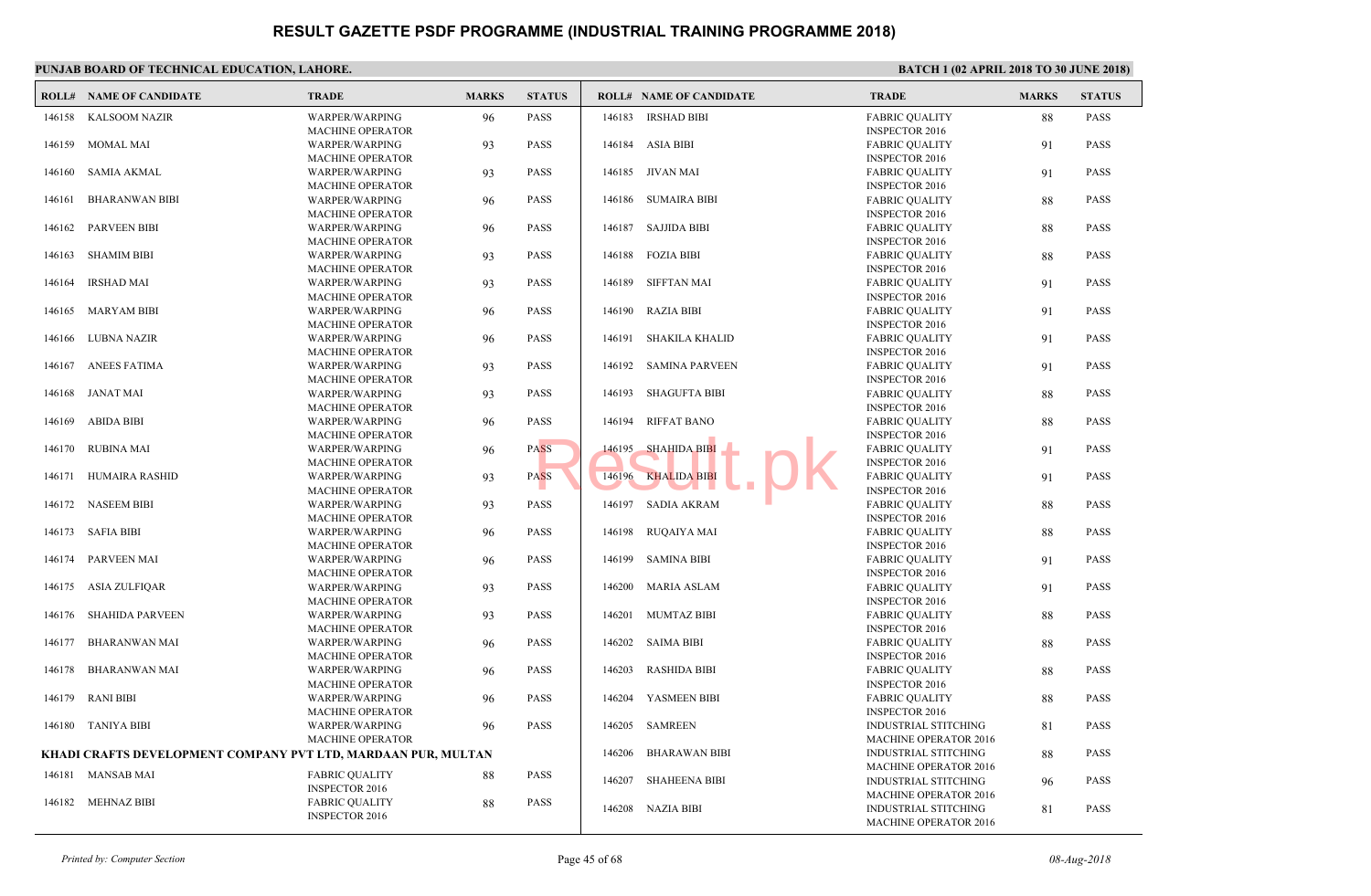|        | <b>ROLL# NAME OF CANDIDATE</b>                                | <b>TRADE</b>                                     | <b>MARKS</b> | <b>STATUS</b> |        | <b>ROLL# NAME OF CANDIDATE</b> | <b>TRAL</b>                  |
|--------|---------------------------------------------------------------|--------------------------------------------------|--------------|---------------|--------|--------------------------------|------------------------------|
| 146158 | <b>KALSOOM NAZIR</b>                                          | WARPER/WARPING                                   | 96           | <b>PASS</b>   | 146183 | <b>IRSHAD BIBI</b>             | FABRI<br><b>INSPE</b>        |
| 146159 | MOMAL MAI                                                     | <b>MACHINE OPERATOR</b><br>WARPER/WARPING        | 93           | <b>PASS</b>   | 146184 | ASIA BIBI                      | FABRI                        |
|        |                                                               | <b>MACHINE OPERATOR</b>                          |              |               |        |                                | <b>INSPE</b>                 |
| 146160 | <b>SAMIA AKMAL</b>                                            | WARPER/WARPING                                   | 93           | <b>PASS</b>   |        | 146185 JIVAN MAI               | FABRI                        |
| 146161 | <b>BHARANWAN BIBI</b>                                         | <b>MACHINE OPERATOR</b><br>WARPER/WARPING        | 96           | <b>PASS</b>   | 146186 | SUMAIRA BIBI                   | <b>INSPE</b><br>FABRI        |
|        |                                                               | <b>MACHINE OPERATOR</b>                          |              |               |        |                                | <b>INSPE</b>                 |
| 146162 | <b>PARVEEN BIBI</b>                                           | WARPER/WARPING                                   | 96           | <b>PASS</b>   | 146187 | SAJJIDA BIBI                   | FABRI                        |
|        |                                                               | MACHINE OPERATOR                                 |              |               |        |                                | <b>INSPE</b>                 |
| 146163 | <b>SHAMIM BIBI</b>                                            | WARPER/WARPING                                   | 93           | <b>PASS</b>   | 146188 | <b>FOZIA BIBI</b>              | FABRI                        |
|        |                                                               | <b>MACHINE OPERATOR</b>                          |              |               |        |                                | <b>INSPE</b>                 |
| 146164 | <b>IRSHAD MAI</b>                                             | WARPER/WARPING<br><b>MACHINE OPERATOR</b>        | 93           | <b>PASS</b>   | 146189 | SIFFTAN MAI                    | FABRI<br><b>INSPE</b>        |
| 146165 | MARYAM BIBI                                                   | WARPER/WARPING                                   | 96           | <b>PASS</b>   | 146190 | RAZIA BIBI                     | FABRI                        |
|        |                                                               | <b>MACHINE OPERATOR</b>                          |              |               |        |                                | <b>INSPE</b>                 |
| 146166 | LUBNA NAZIR                                                   | WARPER/WARPING                                   | 96           | <b>PASS</b>   | 146191 | <b>SHAKILA KHALID</b>          | <b>FABRI</b>                 |
|        |                                                               | <b>MACHINE OPERATOR</b>                          |              |               |        |                                | <b>INSPE</b>                 |
| 146167 | <b>ANEES FATIMA</b>                                           | WARPER/WARPING                                   | 93           | <b>PASS</b>   | 146192 | <b>SAMINA PARVEEN</b>          | FABRI                        |
| 146168 | JANAT MAI                                                     | <b>MACHINE OPERATOR</b><br>WARPER/WARPING        | 93           | <b>PASS</b>   | 146193 | SHAGUFTA BIBI                  | <b>INSPE</b><br><b>FABRI</b> |
|        |                                                               | <b>MACHINE OPERATOR</b>                          |              |               |        |                                | <b>INSPE</b>                 |
| 146169 | <b>ABIDA BIBI</b>                                             | WARPER/WARPING                                   | 96           | <b>PASS</b>   | 146194 | <b>RIFFAT BANO</b>             | FABRI                        |
|        |                                                               | <b>MACHINE OPERATOR</b>                          |              |               |        |                                | <b>INSPE</b>                 |
| 146170 | <b>RUBINA MAI</b>                                             | <b>WARPER/WARPING</b>                            | 96           | <b>PASS</b>   | 146195 | <b>SHAHIDA BIBI</b>            | <b>FABRI</b>                 |
|        |                                                               | <b>MACHINE OPERATOR</b>                          |              |               |        |                                | <b>INSPE</b>                 |
| 146171 | HUMAIRA RASHID                                                | WARPER/WARPING<br><b>MACHINE OPERATOR</b>        | 93           | <b>PASS</b>   | 146196 | <b>KHALIDA BIBI</b>            | <b>FABRI</b><br><b>INSPE</b> |
|        | 146172 NASEEM BIBI                                            | WARPER/WARPING                                   | 93           | <b>PASS</b>   |        | 146197 SADIA AKRAM             | <b>FABRI</b>                 |
|        |                                                               | <b>MACHINE OPERATOR</b>                          |              |               |        |                                | <b>INSPE</b>                 |
| 146173 | SAFIA BIBI                                                    | WARPER/WARPING                                   | 96           | <b>PASS</b>   |        | 146198 RUQAIYA MAI             | <b>FABRI</b>                 |
|        |                                                               | <b>MACHINE OPERATOR</b>                          |              |               |        |                                | <b>INSPE</b>                 |
| 146174 | <b>PARVEEN MAI</b>                                            | WARPER/WARPING                                   | 96           | <b>PASS</b>   | 146199 | <b>SAMINA BIBI</b>             | <b>FABRI</b>                 |
| 146175 | <b>ASIA ZULFIQAR</b>                                          | <b>MACHINE OPERATOR</b><br><b>WARPER/WARPING</b> |              | <b>PASS</b>   | 146200 | <b>MARIA ASLAM</b>             | <b>INSPE</b><br>FABRI        |
|        |                                                               | <b>MACHINE OPERATOR</b>                          | 93           |               |        |                                | <b>INSPE</b>                 |
| 146176 | <b>SHAHIDA PARVEEN</b>                                        | WARPER/WARPING                                   | 93           | <b>PASS</b>   | 146201 | <b>MUMTAZ BIBI</b>             | <b>FABRI</b>                 |
|        |                                                               | <b>MACHINE OPERATOR</b>                          |              |               |        |                                | <b>INSPE</b>                 |
| 146177 | <b>BHARANWAN MAI</b>                                          | WARPER/WARPING                                   | 96           | <b>PASS</b>   |        | 146202 SAIMA BIBI              | <b>FABRI</b>                 |
|        |                                                               | <b>MACHINE OPERATOR</b>                          |              |               |        |                                | <b>INSPE</b>                 |
| 146178 | <b>BHARANWAN MAI</b>                                          | WARPER/WARPING<br><b>MACHINE OPERATOR</b>        | 96           | <b>PASS</b>   | 146203 | <b>RASHIDA BIBI</b>            | FABRI<br><b>INSPE</b>        |
| 146179 | <b>RANI BIBI</b>                                              | WARPER/WARPING                                   | 96           | <b>PASS</b>   | 146204 | YASMEEN BIBI                   | FABRI                        |
|        |                                                               | <b>MACHINE OPERATOR</b>                          |              |               |        |                                | <b>INSPE</b>                 |
| 146180 | TANIYA BIBI                                                   | WARPER/WARPING                                   | 96           | <b>PASS</b>   | 146205 | SAMREEN                        | <b>INDUS</b>                 |
|        |                                                               | <b>MACHINE OPERATOR</b>                          |              |               |        |                                | <b>MACH</b>                  |
|        | KHADI CRAFTS DEVELOPMENT COMPANY PVT LTD, MARDAAN PUR, MULTAN |                                                  |              |               | 146206 | <b>BHARAWAN BIBI</b>           | <b>INDUS</b>                 |
|        | 146181 MANSAB MAI                                             | <b>FABRIC QUALITY</b>                            | 88           | <b>PASS</b>   | 146207 | <b>SHAHEENA BIBI</b>           | <b>MACH</b><br><b>INDUS</b>  |
|        |                                                               | <b>INSPECTOR 2016</b>                            |              |               |        |                                | <b>MACH</b>                  |
| 146182 | MEHNAZ BIBI                                                   | <b>FABRIC QUALITY</b>                            | 88           | <b>PASS</b>   |        | 146208 NAZIA BIBI              | <b>INDUS</b>                 |
|        |                                                               | <b>INSPECTOR 2016</b>                            |              |               |        |                                | <b>MACH</b>                  |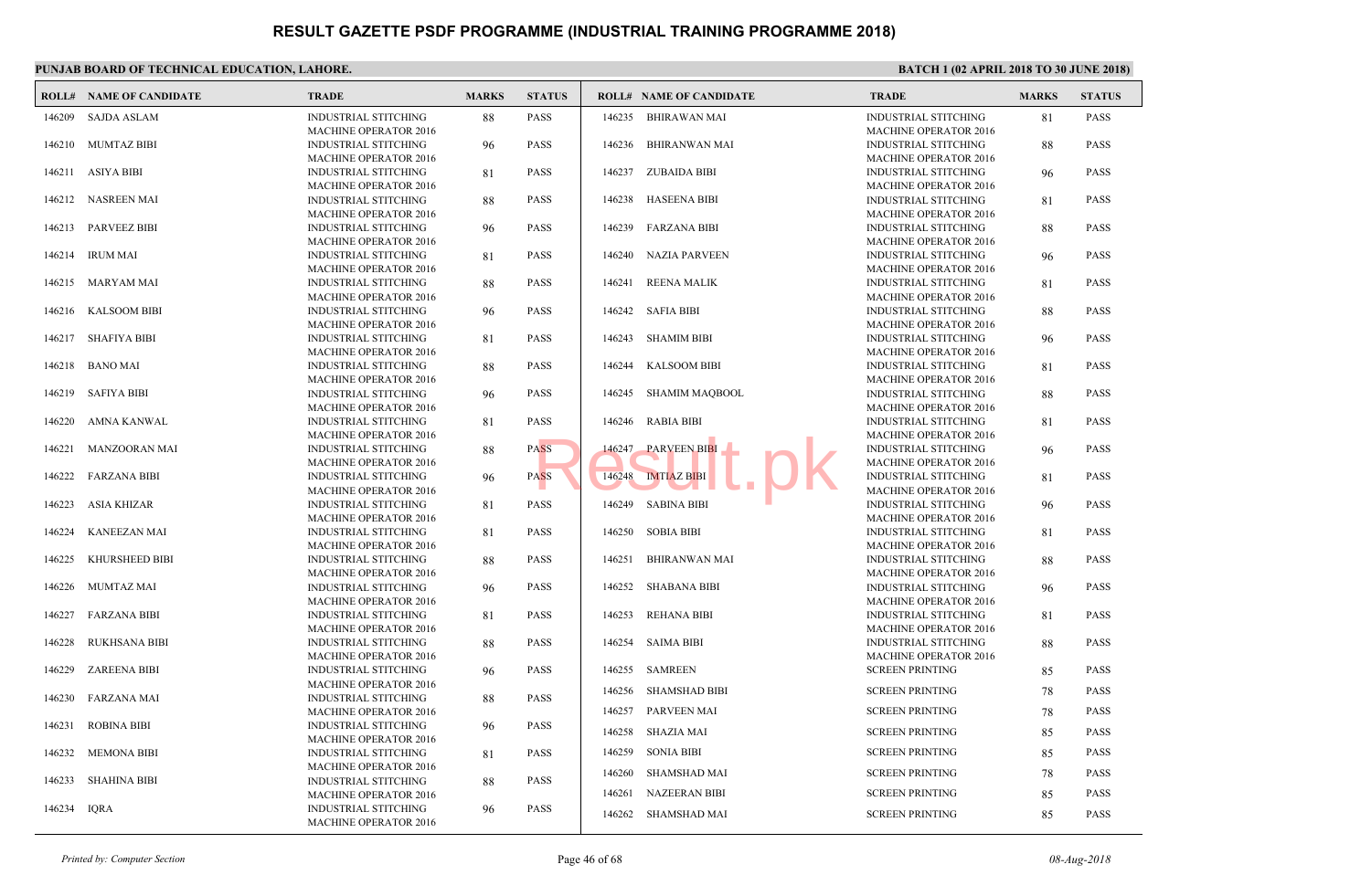|             | <b>ROLL# NAME OF CANDIDATE</b> | <b>TRADE</b>                                                | <b>MARKS</b> | <b>STATUS</b> |                  | <b>ROLL# NAME OF CANDIDATE</b>       | <b>TRAL</b>                  |
|-------------|--------------------------------|-------------------------------------------------------------|--------------|---------------|------------------|--------------------------------------|------------------------------|
| 146209      | <b>SAJDA ASLAM</b>             | <b>INDUSTRIAL STITCHING</b>                                 | 88           | <b>PASS</b>   | 146235           | <b>BHIRAWAN MAI</b>                  | <b>INDUS</b>                 |
| 146210      | MUMTAZ BIBI                    | MACHINE OPERATOR 2016<br><b>INDUSTRIAL STITCHING</b>        | 96           | <b>PASS</b>   | 146236           | <b>BHIRANWAN MAI</b>                 | <b>MACH</b><br><b>INDUS</b>  |
|             | 146211 ASIYA BIBI              | <b>MACHINE OPERATOR 2016</b><br><b>INDUSTRIAL STITCHING</b> | 81           | <b>PASS</b>   |                  | 146237 ZUBAIDA BIBI                  | <b>MACH</b><br><b>INDUS</b>  |
| 146212      | NASREEN MAI                    | <b>MACHINE OPERATOR 2016</b><br><b>INDUSTRIAL STITCHING</b> | 88           | <b>PASS</b>   | 146238           | HASEENA BIBI                         | <b>MACH</b><br><b>INDUS</b>  |
| 146213      | PARVEEZ BIBI                   | <b>MACHINE OPERATOR 2016</b><br><b>INDUSTRIAL STITCHING</b> | 96           | <b>PASS</b>   | 146239           | <b>FARZANA BIBI</b>                  | <b>MACH</b><br><b>INDUS</b>  |
| 146214      | <b>IRUM MAI</b>                | <b>MACHINE OPERATOR 2016</b><br><b>INDUSTRIAL STITCHING</b> | 81           | <b>PASS</b>   | 146240           | <b>NAZIA PARVEEN</b>                 | <b>MACH</b><br><b>INDUS</b>  |
|             |                                | <b>MACHINE OPERATOR 2016</b>                                |              |               |                  |                                      | <b>MACH</b>                  |
| 146215      | MARYAM MAI                     | <b>INDUSTRIAL STITCHING</b><br><b>MACHINE OPERATOR 2016</b> | 88           | <b>PASS</b>   | 146241           | <b>REENA MALIK</b>                   | <b>INDUS</b><br><b>MACH</b>  |
| 146216      | KALSOOM BIBI                   | <b>INDUSTRIAL STITCHING</b><br><b>MACHINE OPERATOR 2016</b> | 96           | <b>PASS</b>   | 146242           | SAFIA BIBI                           | <b>INDUS</b><br><b>MACH</b>  |
| 146217      | SHAFIYA BIBI                   | <b>INDUSTRIAL STITCHING</b><br><b>MACHINE OPERATOR 2016</b> | 81           | <b>PASS</b>   | 146243           | <b>SHAMIM BIBI</b>                   | <b>INDUS</b><br><b>MACH</b>  |
| 146218      | <b>BANO MAI</b>                | <b>INDUSTRIAL STITCHING</b>                                 | 88           | <b>PASS</b>   | 146244           | <b>KALSOOM BIBI</b>                  | <b>INDUS</b>                 |
| 146219      | SAFIYA BIBI                    | <b>MACHINE OPERATOR 2016</b><br>INDUSTRIAL STITCHING        | 96           | <b>PASS</b>   | 146245           | SHAMIM MAOBOOL                       | MACH<br><b>INDUS</b>         |
| 146220      | AMNA KANWAL                    | <b>MACHINE OPERATOR 2016</b><br><b>INDUSTRIAL STITCHING</b> | 81           | <b>PASS</b>   | 146246           | <b>RABIA BIBI</b>                    | <b>MACH</b><br><b>INDUS</b>  |
| 146221      | MANZOORAN MAI                  | <b>MACHINE OPERATOR 2016</b><br><b>INDUSTRIAL STITCHING</b> | 88           | <b>PASS</b>   | 146247           | <b>PARVEEN BIBI</b>                  | <b>MACH</b><br><b>INDUS</b>  |
| 146222      | FARZANA BIBI                   | <b>MACHINE OPERATOR 2016</b><br><b>INDUSTRIAL STITCHING</b> | 96           | <b>PASS</b>   | 146248           | <b>IMTIAZ BIBI</b>                   | <b>MACH</b><br><b>INDUS</b>  |
|             |                                | <b>MACHINE OPERATOR 2016</b>                                |              |               |                  |                                      | <b>MACH</b>                  |
| 146223      | ASIA KHIZAR                    | <b>INDUSTRIAL STITCHING</b><br><b>MACHINE OPERATOR 2016</b> | 81           | <b>PASS</b>   |                  | 146249 SABINA BIBI                   | <b>INDUS</b><br><b>MACH</b>  |
| 146224      | <b>KANEEZAN MAI</b>            | <b>INDUSTRIAL STITCHING</b><br><b>MACHINE OPERATOR 2016</b> | 81           | <b>PASS</b>   |                  | 146250 SOBIA BIBI                    | <b>INDUS</b><br><b>MACH</b>  |
| 146225      | KHURSHEED BIBI                 | <b>INDUSTRIAL STITCHING</b><br><b>MACHINE OPERATOR 2016</b> | 88           | <b>PASS</b>   | 146251           | <b>BHIRANWAN MAI</b>                 | <b>INDUS</b><br><b>MACH</b>  |
| 146226      | MUMTAZ MAI                     | <b>INDUSTRIAL STITCHING</b>                                 | 96           | <b>PASS</b>   | 146252           | <b>SHABANA BIBI</b>                  | <b>INDUS</b>                 |
| 146227      | <b>FARZANA BIBI</b>            | <b>MACHINE OPERATOR 2016</b><br><b>INDUSTRIAL STITCHING</b> | 81           | <b>PASS</b>   | 146253           | REHANA BIBI                          | <b>MACH</b><br><b>INDUS</b>  |
| 146228      | <b>RUKHSANA BIBI</b>           | <b>MACHINE OPERATOR 2016</b><br><b>INDUSTRIAL STITCHING</b> | 88           | <b>PASS</b>   | 146254           | <b>SAIMA BIBI</b>                    | <b>MACH</b><br><b>INDUS</b>  |
| 146229      | <b>ZAREENA BIBI</b>            | <b>MACHINE OPERATOR 2016</b><br><b>INDUSTRIAL STITCHING</b> | 96           | <b>PASS</b>   | 146255           | SAMREEN                              | <b>MACH</b><br><b>SCREE</b>  |
| 146230      | <b>FARZANA MAI</b>             | MACHINE OPERATOR 2016<br><b>INDUSTRIAL STITCHING</b>        |              | <b>PASS</b>   | 146256           | <b>SHAMSHAD BIBI</b>                 | <b>SCREE</b>                 |
|             |                                | <b>MACHINE OPERATOR 2016</b>                                | 88           |               | 146257           | <b>PARVEEN MAI</b>                   | <b>SCREE</b>                 |
| 146231      | <b>ROBINA BIBI</b>             | <b>INDUSTRIAL STITCHING</b><br><b>MACHINE OPERATOR 2016</b> | 96           | <b>PASS</b>   |                  | 146258 SHAZIA MAI                    | <b>SCREE</b>                 |
| 146232      | <b>MEMONA BIBI</b>             | <b>INDUSTRIAL STITCHING</b><br><b>MACHINE OPERATOR 2016</b> | 81           | <b>PASS</b>   | 146259           | <b>SONIA BIBI</b>                    | <b>SCREE</b>                 |
| 146233      | SHAHINA BIBI                   | <b>INDUSTRIAL STITCHING</b>                                 | 88           | <b>PASS</b>   | 146260<br>146261 | SHAMSHAD MAI<br><b>NAZEERAN BIBI</b> | <b>SCREE</b><br><b>SCREE</b> |
| 146234 IQRA |                                | <b>MACHINE OPERATOR 2016</b><br><b>INDUSTRIAL STITCHING</b> | 96           | <b>PASS</b>   |                  | 146262 SHAMSHAD MAI                  | <b>SCREE</b>                 |
|             |                                | <b>MACHINE OPERATOR 2016</b>                                |              |               |                  |                                      |                              |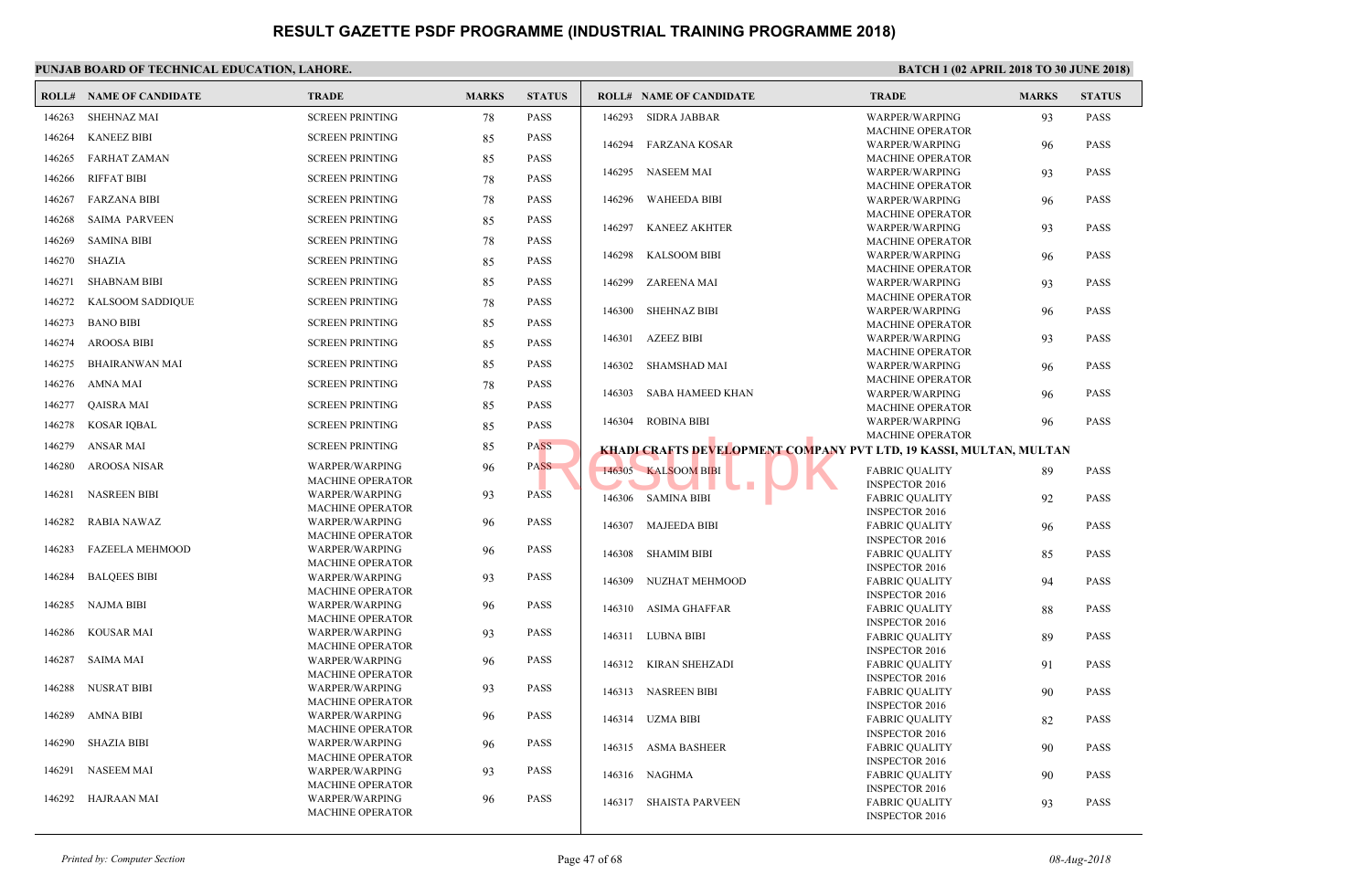|        | <b>ROLL# NAME OF CANDIDATE</b> | <b>TRADE</b>                              | <b>MARKS</b> | <b>STATUS</b> |        | <b>ROLL# NAME OF CANDIDATE</b>                  | <b>TRAL</b>                  |
|--------|--------------------------------|-------------------------------------------|--------------|---------------|--------|-------------------------------------------------|------------------------------|
| 146263 | <b>SHEHNAZ MAI</b>             | <b>SCREEN PRINTING</b>                    | 78           | <b>PASS</b>   | 146293 | <b>SIDRA JABBAR</b>                             | <b>WARP</b>                  |
| 146264 | <b>KANEEZ BIBI</b>             | <b>SCREEN PRINTING</b>                    | 85           | <b>PASS</b>   |        |                                                 | <b>MACH</b>                  |
| 146265 | <b>FARHAT ZAMAN</b>            | <b>SCREEN PRINTING</b>                    | 85           | <b>PASS</b>   | 146294 | <b>FARZANA KOSAR</b>                            | <b>WARP</b><br><b>MACH</b>   |
|        |                                |                                           |              |               | 146295 | NASEEM MAI                                      | <b>WARP</b>                  |
| 146266 | <b>RIFFAT BIBI</b>             | <b>SCREEN PRINTING</b>                    | 78           | <b>PASS</b>   |        |                                                 | <b>MACH</b>                  |
| 146267 | <b>FARZANA BIBI</b>            | <b>SCREEN PRINTING</b>                    | 78           | <b>PASS</b>   | 146296 | <b>WAHEEDA BIBI</b>                             | <b>WARP</b>                  |
| 146268 | <b>SAIMA PARVEEN</b>           | <b>SCREEN PRINTING</b>                    | 85           | <b>PASS</b>   | 146297 |                                                 | <b>MACH</b>                  |
| 146269 | <b>SAMINA BIBI</b>             | <b>SCREEN PRINTING</b>                    | 78           | <b>PASS</b>   |        | <b>KANEEZ AKHTER</b>                            | <b>WARP</b><br><b>MACH</b>   |
| 146270 | <b>SHAZIA</b>                  | <b>SCREEN PRINTING</b>                    | 85           | <b>PASS</b>   | 146298 | <b>KALSOOM BIBI</b>                             | <b>WARP</b>                  |
|        |                                |                                           |              |               |        |                                                 | <b>MACH</b>                  |
| 146271 | <b>SHABNAM BIBI</b>            | <b>SCREEN PRINTING</b>                    | 85           | <b>PASS</b>   | 146299 | <b>ZAREENA MAI</b>                              | <b>WARP</b>                  |
| 146272 | <b>KALSOOM SADDIQUE</b>        | <b>SCREEN PRINTING</b>                    | 78           | <b>PASS</b>   | 146300 | <b>SHEHNAZ BIBI</b>                             | <b>MACH</b><br><b>WARP</b>   |
| 146273 | <b>BANO BIBI</b>               | <b>SCREEN PRINTING</b>                    | 85           | <b>PASS</b>   |        |                                                 | <b>MACH</b>                  |
| 146274 | <b>AROOSA BIBI</b>             | <b>SCREEN PRINTING</b>                    | 85           | <b>PASS</b>   | 146301 | <b>AZEEZ BIBI</b>                               | <b>WARP</b>                  |
| 146275 | <b>BHAIRANWAN MAI</b>          | <b>SCREEN PRINTING</b>                    |              | <b>PASS</b>   |        |                                                 | <b>MACH</b>                  |
|        |                                |                                           | 85           |               | 146302 | SHAMSHAD MAI                                    | <b>WARP</b><br><b>MACH</b>   |
| 146276 | <b>AMNA MAI</b>                | <b>SCREEN PRINTING</b>                    | 78           | <b>PASS</b>   | 146303 | <b>SABA HAMEED KHAN</b>                         | <b>WARP</b>                  |
| 146277 | QAISRA MAI                     | <b>SCREEN PRINTING</b>                    | 85           | <b>PASS</b>   |        |                                                 | <b>MACH</b>                  |
| 146278 | <b>KOSAR IQBAL</b>             | <b>SCREEN PRINTING</b>                    | 85           | <b>PASS</b>   | 146304 | <b>ROBINA BIBI</b>                              | <b>WARP</b>                  |
| 146279 | <b>ANSAR MAI</b>               | <b>SCREEN PRINTING</b>                    | 85           | PASS          |        | <b>KHADI CRAFTS DEVELOPMENT COMPANY PVT LTD</b> | <b>MACH</b>                  |
| 146280 | <b>AROOSA NISAR</b>            | <b>WARPER/WARPING</b>                     | 96           | <b>PASS</b>   |        | 146305 KALSOOM BIBI                             | <b>FABRI</b>                 |
|        |                                | <b>MACHINE OPERATOR</b>                   |              |               |        |                                                 | <b>INSPE</b>                 |
| 146281 | <b>NASREEN BIBI</b>            | WARPER/WARPING                            | 93           | <b>PASS</b>   | 146306 | SAMINA BIBI                                     | FABRI                        |
| 146282 | <b>RABIA NAWAZ</b>             | <b>MACHINE OPERATOR</b>                   |              | <b>PASS</b>   |        |                                                 | <b>INSPE</b>                 |
|        |                                | WARPER/WARPING<br><b>MACHINE OPERATOR</b> | 96           |               | 146307 | <b>MAJEEDA BIBI</b>                             | <b>FABRI</b>                 |
| 146283 | <b>FAZEELA MEHMOOD</b>         | WARPER/WARPING                            | 96           | <b>PASS</b>   | 146308 | SHAMIM BIBI                                     | <b>INSPE</b><br>FABRI        |
|        |                                | <b>MACHINE OPERATOR</b>                   |              |               |        |                                                 | <b>INSPE</b>                 |
| 146284 | <b>BALQEES BIBI</b>            | WARPER/WARPING                            | 93           | <b>PASS</b>   | 146309 | NUZHAT MEHMOOD                                  | FABRI                        |
| 146285 | <b>NAJMA BIBI</b>              | <b>MACHINE OPERATOR</b><br>WARPER/WARPING | 96           | <b>PASS</b>   |        |                                                 | <b>INSPE</b>                 |
|        |                                | <b>MACHINE OPERATOR</b>                   |              |               |        | 146310 ASIMA GHAFFAR                            | FABRI<br><b>INSPE</b>        |
| 146286 | <b>KOUSAR MAI</b>              | WARPER/WARPING                            | 93           | <b>PASS</b>   |        | 146311 LUBNA BIBI                               | FABRI                        |
|        |                                | <b>MACHINE OPERATOR</b>                   |              |               |        |                                                 | <b>INSPE</b>                 |
| 146287 | SAIMA MAI                      | WARPER/WARPING<br><b>MACHINE OPERATOR</b> | 96           | <b>PASS</b>   | 146312 | <b>KIRAN SHEHZADI</b>                           | FABRI                        |
| 146288 | NUSRAT BIBI                    | WARPER/WARPING                            | 93           | <b>PASS</b>   |        |                                                 | <b>INSPE</b>                 |
|        |                                | <b>MACHINE OPERATOR</b>                   |              |               |        | 146313 NASREEN BIBI                             | FABRI<br><b>INSPE</b>        |
| 146289 | AMNA BIBI                      | <b>WARPER/WARPING</b>                     | 96           | <b>PASS</b>   |        | 146314 UZMA BIBI                                | FABRI                        |
|        |                                | <b>MACHINE OPERATOR</b>                   |              |               |        |                                                 | <b>INSPE</b>                 |
| 146290 | <b>SHAZIA BIBI</b>             | WARPER/WARPING<br><b>MACHINE OPERATOR</b> | 96           | <b>PASS</b>   |        | 146315 ASMA BASHEER                             | FABRI                        |
| 146291 | NASEEM MAI                     | WARPER/WARPING                            | 93           | <b>PASS</b>   | 146316 | NAGHMA                                          | <b>INSPE</b><br><b>FABRI</b> |
|        |                                | <b>MACHINE OPERATOR</b>                   |              |               |        |                                                 | <b>INSPE</b>                 |
| 146292 | HAJRAAN MAI                    | WARPER/WARPING                            | 96           | <b>PASS</b>   |        | 146317 SHAISTA PARVEEN                          | FABRI                        |
|        |                                | <b>MACHINE OPERATOR</b>                   |              |               |        |                                                 | <b>INSPE</b>                 |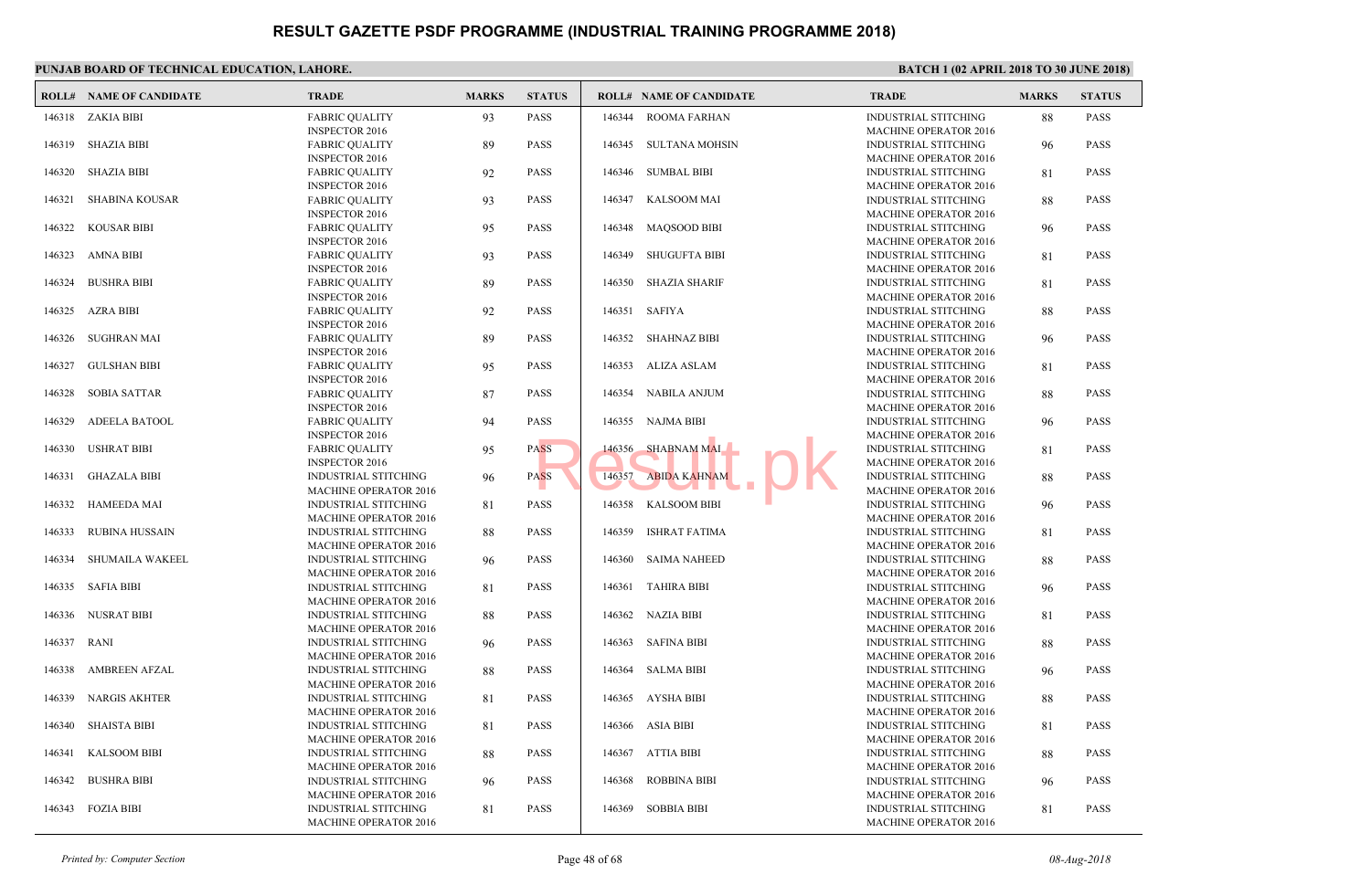|        | <b>ROLL# NAME OF CANDIDATE</b> | <b>TRADE</b>                                                | <b>MARKS</b> | <b>STATUS</b> |        | <b>ROLL# NAME OF CANDIDATE</b> | <b>TRAL</b>                 |
|--------|--------------------------------|-------------------------------------------------------------|--------------|---------------|--------|--------------------------------|-----------------------------|
| 146318 | ZAKIA BIBI                     | <b>FABRIC QUALITY</b>                                       | 93           | <b>PASS</b>   | 146344 | <b>ROOMA FARHAN</b>            | <b>INDUS</b>                |
| 146319 | <b>SHAZIA BIBI</b>             | <b>INSPECTOR 2016</b><br><b>FABRIC QUALITY</b>              |              | <b>PASS</b>   | 146345 | <b>SULTANA MOHSIN</b>          | <b>MACH</b><br><b>INDUS</b> |
|        |                                | <b>INSPECTOR 2016</b>                                       | 89           |               |        |                                | <b>MACH</b>                 |
| 146320 | <b>SHAZIA BIBI</b>             | <b>FABRIC QUALITY</b>                                       | 92           | <b>PASS</b>   |        | 146346 SUMBAL BIBI             | <b>INDUS</b>                |
|        |                                | <b>INSPECTOR 2016</b>                                       |              |               |        |                                | <b>MACH</b>                 |
| 146321 | <b>SHABINA KOUSAR</b>          | <b>FABRIC QUALITY</b>                                       | 93           | <b>PASS</b>   | 146347 | <b>KALSOOM MAI</b>             | <b>INDUS</b>                |
|        |                                | <b>INSPECTOR 2016</b>                                       |              |               |        |                                | <b>MACH</b>                 |
| 146322 | <b>KOUSAR BIBI</b>             | <b>FABRIC QUALITY</b>                                       | 95           | <b>PASS</b>   | 146348 | <b>MAQSOOD BIBI</b>            | <b>INDUS</b>                |
|        |                                | <b>INSPECTOR 2016</b>                                       |              |               |        |                                | <b>MACH</b>                 |
| 146323 | <b>AMNA BIBI</b>               | <b>FABRIC QUALITY</b>                                       | 93           | <b>PASS</b>   | 146349 | SHUGUFTA BIBI                  | <b>INDUS</b>                |
|        |                                | <b>INSPECTOR 2016</b>                                       |              |               |        |                                | <b>MACH</b>                 |
| 146324 | <b>BUSHRA BIBI</b>             | <b>FABRIC QUALITY</b>                                       | 89           | <b>PASS</b>   | 146350 | <b>SHAZIA SHARIF</b>           | <b>INDUS</b>                |
|        |                                | <b>INSPECTOR 2016</b>                                       |              |               |        |                                | <b>MACH</b>                 |
| 146325 | <b>AZRA BIBI</b>               | <b>FABRIC QUALITY</b>                                       | 92           | <b>PASS</b>   | 146351 | <b>SAFIYA</b>                  | <b>INDUS</b>                |
|        |                                | <b>INSPECTOR 2016</b>                                       |              |               |        |                                | <b>MACH</b>                 |
| 146326 | <b>SUGHRAN MAI</b>             | <b>FABRIC QUALITY</b>                                       | 89           | <b>PASS</b>   | 146352 | <b>SHAHNAZ BIBI</b>            | <b>INDUS</b>                |
| 146327 | <b>GULSHAN BIBI</b>            | <b>INSPECTOR 2016</b>                                       |              | <b>PASS</b>   | 146353 | ALIZA ASLAM                    | <b>MACH</b><br><b>INDUS</b> |
|        |                                | <b>FABRIC QUALITY</b><br><b>INSPECTOR 2016</b>              | 95           |               |        |                                | <b>MACH</b>                 |
| 146328 | <b>SOBIA SATTAR</b>            | <b>FABRIC QUALITY</b>                                       | 87           | <b>PASS</b>   | 146354 | <b>NABILA ANJUM</b>            | <b>INDUS</b>                |
|        |                                | <b>INSPECTOR 2016</b>                                       |              |               |        |                                | <b>MACH</b>                 |
| 146329 | <b>ADEELA BATOOL</b>           | <b>FABRIC QUALITY</b>                                       | 94           | <b>PASS</b>   | 146355 | <b>NAJMA BIBI</b>              | <b>INDUS</b>                |
|        |                                | <b>INSPECTOR 2016</b>                                       |              |               |        |                                | <b>MACH</b>                 |
| 146330 | <b>USHRAT BIBI</b>             | <b>FABRIC QUALITY</b>                                       | 95           | <b>PASS</b>   | 146356 | SHABNAM MAI                    | <b>INDUS</b>                |
|        |                                | <b>INSPECTOR 2016</b>                                       |              |               |        |                                | <b>MACH</b>                 |
| 146331 | <b>GHAZALA BIBI</b>            | INDUSTRIAL STITCHING                                        | 96           | <b>PASS</b>   | 146357 | <b>ABIDA KAHNAM</b>            | <b>INDUS</b>                |
|        |                                | <b>MACHINE OPERATOR 2016</b>                                |              |               |        |                                | <b>MACH</b>                 |
| 146332 | <b>HAMEEDA MAI</b>             | INDUSTRIAL STITCHING                                        | 81           | <b>PASS</b>   | 146358 | <b>KALSOOM BIBI</b>            | <b>INDUS</b>                |
|        |                                | <b>MACHINE OPERATOR 2016</b>                                |              |               |        |                                | <b>MACH</b>                 |
| 146333 | <b>RUBINA HUSSAIN</b>          | INDUSTRIAL STITCHING                                        | 88           | <b>PASS</b>   | 146359 | ISHRAT FATIMA                  | <b>INDUS</b>                |
| 146334 | <b>SHUMAILA WAKEEL</b>         | <b>MACHINE OPERATOR 2016</b><br><b>INDUSTRIAL STITCHING</b> |              | <b>PASS</b>   | 146360 | <b>SAIMA NAHEED</b>            | <b>MACH</b><br><b>INDUS</b> |
|        |                                | <b>MACHINE OPERATOR 2016</b>                                | 96           |               |        |                                | <b>MACH</b>                 |
| 146335 | <b>SAFIA BIBI</b>              | <b>INDUSTRIAL STITCHING</b>                                 | 81           | <b>PASS</b>   | 146361 | TAHIRA BIBI                    | <b>INDUS</b>                |
|        |                                | <b>MACHINE OPERATOR 2016</b>                                |              |               |        |                                | <b>MACH</b>                 |
| 146336 | NUSRAT BIBI                    | <b>INDUSTRIAL STITCHING</b>                                 | 88           | <b>PASS</b>   |        | 146362 NAZIA BIBI              | <b>INDUS</b>                |
|        |                                | <b>MACHINE OPERATOR 2016</b>                                |              |               |        |                                | <b>MACH</b>                 |
| 146337 | <b>RANI</b>                    | INDUSTRIAL STITCHING                                        | 96           | <b>PASS</b>   | 146363 | <b>SAFINA BIBI</b>             | <b>INDUS</b>                |
|        |                                | <b>MACHINE OPERATOR 2016</b>                                |              |               |        |                                | <b>MACH</b>                 |
| 146338 | <b>AMBREEN AFZAL</b>           | INDUSTRIAL STITCHING                                        | 88           | <b>PASS</b>   |        | 146364 SALMA BIBI              | <b>INDUS</b>                |
|        |                                | <b>MACHINE OPERATOR 2016</b>                                |              |               |        |                                | <b>MACH</b>                 |
| 146339 | <b>NARGIS AKHTER</b>           | INDUSTRIAL STITCHING                                        | 81           | <b>PASS</b>   | 146365 | AYSHA BIBI                     | <b>INDUS</b>                |
|        |                                | <b>MACHINE OPERATOR 2016</b>                                |              |               |        |                                | <b>MACH</b>                 |
| 146340 | <b>SHAISTA BIBI</b>            | <b>INDUSTRIAL STITCHING</b>                                 | 81           | <b>PASS</b>   |        | 146366 ASIA BIBI               | <b>INDUS</b>                |
|        |                                | <b>MACHINE OPERATOR 2016</b>                                |              |               |        |                                | <b>MACH</b>                 |
| 146341 | <b>KALSOOM BIBI</b>            | INDUSTRIAL STITCHING                                        | 88           | <b>PASS</b>   |        | 146367 ATTIA BIBI              | <b>INDUS</b>                |
| 146342 | <b>BUSHRA BIBI</b>             | <b>MACHINE OPERATOR 2016</b>                                |              | <b>PASS</b>   | 146368 | <b>ROBBINA BIBI</b>            | <b>MACH</b><br><b>INDUS</b> |
|        |                                | INDUSTRIAL STITCHING<br><b>MACHINE OPERATOR 2016</b>        | 96           |               |        |                                | <b>MACH</b>                 |
|        | 146343 FOZIA BIBI              | INDUSTRIAL STITCHING                                        | 81           | <b>PASS</b>   |        | 146369 SOBBIA BIBI             | <b>INDUS</b>                |
|        |                                | <b>MACHINE OPERATOR 2016</b>                                |              |               |        |                                | <b>MACH</b>                 |
|        |                                |                                                             |              |               |        |                                |                             |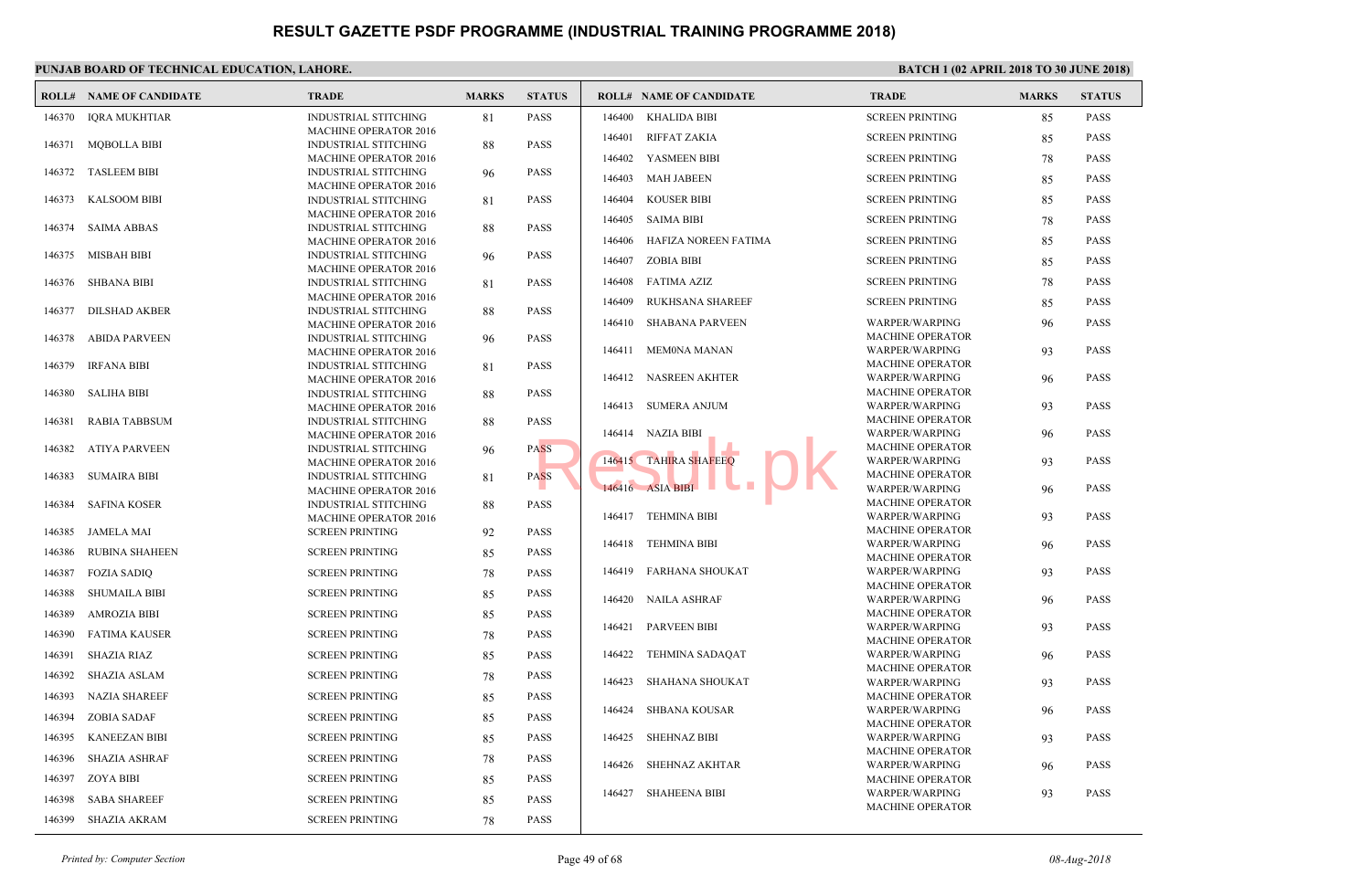|        | <b>ROLL# NAME OF CANDIDATE</b> | <b>TRADE</b>                                                | <b>MARKS</b> | <b>STATUS</b> |        | <b>ROLL# NAME OF CANDIDATE</b> | <b>TRAL</b>                |
|--------|--------------------------------|-------------------------------------------------------------|--------------|---------------|--------|--------------------------------|----------------------------|
| 146370 | IQRA MUKHTIAR                  | <b>INDUSTRIAL STITCHING</b>                                 | 81           | <b>PASS</b>   | 146400 | <b>KHALIDA BIBI</b>            | <b>SCREE</b>               |
|        |                                | <b>MACHINE OPERATOR 2016</b>                                |              |               | 146401 | <b>RIFFAT ZAKIA</b>            | <b>SCREE</b>               |
| 146371 | <b>MQBOLLA BIBI</b>            | <b>INDUSTRIAL STITCHING</b>                                 | 88           | <b>PASS</b>   |        |                                |                            |
| 146372 | <b>TASLEEM BIBI</b>            | <b>MACHINE OPERATOR 2016</b><br><b>INDUSTRIAL STITCHING</b> | 96           | <b>PASS</b>   | 146402 | YASMEEN BIBI                   | <b>SCREE</b>               |
|        |                                | <b>MACHINE OPERATOR 2016</b>                                |              |               | 146403 | <b>MAH JABEEN</b>              | <b>SCREE</b>               |
| 146373 | <b>KALSOOM BIBI</b>            | INDUSTRIAL STITCHING                                        | 81           | <b>PASS</b>   | 146404 | <b>KOUSER BIBI</b>             | <b>SCREE</b>               |
|        |                                | <b>MACHINE OPERATOR 2016</b>                                |              |               | 146405 | SAIMA BIBI                     | <b>SCREE</b>               |
| 146374 | SAIMA ABBAS                    | <b>INDUSTRIAL STITCHING</b>                                 | 88           | <b>PASS</b>   |        |                                |                            |
|        |                                | <b>MACHINE OPERATOR 2016</b>                                |              | <b>PASS</b>   | 146406 | HAFIZA NOREEN FATIMA           | <b>SCREE</b>               |
| 146375 | <b>MISBAH BIBI</b>             | <b>INDUSTRIAL STITCHING</b><br><b>MACHINE OPERATOR 2016</b> | 96           |               | 146407 | ZOBIA BIBI                     | <b>SCREE</b>               |
| 146376 | <b>SHBANA BIBI</b>             | <b>INDUSTRIAL STITCHING</b>                                 | 81           | <b>PASS</b>   | 146408 | FATIMA AZIZ                    | <b>SCREE</b>               |
|        |                                | <b>MACHINE OPERATOR 2016</b>                                |              |               | 146409 | <b>RUKHSANA SHAREEF</b>        | <b>SCREE</b>               |
| 146377 | <b>DILSHAD AKBER</b>           | <b>INDUSTRIAL STITCHING</b>                                 | 88           | <b>PASS</b>   |        |                                |                            |
|        |                                | <b>MACHINE OPERATOR 2016</b>                                |              |               | 146410 | <b>SHABANA PARVEEN</b>         | <b>WARP</b><br><b>MACH</b> |
| 146378 | <b>ABIDA PARVEEN</b>           | <b>INDUSTRIAL STITCHING</b><br><b>MACHINE OPERATOR 2016</b> | 96           | <b>PASS</b>   | 146411 | MEM0NA MANAN                   | <b>WARP</b>                |
| 146379 | <b>IRFANA BIBI</b>             | <b>INDUSTRIAL STITCHING</b>                                 | 81           | <b>PASS</b>   |        |                                | <b>MACH</b>                |
|        |                                | <b>MACHINE OPERATOR 2016</b>                                |              |               |        | 146412 NASREEN AKHTER          | <b>WARP</b>                |
| 146380 | <b>SALIHA BIBI</b>             | <b>INDUSTRIAL STITCHING</b>                                 | 88           | <b>PASS</b>   |        |                                | <b>MACH</b>                |
|        |                                | <b>MACHINE OPERATOR 2016</b>                                |              |               |        | 146413 SUMERA ANJUM            | <b>WARP</b><br><b>MACH</b> |
| 146381 | <b>RABIA TABBSUM</b>           | <b>INDUSTRIAL STITCHING</b><br><b>MACHINE OPERATOR 2016</b> | 88           | <b>PASS</b>   |        | 146414 NAZIA BIBI              | <b>WARP</b>                |
| 146382 | <b>ATIYA PARVEEN</b>           | <b>INDUSTRIAL STITCHING</b>                                 | 96           | <b>PASS</b>   |        |                                | <b>MACH</b>                |
|        |                                | <b>MACHINE OPERATOR 2016</b>                                |              |               |        | 146415 TAHIRA SHAFEEQ          | <b>WARP</b>                |
| 146383 | <b>SUMAIRA BIBI</b>            | <b>INDUSTRIAL STITCHING</b>                                 | 81           | <b>PASS</b>   |        |                                | <b>MACH</b>                |
|        |                                | <b>MACHINE OPERATOR 2016</b>                                |              |               |        | 146416 ASIA BIBI               | <b>WARP</b>                |
| 146384 | <b>SAFINA KOSER</b>            | <b>INDUSTRIAL STITCHING</b><br><b>MACHINE OPERATOR 2016</b> | 88           | <b>PASS</b>   |        | 146417 TEHMINA BIBI            | <b>MACH</b><br><b>WARP</b> |
| 146385 | <b>JAMELA MAI</b>              | <b>SCREEN PRINTING</b>                                      | 92           | <b>PASS</b>   |        |                                | <b>MACH</b>                |
|        |                                |                                                             |              |               | 146418 | TEHMINA BIBI                   | <b>WARP</b>                |
| 146386 | <b>RUBINA SHAHEEN</b>          | <b>SCREEN PRINTING</b>                                      | 85           | <b>PASS</b>   |        |                                | <b>MACH</b>                |
| 146387 | <b>FOZIA SADIQ</b>             | <b>SCREEN PRINTING</b>                                      | 78           | <b>PASS</b>   | 146419 | FARHANA SHOUKAT                | <b>WARP</b>                |
| 146388 | <b>SHUMAILA BIBI</b>           | <b>SCREEN PRINTING</b>                                      | 85           | <b>PASS</b>   | 146420 | <b>NAILA ASHRAF</b>            | <b>MACH</b><br><b>WARP</b> |
| 146389 | <b>AMROZIA BIBI</b>            | <b>SCREEN PRINTING</b>                                      | 85           | <b>PASS</b>   |        |                                | MACH                       |
| 146390 | <b>FATIMA KAUSER</b>           | <b>SCREEN PRINTING</b>                                      | 78           | <b>PASS</b>   | 146421 | <b>PARVEEN BIBI</b>            | <b>WARP</b>                |
|        |                                |                                                             |              |               |        |                                | <b>MACH</b>                |
| 146391 | <b>SHAZIA RIAZ</b>             | <b>SCREEN PRINTING</b>                                      | 85           | <b>PASS</b>   | 146422 | TEHMINA SADAQAT                | <b>WARP</b><br><b>MACH</b> |
| 146392 | SHAZIA ASLAM                   | <b>SCREEN PRINTING</b>                                      | 78           | <b>PASS</b>   | 146423 | SHAHANA SHOUKAT                | <b>WARP</b>                |
| 146393 | <b>NAZIA SHAREEF</b>           | <b>SCREEN PRINTING</b>                                      | 85           | <b>PASS</b>   |        |                                | <b>MACH</b>                |
| 146394 | <b>ZOBIA SADAF</b>             | <b>SCREEN PRINTING</b>                                      | 85           | <b>PASS</b>   | 146424 | <b>SHBANA KOUSAR</b>           | <b>WARP</b>                |
| 146395 | <b>KANEEZAN BIBI</b>           | <b>SCREEN PRINTING</b>                                      |              | <b>PASS</b>   | 146425 | <b>SHEHNAZ BIBI</b>            | <b>MACH</b>                |
|        |                                |                                                             | 85           |               |        |                                | <b>WARP</b><br><b>MACH</b> |
| 146396 | <b>SHAZIA ASHRAF</b>           | <b>SCREEN PRINTING</b>                                      | 78           | <b>PASS</b>   | 146426 | SHEHNAZ AKHTAR                 | <b>WARP</b>                |
| 146397 | <b>ZOYA BIBI</b>               | <b>SCREEN PRINTING</b>                                      | 85           | <b>PASS</b>   |        |                                | <b>MACH</b>                |
| 146398 | <b>SABA SHAREEF</b>            | <b>SCREEN PRINTING</b>                                      | 85           | <b>PASS</b>   | 146427 | <b>SHAHEENA BIBI</b>           | <b>WARP</b>                |
| 146399 | <b>SHAZIA AKRAM</b>            | <b>SCREEN PRINTING</b>                                      | 78           | <b>PASS</b>   |        |                                | <b>MACH</b>                |
|        |                                |                                                             |              |               |        |                                |                            |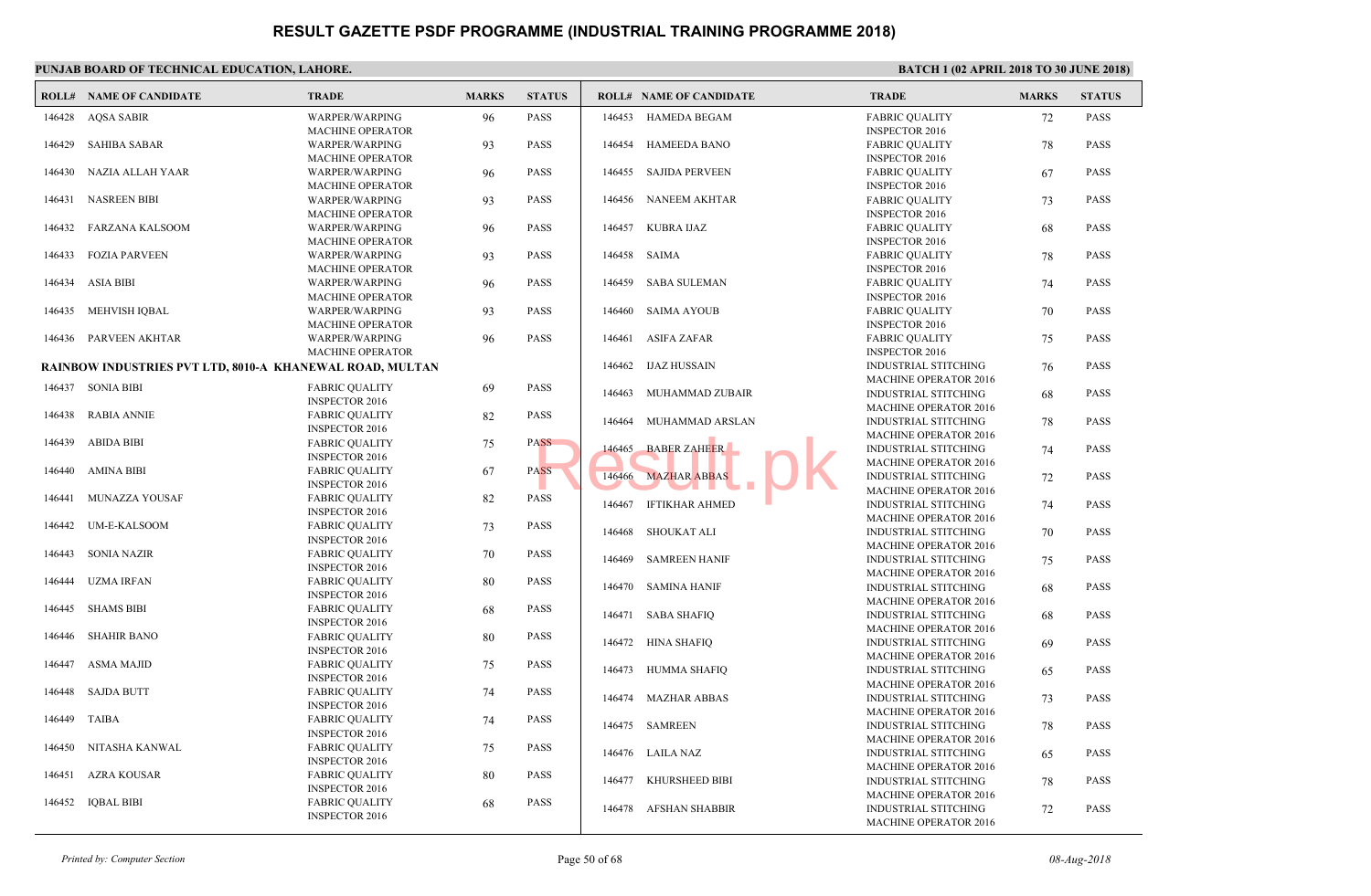|        | PUNJAB BOARD OF TECHNICAL EDUCATION, LAHORE.                    |                                                  |              |               |        |                                |                             |
|--------|-----------------------------------------------------------------|--------------------------------------------------|--------------|---------------|--------|--------------------------------|-----------------------------|
|        | <b>ROLL# NAME OF CANDIDATE</b>                                  | <b>TRADE</b>                                     | <b>MARKS</b> | <b>STATUS</b> |        | <b>ROLL# NAME OF CANDIDATE</b> | <b>TRAL</b>                 |
| 146428 | AQSA SABIR                                                      | <b>WARPER/WARPING</b><br><b>MACHINE OPERATOR</b> | 96           | <b>PASS</b>   | 146453 | HAMEDA BEGAM                   | FABRI<br><b>INSPE</b>       |
| 146429 | <b>SAHIBA SABAR</b>                                             | WARPER/WARPING<br><b>MACHINE OPERATOR</b>        | 93           | <b>PASS</b>   | 146454 | <b>HAMEEDA BANO</b>            | FABRI<br><b>INSPE</b>       |
| 146430 | NAZIA ALLAH YAAR                                                | WARPER/WARPING<br><b>MACHINE OPERATOR</b>        | 96           | <b>PASS</b>   | 146455 | <b>SAJIDA PERVEEN</b>          | FABRI<br><b>INSPE</b>       |
| 146431 | NASREEN BIBI                                                    | WARPER/WARPING<br><b>MACHINE OPERATOR</b>        | 93           | <b>PASS</b>   |        | 146456 NANEEM AKHTAR           | FABRI<br><b>INSPE</b>       |
| 146432 | FARZANA KALSOOM                                                 | WARPER/WARPING<br><b>MACHINE OPERATOR</b>        | 96           | <b>PASS</b>   | 146457 | <b>KUBRA IJAZ</b>              | FABRI<br><b>INSPE</b>       |
| 146433 | <b>FOZIA PARVEEN</b>                                            | WARPER/WARPING<br><b>MACHINE OPERATOR</b>        | 93           | <b>PASS</b>   | 146458 | SAIMA                          | FABRI<br><b>INSPE</b>       |
| 146434 | <b>ASIA BIBI</b>                                                | WARPER/WARPING<br><b>MACHINE OPERATOR</b>        | 96           | <b>PASS</b>   | 146459 | SABA SULEMAN                   | FABRI<br><b>INSPE</b>       |
| 146435 | MEHVISH IQBAL                                                   | WARPER/WARPING<br><b>MACHINE OPERATOR</b>        | 93           | <b>PASS</b>   | 146460 | <b>SAIMA AYOUB</b>             | FABRI<br><b>INSPE</b>       |
| 146436 | PARVEEN AKHTAR                                                  | WARPER/WARPING<br><b>MACHINE OPERATOR</b>        | 96           | <b>PASS</b>   | 146461 | <b>ASIFA ZAFAR</b>             | FABRI<br><b>INSPE</b>       |
|        | <b>RAINBOW INDUSTRIES PVT LTD, 8010-A KHANEWAL ROAD, MULTAN</b> |                                                  |              |               |        | 146462 IJAZ HUSSAIN            | <b>INDUS</b><br><b>MACH</b> |
|        | 146437 SONIA BIBI                                               | <b>FABRIC OUALITY</b><br><b>INSPECTOR 2016</b>   | -69          | <b>PASS</b>   | 146463 | MUHAMMAD ZUBAIR                | <b>INDUS</b><br><b>MACH</b> |
| 146438 | <b>RABIA ANNIE</b>                                              | <b>FABRIC QUALITY</b><br><b>INSPECTOR 2016</b>   | 82           | <b>PASS</b>   | 146464 | MUHAMMAD ARSLAN                | <b>INDUS</b>                |
| 146439 | <b>ABIDA BIBI</b>                                               | <b>FABRIC OUALITY</b><br><b>INSPECTOR 2016</b>   | 75           | <b>PASS</b>   | 146465 | <b>BABER ZAHEER</b>            | <b>MACH</b><br><b>INDUS</b> |
| 146440 | <b>AMINA BIBI</b>                                               | <b>FABRIC QUALITY</b><br><b>INSPECTOR 2016</b>   | 67           | <b>PASS</b>   | 146466 | <b>MAZHAR ABBAS</b>            | <b>MACH</b><br><b>INDUS</b> |
| 146441 | MUNAZZA YOUSAF                                                  | <b>FABRIC QUALITY</b><br><b>INSPECTOR 2016</b>   | 82           | <b>PASS</b>   | 146467 | IFTIKHAR AHMED                 | <b>MACH</b><br><b>INDUS</b> |
| 146442 | UM-E-KALSOOM                                                    | <b>FABRIC QUALITY</b><br><b>INSPECTOR 2016</b>   | 73           | <b>PASS</b>   | 146468 | <b>SHOUKAT ALI</b>             | <b>MACH</b><br><b>INDUS</b> |
| 146443 | <b>SONIA NAZIR</b>                                              | <b>FABRIC QUALITY</b><br><b>INSPECTOR 2016</b>   | 70           | <b>PASS</b>   | 146469 | <b>SAMREEN HANIF</b>           | <b>MACH</b><br><b>INDUS</b> |
| 146444 | <b>UZMA IRFAN</b>                                               | <b>FABRIC OUALITY</b><br><b>INSPECTOR 2016</b>   | 80           | <b>PASS</b>   |        | 146470 SAMINA HANIF            | <b>MACH</b><br><b>INDUS</b> |
| 146445 | <b>SHAMS BIBI</b>                                               | <b>FABRIC QUALITY</b><br><b>INSPECTOR 2016</b>   | 68           | <b>PASS</b>   | 146471 | <b>SABA SHAFIQ</b>             | <b>MACH</b><br><b>INDUS</b> |
| 146446 | <b>SHAHIR BANO</b>                                              | <b>FABRIC OUALITY</b><br><b>INSPECTOR 2016</b>   | 80           | <b>PASS</b>   |        | 146472 HINA SHAFIQ             | <b>MACH</b><br><b>INDUS</b> |
| 146447 | <b>ASMA MAJID</b>                                               | <b>FABRIC QUALITY</b><br><b>INSPECTOR 2016</b>   | 75           | <b>PASS</b>   | 146473 | HUMMA SHAFIQ                   | <b>MACH</b><br><b>INDUS</b> |
| 146448 | SAJDA BUTT                                                      | <b>FABRIC QUALITY</b><br><b>INSPECTOR 2016</b>   | 74           | <b>PASS</b>   | 146474 | <b>MAZHAR ABBAS</b>            | <b>MACH</b><br><b>INDUS</b> |
| 146449 | TAIBA                                                           | <b>FABRIC QUALITY</b><br><b>INSPECTOR 2016</b>   | 74           | <b>PASS</b>   |        | 146475 SAMREEN                 | <b>MACH</b><br><b>INDUS</b> |
| 146450 | NITASHA KANWAL                                                  | <b>FABRIC QUALITY</b><br><b>INSPECTOR 2016</b>   | 75           | <b>PASS</b>   |        | 146476 LAILA NAZ               | <b>MACH</b><br><b>INDUS</b> |
| 146451 | AZRA KOUSAR                                                     | <b>FABRIC QUALITY</b><br><b>INSPECTOR 2016</b>   | 80           | <b>PASS</b>   | 146477 | KHURSHEED BIBI                 | <b>MACH</b><br><b>INDUS</b> |
| 146452 | <b>IQBAL BIBI</b>                                               | <b>FABRIC QUALITY</b><br><b>INSPECTOR 2016</b>   | 68           | <b>PASS</b>   |        | 146478 AFSHAN SHABBIR          | <b>MACH</b><br><b>INDUS</b> |
|        |                                                                 |                                                  |              |               |        |                                | <b>MACH</b>                 |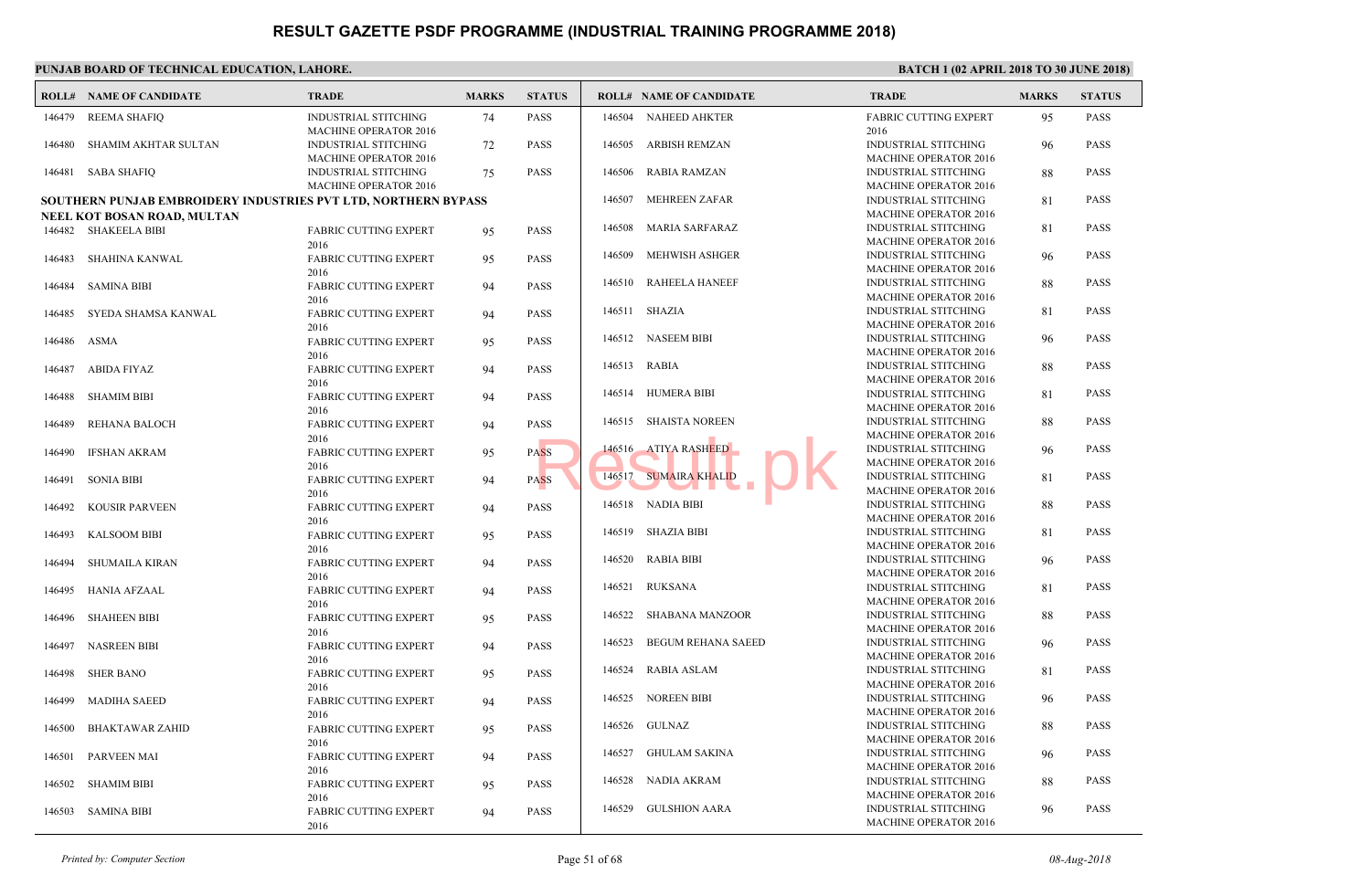|        | <b>ROLL# NAME OF CANDIDATE</b>                                 | <b>TRADE</b>                                                | <b>MARKS</b> | <b>STATUS</b> |        | <b>ROLL# NAME OF CANDIDATE</b> | <b>TRAL</b>                 |
|--------|----------------------------------------------------------------|-------------------------------------------------------------|--------------|---------------|--------|--------------------------------|-----------------------------|
| 146479 | <b>REEMA SHAFIQ</b>                                            | <b>INDUSTRIAL STITCHING</b><br><b>MACHINE OPERATOR 2016</b> | 74           | <b>PASS</b>   | 146504 | NAHEED AHKTER                  | <b>FABRI</b><br>2016        |
| 146480 | SHAMIM AKHTAR SULTAN                                           | <b>INDUSTRIAL STITCHING</b>                                 | 72           | <b>PASS</b>   | 146505 | <b>ARBISH REMZAN</b>           | <b>INDUS</b>                |
| 146481 | SABA SHAFIQ                                                    | <b>MACHINE OPERATOR 2016</b><br><b>INDUSTRIAL STITCHING</b> | 75           | <b>PASS</b>   | 146506 | <b>RABIA RAMZAN</b>            | <b>MACH</b><br><b>INDUS</b> |
|        | SOUTHERN PUNJAB EMBROIDERY INDUSTRIES PVT LTD, NORTHERN BYPASS | <b>MACHINE OPERATOR 2016</b>                                |              |               | 146507 | MEHREEN ZAFAR                  | <b>MACH</b><br><b>INDUS</b> |
|        | NEEL KOT BOSAN ROAD, MULTAN                                    |                                                             |              |               |        |                                | <b>MACH</b>                 |
|        | 146482 SHAKEELA BIBI                                           | <b>FABRIC CUTTING EXPERT</b>                                | 95           | <b>PASS</b>   | 146508 | <b>MARIA SARFARAZ</b>          | <b>INDUS</b>                |
|        |                                                                | 2016                                                        |              |               |        |                                | <b>MACH</b>                 |
| 146483 | SHAHINA KANWAL                                                 | <b>FABRIC CUTTING EXPERT</b><br>2016                        | 95           | <b>PASS</b>   | 146509 | MEHWISH ASHGER                 | <b>INDUS</b><br><b>MACH</b> |
| 146484 | <b>SAMINA BIBI</b>                                             | <b>FABRIC CUTTING EXPERT</b><br>2016                        | 94           | <b>PASS</b>   | 146510 | <b>RAHEELA HANEEF</b>          | <b>INDUS</b><br><b>MACH</b> |
| 146485 | SYEDA SHAMSA KANWAL                                            | <b>FABRIC CUTTING EXPERT</b>                                | 94           | <b>PASS</b>   |        | 146511 SHAZIA                  | <b>INDUS</b>                |
|        |                                                                | 2016                                                        |              |               |        |                                | <b>MACH</b><br><b>INDUS</b> |
| 146486 | ASMA                                                           | <b>FABRIC CUTTING EXPERT</b>                                | 95           | <b>PASS</b>   |        | 146512 NASEEM BIBI             | <b>MACH</b>                 |
| 146487 | <b>ABIDA FIYAZ</b>                                             | 2016<br><b>FABRIC CUTTING EXPERT</b>                        |              | <b>PASS</b>   | 146513 | RABIA                          | <b>INDUS</b>                |
|        |                                                                | 2016                                                        | 94           |               |        |                                | <b>MACH</b>                 |
| 146488 | <b>SHAMIM BIBI</b>                                             | <b>FABRIC CUTTING EXPERT</b>                                | 94           | <b>PASS</b>   | 146514 | HUMERA BIBI                    | <b>INDUS</b>                |
|        |                                                                | 2016                                                        |              |               |        |                                | <b>MACH</b>                 |
| 146489 | <b>REHANA BALOCH</b>                                           | <b>FABRIC CUTTING EXPERT</b>                                | 94           | <b>PASS</b>   |        | 146515 SHAISTA NOREEN          | <b>INDUS</b>                |
|        |                                                                | 2016                                                        |              |               |        |                                | <b>MACH</b><br><b>INDUS</b> |
| 146490 | <b>IFSHAN AKRAM</b>                                            | <b>FABRIC CUTTING EXPERT</b>                                | 95           | <b>PASS</b>   |        | 146516 ATIYA RASHEED           | <b>MACH</b>                 |
| 146491 | <b>SONIA BIBI</b>                                              | 2016<br><b>FABRIC CUTTING EXPERT</b>                        | 94           | <b>PASS</b>   | 146517 | <b>SUMAIRA KHALID</b>          | <b>INDUS</b>                |
|        |                                                                | 2016                                                        |              |               |        | a ka                           | <b>MACH</b>                 |
| 146492 | <b>KOUSIR PARVEEN</b>                                          | <b>FABRIC CUTTING EXPERT</b>                                | 94           | <b>PASS</b>   |        | 146518 NADIA BIBI              | <b>INDUS</b>                |
|        |                                                                | 2016                                                        |              |               |        |                                | <b>MACH</b>                 |
| 146493 | <b>KALSOOM BIBI</b>                                            | <b>FABRIC CUTTING EXPERT</b>                                | 95           | <b>PASS</b>   | 146519 | SHAZIA BIBI                    | <b>INDUS</b>                |
|        |                                                                | 2016                                                        |              |               | 146520 |                                | <b>MACH</b><br><b>INDUS</b> |
| 146494 | <b>SHUMAILA KIRAN</b>                                          | <b>FABRIC CUTTING EXPERT</b>                                | 94           | <b>PASS</b>   |        | RABIA BIBI                     | <b>MACH</b>                 |
| 146495 | <b>HANIA AFZAAL</b>                                            | 2016<br><b>FABRIC CUTTING EXPERT</b>                        | 94           | <b>PASS</b>   | 146521 | <b>RUKSANA</b>                 | <b>INDUS</b>                |
|        |                                                                | 2016                                                        |              |               |        |                                | <b>MACH</b>                 |
| 146496 | <b>SHAHEEN BIBI</b>                                            | <b>FABRIC CUTTING EXPERT</b>                                | 95           | <b>PASS</b>   | 146522 | SHABANA MANZOOR                | <b>INDUS</b>                |
|        |                                                                | 2016                                                        |              |               |        |                                | <b>MACH</b>                 |
| 146497 | <b>NASREEN BIBI</b>                                            | <b>FABRIC CUTTING EXPERT</b>                                | 94           | <b>PASS</b>   | 146523 | <b>BEGUM REHANA SAEED</b>      | <b>INDUS</b>                |
|        |                                                                | 2016                                                        |              |               | 146524 |                                | <b>MACH</b><br><b>INDUS</b> |
| 146498 | <b>SHER BANO</b>                                               | <b>FABRIC CUTTING EXPERT</b>                                | 95           | <b>PASS</b>   |        | <b>RABIA ASLAM</b>             | <b>MACH</b>                 |
| 146499 | <b>MADIHA SAEED</b>                                            | 2016<br><b>FABRIC CUTTING EXPERT</b>                        |              | <b>PASS</b>   |        | 146525 NOREEN BIBI             | <b>INDUS</b>                |
|        |                                                                | 2016                                                        | 94           |               |        |                                | <b>MACH</b>                 |
| 146500 | <b>BHAKTAWAR ZAHID</b>                                         | <b>FABRIC CUTTING EXPERT</b>                                | 95           | <b>PASS</b>   |        | 146526 GULNAZ                  | <b>INDUS</b>                |
|        |                                                                | 2016                                                        |              |               |        |                                | <b>MACH</b>                 |
| 146501 | <b>PARVEEN MAI</b>                                             | <b>FABRIC CUTTING EXPERT</b>                                | 94           | <b>PASS</b>   | 146527 | <b>GHULAM SAKINA</b>           | <b>INDUS</b>                |
|        |                                                                | 2016                                                        |              |               |        |                                | <b>MACH</b>                 |
| 146502 | <b>SHAMIM BIBI</b>                                             | <b>FABRIC CUTTING EXPERT</b>                                | 95           | <b>PASS</b>   |        | 146528 NADIA AKRAM             | <b>INDUS</b><br><b>MACH</b> |
|        |                                                                | 2016                                                        |              |               | 146529 | <b>GULSHION AARA</b>           | <b>INDUS</b>                |
| 146503 | SAMINA BIBI                                                    | <b>FABRIC CUTTING EXPERT</b><br>2016                        | 94           | <b>PASS</b>   |        |                                | <b>MACH</b>                 |
|        |                                                                |                                                             |              |               |        |                                |                             |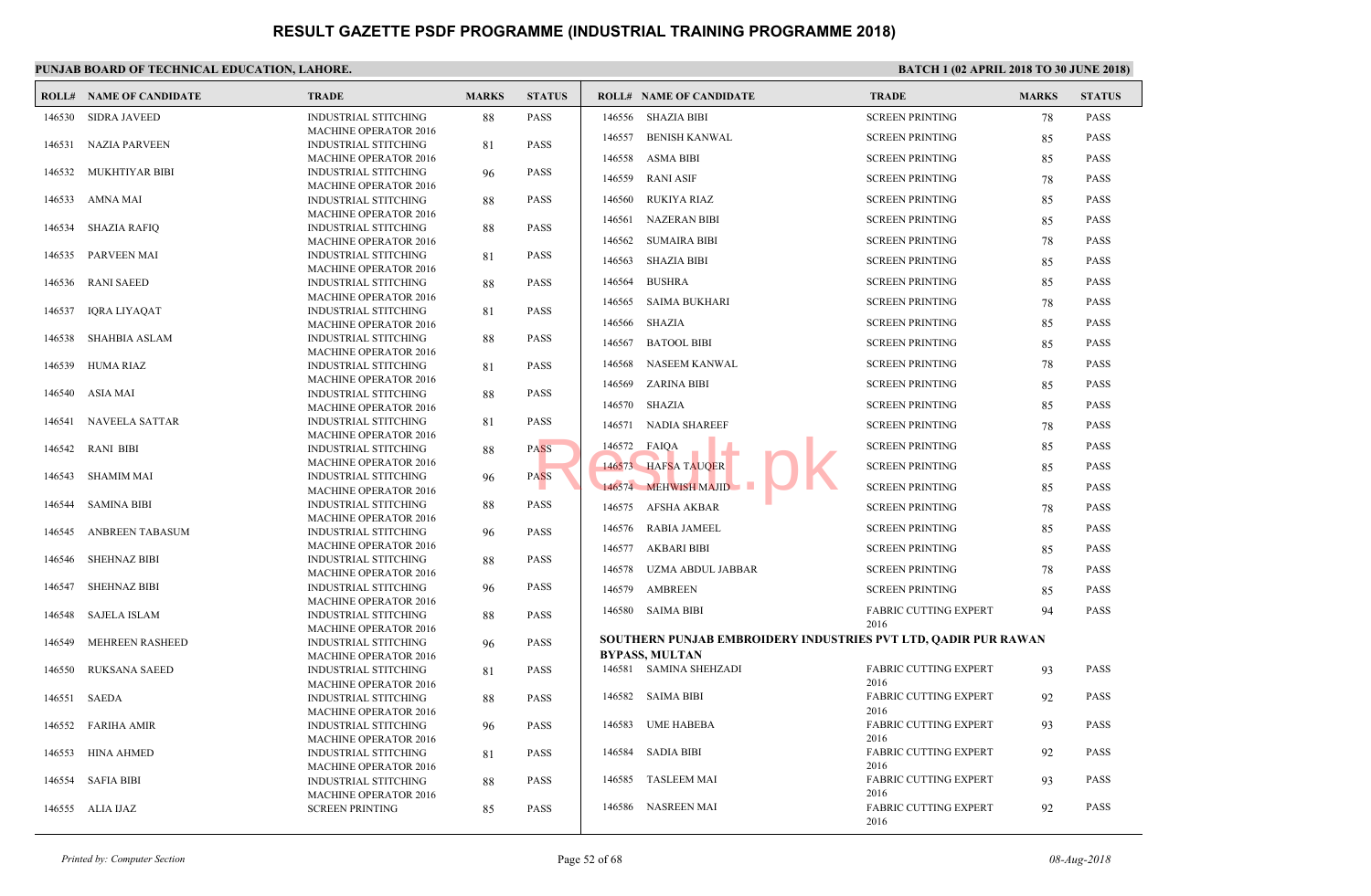|        | <b>ROLL# NAME OF CANDIDATE</b> | <b>TRADE</b>                                                | <b>MARKS</b> | <b>STATUS</b> |        | <b>ROLL# NAME OF CANDIDATE</b>                   | <b>TRAL</b>   |
|--------|--------------------------------|-------------------------------------------------------------|--------------|---------------|--------|--------------------------------------------------|---------------|
| 146530 | <b>SIDRA JAVEED</b>            | <b>INDUSTRIAL STITCHING</b>                                 | 88           | <b>PASS</b>   | 146556 | SHAZIA BIBI                                      | <b>SCREE</b>  |
|        |                                | <b>MACHINE OPERATOR 2016</b>                                |              |               | 146557 | <b>BENISH KANWAL</b>                             | <b>SCREE</b>  |
| 146531 | <b>NAZIA PARVEEN</b>           | <b>INDUSTRIAL STITCHING</b><br><b>MACHINE OPERATOR 2016</b> | 81           | <b>PASS</b>   | 146558 | ASMA BIBI                                        | <b>SCREE</b>  |
| 146532 | MUKHTIYAR BIBI                 | <b>INDUSTRIAL STITCHING</b>                                 | 96           | <b>PASS</b>   |        |                                                  |               |
|        |                                | <b>MACHINE OPERATOR 2016</b>                                |              |               | 146559 | <b>RANI ASIF</b>                                 | <b>SCREE</b>  |
| 146533 | AMNA MAI                       | <b>INDUSTRIAL STITCHING</b>                                 | 88           | <b>PASS</b>   | 146560 | RUKIYA RIAZ                                      | <b>SCREE</b>  |
|        |                                | <b>MACHINE OPERATOR 2016</b>                                |              |               | 146561 | NAZERAN BIBI                                     | <b>SCREE</b>  |
| 146534 | <b>SHAZIA RAFIQ</b>            | <b>INDUSTRIAL STITCHING</b><br><b>MACHINE OPERATOR 2016</b> | 88           | <b>PASS</b>   | 146562 | SUMAIRA BIBI                                     | <b>SCREE</b>  |
| 146535 | <b>PARVEEN MAI</b>             | <b>INDUSTRIAL STITCHING</b>                                 | 81           | <b>PASS</b>   |        |                                                  |               |
|        |                                | <b>MACHINE OPERATOR 2016</b>                                |              |               | 146563 | SHAZIA BIBI                                      | <b>SCREE</b>  |
| 146536 | RANI SAEED                     | INDUSTRIAL STITCHING                                        | 88           | <b>PASS</b>   | 146564 | <b>BUSHRA</b>                                    | <b>SCREE</b>  |
|        |                                | <b>MACHINE OPERATOR 2016</b>                                |              |               | 146565 | SAIMA BUKHARI                                    | <b>SCREE</b>  |
| 146537 | IQRA LIYAQAT                   | INDUSTRIAL STITCHING                                        | 81           | <b>PASS</b>   | 146566 | SHAZIA                                           | <b>SCREE</b>  |
| 146538 | <b>SHAHBIA ASLAM</b>           | <b>MACHINE OPERATOR 2016</b><br>INDUSTRIAL STITCHING        | 88           | <b>PASS</b>   |        |                                                  |               |
|        |                                | <b>MACHINE OPERATOR 2016</b>                                |              |               | 146567 | <b>BATOOL BIBI</b>                               | <b>SCREE</b>  |
| 146539 | HUMA RIAZ                      | <b>INDUSTRIAL STITCHING</b>                                 | 81           | <b>PASS</b>   | 146568 | NASEEM KANWAL                                    | <b>SCREE</b>  |
|        |                                | <b>MACHINE OPERATOR 2016</b>                                |              |               | 146569 | ZARINA BIBI                                      | <b>SCREE</b>  |
| 146540 | ASIA MAI                       | <b>INDUSTRIAL STITCHING</b>                                 | 88           | <b>PASS</b>   | 146570 | SHAZIA                                           | <b>SCREE</b>  |
|        |                                | <b>MACHINE OPERATOR 2016</b>                                |              |               |        |                                                  |               |
| 146541 | <b>NAVEELA SATTAR</b>          | <b>INDUSTRIAL STITCHING</b><br><b>MACHINE OPERATOR 2016</b> | 81           | <b>PASS</b>   | 146571 | <b>NADIA SHAREEF</b>                             | <b>SCREE</b>  |
| 146542 | <b>RANI BIBI</b>               | <b>INDUSTRIAL STITCHING</b>                                 | 88           | <b>PASS</b>   | 146572 | FAIQA                                            | <b>SCREE</b>  |
|        |                                | <b>MACHINE OPERATOR 2016</b>                                |              |               |        | 146573 HAFSA TAUQER                              | <b>SCREE</b>  |
| 146543 | <b>SHAMIM MAI</b>              | <b>INDUSTRIAL STITCHING</b>                                 | 96           | <b>PASS</b>   |        |                                                  |               |
|        |                                | <b>MACHINE OPERATOR 2016</b>                                |              |               |        | 146574 MEHWISH MAJID                             | <b>SCREE</b>  |
| 146544 | <b>SAMINA BIBI</b>             | <b>INDUSTRIAL STITCHING</b><br><b>MACHINE OPERATOR 2016</b> | 88           | <b>PASS</b>   |        | 146575 AFSHA AKBAR                               | <b>SCREE</b>  |
| 146545 | ANBREEN TABASUM                | <b>INDUSTRIAL STITCHING</b>                                 | 96           | <b>PASS</b>   |        | 146576 RABIA JAMEEL                              | <b>SCREE</b>  |
|        |                                | <b>MACHINE OPERATOR 2016</b>                                |              |               |        | 146577 AKBARI BIBI                               | <b>SCREE</b>  |
| 146546 | <b>SHEHNAZ BIBI</b>            | <b>INDUSTRIAL STITCHING</b>                                 | 88           | <b>PASS</b>   |        |                                                  |               |
|        |                                | <b>MACHINE OPERATOR 2016</b>                                |              |               | 146578 | UZMA ABDUL JABBAR                                | <b>SCREE</b>  |
| 146547 | <b>SHEHNAZ BIBI</b>            | <b>INDUSTRIAL STITCHING</b>                                 | 96           | <b>PASS</b>   | 146579 | <b>AMBREEN</b>                                   | <b>SCREE</b>  |
| 146548 | SAJELA ISLAM                   | <b>MACHINE OPERATOR 2016</b><br><b>INDUSTRIAL STITCHING</b> | 88           | <b>PASS</b>   |        | 146580 SAIMA BIBI                                | FABRI         |
|        |                                | <b>MACHINE OPERATOR 2016</b>                                |              |               |        |                                                  | 2016          |
| 146549 | <b>MEHREEN RASHEED</b>         | <b>INDUSTRIAL STITCHING</b>                                 | 96           | <b>PASS</b>   |        | <b>SOUTHERN PUNJAB EMBROIDERY INDUSTRIES PVT</b> |               |
|        |                                | <b>MACHINE OPERATOR 2016</b>                                |              |               |        | <b>BYPASS, MULTAN</b>                            |               |
| 146550 | <b>RUKSANA SAEED</b>           | <b>INDUSTRIAL STITCHING</b>                                 | 81           | <b>PASS</b>   |        | 146581 SAMINA SHEHZADI                           | FABRI         |
| 146551 | SAEDA                          | <b>MACHINE OPERATOR 2016</b><br><b>INDUSTRIAL STITCHING</b> |              | <b>PASS</b>   |        | 146582 SAIMA BIBI                                | 2016<br>FABRI |
|        |                                | <b>MACHINE OPERATOR 2016</b>                                | 88           |               |        |                                                  | 2016          |
| 146552 | <b>FARIHA AMIR</b>             | <b>INDUSTRIAL STITCHING</b>                                 | 96           | <b>PASS</b>   | 146583 | <b>UME HABEBA</b>                                | FABRI         |
|        |                                | <b>MACHINE OPERATOR 2016</b>                                |              |               |        |                                                  | 2016          |
| 146553 | <b>HINA AHMED</b>              | <b>INDUSTRIAL STITCHING</b>                                 | 81           | <b>PASS</b>   |        | 146584 SADIA BIBI                                | FABRI         |
|        |                                | <b>MACHINE OPERATOR 2016</b>                                |              |               |        |                                                  | 2016          |
| 146554 | <b>SAFIA BIBI</b>              | <b>INDUSTRIAL STITCHING</b>                                 | 88           | <b>PASS</b>   | 146585 | <b>TASLEEM MAI</b>                               | FABRI<br>2016 |
|        | 146555 ALIA IJAZ               | <b>MACHINE OPERATOR 2016</b><br><b>SCREEN PRINTING</b>      | 85           | <b>PASS</b>   |        | 146586 NASREEN MAI                               | FABRI         |
|        |                                |                                                             |              |               |        |                                                  | 2016          |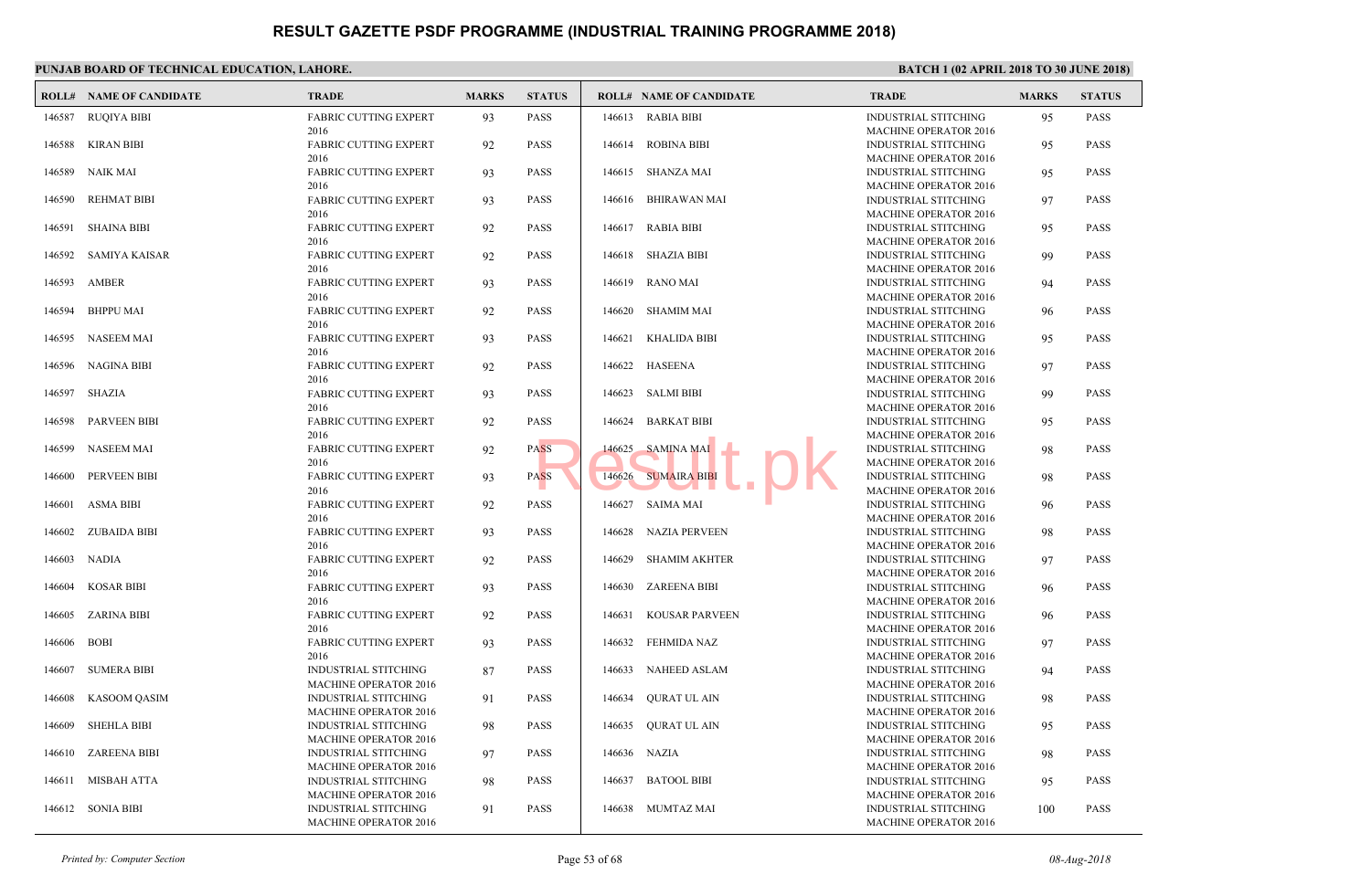|        | <b>ROLL# NAME OF CANDIDATE</b> | <b>TRADE</b>                                         | <b>MARKS</b> | <b>STATUS</b> |        | <b>ROLL# NAME OF CANDIDATE</b> | <b>TRAL</b>                 |
|--------|--------------------------------|------------------------------------------------------|--------------|---------------|--------|--------------------------------|-----------------------------|
| 146587 | <b>RUQIYA BIBI</b>             | <b>FABRIC CUTTING EXPERT</b>                         | 93           | <b>PASS</b>   |        | 146613 RABIA BIBI              | <b>INDUS</b>                |
| 146588 | KIRAN BIBI                     | 2016<br>FABRIC CUTTING EXPERT                        | 92           | <b>PASS</b>   |        | 146614 ROBINA BIBI             | <b>MACH</b><br><b>INDUS</b> |
| 146589 | NAIK MAI                       | 2016<br><b>FABRIC CUTTING EXPERT</b>                 | 93           | <b>PASS</b>   |        | 146615 SHANZA MAI              | <b>MACH</b><br><b>INDUS</b> |
|        |                                | 2016                                                 |              |               |        |                                | <b>MACH</b>                 |
| 146590 | <b>REHMAT BIBI</b>             | <b>FABRIC CUTTING EXPERT</b>                         | 93           | <b>PASS</b>   | 146616 | <b>BHIRAWAN MAI</b>            | <b>INDUS</b>                |
| 146591 | <b>SHAINA BIBI</b>             | 2016<br><b>FABRIC CUTTING EXPERT</b>                 | 92           | <b>PASS</b>   | 146617 | RABIA BIBI                     | <b>MACH</b><br><b>INDUS</b> |
|        |                                | 2016                                                 |              |               |        |                                | <b>MACH</b>                 |
| 146592 | <b>SAMIYA KAISAR</b>           | <b>FABRIC CUTTING EXPERT</b><br>2016                 | 92           | <b>PASS</b>   |        | 146618 SHAZIA BIBI             | <b>INDUS</b><br><b>MACH</b> |
| 146593 | AMBER                          | <b>FABRIC CUTTING EXPERT</b>                         | 93           | <b>PASS</b>   | 146619 | RANO MAI                       | <b>INDUS</b>                |
|        |                                | 2016                                                 |              |               |        |                                | <b>MACH</b>                 |
| 146594 | <b>BHPPU MAI</b>               | <b>FABRIC CUTTING EXPERT</b><br>2016                 | 92           | <b>PASS</b>   | 146620 | SHAMIM MAI                     | <b>INDUS</b><br><b>MACH</b> |
| 146595 | NASEEM MAI                     | <b>FABRIC CUTTING EXPERT</b>                         | 93           | <b>PASS</b>   | 146621 | KHALIDA BIBI                   | <b>INDUS</b>                |
|        | NAGINA BIBI                    | 2016                                                 |              | <b>PASS</b>   |        | 146622 HASEENA                 | <b>MACH</b><br><b>INDUS</b> |
| 146596 |                                | <b>FABRIC CUTTING EXPERT</b><br>2016                 | 92           |               |        |                                | <b>MACH</b>                 |
| 146597 | SHAZIA                         | <b>FABRIC CUTTING EXPERT</b>                         | 93           | <b>PASS</b>   |        | 146623 SALMI BIBI              | <b>INDUS</b>                |
| 146598 | <b>PARVEEN BIBI</b>            | 2016<br><b>FABRIC CUTTING EXPERT</b>                 | 92           | <b>PASS</b>   | 146624 | <b>BARKAT BIBI</b>             | <b>MACH</b><br><b>INDUS</b> |
|        |                                | 2016                                                 |              |               |        |                                | <b>MACH</b>                 |
| 146599 | <b>NASEEM MAI</b>              | <b>FABRIC CUTTING EXPERT</b><br>2016                 | 92           | <b>PASS</b>   | 146625 | <b>SAMINA MAI</b>              | <b>INDUS</b><br><b>MACH</b> |
| 146600 | PERVEEN BIBI                   | <b>FABRIC CUTTING EXPERT</b>                         | 93           | <b>PASS</b>   | 146626 | <b>SUMAIRA BIBI</b>            | <b>INDUS</b>                |
|        |                                | 2016                                                 |              |               |        |                                | <b>MACH</b>                 |
| 146601 | <b>ASMA BIBI</b>               | <b>FABRIC CUTTING EXPERT</b><br>2016                 | 92           | <b>PASS</b>   | 146627 | <b>SAIMA MAI</b>               | <b>INDUS</b><br><b>MACH</b> |
| 146602 | <b>ZUBAIDA BIBI</b>            | <b>FABRIC CUTTING EXPERT</b>                         | 93           | <b>PASS</b>   | 146628 | <b>NAZIA PERVEEN</b>           | <b>INDUS</b>                |
| 146603 | NADIA                          | 2016<br><b>FABRIC CUTTING EXPERT</b>                 |              | <b>PASS</b>   | 146629 | <b>SHAMIM AKHTER</b>           | <b>MACH</b><br><b>INDUS</b> |
|        |                                | 2016                                                 | 92           |               |        |                                | <b>MACH</b>                 |
| 146604 | <b>KOSAR BIBI</b>              | <b>FABRIC CUTTING EXPERT</b>                         | 93           | <b>PASS</b>   |        | 146630 ZAREENA BIBI            | <b>INDUS</b>                |
| 146605 | ZARINA BIBI                    | 2016<br><b>FABRIC CUTTING EXPERT</b>                 | 92           | <b>PASS</b>   | 146631 | KOUSAR PARVEEN                 | <b>MACH</b><br><b>INDUS</b> |
|        |                                | 2016                                                 |              |               |        |                                | <b>MACH</b>                 |
| 146606 | <b>BOBI</b>                    | <b>FABRIC CUTTING EXPERT</b><br>2016                 | 93           | <b>PASS</b>   |        | 146632 FEHMIDA NAZ             | <b>INDUS</b><br><b>MACH</b> |
| 146607 | SUMERA BIBI                    | <b>INDUSTRIAL STITCHING</b>                          | 87           | <b>PASS</b>   | 146633 | <b>NAHEED ASLAM</b>            | <b>INDUS</b>                |
|        |                                | <b>MACHINE OPERATOR 2016</b>                         |              |               |        |                                | <b>MACH</b>                 |
| 146608 | KASOOM QASIM                   | INDUSTRIAL STITCHING<br><b>MACHINE OPERATOR 2016</b> | 91           | <b>PASS</b>   | 146634 | QURAT UL AIN                   | <b>INDUS</b><br><b>MACH</b> |
| 146609 | <b>SHEHLA BIBI</b>             | <b>INDUSTRIAL STITCHING</b>                          | 98           | <b>PASS</b>   | 146635 | <b>OURAT UL AIN</b>            | <b>INDUS</b>                |
|        |                                | <b>MACHINE OPERATOR 2016</b>                         |              |               |        |                                | <b>MACH</b><br><b>INDUS</b> |
| 146610 | <b>ZAREENA BIBI</b>            | INDUSTRIAL STITCHING<br><b>MACHINE OPERATOR 2016</b> | 97           | <b>PASS</b>   |        | 146636 NAZIA                   | <b>MACH</b>                 |
| 146611 | <b>MISBAH ATTA</b>             | <b>INDUSTRIAL STITCHING</b>                          | 98           | <b>PASS</b>   | 146637 | <b>BATOOL BIBI</b>             | <b>INDUS</b>                |
| 146612 | <b>SONIA BIBI</b>              | <b>MACHINE OPERATOR 2016</b><br>INDUSTRIAL STITCHING | 91           | <b>PASS</b>   |        | 146638 MUMTAZ MAI              | <b>MACH</b><br><b>INDUS</b> |
|        |                                | <b>MACHINE OPERATOR 2016</b>                         |              |               |        |                                | <b>MACH</b>                 |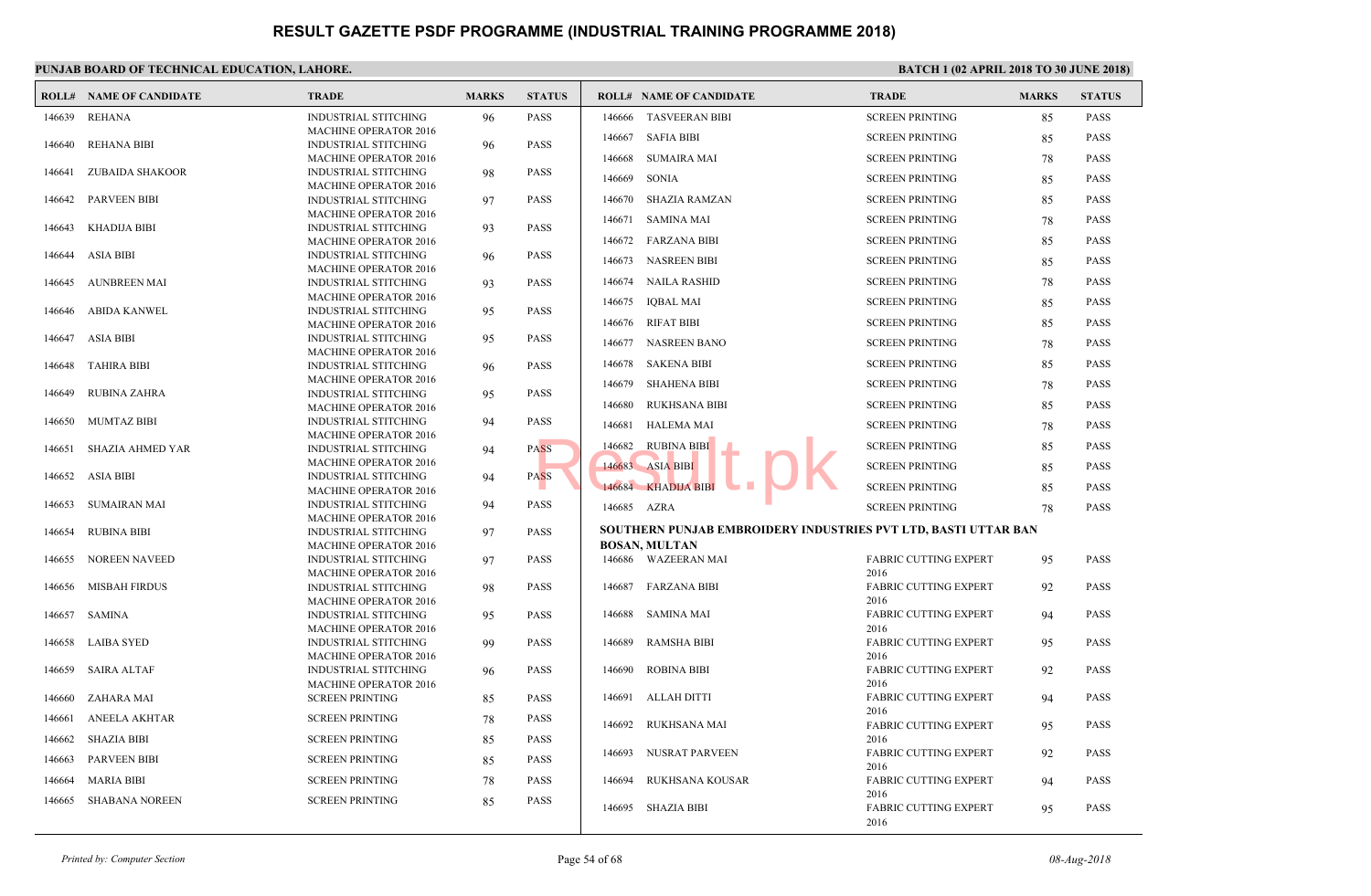|        | <b>ROLL# NAME OF CANDIDATE</b> | <b>TRADE</b>                                                | <b>MARKS</b> | <b>STATUS</b> |             | <b>ROLL# NAME OF CANDIDATE</b>            | <b>TRAL</b>          |
|--------|--------------------------------|-------------------------------------------------------------|--------------|---------------|-------------|-------------------------------------------|----------------------|
| 146639 | <b>REHANA</b>                  | <b>INDUSTRIAL STITCHING</b>                                 | 96           | <b>PASS</b>   | 146666      | <b>TASVEERAN BIBI</b>                     | <b>SCREE</b>         |
|        |                                | <b>MACHINE OPERATOR 2016</b>                                |              |               | 146667      | <b>SAFIA BIBI</b>                         | <b>SCREE</b>         |
| 146640 | <b>REHANA BIBI</b>             | <b>INDUSTRIAL STITCHING</b>                                 | 96           | <b>PASS</b>   |             |                                           |                      |
|        |                                | <b>MACHINE OPERATOR 2016</b>                                |              |               | 146668      | <b>SUMAIRA MAI</b>                        | <b>SCREE</b>         |
| 146641 | ZUBAIDA SHAKOOR                | <b>INDUSTRIAL STITCHING</b><br><b>MACHINE OPERATOR 2016</b> | 98           | <b>PASS</b>   | 146669      | <b>SONIA</b>                              | <b>SCREE</b>         |
| 146642 | <b>PARVEEN BIBI</b>            | <b>INDUSTRIAL STITCHING</b>                                 | 97           | <b>PASS</b>   | 146670      | <b>SHAZIA RAMZAN</b>                      | <b>SCREE</b>         |
|        |                                | <b>MACHINE OPERATOR 2016</b>                                |              |               |             |                                           |                      |
| 146643 | KHADIJA BIBI                   | <b>INDUSTRIAL STITCHING</b>                                 | 93           | <b>PASS</b>   |             | 146671 SAMINA MAI                         | <b>SCREE</b>         |
|        |                                | <b>MACHINE OPERATOR 2016</b>                                |              |               |             | 146672 FARZANA BIBI                       | <b>SCREE</b>         |
| 146644 | <b>ASIA BIBI</b>               | INDUSTRIAL STITCHING                                        | 96           | <b>PASS</b>   |             | 146673 NASREEN BIBI                       | <b>SCREE</b>         |
|        |                                | <b>MACHINE OPERATOR 2016</b>                                |              |               |             | 146674 NAILA RASHID                       | <b>SCREE</b>         |
| 146645 | AUNBREEN MAI                   | INDUSTRIAL STITCHING                                        | 93           | <b>PASS</b>   |             |                                           |                      |
| 146646 | ABIDA KANWEL                   | <b>MACHINE OPERATOR 2016</b><br><b>INDUSTRIAL STITCHING</b> | 95           | <b>PASS</b>   | 146675      | IQBAL MAI                                 | <b>SCREE</b>         |
|        |                                | <b>MACHINE OPERATOR 2016</b>                                |              |               |             | 146676 RIFAT BIBI                         | <b>SCREE</b>         |
| 146647 | ASIA BIBI                      | <b>INDUSTRIAL STITCHING</b>                                 | 95           | <b>PASS</b>   | 146677      | NASREEN BANO                              | <b>SCREE</b>         |
|        |                                | <b>MACHINE OPERATOR 2016</b>                                |              |               |             |                                           |                      |
| 146648 | TAHIRA BIBI                    | <b>INDUSTRIAL STITCHING</b>                                 | 96           | <b>PASS</b>   | 146678      | <b>SAKENA BIBI</b>                        | <b>SCREE</b>         |
|        |                                | <b>MACHINE OPERATOR 2016</b>                                |              |               | 146679      | <b>SHAHENA BIBI</b>                       | <b>SCREE</b>         |
| 146649 | <b>RUBINA ZAHRA</b>            | <b>INDUSTRIAL STITCHING</b>                                 | 95           | <b>PASS</b>   | 146680      | RUKHSANA BIBI                             | <b>SCREE</b>         |
| 146650 | MUMTAZ BIBI                    | <b>MACHINE OPERATOR 2016</b><br><b>INDUSTRIAL STITCHING</b> |              | <b>PASS</b>   |             |                                           |                      |
|        |                                | <b>MACHINE OPERATOR 2016</b>                                | 94           |               | 146681      | <b>HALEMA MAI</b>                         | <b>SCREE</b>         |
| 146651 | <b>SHAZIA AHMED YAR</b>        | <b>INDUSTRIAL STITCHING</b>                                 | 94           | <b>PASS</b>   | 146682      | <b>RUBINA BIBI</b>                        | <b>SCREE</b>         |
|        |                                | <b>MACHINE OPERATOR 2016</b>                                |              |               |             | 146683 ASIA BIBI                          | <b>SCREE</b>         |
| 146652 | ASIA BIBI                      | INDUSTRIAL STITCHING                                        | 94           | <b>PASS</b>   |             |                                           |                      |
|        |                                | <b>MACHINE OPERATOR 2016</b>                                |              |               |             | 146684 KHADIJA BIBI                       | <b>SCREE</b>         |
| 146653 | SUMAIRAN MAI                   | <b>INDUSTRIAL STITCHING</b>                                 | 94           | <b>PASS</b>   | 146685 AZRA |                                           | <b>SCREE</b>         |
| 146654 | <b>RUBINA BIBI</b>             | <b>MACHINE OPERATOR 2016</b><br>INDUSTRIAL STITCHING        | 97           | <b>PASS</b>   |             | SOUTHERN PUNJAB EMBROIDERY INDUSTRIES PVT |                      |
|        |                                | <b>MACHINE OPERATOR 2016</b>                                |              |               |             | <b>BOSAN, MULTAN</b>                      |                      |
| 146655 | <b>NOREEN NAVEED</b>           | INDUSTRIAL STITCHING                                        | 97           | <b>PASS</b>   |             | 146686 WAZEERAN MAI                       | FABRI                |
|        |                                | MACHINE OPERATOR 2016                                       |              |               |             |                                           | 2016                 |
| 146656 | <b>MISBAH FIRDUS</b>           | <b>INDUSTRIAL STITCHING</b>                                 | 98           | <b>PASS</b>   | 146687      | <b>FARZANA BIBI</b>                       | <b>FABRI</b>         |
|        |                                | <b>MACHINE OPERATOR 2016</b>                                |              |               |             |                                           | 2016                 |
| 146657 | SAMINA                         | INDUSTRIAL STITCHING                                        | 95           | <b>PASS</b>   | 146688      | SAMINA MAI                                | <b>FABRI</b>         |
| 146658 | LAIBA SYED                     | MACHINE OPERATOR 2016<br><b>INDUSTRIAL STITCHING</b>        | 99           | <b>PASS</b>   | 146689      | <b>RAMSHA BIBI</b>                        | 2016<br><b>FABRI</b> |
|        |                                | <b>MACHINE OPERATOR 2016</b>                                |              |               |             |                                           | 2016                 |
| 146659 | SAIRA ALTAF                    | <b>INDUSTRIAL STITCHING</b>                                 | 96           | <b>PASS</b>   | 146690      | ROBINA BIBI                               | <b>FABRI</b>         |
|        |                                | <b>MACHINE OPERATOR 2016</b>                                |              |               |             |                                           | 2016                 |
| 146660 | ZAHARA MAI                     | <b>SCREEN PRINTING</b>                                      | 85           | <b>PASS</b>   | 146691      | ALLAH DITTI                               | <b>FABRI</b>         |
| 146661 | ANEELA AKHTAR                  | <b>SCREEN PRINTING</b>                                      | 78           | <b>PASS</b>   |             |                                           | 2016                 |
|        |                                |                                                             |              |               | 146692      | RUKHSANA MAI                              | FABRI                |
| 146662 | <b>SHAZIA BIBI</b>             | <b>SCREEN PRINTING</b>                                      | 85           | <b>PASS</b>   | 146693      | NUSRAT PARVEEN                            | 2016<br><b>FABRI</b> |
| 146663 | <b>PARVEEN BIBI</b>            | <b>SCREEN PRINTING</b>                                      | 85           | <b>PASS</b>   |             |                                           | 2016                 |
| 146664 | <b>MARIA BIBI</b>              | <b>SCREEN PRINTING</b>                                      | 78           | <b>PASS</b>   | 146694      | <b>RUKHSANA KOUSAR</b>                    | <b>FABRI</b>         |
|        |                                |                                                             |              | <b>PASS</b>   |             |                                           | 2016                 |
| 146665 | <b>SHABANA NOREEN</b>          | <b>SCREEN PRINTING</b>                                      | 85           |               |             | 146695 SHAZIA BIBI                        | <b>FABRI</b>         |
|        |                                |                                                             |              |               |             |                                           | 2016                 |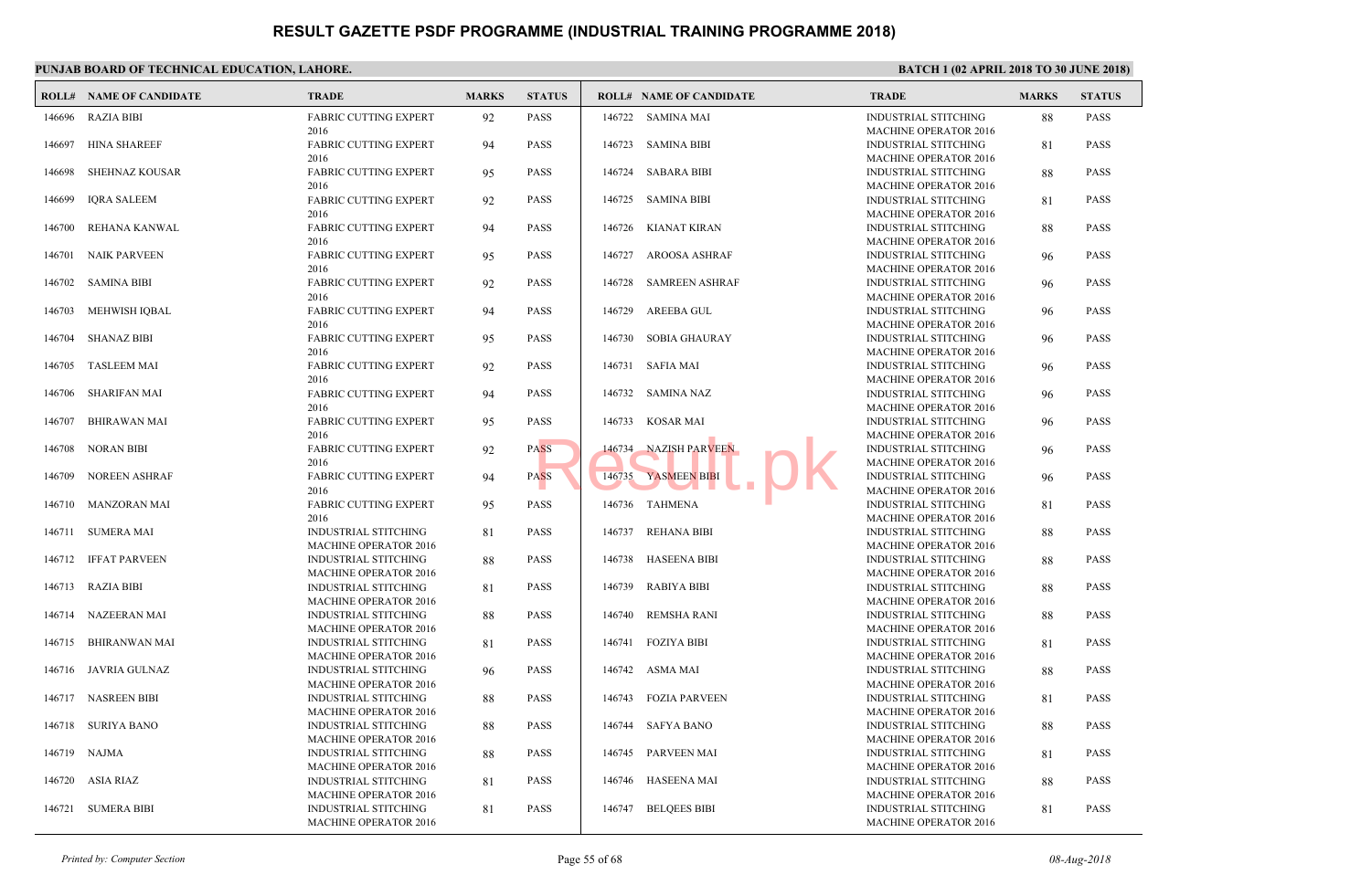|        | <b>ROLL# NAME OF CANDIDATE</b> | <b>TRADE</b>                                                | <b>MARKS</b> | <b>STATUS</b> |        | <b>ROLL# NAME OF CANDIDATE</b> | <b>TRAL</b>                 |
|--------|--------------------------------|-------------------------------------------------------------|--------------|---------------|--------|--------------------------------|-----------------------------|
| 146696 | <b>RAZIA BIBI</b>              | <b>FABRIC CUTTING EXPERT</b>                                | 92           | <b>PASS</b>   | 146722 | <b>SAMINA MAI</b>              | <b>INDUS</b>                |
| 146697 | <b>HINA SHAREEF</b>            | 2016<br>FABRIC CUTTING EXPERT                               | 94           | <b>PASS</b>   |        | 146723 SAMINA BIBI             | <b>MACH</b><br><b>INDUS</b> |
| 146698 | <b>SHEHNAZ KOUSAR</b>          | 2016<br><b>FABRIC CUTTING EXPERT</b>                        | 95           | <b>PASS</b>   |        | 146724 SABARA BIBI             | <b>MACH</b><br><b>INDUS</b> |
|        |                                | 2016                                                        |              |               |        |                                | <b>MACH</b>                 |
| 146699 | <b>IQRA SALEEM</b>             | <b>FABRIC CUTTING EXPERT</b><br>2016                        | 92           | <b>PASS</b>   | 146725 | <b>SAMINA BIBI</b>             | <b>INDUS</b><br><b>MACH</b> |
| 146700 | REHANA KANWAL                  | <b>FABRIC CUTTING EXPERT</b>                                | 94           | <b>PASS</b>   | 146726 | KIANAT KIRAN                   | <b>INDUS</b>                |
|        |                                | 2016                                                        |              |               |        |                                | <b>MACH</b>                 |
| 146701 | <b>NAIK PARVEEN</b>            | <b>FABRIC CUTTING EXPERT</b><br>2016                        | 95           | <b>PASS</b>   | 146727 | AROOSA ASHRAF                  | <b>INDUS</b><br><b>MACH</b> |
| 146702 | <b>SAMINA BIBI</b>             | <b>FABRIC CUTTING EXPERT</b><br>2016                        | 92           | <b>PASS</b>   | 146728 | <b>SAMREEN ASHRAF</b>          | <b>INDUS</b><br><b>MACH</b> |
| 146703 | <b>MEHWISH IOBAL</b>           | <b>FABRIC CUTTING EXPERT</b>                                | 94           | <b>PASS</b>   | 146729 | AREEBA GUL                     | <b>INDUS</b>                |
|        |                                | 2016                                                        |              |               |        |                                | <b>MACH</b>                 |
| 146704 | <b>SHANAZ BIBI</b>             | <b>FABRIC CUTTING EXPERT</b><br>2016                        | 95           | <b>PASS</b>   | 146730 | <b>SOBIA GHAURAY</b>           | <b>INDUS</b><br><b>MACH</b> |
| 146705 | TASLEEM MAI                    | <b>FABRIC CUTTING EXPERT</b>                                | 92           | <b>PASS</b>   |        | 146731 SAFIA MAI               | <b>INDUS</b>                |
|        |                                | 2016                                                        |              |               |        |                                | <b>MACH</b>                 |
| 146706 | <b>SHARIFAN MAI</b>            | <b>FABRIC CUTTING EXPERT</b><br>2016                        | 94           | <b>PASS</b>   |        | 146732 SAMINA NAZ              | <b>INDUS</b><br><b>MACH</b> |
| 146707 | <b>BHIRAWAN MAI</b>            | <b>FABRIC CUTTING EXPERT</b>                                | 95           | <b>PASS</b>   | 146733 | KOSAR MAI                      | <b>INDUS</b>                |
|        |                                | 2016                                                        |              |               |        |                                | <b>MACH</b>                 |
| 146708 | <b>NORAN BIBI</b>              | <b>FABRIC CUTTING EXPERT</b><br>2016                        | 92           | <b>PASS</b>   | 146734 | <b>NAZISH PARVEEN</b>          | <b>INDUS</b><br><b>MACH</b> |
| 146709 | NOREEN ASHRAF                  | <b>FABRIC CUTTING EXPERT</b>                                | 94           | <b>PASS</b>   | 146735 | YASMEEN BIBI                   | <b>INDUS</b>                |
|        |                                | 2016                                                        |              |               |        |                                | <b>MACH</b>                 |
| 146710 | MANZORAN MAI                   | FABRIC CUTTING EXPERT<br>2016                               | 95           | <b>PASS</b>   |        | 146736 TAHMENA                 | <b>INDUS</b><br><b>MACH</b> |
| 146711 | <b>SUMERA MAI</b>              | <b>INDUSTRIAL STITCHING</b>                                 | 81           | <b>PASS</b>   | 146737 | <b>REHANA BIBI</b>             | <b>INDUS</b>                |
|        |                                | <b>MACHINE OPERATOR 2016</b>                                |              |               |        |                                | <b>MACH</b>                 |
| 146712 | <b>IFFAT PARVEEN</b>           | <b>INDUSTRIAL STITCHING</b><br><b>MACHINE OPERATOR 2016</b> | 88           | <b>PASS</b>   | 146738 | <b>HASEENA BIBI</b>            | <b>INDUS</b><br><b>MACH</b> |
| 146713 | RAZIA BIBI                     | INDUSTRIAL STITCHING                                        | 81           | <b>PASS</b>   | 146739 | RABIYA BIBI                    | <b>INDUS</b>                |
|        |                                | <b>MACHINE OPERATOR 2016</b>                                |              |               |        |                                | <b>MACH</b>                 |
| 146714 | NAZEERAN MAI                   | INDUSTRIAL STITCHING<br><b>MACHINE OPERATOR 2016</b>        | 88           | <b>PASS</b>   | 146740 | REMSHA RANI                    | <b>INDUS</b><br><b>MACH</b> |
| 146715 | <b>BHIRANWAN MAI</b>           | <b>INDUSTRIAL STITCHING</b>                                 | 81           | <b>PASS</b>   |        | 146741 FOZIYA BIBI             | <b>INDUS</b>                |
|        |                                | <b>MACHINE OPERATOR 2016</b>                                |              |               |        |                                | <b>MACH</b>                 |
| 146716 | JAVRIA GULNAZ                  | <b>INDUSTRIAL STITCHING</b><br>MACHINE OPERATOR 2016        | 96           | <b>PASS</b>   | 146742 | ASMA MAI                       | <b>INDUS</b><br><b>MACH</b> |
|        | 146717 NASREEN BIBI            | <b>INDUSTRIAL STITCHING</b>                                 | 88           | <b>PASS</b>   |        | 146743 FOZIA PARVEEN           | <b>INDUS</b>                |
|        |                                | <b>MACHINE OPERATOR 2016</b>                                |              |               |        |                                | <b>MACH</b>                 |
| 146718 | <b>SURIYA BANO</b>             | INDUSTRIAL STITCHING<br><b>MACHINE OPERATOR 2016</b>        | 88           | <b>PASS</b>   |        | 146744 SAFYA BANO              | <b>INDUS</b><br><b>MACH</b> |
| 146719 | NAJMA                          | <b>INDUSTRIAL STITCHING</b>                                 | 88           | <b>PASS</b>   |        | 146745 PARVEEN MAI             | <b>INDUS</b>                |
|        |                                | <b>MACHINE OPERATOR 2016</b>                                |              |               |        |                                | <b>MACH</b>                 |
| 146720 | ASIA RIAZ                      | <b>INDUSTRIAL STITCHING</b><br><b>MACHINE OPERATOR 2016</b> | 81           | <b>PASS</b>   | 146746 | HASEENA MAI                    | <b>INDUS</b><br><b>MACH</b> |
| 146721 | <b>SUMERA BIBI</b>             | <b>INDUSTRIAL STITCHING</b>                                 | 81           | <b>PASS</b>   |        | 146747 BELOEES BIBI            | <b>INDUS</b>                |
|        |                                | <b>MACHINE OPERATOR 2016</b>                                |              |               |        |                                | <b>MACH</b>                 |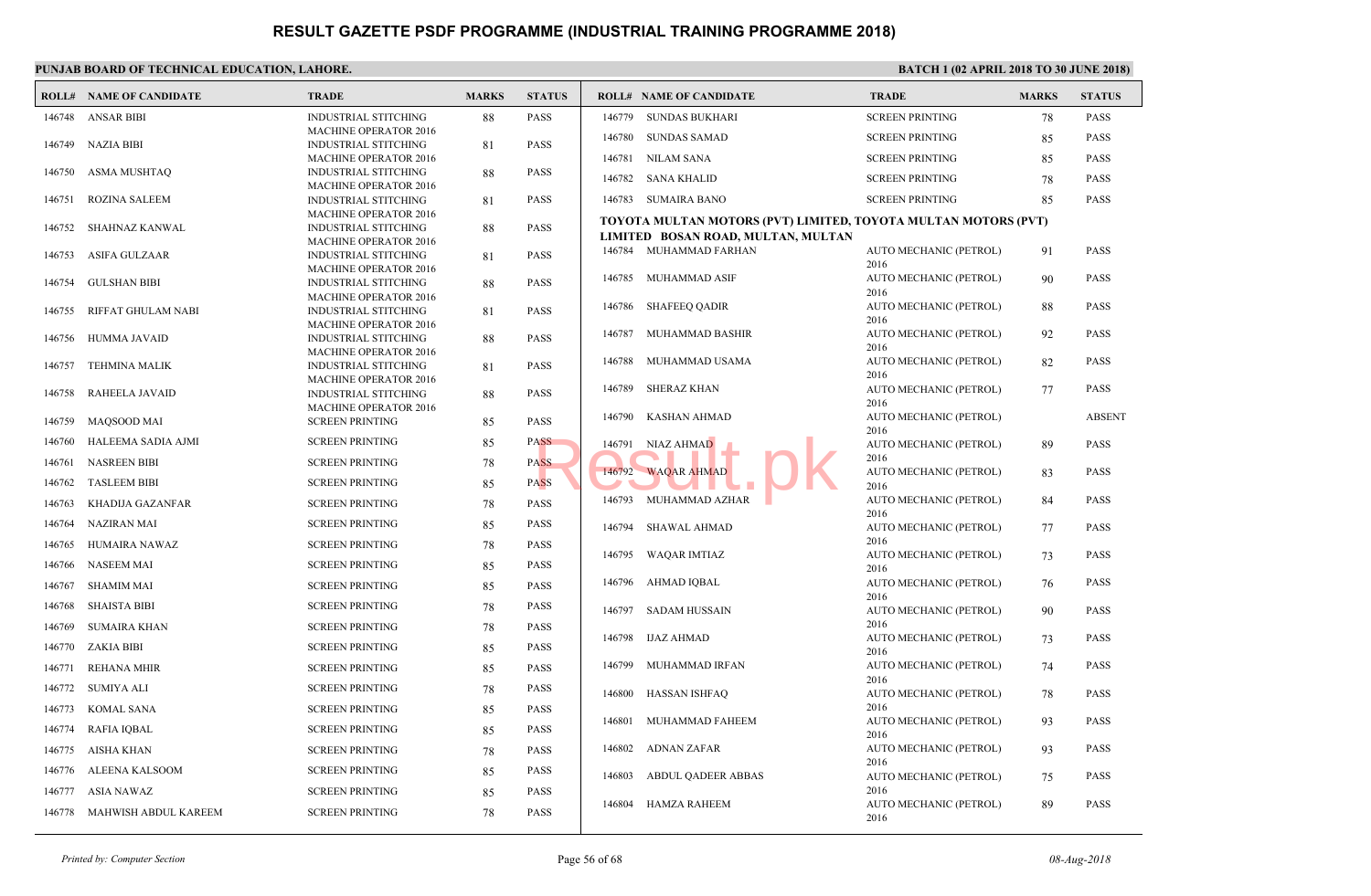|        | <b>ROLL# NAME OF CANDIDATE</b> | <b>TRADE</b>                                                | <b>MARKS</b> | <b>STATUS</b> |        | <b>ROLL# NAME OF CANDIDATE</b>            | <b>TRAD</b>         |
|--------|--------------------------------|-------------------------------------------------------------|--------------|---------------|--------|-------------------------------------------|---------------------|
| 146748 | <b>ANSAR BIBI</b>              | <b>INDUSTRIAL STITCHING</b>                                 | 88           | <b>PASS</b>   | 146779 | <b>SUNDAS BUKHARI</b>                     | <b>SCREE</b>        |
|        |                                | <b>MACHINE OPERATOR 2016</b>                                |              |               | 146780 | <b>SUNDAS SAMAD</b>                       | <b>SCREE</b>        |
| 146749 | NAZIA BIBI                     | <b>INDUSTRIAL STITCHING</b><br><b>MACHINE OPERATOR 2016</b> | 81           | <b>PASS</b>   | 146781 | <b>NILAM SANA</b>                         | <b>SCREE</b>        |
| 146750 | ASMA MUSHTAQ                   | <b>INDUSTRIAL STITCHING</b>                                 | 88           | <b>PASS</b>   |        |                                           |                     |
|        |                                | <b>MACHINE OPERATOR 2016</b>                                |              |               | 146782 | SANA KHALID                               | <b>SCREE</b>        |
| 146751 | <b>ROZINA SALEEM</b>           | <b>INDUSTRIAL STITCHING</b>                                 | 81           | <b>PASS</b>   | 146783 | SUMAIRA BANO                              | <b>SCREE</b>        |
| 146752 | SHAHNAZ KANWAL                 | <b>MACHINE OPERATOR 2016</b><br><b>INDUSTRIAL STITCHING</b> | 88           | <b>PASS</b>   |        | TOYOTA MULTAN MOTORS (PVT) LIMITED, TOYOT |                     |
|        |                                | <b>MACHINE OPERATOR 2016</b>                                |              |               |        | LIMITED BOSAN ROAD, MULTAN, MULTAN        |                     |
| 146753 | ASIFA GULZAAR                  | <b>INDUSTRIAL STITCHING</b>                                 | 81           | <b>PASS</b>   | 146784 | MUHAMMAD FARHAN                           | <b>AUTO</b>         |
|        |                                | <b>MACHINE OPERATOR 2016</b>                                |              |               | 146785 | MUHAMMAD ASIF                             | 2016<br><b>AUTO</b> |
| 146754 | <b>GULSHAN BIBI</b>            | <b>INDUSTRIAL STITCHING</b><br><b>MACHINE OPERATOR 2016</b> | 88           | <b>PASS</b>   |        |                                           | 2016                |
| 146755 | RIFFAT GHULAM NABI             | <b>INDUSTRIAL STITCHING</b>                                 | 81           | <b>PASS</b>   | 146786 | <b>SHAFEEQ QADIR</b>                      | <b>AUTO</b>         |
|        |                                | <b>MACHINE OPERATOR 2016</b>                                |              |               |        |                                           | 2016                |
| 146756 | HUMMA JAVAID                   | <b>INDUSTRIAL STITCHING</b>                                 | 88           | <b>PASS</b>   | 146787 | MUHAMMAD BASHIR                           | <b>AUTO</b><br>2016 |
| 146757 | <b>TEHMINA MALIK</b>           | <b>MACHINE OPERATOR 2016</b><br><b>INDUSTRIAL STITCHING</b> | 81           | <b>PASS</b>   | 146788 | MUHAMMAD USAMA                            | <b>AUTO</b>         |
|        |                                | <b>MACHINE OPERATOR 2016</b>                                |              |               |        |                                           | 2016                |
| 146758 | RAHEELA JAVAID                 | <b>INDUSTRIAL STITCHING</b>                                 | 88           | <b>PASS</b>   | 146789 | <b>SHERAZ KHAN</b>                        | <b>AUTO</b>         |
|        |                                | <b>MACHINE OPERATOR 2016</b>                                |              |               | 146790 | KASHAN AHMAD                              | 2016<br><b>AUTO</b> |
| 146759 | <b>MAQSOOD MAI</b>             | <b>SCREEN PRINTING</b>                                      | 85           | <b>PASS</b>   |        |                                           | 2016                |
| 146760 | HALEEMA SADIA AJMI             | <b>SCREEN PRINTING</b>                                      | 85           | <b>PASS</b>   | 146791 | NIAZ AHMAD                                | <b>AUTO</b>         |
| 146761 | <b>NASREEN BIBI</b>            | <b>SCREEN PRINTING</b>                                      | 78           | <b>PASS</b>   | 146792 |                                           | 2016<br><b>AUTO</b> |
| 146762 | <b>TASLEEM BIBI</b>            | <b>SCREEN PRINTING</b>                                      | 85           | <b>PASS</b>   |        | <b>WAQAR AHMAD</b>                        | 2016                |
| 146763 | KHADIJA GAZANFAR               | <b>SCREEN PRINTING</b>                                      | 78           | <b>PASS</b>   | 146793 | MUHAMMAD AZHAR                            | <b>AUTO</b>         |
| 146764 | <b>NAZIRAN MAI</b>             | <b>SCREEN PRINTING</b>                                      | 85           | <b>PASS</b>   | 146794 | SHAWAL AHMAD                              | 2016<br><b>AUTO</b> |
| 146765 | HUMAIRA NAWAZ                  | <b>SCREEN PRINTING</b>                                      | 78           | <b>PASS</b>   |        |                                           | 2016                |
| 146766 | <b>NASEEM MAI</b>              | <b>SCREEN PRINTING</b>                                      | 85           | <b>PASS</b>   | 146795 | WAQAR IMTIAZ                              | <b>AUTO</b><br>2016 |
| 146767 | <b>SHAMIM MAI</b>              | <b>SCREEN PRINTING</b>                                      | 85           | <b>PASS</b>   | 146796 | AHMAD IQBAL                               | <b>AUTO</b>         |
| 146768 | <b>SHAISTA BIBI</b>            | <b>SCREEN PRINTING</b>                                      | 78           | <b>PASS</b>   |        |                                           | 2016                |
|        |                                |                                                             |              |               | 146797 | <b>SADAM HUSSAIN</b>                      | <b>AUTO</b><br>2016 |
| 146769 | <b>SUMAIRA KHAN</b>            | <b>SCREEN PRINTING</b>                                      | 78           | <b>PASS</b>   | 146798 | IJAZ AHMAD                                | <b>AUTO</b>         |
| 146770 | <b>ZAKIA BIBI</b>              | <b>SCREEN PRINTING</b>                                      | 85           | <b>PASS</b>   |        |                                           | 2016                |
| 146771 | <b>REHANA MHIR</b>             | <b>SCREEN PRINTING</b>                                      | 85           | <b>PASS</b>   | 146799 | MUHAMMAD IRFAN                            | <b>AUTO</b><br>2016 |
| 146772 | SUMIYA ALI                     | <b>SCREEN PRINTING</b>                                      | 78           | <b>PASS</b>   | 146800 | <b>HASSAN ISHFAQ</b>                      | <b>AUTO</b>         |
| 146773 | KOMAL SANA                     | <b>SCREEN PRINTING</b>                                      | 85           | <b>PASS</b>   |        |                                           | 2016                |
| 146774 | RAFIA IOBAL                    | <b>SCREEN PRINTING</b>                                      | 85           | <b>PASS</b>   | 146801 | MUHAMMAD FAHEEM                           | <b>AUTO</b><br>2016 |
| 146775 | AISHA KHAN                     | <b>SCREEN PRINTING</b>                                      | 78           | <b>PASS</b>   | 146802 | ADNAN ZAFAR                               | <b>AUTO</b>         |
| 146776 | ALEENA KALSOOM                 | <b>SCREEN PRINTING</b>                                      | 85           | <b>PASS</b>   |        |                                           | 2016                |
| 146777 | <b>ASIA NAWAZ</b>              | <b>SCREEN PRINTING</b>                                      | 85           | <b>PASS</b>   | 146803 | <b>ABDUL QADEER ABBAS</b>                 | <b>AUTO</b><br>2016 |
|        |                                |                                                             |              |               | 146804 | HAMZA RAHEEM                              | <b>AUTO</b>         |
| 146778 | MAHWISH ABDUL KAREEM           | <b>SCREEN PRINTING</b>                                      | 78           | <b>PASS</b>   |        |                                           | 2016                |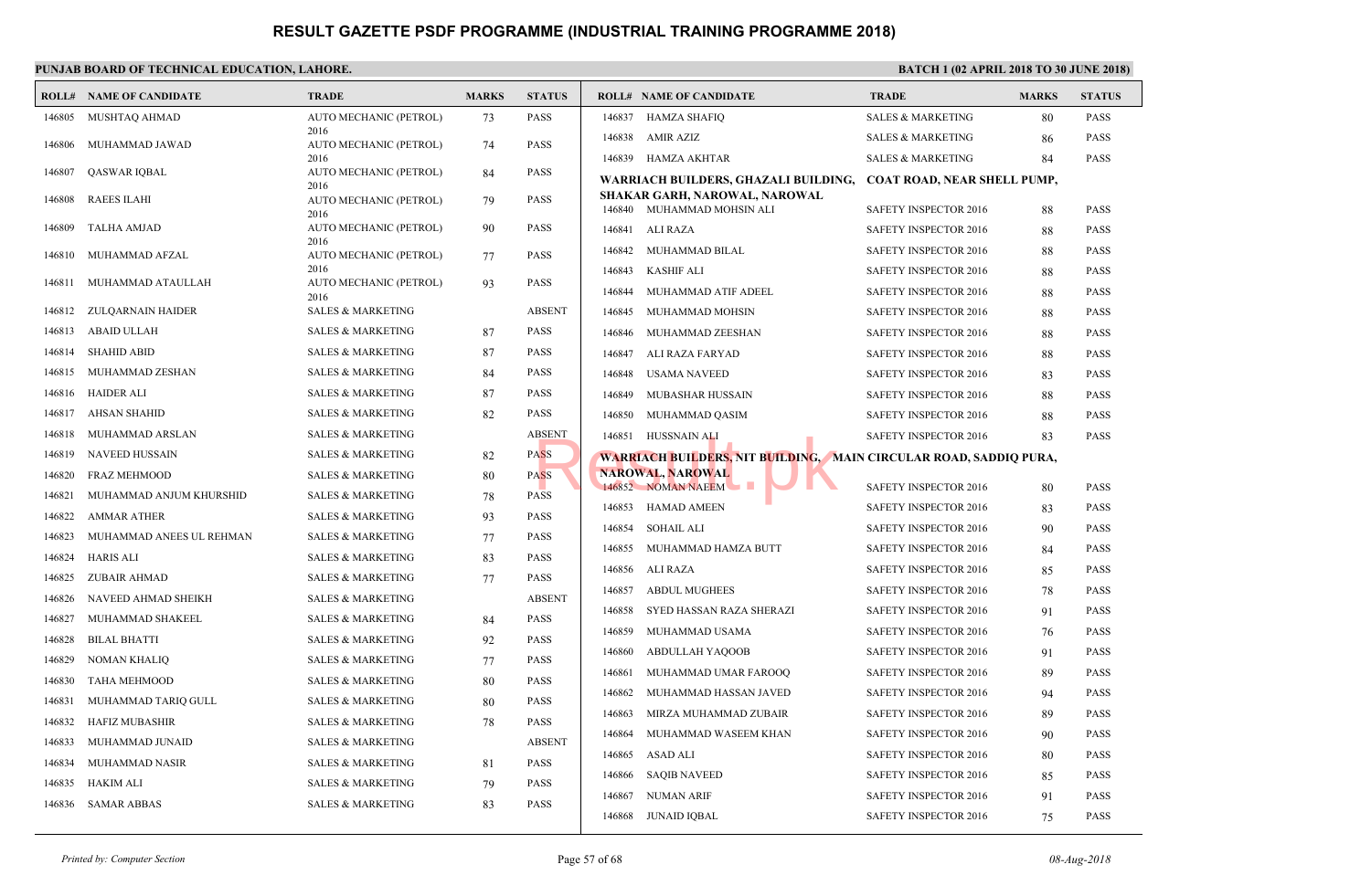|        | <b>ROLL# NAME OF CANDIDATE</b> | <b>TRADE</b>                         | <b>MARKS</b> | <b>STATUS</b> |        | <b>ROLL# NAME OF CANDIDATE</b>                              | <b>TRAL</b>  |
|--------|--------------------------------|--------------------------------------|--------------|---------------|--------|-------------------------------------------------------------|--------------|
| 146805 | MUSHTAQ AHMAD                  | AUTO MECHANIC (PETROL)               | 73           | <b>PASS</b>   | 146837 | <b>HAMZA SHAFIQ</b>                                         | <b>SALES</b> |
| 146806 | MUHAMMAD JAWAD                 | 2016<br>AUTO MECHANIC (PETROL)       | 74           | <b>PASS</b>   | 146838 | AMIR AZIZ                                                   | <b>SALES</b> |
|        |                                | 2016                                 |              |               |        | 146839 HAMZA AKHTAR                                         | <b>SALES</b> |
| 146807 | <b>QASWAR IQBAL</b>            | AUTO MECHANIC (PETROL)<br>2016       | 84           | <b>PASS</b>   |        | WARRIACH BUILDERS, GHAZALI BUILDING,                        | <b>COAT</b>  |
| 146808 | <b>RAEES ILAHI</b>             | AUTO MECHANIC (PETROL)               | 79           | <b>PASS</b>   |        | SHAKAR GARH, NAROWAL, NAROWAL<br>146840 MUHAMMAD MOHSIN ALI | <b>SAFET</b> |
| 146809 | <b>TALHA AMJAD</b>             | 2016<br>AUTO MECHANIC (PETROL)       | 90           | <b>PASS</b>   | 146841 | ALI RAZA                                                    | <b>SAFET</b> |
|        |                                | 2016                                 |              |               | 146842 | MUHAMMAD BILAL                                              | <b>SAFET</b> |
| 146810 | MUHAMMAD AFZAL                 | AUTO MECHANIC (PETROL)<br>2016       | 77           | <b>PASS</b>   | 146843 | <b>KASHIF ALI</b>                                           | <b>SAFET</b> |
| 146811 | MUHAMMAD ATAULLAH              | AUTO MECHANIC (PETROL)               | 93           | <b>PASS</b>   | 146844 | MUHAMMAD ATIF ADEEL                                         | <b>SAFET</b> |
| 146812 | ZULQARNAIN HAIDER              | 2016<br><b>SALES &amp; MARKETING</b> |              | <b>ABSENT</b> | 146845 | MUHAMMAD MOHSIN                                             | <b>SAFET</b> |
| 146813 | ABAID ULLAH                    | <b>SALES &amp; MARKETING</b>         | 87           | <b>PASS</b>   | 146846 | MUHAMMAD ZEESHAN                                            | <b>SAFET</b> |
| 146814 | <b>SHAHID ABID</b>             | <b>SALES &amp; MARKETING</b>         | 87           | <b>PASS</b>   | 146847 | ALI RAZA FARYAD                                             | <b>SAFET</b> |
| 146815 | MUHAMMAD ZESHAN                | <b>SALES &amp; MARKETING</b>         | 84           | <b>PASS</b>   | 146848 | USAMA NAVEED                                                | <b>SAFET</b> |
| 146816 | HAIDER ALI                     | <b>SALES &amp; MARKETING</b>         | 87           | <b>PASS</b>   | 146849 | MUBASHAR HUSSAIN                                            | <b>SAFET</b> |
| 146817 | <b>AHSAN SHAHID</b>            | <b>SALES &amp; MARKETING</b>         | 82           | <b>PASS</b>   | 146850 | MUHAMMAD QASIM                                              | <b>SAFET</b> |
| 146818 | MUHAMMAD ARSLAN                | <b>SALES &amp; MARKETING</b>         |              | <b>ABSENT</b> |        | 146851 HUSSNAIN ALI                                         | <b>SAFET</b> |
| 146819 | <b>NAVEED HUSSAIN</b>          | <b>SALES &amp; MARKETING</b>         | 82           | <b>PASS</b>   |        | <b>WARRIACH BUILDERS, NIT BUILDING, MAIN CIRC</b>           |              |
| 146820 | <b>FRAZ MEHMOOD</b>            | <b>SALES &amp; MARKETING</b>         | 80           | <b>PASS</b>   |        | <b>NAROWAL, NAROWAL</b>                                     |              |
| 146821 | MUHAMMAD ANJUM KHURSHID        | <b>SALES &amp; MARKETING</b>         | 78           | <b>PASS</b>   |        | 146852 NOMAN NAEEM<br>u II                                  | <b>SAFET</b> |
| 146822 | <b>AMMAR ATHER</b>             | <b>SALES &amp; MARKETING</b>         | 93           | <b>PASS</b>   | 146853 | HAMAD AMEEN                                                 | <b>SAFET</b> |
| 146823 | MUHAMMAD ANEES UL REHMAN       | <b>SALES &amp; MARKETING</b>         | 77           | <b>PASS</b>   | 146854 | <b>SOHAIL ALI</b>                                           | <b>SAFET</b> |
| 146824 | <b>HARIS ALI</b>               | <b>SALES &amp; MARKETING</b>         | 83           | <b>PASS</b>   | 146855 | MUHAMMAD HAMZA BUTT                                         | <b>SAFET</b> |
| 146825 | <b>ZUBAIR AHMAD</b>            | <b>SALES &amp; MARKETING</b>         | 77           | <b>PASS</b>   | 146856 | ALI RAZA                                                    | <b>SAFET</b> |
| 146826 | NAVEED AHMAD SHEIKH            | <b>SALES &amp; MARKETING</b>         |              | <b>ABSENT</b> | 146857 | <b>ABDUL MUGHEES</b>                                        | <b>SAFET</b> |
| 146827 | MUHAMMAD SHAKEEL               | <b>SALES &amp; MARKETING</b>         | 84           | <b>PASS</b>   | 146858 | SYED HASSAN RAZA SHERAZI                                    | <b>SAFET</b> |
| 146828 | <b>BILAL BHATTI</b>            | <b>SALES &amp; MARKETING</b>         | 92           | <b>PASS</b>   | 146859 | MUHAMMAD USAMA                                              | <b>SAFET</b> |
| 146829 | <b>NOMAN KHALIQ</b>            | <b>SALES &amp; MARKETING</b>         | 77           | <b>PASS</b>   | 146860 | ABDULLAH YAQOOB                                             | <b>SAFET</b> |
| 146830 | <b>TAHA MEHMOOD</b>            | <b>SALES &amp; MARKETING</b>         | 80           | <b>PASS</b>   | 146861 | MUHAMMAD UMAR FAROOQ                                        | <b>SAFET</b> |
| 146831 | MUHAMMAD TARIQ GULL            | <b>SALES &amp; MARKETING</b>         | 80           | <b>PASS</b>   | 146862 | MUHAMMAD HASSAN JAVED                                       | <b>SAFET</b> |
| 146832 | <b>HAFIZ MUBASHIR</b>          | <b>SALES &amp; MARKETING</b>         | 78           | <b>PASS</b>   | 146863 | MIRZA MUHAMMAD ZUBAIR                                       | <b>SAFET</b> |
| 146833 | MUHAMMAD JUNAID                | <b>SALES &amp; MARKETING</b>         |              | <b>ABSENT</b> | 146864 | MUHAMMAD WASEEM KHAN                                        | <b>SAFET</b> |
| 146834 | MUHAMMAD NASIR                 | <b>SALES &amp; MARKETING</b>         | 81           | <b>PASS</b>   | 146865 | ASAD ALI                                                    | <b>SAFET</b> |
| 146835 | <b>HAKIM ALI</b>               | <b>SALES &amp; MARKETING</b>         | 79           | <b>PASS</b>   | 146866 | SAQIB NAVEED                                                | <b>SAFET</b> |
| 146836 | <b>SAMAR ABBAS</b>             | <b>SALES &amp; MARKETING</b>         | 83           | <b>PASS</b>   | 146867 | <b>NUMAN ARIF</b>                                           | <b>SAFET</b> |
|        |                                |                                      |              |               | 146868 | JUNAID IQBAL                                                | <b>SAFET</b> |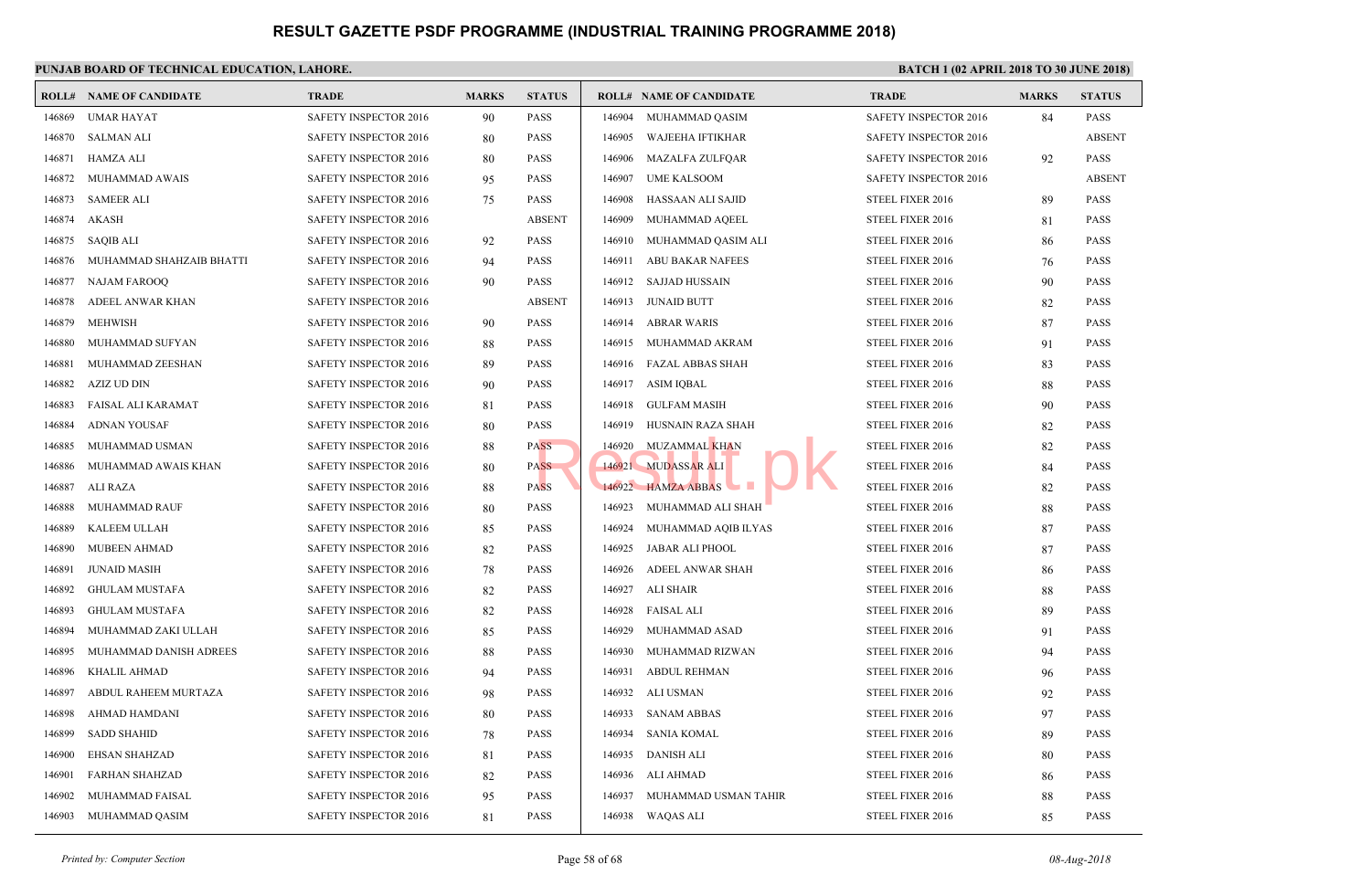|        | <b>ROLL# NAME OF CANDIDATE</b> | <b>TRADE</b>                 | <b>MARKS</b> | <b>STATUS</b> |        | <b>ROLL# NAME OF CANDIDATE</b> | <b>TRAL</b>  |
|--------|--------------------------------|------------------------------|--------------|---------------|--------|--------------------------------|--------------|
| 146869 | <b>UMAR HAYAT</b>              | SAFETY INSPECTOR 2016        | 90           | <b>PASS</b>   | 146904 | MUHAMMAD QASIM                 | <b>SAFET</b> |
| 146870 | SALMAN ALI                     | <b>SAFETY INSPECTOR 2016</b> | 80           | <b>PASS</b>   | 146905 | <b>WAJEEHA IFTIKHAR</b>        | <b>SAFET</b> |
| 146871 | HAMZA ALI                      | SAFETY INSPECTOR 2016        | 80           | <b>PASS</b>   | 146906 | <b>MAZALFA ZULFQAR</b>         | <b>SAFET</b> |
| 146872 | MUHAMMAD AWAIS                 | SAFETY INSPECTOR 2016        | 95           | <b>PASS</b>   | 146907 | UME KALSOOM                    | <b>SAFET</b> |
| 146873 | <b>SAMEER ALI</b>              | SAFETY INSPECTOR 2016        | 75           | <b>PASS</b>   | 146908 | HASSAAN ALI SAJID              | <b>STEEL</b> |
| 146874 | <b>AKASH</b>                   | SAFETY INSPECTOR 2016        |              | <b>ABSENT</b> | 146909 | MUHAMMAD AQEEL                 | <b>STEEL</b> |
| 146875 | SAQIB ALI                      | SAFETY INSPECTOR 2016        | 92           | <b>PASS</b>   | 146910 | MUHAMMAD QASIM ALI             | <b>STEEL</b> |
| 146876 | MUHAMMAD SHAHZAIB BHATTI       | SAFETY INSPECTOR 2016        | 94           | <b>PASS</b>   | 146911 | <b>ABU BAKAR NAFEES</b>        | <b>STEEL</b> |
| 146877 | <b>NAJAM FAROOQ</b>            | SAFETY INSPECTOR 2016        | 90           | <b>PASS</b>   | 146912 | SAJJAD HUSSAIN                 | <b>STEEL</b> |
| 146878 | ADEEL ANWAR KHAN               | SAFETY INSPECTOR 2016        |              | <b>ABSENT</b> | 146913 | <b>JUNAID BUTT</b>             | <b>STEEL</b> |
| 146879 | <b>MEHWISH</b>                 | SAFETY INSPECTOR 2016        | 90           | <b>PASS</b>   | 146914 | <b>ABRAR WARIS</b>             | <b>STEEL</b> |
| 146880 | MUHAMMAD SUFYAN                | SAFETY INSPECTOR 2016        | 88           | <b>PASS</b>   | 146915 | MUHAMMAD AKRAM                 | <b>STEEL</b> |
| 146881 | MUHAMMAD ZEESHAN               | SAFETY INSPECTOR 2016        | 89           | <b>PASS</b>   | 146916 | FAZAL ABBAS SHAH               | <b>STEEL</b> |
| 146882 | AZIZ UD DIN                    | SAFETY INSPECTOR 2016        | 90           | <b>PASS</b>   | 146917 | ASIM IQBAL                     | <b>STEEL</b> |
| 146883 | FAISAL ALI KARAMAT             | SAFETY INSPECTOR 2016        | 81           | <b>PASS</b>   | 146918 | <b>GULFAM MASIH</b>            | <b>STEEL</b> |
| 146884 | <b>ADNAN YOUSAF</b>            | SAFETY INSPECTOR 2016        | 80           | <b>PASS</b>   | 146919 | HUSNAIN RAZA SHAH              | <b>STEEL</b> |
| 146885 | MUHAMMAD USMAN                 | SAFETY INSPECTOR 2016        | 88           | <b>PASS</b>   | 146920 | <b>MUZAMMAL KHAN</b>           | <b>STEEL</b> |
| 146886 | MUHAMMAD AWAIS KHAN            | <b>SAFETY INSPECTOR 2016</b> | 80           | <b>PASS</b>   | 146921 | <b>MUDASSAR ALI</b>            | <b>STEEL</b> |
| 146887 | ALI RAZA                       | SAFETY INSPECTOR 2016        | 88           | <b>PASS</b>   |        | 146922 HAMZA ABBAS             | <b>STEEL</b> |
| 146888 | MUHAMMAD RAUF                  | SAFETY INSPECTOR 2016        | 80           | <b>PASS</b>   | 146923 | MUHAMMAD ALI SHAH              | <b>STEEL</b> |
| 146889 | KALEEM ULLAH                   | SAFETY INSPECTOR 2016        | 85           | <b>PASS</b>   | 146924 | MUHAMMAD AQIB ILYAS            | <b>STEEL</b> |
| 146890 | <b>MUBEEN AHMAD</b>            | SAFETY INSPECTOR 2016        | 82           | <b>PASS</b>   | 146925 | JABAR ALI PHOOL                | <b>STEEL</b> |
| 146891 | <b>JUNAID MASIH</b>            | SAFETY INSPECTOR 2016        | 78           | <b>PASS</b>   | 146926 | ADEEL ANWAR SHAH               | <b>STEEL</b> |
| 146892 | <b>GHULAM MUSTAFA</b>          | <b>SAFETY INSPECTOR 2016</b> | 82           | <b>PASS</b>   | 146927 | ALI SHAIR                      | <b>STEEL</b> |
| 146893 | <b>GHULAM MUSTAFA</b>          | SAFETY INSPECTOR 2016        | 82           | <b>PASS</b>   | 146928 | <b>FAISAL ALI</b>              | <b>STEEL</b> |
| 146894 | MUHAMMAD ZAKI ULLAH            | SAFETY INSPECTOR 2016        | 85           | <b>PASS</b>   | 146929 | MUHAMMAD ASAD                  | <b>STEEL</b> |
| 146895 | MUHAMMAD DANISH ADREES         | SAFETY INSPECTOR 2016        | 88           | <b>PASS</b>   | 146930 | MUHAMMAD RIZWAN                | <b>STEEL</b> |
| 146896 | <b>KHALIL AHMAD</b>            | SAFETY INSPECTOR 2016        | 94           | <b>PASS</b>   | 146931 | <b>ABDUL REHMAN</b>            | <b>STEEL</b> |
| 146897 | ABDUL RAHEEM MURTAZA           | SAFETY INSPECTOR 2016        | 98           | <b>PASS</b>   | 146932 | ALI USMAN                      | <b>STEEL</b> |
| 146898 | AHMAD HAMDANI                  | SAFETY INSPECTOR 2016        | 80           | <b>PASS</b>   | 146933 | <b>SANAM ABBAS</b>             | <b>STEEL</b> |
| 146899 | <b>SADD SHAHID</b>             | SAFETY INSPECTOR 2016        | 78           | <b>PASS</b>   | 146934 | SANIA KOMAL                    | <b>STEEL</b> |
| 146900 | EHSAN SHAHZAD                  | SAFETY INSPECTOR 2016        | 81           | <b>PASS</b>   | 146935 | DANISH ALI                     | <b>STEEL</b> |
| 146901 | <b>FARHAN SHAHZAD</b>          | SAFETY INSPECTOR 2016        | 82           | <b>PASS</b>   | 146936 | ALI AHMAD                      | <b>STEEL</b> |
| 146902 | MUHAMMAD FAISAL                | <b>SAFETY INSPECTOR 2016</b> | 95           | <b>PASS</b>   | 146937 | MUHAMMAD USMAN TAHIR           | <b>STEEL</b> |
| 146903 | MUHAMMAD QASIM                 | SAFETY INSPECTOR 2016        | 81           | <b>PASS</b>   |        | 146938 WAQAS ALI               | <b>STEEL</b> |
|        |                                |                              |              |               |        |                                |              |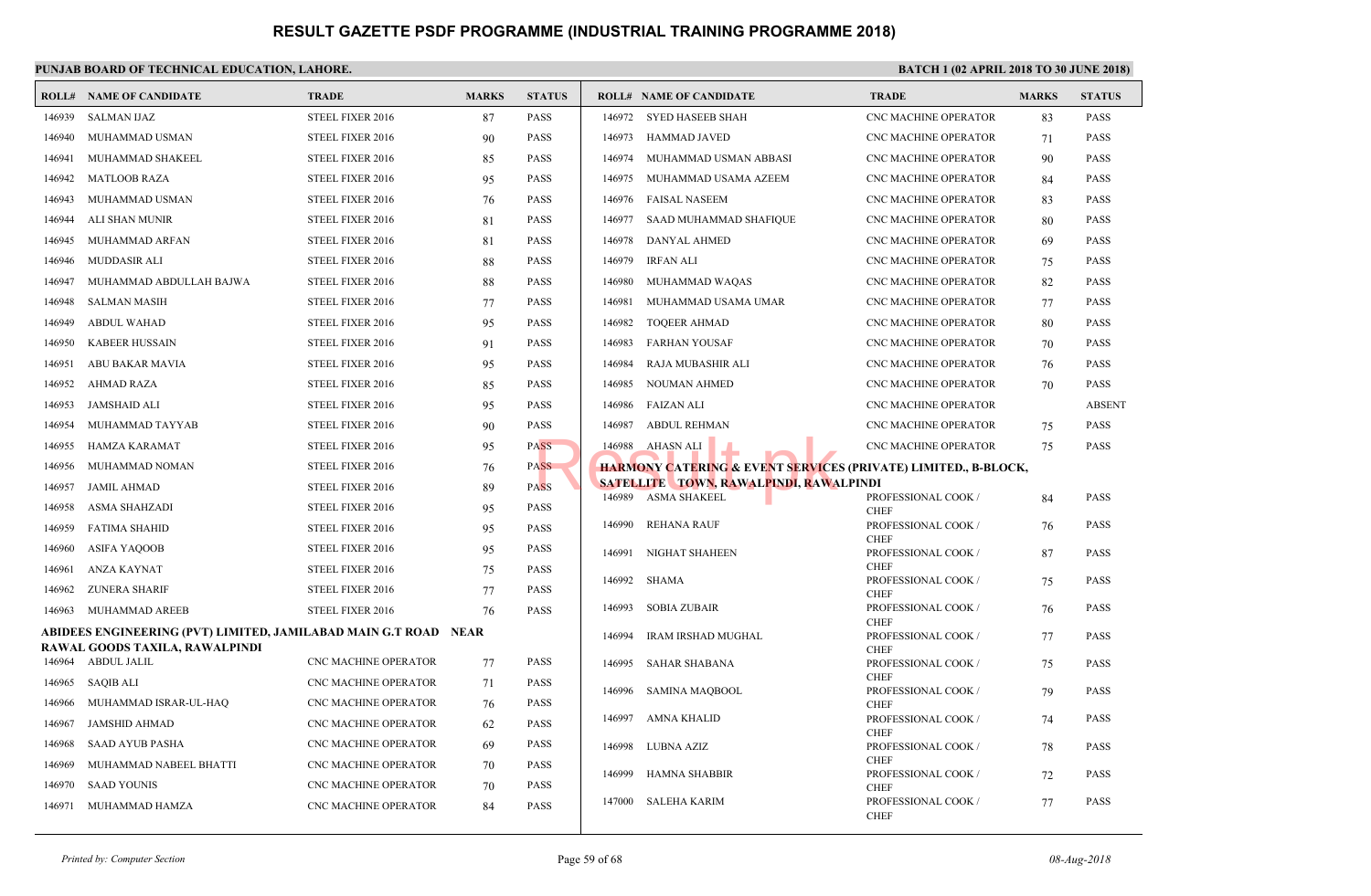|        | <b>ROLL# NAME OF CANDIDATE</b>                                     | <b>TRADE</b>                | <b>MARKS</b> | <b>STATUS</b> |        | <b>ROLL# NAME OF CANDIDATE</b>                       | <b>TRAL</b>                 |
|--------|--------------------------------------------------------------------|-----------------------------|--------------|---------------|--------|------------------------------------------------------|-----------------------------|
| 146939 | <b>SALMAN IJAZ</b>                                                 | STEEL FIXER 2016            | 87           | PASS          |        | 146972 SYED HASEEB SHAH                              | CNC <sub>N</sub>            |
| 146940 | MUHAMMAD USMAN                                                     | STEEL FIXER 2016            | 90           | PASS          | 146973 | <b>HAMMAD JAVED</b>                                  | CNC <sub>N</sub>            |
| 146941 | MUHAMMAD SHAKEEL                                                   | STEEL FIXER 2016            |              | PASS          | 146974 | MUHAMMAD USMAN ABBASI                                | CNC <sub>N</sub>            |
|        |                                                                    |                             | 85           |               |        |                                                      |                             |
| 146942 | <b>MATLOOB RAZA</b>                                                | STEEL FIXER 2016            | 95           | PASS          | 146975 | MUHAMMAD USAMA AZEEM                                 | CNC <sub>N</sub>            |
| 146943 | MUHAMMAD USMAN                                                     | STEEL FIXER 2016            | 76           | PASS          | 146976 | FAISAL NASEEM                                        | CNC <sub>N</sub>            |
| 146944 | ALI SHAN MUNIR                                                     | STEEL FIXER 2016            | 81           | PASS          | 146977 | SAAD MUHAMMAD SHAFIQUE                               | CNC <sub>N</sub>            |
| 146945 | MUHAMMAD ARFAN                                                     | STEEL FIXER 2016            | 81           | PASS          | 146978 | DANYAL AHMED                                         | CNC <sub>N</sub>            |
| 146946 | <b>MUDDASIR ALI</b>                                                | STEEL FIXER 2016            | 88           | PASS          | 146979 | <b>IRFAN ALI</b>                                     | CNC <sub>N</sub>            |
| 146947 | MUHAMMAD ABDULLAH BAJWA                                            | STEEL FIXER 2016            | 88           | PASS          | 146980 | MUHAMMAD WAQAS                                       | CNC <sub>N</sub>            |
| 146948 | <b>SALMAN MASIH</b>                                                | STEEL FIXER 2016            | 77           | PASS          | 146981 | MUHAMMAD USAMA UMAR                                  | CNC <sub>N</sub>            |
| 146949 | <b>ABDUL WAHAD</b>                                                 | STEEL FIXER 2016            | 95           | PASS          | 146982 | <b>TOQEER AHMAD</b>                                  | CNC <sub>N</sub>            |
| 146950 | <b>KABEER HUSSAIN</b>                                              | STEEL FIXER 2016            | 91           | PASS          | 146983 | <b>FARHAN YOUSAF</b>                                 | CNC <sub>N</sub>            |
| 146951 | ABU BAKAR MAVIA                                                    | STEEL FIXER 2016            | 95           | PASS          | 146984 | RAJA MUBASHIR ALI                                    | CNC <sub>N</sub>            |
| 146952 | AHMAD RAZA                                                         | STEEL FIXER 2016            | 85           | PASS          | 146985 | NOUMAN AHMED                                         | CNC <sub>N</sub>            |
| 146953 | JAMSHAID ALI                                                       | STEEL FIXER 2016            | 95           | PASS          | 146986 | FAIZAN ALI                                           | CNC <sub>N</sub>            |
| 146954 | MUHAMMAD TAYYAB                                                    | STEEL FIXER 2016            | 90           | PASS          | 146987 | <b>ABDUL REHMAN</b>                                  | CNC <sub>N</sub>            |
| 146955 | HAMZA KARAMAT                                                      | STEEL FIXER 2016            | 95           | <b>PASS</b>   | 146988 | AHASN ALI                                            | CNC <sub>N</sub>            |
| 146956 | MUHAMMAD NOMAN                                                     | STEEL FIXER 2016            | 76           | <b>PASS</b>   |        | <b>HARMONY CATERING &amp; EVENT SERVICES (PRIVAT</b> |                             |
| 146957 | <b>JAMIL AHMAD</b>                                                 | STEEL FIXER 2016            | 89           | <b>PASS</b>   |        | <b>SATELLITE TOWN, RAWALPINDI, RAWALPINDI</b>        |                             |
| 146958 | ASMA SHAHZADI                                                      | STEEL FIXER 2016            | 95           | PASS          |        | 146989 ASMA SHAKEEL                                  | <b>PROFE</b>                |
|        |                                                                    |                             |              |               | 146990 | <b>REHANA RAUF</b>                                   | <b>CHEF</b><br><b>PROFE</b> |
| 146959 | <b>FATIMA SHAHID</b>                                               | STEEL FIXER 2016            | 95           | PASS          |        |                                                      | <b>CHEF</b>                 |
| 146960 | <b>ASIFA YAQOOB</b>                                                | STEEL FIXER 2016            | 95           | PASS          | 146991 | NIGHAT SHAHEEN                                       | <b>PROFE</b><br><b>CHEF</b> |
| 146961 | ANZA KAYNAT                                                        | STEEL FIXER 2016            | 75           | PASS          | 146992 | SHAMA                                                | <b>PROFE</b>                |
| 146962 | <b>ZUNERA SHARIF</b>                                               | STEEL FIXER 2016            | 77           | PASS          |        |                                                      | <b>CHEF</b>                 |
| 146963 | MUHAMMAD AREEB                                                     | STEEL FIXER 2016            | 76           | PASS          | 146993 | <b>SOBIA ZUBAIR</b>                                  | <b>PROFE</b><br><b>CHEF</b> |
|        | ABIDEES ENGINEERING (PVT) LIMITED, JAMILABAD MAIN G.T ROAD    NEAR |                             |              |               | 146994 | <b>IRAM IRSHAD MUGHAL</b>                            | <b>PROFE</b>                |
|        | RAWAL GOODS TAXILA, RAWALPINDI<br>146964 ABDUL JALIL               | CNC MACHINE OPERATOR        | 77           | PASS          |        |                                                      | <b>CHEF</b>                 |
| 146965 | SAQIB ALI                                                          | CNC MACHINE OPERATOR        |              | PASS          | 146995 | SAHAR SHABANA                                        | <b>PROFE</b><br><b>CHEF</b> |
|        |                                                                    |                             | 71           |               | 146996 | SAMINA MAQBOOL                                       | <b>PROFE</b>                |
| 146966 | MUHAMMAD ISRAR-UL-HAQ                                              | CNC MACHINE OPERATOR        | 76           | PASS          | 146997 | AMNA KHALID                                          | <b>CHEF</b><br><b>PROFE</b> |
| 146967 | <b>JAMSHID AHMAD</b>                                               | <b>CNC MACHINE OPERATOR</b> | 62           | PASS          |        |                                                      | <b>CHEF</b>                 |
| 146968 | <b>SAAD AYUB PASHA</b>                                             | CNC MACHINE OPERATOR        | 69           | <b>PASS</b>   | 146998 | LUBNA AZIZ                                           | <b>PROFE</b>                |
| 146969 | MUHAMMAD NABEEL BHATTI                                             | CNC MACHINE OPERATOR        | 70           | PASS          | 146999 | HAMNA SHABBIR                                        | <b>CHEF</b><br><b>PROFE</b> |
| 146970 | <b>SAAD YOUNIS</b>                                                 | CNC MACHINE OPERATOR        | 70           | PASS          |        |                                                      | <b>CHEF</b>                 |
| 146971 | MUHAMMAD HAMZA                                                     | <b>CNC MACHINE OPERATOR</b> | 84           | PASS          | 147000 | <b>SALEHA KARIM</b>                                  | <b>PROFE</b><br><b>CHEF</b> |
|        |                                                                    |                             |              |               |        |                                                      |                             |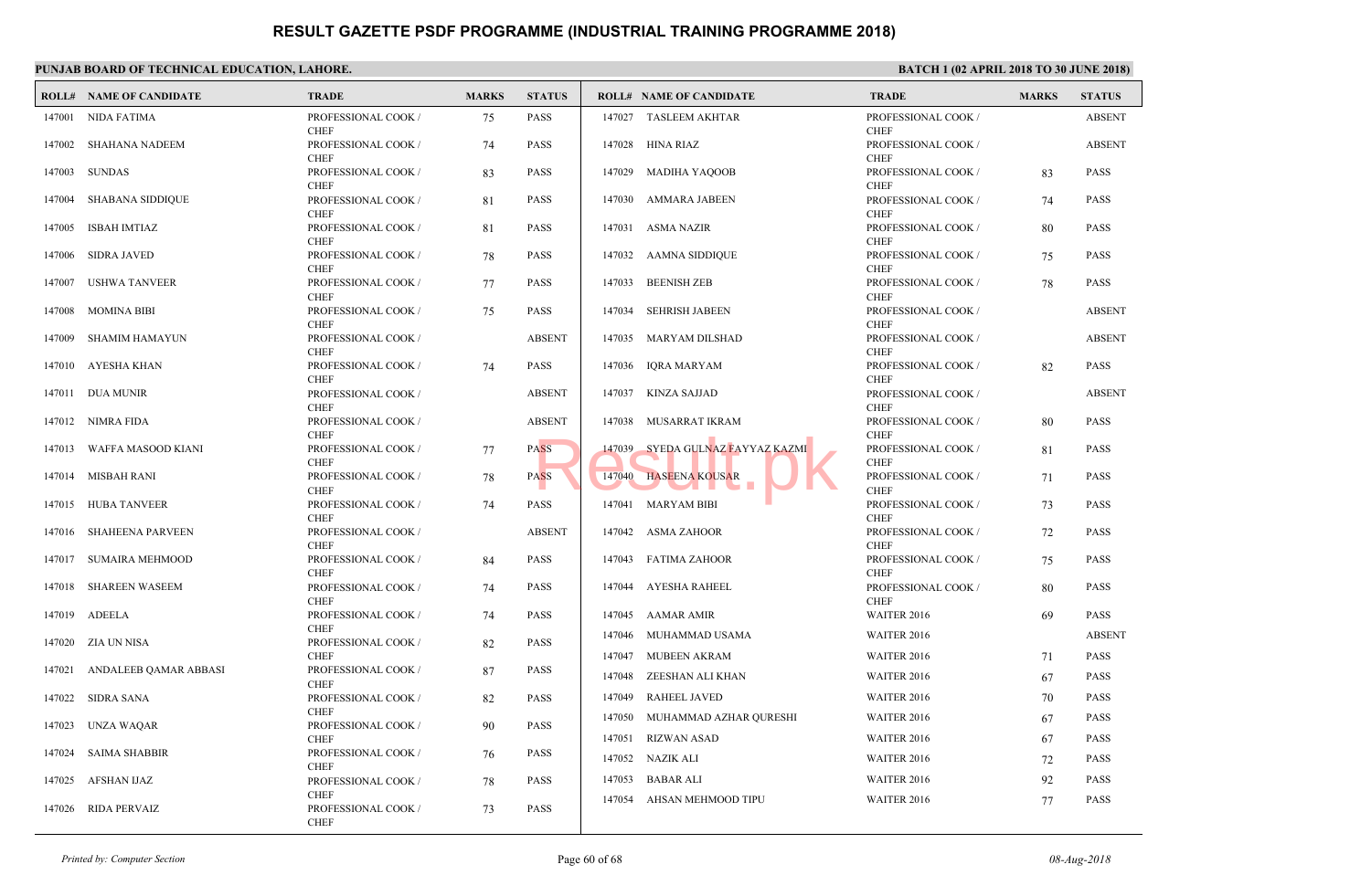|        | <b>ROLL# NAME OF CANDIDATE</b> | <b>TRADE</b>                                      | <b>MARKS</b> | <b>STATUS</b> |                  | <b>ROLL# NAME OF CANDIDATE</b>               | <b>TRAL</b>                                |
|--------|--------------------------------|---------------------------------------------------|--------------|---------------|------------------|----------------------------------------------|--------------------------------------------|
| 147001 | NIDA FATIMA                    | PROFESSIONAL COOK /<br><b>CHEF</b>                | 75           | <b>PASS</b>   |                  | 147027 TASLEEM AKHTAR                        | <b>PROFE</b><br><b>CHEF</b>                |
|        | 147002 SHAHANA NADEEM          | PROFESSIONAL COOK /                               | 74           | <b>PASS</b>   |                  | 147028 HINA RIAZ                             | <b>PROFE</b>                               |
| 147003 | SUNDAS                         | <b>CHEF</b><br>PROFESSIONAL COOK /                | 83           | <b>PASS</b>   |                  | 147029 MADIHA YAQOOB                         | <b>CHEF</b><br><b>PROFE</b>                |
| 147004 | <b>SHABANA SIDDIQUE</b>        | <b>CHEF</b><br>PROFESSIONAL COOK /<br><b>CHEF</b> | 81           | <b>PASS</b>   |                  | 147030 AMMARA JABEEN                         | <b>CHEF</b><br><b>PROFE</b><br><b>CHEF</b> |
| 147005 | ISBAH IMTIAZ                   | PROFESSIONAL COOK /<br><b>CHEF</b>                | 81           | <b>PASS</b>   |                  | 147031 ASMA NAZIR                            | <b>PROFE</b><br><b>CHEF</b>                |
| 147006 | SIDRA JAVED                    | PROFESSIONAL COOK /<br><b>CHEF</b>                | 78           | <b>PASS</b>   |                  | 147032 AAMNA SIDDIQUE                        | <b>PROFE</b><br><b>CHEF</b>                |
| 147007 | USHWA TANVEER                  | PROFESSIONAL COOK /<br><b>CHEF</b>                | 77           | <b>PASS</b>   | 147033           | <b>BEENISH ZEB</b>                           | <b>PROFE</b><br><b>CHEF</b>                |
| 147008 | MOMINA BIBI                    | PROFESSIONAL COOK /<br><b>CHEF</b>                | 75           | <b>PASS</b>   | 147034           | <b>SEHRISH JABEEN</b>                        | <b>PROFE</b><br><b>CHEF</b>                |
| 147009 | SHAMIM HAMAYUN                 | PROFESSIONAL COOK /<br><b>CHEF</b>                |              | <b>ABSENT</b> |                  | 147035 MARYAM DILSHAD                        | <b>PROFE</b><br><b>CHEF</b>                |
|        | 147010 AYESHA KHAN             | PROFESSIONAL COOK /<br><b>CHEF</b>                | 74           | <b>PASS</b>   |                  | 147036 IQRA MARYAM                           | <b>PROFE</b><br><b>CHEF</b>                |
|        | 147011 DUA MUNIR               | PROFESSIONAL COOK /<br><b>CHEF</b>                |              | <b>ABSENT</b> |                  | 147037 KINZA SAJJAD                          | <b>PROFE</b><br><b>CHEF</b>                |
|        | 147012 NIMRA FIDA              | PROFESSIONAL COOK /<br><b>CHEF</b>                |              | <b>ABSENT</b> | 147038           | MUSARRAT IKRAM                               | <b>PROFE</b><br><b>CHEF</b>                |
|        | 147013 WAFFA MASOOD KIANI      | PROFESSIONAL COOK /<br><b>CHEF</b>                | 77           | <b>PASS</b>   |                  | 147039 SYEDA GULNAZ FAYYAZ KAZMI             | <b>PROFE</b><br><b>CHEF</b>                |
|        | 147014 MISBAH RANI             | PROFESSIONAL COOK /<br><b>CHEF</b>                | 78           | <b>PASS</b>   |                  | 147040 HASEENA KOUSAR<br>a s                 | <b>PROFE</b><br><b>CHEF</b>                |
|        | 147015 HUBA TANVEER            | PROFESSIONAL COOK /<br><b>CHEF</b>                | 74           | <b>PASS</b>   | 147041           | <b>MARYAM BIBI</b>                           | <b>PROFE</b><br><b>CHEF</b>                |
| 147016 | <b>SHAHEENA PARVEEN</b>        | PROFESSIONAL COOK /<br><b>CHEF</b>                |              | <b>ABSENT</b> |                  | 147042 ASMA ZAHOOR                           | <b>PROFE</b><br><b>CHEF</b>                |
|        | 147017 SUMAIRA MEHMOOD         | PROFESSIONAL COOK /<br><b>CHEF</b>                | 84           | <b>PASS</b>   | 147043           | FATIMA ZAHOOR                                | <b>PROFE</b><br><b>CHEF</b>                |
|        | 147018 SHAREEN WASEEM          | PROFESSIONAL COOK /<br><b>CHEF</b>                | 74           | <b>PASS</b>   |                  | 147044 AYESHA RAHEEL                         | <b>PROFE</b><br><b>CHEF</b>                |
|        | 147019 ADEELA                  | PROFESSIONAL COOK /<br><b>CHEF</b>                | 74           | <b>PASS</b>   |                  | 147045 AAMAR AMIR                            | <b>WAITE</b>                               |
| 147020 | ZIA UN NISA                    | PROFESSIONAL COOK /<br><b>CHEF</b>                | 82           | <b>PASS</b>   |                  | 147046 MUHAMMAD USAMA<br>147047 MUBEEN AKRAM | <b>WAITI</b><br><b>WAITI</b>               |
| 147021 | ANDALEEB QAMAR ABBASI          | PROFESSIONAL COOK /<br><b>CHEF</b>                | 87           | <b>PASS</b>   | 147048           | ZEESHAN ALI KHAN                             | <b>WAITI</b>                               |
|        | 147022 SIDRA SANA              | PROFESSIONAL COOK /<br><b>CHEF</b>                | 82           | <b>PASS</b>   | 147049           | <b>RAHEEL JAVED</b>                          | <b>WAITE</b>                               |
|        | 147023 UNZA WAQAR              | PROFESSIONAL COOK /<br><b>CHEF</b>                | 90           | <b>PASS</b>   | 147050<br>147051 | MUHAMMAD AZHAR QURESHI<br>RIZWAN ASAD        | <b>WAITI</b><br><b>WAITE</b>               |
| 147024 | <b>SAIMA SHABBIR</b>           | PROFESSIONAL COOK /<br><b>CHEF</b>                | 76           | <b>PASS</b>   | 147052           | NAZIK ALI                                    | <b>WAITE</b>                               |
|        | 147025 AFSHAN IJAZ             | PROFESSIONAL COOK /                               | 78           | <b>PASS</b>   | 147053           | <b>BABAR ALI</b>                             | <b>WAITE</b>                               |
|        | 147026 RIDA PERVAIZ            | <b>CHEF</b><br>PROFESSIONAL COOK /<br><b>CHEF</b> | 73           | PASS          | 147054           | AHSAN MEHMOOD TIPU                           | <b>WAITI</b>                               |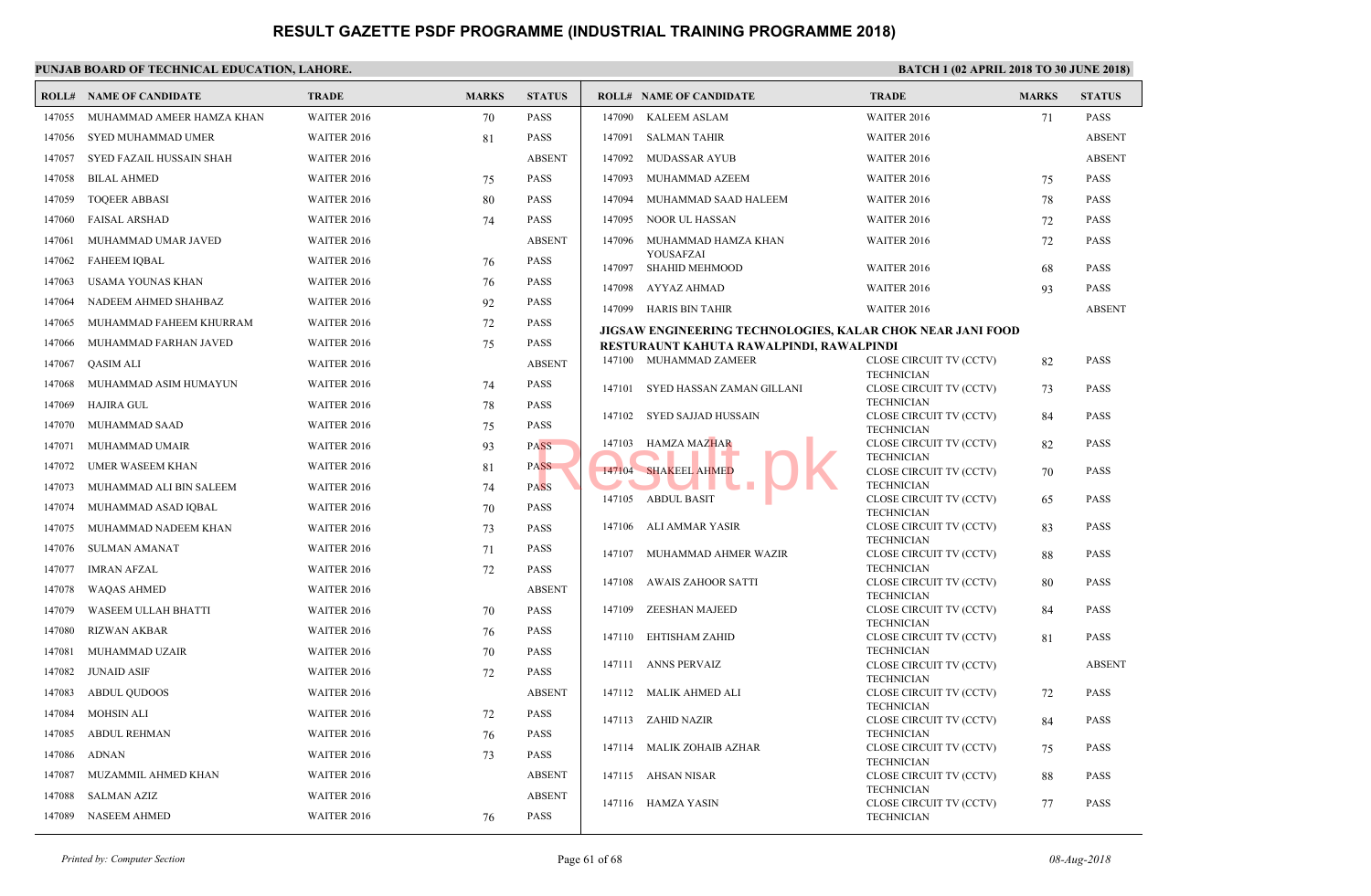|        | <b>ROLL# NAME OF CANDIDATE</b> | <b>TRADE</b>       | <b>MARKS</b> | <b>STATUS</b> |        | <b>ROLL# NAME OF CANDIDATE</b>                                                        | <b>TRAL</b>                  |
|--------|--------------------------------|--------------------|--------------|---------------|--------|---------------------------------------------------------------------------------------|------------------------------|
| 147055 | MUHAMMAD AMEER HAMZA KHAN      | WAITER 2016        | 70           | <b>PASS</b>   | 147090 | <b>KALEEM ASLAM</b>                                                                   | <b>WAITI</b>                 |
| 147056 | SYED MUHAMMAD UMER             | WAITER 2016        | 81           | <b>PASS</b>   | 147091 | <b>SALMAN TAHIR</b>                                                                   | <b>WAITI</b>                 |
| 147057 | SYED FAZAIL HUSSAIN SHAH       | WAITER 2016        |              | <b>ABSENT</b> | 147092 | MUDASSAR AYUB                                                                         | <b>WAITI</b>                 |
| 147058 | <b>BILAL AHMED</b>             | <b>WAITER 2016</b> | 75           | <b>PASS</b>   | 147093 | MUHAMMAD AZEEM                                                                        | <b>WAITI</b>                 |
| 147059 | <b>TOQEER ABBASI</b>           | <b>WAITER 2016</b> | 80           | <b>PASS</b>   | 147094 | MUHAMMAD SAAD HALEEM                                                                  | <b>WAITI</b>                 |
| 147060 | <b>FAISAL ARSHAD</b>           | <b>WAITER 2016</b> | 74           | <b>PASS</b>   | 147095 | NOOR UL HASSAN                                                                        | <b>WAITI</b>                 |
| 147061 | MUHAMMAD UMAR JAVED            | WAITER 2016        |              | <b>ABSENT</b> | 147096 | MUHAMMAD HAMZA KHAN                                                                   | <b>WAITI</b>                 |
| 147062 | <b>FAHEEM IQBAL</b>            | WAITER 2016        | 76           | <b>PASS</b>   | 147097 | YOUSAFZAI                                                                             | <b>WAITI</b>                 |
| 147063 | USAMA YOUNAS KHAN              | <b>WAITER 2016</b> | 76           | <b>PASS</b>   |        | SHAHID MEHMOOD                                                                        | <b>WAITI</b>                 |
| 147064 | NADEEM AHMED SHAHBAZ           | <b>WAITER 2016</b> | 92           | <b>PASS</b>   | 147098 | AYYAZ AHMAD                                                                           |                              |
| 147065 | MUHAMMAD FAHEEM KHURRAM        | <b>WAITER 2016</b> | 72           | <b>PASS</b>   | 147099 | HARIS BIN TAHIR                                                                       | WAITI                        |
| 147066 | MUHAMMAD FARHAN JAVED          | <b>WAITER 2016</b> | 75           | <b>PASS</b>   |        | JIGSAW ENGINEERING TECHNOLOGIES, KALAR CH<br>RESTURAUNT KAHUTA RAWALPINDI, RAWALPINDI |                              |
| 147067 | QASIM ALI                      | WAITER 2016        |              | <b>ABSENT</b> |        | 147100 MUHAMMAD ZAMEER                                                                | <b>CLOSE</b>                 |
| 147068 | MUHAMMAD ASIM HUMAYUN          | WAITER 2016        | 74           | <b>PASS</b>   |        |                                                                                       | <b>TECHI</b>                 |
| 147069 | <b>HAJIRA GUL</b>              | WAITER 2016        | 78           | <b>PASS</b>   | 147101 | SYED HASSAN ZAMAN GILLANI                                                             | <b>CLOSE</b><br><b>TECHI</b> |
| 147070 | MUHAMMAD SAAD                  | <b>WAITER 2016</b> | 75           | <b>PASS</b>   | 147102 | SYED SAJJAD HUSSAIN                                                                   | <b>CLOSE</b>                 |
| 147071 | MUHAMMAD UMAIR                 | <b>WAITER 2016</b> | 93           | <b>PASS</b>   | 147103 | HAMZA MAZHAR                                                                          | <b>TECHI</b><br><b>CLOSE</b> |
| 147072 | <b>UMER WASEEM KHAN</b>        | <b>WAITER 2016</b> | 81           | <b>PASS</b>   |        |                                                                                       | <b>TECHI</b>                 |
| 147073 | MUHAMMAD ALI BIN SALEEM        | WAITER 2016        | 74           | <b>PASS</b>   | 147104 | <b>SHAKEEL AHMED</b>                                                                  | <b>CLOSE</b><br><b>TECHN</b> |
| 147074 |                                |                    |              | <b>PASS</b>   |        | 147105 ABDUL BASIT                                                                    | <b>CLOSE</b>                 |
|        | MUHAMMAD ASAD IQBAL            | WAITER 2016        | 70           |               | 147106 | ALI AMMAR YASIR                                                                       | <b>TECHI</b><br><b>CLOSE</b> |
| 147075 | MUHAMMAD NADEEM KHAN           | WAITER 2016        | 73           | <b>PASS</b>   |        |                                                                                       | <b>TECHI</b>                 |
| 147076 | SULMAN AMANAT                  | <b>WAITER 2016</b> | 71           | <b>PASS</b>   | 147107 | MUHAMMAD AHMER WAZIR                                                                  | <b>CLOSE</b>                 |
| 147077 | <b>IMRAN AFZAL</b>             | <b>WAITER 2016</b> | 72           | <b>PASS</b>   | 147108 | AWAIS ZAHOOR SATTI                                                                    | <b>TECHI</b><br><b>CLOSE</b> |
| 147078 | <b>WAQAS AHMED</b>             | <b>WAITER 2016</b> |              | <b>ABSENT</b> |        |                                                                                       | <b>TECHI</b>                 |
| 147079 | WASEEM ULLAH BHATTI            | <b>WAITER 2016</b> | 70           | <b>PASS</b>   | 147109 | ZEESHAN MAJEED                                                                        | <b>CLOSE</b><br><b>TECHI</b> |
| 147080 | <b>RIZWAN AKBAR</b>            | WAITER 2016        | 76           | <b>PASS</b>   | 147110 | EHTISHAM ZAHID                                                                        | <b>CLOSE</b>                 |
| 147081 | MUHAMMAD UZAIR                 | WAITER 2016        | 70           | <b>PASS</b>   | 147111 | ANNS PERVAIZ                                                                          | <b>TECHI</b><br><b>CLOSE</b> |
| 147082 | <b>JUNAID ASIF</b>             | <b>WAITER 2016</b> | 72           | <b>PASS</b>   |        |                                                                                       | <b>TECHI</b>                 |
| 147083 | <b>ABDUL OUDOOS</b>            | <b>WAITER 2016</b> |              | <b>ABSENT</b> | 147112 | MALIK AHMED ALI                                                                       | <b>CLOSE</b><br><b>TECHI</b> |
| 147084 | <b>MOHSIN ALI</b>              | <b>WAITER 2016</b> | 72           | <b>PASS</b>   |        | 147113 ZAHID NAZIR                                                                    | <b>CLOSE</b>                 |
| 147085 | <b>ABDUL REHMAN</b>            | <b>WAITER 2016</b> | 76           | <b>PASS</b>   |        |                                                                                       | <b>TECHI</b>                 |
| 147086 | <b>ADNAN</b>                   | WAITER 2016        | 73           | <b>PASS</b>   |        | 147114 MALIK ZOHAIB AZHAR                                                             | <b>CLOSI</b><br><b>TECHI</b> |
| 147087 | MUZAMMIL AHMED KHAN            | WAITER 2016        |              | <b>ABSENT</b> |        | 147115 AHSAN NISAR                                                                    | <b>CLOSE</b>                 |
| 147088 | SALMAN AZIZ                    | WAITER 2016        |              | <b>ABSENT</b> | 147116 | HAMZA YASIN                                                                           | <b>TECHI</b><br><b>CLOSI</b> |
| 147089 | <b>NASEEM AHMED</b>            | WAITER 2016        | 76           | <b>PASS</b>   |        |                                                                                       | <b>TECHN</b>                 |
|        |                                |                    |              |               |        |                                                                                       |                              |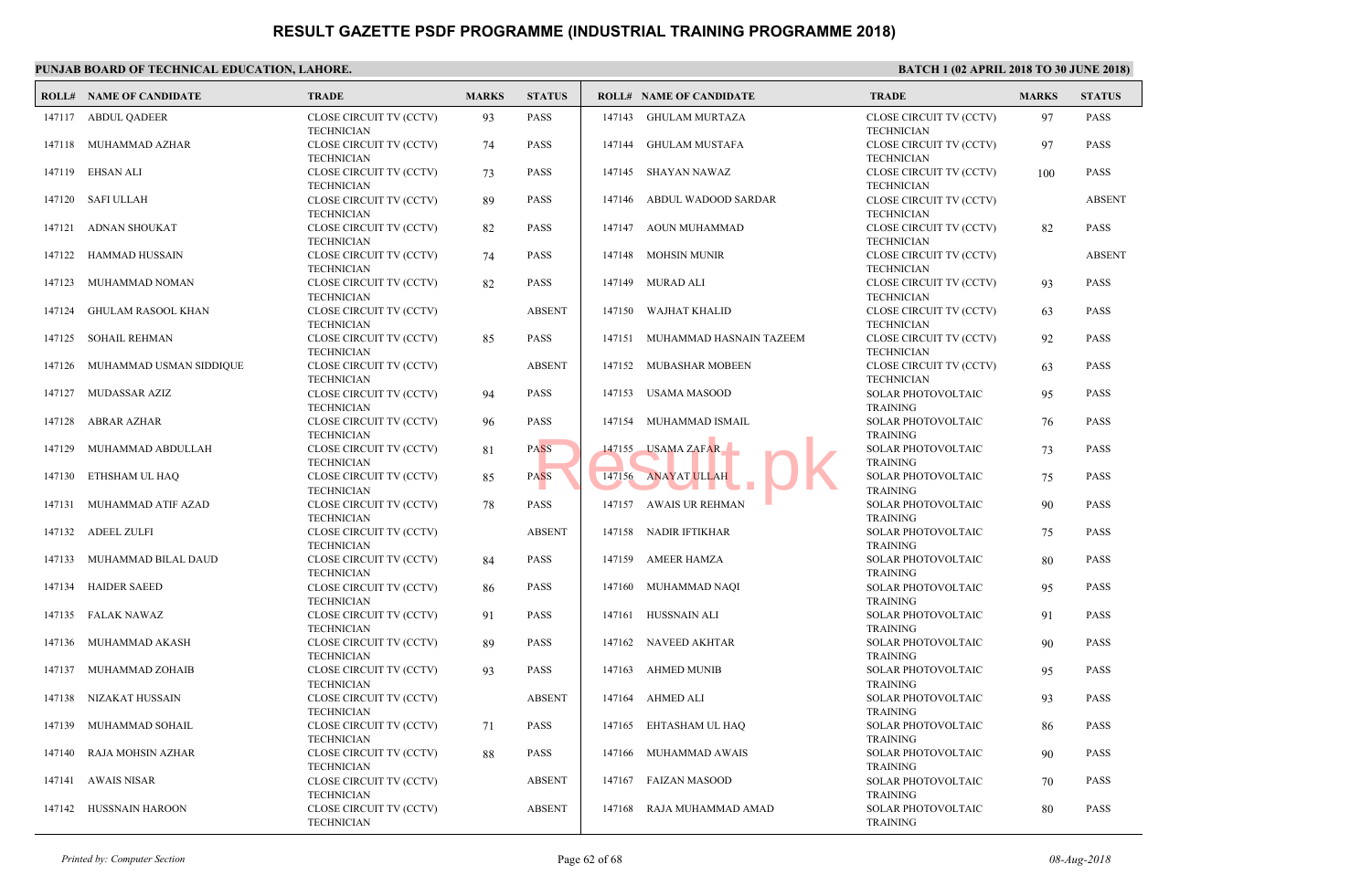| <b>CLOSE CIRCUIT TV (CCTV)</b><br><b>CLOSI</b><br>147117 ABDUL OADEER<br>93<br><b>PASS</b><br><b>GHULAM MURTAZA</b><br>147143<br><b>TECHNICIAN</b><br><b>TECHI</b><br><b>PASS</b><br><b>CLOSE</b><br>147118 MUHAMMAD AZHAR<br>CLOSE CIRCUIT TV (CCTV)<br>147144<br>GHULAM MUSTAFA<br>74<br><b>TECHNICIAN</b><br><b>TECHI</b><br><b>CLOSI</b><br>EHSAN ALI<br>CLOSE CIRCUIT TV (CCTV)<br>73<br><b>PASS</b><br>147145 SHAYAN NAWAZ<br>147119<br><b>TECHN</b><br><b>TECHNICIAN</b><br><b>CLOSE</b><br>147120 SAFI ULLAH<br>CLOSE CIRCUIT TV (CCTV)<br><b>PASS</b><br>ABDUL WADOOD SARDAR<br>89<br>147146<br><b>TECHN</b><br><b>TECHNICIAN</b><br>AOUN MUHAMMAD<br><b>CLOSE</b><br>147121<br>ADNAN SHOUKAT<br>CLOSE CIRCUIT TV (CCTV)<br><b>PASS</b><br>147147<br>82<br><b>TECHN</b><br><b>TECHNICIAN</b><br><b>CLOSE</b><br>147122 HAMMAD HUSSAIN<br>CLOSE CIRCUIT TV (CCTV)<br><b>PASS</b><br>147148 MOHSIN MUNIR<br>74<br><b>TECHN</b><br><b>TECHNICIAN</b><br><b>CLOSE</b><br>MUHAMMAD NOMAN<br>CLOSE CIRCUIT TV (CCTV)<br><b>PASS</b><br>147149<br>MURAD ALI<br>147123<br>82<br><b>TECHI</b><br><b>TECHNICIAN</b><br><b>GHULAM RASOOL KHAN</b><br>CLOSE CIRCUIT TV (CCTV)<br><b>ABSENT</b><br>147150<br>WAJHAT KHALID<br><b>CLOSE</b><br>147124<br><b>TECHN</b><br><b>TECHNICIAN</b><br><b>CLOSE</b><br>147125<br>SOHAIL REHMAN<br>CLOSE CIRCUIT TV (CCTV)<br>85<br><b>PASS</b><br>147151 MUHAMMAD HASNAIN TAZEEM<br><b>TECHNICIAN</b><br><b>TECHI</b><br><b>ABSENT</b><br><b>CLOSI</b><br>MUHAMMAD USMAN SIDDIQUE<br>147152 MUBASHAR MOBEEN<br>147126<br>CLOSE CIRCUIT TV (CCTV)<br><b>TECHN</b><br><b>TECHNICIAN</b><br><b>SOLAI</b><br>MUDASSAR AZIZ<br>CLOSE CIRCUIT TV (CCTV)<br><b>PASS</b><br>147153 USAMA MASOOD<br>147127<br>94<br><b>TRAIN</b><br><b>TECHNICIAN</b><br>CLOSE CIRCUIT TV (CCTV)<br><b>PASS</b><br>147154<br>MUHAMMAD ISMAIL<br><b>SOLAI</b><br>147128<br>ABRAR AZHAR<br>96<br><b>TRAIN</b><br><b>TECHNICIAN</b><br><b>USAMA ZAFAR</b><br><b>SOLAI</b><br>147155<br>147129<br>MUHAMMAD ABDULLAH<br>CLOSE CIRCUIT TV (CCTV)<br>81<br><b>PASS</b><br><b>TECHNICIAN</b><br><b>TRAIN</b><br>CLOSE CIRCUIT TV (CCTV)<br>PASS<br><b>ANAYAT ULLAH</b><br><b>SOLAI</b><br>ETHSHAM UL HAQ<br>85<br>147156<br>147130<br>a a<br><b>TRAIN</b><br><b>TECHNICIAN</b><br>AWAIS UR REHMAN<br>MUHAMMAD ATIF AZAD<br>CLOSE CIRCUIT TV (CCTV)<br><b>PASS</b><br>147157<br><b>SOLAI</b><br>147131<br>78<br><b>TRAIN</b><br><b>TECHNICIAN</b><br>ADEEL ZULFI<br>CLOSE CIRCUIT TV (CCTV)<br><b>ABSENT</b><br>147158<br>NADIR IFTIKHAR<br><b>SOLAI</b><br>147132<br><b>TRAIN</b><br><b>TECHNICIAN</b><br>MUHAMMAD BILAL DAUD<br>CLOSE CIRCUIT TV (CCTV)<br>147159 AMEER HAMZA<br><b>SOLAI</b><br>147133<br><b>PASS</b><br>84<br><b>TRAIN</b><br><b>TECHNICIAN</b><br>CLOSE CIRCUIT TV (CCTV)<br><b>SOLAI</b><br>147134<br><b>HAIDER SAEED</b><br>86<br><b>PASS</b><br>147160<br>MUHAMMAD NAOI<br><b>TRAIN</b><br><b>TECHNICIAN</b><br><b>SOLAI</b><br>147135 FALAK NAWAZ<br>CLOSE CIRCUIT TV (CCTV)<br><b>PASS</b><br>147161<br>HUSSNAIN ALI<br>91<br><b>TRAIN</b><br><b>TECHNICIAN</b><br>NAVEED AKHTAR<br><b>SOLAI</b><br>147136<br>MUHAMMAD AKASH<br>CLOSE CIRCUIT TV (CCTV)<br><b>PASS</b><br>147162<br>89 | <b>ROLL# NAME OF CANDIDATE</b> | <b>TRADE</b>      | <b>MARKS</b> | <b>STATUS</b> | <b>ROLL# NAME OF CANDIDATE</b> | <b>TRAL</b>  |
|------------------------------------------------------------------------------------------------------------------------------------------------------------------------------------------------------------------------------------------------------------------------------------------------------------------------------------------------------------------------------------------------------------------------------------------------------------------------------------------------------------------------------------------------------------------------------------------------------------------------------------------------------------------------------------------------------------------------------------------------------------------------------------------------------------------------------------------------------------------------------------------------------------------------------------------------------------------------------------------------------------------------------------------------------------------------------------------------------------------------------------------------------------------------------------------------------------------------------------------------------------------------------------------------------------------------------------------------------------------------------------------------------------------------------------------------------------------------------------------------------------------------------------------------------------------------------------------------------------------------------------------------------------------------------------------------------------------------------------------------------------------------------------------------------------------------------------------------------------------------------------------------------------------------------------------------------------------------------------------------------------------------------------------------------------------------------------------------------------------------------------------------------------------------------------------------------------------------------------------------------------------------------------------------------------------------------------------------------------------------------------------------------------------------------------------------------------------------------------------------------------------------------------------------------------------------------------------------------------------------------------------------------------------------------------------------------------------------------------------------------------------------------------------------------------------------------------------------------------------------------------------------------------------------------------------------------------------------------------------------------------------------------------------------------------------------------------------------------------------------------------------------------------------------------------------------------------------|--------------------------------|-------------------|--------------|---------------|--------------------------------|--------------|
|                                                                                                                                                                                                                                                                                                                                                                                                                                                                                                                                                                                                                                                                                                                                                                                                                                                                                                                                                                                                                                                                                                                                                                                                                                                                                                                                                                                                                                                                                                                                                                                                                                                                                                                                                                                                                                                                                                                                                                                                                                                                                                                                                                                                                                                                                                                                                                                                                                                                                                                                                                                                                                                                                                                                                                                                                                                                                                                                                                                                                                                                                                                                                                                                                  |                                |                   |              |               |                                |              |
|                                                                                                                                                                                                                                                                                                                                                                                                                                                                                                                                                                                                                                                                                                                                                                                                                                                                                                                                                                                                                                                                                                                                                                                                                                                                                                                                                                                                                                                                                                                                                                                                                                                                                                                                                                                                                                                                                                                                                                                                                                                                                                                                                                                                                                                                                                                                                                                                                                                                                                                                                                                                                                                                                                                                                                                                                                                                                                                                                                                                                                                                                                                                                                                                                  |                                |                   |              |               |                                |              |
|                                                                                                                                                                                                                                                                                                                                                                                                                                                                                                                                                                                                                                                                                                                                                                                                                                                                                                                                                                                                                                                                                                                                                                                                                                                                                                                                                                                                                                                                                                                                                                                                                                                                                                                                                                                                                                                                                                                                                                                                                                                                                                                                                                                                                                                                                                                                                                                                                                                                                                                                                                                                                                                                                                                                                                                                                                                                                                                                                                                                                                                                                                                                                                                                                  |                                |                   |              |               |                                |              |
|                                                                                                                                                                                                                                                                                                                                                                                                                                                                                                                                                                                                                                                                                                                                                                                                                                                                                                                                                                                                                                                                                                                                                                                                                                                                                                                                                                                                                                                                                                                                                                                                                                                                                                                                                                                                                                                                                                                                                                                                                                                                                                                                                                                                                                                                                                                                                                                                                                                                                                                                                                                                                                                                                                                                                                                                                                                                                                                                                                                                                                                                                                                                                                                                                  |                                |                   |              |               |                                |              |
|                                                                                                                                                                                                                                                                                                                                                                                                                                                                                                                                                                                                                                                                                                                                                                                                                                                                                                                                                                                                                                                                                                                                                                                                                                                                                                                                                                                                                                                                                                                                                                                                                                                                                                                                                                                                                                                                                                                                                                                                                                                                                                                                                                                                                                                                                                                                                                                                                                                                                                                                                                                                                                                                                                                                                                                                                                                                                                                                                                                                                                                                                                                                                                                                                  |                                |                   |              |               |                                |              |
|                                                                                                                                                                                                                                                                                                                                                                                                                                                                                                                                                                                                                                                                                                                                                                                                                                                                                                                                                                                                                                                                                                                                                                                                                                                                                                                                                                                                                                                                                                                                                                                                                                                                                                                                                                                                                                                                                                                                                                                                                                                                                                                                                                                                                                                                                                                                                                                                                                                                                                                                                                                                                                                                                                                                                                                                                                                                                                                                                                                                                                                                                                                                                                                                                  |                                |                   |              |               |                                |              |
|                                                                                                                                                                                                                                                                                                                                                                                                                                                                                                                                                                                                                                                                                                                                                                                                                                                                                                                                                                                                                                                                                                                                                                                                                                                                                                                                                                                                                                                                                                                                                                                                                                                                                                                                                                                                                                                                                                                                                                                                                                                                                                                                                                                                                                                                                                                                                                                                                                                                                                                                                                                                                                                                                                                                                                                                                                                                                                                                                                                                                                                                                                                                                                                                                  |                                |                   |              |               |                                |              |
|                                                                                                                                                                                                                                                                                                                                                                                                                                                                                                                                                                                                                                                                                                                                                                                                                                                                                                                                                                                                                                                                                                                                                                                                                                                                                                                                                                                                                                                                                                                                                                                                                                                                                                                                                                                                                                                                                                                                                                                                                                                                                                                                                                                                                                                                                                                                                                                                                                                                                                                                                                                                                                                                                                                                                                                                                                                                                                                                                                                                                                                                                                                                                                                                                  |                                |                   |              |               |                                |              |
|                                                                                                                                                                                                                                                                                                                                                                                                                                                                                                                                                                                                                                                                                                                                                                                                                                                                                                                                                                                                                                                                                                                                                                                                                                                                                                                                                                                                                                                                                                                                                                                                                                                                                                                                                                                                                                                                                                                                                                                                                                                                                                                                                                                                                                                                                                                                                                                                                                                                                                                                                                                                                                                                                                                                                                                                                                                                                                                                                                                                                                                                                                                                                                                                                  |                                |                   |              |               |                                |              |
|                                                                                                                                                                                                                                                                                                                                                                                                                                                                                                                                                                                                                                                                                                                                                                                                                                                                                                                                                                                                                                                                                                                                                                                                                                                                                                                                                                                                                                                                                                                                                                                                                                                                                                                                                                                                                                                                                                                                                                                                                                                                                                                                                                                                                                                                                                                                                                                                                                                                                                                                                                                                                                                                                                                                                                                                                                                                                                                                                                                                                                                                                                                                                                                                                  |                                |                   |              |               |                                |              |
|                                                                                                                                                                                                                                                                                                                                                                                                                                                                                                                                                                                                                                                                                                                                                                                                                                                                                                                                                                                                                                                                                                                                                                                                                                                                                                                                                                                                                                                                                                                                                                                                                                                                                                                                                                                                                                                                                                                                                                                                                                                                                                                                                                                                                                                                                                                                                                                                                                                                                                                                                                                                                                                                                                                                                                                                                                                                                                                                                                                                                                                                                                                                                                                                                  |                                |                   |              |               |                                |              |
|                                                                                                                                                                                                                                                                                                                                                                                                                                                                                                                                                                                                                                                                                                                                                                                                                                                                                                                                                                                                                                                                                                                                                                                                                                                                                                                                                                                                                                                                                                                                                                                                                                                                                                                                                                                                                                                                                                                                                                                                                                                                                                                                                                                                                                                                                                                                                                                                                                                                                                                                                                                                                                                                                                                                                                                                                                                                                                                                                                                                                                                                                                                                                                                                                  |                                |                   |              |               |                                |              |
|                                                                                                                                                                                                                                                                                                                                                                                                                                                                                                                                                                                                                                                                                                                                                                                                                                                                                                                                                                                                                                                                                                                                                                                                                                                                                                                                                                                                                                                                                                                                                                                                                                                                                                                                                                                                                                                                                                                                                                                                                                                                                                                                                                                                                                                                                                                                                                                                                                                                                                                                                                                                                                                                                                                                                                                                                                                                                                                                                                                                                                                                                                                                                                                                                  |                                |                   |              |               |                                |              |
|                                                                                                                                                                                                                                                                                                                                                                                                                                                                                                                                                                                                                                                                                                                                                                                                                                                                                                                                                                                                                                                                                                                                                                                                                                                                                                                                                                                                                                                                                                                                                                                                                                                                                                                                                                                                                                                                                                                                                                                                                                                                                                                                                                                                                                                                                                                                                                                                                                                                                                                                                                                                                                                                                                                                                                                                                                                                                                                                                                                                                                                                                                                                                                                                                  |                                |                   |              |               |                                |              |
|                                                                                                                                                                                                                                                                                                                                                                                                                                                                                                                                                                                                                                                                                                                                                                                                                                                                                                                                                                                                                                                                                                                                                                                                                                                                                                                                                                                                                                                                                                                                                                                                                                                                                                                                                                                                                                                                                                                                                                                                                                                                                                                                                                                                                                                                                                                                                                                                                                                                                                                                                                                                                                                                                                                                                                                                                                                                                                                                                                                                                                                                                                                                                                                                                  |                                |                   |              |               |                                |              |
|                                                                                                                                                                                                                                                                                                                                                                                                                                                                                                                                                                                                                                                                                                                                                                                                                                                                                                                                                                                                                                                                                                                                                                                                                                                                                                                                                                                                                                                                                                                                                                                                                                                                                                                                                                                                                                                                                                                                                                                                                                                                                                                                                                                                                                                                                                                                                                                                                                                                                                                                                                                                                                                                                                                                                                                                                                                                                                                                                                                                                                                                                                                                                                                                                  |                                |                   |              |               |                                |              |
|                                                                                                                                                                                                                                                                                                                                                                                                                                                                                                                                                                                                                                                                                                                                                                                                                                                                                                                                                                                                                                                                                                                                                                                                                                                                                                                                                                                                                                                                                                                                                                                                                                                                                                                                                                                                                                                                                                                                                                                                                                                                                                                                                                                                                                                                                                                                                                                                                                                                                                                                                                                                                                                                                                                                                                                                                                                                                                                                                                                                                                                                                                                                                                                                                  |                                |                   |              |               |                                |              |
|                                                                                                                                                                                                                                                                                                                                                                                                                                                                                                                                                                                                                                                                                                                                                                                                                                                                                                                                                                                                                                                                                                                                                                                                                                                                                                                                                                                                                                                                                                                                                                                                                                                                                                                                                                                                                                                                                                                                                                                                                                                                                                                                                                                                                                                                                                                                                                                                                                                                                                                                                                                                                                                                                                                                                                                                                                                                                                                                                                                                                                                                                                                                                                                                                  |                                |                   |              |               |                                |              |
|                                                                                                                                                                                                                                                                                                                                                                                                                                                                                                                                                                                                                                                                                                                                                                                                                                                                                                                                                                                                                                                                                                                                                                                                                                                                                                                                                                                                                                                                                                                                                                                                                                                                                                                                                                                                                                                                                                                                                                                                                                                                                                                                                                                                                                                                                                                                                                                                                                                                                                                                                                                                                                                                                                                                                                                                                                                                                                                                                                                                                                                                                                                                                                                                                  |                                |                   |              |               |                                |              |
|                                                                                                                                                                                                                                                                                                                                                                                                                                                                                                                                                                                                                                                                                                                                                                                                                                                                                                                                                                                                                                                                                                                                                                                                                                                                                                                                                                                                                                                                                                                                                                                                                                                                                                                                                                                                                                                                                                                                                                                                                                                                                                                                                                                                                                                                                                                                                                                                                                                                                                                                                                                                                                                                                                                                                                                                                                                                                                                                                                                                                                                                                                                                                                                                                  |                                | <b>TECHNICIAN</b> |              |               |                                | <b>TRAIN</b> |
| <b>PASS</b><br><b>AHMED MUNIB</b><br><b>SOLAI</b><br>147137<br>MUHAMMAD ZOHAIB<br>CLOSE CIRCUIT TV (CCTV)<br>93<br>147163<br><b>TRAIN</b><br><b>TECHNICIAN</b>                                                                                                                                                                                                                                                                                                                                                                                                                                                                                                                                                                                                                                                                                                                                                                                                                                                                                                                                                                                                                                                                                                                                                                                                                                                                                                                                                                                                                                                                                                                                                                                                                                                                                                                                                                                                                                                                                                                                                                                                                                                                                                                                                                                                                                                                                                                                                                                                                                                                                                                                                                                                                                                                                                                                                                                                                                                                                                                                                                                                                                                   |                                |                   |              |               |                                |              |
| <b>SOLAI</b><br>NIZAKAT HUSSAIN<br>CLOSE CIRCUIT TV (CCTV)<br><b>ABSENT</b><br>147164<br>AHMED ALI<br>147138<br><b>TRAIN</b><br><b>TECHNICIAN</b>                                                                                                                                                                                                                                                                                                                                                                                                                                                                                                                                                                                                                                                                                                                                                                                                                                                                                                                                                                                                                                                                                                                                                                                                                                                                                                                                                                                                                                                                                                                                                                                                                                                                                                                                                                                                                                                                                                                                                                                                                                                                                                                                                                                                                                                                                                                                                                                                                                                                                                                                                                                                                                                                                                                                                                                                                                                                                                                                                                                                                                                                |                                |                   |              |               |                                |              |
| <b>SOLAI</b><br>MUHAMMAD SOHAIL<br>CLOSE CIRCUIT TV (CCTV)<br><b>PASS</b><br>147165<br>EHTASHAM UL HAQ<br>147139<br>71<br><b>TECHNICIAN</b><br><b>TRAIN</b>                                                                                                                                                                                                                                                                                                                                                                                                                                                                                                                                                                                                                                                                                                                                                                                                                                                                                                                                                                                                                                                                                                                                                                                                                                                                                                                                                                                                                                                                                                                                                                                                                                                                                                                                                                                                                                                                                                                                                                                                                                                                                                                                                                                                                                                                                                                                                                                                                                                                                                                                                                                                                                                                                                                                                                                                                                                                                                                                                                                                                                                      |                                |                   |              |               |                                |              |
| <b>SOLAI</b><br>RAJA MOHSIN AZHAR<br>CLOSE CIRCUIT TV (CCTV)<br>88<br><b>PASS</b><br>147166<br>MUHAMMAD AWAIS<br>147140<br>TRAIN<br><b>TECHNICIAN</b>                                                                                                                                                                                                                                                                                                                                                                                                                                                                                                                                                                                                                                                                                                                                                                                                                                                                                                                                                                                                                                                                                                                                                                                                                                                                                                                                                                                                                                                                                                                                                                                                                                                                                                                                                                                                                                                                                                                                                                                                                                                                                                                                                                                                                                                                                                                                                                                                                                                                                                                                                                                                                                                                                                                                                                                                                                                                                                                                                                                                                                                            |                                |                   |              |               |                                |              |
| <b>ABSENT</b><br>147167 FAIZAN MASOOD<br><b>SOLAI</b><br>147141<br>AWAIS NISAR<br>CLOSE CIRCUIT TV (CCTV)<br><b>TECHNICIAN</b><br><b>TRAIN</b>                                                                                                                                                                                                                                                                                                                                                                                                                                                                                                                                                                                                                                                                                                                                                                                                                                                                                                                                                                                                                                                                                                                                                                                                                                                                                                                                                                                                                                                                                                                                                                                                                                                                                                                                                                                                                                                                                                                                                                                                                                                                                                                                                                                                                                                                                                                                                                                                                                                                                                                                                                                                                                                                                                                                                                                                                                                                                                                                                                                                                                                                   |                                |                   |              |               |                                |              |
| 147142 HUSSNAIN HAROON<br>CLOSE CIRCUIT TV (CCTV)<br><b>ABSENT</b><br><b>SOLA</b><br>147168<br>RAJA MUHAMMAD AMAD<br>TRAIN<br><b>TECHNICIAN</b>                                                                                                                                                                                                                                                                                                                                                                                                                                                                                                                                                                                                                                                                                                                                                                                                                                                                                                                                                                                                                                                                                                                                                                                                                                                                                                                                                                                                                                                                                                                                                                                                                                                                                                                                                                                                                                                                                                                                                                                                                                                                                                                                                                                                                                                                                                                                                                                                                                                                                                                                                                                                                                                                                                                                                                                                                                                                                                                                                                                                                                                                  |                                |                   |              |               |                                |              |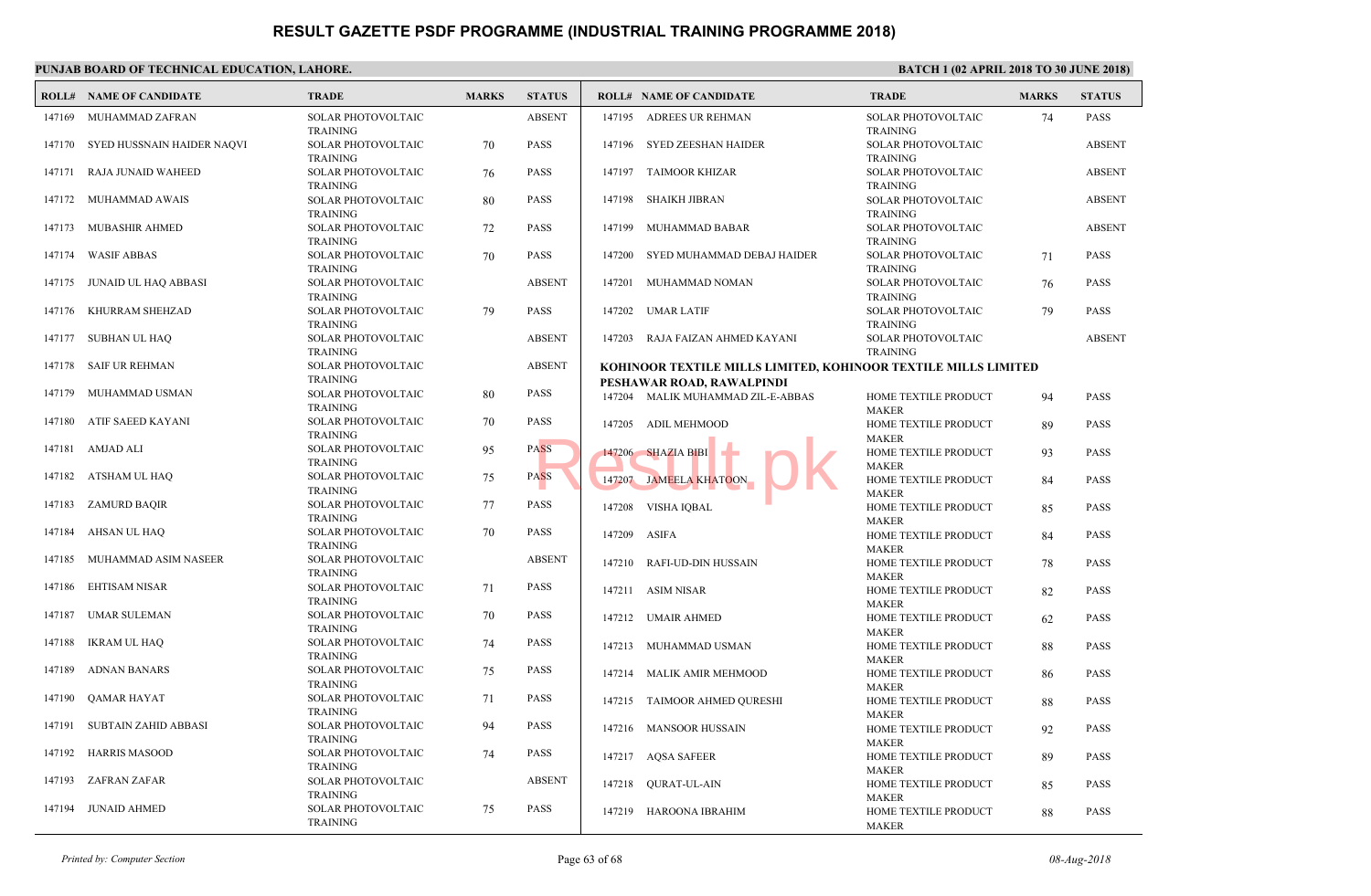#### **PUNJAB BOARD OF TECHNICAL EDUCATION, LAHORE. ROLL# NAME OF CANDIDATE TRADE MARKS STATUS ROLL# NAME OF CANDIDATE TRADE MARKS STATUS** SOLAR PHOTOVOLTAIC ABSENT TRAINING 147169 MUHAMMAD ZAFRAN SOLAR PHOTOVOLTAIC 70 PASS TRAINING 147170 SYED HUSSNAIN HAIDER NAQVI SOLAR PHOTOVOLTAIC 76 PASS TRAINING 147171 RAJA JUNAID WAHEED SOLAR PHOTOVOLTAIC 80 PASS TRAINING 147172 MUHAMMAD AWAIS SOLAR PHOTOVOLTAIC  $72$  PASS TRAINING 147173 MUBASHIR AHMED SOLAR PHOTOVOLTAIC 70 PASS TRAINING 147174 WASIF ABBAS SOLAR PHOTOVOLTAIC ABSENT TRAINING 147175 JUNAID UL HAQ ABBASI SOLAR PHOTOVOLTAIC 79 PASS TRAINING 147176 KHURRAM SHEHZAD SOLAR PHOTOVOLTAIC ABSENT TRAINING 147177 SUBHAN UL HAQ SOLAR PHOTOVOLTAIC ABSENT TRAINING 147178 SAIF UR REHMAN SOLAR PHOTOVOLTAIC 80 PASS TRAINING 147179 MUHAMMAD USMAN SOLAR PHOTOVOLTAIC 70 PASS TRAINING 147180 ATIF SAEED KAYANI SOLAR PHOTOVOLTAIC 95 PASS TRAINING 147181 AMJAD ALI SOLAR PHOTOVOLTAIC 75 PASS TRAINING 147182 ATSHAM UL HAQ SOLAR PHOTOVOLTAIC 77 PASS TRAINING 147183 ZAMURD BAQIR SOLAR PHOTOVOLTAIC  $70$  PASS TRAINING 147184 AHSAN UL HAQ SOLAR PHOTOVOLTAIC ABSENT TRAINING 147185 MUHAMMAD ASIM NASEER SOLAR PHOTOVOLTAIC  $71$  PASS TRAINING 147186 EHTISAM NISAR SOLAR PHOTOVOLTAIC  $70$  PASS TRAINING 147187 UMAR SULEMAN SOLAR PHOTOVOLTAIC  $74$  PASS TRAINING 147188 IKRAM UL HAQ SOLAR PHOTOVOLTAIC 75 PASS TRAINING 147189 ADNAN BANARS SOLAR PHOTOVOLTAIC 71 PASS TRAINING 147190 QAMAR HAYAT SOLAR PHOTOVOLTAIC 94 PASS TRAINING 147191 SUBTAIN ZAHID ABBASI SOLAR PHOTOVOLTAIC 74 PASS TRAINING 147192 HARRIS MASOOD SOLAR PHOTOVOLTAIC ABSENT TRAINING 147193 ZAFRAN ZAFAR SOLAR PHOTOVOLTAIC 75 PASS TRAINING 147194 JUNAID AHMED SOLAR TRAIN 147195 ADREES UR REHMAN SOLAF TRAIN 147196 SYED ZEESHAN HAIDER SOLA<sub>l</sub> **TRAIN**  [147197 TAIMOOR KHIZAR](http://www.result.pk/) SOLAI TRAIN 147198 SHAIKH JIBRAN SOLA<sub>l</sub> TRAIN 147199 MUHAMMAD BABAR SOLAR TRAIN 147200 SYED MUHAMMAD DEBAJ HAIDER SOLAR TRAIN 147201 MUHAMMAD NOMAN SOLAR TRAIN 147202 UMAR LATIF SOLA<sub>l</sub> TRAIN 147203 RAJA FAIZAN AHMED KAYANI **KOHINOOR TEXTILE MILLS LIMITED, KOHINOOR TEXTILE MILLS LIMITED PESHAWAR ROAD, RAWALPINDI** HOME MAKE 147204 MALIK MUHAMMAD ZIL-E-ABBAS HOME MAKE 147205 ADIL MEHMOOD HOME MAKE 147206 SHAZIA BIBI HOME MAKE 147207 JAMEELA KHATOON HOME MAKE 147208 VISHA IQBAL **HOME** MAKE 147209 ASIFA HOME MAKE 147210 RAFI-UD-DIN HUSSAIN HOME MAKE 147211 ASIM NISAR HOME MAKE 147212 UMAIR AHMED HOME MAKE 147213 MUHAMMAD USMAN HOME MAKE 147214 MALIK AMIR MEHMOOD HOME MAKE 147215 TAIMOOR AHMED QURESHI **HOME** MAKE 147216 MANSOOR HUSSAIN HOME MAKE 147217 AQSA SAFEER HOME MAKE 147218 QURAT-UL-AIN HOME MAKE 147219 HAROONA IBRAHIM ASS MATRIA SHAZIA BIBI ASS MATRIA TOON ASS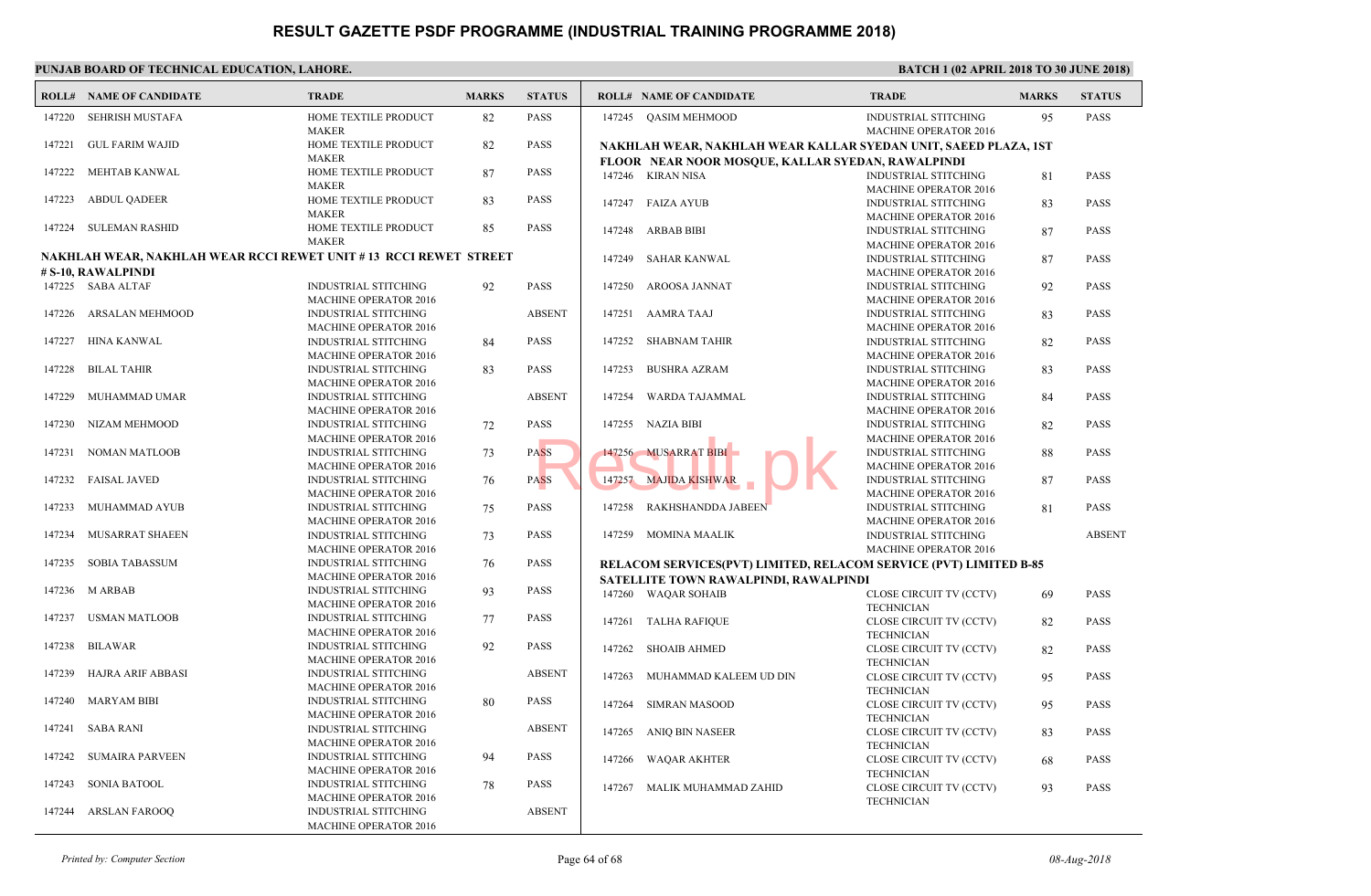| <b>INDUS</b><br>147220<br><b>SEHRISH MUSTAFA</b><br>HOME TEXTILE PRODUCT<br>82<br><b>PASS</b><br>147245 OASIM MEHMOOD<br><b>MAKER</b><br><b>MACH</b><br><b>GUL FARIM WAJID</b><br>HOME TEXTILE PRODUCT<br>147221<br>82<br><b>PASS</b><br>NAKHLAH WEAR, NAKHLAH WEAR KALLAR SYEDA<br><b>MAKER</b><br>FLOOR NEAR NOOR MOSQUE, KALLAR SYEDAN, R<br>HOME TEXTILE PRODUCT<br>147222<br>MEHTAB KANWAL<br>87<br><b>PASS</b><br>147246 KIRAN NISA<br><b>INDUS</b><br><b>MAKER</b><br><b>MACH</b><br><b>ABDUL QADEER</b><br>HOME TEXTILE PRODUCT<br><b>PASS</b><br>147223<br>83<br><b>INDUS</b><br>147247<br>FAIZA AYUB<br><b>MAKER</b><br><b>MACH</b><br>147224<br><b>PASS</b><br><b>SULEMAN RASHID</b><br>85<br>HOME TEXTILE PRODUCT<br><b>INDUS</b><br>147248<br>ARBAB BIBI<br><b>MAKER</b><br><b>MACH</b><br>NAKHLAH WEAR, NAKHLAH WEAR RCCI REWET UNIT #13 RCCI REWET STREET<br><b>INDUS</b><br>147249<br><b>SAHAR KANWAL</b><br># S-10, RAWALPINDI<br><b>MACH</b><br><b>INDUS</b><br>147225 SABA ALTAF<br><b>INDUSTRIAL STITCHING</b><br><b>PASS</b><br>147250<br>AROOSA JANNAT<br>92<br><b>MACHINE OPERATOR 2016</b><br><b>MACH</b><br><b>ABSENT</b><br>147226<br>ARSALAN MEHMOOD<br><b>INDUSTRIAL STITCHING</b><br>147251<br>AAMRA TAAJ<br><b>INDUS</b><br>MACHINE OPERATOR 2016<br><b>MACH</b><br><b>INDUS</b><br>147227<br><b>HINA KANWAL</b><br><b>INDUSTRIAL STITCHING</b><br><b>PASS</b><br>147252<br><b>SHABNAM TAHIR</b><br>84<br><b>MACHINE OPERATOR 2016</b><br><b>MACH</b><br><b>INDUS</b><br>147228<br><b>BILAL TAHIR</b><br>INDUSTRIAL STITCHING<br>PASS<br>147253<br><b>BUSHRA AZRAM</b><br>83<br><b>MACH</b><br><b>MACHINE OPERATOR 2016</b><br><b>INDUS</b><br><b>INDUSTRIAL STITCHING</b><br><b>ABSENT</b><br>147254<br>WARDA TAJAMMAL<br>147229<br>MUHAMMAD UMAR<br><b>MACHINE OPERATOR 2016</b><br><b>MACH</b><br>147255<br>NAZIA BIBI<br><b>INDUS</b><br>147230<br>NIZAM MEHMOOD<br><b>INDUSTRIAL STITCHING</b><br><b>PASS</b><br>72<br><b>MACH</b><br><b>MACHINE OPERATOR 2016</b><br>147256 MUSARRAT BIBI<br>147231<br><b>NOMAN MATLOOB</b><br><b>INDUSTRIAL STITCHING</b><br><b>PASS</b><br><b>INDUS</b><br>73<br><b>MACH</b><br><b>MACHINE OPERATOR 2016</b><br><b>INDUS</b><br><b>FAISAL JAVED</b><br><b>INDUSTRIAL STITCHING</b><br><b>PASS</b><br>147257 MAJIDA KISHWAR<br>147232<br>76<br><b>MACF</b><br><b>MACHINE OPERATOR 2016</b><br>RAKHSHANDDA JABEEN<br><b>INDUS</b><br>147233<br>MUHAMMAD AYUB<br><b>INDUSTRIAL STITCHING</b><br><b>PASS</b><br>147258<br>75<br><b>MACH</b><br><b>MACHINE OPERATOR 2016</b><br><b>INDUS</b><br>147234<br>MUSARRAT SHAEEN<br><b>INDUSTRIAL STITCHING</b><br>73<br>PASS<br>147259 MOMINA MAALIK<br><b>MACHINE OPERATOR 2016</b><br><b>MACI</b><br><b>SOBIA TABASSUM</b><br><b>INDUSTRIAL STITCHING</b><br>147235<br><b>PASS</b><br>RELACOM SERVICES(PVT) LIMITED, RELACOM SER<br>76<br><b>MACHINE OPERATOR 2016</b><br>SATELLITE TOWN RAWALPINDI, RAWALPINDI<br>147236<br>M ARBAB<br>PASS<br><b>INDUSTRIAL STITCHING</b><br>93<br>147260 WAQAR SOHAIB<br><b>CLOSE</b><br><b>MACHINE OPERATOR 2016</b><br><b>TECHI</b><br><b>USMAN MATLOOB</b><br><b>INDUSTRIAL STITCHING</b><br>77<br><b>PASS</b><br>147237<br>147261 TALHA RAFIQUE<br><b>CLOSE</b><br>MACHINE OPERATOR 2016<br><b>TECHN</b><br>147238<br><b>BILAWAR</b><br><b>INDUSTRIAL STITCHING</b><br>92<br><b>PASS</b><br><b>SHOAIB AHMED</b><br><b>CLOSE</b><br>147262<br><b>MACHINE OPERATOR 2016</b><br><b>TECHN</b><br>147239<br><b>HAJRA ARIF ABBASI</b><br><b>INDUSTRIAL STITCHING</b><br><b>ABSENT</b><br>147263<br>MUHAMMAD KALEEM UD DIN<br><b>CLOSE</b><br><b>MACHINE OPERATOR 2016</b><br><b>TECHI</b><br><b>MARYAM BIBI</b><br><b>PASS</b><br>147240<br><b>INDUSTRIAL STITCHING</b><br>80<br>147264<br><b>SIMRAN MASOOD</b><br><b>CLOSE</b><br>MACHINE OPERATOR 2016<br><b>TECHN</b><br><b>ABSENT</b><br>147241<br><b>SABA RANI</b><br>INDUSTRIAL STITCHING<br>ANIQ BIN NASEER<br>147265<br><b>CLOSE</b><br>MACHINE OPERATOR 2016<br><b>TECHI</b><br><b>SUMAIRA PARVEEN</b><br><b>INDUSTRIAL STITCHING</b><br>94<br><b>PASS</b><br>147242<br><b>CLOSE</b><br>147266<br><b>WAQAR AKHTER</b><br><b>MACHINE OPERATOR 2016</b><br><b>TECHI</b><br><b>SONIA BATOOL</b><br>INDUSTRIAL STITCHING<br>PASS<br>147243<br>78<br><b>CLOSE</b><br>MALIK MUHAMMAD ZAHID<br>147267<br><b>MACHINE OPERATOR 2016</b><br><b>TECHI</b><br>147244<br><b>ARSLAN FAROOQ</b><br><b>ABSENT</b><br><b>INDUSTRIAL STITCHING</b><br><b>MACHINE OPERATOR 2016</b> | <b>ROLL# NAME OF CANDIDATE</b> | <b>TRADE</b> | <b>MARKS</b> | <b>STATUS</b> | <b>ROLL# NAME OF CANDIDATE</b> | <b>TRAL</b> |
|-------------------------------------------------------------------------------------------------------------------------------------------------------------------------------------------------------------------------------------------------------------------------------------------------------------------------------------------------------------------------------------------------------------------------------------------------------------------------------------------------------------------------------------------------------------------------------------------------------------------------------------------------------------------------------------------------------------------------------------------------------------------------------------------------------------------------------------------------------------------------------------------------------------------------------------------------------------------------------------------------------------------------------------------------------------------------------------------------------------------------------------------------------------------------------------------------------------------------------------------------------------------------------------------------------------------------------------------------------------------------------------------------------------------------------------------------------------------------------------------------------------------------------------------------------------------------------------------------------------------------------------------------------------------------------------------------------------------------------------------------------------------------------------------------------------------------------------------------------------------------------------------------------------------------------------------------------------------------------------------------------------------------------------------------------------------------------------------------------------------------------------------------------------------------------------------------------------------------------------------------------------------------------------------------------------------------------------------------------------------------------------------------------------------------------------------------------------------------------------------------------------------------------------------------------------------------------------------------------------------------------------------------------------------------------------------------------------------------------------------------------------------------------------------------------------------------------------------------------------------------------------------------------------------------------------------------------------------------------------------------------------------------------------------------------------------------------------------------------------------------------------------------------------------------------------------------------------------------------------------------------------------------------------------------------------------------------------------------------------------------------------------------------------------------------------------------------------------------------------------------------------------------------------------------------------------------------------------------------------------------------------------------------------------------------------------------------------------------------------------------------------------------------------------------------------------------------------------------------------------------------------------------------------------------------------------------------------------------------------------------------------------------------------------------------------------------------------------------------------------------------------------------------------------------------------------------------------------------------------------------------------------------------------------------------------------------------------------------------------------------------------------------------------------------------------------------------------------------|--------------------------------|--------------|--------------|---------------|--------------------------------|-------------|
|                                                                                                                                                                                                                                                                                                                                                                                                                                                                                                                                                                                                                                                                                                                                                                                                                                                                                                                                                                                                                                                                                                                                                                                                                                                                                                                                                                                                                                                                                                                                                                                                                                                                                                                                                                                                                                                                                                                                                                                                                                                                                                                                                                                                                                                                                                                                                                                                                                                                                                                                                                                                                                                                                                                                                                                                                                                                                                                                                                                                                                                                                                                                                                                                                                                                                                                                                                                                                                                                                                                                                                                                                                                                                                                                                                                                                                                                                                                                                                                                                                                                                                                                                                                                                                                                                                                                                                                                                                                                         |                                |              |              |               |                                |             |
|                                                                                                                                                                                                                                                                                                                                                                                                                                                                                                                                                                                                                                                                                                                                                                                                                                                                                                                                                                                                                                                                                                                                                                                                                                                                                                                                                                                                                                                                                                                                                                                                                                                                                                                                                                                                                                                                                                                                                                                                                                                                                                                                                                                                                                                                                                                                                                                                                                                                                                                                                                                                                                                                                                                                                                                                                                                                                                                                                                                                                                                                                                                                                                                                                                                                                                                                                                                                                                                                                                                                                                                                                                                                                                                                                                                                                                                                                                                                                                                                                                                                                                                                                                                                                                                                                                                                                                                                                                                                         |                                |              |              |               |                                |             |
|                                                                                                                                                                                                                                                                                                                                                                                                                                                                                                                                                                                                                                                                                                                                                                                                                                                                                                                                                                                                                                                                                                                                                                                                                                                                                                                                                                                                                                                                                                                                                                                                                                                                                                                                                                                                                                                                                                                                                                                                                                                                                                                                                                                                                                                                                                                                                                                                                                                                                                                                                                                                                                                                                                                                                                                                                                                                                                                                                                                                                                                                                                                                                                                                                                                                                                                                                                                                                                                                                                                                                                                                                                                                                                                                                                                                                                                                                                                                                                                                                                                                                                                                                                                                                                                                                                                                                                                                                                                                         |                                |              |              |               |                                |             |
|                                                                                                                                                                                                                                                                                                                                                                                                                                                                                                                                                                                                                                                                                                                                                                                                                                                                                                                                                                                                                                                                                                                                                                                                                                                                                                                                                                                                                                                                                                                                                                                                                                                                                                                                                                                                                                                                                                                                                                                                                                                                                                                                                                                                                                                                                                                                                                                                                                                                                                                                                                                                                                                                                                                                                                                                                                                                                                                                                                                                                                                                                                                                                                                                                                                                                                                                                                                                                                                                                                                                                                                                                                                                                                                                                                                                                                                                                                                                                                                                                                                                                                                                                                                                                                                                                                                                                                                                                                                                         |                                |              |              |               |                                |             |
|                                                                                                                                                                                                                                                                                                                                                                                                                                                                                                                                                                                                                                                                                                                                                                                                                                                                                                                                                                                                                                                                                                                                                                                                                                                                                                                                                                                                                                                                                                                                                                                                                                                                                                                                                                                                                                                                                                                                                                                                                                                                                                                                                                                                                                                                                                                                                                                                                                                                                                                                                                                                                                                                                                                                                                                                                                                                                                                                                                                                                                                                                                                                                                                                                                                                                                                                                                                                                                                                                                                                                                                                                                                                                                                                                                                                                                                                                                                                                                                                                                                                                                                                                                                                                                                                                                                                                                                                                                                                         |                                |              |              |               |                                |             |
|                                                                                                                                                                                                                                                                                                                                                                                                                                                                                                                                                                                                                                                                                                                                                                                                                                                                                                                                                                                                                                                                                                                                                                                                                                                                                                                                                                                                                                                                                                                                                                                                                                                                                                                                                                                                                                                                                                                                                                                                                                                                                                                                                                                                                                                                                                                                                                                                                                                                                                                                                                                                                                                                                                                                                                                                                                                                                                                                                                                                                                                                                                                                                                                                                                                                                                                                                                                                                                                                                                                                                                                                                                                                                                                                                                                                                                                                                                                                                                                                                                                                                                                                                                                                                                                                                                                                                                                                                                                                         |                                |              |              |               |                                |             |
|                                                                                                                                                                                                                                                                                                                                                                                                                                                                                                                                                                                                                                                                                                                                                                                                                                                                                                                                                                                                                                                                                                                                                                                                                                                                                                                                                                                                                                                                                                                                                                                                                                                                                                                                                                                                                                                                                                                                                                                                                                                                                                                                                                                                                                                                                                                                                                                                                                                                                                                                                                                                                                                                                                                                                                                                                                                                                                                                                                                                                                                                                                                                                                                                                                                                                                                                                                                                                                                                                                                                                                                                                                                                                                                                                                                                                                                                                                                                                                                                                                                                                                                                                                                                                                                                                                                                                                                                                                                                         |                                |              |              |               |                                |             |
|                                                                                                                                                                                                                                                                                                                                                                                                                                                                                                                                                                                                                                                                                                                                                                                                                                                                                                                                                                                                                                                                                                                                                                                                                                                                                                                                                                                                                                                                                                                                                                                                                                                                                                                                                                                                                                                                                                                                                                                                                                                                                                                                                                                                                                                                                                                                                                                                                                                                                                                                                                                                                                                                                                                                                                                                                                                                                                                                                                                                                                                                                                                                                                                                                                                                                                                                                                                                                                                                                                                                                                                                                                                                                                                                                                                                                                                                                                                                                                                                                                                                                                                                                                                                                                                                                                                                                                                                                                                                         |                                |              |              |               |                                |             |
|                                                                                                                                                                                                                                                                                                                                                                                                                                                                                                                                                                                                                                                                                                                                                                                                                                                                                                                                                                                                                                                                                                                                                                                                                                                                                                                                                                                                                                                                                                                                                                                                                                                                                                                                                                                                                                                                                                                                                                                                                                                                                                                                                                                                                                                                                                                                                                                                                                                                                                                                                                                                                                                                                                                                                                                                                                                                                                                                                                                                                                                                                                                                                                                                                                                                                                                                                                                                                                                                                                                                                                                                                                                                                                                                                                                                                                                                                                                                                                                                                                                                                                                                                                                                                                                                                                                                                                                                                                                                         |                                |              |              |               |                                |             |
|                                                                                                                                                                                                                                                                                                                                                                                                                                                                                                                                                                                                                                                                                                                                                                                                                                                                                                                                                                                                                                                                                                                                                                                                                                                                                                                                                                                                                                                                                                                                                                                                                                                                                                                                                                                                                                                                                                                                                                                                                                                                                                                                                                                                                                                                                                                                                                                                                                                                                                                                                                                                                                                                                                                                                                                                                                                                                                                                                                                                                                                                                                                                                                                                                                                                                                                                                                                                                                                                                                                                                                                                                                                                                                                                                                                                                                                                                                                                                                                                                                                                                                                                                                                                                                                                                                                                                                                                                                                                         |                                |              |              |               |                                |             |
|                                                                                                                                                                                                                                                                                                                                                                                                                                                                                                                                                                                                                                                                                                                                                                                                                                                                                                                                                                                                                                                                                                                                                                                                                                                                                                                                                                                                                                                                                                                                                                                                                                                                                                                                                                                                                                                                                                                                                                                                                                                                                                                                                                                                                                                                                                                                                                                                                                                                                                                                                                                                                                                                                                                                                                                                                                                                                                                                                                                                                                                                                                                                                                                                                                                                                                                                                                                                                                                                                                                                                                                                                                                                                                                                                                                                                                                                                                                                                                                                                                                                                                                                                                                                                                                                                                                                                                                                                                                                         |                                |              |              |               |                                |             |
|                                                                                                                                                                                                                                                                                                                                                                                                                                                                                                                                                                                                                                                                                                                                                                                                                                                                                                                                                                                                                                                                                                                                                                                                                                                                                                                                                                                                                                                                                                                                                                                                                                                                                                                                                                                                                                                                                                                                                                                                                                                                                                                                                                                                                                                                                                                                                                                                                                                                                                                                                                                                                                                                                                                                                                                                                                                                                                                                                                                                                                                                                                                                                                                                                                                                                                                                                                                                                                                                                                                                                                                                                                                                                                                                                                                                                                                                                                                                                                                                                                                                                                                                                                                                                                                                                                                                                                                                                                                                         |                                |              |              |               |                                |             |
|                                                                                                                                                                                                                                                                                                                                                                                                                                                                                                                                                                                                                                                                                                                                                                                                                                                                                                                                                                                                                                                                                                                                                                                                                                                                                                                                                                                                                                                                                                                                                                                                                                                                                                                                                                                                                                                                                                                                                                                                                                                                                                                                                                                                                                                                                                                                                                                                                                                                                                                                                                                                                                                                                                                                                                                                                                                                                                                                                                                                                                                                                                                                                                                                                                                                                                                                                                                                                                                                                                                                                                                                                                                                                                                                                                                                                                                                                                                                                                                                                                                                                                                                                                                                                                                                                                                                                                                                                                                                         |                                |              |              |               |                                |             |
|                                                                                                                                                                                                                                                                                                                                                                                                                                                                                                                                                                                                                                                                                                                                                                                                                                                                                                                                                                                                                                                                                                                                                                                                                                                                                                                                                                                                                                                                                                                                                                                                                                                                                                                                                                                                                                                                                                                                                                                                                                                                                                                                                                                                                                                                                                                                                                                                                                                                                                                                                                                                                                                                                                                                                                                                                                                                                                                                                                                                                                                                                                                                                                                                                                                                                                                                                                                                                                                                                                                                                                                                                                                                                                                                                                                                                                                                                                                                                                                                                                                                                                                                                                                                                                                                                                                                                                                                                                                                         |                                |              |              |               |                                |             |
|                                                                                                                                                                                                                                                                                                                                                                                                                                                                                                                                                                                                                                                                                                                                                                                                                                                                                                                                                                                                                                                                                                                                                                                                                                                                                                                                                                                                                                                                                                                                                                                                                                                                                                                                                                                                                                                                                                                                                                                                                                                                                                                                                                                                                                                                                                                                                                                                                                                                                                                                                                                                                                                                                                                                                                                                                                                                                                                                                                                                                                                                                                                                                                                                                                                                                                                                                                                                                                                                                                                                                                                                                                                                                                                                                                                                                                                                                                                                                                                                                                                                                                                                                                                                                                                                                                                                                                                                                                                                         |                                |              |              |               |                                |             |
|                                                                                                                                                                                                                                                                                                                                                                                                                                                                                                                                                                                                                                                                                                                                                                                                                                                                                                                                                                                                                                                                                                                                                                                                                                                                                                                                                                                                                                                                                                                                                                                                                                                                                                                                                                                                                                                                                                                                                                                                                                                                                                                                                                                                                                                                                                                                                                                                                                                                                                                                                                                                                                                                                                                                                                                                                                                                                                                                                                                                                                                                                                                                                                                                                                                                                                                                                                                                                                                                                                                                                                                                                                                                                                                                                                                                                                                                                                                                                                                                                                                                                                                                                                                                                                                                                                                                                                                                                                                                         |                                |              |              |               |                                |             |
|                                                                                                                                                                                                                                                                                                                                                                                                                                                                                                                                                                                                                                                                                                                                                                                                                                                                                                                                                                                                                                                                                                                                                                                                                                                                                                                                                                                                                                                                                                                                                                                                                                                                                                                                                                                                                                                                                                                                                                                                                                                                                                                                                                                                                                                                                                                                                                                                                                                                                                                                                                                                                                                                                                                                                                                                                                                                                                                                                                                                                                                                                                                                                                                                                                                                                                                                                                                                                                                                                                                                                                                                                                                                                                                                                                                                                                                                                                                                                                                                                                                                                                                                                                                                                                                                                                                                                                                                                                                                         |                                |              |              |               |                                |             |
|                                                                                                                                                                                                                                                                                                                                                                                                                                                                                                                                                                                                                                                                                                                                                                                                                                                                                                                                                                                                                                                                                                                                                                                                                                                                                                                                                                                                                                                                                                                                                                                                                                                                                                                                                                                                                                                                                                                                                                                                                                                                                                                                                                                                                                                                                                                                                                                                                                                                                                                                                                                                                                                                                                                                                                                                                                                                                                                                                                                                                                                                                                                                                                                                                                                                                                                                                                                                                                                                                                                                                                                                                                                                                                                                                                                                                                                                                                                                                                                                                                                                                                                                                                                                                                                                                                                                                                                                                                                                         |                                |              |              |               |                                |             |
|                                                                                                                                                                                                                                                                                                                                                                                                                                                                                                                                                                                                                                                                                                                                                                                                                                                                                                                                                                                                                                                                                                                                                                                                                                                                                                                                                                                                                                                                                                                                                                                                                                                                                                                                                                                                                                                                                                                                                                                                                                                                                                                                                                                                                                                                                                                                                                                                                                                                                                                                                                                                                                                                                                                                                                                                                                                                                                                                                                                                                                                                                                                                                                                                                                                                                                                                                                                                                                                                                                                                                                                                                                                                                                                                                                                                                                                                                                                                                                                                                                                                                                                                                                                                                                                                                                                                                                                                                                                                         |                                |              |              |               |                                |             |
|                                                                                                                                                                                                                                                                                                                                                                                                                                                                                                                                                                                                                                                                                                                                                                                                                                                                                                                                                                                                                                                                                                                                                                                                                                                                                                                                                                                                                                                                                                                                                                                                                                                                                                                                                                                                                                                                                                                                                                                                                                                                                                                                                                                                                                                                                                                                                                                                                                                                                                                                                                                                                                                                                                                                                                                                                                                                                                                                                                                                                                                                                                                                                                                                                                                                                                                                                                                                                                                                                                                                                                                                                                                                                                                                                                                                                                                                                                                                                                                                                                                                                                                                                                                                                                                                                                                                                                                                                                                                         |                                |              |              |               |                                |             |
|                                                                                                                                                                                                                                                                                                                                                                                                                                                                                                                                                                                                                                                                                                                                                                                                                                                                                                                                                                                                                                                                                                                                                                                                                                                                                                                                                                                                                                                                                                                                                                                                                                                                                                                                                                                                                                                                                                                                                                                                                                                                                                                                                                                                                                                                                                                                                                                                                                                                                                                                                                                                                                                                                                                                                                                                                                                                                                                                                                                                                                                                                                                                                                                                                                                                                                                                                                                                                                                                                                                                                                                                                                                                                                                                                                                                                                                                                                                                                                                                                                                                                                                                                                                                                                                                                                                                                                                                                                                                         |                                |              |              |               |                                |             |
|                                                                                                                                                                                                                                                                                                                                                                                                                                                                                                                                                                                                                                                                                                                                                                                                                                                                                                                                                                                                                                                                                                                                                                                                                                                                                                                                                                                                                                                                                                                                                                                                                                                                                                                                                                                                                                                                                                                                                                                                                                                                                                                                                                                                                                                                                                                                                                                                                                                                                                                                                                                                                                                                                                                                                                                                                                                                                                                                                                                                                                                                                                                                                                                                                                                                                                                                                                                                                                                                                                                                                                                                                                                                                                                                                                                                                                                                                                                                                                                                                                                                                                                                                                                                                                                                                                                                                                                                                                                                         |                                |              |              |               |                                |             |
|                                                                                                                                                                                                                                                                                                                                                                                                                                                                                                                                                                                                                                                                                                                                                                                                                                                                                                                                                                                                                                                                                                                                                                                                                                                                                                                                                                                                                                                                                                                                                                                                                                                                                                                                                                                                                                                                                                                                                                                                                                                                                                                                                                                                                                                                                                                                                                                                                                                                                                                                                                                                                                                                                                                                                                                                                                                                                                                                                                                                                                                                                                                                                                                                                                                                                                                                                                                                                                                                                                                                                                                                                                                                                                                                                                                                                                                                                                                                                                                                                                                                                                                                                                                                                                                                                                                                                                                                                                                                         |                                |              |              |               |                                |             |
|                                                                                                                                                                                                                                                                                                                                                                                                                                                                                                                                                                                                                                                                                                                                                                                                                                                                                                                                                                                                                                                                                                                                                                                                                                                                                                                                                                                                                                                                                                                                                                                                                                                                                                                                                                                                                                                                                                                                                                                                                                                                                                                                                                                                                                                                                                                                                                                                                                                                                                                                                                                                                                                                                                                                                                                                                                                                                                                                                                                                                                                                                                                                                                                                                                                                                                                                                                                                                                                                                                                                                                                                                                                                                                                                                                                                                                                                                                                                                                                                                                                                                                                                                                                                                                                                                                                                                                                                                                                                         |                                |              |              |               |                                |             |
|                                                                                                                                                                                                                                                                                                                                                                                                                                                                                                                                                                                                                                                                                                                                                                                                                                                                                                                                                                                                                                                                                                                                                                                                                                                                                                                                                                                                                                                                                                                                                                                                                                                                                                                                                                                                                                                                                                                                                                                                                                                                                                                                                                                                                                                                                                                                                                                                                                                                                                                                                                                                                                                                                                                                                                                                                                                                                                                                                                                                                                                                                                                                                                                                                                                                                                                                                                                                                                                                                                                                                                                                                                                                                                                                                                                                                                                                                                                                                                                                                                                                                                                                                                                                                                                                                                                                                                                                                                                                         |                                |              |              |               |                                |             |
|                                                                                                                                                                                                                                                                                                                                                                                                                                                                                                                                                                                                                                                                                                                                                                                                                                                                                                                                                                                                                                                                                                                                                                                                                                                                                                                                                                                                                                                                                                                                                                                                                                                                                                                                                                                                                                                                                                                                                                                                                                                                                                                                                                                                                                                                                                                                                                                                                                                                                                                                                                                                                                                                                                                                                                                                                                                                                                                                                                                                                                                                                                                                                                                                                                                                                                                                                                                                                                                                                                                                                                                                                                                                                                                                                                                                                                                                                                                                                                                                                                                                                                                                                                                                                                                                                                                                                                                                                                                                         |                                |              |              |               |                                |             |
|                                                                                                                                                                                                                                                                                                                                                                                                                                                                                                                                                                                                                                                                                                                                                                                                                                                                                                                                                                                                                                                                                                                                                                                                                                                                                                                                                                                                                                                                                                                                                                                                                                                                                                                                                                                                                                                                                                                                                                                                                                                                                                                                                                                                                                                                                                                                                                                                                                                                                                                                                                                                                                                                                                                                                                                                                                                                                                                                                                                                                                                                                                                                                                                                                                                                                                                                                                                                                                                                                                                                                                                                                                                                                                                                                                                                                                                                                                                                                                                                                                                                                                                                                                                                                                                                                                                                                                                                                                                                         |                                |              |              |               |                                |             |
|                                                                                                                                                                                                                                                                                                                                                                                                                                                                                                                                                                                                                                                                                                                                                                                                                                                                                                                                                                                                                                                                                                                                                                                                                                                                                                                                                                                                                                                                                                                                                                                                                                                                                                                                                                                                                                                                                                                                                                                                                                                                                                                                                                                                                                                                                                                                                                                                                                                                                                                                                                                                                                                                                                                                                                                                                                                                                                                                                                                                                                                                                                                                                                                                                                                                                                                                                                                                                                                                                                                                                                                                                                                                                                                                                                                                                                                                                                                                                                                                                                                                                                                                                                                                                                                                                                                                                                                                                                                                         |                                |              |              |               |                                |             |
|                                                                                                                                                                                                                                                                                                                                                                                                                                                                                                                                                                                                                                                                                                                                                                                                                                                                                                                                                                                                                                                                                                                                                                                                                                                                                                                                                                                                                                                                                                                                                                                                                                                                                                                                                                                                                                                                                                                                                                                                                                                                                                                                                                                                                                                                                                                                                                                                                                                                                                                                                                                                                                                                                                                                                                                                                                                                                                                                                                                                                                                                                                                                                                                                                                                                                                                                                                                                                                                                                                                                                                                                                                                                                                                                                                                                                                                                                                                                                                                                                                                                                                                                                                                                                                                                                                                                                                                                                                                                         |                                |              |              |               |                                |             |
|                                                                                                                                                                                                                                                                                                                                                                                                                                                                                                                                                                                                                                                                                                                                                                                                                                                                                                                                                                                                                                                                                                                                                                                                                                                                                                                                                                                                                                                                                                                                                                                                                                                                                                                                                                                                                                                                                                                                                                                                                                                                                                                                                                                                                                                                                                                                                                                                                                                                                                                                                                                                                                                                                                                                                                                                                                                                                                                                                                                                                                                                                                                                                                                                                                                                                                                                                                                                                                                                                                                                                                                                                                                                                                                                                                                                                                                                                                                                                                                                                                                                                                                                                                                                                                                                                                                                                                                                                                                                         |                                |              |              |               |                                |             |
|                                                                                                                                                                                                                                                                                                                                                                                                                                                                                                                                                                                                                                                                                                                                                                                                                                                                                                                                                                                                                                                                                                                                                                                                                                                                                                                                                                                                                                                                                                                                                                                                                                                                                                                                                                                                                                                                                                                                                                                                                                                                                                                                                                                                                                                                                                                                                                                                                                                                                                                                                                                                                                                                                                                                                                                                                                                                                                                                                                                                                                                                                                                                                                                                                                                                                                                                                                                                                                                                                                                                                                                                                                                                                                                                                                                                                                                                                                                                                                                                                                                                                                                                                                                                                                                                                                                                                                                                                                                                         |                                |              |              |               |                                |             |
|                                                                                                                                                                                                                                                                                                                                                                                                                                                                                                                                                                                                                                                                                                                                                                                                                                                                                                                                                                                                                                                                                                                                                                                                                                                                                                                                                                                                                                                                                                                                                                                                                                                                                                                                                                                                                                                                                                                                                                                                                                                                                                                                                                                                                                                                                                                                                                                                                                                                                                                                                                                                                                                                                                                                                                                                                                                                                                                                                                                                                                                                                                                                                                                                                                                                                                                                                                                                                                                                                                                                                                                                                                                                                                                                                                                                                                                                                                                                                                                                                                                                                                                                                                                                                                                                                                                                                                                                                                                                         |                                |              |              |               |                                |             |
|                                                                                                                                                                                                                                                                                                                                                                                                                                                                                                                                                                                                                                                                                                                                                                                                                                                                                                                                                                                                                                                                                                                                                                                                                                                                                                                                                                                                                                                                                                                                                                                                                                                                                                                                                                                                                                                                                                                                                                                                                                                                                                                                                                                                                                                                                                                                                                                                                                                                                                                                                                                                                                                                                                                                                                                                                                                                                                                                                                                                                                                                                                                                                                                                                                                                                                                                                                                                                                                                                                                                                                                                                                                                                                                                                                                                                                                                                                                                                                                                                                                                                                                                                                                                                                                                                                                                                                                                                                                                         |                                |              |              |               |                                |             |
|                                                                                                                                                                                                                                                                                                                                                                                                                                                                                                                                                                                                                                                                                                                                                                                                                                                                                                                                                                                                                                                                                                                                                                                                                                                                                                                                                                                                                                                                                                                                                                                                                                                                                                                                                                                                                                                                                                                                                                                                                                                                                                                                                                                                                                                                                                                                                                                                                                                                                                                                                                                                                                                                                                                                                                                                                                                                                                                                                                                                                                                                                                                                                                                                                                                                                                                                                                                                                                                                                                                                                                                                                                                                                                                                                                                                                                                                                                                                                                                                                                                                                                                                                                                                                                                                                                                                                                                                                                                                         |                                |              |              |               |                                |             |
|                                                                                                                                                                                                                                                                                                                                                                                                                                                                                                                                                                                                                                                                                                                                                                                                                                                                                                                                                                                                                                                                                                                                                                                                                                                                                                                                                                                                                                                                                                                                                                                                                                                                                                                                                                                                                                                                                                                                                                                                                                                                                                                                                                                                                                                                                                                                                                                                                                                                                                                                                                                                                                                                                                                                                                                                                                                                                                                                                                                                                                                                                                                                                                                                                                                                                                                                                                                                                                                                                                                                                                                                                                                                                                                                                                                                                                                                                                                                                                                                                                                                                                                                                                                                                                                                                                                                                                                                                                                                         |                                |              |              |               |                                |             |
|                                                                                                                                                                                                                                                                                                                                                                                                                                                                                                                                                                                                                                                                                                                                                                                                                                                                                                                                                                                                                                                                                                                                                                                                                                                                                                                                                                                                                                                                                                                                                                                                                                                                                                                                                                                                                                                                                                                                                                                                                                                                                                                                                                                                                                                                                                                                                                                                                                                                                                                                                                                                                                                                                                                                                                                                                                                                                                                                                                                                                                                                                                                                                                                                                                                                                                                                                                                                                                                                                                                                                                                                                                                                                                                                                                                                                                                                                                                                                                                                                                                                                                                                                                                                                                                                                                                                                                                                                                                                         |                                |              |              |               |                                |             |
|                                                                                                                                                                                                                                                                                                                                                                                                                                                                                                                                                                                                                                                                                                                                                                                                                                                                                                                                                                                                                                                                                                                                                                                                                                                                                                                                                                                                                                                                                                                                                                                                                                                                                                                                                                                                                                                                                                                                                                                                                                                                                                                                                                                                                                                                                                                                                                                                                                                                                                                                                                                                                                                                                                                                                                                                                                                                                                                                                                                                                                                                                                                                                                                                                                                                                                                                                                                                                                                                                                                                                                                                                                                                                                                                                                                                                                                                                                                                                                                                                                                                                                                                                                                                                                                                                                                                                                                                                                                                         |                                |              |              |               |                                |             |
|                                                                                                                                                                                                                                                                                                                                                                                                                                                                                                                                                                                                                                                                                                                                                                                                                                                                                                                                                                                                                                                                                                                                                                                                                                                                                                                                                                                                                                                                                                                                                                                                                                                                                                                                                                                                                                                                                                                                                                                                                                                                                                                                                                                                                                                                                                                                                                                                                                                                                                                                                                                                                                                                                                                                                                                                                                                                                                                                                                                                                                                                                                                                                                                                                                                                                                                                                                                                                                                                                                                                                                                                                                                                                                                                                                                                                                                                                                                                                                                                                                                                                                                                                                                                                                                                                                                                                                                                                                                                         |                                |              |              |               |                                |             |
|                                                                                                                                                                                                                                                                                                                                                                                                                                                                                                                                                                                                                                                                                                                                                                                                                                                                                                                                                                                                                                                                                                                                                                                                                                                                                                                                                                                                                                                                                                                                                                                                                                                                                                                                                                                                                                                                                                                                                                                                                                                                                                                                                                                                                                                                                                                                                                                                                                                                                                                                                                                                                                                                                                                                                                                                                                                                                                                                                                                                                                                                                                                                                                                                                                                                                                                                                                                                                                                                                                                                                                                                                                                                                                                                                                                                                                                                                                                                                                                                                                                                                                                                                                                                                                                                                                                                                                                                                                                                         |                                |              |              |               |                                |             |
|                                                                                                                                                                                                                                                                                                                                                                                                                                                                                                                                                                                                                                                                                                                                                                                                                                                                                                                                                                                                                                                                                                                                                                                                                                                                                                                                                                                                                                                                                                                                                                                                                                                                                                                                                                                                                                                                                                                                                                                                                                                                                                                                                                                                                                                                                                                                                                                                                                                                                                                                                                                                                                                                                                                                                                                                                                                                                                                                                                                                                                                                                                                                                                                                                                                                                                                                                                                                                                                                                                                                                                                                                                                                                                                                                                                                                                                                                                                                                                                                                                                                                                                                                                                                                                                                                                                                                                                                                                                                         |                                |              |              |               |                                |             |
|                                                                                                                                                                                                                                                                                                                                                                                                                                                                                                                                                                                                                                                                                                                                                                                                                                                                                                                                                                                                                                                                                                                                                                                                                                                                                                                                                                                                                                                                                                                                                                                                                                                                                                                                                                                                                                                                                                                                                                                                                                                                                                                                                                                                                                                                                                                                                                                                                                                                                                                                                                                                                                                                                                                                                                                                                                                                                                                                                                                                                                                                                                                                                                                                                                                                                                                                                                                                                                                                                                                                                                                                                                                                                                                                                                                                                                                                                                                                                                                                                                                                                                                                                                                                                                                                                                                                                                                                                                                                         |                                |              |              |               |                                |             |
|                                                                                                                                                                                                                                                                                                                                                                                                                                                                                                                                                                                                                                                                                                                                                                                                                                                                                                                                                                                                                                                                                                                                                                                                                                                                                                                                                                                                                                                                                                                                                                                                                                                                                                                                                                                                                                                                                                                                                                                                                                                                                                                                                                                                                                                                                                                                                                                                                                                                                                                                                                                                                                                                                                                                                                                                                                                                                                                                                                                                                                                                                                                                                                                                                                                                                                                                                                                                                                                                                                                                                                                                                                                                                                                                                                                                                                                                                                                                                                                                                                                                                                                                                                                                                                                                                                                                                                                                                                                                         |                                |              |              |               |                                |             |
|                                                                                                                                                                                                                                                                                                                                                                                                                                                                                                                                                                                                                                                                                                                                                                                                                                                                                                                                                                                                                                                                                                                                                                                                                                                                                                                                                                                                                                                                                                                                                                                                                                                                                                                                                                                                                                                                                                                                                                                                                                                                                                                                                                                                                                                                                                                                                                                                                                                                                                                                                                                                                                                                                                                                                                                                                                                                                                                                                                                                                                                                                                                                                                                                                                                                                                                                                                                                                                                                                                                                                                                                                                                                                                                                                                                                                                                                                                                                                                                                                                                                                                                                                                                                                                                                                                                                                                                                                                                                         |                                |              |              |               |                                |             |
|                                                                                                                                                                                                                                                                                                                                                                                                                                                                                                                                                                                                                                                                                                                                                                                                                                                                                                                                                                                                                                                                                                                                                                                                                                                                                                                                                                                                                                                                                                                                                                                                                                                                                                                                                                                                                                                                                                                                                                                                                                                                                                                                                                                                                                                                                                                                                                                                                                                                                                                                                                                                                                                                                                                                                                                                                                                                                                                                                                                                                                                                                                                                                                                                                                                                                                                                                                                                                                                                                                                                                                                                                                                                                                                                                                                                                                                                                                                                                                                                                                                                                                                                                                                                                                                                                                                                                                                                                                                                         |                                |              |              |               |                                |             |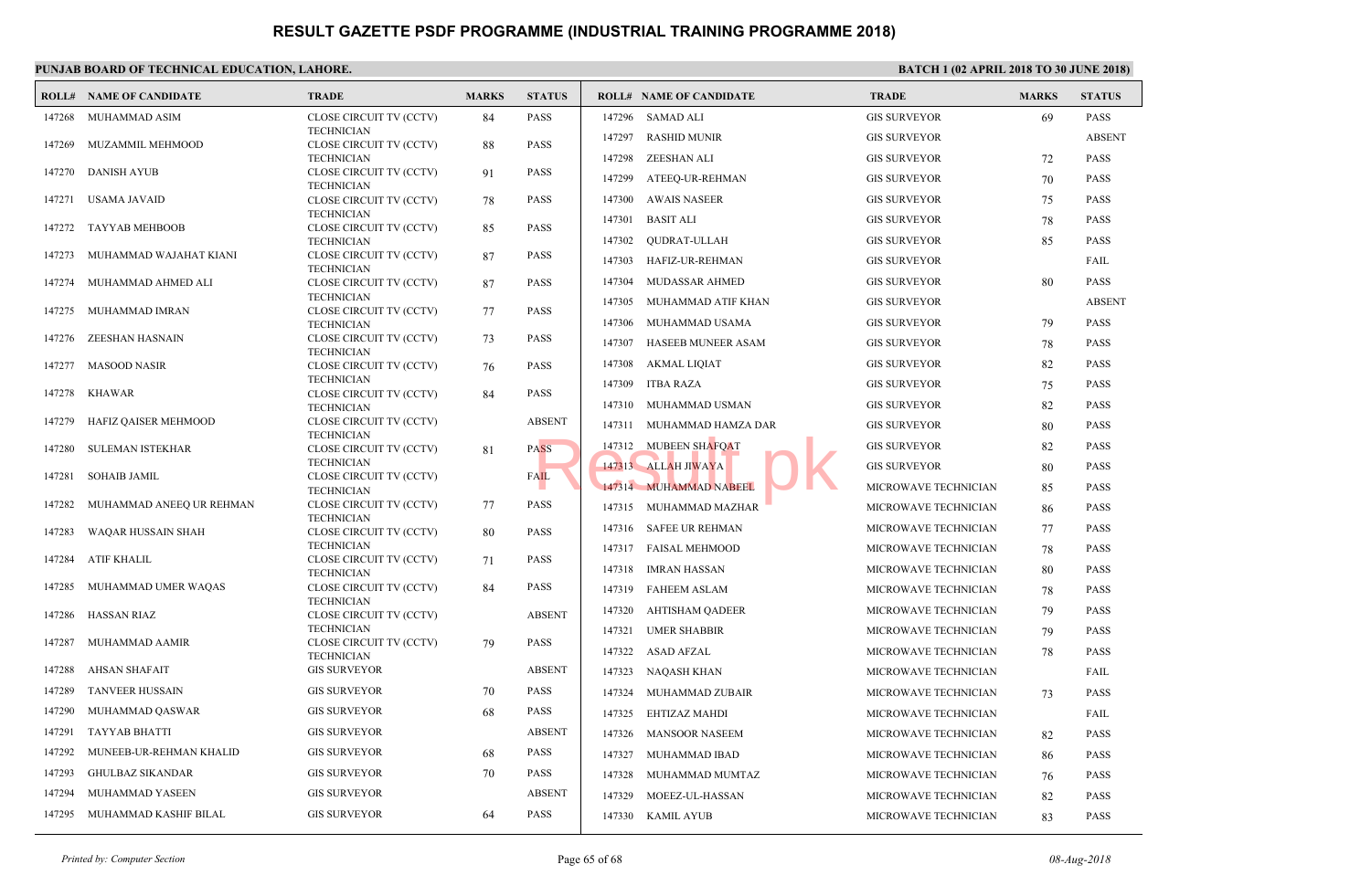#### **PUNJAB BOARD OF TECHNICAL EDUCATION, LAHORE. ROLL# NAME OF CANDIDATE TRADE MARKS STATUS ROLL# NAME OF CANDIDATE TRADE MARKS STATUS** CLOSE CIRCUIT TV (CCTV) 84 PASS TECHNICIAN 147268 MUHAMMAD ASIM CLOSE CIRCUIT TV (CCTV) 88 PASS **TECHNICIAN**  147269 MUZAMMIL MEHMOOD CLOSE CIRCUIT TV (CCTV) 91 PASS **TECHNICIAN**  147270 DANISH AYUB CLOSE CIRCUIT TV (CCTV) 78 PASS TECHNICIAN 147271 USAMA JAVAID CLOSE CIRCUIT TV (CCTV) 85 PASS TECHNICIAN 147272 TAYYAB MEHBOOB CLOSE CIRCUIT TV (CCTV) 87 PASS TECHNICIAN 147273 MUHAMMAD WAJAHAT KIANI CLOSE CIRCUIT TV (CCTV) 87 PASS **TECHNICIAN**  147274 MUHAMMAD AHMED ALI CLOSE CIRCUIT TV (CCTV) 77 PASS **TECHNICIAN**  147275 MUHAMMAD IMRAN CLOSE CIRCUIT TV (CCTV) 73 PASS **TECHNICIAN**  147276 ZEESHAN HASNAIN CLOSE CIRCUIT TV (CCTV) 76 PASS **TECHNICIAN**  147277 MASOOD NASIR CLOSE CIRCUIT TV (CCTV) 84 PASS TECHNICIAN 147278 KHAWAR CLOSE CIRCUIT TV (CCTV) ABSENT **TECHNICIAN**  147279 HAFIZ QAISER MEHMOOD CLOSE CIRCUIT TV (CCTV) 81 PASS TECHNICIAN 147280 SULEMAN ISTEKHAR CLOSE CIRCUIT TV (CCTV) FAIL **TECHNICIAN**  147281 SOHAIB JAMIL CLOSE CIRCUIT TV (CCTV) 77 PASS **TECHNICIAN**  147282 MUHAMMAD ANEEQ UR REHMAN CLOSE CIRCUIT TV (CCTV) 80 PASS **TECHNICIAN**  147283 WAQAR HUSSAIN SHAH CLOSE CIRCUIT TV (CCTV) 71 PASS TECHNICIAN 147284 ATIF KHALIL CLOSE CIRCUIT TV (CCTV) 84 PASS **TECHNICIAN**  147285 MUHAMMAD UMER WAQAS CLOSE CIRCUIT TV (CCTV) ABSENT TECHNICIAN 147286 HASSAN RIAZ CLOSE CIRCUIT TV (CCTV) 79 PASS TECHNICIAN 147287 MUHAMMAD AAMIR 147288 AHSAN SHAFAIT GIS SURVEYOR ABSENT 147289 TANVEER HUSSAIN GIS SURVEYOR 70 PASS 147290 MUHAMMAD QASWAR GIS SURVEYOR 68 PASS 147291 TAYYAB BHATTI GIS SURVEYOR ABSENT 147296 SAMAD ALI GIS SURVEYS GIS SURVEYS SAMAD ALI 147297 RASHID MUNIR GIS SURVEYS GIS SURVEYS AND RESERVE 147298 ZEESHAN ALI GIS SURVEYS GIS SURVEYS 147299 ATEEQ-UR-REHMAN GIS SURVEYS 147300 AWAIS NASEER GIS SURVEYS 147301 BASIT ALI GIS SURVEYOR 78 PASSE 147302 QUDRAT-ULLAH GIS SU 147303 HAFIZ-UR-REHMAN GIS SU 147304 MUDASSAR AHMED GIS SURVEYS 147305 MUHAMMAD ATIF KHAN GIS SURVEYS 147306 MUHAMMAD USAMA GIS SURVEYS 147307 HASEEB MUNEER ASAM GIS SURVEYS 147308 AKMAL LIQIAT GIS SURVEYS GIS 147309 ITBA RAZA GIS SURVEYS 147310 MUHAMMAD USMAN GIS SURVEYS 147311 MUHAMMAD HAMZA DAR GIS SURVEYS 147312 MUBEEN SHAFQAT GIS SURVEYS 147313 ALLAH JIWAYA GIS SURVEYOR 80 PASSE 147314 MUHAMMAD NABEEL MICROWAVE TECHNICIAN MICROWAVE 147315 MUHAMMAD MAZHAR MICROWAVE TECHNICIAN 86 PASSES AND MICROWAVE TECHNICIAN 86 PASSES AND MICROWAVE TECHNICIA 147316 SAFEE UR REHMAN MICROWAVE TECHNICIAN 147317 FAISAL MEHMOOD MICROWAVE TECHNICIAN 78 PASSES 147318 IMRAN HASSAN MICROWAVE TECHNICIAN 80 PASSAN 147319 FAHEEM ASLAM MICROWAVE TECHNICIAN 78 PASSES 147320 AHTISHAM QADEER MICROWAVE TECHNICIAN 79 PASSES 147321 UMER SHABBIR MICROWAVE TECHNICIAN 79 PASSES 147322 ASAD AFZAL MICROWAVE TECHNICIAN 78 PASSAGE TECHNICIAN 78 PASSAGE TECHNICIAN 78 PASSAGE TECHNICIAN 78 PASSAGE TECHNICIAN 78 PASSAGE TECHNICIAN 78 PASSAGE TECHNICIAN 78 PASSAGE TECHNICIAN 78 PASSAGE TECHNICIAN 78 PASS 147323 NAQASH KHAN MICROWAVE TECHNICIAN FAILS 147324 MUHAMMAD ZUBAIR MICROWAVE TECHNICIAN 7324 147325 EHTIZAZ MAHDI MICROWAVE TECHNICIAN FAIL 147326 MANSOOR NASEEM MICROWAVE ASS 147312 MUBEEN SHAFQAT 147313 ALLAH JIWAYA 147314 MUHAMMAD NABEEL

 147292 MUNEEB-UR-REHMAN KHALID GIS SURVEYOR 68 PASS 147293 GHULBAZ SIKANDAR GIS SURVEYOR 70 PASS 147294 MUHAMMAD YASEEN GIS SURVEYOR ABSENT 147295 MUHAMMAD KASHIF BILAL GIS SURVEYOR 64 PASS

#### *Printed by: Computer Section* Page 65 of 68

147327 MUHAMMAD IBAD MICROWAVE TECHNICIAN 86 PASSES AND MICROWAVE TECHNICIAN 86 PASSES AND MICROWAVE TECHNICIA 147328 MUHAMMAD MUMTAZ MICROWAVE TECHNICIAN 76 PASSES PASSES AND MICROWAVE TECHNICIAN 76 PASSES AND MICROWAVE 147329 MOEEZ-UL-HASSAN MICROWAVE

147330 KAMIL AYUB MICROWAVE TECHNICIAN 83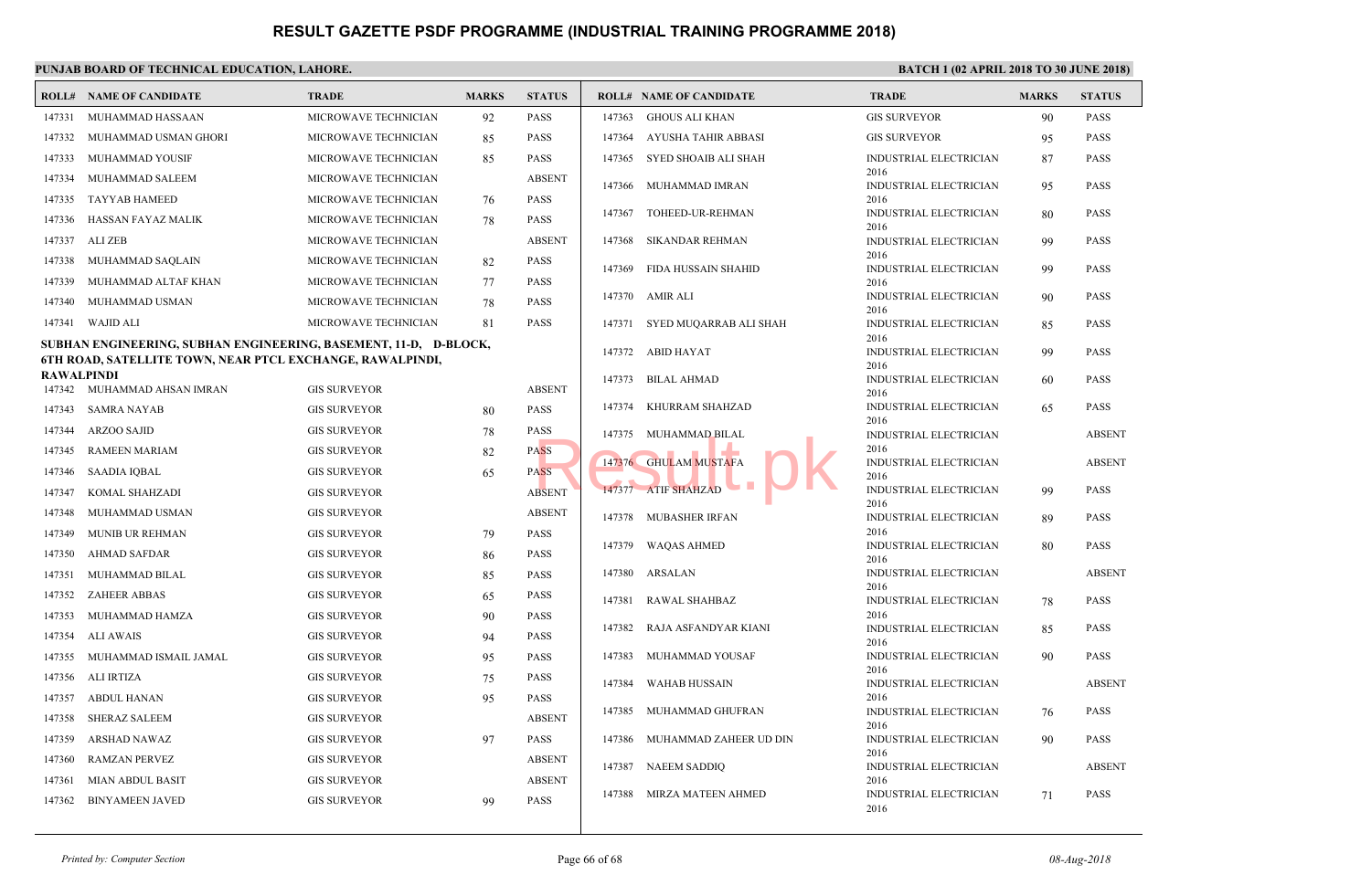|                   | PUNJAB BOARD OF TECHNICAL EDUCATION, LAHORE.                                                                                         |                      |              |               |        |                                |                              |
|-------------------|--------------------------------------------------------------------------------------------------------------------------------------|----------------------|--------------|---------------|--------|--------------------------------|------------------------------|
|                   | <b>ROLL# NAME OF CANDIDATE</b>                                                                                                       | <b>TRADE</b>         | <b>MARKS</b> | <b>STATUS</b> |        | <b>ROLL# NAME OF CANDIDATE</b> | <b>TRAL</b>                  |
| 147331            | MUHAMMAD HASSAAN                                                                                                                     | MICROWAVE TECHNICIAN | 92           | <b>PASS</b>   | 147363 | GHOUS ALI KHAN                 | <b>GIS SU</b>                |
| 147332            | MUHAMMAD USMAN GHORI                                                                                                                 | MICROWAVE TECHNICIAN | 85           | <b>PASS</b>   | 147364 | AYUSHA TAHIR ABBASI            | <b>GIS SU</b>                |
| 147333            | MUHAMMAD YOUSIF                                                                                                                      | MICROWAVE TECHNICIAN | 85           | <b>PASS</b>   | 147365 | SYED SHOAIB ALI SHAH           | <b>INDUS</b>                 |
| 147334            | MUHAMMAD SALEEM                                                                                                                      | MICROWAVE TECHNICIAN |              | <b>ABSENT</b> | 147366 | MUHAMMAD IMRAN                 | 2016<br><b>INDUS</b>         |
| 147335            | <b>TAYYAB HAMEED</b>                                                                                                                 | MICROWAVE TECHNICIAN | 76           | <b>PASS</b>   |        |                                | 2016                         |
| 147336            | HASSAN FAYAZ MALIK                                                                                                                   | MICROWAVE TECHNICIAN | 78           | PASS          | 147367 | TOHEED-UR-REHMAN               | <b>INDUS</b><br>2016         |
| 147337            | ALI ZEB                                                                                                                              | MICROWAVE TECHNICIAN |              | <b>ABSENT</b> | 147368 | SIKANDAR REHMAN                | <b>INDUS</b>                 |
| 147338            | MUHAMMAD SAQLAIN                                                                                                                     | MICROWAVE TECHNICIAN | 82           | PASS          | 147369 | FIDA HUSSAIN SHAHID            | 2016<br><b>INDUS</b>         |
| 147339            | MUHAMMAD ALTAF KHAN                                                                                                                  | MICROWAVE TECHNICIAN | 77           | PASS          |        |                                | 2016                         |
| 147340            | MUHAMMAD USMAN                                                                                                                       | MICROWAVE TECHNICIAN | 78           | PASS          |        | 147370 AMIR ALI                | <b>INDUS</b><br>2016         |
| 147341            | WAJID ALI                                                                                                                            | MICROWAVE TECHNICIAN | 81           | PASS          |        | 147371 SYED MUQARRAB ALI SHAH  | <b>INDUS</b>                 |
|                   | SUBHAN ENGINEERING, SUBHAN ENGINEERING, BASEMENT, 11-D, D-BLOCK,<br><b>6TH ROAD, SATELLITE TOWN, NEAR PTCL EXCHANGE, RAWALPINDI,</b> |                      |              |               |        | 147372 ABID HAYAT              | 2016<br><b>INDUS</b><br>2016 |
| <b>RAWALPINDI</b> | 147342 MUHAMMAD AHSAN IMRAN                                                                                                          | <b>GIS SURVEYOR</b>  |              | <b>ABSENT</b> | 147373 | <b>BILAL AHMAD</b>             | <b>INDUS</b>                 |
| 147343            | <b>SAMRA NAYAB</b>                                                                                                                   | <b>GIS SURVEYOR</b>  | 80           | <b>PASS</b>   | 147374 | KHURRAM SHAHZAD                | 2016<br><b>INDUS</b>         |
| 147344            | <b>ARZOO SAJID</b>                                                                                                                   | <b>GIS SURVEYOR</b>  | 78           | <b>PASS</b>   |        |                                | 2016                         |
| 147345            | RAMEEN MARIAM                                                                                                                        | <b>GIS SURVEYOR</b>  | 82           | <b>PASS</b>   | 147375 | MUHAMMAD BILAL                 | <b>INDUS</b><br>2016         |
| 147346            | <b>SAADIA IQBAL</b>                                                                                                                  | <b>GIS SURVEYOR</b>  | 65           | <b>PASS</b>   |        | 147376 GHULAM MUSTAFA          | <b>INDUS</b>                 |
| 147347            | KOMAL SHAHZADI                                                                                                                       | <b>GIS SURVEYOR</b>  |              | <b>ABSENT</b> |        | 147377 ATIF SHAHZAD            | 2016<br><b>INDUS</b>         |
| 147348            | MUHAMMAD USMAN                                                                                                                       | <b>GIS SURVEYOR</b>  |              | <b>ABSENT</b> |        |                                | 2016                         |
| 147349            | MUNIB UR REHMAN                                                                                                                      | <b>GIS SURVEYOR</b>  | 79           | PASS          |        | 147378 MUBASHER IRFAN          | <b>INDUS</b><br>2016         |
| 147350            | AHMAD SAFDAR                                                                                                                         | <b>GIS SURVEYOR</b>  | 86           | <b>PASS</b>   | 147379 | <b>WAQAS AHMED</b>             | <b>INDUS</b>                 |
| 147351            | MUHAMMAD BILAL                                                                                                                       | <b>GIS SURVEYOR</b>  | 85           | <b>PASS</b>   |        | 147380 ARSALAN                 | 2016<br><b>INDUS</b>         |
| 147352            | <b>ZAHEER ABBAS</b>                                                                                                                  | <b>GIS SURVEYOR</b>  | 65           | PASS          |        |                                | 2016                         |
| 147353            | MUHAMMAD HAMZA                                                                                                                       | <b>GIS SURVEYOR</b>  | 90           | PASS          | 147381 | RAWAL SHAHBAZ                  | <b>INDUS</b><br>2016         |
| 147354            | <b>ALI AWAIS</b>                                                                                                                     | <b>GIS SURVEYOR</b>  | 94           | PASS          | 147382 | RAJA ASFANDYAR KIANI           | <b>INDUS</b>                 |
| 147355            | MUHAMMAD ISMAIL JAMAL                                                                                                                | <b>GIS SURVEYOR</b>  | 95           | PASS          | 147383 | MUHAMMAD YOUSAF                | 2016<br><b>INDUS</b>         |
| 147356            | ALI IRTIZA                                                                                                                           | <b>GIS SURVEYOR</b>  | 75           | PASS          |        |                                | 2016                         |
| 147357            | <b>ABDUL HANAN</b>                                                                                                                   | <b>GIS SURVEYOR</b>  | 95           | PASS          | 147384 | <b>WAHAB HUSSAIN</b>           | <b>INDUS</b><br>2016         |
| 147358            | <b>SHERAZ SALEEM</b>                                                                                                                 | <b>GIS SURVEYOR</b>  |              | <b>ABSENT</b> | 147385 | MUHAMMAD GHUFRAN               | <b>INDUS</b>                 |
| 147359            | ARSHAD NAWAZ                                                                                                                         | <b>GIS SURVEYOR</b>  |              | <b>PASS</b>   | 147386 | MUHAMMAD ZAHEER UD DIN         | 2016<br><b>INDUS</b>         |
|                   |                                                                                                                                      |                      | 97           |               |        |                                | 2016                         |
| 147360            | <b>RAMZAN PERVEZ</b>                                                                                                                 | <b>GIS SURVEYOR</b>  |              | <b>ABSENT</b> | 147387 | NAEEM SADDIQ                   | <b>INDUS</b>                 |
| 147361            | <b>MIAN ABDUL BASIT</b>                                                                                                              | <b>GIS SURVEYOR</b>  |              | <b>ABSENT</b> |        | 147388 MIRZA MATEEN AHMED      | 2016<br><b>INDUS</b>         |
| 147362            | <b>BINYAMEEN JAVED</b>                                                                                                               | <b>GIS SURVEYOR</b>  | 99           | <b>PASS</b>   |        |                                | 2016                         |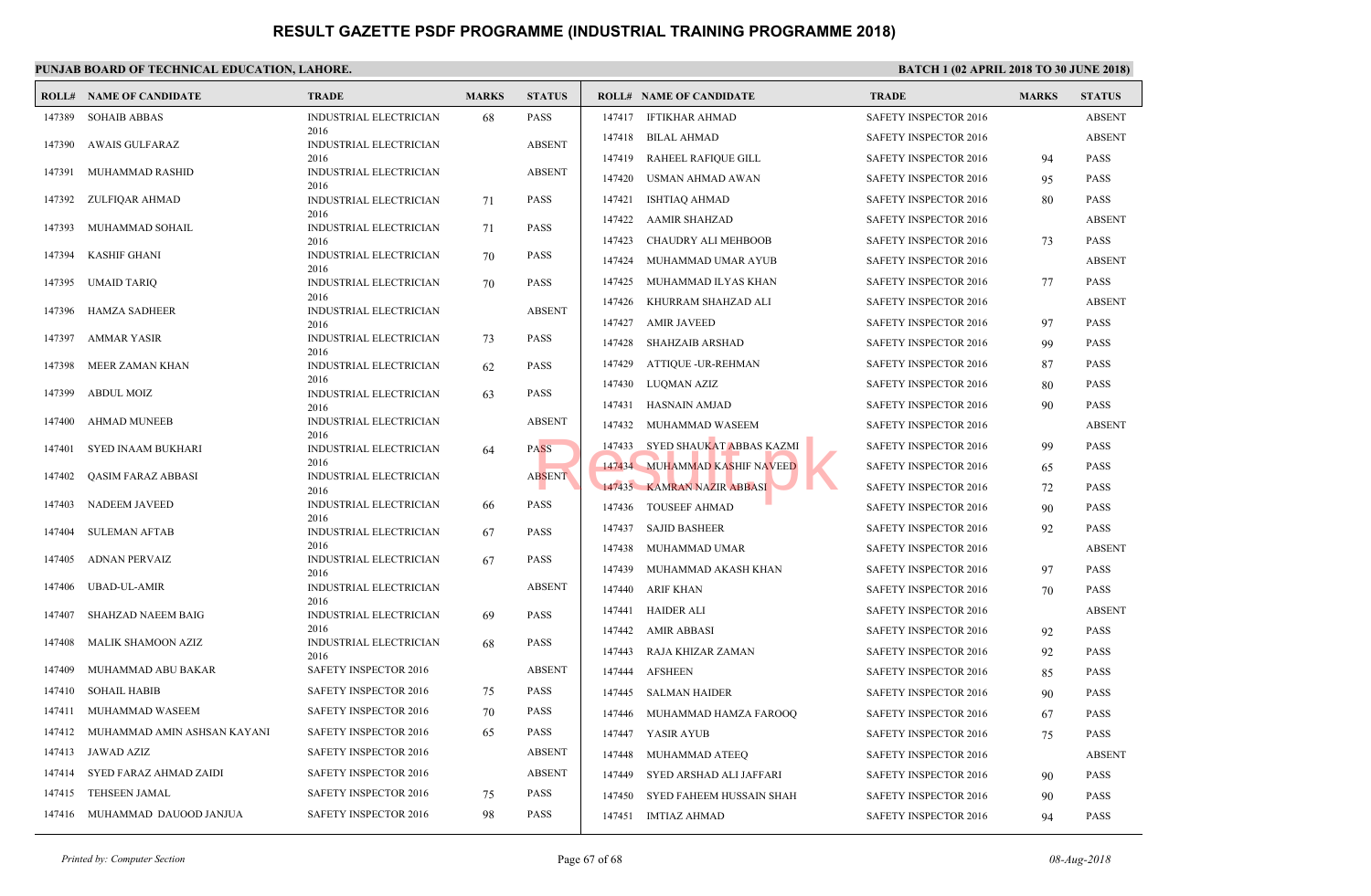|        | <b>ROLL# NAME OF CANDIDATE</b> | <b>TRADE</b>                   | <b>MARKS</b> | <b>STATUS</b> |        | <b>ROLL# NAME OF CANDIDATE</b> | TRAD         |
|--------|--------------------------------|--------------------------------|--------------|---------------|--------|--------------------------------|--------------|
| 147389 | <b>SOHAIB ABBAS</b>            | INDUSTRIAL ELECTRICIAN         | 68           | <b>PASS</b>   | 147417 | IFTIKHAR AHMAD                 | <b>SAFET</b> |
| 147390 | AWAIS GULFARAZ                 | 2016<br>INDUSTRIAL ELECTRICIAN |              | <b>ABSENT</b> | 147418 | BILAL AHMAD                    | <b>SAFET</b> |
|        |                                | 2016                           |              |               | 147419 | RAHEEL RAFIQUE GILL            | <b>SAFET</b> |
| 147391 | MUHAMMAD RASHID                | INDUSTRIAL ELECTRICIAN<br>2016 |              | <b>ABSENT</b> | 147420 | USMAN AHMAD AWAN               | <b>SAFET</b> |
| 147392 | ZULFIQAR AHMAD                 | <b>INDUSTRIAL ELECTRICIAN</b>  | 71           | <b>PASS</b>   | 147421 | <b>ISHTIAQ AHMAD</b>           | <b>SAFET</b> |
| 147393 |                                | 2016                           |              | <b>PASS</b>   | 147422 | <b>AAMIR SHAHZAD</b>           | <b>SAFET</b> |
|        | MUHAMMAD SOHAIL                | INDUSTRIAL ELECTRICIAN<br>2016 | 71           |               | 147423 | CHAUDRY ALI MEHBOOB            | <b>SAFET</b> |
| 147394 | <b>KASHIF GHANI</b>            | INDUSTRIAL ELECTRICIAN<br>2016 | 70           | <b>PASS</b>   | 147424 | MUHAMMAD UMAR AYUB             | <b>SAFET</b> |
| 147395 | UMAID TARIQ                    | INDUSTRIAL ELECTRICIAN         | 70           | <b>PASS</b>   | 147425 | MUHAMMAD ILYAS KHAN            | <b>SAFET</b> |
|        |                                | 2016                           |              |               | 147426 | KHURRAM SHAHZAD ALI            | <b>SAFET</b> |
| 147396 | <b>HAMZA SADHEER</b>           | INDUSTRIAL ELECTRICIAN<br>2016 |              | <b>ABSENT</b> | 147427 | <b>AMIR JAVEED</b>             | <b>SAFET</b> |
| 147397 | <b>AMMAR YASIR</b>             | INDUSTRIAL ELECTRICIAN         | 73           | <b>PASS</b>   | 147428 | SHAHZAIB ARSHAD                | <b>SAFET</b> |
| 147398 | MEER ZAMAN KHAN                | 2016<br>INDUSTRIAL ELECTRICIAN | 62           | <b>PASS</b>   | 147429 | <b>ATTIQUE -UR-REHMAN</b>      | <b>SAFET</b> |
|        |                                | 2016                           |              |               | 147430 | LUQMAN AZIZ                    | <b>SAFET</b> |
| 147399 | <b>ABDUL MOIZ</b>              | INDUSTRIAL ELECTRICIAN<br>2016 | 63           | <b>PASS</b>   | 147431 | HASNAIN AMJAD                  | <b>SAFET</b> |
| 147400 | <b>AHMAD MUNEEB</b>            | INDUSTRIAL ELECTRICIAN         |              | <b>ABSENT</b> | 147432 | MUHAMMAD WASEEM                | <b>SAFET</b> |
| 147401 | SYED INAAM BUKHARI             | 2016<br>INDUSTRIAL ELECTRICIAN | 64           | <b>PASS</b>   | 147433 | SYED SHAUKAT ABBAS KAZMI       | <b>SAFET</b> |
|        |                                | 2016                           |              |               |        | 147434 MUHAMMAD KASHIF NAVEED  | <b>SAFET</b> |
| 147402 | <b>QASIM FARAZ ABBASI</b>      | INDUSTRIAL ELECTRICIAN<br>2016 |              | <b>ABSENT</b> |        | 147435 KAMRAN NAZIR ABBASI     | <b>SAFET</b> |
| 147403 | NADEEM JAVEED                  | INDUSTRIAL ELECTRICIAN         | 66           | <b>PASS</b>   | 147436 | <b>TOUSEEF AHMAD</b>           | <b>SAFET</b> |
| 147404 | <b>SULEMAN AFTAB</b>           | 2016<br>INDUSTRIAL ELECTRICIAN | 67           | <b>PASS</b>   | 147437 | <b>SAJID BASHEER</b>           | <b>SAFET</b> |
|        |                                | 2016                           |              |               | 147438 | MUHAMMAD UMAR                  | <b>SAFET</b> |
| 147405 | <b>ADNAN PERVAIZ</b>           | INDUSTRIAL ELECTRICIAN<br>2016 | 67           | <b>PASS</b>   | 147439 | MUHAMMAD AKASH KHAN            | <b>SAFET</b> |
| 147406 | <b>UBAD-UL-AMIR</b>            | INDUSTRIAL ELECTRICIAN         |              | <b>ABSENT</b> | 147440 | <b>ARIF KHAN</b>               | <b>SAFET</b> |
| 147407 | SHAHZAD NAEEM BAIG             | 2016<br>INDUSTRIAL ELECTRICIAN | 69           | <b>PASS</b>   | 147441 | <b>HAIDER ALI</b>              | <b>SAFET</b> |
|        |                                | 2016                           |              |               | 147442 | <b>AMIR ABBASI</b>             | <b>SAFET</b> |
| 147408 | MALIK SHAMOON AZIZ             | INDUSTRIAL ELECTRICIAN<br>2016 | 68           | <b>PASS</b>   | 147443 | RAJA KHIZAR ZAMAN              | <b>SAFET</b> |
| 147409 | MUHAMMAD ABU BAKAR             | SAFETY INSPECTOR 2016          |              | <b>ABSENT</b> | 147444 | <b>AFSHEEN</b>                 | <b>SAFET</b> |
| 147410 | <b>SOHAIL HABIB</b>            | <b>SAFETY INSPECTOR 2016</b>   | 75           | <b>PASS</b>   | 147445 | SALMAN HAIDER                  | <b>SAFET</b> |
| 147411 | MUHAMMAD WASEEM                | <b>SAFETY INSPECTOR 2016</b>   | 70           | <b>PASS</b>   | 147446 | MUHAMMAD HAMZA FAROOQ          | <b>SAFET</b> |
| 147412 | MUHAMMAD AMIN ASHSAN KAYANI    | SAFETY INSPECTOR 2016          | 65           | <b>PASS</b>   | 147447 | YASIR AYUB                     | <b>SAFET</b> |
| 147413 | JAWAD AZIZ                     | SAFETY INSPECTOR 2016          |              | <b>ABSENT</b> | 147448 | MUHAMMAD ATEEQ                 | <b>SAFET</b> |
| 147414 | SYED FARAZ AHMAD ZAIDI         | SAFETY INSPECTOR 2016          |              | <b>ABSENT</b> | 147449 | SYED ARSHAD ALI JAFFARI        | <b>SAFET</b> |
| 147415 | <b>TEHSEEN JAMAL</b>           | SAFETY INSPECTOR 2016          | 75           | <b>PASS</b>   | 147450 | SYED FAHEEM HUSSAIN SHAH       | <b>SAFET</b> |
| 147416 | MUHAMMAD DAUOOD JANJUA         | SAFETY INSPECTOR 2016          | 98           | <b>PASS</b>   |        | 147451 IMTIAZ AHMAD            | <b>SAFET</b> |
|        |                                |                                |              |               |        |                                |              |